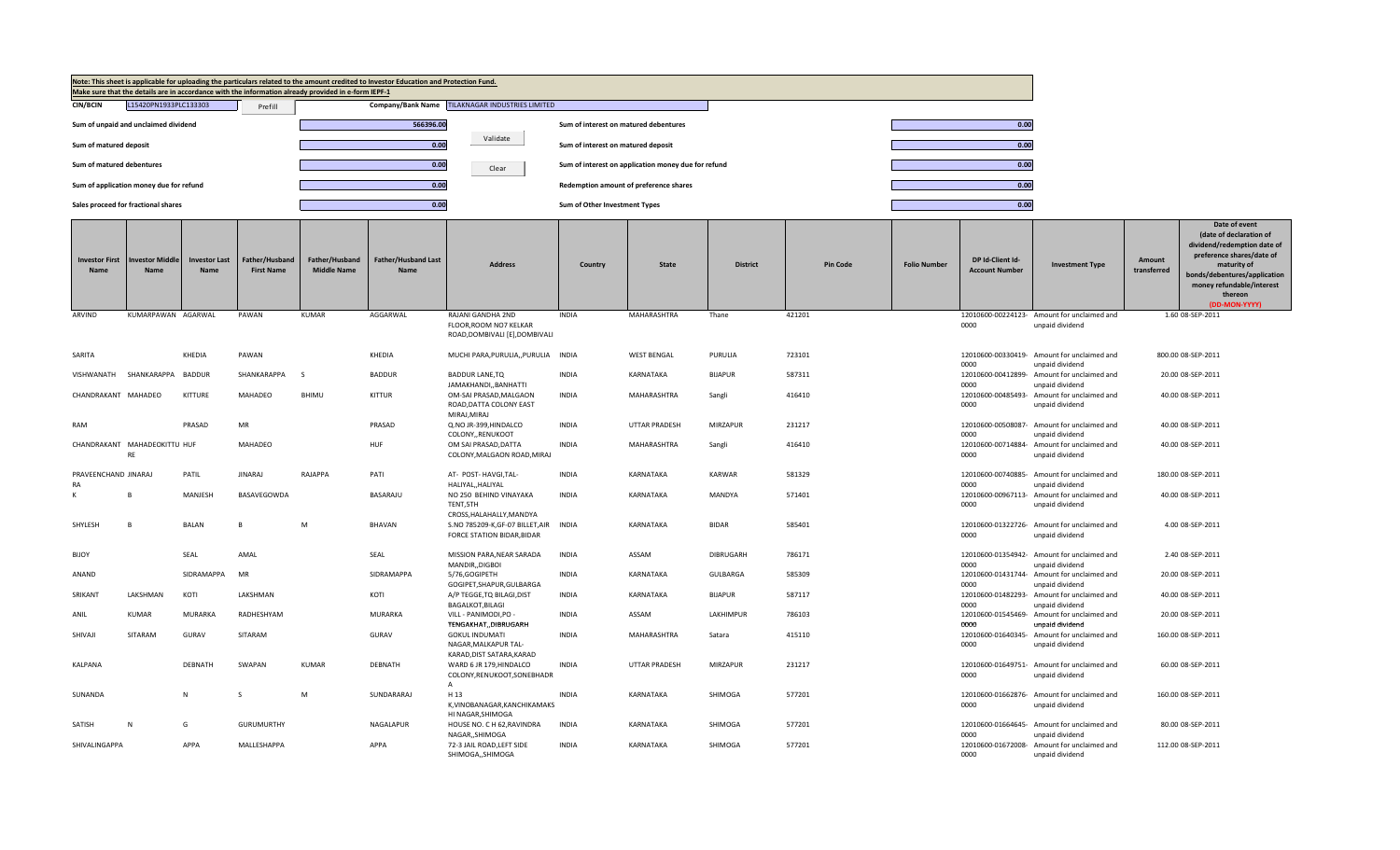|                                      |                                         |                                     |                                     | Make sure that the details are in accordance with the information already provided in e-form IEPF-1 | Note: This sheet is applicable for uploading the particulars related to the amount credited to Investor Education and Protection Fund. |                                                                                                       |                                       |                                                     |                  |                 |                     |                                           |                                                                                   |                       |                                                                                                                                                                                                              |
|--------------------------------------|-----------------------------------------|-------------------------------------|-------------------------------------|-----------------------------------------------------------------------------------------------------|----------------------------------------------------------------------------------------------------------------------------------------|-------------------------------------------------------------------------------------------------------|---------------------------------------|-----------------------------------------------------|------------------|-----------------|---------------------|-------------------------------------------|-----------------------------------------------------------------------------------|-----------------------|--------------------------------------------------------------------------------------------------------------------------------------------------------------------------------------------------------------|
| <b>CIN/BCIN</b>                      | L15420PN1933PLC133303                   |                                     | Prefill                             |                                                                                                     |                                                                                                                                        | Company/Bank Name TILAKNAGAR INDUSTRIES LIMITED                                                       |                                       |                                                     |                  |                 |                     |                                           |                                                                                   |                       |                                                                                                                                                                                                              |
|                                      | Sum of unpaid and unclaimed dividend    |                                     |                                     |                                                                                                     | 566396.00                                                                                                                              |                                                                                                       | Sum of interest on matured debentures |                                                     |                  |                 |                     | 0.00                                      |                                                                                   |                       |                                                                                                                                                                                                              |
| Sum of matured deposit               |                                         |                                     |                                     |                                                                                                     | 0.00                                                                                                                                   | Validate                                                                                              | Sum of interest on matured deposit    |                                                     |                  |                 |                     | 0.00                                      |                                                                                   |                       |                                                                                                                                                                                                              |
| Sum of matured debentures            |                                         |                                     |                                     |                                                                                                     | 0.00                                                                                                                                   | Clear                                                                                                 |                                       | Sum of interest on application money due for refund |                  |                 |                     | 0.00                                      |                                                                                   |                       |                                                                                                                                                                                                              |
|                                      | Sum of application money due for refund |                                     |                                     |                                                                                                     | 0.00                                                                                                                                   |                                                                                                       |                                       | Redemption amount of preference shares              |                  |                 |                     | 0.00                                      |                                                                                   |                       |                                                                                                                                                                                                              |
|                                      | Sales proceed for fractional shares     |                                     |                                     |                                                                                                     | 0.00                                                                                                                                   |                                                                                                       | Sum of Other Investment Types         |                                                     |                  |                 |                     | 0.00                                      |                                                                                   |                       |                                                                                                                                                                                                              |
| <b>Investor First</b><br><b>Name</b> | vestor Middle<br>Name                   | <b>Investor Last</b><br><b>Name</b> | Father/Husband<br><b>First Name</b> | Father/Husband<br><b>Middle Name</b>                                                                | Father/Husband Last<br><b>Name</b>                                                                                                     | <b>Address</b>                                                                                        | Country                               | <b>State</b>                                        | <b>District</b>  | <b>Pin Code</b> | <b>Folio Number</b> | DP Id-Client Id-<br><b>Account Number</b> | <b>Investment Type</b>                                                            | Amount<br>transferred | Date of event<br>(date of declaration of<br>dividend/redemption date of<br>preference shares/date of<br>maturity of<br>bonds/debentures/application<br>money refundable/interest<br>thereon<br>(DD-MON-YYYY) |
| ARVIND                               | KUMARPAWAN AGARWAL                      |                                     | PAWAN                               | <b>KUMAR</b>                                                                                        | AGGARWAL                                                                                                                               | RAJANI GANDHA 2ND<br>FLOOR, ROOM NO7 KELKAR                                                           | <b>INDIA</b>                          | MAHARASHTRA                                         | Thane            | 421201          |                     | 0000                                      | 12010600-00224123- Amount for unclaimed and<br>unpaid dividend                    |                       | 1.60 08-SEP-2011                                                                                                                                                                                             |
|                                      |                                         |                                     |                                     |                                                                                                     |                                                                                                                                        | ROAD, DOMBIVALI [E], DOMBIVALI                                                                        |                                       |                                                     |                  |                 |                     |                                           |                                                                                   |                       |                                                                                                                                                                                                              |
| SARITA                               |                                         | KHEDIA                              | PAWAN                               |                                                                                                     | KHEDIA                                                                                                                                 | MUCHI PARA, PURULIA,, PURULIA INDIA                                                                   |                                       | <b>WEST BENGAL</b>                                  | PURULIA          | 723101          |                     |                                           | 12010600-00330419- Amount for unclaimed and                                       |                       | 800.00 08-SEP-2011                                                                                                                                                                                           |
| VISHWANATH                           | SHANKARAPPA                             | <b>BADDUR</b>                       | SHANKARAPPA                         | -S                                                                                                  | <b>BADDUR</b>                                                                                                                          | <b>BADDUR LANE,TQ</b><br>JAMAKHANDI,, BANHATTI                                                        | <b>INDIA</b>                          | KARNATAKA                                           | <b>BIJAPUR</b>   | 587311          |                     | 0000<br>0000                              | unpaid dividend<br>12010600-00412899- Amount for unclaimed and<br>unpaid dividend |                       | 20.00 08-SEP-2011                                                                                                                                                                                            |
| CHANDRAKANT MAHADEO                  |                                         | KITTURE                             | MAHADEO                             | BHIMU                                                                                               | <b>KITTUR</b>                                                                                                                          | OM-SAI PRASAD, MALGAON<br>ROAD, DATTA COLONY EAST                                                     | INDIA                                 | MAHARASHTRA                                         | Sangli           | 416410          |                     | 0000                                      | 12010600-00485493- Amount for unclaimed and<br>unpaid dividend                    |                       | 40.00 08-SEP-2011                                                                                                                                                                                            |
| RAM                                  |                                         | PRASAD                              | MR                                  |                                                                                                     | PRASAD                                                                                                                                 | MIRAJ.MIRAJ<br>Q.NO JR-399, HINDALCO                                                                  | <b>INDIA</b>                          | <b>UTTAR PRADESH</b>                                | MIRZAPUR         | 231217          |                     |                                           | 12010600-00508087- Amount for unclaimed and                                       |                       | 40.00 08-SEP-2011                                                                                                                                                                                            |
|                                      | CHANDRAKANT MAHADEOKITTU HUF            |                                     | MAHADEO                             |                                                                                                     | HUF                                                                                                                                    | COLONY,, RENUKOOT<br>OM SAI PRASAD, DATTA                                                             | INDIA                                 | MAHARASHTRA                                         | Sangli           | 416410          |                     | 0000                                      | unpaid dividend<br>12010600-00714884- Amount for unclaimed and                    |                       | 40.00 08-SEP-2011                                                                                                                                                                                            |
|                                      | <b>RF</b>                               |                                     |                                     |                                                                                                     |                                                                                                                                        | COLONY, MALGAON ROAD, MIRAJ                                                                           |                                       |                                                     |                  |                 |                     | 0000                                      | unpaid dividend                                                                   |                       |                                                                                                                                                                                                              |
| PRAVEENCHAND JINARAJ<br><b>RA</b>    |                                         | PATIL                               | <b>JINARAJ</b>                      | RAJAPPA                                                                                             | PATI                                                                                                                                   | AT- POST- HAVGI, TAL-<br>HALIYAL,, HALIYAL                                                            | <b>INDIA</b>                          | KARNATAKA                                           | KARWAR           | 581329          |                     | 0000                                      | 12010600-00740885- Amount for unclaimed and<br>unpaid dividend                    |                       | 180.00 08-SEP-2011                                                                                                                                                                                           |
| К                                    |                                         | MANJESH                             | BASAVEGOWDA                         |                                                                                                     | BASARAJU                                                                                                                               | NO 250 BEHIND VINAYAKA<br>TENT,5TH                                                                    | <b>INDIA</b>                          | KARNATAKA                                           | <b>MANDYA</b>    | 571401          |                     | 0000                                      | 12010600-00967113- Amount for unclaimed and<br>unpaid dividend                    |                       | 40.00 08-SEP-2011                                                                                                                                                                                            |
| SHYLESH                              |                                         | <b>BALAN</b>                        | R                                   | M                                                                                                   | <b>BHAVAN</b>                                                                                                                          | CROSS, HALAHALLY, MANDYA<br>S.NO 785209-K, GF-07 BILLET, AIR INDIA<br>FORCE STATION BIDAR, BIDAR      |                                       | KARNATAKA                                           | <b>BIDAR</b>     | 585401          |                     | 0000                                      | 12010600-01322726- Amount for unclaimed and<br>unpaid dividend                    |                       | 4.00 08-SEP-2011                                                                                                                                                                                             |
| <b>BIJOY</b>                         |                                         | SEAL                                | AMAL                                |                                                                                                     | SEAL                                                                                                                                   | MISSION PARA, NEAR SARADA                                                                             | <b>INDIA</b>                          | ASSAM                                               | <b>DIBRUGARH</b> | 786171          |                     |                                           | 12010600-01354942- Amount for unclaimed and                                       |                       | 2.40 08-SEP-2011                                                                                                                                                                                             |
| ANAND                                |                                         | SIDRAMAPPA                          | MR                                  |                                                                                                     | SIDRAMAPPA                                                                                                                             | MANDIR,, DIGBOI<br>5/76.GOGIPETH<br>GOGIPET, SHAPUR, GULBARGA                                         | <b>INDIA</b>                          | KARNATAKA                                           | GULBARGA         | 585309          |                     | 0000<br>0000                              | unpaid dividend<br>12010600-01431744- Amount for unclaimed and<br>unpaid dividend |                       | 20.00 08-SEP-2011                                                                                                                                                                                            |
| SRIKANT                              | LAKSHMAN                                | KOTI                                | LAKSHMAN                            |                                                                                                     | KOTI                                                                                                                                   | A/P TEGGE, TQ BILAGI, DIST<br><b>BAGALKOT, BILAGI</b>                                                 | <b>INDIA</b>                          | KARNATAKA                                           | <b>BIJAPUR</b>   | 587117          |                     | 0000                                      | 12010600-01482293- Amount for unclaimed and<br>unpaid dividend                    |                       | 40.00 08-SEP-2011                                                                                                                                                                                            |
| ANIL                                 | KUMAR                                   | MURARKA                             | RADHESHYAM                          |                                                                                                     | <b>MURARKA</b>                                                                                                                         | VILL - PANIMODI, PO -<br>TENGAKHAT, DIBRUGARH                                                         | <b>INDIA</b>                          | ASSAM                                               | LAKHIMPUR        | 786103          |                     | 0000                                      | 12010600-01545469- Amount for unclaimed and<br>unpaid dividend                    |                       | 20.00 08-SEP-2011                                                                                                                                                                                            |
| SHIVAJI                              | SITARAM                                 | GURAV                               | SITARAM                             |                                                                                                     | GURAV                                                                                                                                  | <b>GOKUL INDUMATI</b><br>NAGAR, MALKAPUR TAL-                                                         | <b>INDIA</b>                          | MAHARASHTRA                                         | Satara           | 415110          |                     | 0000                                      | 12010600-01640345- Amount for unclaimed and<br>unpaid dividend                    |                       | 160.00 08-SEP-2011                                                                                                                                                                                           |
| KALPANA                              |                                         | <b>DEBNATH</b>                      | SWAPAN                              | <b>KUMAR</b>                                                                                        | DEBNATH                                                                                                                                | KARAD, DIST SATARA, KARAD<br>WARD 6 JR 179, HINDALCO<br>COLONY, RENUKOOT, SONEBHADR<br>$\overline{A}$ | <b>INDIA</b>                          | <b>UTTAR PRADESH</b>                                | MIRZAPUR         | 231217          |                     | 0000                                      | 12010600-01649751- Amount for unclaimed and<br>unpaid dividend                    |                       | 60.00 08-SEP-2011                                                                                                                                                                                            |
| SUNANDA                              |                                         | N                                   | S                                   | M                                                                                                   | SUNDARARAJ                                                                                                                             | H <sub>13</sub><br>K, VINOBANAGAR, KANCHIKAMAKS                                                       | <b>INDIA</b>                          | KARNATAKA                                           | SHIMOGA          | 577201          |                     | 0000                                      | 12010600-01662876- Amount for unclaimed and<br>unpaid dividend                    |                       | 160.00 08-SEP-2011                                                                                                                                                                                           |
| SATISH                               | N                                       | G                                   | <b>GURUMURTHY</b>                   |                                                                                                     | NAGALAPUR                                                                                                                              | HI NAGAR, SHIMOGA<br>HOUSE NO. C H 62, RAVINDRA<br>NAGAR,, SHIMOGA                                    | <b>INDIA</b>                          | KARNATAKA                                           | SHIMOGA          | 577201          |                     | 0000                                      | 12010600-01664645- Amount for unclaimed and<br>unpaid dividend                    |                       | 80.00 08-SEP-2011                                                                                                                                                                                            |
| SHIVALINGAPPA                        |                                         | APPA                                | MALLESHAPPA                         |                                                                                                     | APPA                                                                                                                                   | 72-3 JAIL ROAD, LEFT SIDE<br>SHIMOGA,, SHIMOGA                                                        | <b>INDIA</b>                          | KARNATAKA                                           | SHIMOGA          | 577201          |                     | 0000                                      | 12010600-01672008- Amount for unclaimed and<br>unpaid dividend                    |                       | 112.00 08-SEP-2011                                                                                                                                                                                           |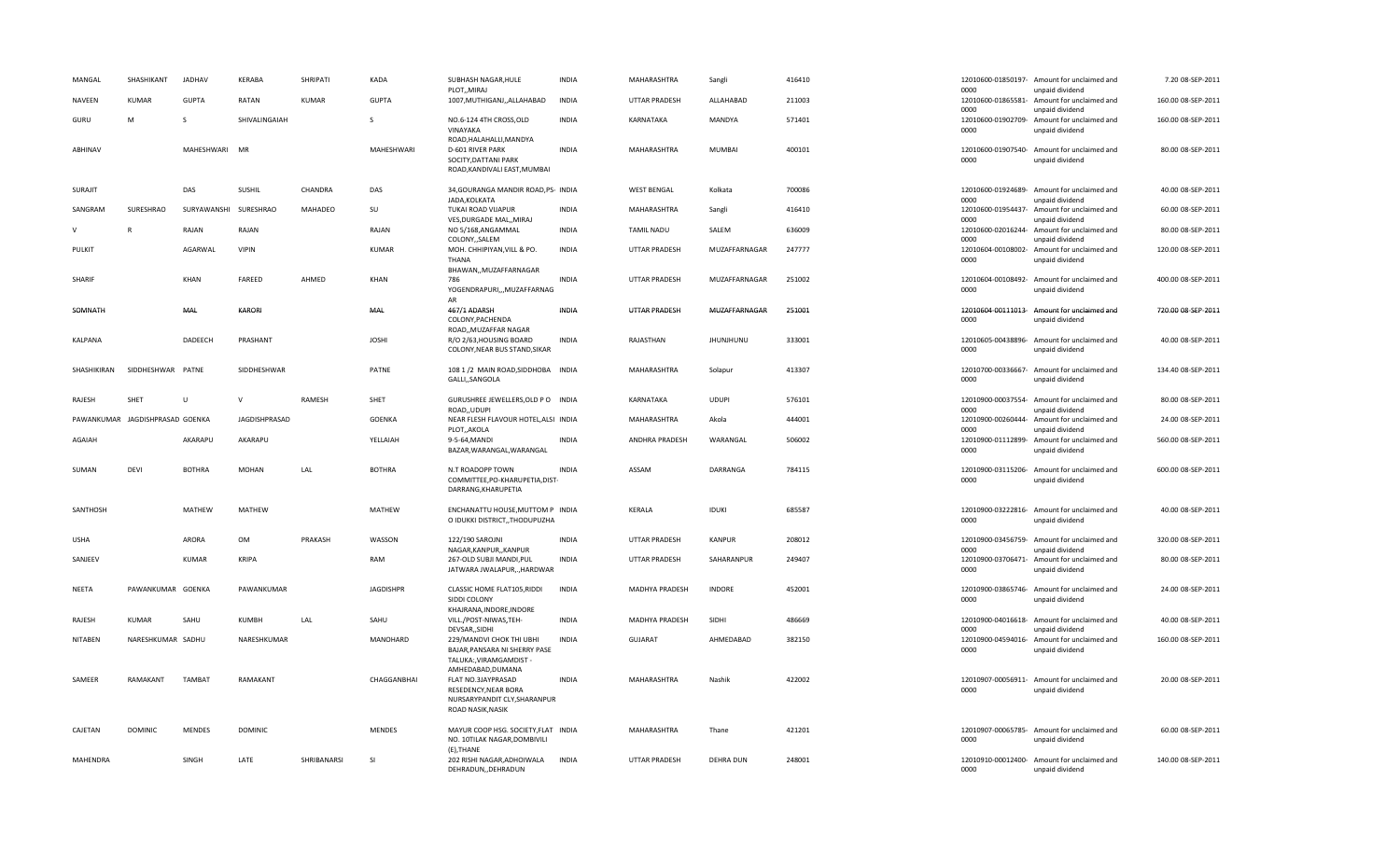| MANGAL          | SHASHIKANT                      | <b>JADHAV</b>         | KERABA         | SHRIPATI     | <b>KADA</b>      | SUBHASH NAGAR, HULE<br>PLOT,, MIRAJ                                                                                  | <b>INDIA</b> | MAHARASHTRA          | Sangli           | 416410 | 0000                       | 12010600-01850197- Amount for unclaimed and<br>unpaid dividend                    | 7.20 08-SEP-2011   |
|-----------------|---------------------------------|-----------------------|----------------|--------------|------------------|----------------------------------------------------------------------------------------------------------------------|--------------|----------------------|------------------|--------|----------------------------|-----------------------------------------------------------------------------------|--------------------|
| <b>NAVEEN</b>   | <b>KUMAR</b>                    | <b>GUPTA</b>          | RATAN          | <b>KUMAR</b> | <b>GUPTA</b>     | 1007, MUTHIGANJ, , ALLAHABAD                                                                                         | <b>INDIA</b> | <b>UTTAR PRADESH</b> | ALLAHABAD        | 211003 | 12010600-01865581-<br>0000 | Amount for unclaimed and<br>unpaid dividend                                       | 160.00 08-SEP-2011 |
| GURU            | M                               | <sub>S</sub>          | SHIVALINGAIAH  |              | S                | NO.6-124 4TH CROSS, OLD<br>VINAYAKA<br>ROAD, HALAHALLI, MANDYA                                                       | <b>INDIA</b> | KARNATAKA            | MANDYA           | 571401 | 12010600-01902709-<br>0000 | Amount for unclaimed and<br>unpaid dividend                                       | 160.00 08-SEP-2011 |
| ABHINAV         |                                 | MAHESHWARI            | MR             |              | MAHESHWARI       | D-601 RIVER PARK<br>SOCITY, DATTANI PARK<br>ROAD, KANDIVALI EAST, MUMBAI                                             | <b>INDIA</b> | MAHARASHTRA          | <b>MUMBAI</b>    | 400101 | 0000                       | 12010600-01907540- Amount for unclaimed and<br>unpaid dividend                    | 80.00 08-SEP-2011  |
| <b>SURAJIT</b>  |                                 | DAS                   | SUSHIL         | CHANDRA      | DAS              | 34, GOURANGA MANDIR ROAD, PS- INDIA<br>JADA.KOLKATA                                                                  |              | <b>WEST BENGAL</b>   | Kolkata          | 700086 | 0000                       | 12010600-01924689- Amount for unclaimed and<br>unpaid dividend                    | 40.00 08-SEP-2011  |
| SANGRAM         | SURESHRAO                       | SURYAWANSHI SURESHRAO |                | MAHADEO      | SU               | TUKAI ROAD VIJAPUR<br>VES, DURGADE MAL,, MIRAJ                                                                       | <b>INDIA</b> | MAHARASHTRA          | Sangli           | 416410 | 12010600-01954437-<br>0000 | Amount for unclaimed and<br>unpaid dividend                                       | 60.00 08-SEP-2011  |
| $\vee$          | $\mathsf{R}$                    | RAJAN                 | RAJAN          |              | RAJAN            | NO 5/168, ANGAMMAL<br>COLONY,, SALEM                                                                                 | <b>INDIA</b> | <b>TAMIL NADU</b>    | SALEM            | 636009 | 12010600-02016244-<br>0000 | Amount for unclaimed and<br>unpaid dividend                                       | 80.00 08-SEP-2011  |
| PULKIT          |                                 | AGARWAL               | <b>VIPIN</b>   |              | KUMAR            | MOH. CHHIPIYAN, VILL & PO.<br>THANA                                                                                  | <b>INDIA</b> | <b>UTTAR PRADESH</b> | MUZAFFARNAGAR    | 247777 | 12010604-00108002-<br>0000 | Amount for unclaimed and<br>unpaid dividend                                       | 120.00 08-SEP-2011 |
| SHARIF          |                                 | KHAN                  | FAREED         | AHMED        | <b>KHAN</b>      | BHAWAN,, MUZAFFARNAGAR<br>786<br>YOGENDRAPURI,,,MUZAFFARNAG                                                          | <b>INDIA</b> | <b>UTTAR PRADESH</b> | MUZAFFARNAGAR    | 251002 | 0000                       | 12010604-00108492- Amount for unclaimed and<br>unpaid dividend                    | 400.00 08-SEP-2011 |
| SOMNATH         |                                 | MAL                   | KARORI         |              | MAL              | AR<br>467/1 ADARSH<br>COLONY, PACHENDA                                                                               | <b>INDIA</b> | UTTAR PRADESH        | MUZAFFARNAGAR    | 251001 | 0000                       | 12010604-00111013- Amount for unclaimed and<br>unpaid dividend                    | 720.00 08-SEP-2011 |
| KALPANA         |                                 | DADEECH               | PRASHANT       |              | <b>JOSHI</b>     | ROAD,, MUZAFFAR NAGAR<br>R/O 2/63, HOUSING BOARD<br>COLONY, NEAR BUS STAND, SIKAR                                    | <b>INDIA</b> | RAJASTHAN            | JHUNJHUNU        | 333001 | 0000                       | 12010605-00438896- Amount for unclaimed and<br>unpaid dividend                    | 40.00 08-SEP-2011  |
| SHASHIKIRAN     | SIDDHESHWAR PATNE               |                       | SIDDHESHWAR    |              | PATNE            | 108 1 /2 MAIN ROAD, SIDDHOBA INDIA<br>GALLI,,SANGOLA                                                                 |              | MAHARASHTRA          | Solapur          | 413307 | 0000                       | 12010700-00336667- Amount for unclaimed and<br>unpaid dividend                    | 134.40 08-SEP-2011 |
| RAJESH          | SHET                            | $\mathbf{U}$          | $\mathsf{v}$   | RAMESH       | SHET             | GURUSHREE JEWELLERS, OLD P O INDIA<br>ROAD, UDUPI                                                                    |              | KARNATAKA            | <b>UDUPI</b>     | 576101 | 12010900-00037554-<br>0000 | Amount for unclaimed and<br>unpaid dividend                                       | 80.00 08-SEP-2011  |
|                 | PAWANKUMAR JAGDISHPRASAD GOENKA |                       | JAGDISHPRASAD  |              | <b>GOENKA</b>    | NEAR FLESH FLAVOUR HOTEL, ALSI INDIA                                                                                 |              | MAHARASHTRA          | Akola            | 444001 | 12010900-00260444-         | Amount for unclaimed and                                                          | 24.00 08-SEP-2011  |
| AGAIAH          |                                 | AKARAPU               | AKARAPU        |              | YELLAIAH         | PLOT, AKOLA<br>9-5-64, MANDI<br>BAZAR, WARANGAL, WARANGAL                                                            | <b>INDIA</b> | ANDHRA PRADESH       | WARANGAL         | 506002 | 0000<br>0000               | unpaid dividend<br>12010900-01112899- Amount for unclaimed and<br>unpaid dividend | 560.00 08-SEP-2011 |
| SUMAN           | DEVI                            | <b>BOTHRA</b>         | <b>MOHAN</b>   | LAL          | <b>BOTHRA</b>    | N.T ROADOPP TOWN<br>COMMITTEE, PO-KHARUPETIA, DIST-<br>DARRANG, KHARUPETIA                                           | <b>INDIA</b> | ASSAM                | DARRANGA         | 784115 | 0000                       | 12010900-03115206- Amount for unclaimed and<br>unpaid dividend                    | 600.00 08-SEP-2011 |
| SANTHOSH        |                                 | MATHEW                | MATHEW         |              | MATHEW           | ENCHANATTU HOUSE, MUTTOM P INDIA<br>O IDUKKI DISTRICT,, THODUPUZHA                                                   |              | KERALA               | <b>IDUKI</b>     | 685587 | 0000                       | 12010900-03222816- Amount for unclaimed and<br>unpaid dividend                    | 40.00 08-SEP-2011  |
| <b>USHA</b>     |                                 | ARORA                 | OM             | PRAKASH      | WASSON           | 122/190 SAROJNI<br>NAGAR, KANPUR, , KANPUR                                                                           | <b>INDIA</b> | UTTAR PRADESH        | <b>KANPUR</b>    | 208012 | 0000                       | 12010900-03456759- Amount for unclaimed and<br>unpaid dividend                    | 320.00 08-SEP-2011 |
| SANJEEV         |                                 | <b>KUMAR</b>          | KRIPA          |              | RAM              | 267-OLD SUBJI MANDI, PUL<br>JATWARA JWALAPUR,., HARDWAR                                                              | <b>INDIA</b> | <b>UTTAR PRADESH</b> | SAHARANPUR       | 249407 | 12010900-03706471-<br>0000 | Amount for unclaimed and<br>unpaid dividend                                       | 80.00 08-SEP-2011  |
| <b>NEETA</b>    | PAWANKUMAR GOENKA               |                       | PAWANKUMAR     |              | <b>JAGDISHPR</b> | CLASSIC HOME FLAT105, RIDDI<br>SIDDI COLONY<br>KHAJRANA, INDORE, INDORE                                              | <b>INDIA</b> | MADHYA PRADESH       | <b>INDORE</b>    | 452001 | 0000                       | 12010900-03865746- Amount for unclaimed and<br>unpaid dividend                    | 24.00 08-SEP-2011  |
| RAJESH          | KUMAR                           | SAHU                  | KUMBH          | LAL          | SAHU             | VILL./POST-NIWAS,TEH-<br>DEVSAR, SIDHI                                                                               | <b>INDIA</b> | MADHYA PRADESH       | SIDHI            | 486669 | 0000                       | 12010900-04016618- Amount for unclaimed and<br>unpaid dividend                    | 40.00 08-SEP-2011  |
| <b>NITABEN</b>  | NARESHKUMAR SADHU               |                       | NARESHKUMAR    |              | MANOHARD         | 229/MANDVI CHOK THI UBHI<br>BAJAR, PANSARA NI SHERRY PASE<br>TALUKA:, VIRAMGAMDIST                                   | <b>INDIA</b> | <b>GUJARAT</b>       | AHMEDABAD        | 382150 | 12010900-04594016-<br>0000 | Amount for unclaimed and<br>unpaid dividend                                       | 160.00 08-SEP-2011 |
| SAMEER          | RAMAKANT                        | <b>TAMBAT</b>         | RAMAKANT       |              | CHAGGANBHAI      | AMHEDABAD, DUMANA<br>FLAT NO.3JAYPRASAD<br>RESEDENCY, NEAR BORA<br>NURSARYPANDIT CLY, SHARANPUR<br>ROAD NASIK, NASIK | <b>INDIA</b> | MAHARASHTRA          | Nashik           | 422002 | 0000                       | 12010907-00056911- Amount for unclaimed and<br>unpaid dividend                    | 20.00 08-SEP-2011  |
| CAJETAN         | <b>DOMINIC</b>                  | <b>MENDES</b>         | <b>DOMINIC</b> |              | MENDES           | MAYUR COOP HSG. SOCIETY, FLAT INDIA<br>NO. 10TILAK NAGAR, DOMBIVILI                                                  |              | MAHARASHTRA          | Thane            | 421201 | 0000                       | 12010907-00065785- Amount for unclaimed and<br>unpaid dividend                    | 60.00 08-SEP-2011  |
| <b>MAHENDRA</b> |                                 | SINGH                 | LATE           | SHRIBANARSI  | -SI              | (E).THANE<br>202 RISHI NAGAR, ADHOIWALA<br>DEHRADUN, DEHRADUN                                                        | INDIA        | UTTAR PRADESH        | <b>DEHRA DUN</b> | 248001 | 0000                       | 12010910-00012400- Amount for unclaimed and<br>unpaid dividend                    | 140.00 08-SEP-2011 |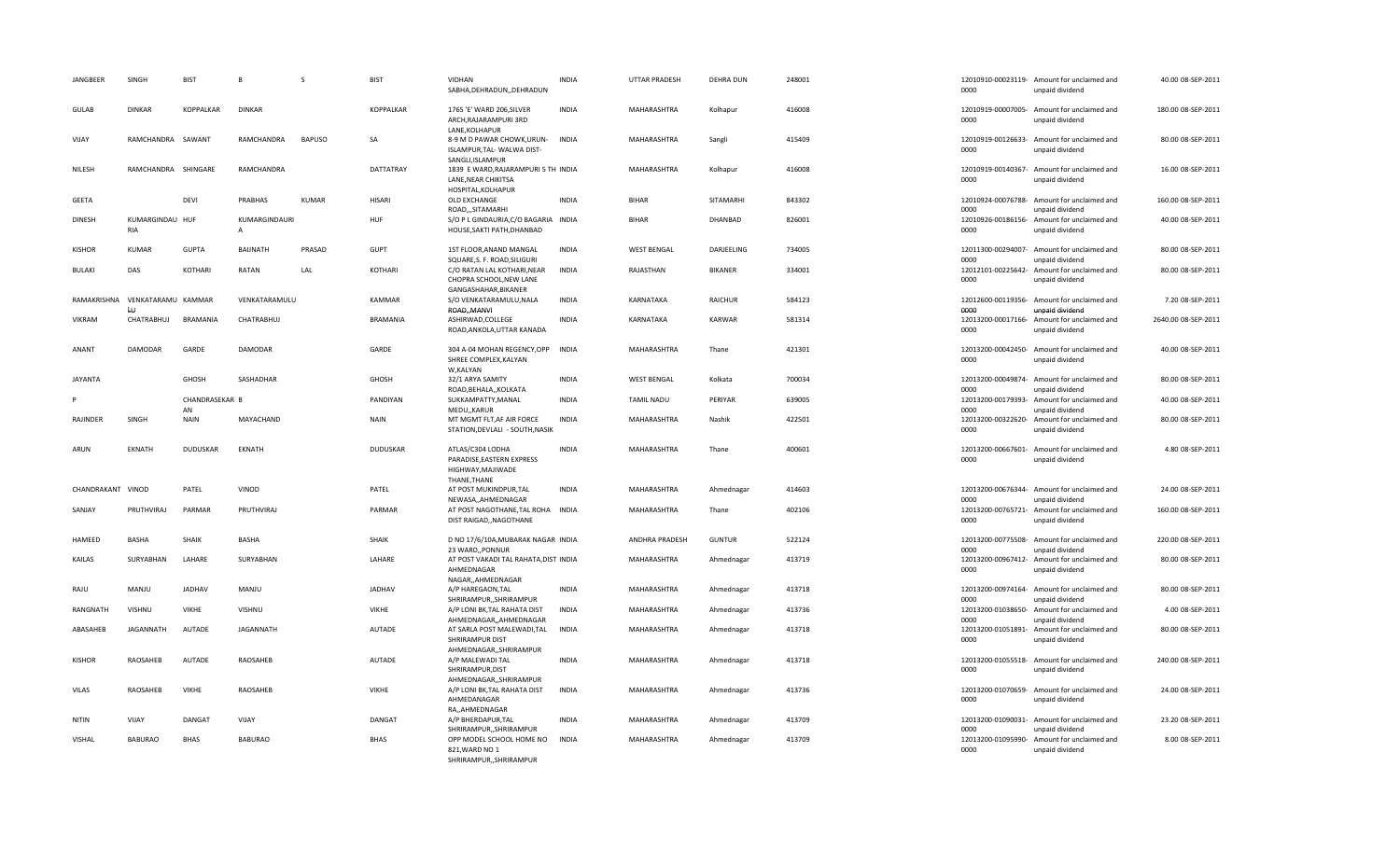| JANGBEER          | SINGH                                | <b>BIST</b>          | $\mathbf{R}$                  | $\mathcal{S}$ | <b>BIST</b>     | <b>VIDHAN</b><br>SABHA, DEHRADUN, , DEHRADUN                                     | <b>INDIA</b> | <b>UTTAR PRADESH</b>  | <b>DEHRA DUN</b> | 248001 | 0000                       | 12010910-00023119- Amount for unclaimed and<br>unpaid dividend | 40.00 08-SEP-2011   |
|-------------------|--------------------------------------|----------------------|-------------------------------|---------------|-----------------|----------------------------------------------------------------------------------|--------------|-----------------------|------------------|--------|----------------------------|----------------------------------------------------------------|---------------------|
| <b>GULAB</b>      | <b>DINKAR</b>                        | <b>KOPPALKAR</b>     | <b>DINKAR</b>                 |               | KOPPALKAR       | 1765 'E' WARD 206, SILVER<br>ARCH, RAJARAMPURI 3RD<br>LANE, KOLHAPUR             | <b>INDIA</b> | <b>MAHARASHTRA</b>    | Kolhapur         | 416008 | 0000                       | 12010919-00007005- Amount for unclaimed and<br>unpaid dividend | 180.00 08-SEP-2011  |
| VIJAY             | RAMCHANDRA SAWANT                    |                      | RAMCHANDRA                    | <b>BAPUSO</b> | <b>SA</b>       | 8-9 M D PAWAR CHOWK, URUN-<br>ISLAMPUR, TAL- WALWA DIST-<br>SANGLI, ISLAMPUR     | <b>INDIA</b> | MAHARASHTRA           | Sangli           | 415409 | 0000                       | 12010919-00126633- Amount for unclaimed and<br>unpaid dividend | 80.00 08-SEP-2011   |
| NILESH            | RAMCHANDRA SHINGARE                  |                      | RAMCHANDRA                    |               | DATTATRAY       | 1839 E WARD, RAJARAMPURI 5 TH INDIA<br>LANE, NEAR CHIKITSA<br>HOSPITAL, KOLHAPUR |              | MAHARASHTRA           | Kolhapur         | 416008 | 0000                       | 12010919-00140367- Amount for unclaimed and<br>unpaid dividend | 16.00 08-SEP-2011   |
| <b>GEETA</b>      |                                      | DEVI                 | <b>PRABHAS</b>                | <b>KUMAR</b>  | <b>HISARI</b>   | OLD EXCHANGE<br>ROAD,,,SITAMARHI                                                 | <b>INDIA</b> | <b>BIHAR</b>          | SITAMARHI        | 843302 | 0000                       | 12010924-00076788- Amount for unclaimed and<br>unpaid dividend | 160.00 08-SEP-2011  |
| <b>DINESH</b>     | KUMARGINDAU HUF<br><b>RIA</b>        |                      | KUMARGINDAURI<br>$\mathsf{A}$ |               | <b>HUF</b>      | S/O P L GINDAURIA, C/O BAGARIA INDIA<br>HOUSE, SAKTI PATH, DHANBAD               |              | <b>BIHAR</b>          | DHANBAD          | 826001 | 0000                       | 12010926-00186156- Amount for unclaimed and<br>unpaid dividend | 40.00 08-SEP-2011   |
| <b>KISHOR</b>     | <b>KUMAR</b>                         | <b>GUPTA</b>         | <b>BAIJNATH</b>               | PRASAD        | GUPT            | 1ST FLOOR, ANAND MANGAL<br>SQUARE, S. F. ROAD, SILIGURI                          | <b>INDIA</b> | <b>WEST BENGAL</b>    | DARJEELING       | 734005 | 12011300-00294007-<br>0000 | Amount for unclaimed and<br>unpaid dividend                    | 80.00 08-SEP-2011   |
| BULAKI            | DAS                                  | KOTHARI              | RATAN                         | LAL           | KOTHARI         | C/O RATAN LAL KOTHARI, NEAR<br>CHOPRA SCHOOL, NEW LANE<br>GANGASHAHAR, BIKANER   | INDIA        | RAJASTHAN             | BIKANER          | 334001 | 12012101-00225642-<br>0000 | Amount for unclaimed and<br>unpaid dividend                    | 80.00 08-SEP-2011   |
|                   | RAMAKRISHNA VENKATARAMU KAMMAR<br>LU |                      | VENKATARAMULU                 |               | <b>KAMMAR</b>   | S/O VENKATARAMULU, NALA<br>ROAD,, MANVI                                          | <b>INDIA</b> | KARNATAKA             | <b>RAICHUR</b>   | 584123 | 0000                       | 12012600-00119356- Amount for unclaimed and<br>unpaid dividend | 7.20 08-SEP-2011    |
| <b>VIKRAM</b>     | CHATRABHUJ                           | <b>BRAMANIA</b>      | CHATRABHUJ                    |               | <b>BRAMANIA</b> | ASHIRWAD, COLLEGE<br>ROAD, ANKOLA, UTTAR KANADA                                  | <b>INDIA</b> | KARNATAKA             | <b>KARWAR</b>    | 581314 | 0000                       | 12013200-00017166- Amount for unclaimed and<br>unpaid dividend | 2640.00 08-SEP-2011 |
| ANANT             | <b>DAMODAR</b>                       | GARDE                | DAMODAR                       |               | GARDE           | 304 A-04 MOHAN REGENCY, OPP<br>SHREE COMPLEX, KALYAN<br>W,KALYAN                 | <b>INDIA</b> | MAHARASHTRA           | Thane            | 421301 | 0000                       | 12013200-00042450- Amount for unclaimed and<br>unpaid dividend | 40.00 08-SEP-2011   |
| <b>JAYANTA</b>    |                                      | <b>GHOSH</b>         | SASHADHAR                     |               | <b>GHOSH</b>    | 32/1 ARYA SAMITY<br>ROAD, BEHALA, , KOLKATA                                      | <b>INDIA</b> | <b>WEST BENGAL</b>    | Kolkata          | 700034 | 0000                       | 12013200-00049874- Amount for unclaimed and<br>unpaid dividend | 80.00 08-SEP-2011   |
|                   |                                      | CHANDRASEKAR B<br>AN |                               |               | PANDIYAN        | SUKKAMPATTY, MANAL<br>MEDU,, KARUR                                               | <b>INDIA</b> | <b>TAMIL NADU</b>     | PERIYAR          | 639005 | 12013200-00179393-<br>0000 | Amount for unclaimed and<br>unpaid dividend                    | 40.00 08-SEP-2011   |
| RAJINDER          | SINGH                                | <b>NAIN</b>          | MAYACHAND                     |               | <b>NAIN</b>     | MT MGMT FLT, AF AIR FORCE<br>STATION, DEVLALI - SOUTH, NASIK                     | <b>INDIA</b> | MAHARASHTRA           | Nashik           | 422501 | 0000                       | 12013200-00322620- Amount for unclaimed and<br>unpaid dividend | 80.00 08-SEP-2011   |
| ARUN              | <b>EKNATH</b>                        | <b>DUDUSKAR</b>      | EKNATH                        |               | <b>DUDUSKAR</b> | ATLAS/C304 LODHA<br>PARADISE, EASTERN EXPRESS<br>HIGHWAY, MAJIWADE               | <b>INDIA</b> | MAHARASHTRA           | Thane            | 400601 | 12013200-00667601-<br>0000 | Amount for unclaimed and<br>unpaid dividend                    | 4.80 08-SEP-2011    |
| CHANDRAKANT VINOD |                                      | PATEL                | VINOD                         |               | PATEL           | THANE, THANE<br>AT POST MUKINDPUR, TAL<br>NEWASA,,AHMEDNAGAR                     | <b>INDIA</b> | MAHARASHTRA           | Ahmednagar       | 414603 | 0000                       | 12013200-00676344- Amount for unclaimed and<br>unpaid dividend | 24.00 08-SEP-2011   |
| SANJAY            | PRUTHVIRAJ                           | PARMAR               | PRUTHVIRAJ                    |               | PARMAR          | AT POST NAGOTHANE, TAL ROHA INDIA<br>DIST RAIGAD,, NAGOTHANE                     |              | MAHARASHTRA           | Thane            | 402106 | 12013200-00765721-<br>0000 | Amount for unclaimed and<br>unpaid dividend                    | 160.00 08-SEP-2011  |
| HAMEED            | <b>BASHA</b>                         | <b>SHAIK</b>         | <b>BASHA</b>                  |               | <b>SHAIK</b>    | D NO 17/6/10A, MUBARAK NAGAR INDIA<br>23 WARD, PONNUR                            |              | <b>ANDHRA PRADESH</b> | <b>GUNTUR</b>    | 522124 | 0000                       | 12013200-00775508- Amount for unclaimed and<br>unpaid dividend | 220.00 08-SEP-2011  |
| KAILAS            | SURYABHAN                            | LAHARE               | SURYABHAN                     |               | LAHARE          | AT POST VAKADI TAL RAHATA, DIST INDIA<br>AHMEDNAGAR<br>NAGAR, AHMEDNAGAR         |              | MAHARASHTRA           | Ahmednagar       | 413719 | 0000                       | 12013200-00967412- Amount for unclaimed and<br>unpaid dividend | 80.00 08-SEP-2011   |
| RAJU              | MANJU                                | JADHAV               | MANJU                         |               | <b>JADHAV</b>   | A/P HAREGAON, TAL<br>SHRIRAMPUR,, SHRIRAMPUR                                     | <b>INDIA</b> | MAHARASHTRA           | Ahmednagar       | 413718 | 0000                       | 12013200-00974164- Amount for unclaimed and<br>unpaid dividend | 80.00 08-SEP-2011   |
| RANGNATH          | VISHNU                               | <b>VIKHE</b>         | VISHNU                        |               | <b>VIKHE</b>    | A/P LONI BK, TAL RAHATA DIST<br>AHMEDNAGAR, AHMEDNAGAR                           | <b>INDIA</b> | MAHARASHTRA           | Ahmednagar       | 413736 | 0000                       | 12013200-01038650- Amount for unclaimed and<br>unpaid dividend | 4.00 08-SEP-2011    |
| ABASAHEB          | JAGANNATH                            | AUTADE               | JAGANNATH                     |               | AUTADE          | AT SARLA POST MALEWADI, TAL<br>SHRIRAMPUR DIST<br>AHMEDNAGAR,, SHRIRAMPUR        | <b>INDIA</b> | MAHARASHTRA           | Ahmednagar       | 413718 | 12013200-01051891-<br>0000 | Amount for unclaimed and<br>unpaid dividend                    | 80.00 08-SEP-2011   |
| <b>KISHOR</b>     | RAOSAHEB                             | <b>AUTADE</b>        | RAOSAHEB                      |               | <b>AUTADE</b>   | A/P MALEWADI TAL<br>SHRIRAMPUR, DIST<br>AHMEDNAGAR,, SHRIRAMPUR                  | <b>INDIA</b> | <b>MAHARASHTRA</b>    | Ahmednagar       | 413718 | 0000                       | 12013200-01055518- Amount for unclaimed and<br>unpaid dividend | 240.00 08-SEP-2011  |
| VILAS             | RAOSAHEB                             | <b>VIKHE</b>         | RAOSAHEB                      |               | <b>VIKHE</b>    | A/P LONI BK, TAL RAHATA DIST<br>AHMEDANAGAR<br>RA,,AHMEDNAGAR                    | <b>INDIA</b> | MAHARASHTRA           | Ahmednagar       | 413736 | 0000                       | 12013200-01070659- Amount for unclaimed and<br>unpaid dividend | 24.00 08-SEP-2011   |
| <b>NITIN</b>      | VIJAY                                | DANGAT               | VIJAY                         |               | DANGAT          | A/P BHERDAPUR, TAL<br>SHRIRAMPUR,, SHRIRAMPUR                                    | <b>INDIA</b> | MAHARASHTRA           | Ahmednagar       | 413709 | 0000                       | 12013200-01090031- Amount for unclaimed and<br>unpaid dividend | 23.20 08-SEP-2011   |
| VISHAL            | <b>BABURAO</b>                       | <b>BHAS</b>          | <b>BABURAO</b>                |               | <b>BHAS</b>     | OPP MODEL SCHOOL HOME NO<br>821, WARD NO 1<br>SHRIRAMPUR,, SHRIRAMPUR            | <b>INDIA</b> | MAHARASHTRA           | Ahmednagar       | 413709 | 12013200-01095990-<br>0000 | Amount for unclaimed and<br>unpaid dividend                    | 8.00 08-SEP-2011    |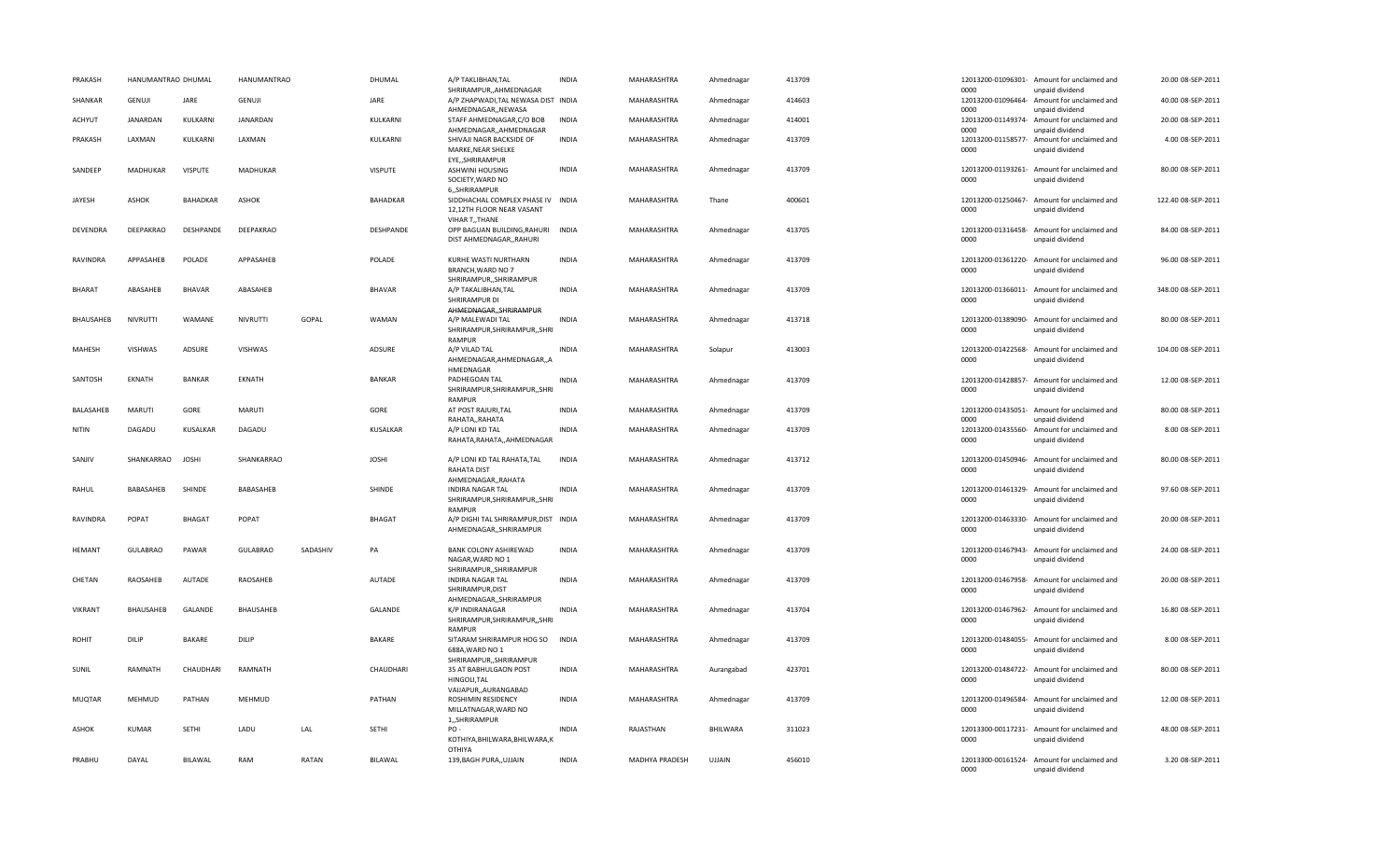| PRAKASH       | HANUMANTRAO DHUMAL |                 | <b>HANUMANTRAO</b> |          | DHUMAL          | A/P TAKLIBHAN, TAL<br>SHRIRAMPUR,,AHMEDNAGAR                                | <b>INDIA</b> | MAHARASHTRA        | Ahmednagar | 413709 | 0000                       | 12013200-01096301- Amount for unclaimed and<br>unpaid dividend | 20.00 08-SEP-2011  |
|---------------|--------------------|-----------------|--------------------|----------|-----------------|-----------------------------------------------------------------------------|--------------|--------------------|------------|--------|----------------------------|----------------------------------------------------------------|--------------------|
| SHANKAR       | GENUJI             | JARE            | <b>GENUJI</b>      |          | JARE            | A/P ZHAPWADI, TAL NEWASA DIST INDIA<br>AHMEDNAGAR,, NEWASA                  |              | MAHARASHTRA        | Ahmednagar | 414603 | 12013200-01096464-<br>0000 | Amount for unclaimed and<br>unpaid dividend                    | 40.00 08-SEP-2011  |
| <b>ACHYUT</b> | JANARDAN           | KULKARNI        | <b>JANARDAN</b>    |          | KULKARNI        | STAFF AHMEDNAGAR, C/O BOB<br>AHMEDNAGAR,,AHMEDNAGAR                         | <b>INDIA</b> | MAHARASHTRA        | Ahmednagar | 414001 | 0000                       | 12013200-01149374- Amount for unclaimed and<br>unpaid dividend | 20.00 08-SEP-2011  |
| PRAKASH       | LAXMAN             | KULKARNI        | LAXMAN             |          | KULKARNI        | SHIVAJI NAGR BACKSIDE OF<br>MARKE, NEAR SHELKE<br>EYE,, SHRIRAMPUR          | INDIA        | MAHARASHTRA        | Ahmednagar | 413709 | 12013200-01158577-<br>0000 | Amount for unclaimed and<br>unpaid dividend                    | 4.00 08-SEP-2011   |
| SANDEEP       | <b>MADHUKAR</b>    | <b>VISPUTE</b>  | <b>MADHUKAR</b>    |          | <b>VISPUTE</b>  | <b>ASHWINI HOUSING</b><br>SOCIETY, WARD NO<br>6,,SHRIRAMPUR                 | <b>INDIA</b> | <b>MAHARASHTRA</b> | Ahmednagar | 413709 | 0000                       | 12013200-01193261- Amount for unclaimed and<br>unpaid dividend | 80.00 08-SEP-2011  |
| JAYESH        | <b>ASHOK</b>       | <b>BAHADKAR</b> | ASHOK              |          | <b>BAHADKAR</b> | SIDDHACHAL COMPLEX PHASE IV<br>12,12TH FLOOR NEAR VASANT<br>VIHAR T., THANE | <b>INDIA</b> | MAHARASHTRA        | Thane      | 400601 | 0000                       | 12013200-01250467- Amount for unclaimed and<br>unpaid dividend | 122.40 08-SEP-2011 |
| DEVENDRA      | DEEPAKRAO          | DESHPANDE       | DEEPAKRAO          |          | DESHPANDE       | OPP BAGUAN BUILDING, RAHURI<br>DIST AHMEDNAGAR, RAHURI                      | <b>INDIA</b> | MAHARASHTRA        | Ahmednagar | 413705 | 12013200-01316458-<br>0000 | Amount for unclaimed and<br>unpaid dividend                    | 84.00 08-SEP-2011  |
| RAVINDRA      | APPASAHEB          | POLADE          | APPASAHEB          |          | POLADE          | KURHE WASTI NURTHARN<br>BRANCH, WARD NO 7<br>SHRIRAMPUR,, SHRIRAMPUR        | <b>INDIA</b> | MAHARASHTRA        | Ahmednagar | 413709 | 0000                       | 12013200-01361220- Amount for unclaimed and<br>unpaid dividend | 96.00 08-SEP-2011  |
| <b>BHARAT</b> | ABASAHEB           | <b>BHAVAR</b>   | ABASAHEB           |          | <b>BHAVAR</b>   | A/P TAKALIBHAN, TAL<br>SHRIRAMPUR DI<br>AHMEDNAGAR, SHRIRAMPUR              | <b>INDIA</b> | MAHARASHTRA        | Ahmednagar | 413709 | 0000                       | 12013200-01366011- Amount for unclaimed and<br>unpaid dividend | 348.00 08-SEP-2011 |
| BHAUSAHEB     | NIVRUTTI           | WAMANE          | NIVRUTTI           | GOPAL    | WAMAN           | A/P MALEWADI TAL<br>SHRIRAMPUR, SHRIRAMPUR,, SHRI<br>RAMPUR                 | <b>INDIA</b> | MAHARASHTRA        | Ahmednagar | 413718 | 0000                       | 12013200-01389090- Amount for unclaimed and<br>unpaid dividend | 80.00 08-SEP-2011  |
| MAHESH        | VISHWAS            | ADSURE          | VISHWAS            |          | ADSURE          | A/P VILAD TAL<br>AHMEDNAGAR, AHMEDNAGAR, , A<br>HMEDNAGAR                   | <b>INDIA</b> | MAHARASHTRA        | Solapur    | 413003 | 0000                       | 12013200-01422568- Amount for unclaimed and<br>unpaid dividend | 104.00 08-SEP-2011 |
| SANTOSH       | EKNATH             | BANKAR          | EKNATH             |          | <b>BANKAR</b>   | PADHEGOAN TAL<br>SHRIRAMPUR, SHRIRAMPUR,, SHRI<br>RAMPUR                    | <b>INDIA</b> | MAHARASHTRA        | Ahmednagar | 413709 | 12013200-01428857-<br>0000 | Amount for unclaimed and<br>unpaid dividend                    | 12.00 08-SEP-2011  |
| BALASAHEB     | MARUTI             | GORE            | MARUTI             |          | GORE            | AT POST RAJURI, TAL<br>RAHATA,, RAHATA                                      | <b>INDIA</b> | MAHARASHTRA        | Ahmednagar | 413709 | 0000                       | 12013200-01435051- Amount for unclaimed and<br>unpaid dividend | 80.00 08-SEP-2011  |
| <b>NITIN</b>  | DAGADU             | <b>KUSALKAR</b> | DAGADU             |          | KUSALKAR        | A/P LONI KD TAL<br>RAHATA, RAHATA, , AHMEDNAGAR                             | <b>INDIA</b> | MAHARASHTRA        | Ahmednagar | 413709 | 12013200-01435560-<br>0000 | Amount for unclaimed and<br>unpaid dividend                    | 8.00 08-SEP-2011   |
| SANJIV        | SHANKARRAO         | <b>JOSHI</b>    | SHANKARRAO         |          | <b>JOSHI</b>    | A/P LONI KD TAL RAHATA, TAL<br><b>RAHATA DIST</b><br>AHMEDNAGAR,, RAHATA    | <b>INDIA</b> | MAHARASHTRA        | Ahmednagar | 413712 | 0000                       | 12013200-01450946- Amount for unclaimed and<br>unpaid dividend | 80.00 08-SEP-2011  |
| RAHUL         | BABASAHEB          | SHINDE          | BABASAHEB          |          | SHINDE          | INDIRA NAGAR TAL<br>SHRIRAMPUR, SHRIRAMPUR, , SHRI<br>RAMPUR                | <b>INDIA</b> | MAHARASHTRA        | Ahmednagar | 413709 | 0000                       | 12013200-01461329- Amount for unclaimed and<br>unpaid dividend | 97.60 08-SEP-2011  |
| RAVINDRA      | POPAT              | <b>BHAGAT</b>   | POPAT              |          | <b>BHAGAT</b>   | A/P DIGHI TAL SHRIRAMPUR, DIST INDIA<br>AHMEDNAGAR,, SHRIRAMPUR             |              | MAHARASHTRA        | Ahmednagar | 413709 | 0000                       | 12013200-01463330- Amount for unclaimed and<br>unpaid dividend | 20.00 08-SEP-2011  |
| HEMANT        | <b>GULABRAO</b>    | PAWAR           | <b>GULABRAO</b>    | SADASHIV | PA              | BANK COLONY ASHIREWAD<br>NAGAR, WARD NO 1<br>SHRIRAMPUR,, SHRIRAMPUR        | <b>INDIA</b> | MAHARASHTRA        | Ahmednagar | 413709 | 0000                       | 12013200-01467943- Amount for unclaimed and<br>unpaid dividend | 24.00 08-SEP-2011  |
| CHETAN        | RAOSAHEB           | <b>AUTADE</b>   | RAOSAHEB           |          | <b>AUTADE</b>   | <b>INDIRA NAGAR TAL</b><br>SHRIRAMPUR.DIST<br>AHMEDNAGAR,, SHRIRAMPUR       | <b>INDIA</b> | MAHARASHTRA        | Ahmednagar | 413709 | 0000                       | 12013200-01467958- Amount for unclaimed and<br>unpaid dividend | 20.00 08-SEP-2011  |
| VIKRANT       | BHAUSAHEB          | GALANDE         | BHAUSAHEB          |          | GALANDE         | K/P INDIRANAGAR<br>SHRIRAMPUR, SHRIRAMPUR, , SHRI<br>RAMPUR                 | <b>INDIA</b> | MAHARASHTRA        | Ahmednagar | 413704 | 0000                       | 12013200-01467962- Amount for unclaimed and<br>unpaid dividend | 16.80 08-SEP-2011  |
| <b>ROHIT</b>  | DILIP              | <b>BAKARE</b>   | DILIP              |          | BAKARE          | SITARAM SHRIRAMPUR HOG SO<br>688A, WARD NO 1<br>SHRIRAMPUR,, SHRIRAMPUR     | <b>INDIA</b> | MAHARASHTRA        | Ahmednagar | 413709 | 0000                       | 12013200-01484055- Amount for unclaimed and<br>unpaid dividend | 8.00 08-SEP-2011   |
| SUNIL         | RAMNATH            | CHAUDHARI       | RAMNATH            |          | CHAUDHARI       | 35 AT BABHULGAON POST<br>HINGOLI, TAL<br>VAIJAPUR,, AURANGABAD              | <b>INDIA</b> | MAHARASHTRA        | Aurangabad | 423701 | 0000                       | 12013200-01484722- Amount for unclaimed and<br>unpaid dividend | 80.00 08-SEP-2011  |
| <b>MUQTAR</b> | MEHMUD             | PATHAN          | MEHMUD             |          | PATHAN          | ROSHIMIN RESIDENCY<br>MILLATNAGAR, WARD NO<br>1,,SHRIRAMPUR                 | <b>INDIA</b> | MAHARASHTRA        | Ahmednagar | 413709 | 0000                       | 12013200-01496584- Amount for unclaimed and<br>unpaid dividend | 12.00 08-SEP-2011  |
| ASHOK         | <b>KUMAR</b>       | <b>SETHI</b>    | LADU               | LAL      | SETHI           | PO-<br>KOTHIYA, BHILWARA, BHILWARA, K<br>OTHIYA                             | <b>INDIA</b> | RAJASTHAN          | BHILWARA   | 311023 | 0000                       | 12013300-00117231- Amount for unclaimed and<br>unpaid dividend | 48.00 08-SEP-2011  |
| PRABHU        | DAYAL              | BILAWAL         | RAM                | RATAN    | BILAWAL         | 139, BAGH PURA,, UJJAIN                                                     | <b>INDIA</b> | MADHYA PRADESH     | UJJAIN     | 456010 | 0000                       | 12013300-00161524- Amount for unclaimed and<br>unnaid dividend | 3.20 08-SEP-2011   |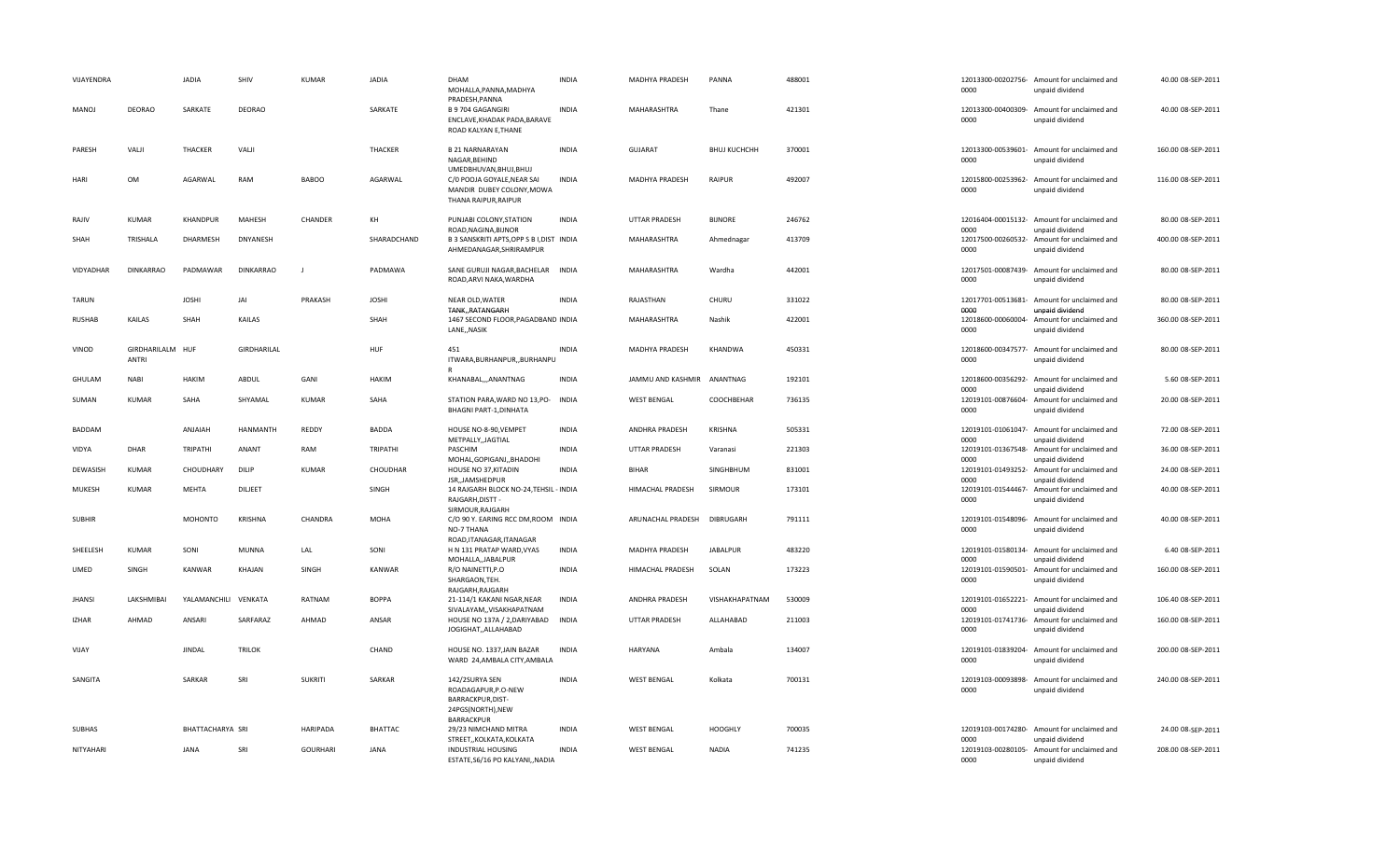| VIJAYENDRA    |                           | <b>JADIA</b>         | SHIV             | KUMAR           | <b>JADIA</b>   | DHAM<br>MOHALLA, PANNA, MADHYA<br>PRADESH, PANNA                                                          | <b>INDIA</b> | MADHYA PRADESH       | PANNA               | 488001 | 0000                               | 12013300-00202756- Amount for unclaimed and<br>unpaid dividend | 40.00 08-SEP-2011  |
|---------------|---------------------------|----------------------|------------------|-----------------|----------------|-----------------------------------------------------------------------------------------------------------|--------------|----------------------|---------------------|--------|------------------------------------|----------------------------------------------------------------|--------------------|
| MANOJ         | <b>DEORAO</b>             | SARKATE              | <b>DEORAO</b>    |                 | SARKATE        | <b>B 9 704 GAGANGIRI</b><br>ENCLAVE, KHADAK PADA, BARAVE<br>ROAD KALYAN E, THANE                          | <b>INDIA</b> | MAHARASHTRA          | Thane               | 421301 | 0000                               | 12013300-00400309- Amount for unclaimed and<br>unpaid dividend | 40.00 08-SEP-2011  |
| PARESH        | VALII                     | THACKER              | VALJI            |                 | THACKER        | <b>B 21 NARNARAYAN</b><br>NAGAR, BEHIND                                                                   | <b>INDIA</b> | <b>GUJARAT</b>       | <b>BHUJ KUCHCHH</b> | 370001 | 0000                               | 12013300-00539601- Amount for unclaimed and<br>unpaid dividend | 160.00 08-SEP-2011 |
| HARI          | OM                        | AGARWAL              | RAM              | <b>BABOO</b>    | AGARWAL        | UMEDBHUVAN, BHUJ, BHUJ<br>C/0 POOJA GOYALE, NEAR SAI<br>MANDIR DUBEY COLONY, MOWA<br>THANA RAIPUR, RAIPUR | <b>INDIA</b> | MADHYA PRADESH       | RAIPUR              | 492007 | 0000                               | 12015800-00253962- Amount for unclaimed and<br>unpaid dividend | 116.00 08-SEP-2011 |
| RAJIV         | <b>KUMAR</b>              | <b>KHANDPUR</b>      | MAHESH           | CHANDER         | KH             | PUNJABI COLONY, STATION<br>ROAD, NAGINA, BIJNOR                                                           | <b>INDIA</b> | <b>UTTAR PRADESH</b> | <b>BIJNORE</b>      | 246762 | 0000                               | 12016404-00015132- Amount for unclaimed and<br>unpaid dividend | 80.00 08-SEP-2011  |
| SHAH          | TRISHALA                  | DHARMESH             | <b>DNYANESH</b>  |                 | SHARADCHAND    | B 3 SANSKRITI APTS, OPP S B I, DIST INDIA<br>AHMEDANAGAR, SHRIRAMPUR                                      |              | MAHARASHTRA          | Ahmednagar          | 413709 | 0000                               | 12017500-00260532- Amount for unclaimed and<br>unpaid dividend | 400.00 08-SEP-2011 |
| VIDYADHAR     | <b>DINKARRAO</b>          | PADMAWAR             | <b>DINKARRAO</b> |                 | PADMAWA        | SANE GURUJI NAGAR, BACHELAR INDIA<br>ROAD, ARVI NAKA, WARDHA                                              |              | MAHARASHTRA          | Wardha              | 442001 | 0000                               | 12017501-00087439- Amount for unclaimed and<br>unpaid dividend | 80.00 08-SEP-2011  |
| TARUN         |                           | <b>JOSHI</b>         | JAI              | PRAKASH         | <b>JOSHI</b>   | NEAR OLD, WATER<br>TANKRATANGARH                                                                          | <b>INDIA</b> | RAJASTHAN            | CHURU               | 331022 | 0000                               | 12017701-00513681- Amount for unclaimed and<br>unpaid dividend | 80.00 08-SEP-2011  |
| RUSHAB        | KAILAS                    | SHAH                 | KAILAS           |                 | SHAH           | 1467 SECOND FLOOR, PAGADBAND INDIA<br>LANE,, NASIK                                                        |              | MAHARASHTRA          | Nashik              | 422001 | 12018600-00060004-<br>0000         | Amount for unclaimed and<br>unpaid dividend                    | 360.00 08-SEP-2011 |
| VINOD         | GIRDHARILALM HUF<br>ANTRI |                      | GIRDHARILAL      |                 | <b>HUF</b>     | 451<br>ITWARA, BURHANPUR, , BURHANPU                                                                      | <b>INDIA</b> | MADHYA PRADESH       | KHANDWA             | 450331 | 0000                               | 12018600-00347577- Amount for unclaimed and<br>unpaid dividend | 80.00 08-SEP-2011  |
| <b>GHULAM</b> | <b>NABI</b>               | HAKIM                | ABDUL            | GANI            | HAKIM          | KHANABAL,,,ANANTNAG                                                                                       | <b>INDIA</b> | JAMMU AND KASHMIR    | ANANTNAG            | 192101 | 0000                               | 12018600-00356292- Amount for unclaimed and<br>unpaid dividend | 5.60 08-SEP-2011   |
| SUMAN         | <b>KUMAR</b>              | SAHA                 | SHYAMAL          | <b>KUMAR</b>    | SAHA           | STATION PARA, WARD NO 13, PO- INDIA<br><b>BHAGNI PART-1, DINHATA</b>                                      |              | <b>WEST BENGAL</b>   | COOCHBEHAR          | 736135 | 0000                               | 12019101-00876604- Amount for unclaimed and<br>unpaid dividend | 20.00 08-SEP-2011  |
|               |                           |                      |                  |                 |                |                                                                                                           |              |                      |                     |        |                                    |                                                                |                    |
| <b>BADDAM</b> |                           | ANJAIAH              | HANMANTH         | REDDY           | <b>BADDA</b>   | HOUSE NO-8-90, VEMPET                                                                                     | <b>INDIA</b> | ANDHRA PRADESH       | KRISHNA             | 505331 | 12019101-01061047-                 | Amount for unclaimed and                                       | 72.00 08-SEP-2011  |
| VIDYA         | DHAR                      | TRIPATHI             | ANANT            | RAM             | TRIPATHI       | METPALLY,, JAGTIAL<br>PASCHIM                                                                             | <b>INDIA</b> | <b>UTTAR PRADESH</b> | Varanasi            | 221303 | 0000<br>12019101-01367548-         | unpaid dividend<br>Amount for unclaimed and                    | 36.00 08-SEP-2011  |
| DEWASISH      | <b>KUMAR</b>              | CHOUDHARY            | <b>DILIP</b>     | <b>KUMAR</b>    | CHOUDHAR       | MOHAL, GOPIGANJ, , BHADOHI<br>HOUSE NO 37, KITADIN                                                        | <b>INDIA</b> | <b>BIHAR</b>         | SINGHBHUM           | 831001 | 0000<br>12019101-01493252-         | unpaid dividend<br>Amount for unclaimed and                    | 24.00 08-SEP-2011  |
| MUKESH        | <b>KUMAR</b>              | MEHTA                | DILJEET          |                 | SINGH          | JSR, JAMSHEDPUR<br>14 RAJGARH BLOCK NO-24, TEHSIL - INDIA<br>RAJGARH, DISTT -                             |              | HIMACHAL PRADESH     | SIRMOUR             | 173101 | 0000<br>12019101-01544467-<br>0000 | unpaid dividend<br>Amount for unclaimed and<br>unpaid dividend | 40.00 08-SEP-2011  |
| <b>SUBHIR</b> |                           | <b>MOHONTO</b>       | KRISHNA          | CHANDRA         | MOHA           | SIRMOUR, RAJGARH<br>C/O 90 Y. EARING RCC DM, ROOM INDIA<br>NO-7 THANA                                     |              | ARUNACHAL PRADESH    | DIBRUGARH           | 791111 | 0000                               | 12019101-01548096- Amount for unclaimed and<br>unpaid dividend | 40.00 08-SEP-2011  |
| SHEELESH      | <b>KUMAR</b>              | SONI                 | <b>MUNNA</b>     | LAL             | SONI           | ROAD, ITANAGAR, ITANAGAR<br>H N 131 PRATAP WARD, VYAS                                                     | <b>INDIA</b> | MADHYA PRADESH       | <b>JABALPUR</b>     | 483220 |                                    | 12019101-01580134- Amount for unclaimed and                    | 6.40 08-SEP-2011   |
| <b>UMED</b>   | SINGH                     | KANWAR               | KHAJAN           | SINGH           | KANWAR         | MOHALLA,, JABALPUR<br>R/O NAINETTI, P.O<br>SHARGAON, TEH.                                                 | <b>INDIA</b> | HIMACHAL PRADESH     | SOLAN               | 173223 | 0000<br>12019101-01590501-<br>0000 | unpaid dividend<br>Amount for unclaimed and<br>unpaid dividend | 160.00 08-SEP-2011 |
| <b>JHANSI</b> | LAKSHMIBAI                | YALAMANCHILI VENKATA |                  | RATNAM          | <b>BOPPA</b>   | RAJGARH, RAJGARH<br>21-114/1 KAKANI NGAR, NEAR                                                            | <b>INDIA</b> | ANDHRA PRADESH       | VISHAKHAPATNAM      | 530009 |                                    | 12019101-01652221- Amount for unclaimed and                    | 106.40 08-SEP-2011 |
| <b>IZHAR</b>  | AHMAD                     | ANSARI               | SARFARAZ         | AHMAD           | ANSAR          | SIVALAYAM,, VISAKHAPATNAM<br>HOUSE NO 137A / 2, DARIYABAD INDIA<br>JOGIGHAT,,ALLAHABAD                    |              | <b>UTTAR PRADESH</b> | ALLAHABAD           | 211003 | 0000<br>12019101-01741736-<br>0000 | unpaid dividend<br>Amount for unclaimed and<br>unpaid dividend | 160.00 08-SEP-2011 |
| VIJAY         |                           | <b>JINDAL</b>        | <b>TRILOK</b>    |                 | CHAND          | HOUSE NO. 1337, JAIN BAZAR<br>WARD 24, AMBALA CITY, AMBALA                                                | <b>INDIA</b> | HARYANA              | Ambala              | 134007 | 0000                               | 12019101-01839204- Amount for unclaimed and<br>unpaid dividend | 200.00 08-SEP-2011 |
| SANGITA       |                           | SARKAR               | SRI              | <b>SUKRITI</b>  | SARKAR         | 142/2SURYA SEN<br>ROADAGAPUR, P.O-NEW<br>BARRACKPUR, DIST-<br>24PGS(NORTH),NEW                            | <b>INDIA</b> | <b>WEST BENGAL</b>   | Kolkata             | 700131 | 12019103-00093898-<br>0000         | Amount for unclaimed and<br>unpaid dividend                    | 240.00 08-SEP-2011 |
| <b>SUBHAS</b> |                           | BHATTACHARYA SRI     |                  | <b>HARIPADA</b> | <b>BHATTAC</b> | <b>BARRACKPUR</b><br>29/23 NIMCHAND MITRA<br>STREET,, KOLKATA, KOLKATA                                    | <b>INDIA</b> | <b>WEST BENGAL</b>   | <b>HOOGHLY</b>      | 700035 | 0000                               | 12019103-00174280- Amount for unclaimed and<br>unpaid dividend | 24.00 08-SEP-2011  |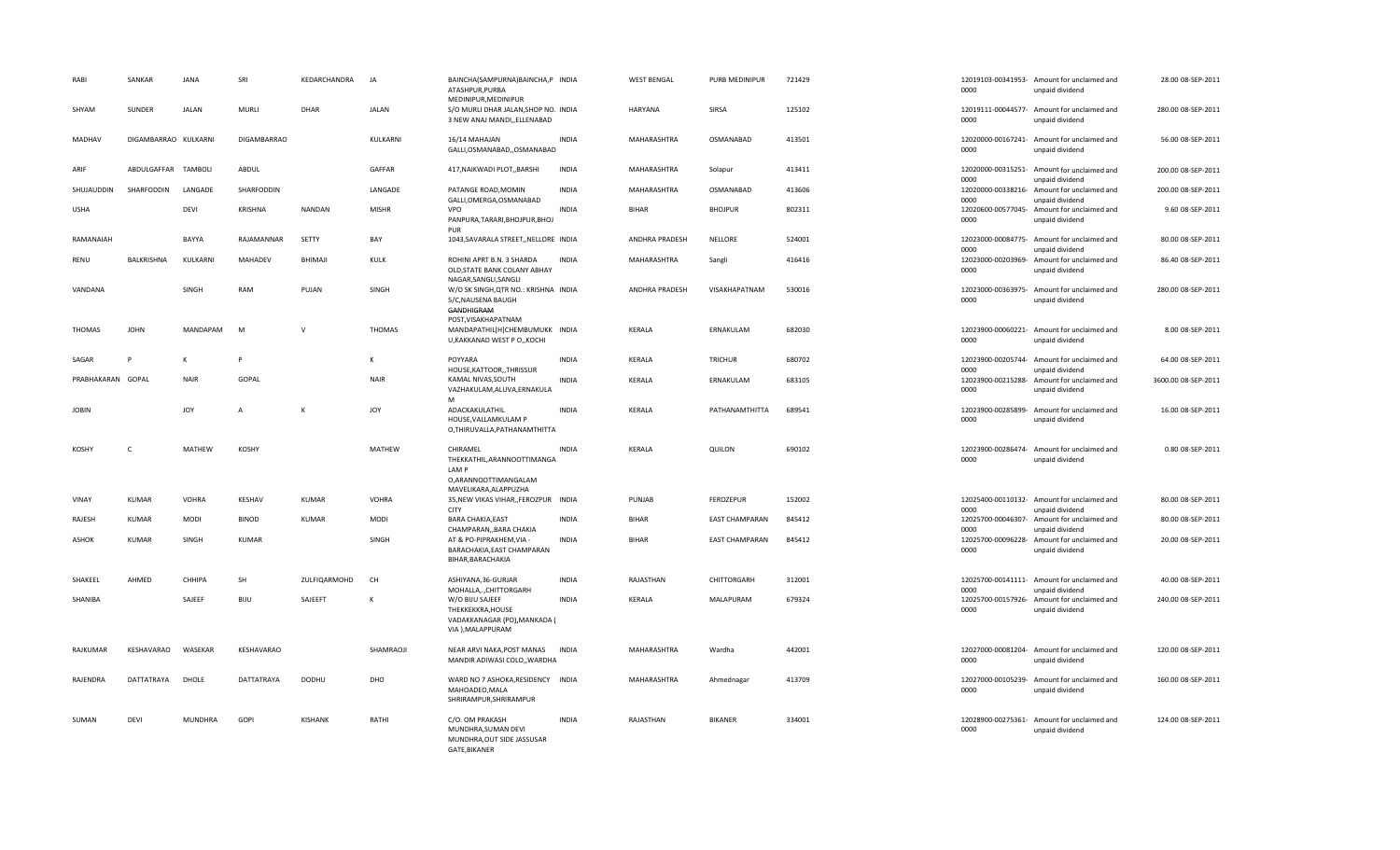| RABI              | SANKAR               | JANA           | SRI                | KEDARCHANDRA   | JA           | BAINCHA(SAMPURNA)BAINCHA,P INDIA<br>ATASHPUR.PURBA<br>MEDINIPUR, MEDINIPUR                |              | <b>WEST BENGAL</b> | PURB MEDINIPUR        | 721429 | 0000                       | 12019103-00341953- Amount for unclaimed and<br>unpaid dividend | 28.00 08-SEP-2011   |
|-------------------|----------------------|----------------|--------------------|----------------|--------------|-------------------------------------------------------------------------------------------|--------------|--------------------|-----------------------|--------|----------------------------|----------------------------------------------------------------|---------------------|
| SHYAM             | SUNDER               | <b>JALAN</b>   | <b>MURLI</b>       | DHAR           | JALAN        | S/O MURLI DHAR JALAN, SHOP NO. INDIA<br>3 NEW ANAJ MANDI,, ELLENABAD                      |              | <b>HARYANA</b>     | SIRSA                 | 125102 | 0000                       | 12019111-00044577- Amount for unclaimed and<br>unpaid dividend | 280.00 08-SEP-2011  |
| MADHAV            | DIGAMBARRAO KULKARNI |                | <b>DIGAMBARRAO</b> |                | KULKARNI     | 16/14 MAHAJAN<br>GALLI, OSMANABAD, , OSMANABAD                                            | <b>INDIA</b> | MAHARASHTRA        | OSMANABAD             | 413501 | 0000                       | 12020000-00167241- Amount for unclaimed and<br>unpaid dividend | 56.00 08-SEP-2011   |
| ARIF              | ABDULGAFFAR TAMBOLI  |                | ABDUL              |                | GAFFAR       | 417, NAIKWADI PLOT, BARSHI                                                                | <b>INDIA</b> | MAHARASHTRA        | Solapur               | 413411 | 0000                       | 12020000-00315251- Amount for unclaimed and<br>unpaid dividend | 200.00 08-SEP-2011  |
| SHUJAUDDIN        | SHARFODDIN           | LANGADE        | SHARFODDIN         |                | LANGADE      | PATANGE ROAD, MOMIN<br>GALLI, OMERGA, OSMANABAD                                           | <b>INDIA</b> | MAHARASHTRA        | OSMANABAD             | 413606 | 12020000-00338216-<br>0000 | Amount for unclaimed and<br>unpaid dividend                    | 200.00 08-SEP-2011  |
| <b>USHA</b>       |                      | <b>DEVI</b>    | <b>KRISHNA</b>     | <b>NANDAN</b>  | <b>MISHR</b> | VPO<br>PANPURA, TARARI, BHOJPUR, BHOJ<br>PUR                                              | <b>INDIA</b> | <b>BIHAR</b>       | <b>BHOJPUR</b>        | 802311 | 0000                       | 12020600-00577045- Amount for unclaimed and<br>unpaid dividend | 9.60 08-SEP-2011    |
| RAMANAIAH         |                      | BAYYA          | RAJAMANNAR         | SETTY          | BAY          | 1043, SAVARALA STREET, NELLORE INDIA                                                      |              | ANDHRA PRADESH     | NELLORE               | 524001 | 0000                       | 12023000-00084775- Amount for unclaimed and<br>unpaid dividend | 80.00 08-SEP-2011   |
| RENU              | BALKRISHNA           | KULKARNI       | MAHADEV            | BHIMAJI        | KULK         | ROHINI APRT B.N. 3 SHARDA<br>OLD, STATE BANK COLANY ABHAY<br>NAGAR, SANGLI, SANGLI        | <b>INDIA</b> | MAHARASHTRA        | Sangli                | 416416 | 0000                       | 12023000-00203969- Amount for unclaimed and<br>unpaid dividend | 86.40 08-SEP-2011   |
| VANDANA           |                      | SINGH          | RAM                | PUJAN          | SINGH        | W/O SK SINGH, QTR NO.: KRISHNA INDIA<br>5/C, NAUSENA BAUGH<br>GANDHIGRAM                  |              | ANDHRA PRADESH     | VISAKHAPATNAM         | 530016 | 0000                       | 12023000-00363975- Amount for unclaimed and<br>unpaid dividend | 280.00 08-SEP-2011  |
| <b>THOMAS</b>     | <b>JOHN</b>          | MANDAPAM       | M                  | $\mathsf{v}$   | THOMAS       | POST, VISAKHAPATNAM<br>MANDAPATHIL[H]CHEMBUMUKK INDIA<br>U, KAKKANAD WEST P O, , KOCHI    |              | KERALA             | ERNAKULAM             | 682030 | 0000                       | 12023900-00060221- Amount for unclaimed and<br>unpaid dividend | 8.00 08-SEP-2011    |
| SAGAR             | P                    | к              |                    |                | к            | POYYARA<br>HOUSE, KATTOOR, , THRISSUR                                                     | <b>INDIA</b> | KERALA             | TRICHUR               | 680702 | 0000                       | 12023900-00205744- Amount for unclaimed and<br>unpaid dividend | 64.00 08-SEP-2011   |
| PRABHAKARAN GOPAL |                      | <b>NAIR</b>    | GOPAL              |                | <b>NAIR</b>  | KAMAL NIVAS, SOUTH<br>VAZHAKULAM, ALUVA, ERNAKULA<br>M                                    | <b>INDIA</b> | KERALA             | ERNAKULAM             | 683105 | 12023900-00215288-<br>0000 | Amount for unclaimed and<br>unpaid dividend                    | 3600.00 08-SEP-2011 |
| <b>JOBIN</b>      |                      | <b>JOY</b>     | A                  | к              | JOY          | ADACKAKULATHIL<br>HOUSE, VALLAMKULAM P<br>O,THIRUVALLA,PATHANAMTHITTA                     | <b>INDIA</b> | KERALA             | PATHANAMTHITTA        | 689541 | 12023900-00285899-<br>0000 | Amount for unclaimed and<br>unpaid dividend                    | 16.00 08-SEP-2011   |
| <b>KOSHY</b>      | C                    | MATHEW         | KOSHY              |                | MATHEW       | CHIRAMEL<br>THEKKATHIL, ARANNOOTTIMANGA<br>LAM P<br>O,ARANNOOTTIMANGALAM                  | <b>INDIA</b> | KERALA             | QUILON                | 690102 | 0000                       | 12023900-00286474- Amount for unclaimed and<br>unpaid dividend | 0.80 08-SEP-2011    |
|                   |                      | <b>VOHRA</b>   | KESHAV             | <b>KUMAR</b>   | <b>VOHRA</b> | MAVELIKARA, ALAPPUZHA<br>35, NEW VIKAS VIHAR, , FEROZPUR INDIA                            |              | PUNJAB             | FEROZEPUR             | 152002 |                            | 12025400-00110132- Amount for unclaimed and                    | 80.00 08-SEP-2011   |
| VINAY             | <b>KUMAR</b>         |                |                    | <b>KUMAR</b>   |              | <b>CITY</b>                                                                               |              | <b>BIHAR</b>       |                       | 845412 | 0000                       | unpaid dividend                                                |                     |
| RAJESH            | <b>KUMAR</b>         | <b>MODI</b>    | <b>BINOD</b>       |                | <b>MODI</b>  | <b>BARA CHAKIA, EAST</b><br>CHAMPARAN, BARA CHAKIA                                        | <b>INDIA</b> |                    | <b>EAST CHAMPARAN</b> |        | 12025700-00046307<br>0000  | Amount for unclaimed and<br>unpaid dividend                    | 80.00 08-SEP-2011   |
| ASHOK             | <b>KUMAR</b>         | SINGH          | KUMAR              |                | SINGH        | AT & PO-PIPRAKHEM, VIA -<br>BARACHAKIA, EAST CHAMPARAN<br>BIHAR, BARACHAKIA               | <b>INDIA</b> | <b>BIHAR</b>       | <b>EAST CHAMPARAN</b> | 845412 | 12025700-00096228-<br>0000 | Amount for unclaimed and<br>unpaid dividend                    | 20.00 08-SEP-2011   |
| SHAKEEL           | AHMED                | CHHIPA         | SH                 | ZULFIQARMOHD   | CH           | ASHIYANA, 36-GURJAR<br>MOHALLA,.,CHITTORGARH                                              | <b>INDIA</b> | RAJASTHAN          | CHITTORGARH           | 312001 | 0000                       | 12025700-00141111- Amount for unclaimed and<br>unpaid dividend | 40.00 08-SEP-2011   |
| SHANIBA           |                      | SAJEEF         | BIJU               | SAJEEFT        | $\mathbf k$  | W/O BIJU SAJEEF<br>THEKKEKKRA, HOUSE<br>VADAKKANAGAR (PO), MANKADA (<br>VIA ), MALAPPURAM | <b>INDIA</b> | KERALA             | MALAPURAM             | 679324 | 0000                       | 12025700-00157926- Amount for unclaimed and<br>unpaid dividend | 240.00 08-SEP-2011  |
| RAJKUMAR          | KESHAVARAO           | WASEKAR        | KESHAVARAO         |                | SHAMRAOJI    | NEAR ARVI NAKA, POST MANAS<br>MANDIR ADIWASI COLO,, WARDHA                                | <b>INDIA</b> | MAHARASHTRA        | Wardha                | 442001 | 0000                       | 12027000-00081204- Amount for unclaimed and<br>unpaid dividend | 120.00 08-SEP-2011  |
| RAJENDRA          | DATTATRAYA           | DHOLE          | DATTATRAYA         | <b>DODHU</b>   | DHO          | WARD NO 7 ASHOKA, RESIDENCY INDIA<br>MAHOADEO, MALA<br>SHRIRAMPUR, SHRIRAMPUR             |              | MAHARASHTRA        | Ahmednagar            | 413709 | 0000                       | 12027000-00105239- Amount for unclaimed and<br>unpaid dividend | 160.00 08-SEP-2011  |
| SUMAN             | DEVI                 | <b>MUNDHRA</b> | GOPI               | <b>KISHANK</b> | RATHI        | C/O. OM PRAKASH<br>MUNDHRA, SUMAN DEVI<br>MUNDHRA, OUT SIDE JASSUSAR<br>GATE, BIKANER     | <b>INDIA</b> | RAJASTHAN          | BIKANER               | 334001 | 0000                       | 12028900-00275361- Amount for unclaimed and<br>unpaid dividend | 124.00 08-SEP-2011  |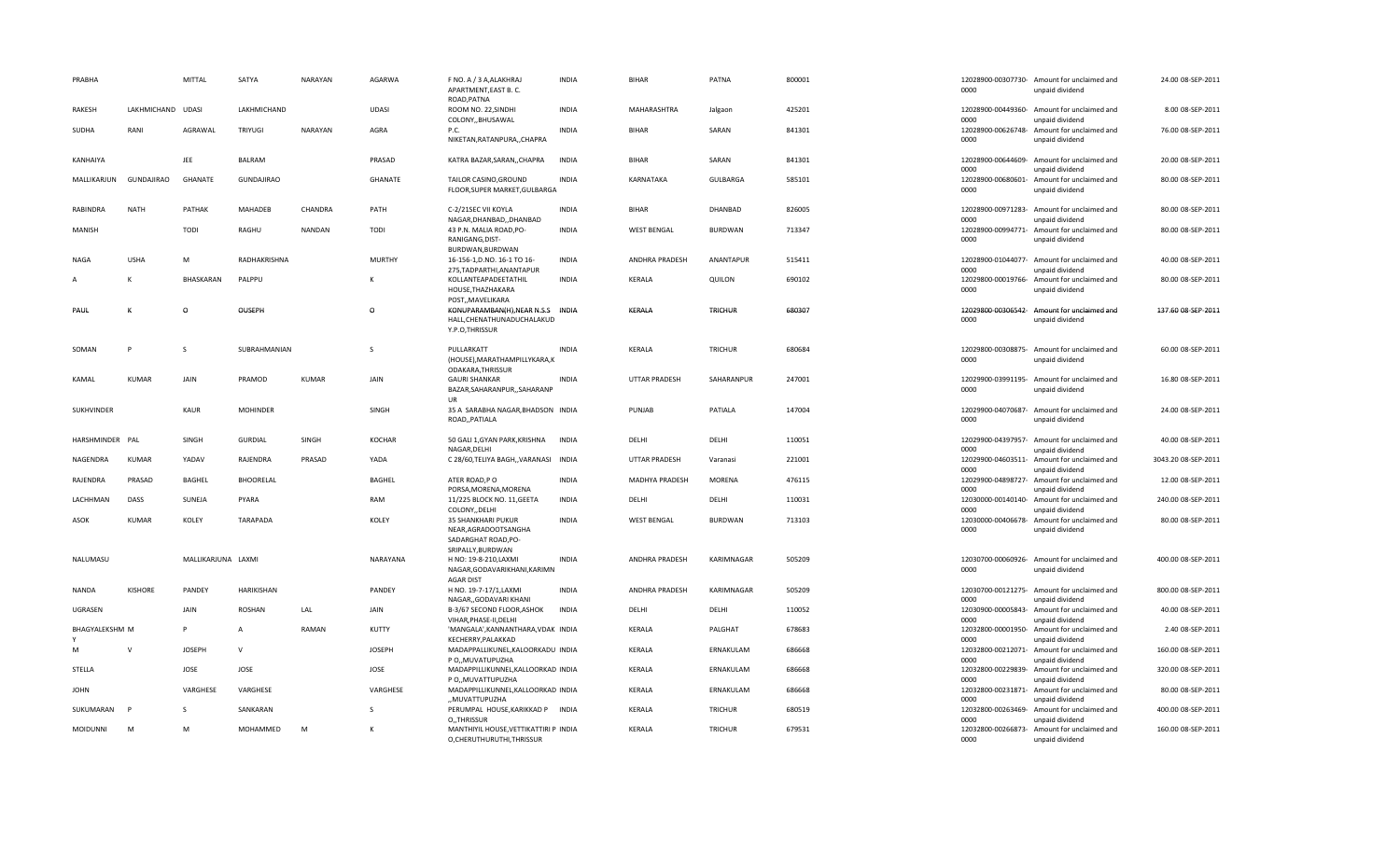| PRABHA          |                   | MITTAL             | SATYA             | <b>NARAYAN</b> | <b>AGARWA</b> | F NO. A / 3 A, ALAKHRAJ<br>APARTMENT, EAST B. C.<br>ROAD, PATNA                        | <b>INDIA</b> | <b>BIHAR</b>         | PATNA          | 800001 | 0000                       | 12028900-00307730- Amount for unclaimed and<br>unpaid dividend | 24.00 08-SEP-2011   |
|-----------------|-------------------|--------------------|-------------------|----------------|---------------|----------------------------------------------------------------------------------------|--------------|----------------------|----------------|--------|----------------------------|----------------------------------------------------------------|---------------------|
| RAKESH          | LAKHMICHAND UDASI |                    | LAKHMICHAND       |                | <b>UDASI</b>  | ROOM NO. 22, SINDHI<br>COLONY,, BHUSAWAL                                               | <b>INDIA</b> | MAHARASHTRA          | Jalgaon        | 425201 | 0000                       | 12028900-00449360- Amount for unclaimed and<br>unpaid dividend | 8.00 08-SEP-2011    |
| SUDHA           | RANI              | AGRAWAL            | TRIYUGI           | NARAYAN        | AGRA          | P.C.<br>NIKETAN, RATANPURA, , CHAPRA                                                   | <b>INDIA</b> | <b>BIHAR</b>         | SARAN          | 841301 | 0000                       | 12028900-00626748- Amount for unclaimed and<br>unpaid dividend | 76.00 08-SEP-2011   |
| KANHAIYA        |                   | JEE                | <b>BALRAM</b>     |                | PRASAD        | KATRA BAZAR, SARAN, , CHAPRA                                                           | <b>INDIA</b> | <b>BIHAR</b>         | SARAN          | 841301 | 0000                       | 12028900-00644609- Amount for unclaimed and<br>unpaid dividend | 20.00 08-SEP-2011   |
| MALLIKARJUN     | GUNDAJIRAO        | GHANATE            | <b>GUNDAJIRAO</b> |                | GHANATE       | TAILOR CASINO, GROUND<br>FLOOR, SUPER MARKET, GULBARGA                                 | <b>INDIA</b> | KARNATAKA            | GULBARGA       | 585101 | 12028900-00680601-<br>0000 | Amount for unclaimed and<br>unpaid dividend                    | 80.00 08-SEP-2011   |
| RABINDRA        | <b>NATH</b>       | PATHAK             | MAHADEB           | CHANDRA        | PATH          | C-2/21SEC VII KOYLA<br>NAGAR, DHANBAD, , DHANBAD                                       | <b>INDIA</b> | <b>BIHAR</b>         | DHANBAD        | 826005 | 0000                       | 12028900-00971283- Amount for unclaimed and<br>unpaid dividend | 80.00 08-SEP-2011   |
| MANISH          |                   | TODI               | RAGHU             | <b>NANDAN</b>  | TODI          | 43 P.N. MALIA ROAD, PO-<br>RANIGANG, DIST-<br>BURDWAN, BURDWAN                         | <b>INDIA</b> | <b>WEST BENGAL</b>   | <b>BURDWAN</b> | 713347 | 0000                       | 12028900-00994771- Amount for unclaimed and<br>unpaid dividend | 80.00 08-SEP-2011   |
| NAGA            | <b>USHA</b>       | M                  | RADHAKRISHNA      |                | <b>MURTHY</b> | 16-156-1, D.NO. 16-1 TO 16-<br>275, TADPARTHI, ANANTAPUR                               | <b>INDIA</b> | ANDHRA PRADESH       | ANANTAPUR      | 515411 | 0000                       | 12028900-01044077- Amount for unclaimed and<br>unpaid dividend | 40.00 08-SEP-2011   |
| A               | K                 | BHASKARAN          | PALPPU            |                | K             | KOLLANTEAPADEETATHIL<br>HOUSE, THAZHAKARA<br>POST,, MAVELIKARA                         | <b>INDIA</b> | KERALA               | QUILON         | 690102 | 0000                       | 12029800-00019766- Amount for unclaimed and<br>unpaid dividend | 80.00 08-SEP-2011   |
| PAUL            | K                 | $\circ$            | OUSEPH            |                | $\circ$       | KONUPARAMBAN(H), NEAR N.S.S<br>HALL, CHENATHUNADUCHALAKUD<br>Y.P.O,THRISSUR            | INDIA        | KERALA               | TRICHUR        | 680307 | 0000                       | 12029800-00306542- Amount for unclaimed and<br>unpaid dividend | 137.60 08-SEP-2011  |
| SOMAN           | P                 | <sub>S</sub>       | SUBRAHMANIAN      |                | <sub>S</sub>  | PULLARKATT<br>(HOUSE), MARATHAMPILLYKARA, K<br>ODAKARA, THRISSUR                       | <b>INDIA</b> | <b>KERALA</b>        | <b>TRICHUR</b> | 680684 | 0000                       | 12029800-00308875- Amount for unclaimed and<br>unpaid dividend | 60.00 08-SEP-2011   |
| KAMAL           | <b>KUMAR</b>      | JAIN               | PRAMOD            | KUMAR          | JAIN          | <b>GAURI SHANKAR</b><br>BAZAR, SAHARANPUR, , SAHARANP<br><b>UR</b>                     | <b>INDIA</b> | <b>UTTAR PRADESH</b> | SAHARANPUR     | 247001 | 0000                       | 12029900-03991195- Amount for unclaimed and<br>unpaid dividend | 16.80 08-SEP-2011   |
| SUKHVINDER      |                   | KAUR               | <b>MOHINDER</b>   |                | SINGH         | 35 A SARABHA NAGAR, BHADSON INDIA<br>ROAD, PATIALA                                     |              | PUNJAB               | PATIALA        | 147004 | 0000                       | 12029900-04070687- Amount for unclaimed and<br>unpaid dividend | 24.00 08-SEP-2011   |
| HARSHMINDER PAL |                   | SINGH              | <b>GURDIAL</b>    | SINGH          | <b>KOCHAR</b> | 50 GALI 1, GYAN PARK, KRISHNA<br>NAGAR, DELHI                                          | <b>INDIA</b> | DELHI                | DELHI          | 110051 | 0000                       | 12029900-04397957- Amount for unclaimed and<br>unpaid dividend | 40.00 08-SEP-2011   |
| NAGENDRA        | <b>KUMAR</b>      | YADAV              | RAJENDRA          | PRASAD         | YADA          | C 28/60, TELIYA BAGH,, VARANASI INDIA                                                  |              | UTTAR PRADESH        | Varanasi       | 221001 | 0000                       | 12029900-04603511- Amount for unclaimed and<br>unpaid dividend | 3043.20 08-SEP-2011 |
| RAJENDRA        | PRASAD            | BAGHEL             | BHOORELAL         |                | <b>BAGHEL</b> | ATER ROAD, PO<br>PORSA, MORENA, MORENA                                                 | <b>INDIA</b> | MADHYA PRADESH       | <b>MORENA</b>  | 476115 | 0000                       | 12029900-04898727- Amount for unclaimed and<br>unpaid dividend | 12.00 08-SEP-2011   |
| LACHHMAN        | DASS              | SUNEJA             | PYARA             |                | RAM           | 11/225 BLOCK NO. 11, GEETA<br>COLONY,, DELHI                                           | <b>INDIA</b> | DELHI                | DELHI          | 110031 | 0000                       | 12030000-00140140- Amount for unclaimed and<br>unpaid dividend | 240.00 08-SEP-2011  |
| <b>ASOK</b>     | <b>KUMAR</b>      | <b>KOLEY</b>       | <b>TARAPADA</b>   |                | KOLEY         | 35 SHANKHARI PUKUR<br>NEAR, AGRADOOTSANGHA<br>SADARGHAT ROAD, PO-<br>SRIPALLY, BURDWAN | <b>INDIA</b> | <b>WEST BENGAL</b>   | <b>BURDWAN</b> | 713103 | 0000                       | 12030000-00406678- Amount for unclaimed and<br>unpaid dividend | 80.00 08-SEP-2011   |
| NALUMASU        |                   | MALLIKARJUNA LAXMI |                   |                | NARAYANA      | H NO: 19-8-210, LAXMI<br>NAGAR, GODAVARIKHANI, KARIMN<br><b>AGAR DIST</b>              | <b>INDIA</b> | ANDHRA PRADESH       | KARIMNAGAR     | 505209 | 0000                       | 12030700-00060926- Amount for unclaimed and<br>unpaid dividend | 400.00 08-SEP-2011  |
| <b>NANDA</b>    | <b>KISHORE</b>    | PANDEY             | HARIKISHAN        |                | PANDEY        | H NO. 19-7-17/1, LAXMI<br>NAGAR,, GODAVARI KHANI                                       | <b>INDIA</b> | ANDHRA PRADESH       | KARIMNAGAR     | 505209 | 0000                       | 12030700-00121275- Amount for unclaimed and<br>unpaid dividend | 800.00 08-SEP-2011  |
| UGRASEN         |                   | JAIN               | <b>ROSHAN</b>     | LAL            | JAIN          | B-3/67 SECOND FLOOR, ASHOK<br>VIHAR, PHASE-II, DELHI                                   | <b>INDIA</b> | DELHI                | DELHI          | 110052 | 0000                       | 12030900-00005843- Amount for unclaimed and<br>unpaid dividend | 40.00 08-SEP-2011   |
| BHAGYALEKSHM M  |                   | P                  | $\overline{A}$    | RAMAN          | KUTTY         | 'MANGALA', KANNANTHARA, VDAK INDIA<br>KECHERRY, PALAKKAD                               |              | KERALA               | PALGHAT        | 678683 | 0000                       | 12032800-00001950- Amount for unclaimed and<br>unpaid dividend | 2.40 08-SEP-2011    |
| M               | $\mathsf{v}$      | <b>JOSEPH</b>      | $\mathsf{V}$      |                | <b>JOSEPH</b> | MADAPPALLIKUNEL, KALOORKADU INDIA<br>P O,, MUVATUPUZHA                                 |              | KERALA               | ERNAKULAM      | 686668 | 0000                       | 12032800-00212071- Amount for unclaimed and<br>unpaid dividend | 160.00 08-SEP-2011  |
| STELLA          |                   | JOSE               | JOSE              |                | JOSE          | MADAPPILLIKUNNEL, KALLOORKAD INDIA<br>P O,, MUVATTUPUZHA                               |              | KERALA               | ERNAKULAM      | 686668 | 0000                       | 12032800-00229839- Amount for unclaimed and<br>unpaid dividend | 320.00 08-SEP-2011  |
| <b>JOHN</b>     |                   | VARGHESE           | VARGHESE          |                | VARGHESE      | MADAPPILLIKUNNEL, KALLOORKAD INDIA<br>"MUVATTUPUZHA                                    |              | KERALA               | ERNAKULAM      | 686668 | 12032800-00231871-<br>0000 | Amount for unclaimed and<br>unpaid dividend                    | 80.00 08-SEP-2011   |
| SUKUMARAN       |                   | S                  | SANKARAN          |                | <sub>S</sub>  | PERUMPAL HOUSE, KARIKKAD P INDIA<br>O., THRISSUR                                       |              | KERALA               | <b>TRICHUR</b> | 680519 | 12032800-00263469-<br>0000 | Amount for unclaimed and<br>unpaid dividend                    | 400.00 08-SEP-2011  |
| MOIDUNNI        | M                 | M                  | MOHAMMED          | M              | K             | MANTHIYIL HOUSE, VETTIKATTIRI P INDIA<br>O,CHERUTHURUTHI,THRISSUR                      |              | KERALA               | <b>TRICHUR</b> | 679531 | 0000                       | 12032800-00266873- Amount for unclaimed and<br>unpaid dividend | 160.00 08-SEP-2011  |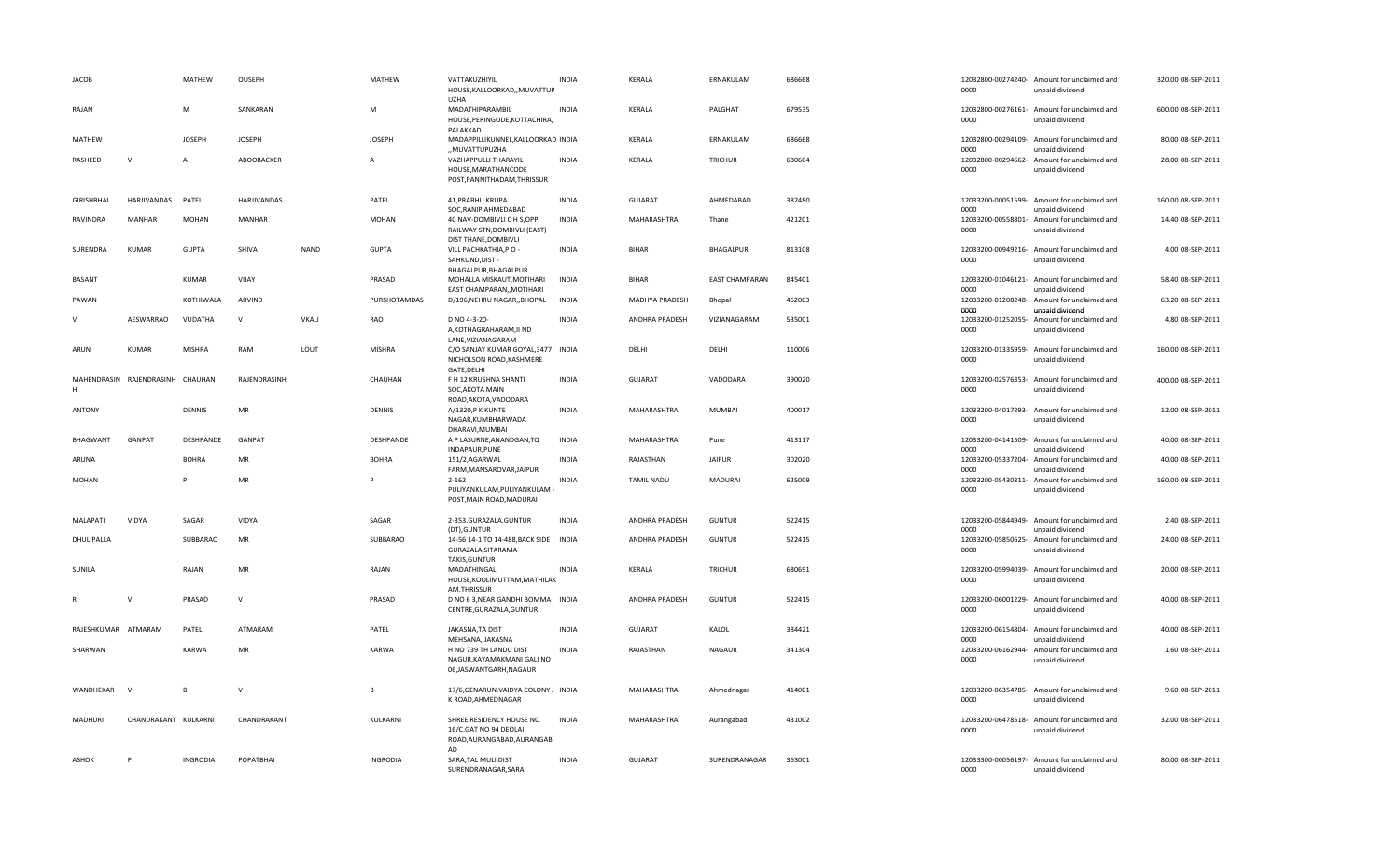| <b>JACOB</b>                     | MATHEW               | OUSEPH        |             | MATHEW          | VATTAKUZHIYIL<br>HOUSE, KALLOORKAD,, MUVATTUP<br><b>UZHA</b>                                               | <b>INDIA</b> | KERALA             | ERNAKULAM             | 686668 | 0000                               | 12032800-00274240- Amount for unclaimed and<br>unpaid dividend | 320.00 08-SEP-2011 |
|----------------------------------|----------------------|---------------|-------------|-----------------|------------------------------------------------------------------------------------------------------------|--------------|--------------------|-----------------------|--------|------------------------------------|----------------------------------------------------------------|--------------------|
| RAJAN                            | M                    | SANKARAN      |             | M               | MADATHIPARAMBIL<br>HOUSE, PERINGODE, KOTTACHIRA,<br>PALAKKAD                                               | <b>INDIA</b> | KERALA             | PALGHAT               | 679535 | 0000                               | 12032800-00276161- Amount for unclaimed and<br>unpaid dividend | 600.00 08-SEP-2011 |
| MATHEW                           | <b>JOSEPH</b>        | <b>JOSEPH</b> |             | <b>JOSEPH</b>   | MADAPPILLIKUNNEL, KALLOORKAD INDIA<br>MUVATTUPUZHA                                                         |              | KERALA             | ERNAKULAM             | 686668 | 12032800-00294109-<br>0000         | Amount for unclaimed and                                       | 80.00 08-SEP-2011  |
| $\mathsf{v}$<br>RASHEED          | $\overline{A}$       | ABOOBACKER    |             | $\overline{A}$  | VAZHAPPULLI THARAYIL<br>HOUSE, MARATHAN CODE<br>POST, PANNITHADAM, THRISSUR                                | <b>INDIA</b> | KERALA             | <b>TRICHUR</b>        | 680604 | 12032800-00294662-<br>0000         | unpaid dividend<br>Amount for unclaimed and<br>unpaid dividend | 28.00 08-SEP-2011  |
| <b>GIRISHBHAI</b><br>HARJIVANDAS | PATEL                | HARJIVANDAS   |             | PATEL           | 41, PRABHU KRUPA                                                                                           | <b>INDIA</b> | GUJARAT            | AHMEDABAD             | 382480 |                                    | 12033200-00051599- Amount for unclaimed and                    | 160.00 08-SEP-2011 |
| <b>RAVINDRA</b><br><b>MANHAR</b> | <b>MOHAN</b>         | <b>MANHAR</b> |             | <b>MOHAN</b>    | SOC, RANIP, AHMEDABAD<br>40 NAV-DOMBIVLI C H S,OPP<br>RAILWAY STN, DOMBIVLI (EAST)<br>DIST THANE, DOMBIVLI | <b>INDIA</b> | <b>MAHARASHTRA</b> | Thane                 | 421201 | 0000<br>12033200-00558801-<br>0000 | unpaid dividend<br>Amount for unclaimed and<br>unpaid dividend | 14.40 08-SEP-2011  |
| SURENDRA<br>KUMAR                | <b>GUPTA</b>         | SHIVA         | <b>NAND</b> | <b>GUPTA</b>    | VILL PACHKATHIA, PO -<br>SAHKUND, DIST-<br>BHAGALPUR, BHAGALPUR                                            | <b>INDIA</b> | <b>BIHAR</b>       | <b>BHAGALPUR</b>      | 813108 | 12033200-00949216-<br>0000         | Amount for unclaimed and<br>unpaid dividend                    | 4.00 08-SEP-2011   |
| BASANT                           | KUMAR                | VIJAY         |             | PRASAD          | MOHALLA MISKAUT, MOTIHARI<br>EAST CHAMPARAN,, MOTIHARI                                                     | <b>INDIA</b> | <b>BIHAR</b>       | <b>EAST CHAMPARAN</b> | 845401 | 0000                               | 12033200-01046121- Amount for unclaimed and<br>unpaid dividend | 58.40 08-SEP-2011  |
| PAWAN                            | KOTHIWALA            | ARVIND        |             | PURSHOTAMDAS    | D/196, NEHRU NAGAR,, BHOPAL                                                                                | <b>INDIA</b> | MADHYA PRADESH     | Bhopal                | 462003 | 0000                               | 12033200-01208248- Amount for unclaimed and<br>unpaid dividend | 63.20 08-SEP-2011  |
| V<br>AESWARRAO                   | VUDATHA              | $\mathsf{v}$  | VKALI       | RAO             | D NO 4-3-20-<br>A, KOTHAGRAHARAM, II ND<br>LANE.VIZIANAGARAM                                               | <b>INDIA</b> | ANDHRA PRADESH     | VIZIANAGARAM          | 535001 | 12033200-01252055-<br>0000         | Amount for unclaimed and<br>unpaid dividend                    | 4.80 08-SEP-2011   |
| KUMAR<br>ARUN                    | <b>MISHRA</b>        | RAM           | LOUT        | <b>MISHRA</b>   | C/O SANJAY KUMAR GOYAL, 3477 INDIA<br>NICHOLSON ROAD, KASHMERE<br>GATE, DELHI                              |              | DELHI              | DELHI                 | 110006 | 0000                               | 12033200-01335959- Amount for unclaimed and<br>unpaid dividend | 160.00 08-SEP-2011 |
| MAHENDRASIN RAJENDRASINH<br>H    | CHAUHAN              | RAJENDRASINH  |             | CHAUHAN         | F H 12 KRUSHNA SHANTI<br>SOC, AKOTA MAIN<br>ROAD, AKOTA, VADODARA                                          | <b>INDIA</b> | <b>GUJARAT</b>     | VADODARA              | 390020 | 12033200-02576353-<br>0000         | Amount for unclaimed and<br>unpaid dividend                    | 400.00 08-SEP-2011 |
| <b>ANTONY</b>                    | DENNIS               | MR            |             | DENNIS          | A/1320,P K KUNTE<br>NAGAR, KUMBHARWADA<br>DHARAVI, MUMBAI                                                  | <b>INDIA</b> | MAHARASHTRA        | <b>MUMBAI</b>         | 400017 | 0000                               | 12033200-04017293- Amount for unclaimed and<br>unpaid dividend | 12.00 08-SEP-2011  |
| BHAGWANT<br><b>GANPAT</b>        | DESHPANDE            | <b>GANPAT</b> |             | DESHPANDE       | A P LASURNE, ANANDGAN, TQ<br>INDAPAUR, PUNE                                                                | <b>INDIA</b> | MAHARASHTRA        | Pune                  | 413117 | 12033200-04141509-<br>0000         | Amount for unclaimed and<br>unpaid dividend                    | 40.00 08-SEP-2011  |
| ARUNA                            | <b>BOHRA</b>         | <b>MR</b>     |             | <b>BOHRA</b>    | 151/2,AGARWAL<br>FARM, MANSAROVAR, JAIPUR                                                                  | <b>INDIA</b> | RAJASTHAN          | <b>JAIPUR</b>         | 302020 | 12033200-05337204-<br>0000         | Amount for unclaimed and<br>unpaid dividend                    | 40.00 08-SEP-2011  |
| MOHAN                            |                      | MR            |             |                 | $2 - 162$<br>PULIYANKULAM, PULIYANKULAM -<br>POST, MAIN ROAD, MADURAI                                      | <b>INDIA</b> | <b>TAMIL NADU</b>  | <b>MADURAI</b>        | 625009 | 12033200-05430311-<br>0000         | Amount for unclaimed and<br>unpaid dividend                    | 160.00 08-SEP-2011 |
| MALAPATI<br><b>VIDYA</b>         | SAGAR                | VIDYA         |             | SAGAR           | 2-353, GURAZALA, GUNTUR                                                                                    | <b>INDIA</b> | ANDHRA PRADESH     | <b>GUNTUR</b>         | 522415 |                                    | 12033200-05844949- Amount for unclaimed and                    | 2.40 08-SEP-2011   |
| DHULIPALLA                       | SUBBARAO             | MR            |             | SUBBARAO        | (DT), GUNTUR<br>14-56 14-1 TO 14-488, BACK SIDE INDIA<br>GURAZALA, SITARAMA<br>TAKIS, GUNTUR               |              | ANDHRA PRADESH     | <b>GUNTUR</b>         | 522415 | 0000<br>12033200-05850625-<br>0000 | unpaid dividend<br>Amount for unclaimed and<br>unpaid dividend | 24.00 08-SEP-2011  |
| SUNILA                           | RAJAN                | <b>MR</b>     |             | RAJAN           | MADATHINGAL<br>HOUSE, KOOLIMUTTAM, MATHILAK<br>AM, THRISSUR                                                | <b>INDIA</b> | KERALA             | <b>TRICHUR</b>        | 680691 | 12033200-05994039-<br>0000         | Amount for unclaimed and<br>unpaid dividend                    | 20.00 08-SEP-2011  |
| $\mathsf{v}$                     | PRASAD               | $\mathsf{V}$  |             | PRASAD          | D NO 6 3, NEAR GANDHI BOMMA INDIA<br>CENTRE, GURAZALA, GUNTUR                                              |              | ANDHRA PRADESH     | <b>GUNTUR</b>         | 522415 | 0000                               | 12033200-06001229- Amount for unclaimed and<br>unpaid dividend | 40.00 08-SEP-2011  |
| RAJESHKUMAR ATMARAM              | PATEL                | ATMARAM       |             | PATEL           | JAKASNA, TA DIST<br>MEHSANA,, JAKASNA                                                                      | <b>INDIA</b> | GUJARAT            | KALOL                 | 384421 | 0000                               | 12033200-06154804- Amount for unclaimed and<br>unpaid dividend | 40.00 08-SEP-2011  |
| SHARWAN                          | <b>KARWA</b>         | MR            |             | KARWA           | H NO 739 TH LANDU DIST<br>NAGUR, KAYAMAKMANI GALI NO<br>06, JASWANTGARH, NAGAUR                            | <b>INDIA</b> | RAJASTHAN          | <b>NAGAUR</b>         | 341304 | 0000                               | 12033200-06162944- Amount for unclaimed and<br>unpaid dividend | 1.60 08-SEP-2011   |
| WANDHEKAR<br>$\mathbf{v}$        | $\overline{R}$       | $\mathsf{v}$  |             |                 | 17/6, GENARUN, VAIDYA COLONY J INDIA<br>K ROAD, AHMEDNAGAR                                                 |              | MAHARASHTRA        | Ahmednagar            | 414001 | 12033200-06354785-<br>0000         | Amount for unclaimed and<br>unpaid dividend                    | 9.60 08-SEP-2011   |
| MADHURI                          | CHANDRAKANT KULKARNI | CHANDRAKANT   |             | KULKARNI        | SHREE RESIDENCY HOUSE NO<br>16/C, GAT NO 94 DEOLAI<br>ROAD, AURANGABAD, AURANGAB<br>AD                     | <b>INDIA</b> | MAHARASHTRA        | Aurangabad            | 431002 | 0000                               | 12033200-06478518- Amount for unclaimed and<br>unpaid dividend | 32.00 08-SEP-2011  |
| ASHOK<br>P                       | <b>INGRODIA</b>      | POPATBHAI     |             | <b>INGRODIA</b> | SARA, TAL MULI, DIST<br>SURENDRANAGAR, SARA                                                                | <b>INDIA</b> | GUJARAT            | SURENDRANAGAR         | 363001 | 0000                               | 12033300-00056197- Amount for unclaimed and<br>unpaid dividend | 80.00 08-SEP-2011  |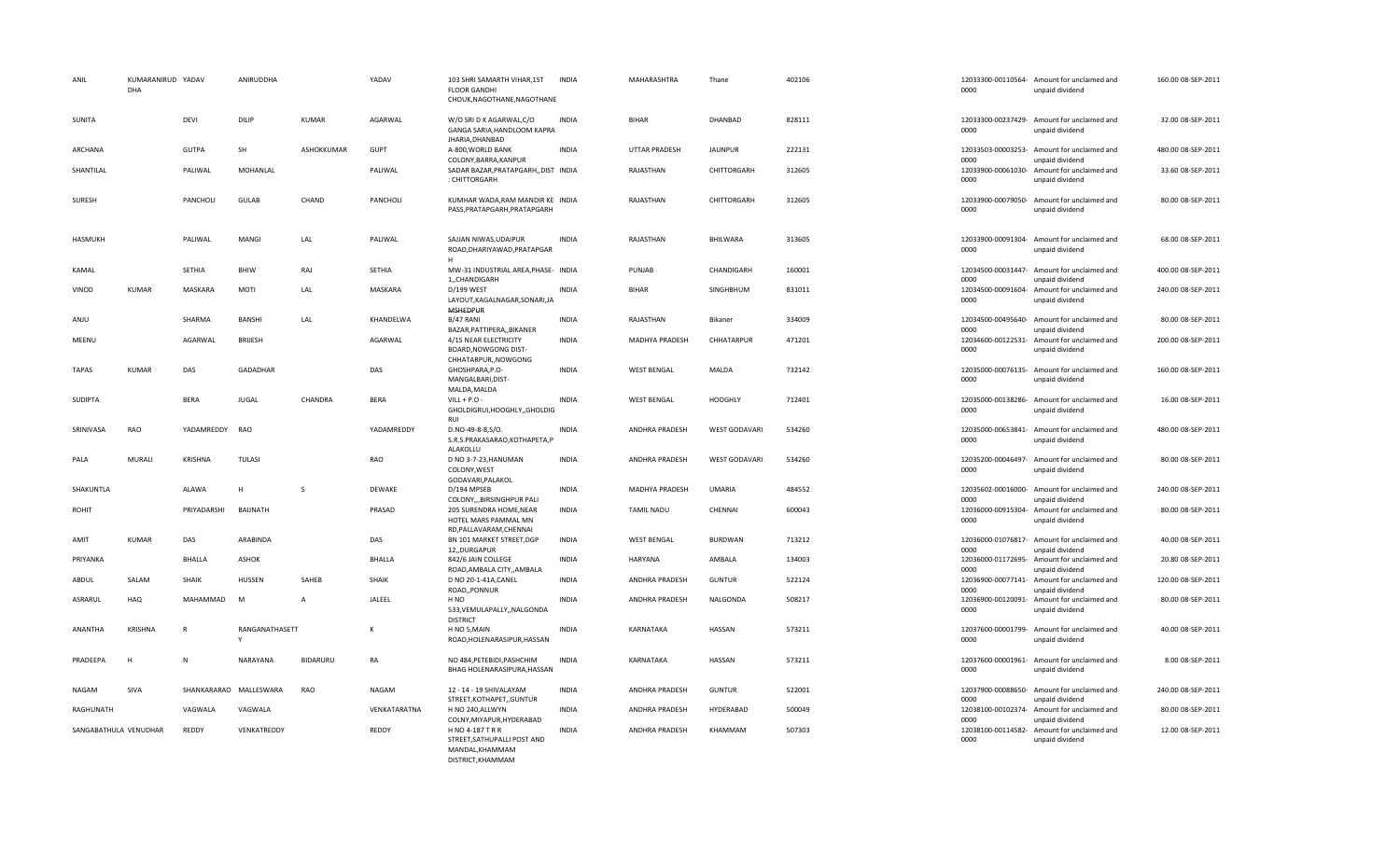| ANIL                  | KUMARANIRUD YADAV<br>DHA |                | ANIRUDDHA              |                 | YADAV         | 103 SHRI SAMARTH VIHAR, 1ST<br><b>FLOOR GANDHI</b><br>CHOUK, NAGOTHANE, NAGOTHANE      | <b>INDIA</b> | MAHARASHTRA           | Thane                | 402106 | 0000                       | 12033300-00110564- Amount for unclaimed and<br>unpaid dividend | 160.00 08-SEP-2011 |
|-----------------------|--------------------------|----------------|------------------------|-----------------|---------------|----------------------------------------------------------------------------------------|--------------|-----------------------|----------------------|--------|----------------------------|----------------------------------------------------------------|--------------------|
| SUNITA                |                          | <b>DEVI</b>    | DILIP                  | <b>KUMAR</b>    | AGARWAL       | W/O SRI D K AGARWAL.C/O<br>GANGA SARIA, HANDLOOM KAPRA<br>JHARIA, DHANBAD              | <b>INDIA</b> | <b>BIHAR</b>          | <b>DHANBAD</b>       | 828111 | 0000                       | 12033300-00237429- Amount for unclaimed and<br>unpaid dividend | 32.00 08-SEP-2011  |
| ARCHANA               |                          | GUTPA          | SH                     | ASHOKKUMAR      | <b>GUPT</b>   | A-800, WORLD BANK                                                                      | <b>INDIA</b> | <b>UTTAR PRADESH</b>  | <b>JAUNPUR</b>       | 222131 | 0000                       | 12033503-00003253- Amount for unclaimed and<br>unpaid dividend | 480.00 08-SEP-2011 |
| SHANTILAL             |                          | PALIWAL        | MOHANLAL               |                 | PALIWAL       | COLONY, BARRA, KANPUR<br>SADAR BAZAR, PRATAPGARH, , DIST INDIA<br>: CHITTORGARH        |              | RAJASTHAN             | CHITTORGARH          | 312605 | 12033900-00061030-<br>0000 | Amount for unclaimed and<br>unpaid dividend                    | 33.60 08-SEP-2011  |
| SURESH                |                          | PANCHOLI       | GULAB                  | CHAND           | PANCHOLI      | KUMHAR WADA, RAM MANDIR KE INDIA<br>PASS, PRATAPGARH, PRATAPGARH                       |              | RAJASTHAN             | CHITTORGARH          | 312605 | 0000                       | 12033900-00079050- Amount for unclaimed and<br>unpaid dividend | 80.00 08-SEP-2011  |
| <b>HASMUKH</b>        |                          | PALIWAL        | MANGI                  | LAL             | PALIWAL       | SAJJAN NIWAS, UDAIPUR<br>ROAD, DHARIYAWAD, PRATAPGAR<br>H                              | <b>INDIA</b> | RAJASTHAN             | BHILWARA             | 313605 | 0000                       | 12033900-00091304- Amount for unclaimed and<br>unpaid dividend | 68.00 08-SEP-2011  |
| KAMAL                 |                          | SETHIA         | BHIW                   | RAJ             | SETHIA        | MW-31 INDUSTRIAL AREA, PHASE- INDIA<br>1,,CHANDIGARH                                   |              | PUNJAB                | CHANDIGARH           | 160001 | 0000                       | 12034500-00031447- Amount for unclaimed and<br>unpaid dividend | 400.00 08-SEP-2011 |
| VINOD                 | <b>KUMAR</b>             | MASKARA        | MOTI                   | LAL             | MASKARA       | D/199 WEST<br>LAYOUT, KAGALNAGAR, SONARI, JA<br><b>MSHEDPUR</b>                        | <b>INDIA</b> | <b>BIHAR</b>          | SINGHBHUM            | 831011 | 0000                       | 12034500-00091604- Amount for unclaimed and<br>unpaid dividend | 240.00 08-SEP-2011 |
| ANJU                  |                          | SHARMA         | <b>BANSHI</b>          | LAL             | KHANDELWA     | B/47 RANI<br>BAZAR, PATTIPERA, , BIKANER                                               | <b>INDIA</b> | RAJASTHAN             | Bikaner              | 334009 | 12034500-00495640-<br>0000 | Amount for unclaimed and<br>unpaid dividend                    | 80.00 08-SEP-2011  |
| MEENU                 |                          | AGARWAL        | <b>BRIJESH</b>         |                 | AGARWAL       | 4/15 NEAR ELECTRICITY<br>BOARD, NOWGONG DIST-<br>CHHATARPUR,, NOWGONG                  | <b>INDIA</b> | <b>MADHYA PRADESH</b> | CHHATARPUR           | 471201 | 12034600-00122531-<br>0000 | Amount for unclaimed and<br>unpaid dividend                    | 200.00 08-SEP-2011 |
| <b>TAPAS</b>          | <b>KUMAR</b>             | DAS            | GADADHAR               |                 | DAS           | GHOSHPARA, P.O-<br>MANGALBARI, DIST-<br>MALDA, MALDA                                   | <b>INDIA</b> | <b>WEST BENGAL</b>    | MALDA                | 732142 | 0000                       | 12035000-00076135- Amount for unclaimed and<br>unpaid dividend | 160.00 08-SEP-2011 |
| SUDIPTA               |                          | <b>BERA</b>    | <b>JUGAL</b>           | CHANDRA         | <b>BERA</b>   | $VILL + P.O$<br>GHOLDIGRUI, HOOGHLY, GHOLDIG<br>RUI                                    | <b>INDIA</b> | <b>WEST BENGAL</b>    | <b>HOOGHLY</b>       | 712401 | 0000                       | 12035000-00138286- Amount for unclaimed and<br>unpaid dividend | 16.00 08-SEP-2011  |
| SRINIVASA             | RAO                      | YADAMREDDY     | <b>RAO</b>             |                 | YADAMREDDY    | D.NO-49-8-8, S/O.<br>S.R.S.PRAKASARAO, KOTHAPETA, P<br>ALAKOLLU                        | <b>INDIA</b> | ANDHRA PRADESH        | <b>WEST GODAVARI</b> | 534260 | 0000                       | 12035000-00653841- Amount for unclaimed and<br>unpaid dividend | 480.00 08-SEP-2011 |
| PALA                  | MURALI                   | <b>KRISHNA</b> | <b>TULASI</b>          |                 | RAO           | D NO 3-7-23, HANUMAN<br>COLONY, WEST<br>GODAVARI, PALAKOL                              | <b>INDIA</b> | ANDHRA PRADESH        | <b>WEST GODAVARI</b> | 534260 | 0000                       | 12035200-00046497- Amount for unclaimed and<br>unpaid dividend | 80.00 08-SEP-2011  |
| SHAKUNTLA             |                          | ALAWA          | H                      | <sub>S</sub>    | DEWAKE        | D/194 MPSEB<br>COLONY,,,BIRSINGHPUR PALI                                               | <b>INDIA</b> | MADHYA PRADESH        | <b>UMARIA</b>        | 484552 | nnnn                       | 12035602-00016000- Amount for unclaimed and<br>unpaid dividend | 240.00 08-SEP-2011 |
| ROHIT                 |                          | PRIYADARSHI    | BAIJNATH               |                 | PRASAD        | 205 SURENDRA HOME, NEAR<br>HOTEL MARS PAMMAL MN<br>RD, PALLAVARAM, CHENNAI             | <b>INDIA</b> | <b>TAMIL NADU</b>     | CHENNAI              | 600043 | 12036000-00915304-<br>0000 | Amount for unclaimed and<br>unpaid dividend                    | 80.00 08-SEP-2011  |
| AMIT                  | <b>KUMAR</b>             | DAS            | ARABINDA               |                 | DAS           | BN 101 MARKET STREET, DGP<br>12, DURGAPUR                                              | <b>INDIA</b> | <b>WEST BENGAL</b>    | <b>BURDWAN</b>       | 713212 | 0000                       | 12036000-01076817- Amount for unclaimed and<br>unpaid dividend | 40.00 08-SEP-2011  |
| PRIYANKA              |                          | <b>BHALLA</b>  | ASHOK                  |                 | <b>BHALLA</b> | 842/6 JAIN COLLEGE<br>ROAD, AMBALA CITY, , AMBALA                                      | <b>INDIA</b> | <b>HARYANA</b>        | AMBALA               | 134003 | 12036000-01172695-<br>0000 | Amount for unclaimed and<br>unpaid dividend                    | 20.80 08-SEP-2011  |
| ABDUL                 | SALAM                    | SHAIK          | HUSSEN                 | SAHEB           | SHAIK         | D NO 20-1-41A, CANEL<br>ROAD,, PONNUR                                                  | <b>INDIA</b> | ANDHRA PRADESH        | <b>GUNTUR</b>        | 522124 | 12036900-00077141-<br>0000 | Amount for unclaimed and<br>unpaid dividend                    | 120.00 08-SEP-2011 |
| ASRARUL               | <b>HAQ</b>               | MAHAMMAD       | M                      | $\overline{A}$  | JALEEL        | H NO<br>533, VEMULAPALLY, , NALGONDA<br><b>DISTRICT</b>                                | <b>INDIA</b> | ANDHRA PRADESH        | NALGONDA             | 508217 | 12036900-00120091-<br>0000 | Amount for unclaimed and<br>unpaid dividend                    | 80.00 08-SEP-2011  |
| ANANTHA               | KRISHNA                  | R              | RANGANATHASETT<br>Y    |                 | K             | H NO 5, MAIN<br>ROAD, HOLENARASIPUR, HASSAN                                            | <b>INDIA</b> | KARNATAKA             | HASSAN               | 573211 | 0000                       | 12037600-00001799- Amount for unclaimed and<br>unpaid dividend | 40.00 08-SEP-2011  |
| PRADEEPA              | H                        | N              | NARAYANA               | <b>BIDARURU</b> | RA            | NO 484, PETEBIDI, PASHCHIM<br>BHAG HOLENARASIPURA, HASSAN                              | <b>INDIA</b> | KARNATAKA             | HASSAN               | 573211 | 0000                       | 12037600-00001961- Amount for unclaimed and<br>unpaid dividend | 8.00 08-SEP-2011   |
| NAGAM                 | SIVA                     |                | SHANKARARAO MALLESWARA | RAO             | NAGAM         | 12 - 14 - 19 SHIVALAYAM<br>STREET, KOTHAPET, , GUNTUR                                  | <b>INDIA</b> | ANDHRA PRADESH        | GUNTUR               | 522001 | 12037900-00088650-<br>0000 | Amount for unclaimed and<br>unpaid dividend                    | 240.00 08-SEP-2011 |
| RAGHUNATH             |                          | VAGWALA        | VAGWALA                |                 | VENKATARATNA  | H NO 240, ALLWYN<br>COLNY, MIYAPUR, HYDERABAD                                          | <b>INDIA</b> | ANDHRA PRADESH        | HYDERABAD            | 500049 | 0000                       | 12038100-00102374- Amount for unclaimed and<br>unpaid dividend | 80.00 08-SEP-2011  |
| SANGABATHULA VENUDHAR |                          | REDDY          | VENKATREDDY            |                 | REDDY         | H NO 4-187 T R R<br>STREET.SATHUPALLI POST AND<br>MANDAL, KHAMMAM<br>DISTRICT, KHAMMAM | <b>INDIA</b> | ANDHRA PRADESH        | KHAMMAM              | 507303 | 0000                       | 12038100-00114582- Amount for unclaimed and<br>unpaid dividend | 12.00 08-SEP-2011  |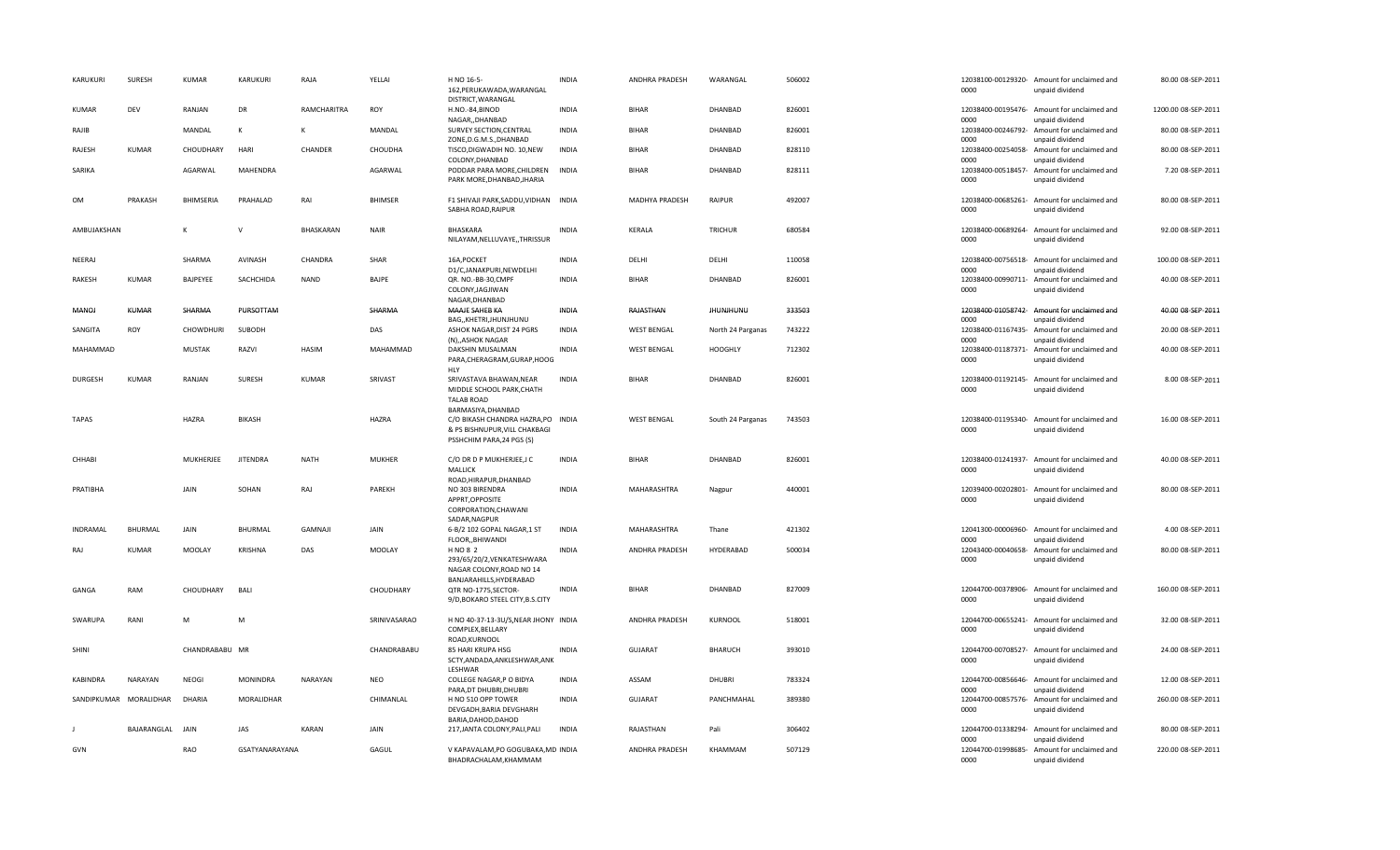| KARUKURI        | <b>SURESH</b>          | <b>KUMAR</b>     | KARUKURI        | RAJA         | YELLAI         | H NO 16-5-<br>162, PERUKAWADA, WARANGAL<br>DISTRICT, WARANGAL                                                          | <b>INDIA</b> | ANDHRA PRADESH     | WARANGAL          | 506002 | 0000                       | 12038100-00129320- Amount for unclaimed and<br>unpaid dividend | 80.00 08-SEP-2011   |
|-----------------|------------------------|------------------|-----------------|--------------|----------------|------------------------------------------------------------------------------------------------------------------------|--------------|--------------------|-------------------|--------|----------------------------|----------------------------------------------------------------|---------------------|
| <b>KUMAR</b>    | DEV                    | RANJAN           | DR              | RAMCHARITRA  | ROY            | H.NO.-84,BINOD<br>NAGAR., DHANBAD                                                                                      | <b>INDIA</b> | <b>BIHAR</b>       | DHANBAD           | 826001 | 0000                       | 12038400-00195476- Amount for unclaimed and<br>unpaid dividend | 1200.00 08-SEP-2011 |
| RAJIB           |                        | MANDAL           | к               | к            | MANDAL         | SURVEY SECTION, CENTRAL<br>ZONE, D.G.M.S., DHANBAD                                                                     | <b>INDIA</b> | <b>BIHAR</b>       | DHANBAD           | 826001 | 12038400-00246792-<br>0000 | Amount for unclaimed and<br>unpaid dividend                    | 80.00 08-SEP-2011   |
| RAJESH          | <b>KUMAR</b>           | CHOUDHARY        | HARI            | CHANDER      | CHOUDHA        | TISCO, DIGWADIH NO. 10, NEW<br>COLONY, DHANBAD                                                                         | <b>INDIA</b> | <b>BIHAR</b>       | DHANBAD           | 828110 | 0000                       | 12038400-00254058- Amount for unclaimed and<br>unpaid dividend | 80.00 08-SEP-2011   |
| SARIKA          |                        | AGARWAL          | MAHENDRA        |              | AGARWAL        | PODDAR PARA MORE, CHILDREN<br>PARK MORE, DHANBAD, JHARIA                                                               | <b>INDIA</b> | <b>BIHAR</b>       | DHANBAD           | 828111 | 0000                       | 12038400-00518457- Amount for unclaimed and<br>unpaid dividend | 7.20 08-SEP-2011    |
| OM              | PRAKASH                | <b>BHIMSERIA</b> | PRAHALAD        | RAI          | <b>BHIMSER</b> | F1 SHIVAJI PARK, SADDU, VIDHAN INDIA<br>SABHA ROAD, RAIPUR                                                             |              | MADHYA PRADESH     | <b>RAIPUR</b>     | 492007 | 12038400-00685261-<br>0000 | Amount for unclaimed and<br>unpaid dividend                    | 80.00 08-SEP-2011   |
| AMBUJAKSHAN     |                        |                  | $\mathsf{V}$    | BHASKARAN    | <b>NAIR</b>    | BHASKARA<br>NILAYAM, NELLUVAYE, , THRISSUR                                                                             | <b>INDIA</b> | KERALA             | <b>TRICHUR</b>    | 680584 | 0000                       | 12038400-00689264- Amount for unclaimed and<br>unpaid dividend | 92.00 08-SEP-2011   |
| NEERAJ          |                        | SHARMA           | AVINASH         | CHANDRA      | SHAR           | 16A, POCKET<br>D1/C,JANAKPURI,NEWDELHI                                                                                 | <b>INDIA</b> | DELHI              | DELHI             | 110058 | 0000                       | 12038400-00756518- Amount for unclaimed and<br>unpaid dividend | 100.00 08-SEP-2011  |
| RAKESH          | <b>KUMAR</b>           | BAJPEYEE         | SACHCHIDA       | <b>NAND</b>  | BAJPE          | QR. NO.-BB-30,CMPF<br>COLONY, JAGJIWAN<br>NAGAR, DHANBAD                                                               | <b>INDIA</b> | RIHAR              | DHANBAD           | 826001 | 0000                       | 12038400-00990711- Amount for unclaimed and<br>unpaid dividend | 40.00 08-SEP-2011   |
| MANOJ           | <b>KUMAR</b>           | SHARMA           | PURSOTTAM       |              | SHARMA         | MAAJE SAHEB KA<br>BAG,, KHETRI, JHUNJHUNU                                                                              | <b>INDIA</b> | RAJASTHAN          | <b>JHUNJHUNU</b>  | 333503 | 0000                       | 12038400-01058742- Amount for unclaimed and<br>unpaid dividend | 40.00 08-SEP-2011   |
| SANGITA         | ROY                    | CHOWDHURI        | SUBODH          |              | DAS            | ASHOK NAGAR, DIST 24 PGRS<br>(N), ASHOK NAGAR                                                                          | <b>INDIA</b> | <b>WEST BENGAL</b> | North 24 Parganas | 743222 | 12038400-01167435-<br>0000 | Amount for unclaimed and<br>unpaid dividend                    | 20.00 08-SEP-2011   |
| MAHAMMAD        |                        | <b>MUSTAK</b>    | RAZVI           | <b>HASIM</b> | MAHAMMAD       | DAKSHIN MUSALMAN<br>PARA, CHERAGRAM, GURAP, HOOG<br><b>HLY</b>                                                         | <b>INDIA</b> | <b>WEST BENGAL</b> | <b>HOOGHLY</b>    | 712302 | 12038400-01187371-<br>0000 | Amount for unclaimed and<br>unpaid dividend                    | 40.00 08-SEP-2011   |
| <b>DURGESH</b>  | <b>KUMAR</b>           | RANJAN           | SURESH          | <b>KUMAR</b> | SRIVAST        | SRIVASTAVA BHAWAN, NEAR<br>MIDDLE SCHOOL PARK, CHATH<br><b>TALAB ROAD</b>                                              | <b>INDIA</b> | <b>BIHAR</b>       | DHANBAD           | 826001 | 0000                       | 12038400-01192145- Amount for unclaimed and<br>unpaid dividend | 8.00 08-SEP-2011    |
| <b>TAPAS</b>    |                        | <b>HAZRA</b>     | <b>BIKASH</b>   |              | HAZRA          | BARMASIYA, DHANBAD<br>C/O BIKASH CHANDRA HAZRA, PO INDIA<br>& PS BISHNUPUR, VILL CHAKBAGI<br>PSSHCHIM PARA, 24 PGS (S) |              | <b>WEST BENGAL</b> | South 24 Parganas | 743503 | 0000                       | 12038400-01195340- Amount for unclaimed and<br>unpaid dividend | 16.00 08-SEP-2011   |
| CHHABI          |                        | MUKHERJEE        | <b>JITENDRA</b> | <b>NATH</b>  | <b>MUKHER</b>  | C/O DR D P MUKHERJEE,J C<br>MALLICK<br>ROAD, HIRAPUR, DHANBAD                                                          | <b>INDIA</b> | <b>BIHAR</b>       | DHANBAD           | 826001 | 0000                       | 12038400-01241937- Amount for unclaimed and<br>unpaid dividend | 40.00 08-SEP-2011   |
| PRATIBHA        |                        | JAIN             | SOHAN           | RAJ          | PAREKH         | NO 303 BIRENDRA<br>APPRT, OPPOSITE<br>CORPORATION, CHAWANI<br>SADAR, NAGPUR                                            | <b>INDIA</b> | <b>MAHARASHTRA</b> | Nagpur            | 440001 | 0000                       | 12039400-00202801- Amount for unclaimed and<br>unpaid dividend | 80.00 08-SEP-2011   |
| INDRAMAL        | <b>BHURMAL</b>         | JAIN             | BHURMAL         | GAMNAJI      | JAIN           | 6-B/2 102 GOPAL NAGAR,1 ST<br>FLOOR,, BHIWANDI                                                                         | <b>INDIA</b> | MAHARASHTRA        | Thane             | 421302 | 0000                       | 12041300-00006960- Amount for unclaimed and<br>unpaid dividend | 4.00 08-SEP-2011    |
| RAJ             | <b>KUMAR</b>           | MOOLAY           | <b>KRISHNA</b>  | DAS          | <b>MOOLAY</b>  | H NO 8 2<br>293/65/20/2, VENKATESHWARA<br>NAGAR COLONY, ROAD NO 14<br>BANJARAHILLS.HYDERABAD                           | <b>INDIA</b> | ANDHRA PRADESH     | HYDERABAD         | 500034 | 0000                       | 12043400-00040658- Amount for unclaimed and<br>unpaid dividend | 80.00 08-SEP-2011   |
| GANGA           | RAM                    | CHOUDHARY        | <b>BALI</b>     |              | CHOUDHARY      | QTR NO-1775, SECTOR-<br>9/D, BOKARO STEEL CITY, B.S.CITY                                                               | <b>INDIA</b> | <b>BIHAR</b>       | DHANBAD           | 827009 | 0000                       | 12044700-00378906- Amount for unclaimed and<br>unpaid dividend | 160.00 08-SEP-2011  |
| SWARUPA         | RANI                   | M                | M               |              | SRINIVASARAO   | H NO 40-37-13-3U/S, NEAR JHONY INDIA<br>COMPLEX, BELLARY                                                               |              | ANDHRA PRADESH     | KURNOOL           | 518001 | 0000                       | 12044700-00655241- Amount for unclaimed and<br>unpaid dividend | 32.00 08-SEP-2011   |
| SHINI           |                        | CHANDRABABU MR   |                 |              | CHANDRABABU    | ROAD, KURNOOL<br>85 HARI KRUPA HSG<br>SCTY, ANDADA, ANKLESHWAR, ANK<br>LESHWAR                                         | <b>INDIA</b> | GUJARAT            | BHARUCH           | 393010 | 0000                       | 12044700-00708527- Amount for unclaimed and<br>unpaid dividend | 24.00 08-SEP-2011   |
| <b>KABINDRA</b> | NARAYAN                | <b>NEOGI</b>     | MONINDRA        | NARAYAN      | <b>NEO</b>     | COLLEGE NAGAR, P O BIDYA<br>PARA, DT DHUBRI, DHUBRI                                                                    | <b>INDIA</b> | ASSAM              | <b>DHUBRI</b>     | 783324 | 0000                       | 12044700-00856646- Amount for unclaimed and<br>unpaid dividend | 12.00 08-SEP-2011   |
|                 | SANDIPKUMAR MORALIDHAR | DHARIA           | MORALIDHAR      |              | CHIMANLAL      | H NO 510 OPP TOWER<br>DEVGADH, BARIA DEVGHARH<br>BARIA, DAHOD, DAHOD                                                   | <b>INDIA</b> | <b>GUJARAT</b>     | PANCHMAHAL        | 389380 | 0000                       | 12044700-00857576- Amount for unclaimed and<br>unpaid dividend | 260.00 08-SEP-2011  |
|                 | BAJARANGLAL            | JAIN             | JAS             | <b>KARAN</b> | JAIN           | 217, JANTA COLONY, PALI, PALI                                                                                          | <b>INDIA</b> | RAJASTHAN          | Pali              | 306402 | 0000                       | 12044700-01338294- Amount for unclaimed and<br>unpaid dividend | 80.00 08-SEP-2011   |
| GVN             |                        | RAO              | GSATYANARAYANA  |              | GAGUL          | V KAPAVALAM, PO GOGUBAKA, MD INDIA<br>BHADRACHALAM, KHAMMAM                                                            |              | ANDHRA PRADESH     | KHAMMAM           | 507129 | 0000                       | 12044700-01998685- Amount for unclaimed and<br>unpaid dividend | 220.00 08-SEP-2011  |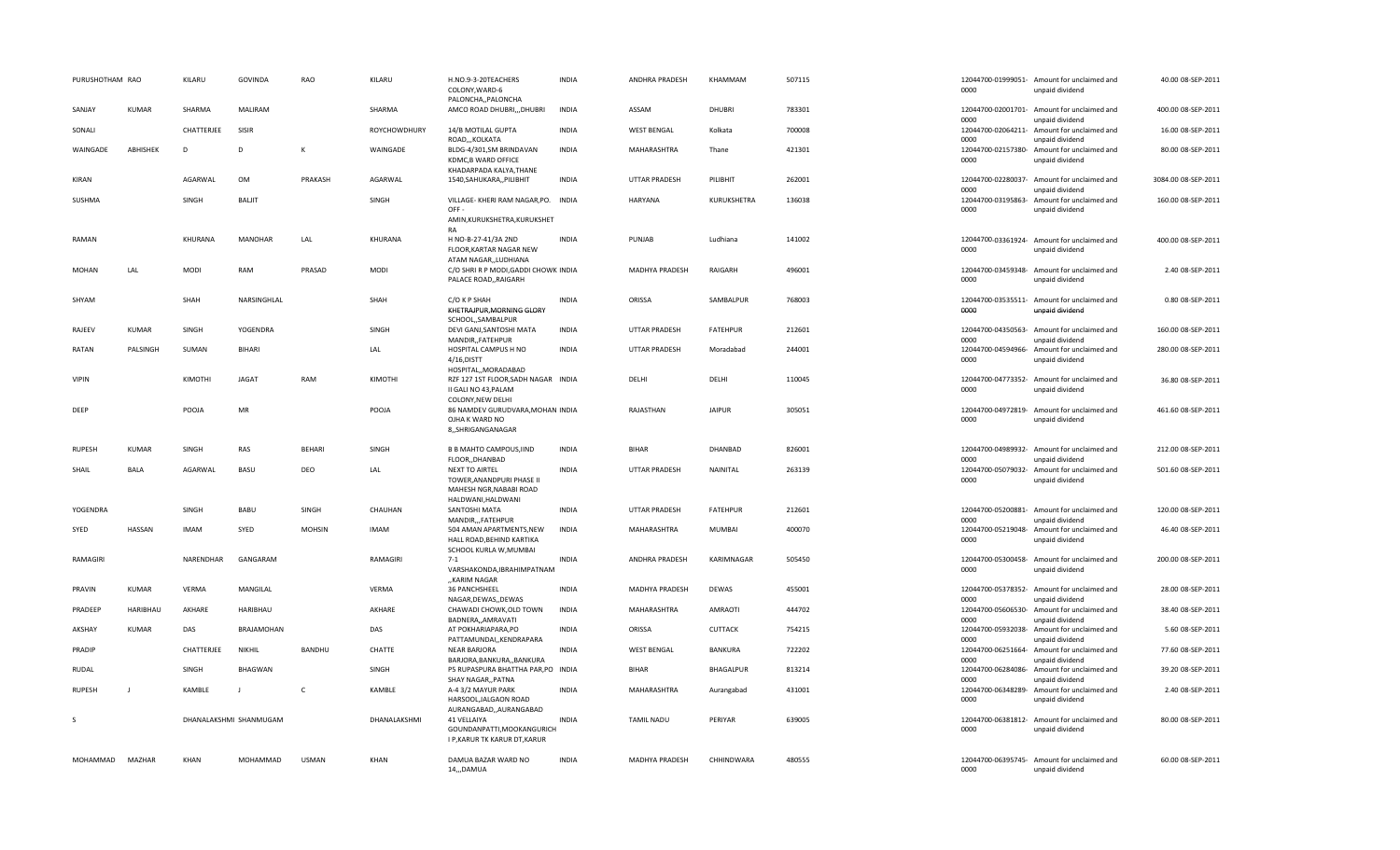| PURUSHOTHAM RAO |               | KILARU                 | <b>GOVINDA</b>    | RAO           | KILARU       | H.NO.9-3-20TEACHERS<br>COLONY, WARD-6<br>PALONCHA,, PALONCHA                                        | <b>INDIA</b> | ANDHRA PRADESH       | KHAMMAM         | 507115 | 12044700-01999051- Am<br>0000 | unp       |
|-----------------|---------------|------------------------|-------------------|---------------|--------------|-----------------------------------------------------------------------------------------------------|--------------|----------------------|-----------------|--------|-------------------------------|-----------|
| SANJAY          | KUMAR         | SHARMA                 | MALIRAM           |               | SHARMA       | AMCO ROAD DHUBRI,,,DHUBRI                                                                           | <b>INDIA</b> | ASSAM                | <b>DHUBRI</b>   | 783301 | 12044700-02001701- Am<br>0000 | unp       |
| SONALI          |               | CHATTERJEE             | SISIR             |               | ROYCHOWDHURY | 14/B MOTILAL GUPTA<br>ROAD,,,KOLKATA                                                                | <b>INDIA</b> | <b>WEST BENGAL</b>   | Kolkata         | 700008 | 12044700-02064211- Am<br>0000 | unp       |
| WAINGADE        | ABHISHEK      | D                      | D                 | К             | WAINGADE     | BLDG-4/301,SM BRINDAVAN<br>KDMC, B WARD OFFICE<br>KHADARPADA KALYA, THANE                           | <b>INDIA</b> | MAHARASHTRA          | Thane           | 421301 | 12044700-02157380-<br>0000    | Am<br>unp |
| KIRAN           |               | AGARWAL                | OM                | PRAKASH       | AGARWAL      | 1540, SAHUKARA,, PILIBHIT                                                                           | <b>INDIA</b> | <b>UTTAR PRADESH</b> | PILIBHIT        | 262001 | 12044700-02280037- Am<br>0000 | unp       |
| SUSHMA          |               | SINGH                  | BALIT             |               | SINGH        | VILLAGE- KHERI RAM NAGAR, PO. INDIA<br>OFF-<br>AMIN, KURUKSHETRA, KURUKSHET<br>RA                   |              | HARYANA              | KURUKSHETRA     | 136038 | 12044700-03195863- Am<br>0000 | unp       |
| RAMAN           |               | KHURANA                | <b>MANOHAR</b>    | LAL           | KHURANA      | H NO-B-27-41/3A 2ND<br>FLOOR, KARTAR NAGAR NEW<br>ATAM NAGAR,,LUDHIANA                              | <b>INDIA</b> | PUNJAB               | Ludhiana        | 141002 | 12044700-03361924- Am<br>0000 | unp       |
| <b>MOHAN</b>    | LAL           | <b>MODI</b>            | RAM               | PRASAD        | <b>MODI</b>  | C/O SHRI R P MODI, GADDI CHOWK INDIA<br>PALACE ROAD,, RAIGARH                                       |              | MADHYA PRADESH       | RAIGARH         | 496001 | 12044700-03459348- Am<br>0000 | unp       |
| SHYAM           |               | SHAH                   | NARSINGHLAL       |               | SHAH         | C/O K P SHAH<br>KHETRAJPUR, MORNING GLORY<br>SCHOOL,,SAMBALPUR                                      | <b>INDIA</b> | ORISSA               | SAMBALPUR       | 768003 | 12044700-03535511- Am<br>0000 | unp       |
| RAJEEV          | KUMAR         | SINGH                  | YOGENDRA          |               | SINGH        | DEVI GANJ, SANTOSHI MATA<br>MANDIR, FATEHPUR                                                        | <b>INDIA</b> | <b>UTTAR PRADESH</b> | <b>FATEHPUR</b> | 212601 | 12044700-04350563- Am<br>0000 | unp       |
| RATAN           | PALSINGH      | SUMAN                  | BIHARI            |               | LAL          | HOSPITAL CAMPUS H NO<br>4/16, DISTT<br>HOSPITAL,, MORADABAD                                         | <b>INDIA</b> | <b>UTTAR PRADESH</b> | Moradabad       | 244001 | 12044700-04594966-<br>0000    | Am<br>unp |
| <b>VIPIN</b>    |               | KIMOTHI                | <b>JAGAT</b>      | RAM           | KIMOTHI      | RZF 127 1ST FLOOR, SADH NAGAR INDIA<br>II GALI NO 43, PALAM                                         |              | DELHI                | DELHI           | 110045 | 12044700-04773352-<br>0000    | Am<br>unp |
| DEEP            |               | POOJA                  | <b>MR</b>         |               | POOJA        | COLONY, NEW DELHI<br>86 NAMDEV GURUDVARA, MOHAN INDIA<br>OJHA K WARD NO<br>8,,SHRIGANGANAGAR        |              | RAJASTHAN            | <b>JAIPUR</b>   | 305051 | 12044700-04972819- Am<br>0000 | unp       |
| <b>RUPESH</b>   | <b>KUMAR</b>  | SINGH                  | RAS               | <b>BEHARI</b> | SINGH        | <b>B B MAHTO CAMPOUS, IIND</b><br>FLOOR, DHANBAD                                                    | <b>INDIA</b> | <b>BIHAR</b>         | DHANBAD         | 826001 | 12044700-04989932- Am<br>0000 | unp       |
| SHAIL           | <b>BALA</b>   | AGARWAL                | BASU              | DEO           | LAL          | <b>NEXT TO AIRTEL</b><br>TOWER, ANANDPURI PHASE II<br>MAHESH NGR, NABABI ROAD<br>HALDWANI, HALDWANI | <b>INDIA</b> | UTTAR PRADESH        | NAINITAL        | 263139 | 12044700-05079032- Am<br>0000 | unp       |
| YOGENDRA        |               | SINGH                  | BABU              | SINGH         | CHAUHAN      | SANTOSHI MATA<br>MANDIR,,,FATEHPUR                                                                  | <b>INDIA</b> | <b>UTTAR PRADESH</b> | <b>FATEHPUR</b> | 212601 | 12044700-05200881- Am<br>0000 | unp       |
| SYED            | HASSAN        | <b>IMAM</b>            | SYED              | <b>MOHSIN</b> | <b>IMAM</b>  | 504 AMAN APARTMENTS, NEW<br>HALL ROAD, BEHIND KARTIKA                                               | <b>INDIA</b> | MAHARASHTRA          | MUMBAI          | 400070 | 12044700-05219048-<br>0000    | Am<br>unp |
| RAMAGIRI        |               | NARENDHAR              | GANGARAM          |               | RAMAGIRI     | SCHOOL KURLA W, MUMBAI<br>$7 - 1$<br>VARSHAKONDA, IBRAHIMPATNAM                                     | <b>INDIA</b> | ANDHRA PRADESH       | KARIMNAGAR      | 505450 | 12044700-05300458- Am<br>0000 | unp       |
| PRAVIN          | KUMAR         | VERMA                  | MANGILAL          |               | VERMA        | "KARIM NAGAR<br>36 PANCHSHEEL<br>NAGAR, DEWAS, , DEWAS                                              | <b>INDIA</b> | MADHYA PRADESH       | DEWAS           | 455001 | 12044700-05378352- Am<br>0000 | und       |
| PRADEEP         | HARIBHAU      | AKHARE                 | HARIBHAU          |               | AKHARE       | CHAWADI CHOWK, OLD TOWN<br>BADNERA,, AMRAVATI                                                       | INDIA        | MAHARASHTRA          | AMRAOTI         | 444702 | 12044700-05606530- Am<br>0000 | unp       |
| AKSHAY          | KUMAR         | DAS                    | <b>BRAJAMOHAN</b> |               | DAS          | AT POKHARIAPARA, PO<br>PATTAMUNDAI,, KENDRAPARA                                                     | <b>INDIA</b> | ORISSA               | CUTTACK         | 754215 | 12044700-05932038-<br>0000    | Am<br>unp |
| PRADIP          |               | CHATTERJEE             | NIKHIL            | <b>BANDHU</b> | CHATTE       | <b>NEAR BARJORA</b><br>BARJORA, BANKURA, , BANKURA                                                  | <b>INDIA</b> | <b>WEST BENGAL</b>   | BANKURA         | 722202 | 12044700-06251664- Am<br>0000 | unp       |
| <b>RUDAL</b>    |               | SINGH                  | <b>BHAGWAN</b>    |               | SINGH        | P5 RUPASPURA BHATTHA PAR, PO INDIA<br>SHAY NAGAR, PATNA                                             |              | <b>BIHAR</b>         | BHAGALPUR       | 813214 | 12044700-06284086-<br>0000    | Am<br>unp |
| <b>RUPESH</b>   | $\mathbf{I}$  | KAMBLE                 | $\mathbf{I}$      | C             | KAMBLE       | A-4 3/2 MAYUR PARK<br>HARSOOL, JALGAON ROAD<br>AURANGABAD,,AURANGABAD                               | <b>INDIA</b> | MAHARASHTRA          | Aurangabad      | 431001 | 12044700-06348289-<br>0000    | Am<br>unp |
| -S              |               | DHANALAKSHMI SHANMUGAM |                   |               | DHANALAKSHMI | 41 VELLAIYA<br>GOUNDANPATTI, MOOKANGURICH<br>I P, KARUR TK KARUR DT, KARUR                          | <b>INDIA</b> | <b>TAMIL NADU</b>    | PERIYAR         | 639005 | 12044700-06381812- Am<br>0000 | unp       |
| MOHAMMAD        | <b>MAZHAR</b> | KHAN                   | MOHAMMAD          | <b>USMAN</b>  | KHAN         | DAMUA BAZAR WARD NO<br>14,,,DAMUA                                                                   | <b>INDIA</b> | MADHYA PRADESH       | CHHINDWARA      | 480555 | 12044700-06395745- Am<br>0000 | unp       |

| 0000                                             | 12044700-01999051- Amount for unclaimed and<br>unpaid dividend          | 40.00 08-SEP-2011                     |
|--------------------------------------------------|-------------------------------------------------------------------------|---------------------------------------|
| 0000                                             | 12044700-02001701- Amount for unclaimed and<br>unpaid dividend          | 400.00 08-SEP-2011                    |
| 12044700-02064211-                               | Amount for unclaimed and                                                | 16.00 08-SEP-2011                     |
| nnnn<br>12044700-02157380-<br>0000               | unpaid dividend<br>Amount for unclaimed and<br>unpaid dividend          | 80.00 08-SFP-2011                     |
| 12044700-02280037-<br>0000                       | Amount for unclaimed and<br>unnaid dividend                             | 3084.00 08-SEP-2011                   |
| 12044700-03195863-<br>0000                       | Amount for unclaimed and<br>unpaid dividend                             | 160.00 08-SEP-2011                    |
| 12044700-03361924-<br>0000                       | Amount for unclaimed and<br>unpaid dividend                             | 400.00 08-SEP-2011                    |
| 12044700-03459348-<br>0000                       | Amount for unclaimed and<br>unpaid dividend                             | 2.40 08-SEP-2011                      |
| 0000                                             | 12044700-03535511- Amount for unclaimed and<br>unpaid dividend          | 0.80 08-SEP-2011                      |
| 12044700-04350563-<br>0000                       | Amount for unclaimed and<br>unpaid dividend                             | 160.00 08-SFP-2011                    |
| 12044700-04594966-<br>0000                       | Amount for unclaimed and<br>unpaid dividend                             | 280.00 08-SEP-2011                    |
| 12044700-04773352-<br>0000                       | Amount for unclaimed and<br>unpaid dividend                             | 36.80 08-SEP-2011                     |
| 0000                                             | 12044700-04972819- Amount for unclaimed and<br>unpaid dividend          | 461.60 08-SEP-2011                    |
| 12044700-04989932-<br>0000                       | Amount for unclaimed and<br>unpaid dividend                             | 212.00 08-SEP-2011                    |
| 12044700-05079032-<br>0000                       | Amount for unclaimed and<br>unpaid dividend                             | 501.60 08-SEP-2011                    |
| 12044700-05200881-<br>0000                       | Amount for unclaimed and<br>unpaid dividend                             | 120.00 08-SEP-2011                    |
| 12044700-05219048-<br>0000                       | Amount for unclaimed and<br>unpaid dividend                             | 46.40 08-SEP-2011                     |
| 0000                                             | 12044700-05300458- Amount for unclaimed and<br>unpaid dividend          | 200.00 08-SEP-2011                    |
| 12044700-05378352-<br>0000                       | Amount for unclaimed and<br>unnaid dividend                             | 28.00 08-SEP-2011                     |
| 0000                                             | 12044700-05606530- Amount for unclaimed and<br>unpaid dividend          | 38.40 08-SEP-2011                     |
| 12044700-05932038-<br>0000                       | Amount for unclaimed and<br>unpaid dividend                             | 5.60 08-SEP-2011                      |
| 12044700-06251664-<br>0000                       | Amount for unclaimed and<br>unpaid dividend                             | 77.60 08-SEP-2011                     |
| 12044700-06284086-<br>0000<br>12044700-06348289- | Amount for unclaimed and<br>unpaid dividend<br>Amount for unclaimed and | 39.20 08-SEP-2011<br>2.40 08-SEP-2011 |
| 0000                                             | unpaid dividend                                                         |                                       |
| 0000                                             | 12044700-06381812- Amount for unclaimed and<br>unpaid dividend          | 80.00 08-SEP-2011                     |
|                                                  | 12044700-06395745- Amount for unclaimed and                             | 60.00 08-SEP-2011                     |

unpaid dividend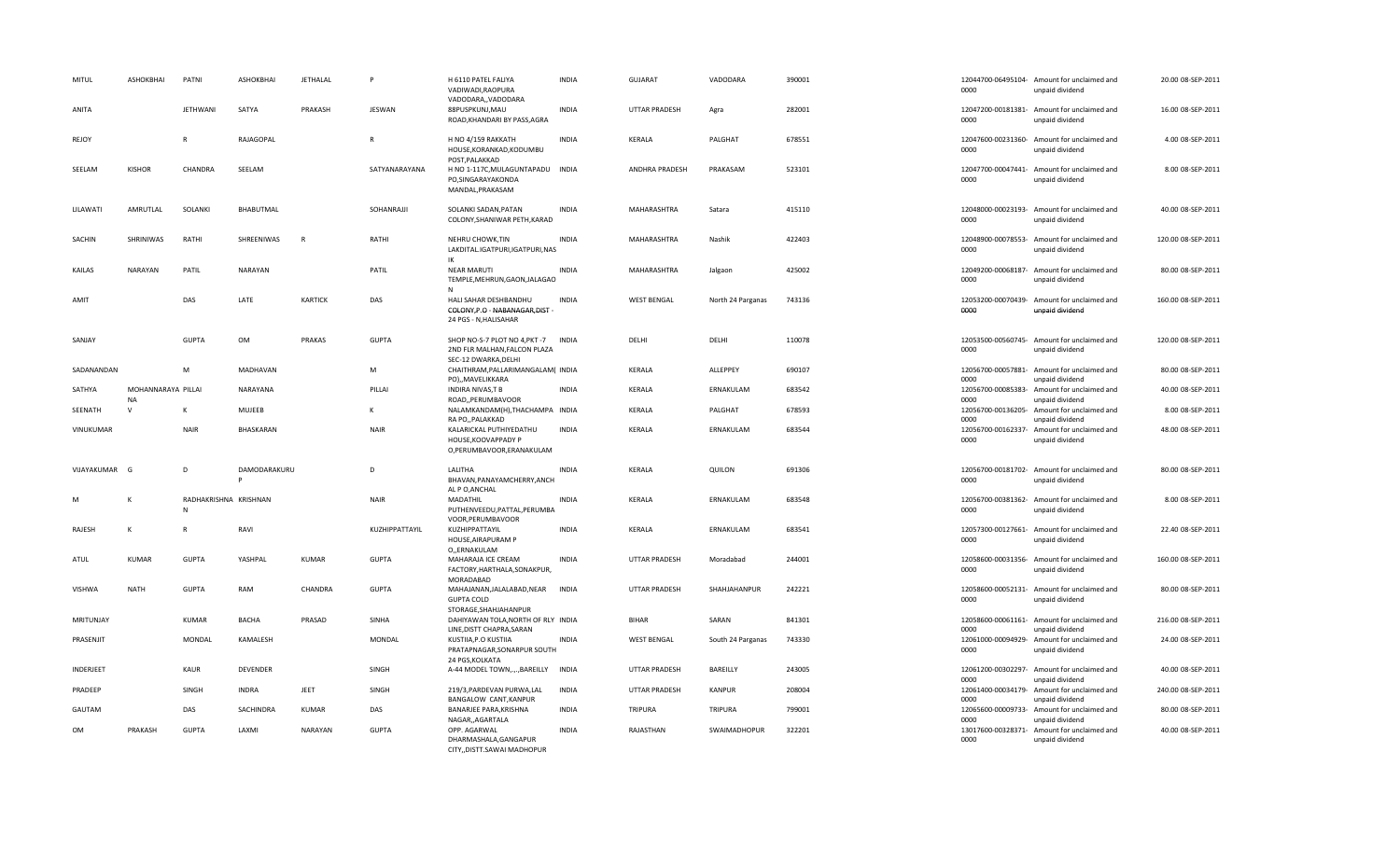| MITUL            | ASHOKBHAI                       | PATNI                      | ASHOKBHAI       | JETHALAL       | p              | H 6110 PATEL FALIYA<br>VADIWADI, RAOPURA<br>VADODARA,, VADODARA                           | <b>INDIA</b> | <b>GUJARAT</b>       | VADODARA          | 390001 | 0000                       | 12044700-06495104- Amount for unclaimed and<br>unpaid dividend | 20.00 08-SEP-2011  |
|------------------|---------------------------------|----------------------------|-----------------|----------------|----------------|-------------------------------------------------------------------------------------------|--------------|----------------------|-------------------|--------|----------------------------|----------------------------------------------------------------|--------------------|
| ANITA            |                                 | <b>JETHWANI</b>            | SATYA           | PRAKASH        | JESWAN         | 88PUSPKUNJ, MAU<br>ROAD, KHANDARI BY PASS, AGRA                                           | <b>INDIA</b> | <b>UTTAR PRADESH</b> | Agra              | 282001 | 0000                       | 12047200-00181381- Amount for unclaimed and<br>unpaid dividend | 16.00 08-SEP-2011  |
| REJOY            |                                 | $\mathsf{R}$               | RAJAGOPAL       |                | $\overline{R}$ | H NO 4/159 RAKKATH<br>HOUSE, KORANKAD, KODUMBU<br>POST, PALAKKAD                          | <b>INDIA</b> | KERALA               | PALGHAT           | 678551 | 0000                       | 12047600-00231360- Amount for unclaimed and<br>unpaid dividend | 4.00 08-SEP-2011   |
| SEELAM           | <b>KISHOR</b>                   | CHANDRA                    | SEELAM          |                | SATYANARAYANA  | H NO 1-117C, MULAGUNTAPADU INDIA<br>PO, SINGARAYAKONDA<br>MANDAL.PRAKASAM                 |              | ANDHRA PRADESH       | PRAKASAM          | 523101 | 0000                       | 12047700-00047441- Amount for unclaimed and<br>unpaid dividend | 8.00 08-SEP-2011   |
| LILAWATI         | AMRUTLAL                        | SOLANKI                    | BHABUTMAL       |                | SOHANRAJJI     | SOLANKI SADAN, PATAN<br>COLONY, SHANIWAR PETH, KARAD                                      | <b>INDIA</b> | MAHARASHTRA          | Satara            | 415110 | 0000                       | 12048000-00023193- Amount for unclaimed and<br>unpaid dividend | 40.00 08-SEP-2011  |
| SACHIN           | SHRINIWAS                       | RATHI                      | SHREENIWAS      | $\mathsf{R}$   | RATHI          | NEHRU CHOWK, TIN<br>LAKDITAL.IGATPURI,IGATPURI,NAS<br>IK                                  | <b>INDIA</b> | MAHARASHTRA          | Nashik            | 422403 | 0000                       | 12048900-00078553- Amount for unclaimed and<br>unpaid dividend | 120.00 08-SEP-2011 |
| KAILAS           | NARAYAN                         | PATIL                      | <b>NARAYAN</b>  |                | PATIL          | <b>NEAR MARUTI</b><br>TEMPLE, MEHRUN, GAON, JALAGAO<br>$\mathsf{N}$                       | <b>INDIA</b> | MAHARASHTRA          | Jalgaon           | 425002 | 0000                       | 12049200-00068187- Amount for unclaimed and<br>unpaid dividend | 80.00 08-SEP-2011  |
| AMIT             |                                 | DAS                        | LATE            | <b>KARTICK</b> | DAS            | HALI SAHAR DESHBANDHU<br>COLONY, P.O - NABANAGAR, DIST-<br>24 PGS - N, HALISAHAR          | <b>INDIA</b> | <b>WEST BENGAL</b>   | North 24 Parganas | 743136 | 0000                       | 12053200-00070439- Amount for unclaimed and<br>unpaid dividend | 160.00 08-SEP-2011 |
| SANJAY           |                                 | <b>GUPTA</b>               | OM              | PRAKAS         | <b>GUPTA</b>   | SHOP NO-S-7 PLOT NO 4, PKT-7 INDIA<br>2ND FLR MALHAN.FALCON PLAZA<br>SEC-12 DWARKA, DELHI |              | DELHI                | DELHI             | 110078 | 0000                       | 12053500-00560745- Amount for unclaimed and<br>unpaid dividend | 120.00 08-SEP-2011 |
| SADANANDAN       |                                 | M                          | MADHAVAN        |                | M              | CHAITHRAM, PALLARIMANGALAM ( INDIA<br>PO),,MAVELIKKARA                                    |              | KERALA               | ALLEPPEY          | 690107 | 0000                       | 12056700-00057881- Amount for unclaimed and<br>unpaid dividend | 80.00 08-SEP-2011  |
| SATHYA           | MOHANNARAYA PILLAI<br><b>NA</b> |                            | NARAYANA        |                | PILLAI         | <b>INDIRA NIVAS, T B</b><br>ROAD, PERUMBAVOOR                                             | <b>INDIA</b> | KERALA               | ERNAKULAM         | 683542 | 12056700-00085383-<br>0000 | Amount for unclaimed and<br>unpaid dividend                    | 40.00 08-SEP-2011  |
| SEENATH          | $\mathsf{v}$                    | к                          | <b>MUJEEB</b>   |                | K              | NALAMKANDAM(H), THACHAMPA INDIA<br>RA PO,, PALAKKAD                                       |              | KERALA               | PALGHAT           | 678593 | 12056700-00136205-<br>0000 | Amount for unclaimed and<br>unpaid dividend                    | 8.00 08-SEP-2011   |
| <b>VINUKUMAR</b> |                                 | <b>NAIR</b>                | BHASKARAN       |                | <b>NAIR</b>    | KALARICKAL PUTHIYEDATHU<br>HOUSE, KOOVAPPADY P<br>O,PERUMBAVOOR,ERANAKULAM                | <b>INDIA</b> | KERALA               | ERNAKULAM         | 683544 | 12056700-00162337-<br>0000 | Amount for unclaimed and<br>unpaid dividend                    | 48.00 08-SEP-2011  |
| VIJAYAKUMAR      | G                               | D                          | DAMODARAKURU    |                | D              | LALITHA<br>BHAVAN.PANAYAMCHERRY.ANCH<br>AL P O, ANCHAL                                    | <b>INDIA</b> | KERALA               | QUILON            | 691306 | 0000                       | 12056700-00181702- Amount for unclaimed and<br>unpaid dividend | 80.00 08-SEP-2011  |
|                  | К                               | RADHAKRISHNA KRISHNAN<br>N |                 |                | <b>NAIR</b>    | MADATHIL<br>PUTHENVEEDU, PATTAL, PERUMBA<br>VOOR, PERUMBAVOOR                             | <b>INDIA</b> | KERALA               | ERNAKULAM         | 683548 | 0000                       | 12056700-00381362- Amount for unclaimed and<br>unpaid dividend | 8.00 08-SEP-2011   |
| RAJESH           | $\mathsf{K}$                    | R                          | RAVI            |                | KUZHIPPATTAYIL | KUZHIPPATTAYIL<br>HOUSE, AIRAPURAM P<br>O,,ERNAKULAM                                      | <b>INDIA</b> | KERALA               | ERNAKULAM         | 683541 | 0000                       | 12057300-00127661- Amount for unclaimed and<br>unpaid dividend | 22.40 08-SEP-2011  |
| ATUL             | <b>KUMAR</b>                    | <b>GUPTA</b>               | YASHPAL         | KUMAR          | <b>GUPTA</b>   | MAHARAJA ICE CREAM<br>FACTORY, HARTHALA, SONAKPUR,<br>MORADABAD                           | <b>INDIA</b> | <b>UTTAR PRADESH</b> | Moradabad         | 244001 | 0000                       | 12058600-00031356- Amount for unclaimed and<br>unpaid dividend | 160.00 08-SEP-2011 |
| <b>VISHWA</b>    | <b>NATH</b>                     | <b>GUPTA</b>               | RAM             | CHANDRA        | <b>GUPTA</b>   | MAHAJANAN, JALALABAD, NEAR<br><b>GUPTA COLD</b><br>STORAGE, SHAHJAHANPUR                  | <b>INDIA</b> | <b>UTTAR PRADESH</b> | SHAHJAHANPUR      | 242221 | 0000                       | 12058600-00052131- Amount for unclaimed and<br>unpaid dividend | 80.00 08-SEP-2011  |
| MRITUNJAY        |                                 | <b>KUMAR</b>               | <b>BACHA</b>    | PRASAD         | SINHA          | DAHIYAWAN TOLA, NORTH OF RLY INDIA<br>LINE, DISTT CHAPRA, SARAN                           |              | <b>BIHAR</b>         | SARAN             | 841301 | 0000                       | 12058600-00061161- Amount for unclaimed and<br>unpaid dividend | 216.00 08-SEP-2011 |
| PRASENJIT        |                                 | <b>MONDAL</b>              | KAMALESH        |                | <b>MONDAL</b>  | KUSTIIA.P.O KUSTIIA<br>PRATAPNAGAR, SONARPUR SOUTH<br>24 PGS, KOLKATA                     | <b>INDIA</b> | <b>WEST BENGAL</b>   | South 24 Parganas | 743330 | 0000                       | 12061000-00094929- Amount for unclaimed and<br>unpaid dividend | 24.00 08-SEP-2011  |
| <b>INDERJEET</b> |                                 | <b>KAUR</b>                | <b>DEVENDER</b> |                | SINGH          | A-44 MODEL TOWN,.,.,BAREILLY INDIA                                                        |              | <b>UTTAR PRADESH</b> | BAREILLY          | 243005 | 0000                       | 12061200-00302297- Amount for unclaimed and<br>unpaid dividend | 40.00 08-SEP-2011  |
| PRADEEP          |                                 | SINGH                      | <b>INDRA</b>    | JEET           | SINGH          | 219/3, PARDEVAN PURWA, LAL<br>BANGALOW CANT, KANPUR                                       | <b>INDIA</b> | <b>UTTAR PRADESH</b> | <b>KANPUR</b>     | 208004 | 0000                       | 12061400-00034179- Amount for unclaimed and<br>unpaid dividend | 240.00 08-SEP-2011 |
| GAUTAM           |                                 | DAS                        | SACHINDRA       | KUMAR          | DAS            | BANARJEE PARA, KRISHNA<br>NAGAR, AGARTALA                                                 | <b>INDIA</b> | <b>TRIPURA</b>       | TRIPURA           | 799001 | 12065600-00009733-<br>0000 | Amount for unclaimed and<br>unpaid dividend                    | 80.00 08-SEP-2011  |
| <b>OM</b>        | PRAKASH                         | <b>GUPTA</b>               | LAXMI           | NARAYAN        | <b>GUPTA</b>   | OPP. AGARWAL<br>DHARMASHALA, GANGAPUR<br>CITY, DISTT.SAWAI MADHOPUR                       | <b>INDIA</b> | RAJASTHAN            | SWAIMADHOPUR      | 322201 | 0000                       | 13017600-00328371- Amount for unclaimed and<br>unpaid dividend | 40.00 08-SEP-2011  |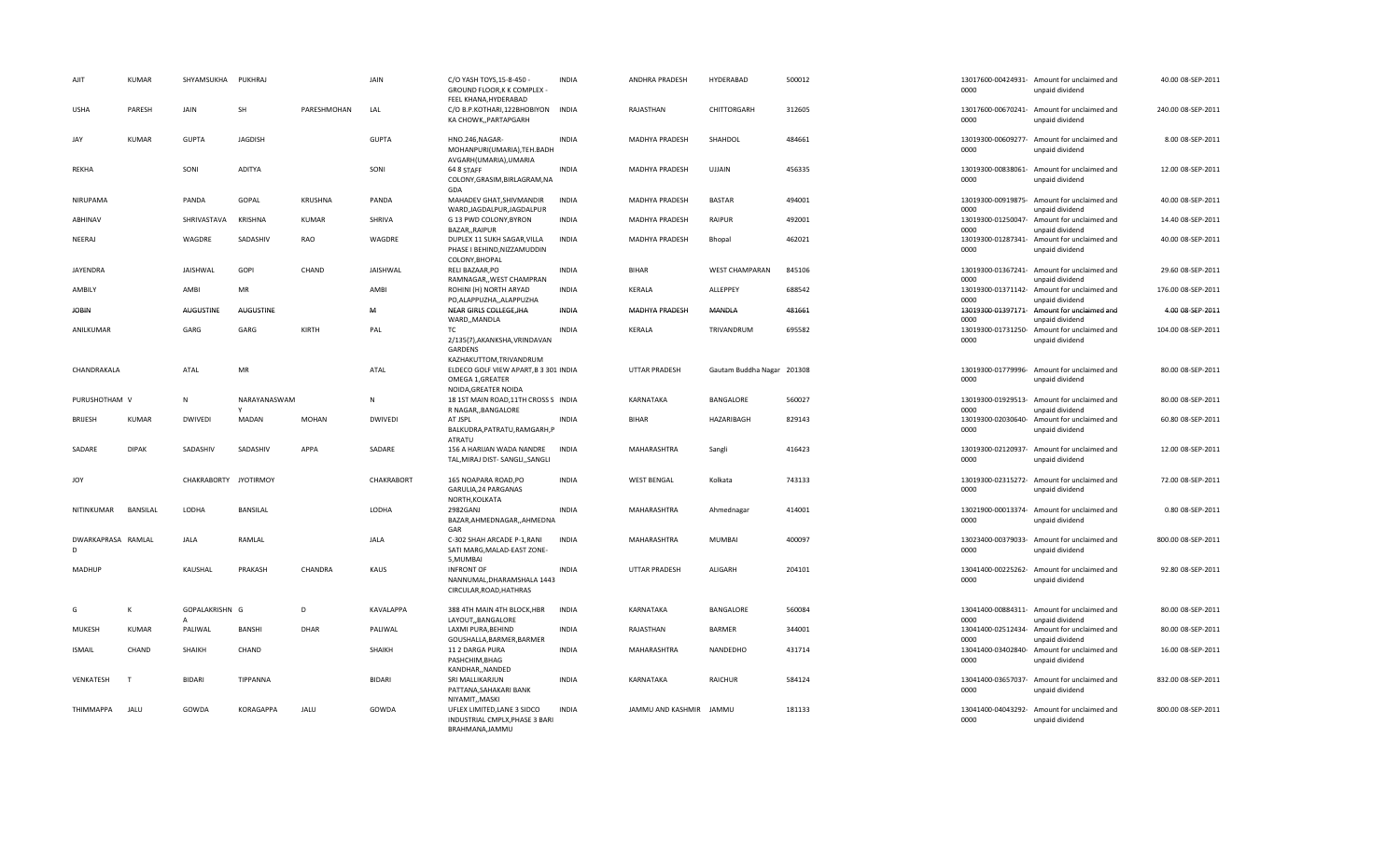| AJIT                    | <b>KUMAR</b> | SHYAMSUKHA PUKHRAJ    |                   |              | JAIN           | C/O YASH TOYS, 15-8-450 -<br>GROUND FLOOR, K K COMPLEX -<br>FEEL KHANA, HYDERABAD                            | <b>INDIA</b> | ANDHRA PRADESH          | HYDERABAD                  | 500012 | 0000                       | 13017600-00424931- Amount for unclaimed and<br>unpaid dividend | 40.00 08-SEP-2011  |
|-------------------------|--------------|-----------------------|-------------------|--------------|----------------|--------------------------------------------------------------------------------------------------------------|--------------|-------------------------|----------------------------|--------|----------------------------|----------------------------------------------------------------|--------------------|
| <b>USHA</b>             | PARESH       | <b>JAIN</b>           | <b>SH</b>         | PARESHMOHAN  | LAL            | C/O B.P.KOTHARI,122BHOBIYON INDIA<br>KA CHOWK, PARTAPGARH                                                    |              | RAJASTHAN               | CHITTORGARH                | 312605 | 0000                       | 13017600-00670241- Amount for unclaimed and<br>unpaid dividend | 240.00 08-SEP-2011 |
| JAY                     | <b>KUMAR</b> | <b>GUPTA</b>          | <b>JAGDISH</b>    |              | <b>GUPTA</b>   | HNO.246, NAGAR-<br>MOHANPURI(UMARIA), TEH. BADH<br>AVGARH(UMARIA), UMARIA                                    | <b>INDIA</b> | MADHYA PRADESH          | SHAHDOL                    | 484661 | 0000                       | 13019300-00609277- Amount for unclaimed and<br>unpaid dividend | 8.00 08-SEP-2011   |
| REKHA                   |              | SONI                  | <b>ADITYA</b>     |              | SONI           | 64 8 STAFF<br>COLONY, GRASIM, BIRLAGRAM, NA<br>GDA                                                           | <b>INDIA</b> | MADHYA PRADESH          | <b>UJJAIN</b>              | 456335 | 0000                       | 13019300-00838061- Amount for unclaimed and<br>unpaid dividend | 12.00 08-SEP-2011  |
| NIRUPAMA                |              | PANDA                 | GOPAL             | KRUSHNA      | PANDA          | MAHADEV GHAT, SHIV MANDIR<br>WARD, JAGDALPUR, JAGDALPUR                                                      | <b>INDIA</b> | MADHYA PRADESH          | <b>BASTAR</b>              | 494001 | 0000                       | 13019300-00919875- Amount for unclaimed and<br>unpaid dividend | 40.00 08-SEP-2011  |
| ABHINAV                 |              | SHRIVASTAVA           | KRISHNA           | <b>KUMAR</b> | SHRIVA         | G 13 PWD COLONY, BYRON<br>BAZAR,, RAIPUR                                                                     | <b>INDIA</b> | MADHYA PRADESH          | <b>RAIPUR</b>              | 492001 | 13019300-01250047-<br>0000 | Amount for unclaimed and<br>unpaid dividend                    | 14.40 08-SEP-2011  |
| NEERAJ                  |              | WAGDRE                | SADASHIV          | <b>RAO</b>   | WAGDRE         | DUPLEX 11 SUKH SAGAR, VILLA<br>PHASE I BEHIND, NIZZAMUDDIN<br>COLONY, BHOPAL                                 | <b>INDIA</b> | MADHYA PRADESH          | Bhopal                     | 462021 | 13019300-01287341-<br>0000 | Amount for unclaimed and<br>unpaid dividend                    | 40.00 08-SEP-2011  |
| JAYENDRA                |              | JAISHWAL              | GOPI              | CHAND        | JAISHWAL       | RELI BAZAAR, PO<br>RAMNAGAR,, WEST CHAMPRAN                                                                  | <b>INDIA</b> | <b>BIHAR</b>            | <b>WEST CHAMPARAN</b>      | 845106 | 0000                       | 13019300-01367241- Amount for unclaimed and<br>unpaid dividend | 29.60 08-SEP-2011  |
| AMBILY                  |              | AMBI                  | <b>MR</b>         |              | AMBI           | ROHINI (H) NORTH ARYAD<br>PO, ALAPPUZHA, , ALAPPUZHA                                                         | <b>INDIA</b> | <b>KERALA</b>           | ALLEPPEY                   | 688542 | 0000                       | 13019300-01371142- Amount for unclaimed and<br>unpaid dividend | 176.00 08-SEP-2011 |
| <b>JOBIN</b>            |              | <b>AUGUSTINE</b>      | <b>AUGUSTINE</b>  |              | M              | NEAR GIRLS COLLEGE, JHA<br>WARD,, MANDLA                                                                     | <b>INDIA</b> | <b>MADHYA PRADESH</b>   | MANDLA                     | 481661 | 13019300-01397171-<br>0000 | Amount for unclaimed and<br>unpaid dividend                    | 4.00 08-SEP-2011   |
| ANILKUMAR               |              | GARG                  | GARG              | KIRTH        | PAL            | TC<br>2/135(7), AKANKSHA, VRINDAVAN<br>GARDENS                                                               | <b>INDIA</b> | KERALA                  | TRIVANDRUM                 | 695582 | 13019300-01731250-<br>0000 | Amount for unclaimed and<br>unpaid dividend                    | 104.00 08-SEP-2011 |
| CHANDRAKALA             |              | ATAL                  | MR                |              | ATAL           | KAZHAKUTTOM, TRIVANDRUM<br>ELDECO GOLF VIEW APART, B 3 301 INDIA<br>OMEGA 1, GREATER<br>NOIDA, GREATER NOIDA |              | UTTAR PRADESH           | Gautam Buddha Nagar 201308 |        | 13019300-01779996-<br>0000 | Amount for unclaimed and<br>unpaid dividend                    | 80.00 08-SEP-2011  |
| PURUSHOTHAM V           |              | $\mathsf{N}$          | NARAYANASWAM<br>Y |              | N              | 18 1ST MAIN ROAD, 11TH CROSS S INDIA<br>R NAGAR, BANGALORE                                                   |              | KARNATAKA               | BANGALORE                  | 560027 | 0000                       | 13019300-01929513- Amount for unclaimed and<br>unpaid dividend | 80.00 08-SEP-2011  |
| <b>BRIJESH</b>          | <b>KUMAR</b> | <b>DWIVEDI</b>        | MADAN             | <b>MOHAN</b> | <b>DWIVEDI</b> | AT JSPL<br>BALKUDRA, PATRATU, RAMGARH, P<br><b>ATRATU</b>                                                    | <b>INDIA</b> | <b>BIHAR</b>            | HAZARIBAGH                 | 829143 | 13019300-02030640-<br>0000 | Amount for unclaimed and<br>unpaid dividend                    | 60.80 08-SEP-2011  |
| SADARE                  | <b>DIPAK</b> | SADASHIV              | SADASHIV          | APPA         | SADARE         | 156 A HARIJAN WADA NANDRE<br>TAL, MIRAJ DIST- SANGLI, , SANGLI                                               | INDIA        | MAHARASHTRA             | Sangli                     | 416423 | 13019300-02120937-<br>0000 | Amount for unclaimed and<br>unpaid dividend                    | 12.00 08-SEP-2011  |
| JOY                     |              | CHAKRABORTY JYOTIRMOY |                   |              | CHAKRABORT     | 165 NOAPARA ROAD, PO<br>GARULIA, 24 PARGANAS<br>NORTH, KOLKATA                                               | <b>INDIA</b> | <b>WEST BENGAL</b>      | Kolkata                    | 743133 | 0000                       | 13019300-02315272- Amount for unclaimed and<br>unpaid dividend | 72.00 08-SEP-2011  |
| NITINKUMAR              | BANSILAL     | LODHA                 | BANSILAL          |              | LODHA          | 2982GANJ<br>BAZAR, AHMEDNAGAR, , AHMEDNA<br>GAR                                                              | <b>INDIA</b> | MAHARASHTRA             | Ahmednagar                 | 414001 | 0000                       | 13021900-00013374- Amount for unclaimed and<br>unpaid dividend | 0.80 08-SEP-2011   |
| DWARKAPRASA RAMLAL<br>D |              | <b>JALA</b>           | RAMLAL            |              | <b>JALA</b>    | C-302 SHAH ARCADE P-1, RANI<br>SATI MARG, MALAD-EAST ZONE-<br>5.MUMBAI                                       | <b>INDIA</b> | <b>MAHARASHTRA</b>      | <b>MUMBAI</b>              | 400097 | 0000                       | 13023400-00379033- Amount for unclaimed and<br>unpaid dividend | 800.00 08-SEP-2011 |
| <b>MADHUP</b>           |              | KAUSHAL               | PRAKASH           | CHANDRA      | KAUS           | <b>INFRONT OF</b><br>NANNUMAL, DHARAMSHALA 1443<br>CIRCULAR, ROAD, HATHRAS                                   | <b>INDIA</b> | UTTAR PRADESH           | ALIGARH                    | 204101 | 0000                       | 13041400-00225262- Amount for unclaimed and<br>unpaid dividend | 92.80 08-SEP-2011  |
| G                       | К            | GOPALAKRISHN G<br>A   |                   | D            | KAVALAPPA      | 388 4TH MAIN 4TH BLOCK, HBR<br>LAYOUT,, BANGALORE                                                            | <b>INDIA</b> | KARNATAKA               | BANGALORE                  | 560084 | 0000                       | 13041400-00884311- Amount for unclaimed and<br>unpaid dividend | 80.00 08-SEP-2011  |
| MUKESH                  | <b>KUMAR</b> | PALIWAL               | <b>BANSHI</b>     | DHAR         | PALIWAL        | LAXMI PURA, BEHIND<br>GOUSHALLA, BARMER, BARMER                                                              | <b>INDIA</b> | RAJASTHAN               | BARMER                     | 344001 | 0000                       | 13041400-02512434- Amount for unclaimed and<br>unpaid dividend | 80.00 08-SEP-2011  |
| <b>ISMAIL</b>           | CHAND        | SHAIKH                | CHAND             |              | SHAIKH         | 11 2 DARGA PURA<br>PASHCHIM, BHAG<br>KANDHAR,, NANDED                                                        | <b>INDIA</b> | MAHARASHTRA             | NANDEDHO                   | 431714 | 0000                       | 13041400-03402840- Amount for unclaimed and<br>unpaid dividend | 16.00 08-SEP-2011  |
| VENKATESH               | T            | <b>BIDARI</b>         | TIPPANNA          |              | <b>BIDARI</b>  | SRI MALLIKARJUN<br>PATTANA, SAHAKARI BANK<br>NIYAMIT,, MASKI                                                 | <b>INDIA</b> | KARNATAKA               | <b>RAICHUR</b>             | 584124 | 13041400-03657037-<br>0000 | Amount for unclaimed and<br>unpaid dividend                    | 832.00 08-SEP-2011 |
| THIMMAPPA               | JALU         | GOWDA                 | <b>KORAGAPPA</b>  | <b>JALU</b>  | GOWDA          | UFLEX LIMITED, LANE 3 SIDCO<br>INDUSTRIAL CMPLX, PHASE 3 BARI<br>BRAHMANA, JAMMU                             | <b>INDIA</b> | JAMMU AND KASHMIR JAMMU |                            | 181133 | 0000                       | 13041400-04043292- Amount for unclaimed and<br>unpaid dividend | 800.00 08-SEP-2011 |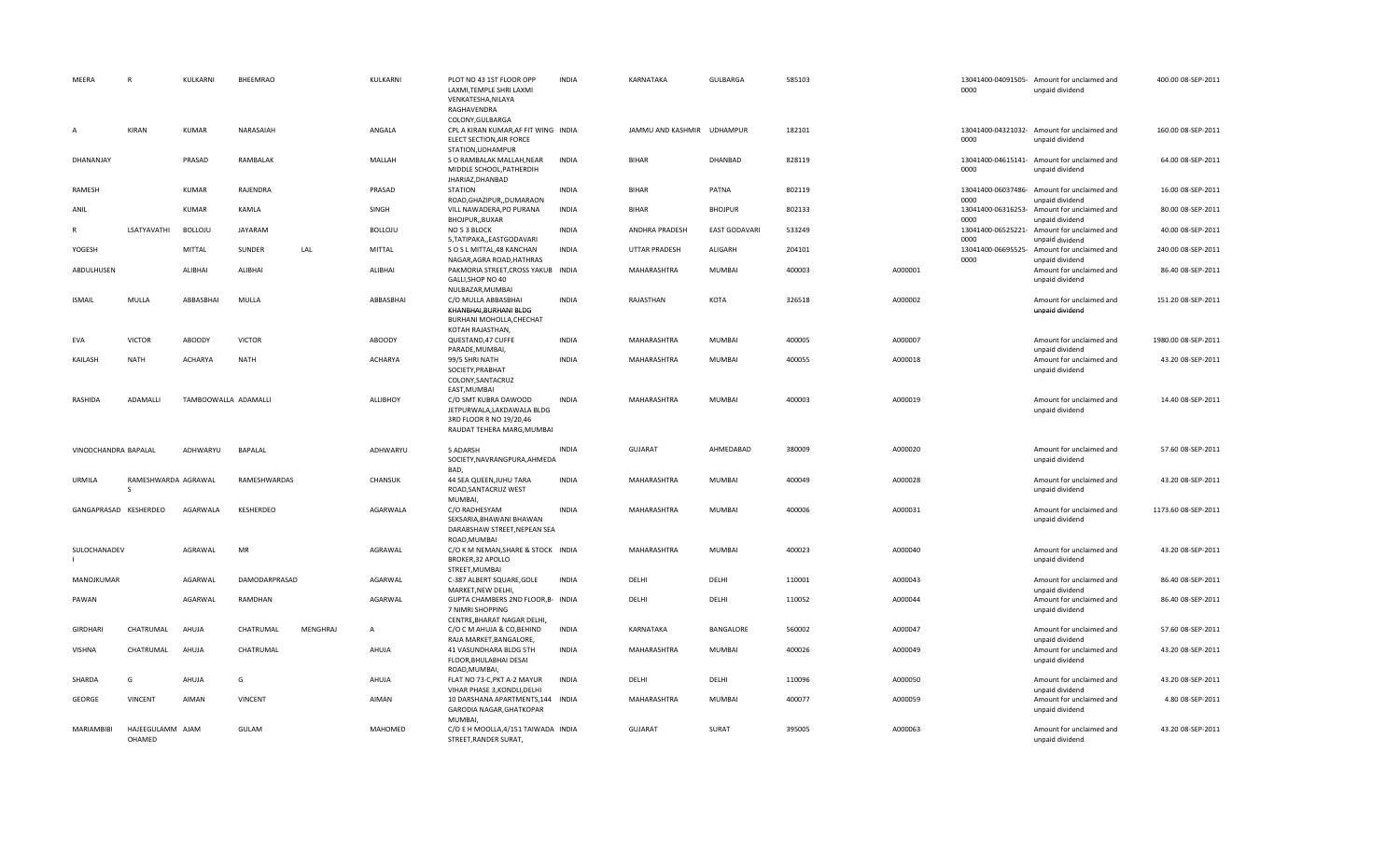| MEERA                 | $\mathsf{R}$               | KULKARNI             | BHEEMRAO       |                 | KULKARNI       | PLOT NO 43 1ST FLOOR OPP<br>LAXMI.TEMPLE SHRI LAXMI<br>VENKATESHA, NILAYA<br>RAGHAVENDRA                                   | <b>INDIA</b> | KARNATAKA                  | GULBARGA             | 585103 |         | 0000                               | 13041400-04091505- Amount for unclaimed and<br>unpaid dividend | 400.00 08-SEP-2011  |
|-----------------------|----------------------------|----------------------|----------------|-----------------|----------------|----------------------------------------------------------------------------------------------------------------------------|--------------|----------------------------|----------------------|--------|---------|------------------------------------|----------------------------------------------------------------|---------------------|
| $\overline{A}$        | <b>KIRAN</b>               | KUMAR                | NARASAIAH      |                 | ANGALA         | COLONY, GULBARGA<br>CPL A KIRAN KUMAR, AF FIT WING INDIA<br>ELECT SECTION, AIR FORCE<br>STATION, UDHAMPUR                  |              | JAMMU AND KASHMIR UDHAMPUR |                      | 182101 |         | 0000                               | 13041400-04321032- Amount for unclaimed and<br>unpaid dividend | 160.00 08-SEP-2011  |
| DHANANJAY             |                            | PRASAD               | RAMBALAK       |                 | MALLAH         | S O RAMBALAK MALLAH, NEAR<br>MIDDLE SCHOOL, PATHERDIH<br>JHARIAZ, DHANBAD                                                  | <b>INDIA</b> | <b>BIHAR</b>               | DHANBAD              | 828119 |         | 0000                               | 13041400-04615141- Amount for unclaimed and<br>unpaid dividend | 64.00 08-SEP-2011   |
| RAMESH                |                            | <b>KUMAR</b>         | RAJENDRA       |                 | PRASAD         | <b>STATION</b>                                                                                                             | <b>INDIA</b> | <b>BIHAR</b>               | PATNA                | 802119 |         | 13041400-06037486-                 | Amount for unclaimed and                                       | 16.00 08-SEP-2011   |
| ANIL                  |                            | KUMAR                | KAMLA          |                 | SINGH          | ROAD, GHAZIPUR, , DUMARAON<br>VILL NAWADERA, PO PURANA<br>BHOJPUR, BUXAR                                                   | <b>INDIA</b> | <b>BIHAR</b>               | <b>BHOJPUR</b>       | 802133 |         | 0000<br>13041400-06316253-<br>0000 | unpaid dividend<br>Amount for unclaimed and<br>unpaid dividend | 80.00 08-SEP-2011   |
| R                     | LSATYAVATHI                | <b>BOLLOJU</b>       | JAYARAM        |                 | <b>BOLLOJU</b> | NO 5 3 BLOCK<br>5, TATIPAKA,, EASTGODAVARI                                                                                 | <b>INDIA</b> | ANDHRA PRADESH             | <b>EAST GODAVARI</b> | 533249 |         | 13041400-06525221-<br>0000         | Amount for unclaimed and<br>unpaid dividend                    | 40.00 08-SEP-2011   |
| YOGESH                |                            | MITTAL               | SUNDER         | LAL             | <b>MITTAL</b>  | SO SL MITTAL, 48 KANCHAN<br>NAGAR, AGRA ROAD, HATHRAS                                                                      | <b>INDIA</b> | <b>UTTAR PRADESH</b>       | ALIGARH              | 204101 |         | 13041400-06695525-<br>0000         | Amount for unclaimed and<br>unpaid dividend                    | 240.00 08-SEP-2011  |
| ABDULHUSEN            |                            | ALIBHAI              | ALIBHAI        |                 | ALIBHAI        | PAKMORIA STREET, CROSS YAKUB INDIA<br>GALLI, SHOP NO 40                                                                    |              | MAHARASHTRA                | MUMBAI               | 400003 | A000001 |                                    | Amount for unclaimed and<br>unpaid dividend                    | 86.40 08-SEP-2011   |
| <b>ISMAIL</b>         | MULLA                      | ABBASBHAI            | MULLA          |                 | ABBASBHAI      | NULBAZAR, MUMBAI<br>C/O MULLA ABBASBHAI<br>KHANBHAI, BURHANI BLDG<br>BURHANI MOHOLLA, CHECHAT                              | <b>INDIA</b> | RAJASTHAN                  | KOTA                 | 326518 | A000002 |                                    | Amount for unclaimed and<br>unpaid dividend                    | 151.20 08-SEP-2011  |
| EVA                   | <b>VICTOR</b>              | ABOODY               | <b>VICTOR</b>  |                 | ABOODY         | KOTAH RAJASTHAN,<br>QUESTAND, 47 CUFFE<br>PARADE, MUMBAI,                                                                  | <b>INDIA</b> | MAHARASHTRA                | MUMBAI               | 400005 | A000007 |                                    | Amount for unclaimed and<br>unpaid dividend                    | 1980.00 08-SEP-2011 |
| KAILASH               | <b>NATH</b>                | <b>ACHARYA</b>       | <b>NATH</b>    |                 | <b>ACHARYA</b> | 99/5 SHRI NATH<br>SOCIETY, PRABHAT<br>COLONY, SANTACRUZ                                                                    | <b>INDIA</b> | MAHARASHTRA                | <b>MUMBAI</b>        | 400055 | A000018 |                                    | Amount for unclaimed and<br>unpaid dividend                    | 43.20 08-SEP-2011   |
| RASHIDA               | ADAMALLI                   | TAMBOOWALLA ADAMALLI |                |                 | ALLIBHOY       | EAST, MUMBAI<br>C/O SMT KUBRA DAWOOD<br>JETPURWALA,LAKDAWALA BLDG<br>3RD FLOOR R NO 19/20,46<br>RAUDAT TEHERA MARG, MUMBAI | <b>INDIA</b> | MAHARASHTRA                | MUMBAI               | 400003 | A000019 |                                    | Amount for unclaimed and<br>unpaid dividend                    | 14.40 08-SEP-2011   |
| VINODCHANDRA BAPALAL  |                            | ADHWARYU             | BAPALAL        |                 | ADHWARYU       | 5 ADARSH<br>SOCIETY, NAVRANGPURA, AHMEDA                                                                                   | <b>INDIA</b> | <b>GUJARAT</b>             | AHMEDABAD            | 380009 | A000020 |                                    | Amount for unclaimed and<br>unpaid dividend                    | 57.60 08-SEP-2011   |
| URMILA                | RAMESHWARDA AGRAWAL<br>S   |                      | RAMESHWARDAS   |                 | CHANSUK        | BAD,<br>44 SEA QUEEN, JUHU TARA<br>ROAD, SANTACRUZ WEST                                                                    | <b>INDIA</b> | MAHARASHTRA                | MUMBAI               | 400049 | A000028 |                                    | Amount for unclaimed and<br>unpaid dividend                    | 43.20 08-SEP-2011   |
| GANGAPRASAD KESHERDEO |                            | AGARWALA             | KESHERDEO      |                 | AGARWALA       | MUMBAI,<br>C/O RADHESYAM<br>SEKSARIA, BHAWANI BHAWAN<br>DARABSHAW STREET, NEPEAN SEA                                       | <b>INDIA</b> | MAHARASHTRA                | MUMBAI               | 400006 | A000031 |                                    | Amount for unclaimed and<br>unpaid dividend                    | 1173.60 08-SEP-2011 |
| SULOCHANADEV          |                            | AGRAWAL              | MR             |                 | AGRAWAL        | ROAD, MUMBAI<br>C/O K M NEMAN, SHARE & STOCK INDIA<br>BROKER, 32 APOLLO                                                    |              | MAHARASHTRA                | <b>MUMBAI</b>        | 400023 | A000040 |                                    | Amount for unclaimed and<br>unpaid dividend                    | 43.20 08-SEP-2011   |
| MANOJKUMAR            |                            | AGARWAL              | DAMODARPRASAD  |                 | AGARWAL        | STREET, MUMBAI<br>C-387 ALBERT SQUARE, GOLE<br>MARKET, NEW DELHI,                                                          | <b>INDIA</b> | DELHI                      | DELHI                | 110001 | A000043 |                                    | Amount for unclaimed and<br>unpaid dividend                    | 86.40 08-SEP-2011   |
| PAWAN                 |                            | AGARWAL              | RAMDHAN        |                 | AGARWAL        | GUPTA CHAMBERS 2ND FLOOR, B- INDIA<br>7 NIMRI SHOPPING                                                                     |              | DELHI                      | DELHI                | 110052 | A000044 |                                    | Amount for unclaimed and<br>unpaid dividend                    | 86.40 08-SEP-2011   |
| <b>GIRDHARI</b>       | CHATRUMAL                  | AHUJA                | CHATRUMAL      | <b>MENGHRAJ</b> | A              | CENTRE, BHARAT NAGAR DELHI,<br>C/O C M AHUJA & CO, BEHIND<br>RAJA MARKET, BANGALORE,                                       | <b>INDIA</b> | KARNATAKA                  | BANGALORE            | 560002 | A000047 |                                    | Amount for unclaimed and<br>unpaid dividend                    | 57.60 08-SEP-2011   |
| <b>VISHNA</b>         | CHATRUMAL                  | AHUJA                | CHATRUMAL      |                 | AHUJA          | 41 VASUNDHARA BLDG 5TH<br>FLOOR, BHULABHAI DESAI<br>ROAD, MUMBAI,                                                          | <b>INDIA</b> | MAHARASHTRA                | MUMBAI               | 400026 | A000049 |                                    | Amount for unclaimed and<br>unpaid dividend                    | 43.20 08-SEP-2011   |
| SHARDA                | G                          | AHUJA                | G              |                 | AHUJA          | FLAT NO 73-C, PKT A-2 MAYUR<br>VIHAR PHASE 3, KONDLI, DELHI                                                                | <b>INDIA</b> | DELHI                      | DELHI                | 110096 | A000050 |                                    | Amount for unclaimed and<br>unpaid dividend                    | 43.20 08-SEP-2011   |
| GEORGE                | VINCENT                    | AIMAN                | <b>VINCENT</b> |                 | AIMAN          | 10 DARSHANA APARTMENTS, 144 INDIA<br>GARODIA NAGAR, GHATKOPAR                                                              |              | MAHARASHTRA                | MUMBAI               | 400077 | A000059 |                                    | Amount for unclaimed and<br>unpaid dividend                    | 4.80 08-SEP-2011    |
| MARIAMBIBI            | HAJEEGULAMM AJAM<br>OHAMED |                      | GULAM          |                 | MAHOMED        | MUMBAI,<br>C/O E H MOOLLA, 4/151 TAIWADA INDIA<br>STREET, RANDER SURAT,                                                    |              | <b>GUJARAT</b>             | SURAT                | 395005 | A000063 |                                    | Amount for unclaimed and<br>unpaid dividend                    | 43.20 08-SEP-2011   |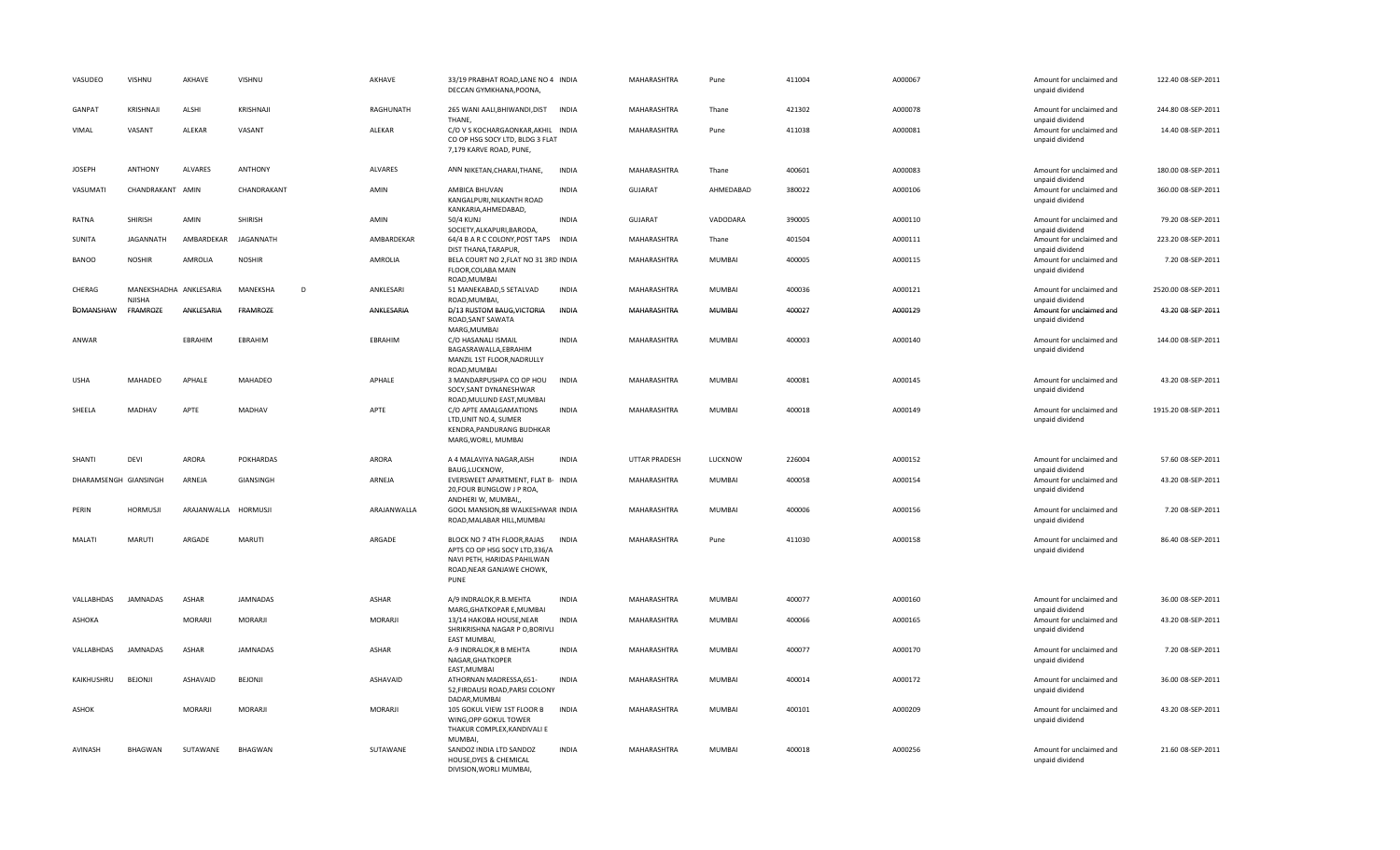| VASUDEO               | VISHNU                                  | AKHAVE               | VISHNU           | AKHAVE       | 33/19 PRABHAT ROAD, LANE NO 4 INDIA<br>DECCAN GYMKHANA, POONA,                                                                   |              | MAHARASHTRA          | Pune          | 411004 | A000067 | Amount for unclaimed and<br>unpaid dividend                    | 122.40 08-SEP-2011  |
|-----------------------|-----------------------------------------|----------------------|------------------|--------------|----------------------------------------------------------------------------------------------------------------------------------|--------------|----------------------|---------------|--------|---------|----------------------------------------------------------------|---------------------|
| GANPAT                | KRISHNAJI                               | ALSHI                | KRISHNAJI        | RAGHUNATH    | 265 WANI AALI, BHIWANDI, DIST<br>THANE,                                                                                          | <b>INDIA</b> | MAHARASHTRA          | Thane         | 421302 | A000078 | Amount for unclaimed and<br>unpaid dividend                    | 244.80 08-SEP-2011  |
| VIMAL                 | VASANT                                  | ALEKAR               | VASANT           | ALEKAR       | C/O V S KOCHARGAONKAR, AKHIL INDIA<br>CO OP HSG SOCY LTD, BLDG 3 FLAT<br>7,179 KARVE ROAD, PUNE,                                 |              | MAHARASHTRA          | Pune          | 411038 | A000081 | Amount for unclaimed and<br>unpaid dividend                    | 14.40 08-SEP-2011   |
| <b>JOSEPH</b>         | <b>ANTHONY</b>                          | <b>ALVARES</b>       | ANTHONY          | ALVARES      | ANN NIKETAN, CHARAI, THANE,                                                                                                      | <b>INDIA</b> | MAHARASHTRA          | Thane         | 400601 | A000083 | Amount for unclaimed and<br>unpaid dividend                    | 180.00 08-SEP-2011  |
| VASUMATI              | CHANDRAKANT AMIN                        |                      | CHANDRAKANT      | AMIN         | AMBICA BHUVAN<br>KANGALPURI, NILKANTH ROAD<br>KANKARIA, AHMEDABAD,                                                               | <b>INDIA</b> | <b>GUJARAT</b>       | AHMEDABAD     | 380022 | A000106 | Amount for unclaimed and<br>unpaid dividend                    | 360.00 08-SEP-2011  |
| RATNA                 | SHIRISH                                 | AMIN                 | SHIRISH          | AMIN         | 50/4 KUNJ<br>SOCIETY, ALKAPURI, BARODA,                                                                                          | <b>INDIA</b> | <b>GUJARAT</b>       | VADODARA      | 390005 | A000110 | Amount for unclaimed and<br>unpaid dividend                    | 79.20 08-SEP-2011   |
| SUNITA                | <b>JAGANNATH</b>                        | AMBARDEKAR           | JAGANNATH        | AMBARDEKAR   | 64/4 B A R C COLONY, POST TAPS INDIA<br>DIST THANA, TARAPUR,                                                                     |              | MAHARASHTRA          | Thane         | 401504 | A000111 | Amount for unclaimed and<br>unpaid dividend                    | 223.20 08-SEP-2011  |
| <b>BANOO</b>          | <b>NOSHIR</b>                           | AMROLIA              | <b>NOSHIR</b>    | AMROLIA      | BELA COURT NO 2, FLAT NO 31 3RD INDIA<br>FLOOR, COLABA MAIN<br>ROAD, MUMBAI                                                      |              | MAHARASHTRA          | MUMBAI        | 400005 | A000115 | Amount for unclaimed and<br>unpaid dividend                    | 7.20 08-SEP-2011    |
| CHERAG                | MANEKSHADHA ANKLESARIA<br><b>NJISHA</b> |                      | MANEKSHA<br>D    | ANKLESARI    | 51 MANEKABAD, 5 SETALVAD<br>ROAD, MUMBAI,                                                                                        | <b>INDIA</b> | MAHARASHTRA          | MUMBAI        | 400036 | A000121 | Amount for unclaimed and<br>unpaid dividend                    | 2520.00 08-SEP-2011 |
| BOMANSHAW             | FRAMROZE                                | ANKLESARIA           | FRAMROZE         | ANKLESARIA   | D/13 RUSTOM BAUG, VICTORIA<br>ROAD, SANT SAWATA<br>MARG, MUMBAI                                                                  | INDIA        | MAHARASHTRA          | MUMBAI        | 400027 | A000129 | Amount for unclaimed and<br>unpaid dividend                    | 43.20 08-SEP-2011   |
| ANWAR                 |                                         | EBRAHIM              | EBRAHIM          | EBRAHIM      | C/O HASANALI ISMAIL<br>BAGASRAWALLA, EBRAHIM<br>MANZIL 1ST FLOOR, NADRULLY<br>ROAD, MUMBAI                                       | <b>INDIA</b> | MAHARASHTRA          | MUMBAI        | 400003 | A000140 | Amount for unclaimed and<br>unpaid dividend                    | 144.00 08-SEP-2011  |
| <b>USHA</b>           | MAHADEO                                 | APHALE               | MAHADEO          | APHALE       | 3 MANDARPUSHPA CO OP HOU<br>SOCY, SANT DYNANESHWAR<br>ROAD, MULUND EAST, MUMBAI                                                  | <b>INDIA</b> | MAHARASHTRA          | MUMBAI        | 400081 | A000145 | Amount for unclaimed and<br>unpaid dividend                    | 43.20 08-SEP-2011   |
| SHEELA                | MADHAV                                  | APTE                 | MADHAV           | APTE         | C/O APTE AMALGAMATIONS<br>LTD, UNIT NO.4, SUMER<br>KENDRA, PANDURANG BUDHKAR<br>MARG, WORLI, MUMBAI                              | <b>INDIA</b> | MAHARASHTRA          | MUMBAI        | 400018 | A000149 | Amount for unclaimed and<br>unpaid dividend                    | 1915.20 08-SEP-2011 |
| SHANTI                | DEVI                                    | ARORA                | <b>POKHARDAS</b> | ARORA        | A 4 MALAVIYA NAGAR, AISH                                                                                                         | <b>INDIA</b> | <b>UTTAR PRADESH</b> | LUCKNOW       | 226004 | A000152 | Amount for unclaimed and                                       | 57.60 08-SEP-2011   |
| DHARAMSENGH GIANSINGH |                                         | ARNEJA               | GIANSINGH        | ARNEJA       | BAUG,LUCKNOW,<br>EVERSWEET APARTMENT, FLAT B- INDIA<br>20, FOUR BUNGLOW J P ROA,<br>ANDHERI W, MUMBAI,,                          |              | MAHARASHTRA          | MUMBAI        | 400058 | A000154 | unpaid dividend<br>Amount for unclaimed and<br>unpaid dividend | 43.20 08-SEP-2011   |
| PERIN                 | <b>HORMUSJI</b>                         | ARAJANWALLA HORMUSJI |                  | ARAJANWALLA  | GOOL MANSION, 88 WALKESHWAR INDIA<br>ROAD, MALABAR HILL, MUMBAI                                                                  |              | MAHARASHTRA          | MUMBAI        | 400006 | A000156 | Amount for unclaimed and<br>unpaid dividend                    | 7.20 08-SEP-2011    |
| MALATI                | MARUTI                                  | ARGADE               | <b>MARUTI</b>    | ARGADE       | BLOCK NO 7 4TH FLOOR, RAJAS<br>APTS CO OP HSG SOCY LTD,336/A<br>NAVI PETH, HARIDAS PAHILWAN<br>ROAD, NEAR GANJAWE CHOWK,<br>PUNE | <b>INDIA</b> | MAHARASHTRA          | Pune          | 411030 | A000158 | Amount for unclaimed and<br>unpaid dividend                    | 86.40 08-SEP-2011   |
| VALLABHDAS            | <b>JAMNADAS</b>                         | ASHAR                | JAMNADAS         | ASHAR        | A/9 INDRALOK, R.B. MEHTA<br>MARG, GHATKOPAR E, MUMBAI                                                                            | <b>INDIA</b> | MAHARASHTRA          | MUMBAI        | 400077 | A000160 | Amount for unclaimed and<br>unpaid dividend                    | 36.00 08-SEP-2011   |
| ASHOKA                |                                         | MORARJI              | MORARJI          | MORARJI      | 13/14 HAKOBA HOUSE, NEAR<br>SHRIKRISHNA NAGAR P O, BORIVLI<br><b>EAST MUMBAI</b>                                                 | <b>INDIA</b> | MAHARASHTRA          | MUMBAI        | 400066 | A000165 | Amount for unclaimed and<br>unpaid dividend                    | 43.20 08-SEP-2011   |
| VALLABHDAS            | JAMNADAS                                | ASHAR                | <b>JAMNADAS</b>  | <b>ASHAR</b> | A-9 INDRALOK, R B MEHTA<br>NAGAR, GHATKOPER<br>EAST, MUMBAI                                                                      | <b>INDIA</b> | MAHARASHTRA          | MUMBAI        | 400077 | A000170 | Amount for unclaimed and<br>unpaid dividend                    | 7.20 08-SEP-2011    |
| KAIKHUSHRU            | <b>BEJONJI</b>                          | ASHAVAID             | BEJONJI          | ASHAVAID     | ATHORNAN MADRESSA, 651-<br>52, FIRDAUSI ROAD, PARSI COLONY<br>DADAR, MUMBAI                                                      | <b>INDIA</b> | MAHARASHTRA          | <b>MUMBAI</b> | 400014 | A000172 | Amount for unclaimed and<br>unpaid dividend                    | 36.00 08-SEP-2011   |
| ASHOK                 |                                         | <b>MORARJI</b>       | MORARJI          | MORARJI      | 105 GOKUL VIEW 1ST FLOOR B<br>WING, OPP GOKUL TOWER<br>THAKUR COMPLEX, KANDIVALI E<br>MUMBAI,                                    | <b>INDIA</b> | MAHARASHTRA          | MUMBAI        | 400101 | A000209 | Amount for unclaimed and<br>unpaid dividend                    | 43.20 08-SEP-2011   |
| AVINASH               | <b>BHAGWAN</b>                          | SUTAWANE             | <b>BHAGWAN</b>   | SUTAWANE     | SANDOZ INDIA LTD SANDOZ<br>HOUSE, DYES & CHEMICAL<br>DIVISION, WORLI MUMBAI,                                                     | <b>INDIA</b> | MAHARASHTRA          | <b>MUMBAI</b> | 400018 | A000256 | Amount for unclaimed and<br>unpaid dividend                    | 21.60 08-SEP-2011   |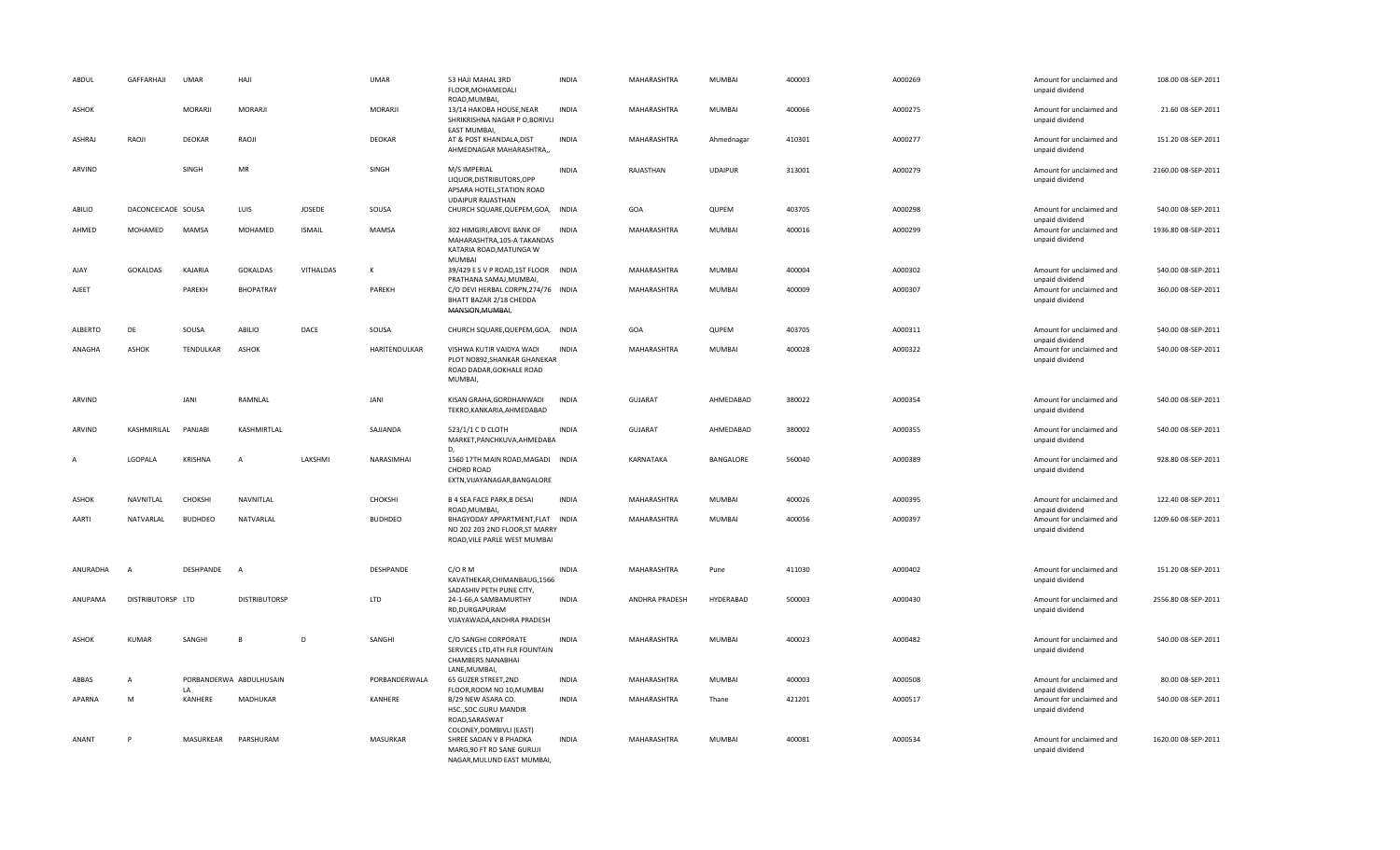| ABDUL          | GAFFARHAJI         | <b>UMAR</b>               | HAJI                    |                  | <b>UMAR</b>     | 53 HAJI MAHAL 3RD<br>FLOOR, MOHAMEDALI<br>ROAD, MUMBAI,                                                        | <b>INDIA</b> | MAHARASHTRA    | <b>MUMBAI</b>  | 400003 | A000269 | Amount for unclaimed and<br>unpaid dividend                    | 108.00 08-SEP-2011  |
|----------------|--------------------|---------------------------|-------------------------|------------------|-----------------|----------------------------------------------------------------------------------------------------------------|--------------|----------------|----------------|--------|---------|----------------------------------------------------------------|---------------------|
| ASHOK          |                    | MORARJI                   | MORARJI                 |                  | MORARJI         | 13/14 HAKOBA HOUSE, NEAR<br>SHRIKRISHNA NAGAR P O, BORIVLI<br>EAST MUMBAI,                                     | <b>INDIA</b> | MAHARASHTRA    | MUMBAI         | 400066 | A000275 | Amount for unclaimed and<br>unpaid dividend                    | 21.60 08-SEP-2011   |
| <b>ASHRAJ</b>  | RAOJI              | <b>DEOKAR</b>             | RAOJI                   |                  | <b>DEOKAR</b>   | AT & POST KHANDALA, DIST<br>AHMEDNAGAR MAHARASHTRA,,                                                           | <b>INDIA</b> | MAHARASHTRA    | Ahmednagar     | 410301 | A000277 | Amount for unclaimed and<br>unpaid dividend                    | 151.20 08-SEP-2011  |
| ARVIND         |                    | SINGH                     | MR                      |                  | SINGH           | M/S IMPERIAL<br>LIQUOR, DISTRIBUTORS, OPP<br>APSARA HOTEL, STATION ROAD<br><b>UDAIPUR RAJASTHAN</b>            | <b>INDIA</b> | RAJASTHAN      | <b>UDAIPUR</b> | 313001 | A000279 | Amount for unclaimed and<br>unpaid dividend                    | 2160.00 08-SEP-2011 |
| ABILIO         | DACONCEICAOE SOUSA |                           | LUIS                    | JOSEDE           | SOUSA           | CHURCH SQUARE, QUEPEM, GOA, INDIA                                                                              |              | GOA            | QUPEM          | 403705 | A000298 | Amount for unclaimed and<br>unpaid dividend                    | 540.00 08-SEP-2011  |
| AHMED          | MOHAMED            | <b>MAMSA</b>              | MOHAMED                 | <b>ISMAIL</b>    | <b>MAMSA</b>    | 302 HIMGIRI, ABOVE BANK OF<br>MAHARASHTRA, 105-A TAKANDAS<br>KATARIA ROAD, MATUNGA W<br><b>MUMBAI</b>          | <b>INDIA</b> | MAHARASHTRA    | MUMBAI         | 400016 | A000299 | Amount for unclaimed and<br>unpaid dividend                    | 1936.80 08-SEP-2011 |
| AJAY           | <b>GOKALDAS</b>    | KAJARIA                   | <b>GOKALDAS</b>         | <b>VITHALDAS</b> |                 | 39/429 E S V P ROAD, 1ST FLOOR INDIA<br>PRATHANA SAMAJ, MUMBAI,                                                |              | MAHARASHTRA    | <b>MUMBAI</b>  | 400004 | A000302 | Amount for unclaimed and<br>unpaid dividend                    | 540.00 08-SEP-2011  |
| AJEET          |                    | PAREKH                    | BHOPATRAY               |                  | PAREKH          | C/O DEVI HERBAL CORPN, 274/76 INDIA<br>BHATT BAZAR 2/18 CHEDDA<br>MANSION, MUMBAI,                             |              | MAHARASHTRA    | MUMBAI         | 400009 | A000307 | Amount for unclaimed and<br>unpaid dividend                    | 360.00 08-SEP-2011  |
| <b>ALBERTO</b> | DE                 | SOUSA                     | ABILIO                  | DACE             | SOUSA           | CHURCH SQUARE, QUEPEM, GOA, INDIA                                                                              |              | GOA            | QUPEM          | 403705 | A000311 | Amount for unclaimed and<br>unpaid dividend                    | 540.00 08-SEP-2011  |
| ANAGHA         | ASHOK              | TENDULKAR                 | <b>ASHOK</b>            |                  | HARITENDULKAR   | VISHWA KUTIR VAIDYA WADI<br>PLOT NO892, SHANKAR GHANEKAR<br>ROAD DADAR, GOKHALE ROAD<br><b>MUMBAI</b>          | <b>INDIA</b> | MAHARASHTRA    | MUMBAI         | 400028 | A000322 | Amount for unclaimed and<br>unpaid dividend                    | 540.00 08-SEP-2011  |
| ARVIND         |                    | <b>JANI</b>               | RAMNLAL                 |                  | JANI            | KISAN GRAHA, GORDHANWADI<br>TEKRO, KANKARIA, AHMEDABAD                                                         | <b>INDIA</b> | <b>GUJARAT</b> | AHMEDABAD      | 380022 | A000354 | Amount for unclaimed and<br>unpaid dividend                    | 540.00 08-SEP-2011  |
| ARVIND         | KASHMIRILAL        | PANJABI                   | KASHMIRTLAL             |                  | SAJJANDA        | 523/1/1 C D CLOTH<br>MARKET, PANCHKUVA, AHMEDABA<br>D,                                                         | <b>INDIA</b> | <b>GUJARAT</b> | AHMEDABAD      | 380002 | A000355 | Amount for unclaimed and<br>unpaid dividend                    | 540.00 08-SEP-2011  |
| $\overline{A}$ | LGOPALA            | KRISHNA                   | $\overline{A}$          | LAKSHMI          | NARASIMHAI      | 1560 17TH MAIN ROAD, MAGADI INDIA<br><b>CHORD ROAD</b><br>EXTN, VIJAYANAGAR, BANGALORE                         |              | KARNATAKA      | BANGALORE      | 560040 | A000389 | Amount for unclaimed and<br>unpaid dividend                    | 928.80 08-SEP-2011  |
| ASHOK          | NAVNITLAL          | CHOKSHI                   | NAVNITLAL               |                  | CHOKSHI         | <b>B 4 SEA FACE PARK, B DESAI</b><br>ROAD, MUMBAI,                                                             | <b>INDIA</b> | MAHARASHTRA    | <b>MUMBAI</b>  | 400026 | A000395 | Amount for unclaimed and<br>unpaid dividend                    | 122.40 08-SEP-2011  |
| AARTI          | NATVARLAL          | <b>BUDHDEO</b>            | NATVARLAL               |                  | <b>BUDHDEO</b>  | BHAGYODAY APPARTMENT, FLAT INDIA<br>NO 202 203 2ND FLOOR, ST MARRY<br>ROAD, VILE PARLE WEST MUMBAI             |              | MAHARASHTRA    | <b>MUMBAI</b>  | 400056 | A000397 | Amount for unclaimed and<br>unpaid dividend                    | 1209.60 08-SEP-2011 |
| ANURADHA       | $\overline{A}$     | DESHPANDE                 | $\overline{A}$          |                  | DESHPANDE       | $C/O$ R M<br>KAVATHEKAR, CHIMANBAUG, 1566<br>SADASHIV PETH PUNE CITY,                                          | <b>INDIA</b> | MAHARASHTRA    | Pune           | 411030 | A000402 | Amount for unclaimed and<br>unpaid dividend                    | 151.20 08-SEP-2011  |
| ANUPAMA        | DISTRIBUTORSP LTD  |                           | <b>DISTRIBUTORSP</b>    |                  | LTD             | 24-1-66, A SAMBAMURTHY<br>RD, DURGAPURAM<br>VIJAYAWADA, ANDHRA PRADESH                                         | <b>INDIA</b> | ANDHRA PRADESH | HYDERABAD      | 500003 | A000430 | Amount for unclaimed and<br>unpaid dividend                    | 2556.80 08-SEP-2011 |
| ASHOK          | <b>KUMAR</b>       | SANGHI                    | B                       | D                | SANGHI          | C/O SANGHI CORPORATE<br>SERVICES LTD, 4TH FLR FOUNTAIN<br><b>CHAMBERS NANABHAI</b>                             | <b>INDIA</b> | MAHARASHTRA    | <b>MUMBAI</b>  | 400023 | A000482 | Amount for unclaimed and<br>unpaid dividend                    | 540.00 08-SEP-2011  |
| ABBAS          | $\mathsf{A}$       |                           | PORBANDERWA ABDULHUSAIN |                  | PORBANDERWALA   | LANE, MUMBAI,<br>65 GUZER STREET, 2ND                                                                          | <b>INDIA</b> | MAHARASHTRA    | <b>MUMBAI</b>  | 400003 | A000508 | Amount for unclaimed and                                       | 80.00 08-SEP-2011   |
| APARNA         | M                  | $\mathsf{I}$ A<br>KANHERE | MADHUKAR                |                  | KANHERE         | FLOOR, ROOM NO 10, MUMBAI<br>B/29 NEW ASARA CO.<br>HSC., SOC. GURU MANDIR<br>ROAD, SARASWAT                    | <b>INDIA</b> | MAHARASHTRA    | Thane          | 421201 | A000517 | unpaid dividend<br>Amount for unclaimed and<br>unpaid dividend | 540.00 08-SEP-2011  |
| ANANT          | P                  | MASURKEAR                 | PARSHURAM               |                  | <b>MASURKAR</b> | COLONEY, DOMBIVLI (EAST)<br>SHREE SADAN V B PHADKA<br>MARG, 90 FT RD SANE GURUJI<br>NAGAR, MULUND EAST MUMBAI, | <b>INDIA</b> | MAHARASHTRA    | <b>MUMBAI</b>  | 400081 | A000534 | Amount for unclaimed and<br>unpaid dividend                    | 1620.00 08-SEP-2011 |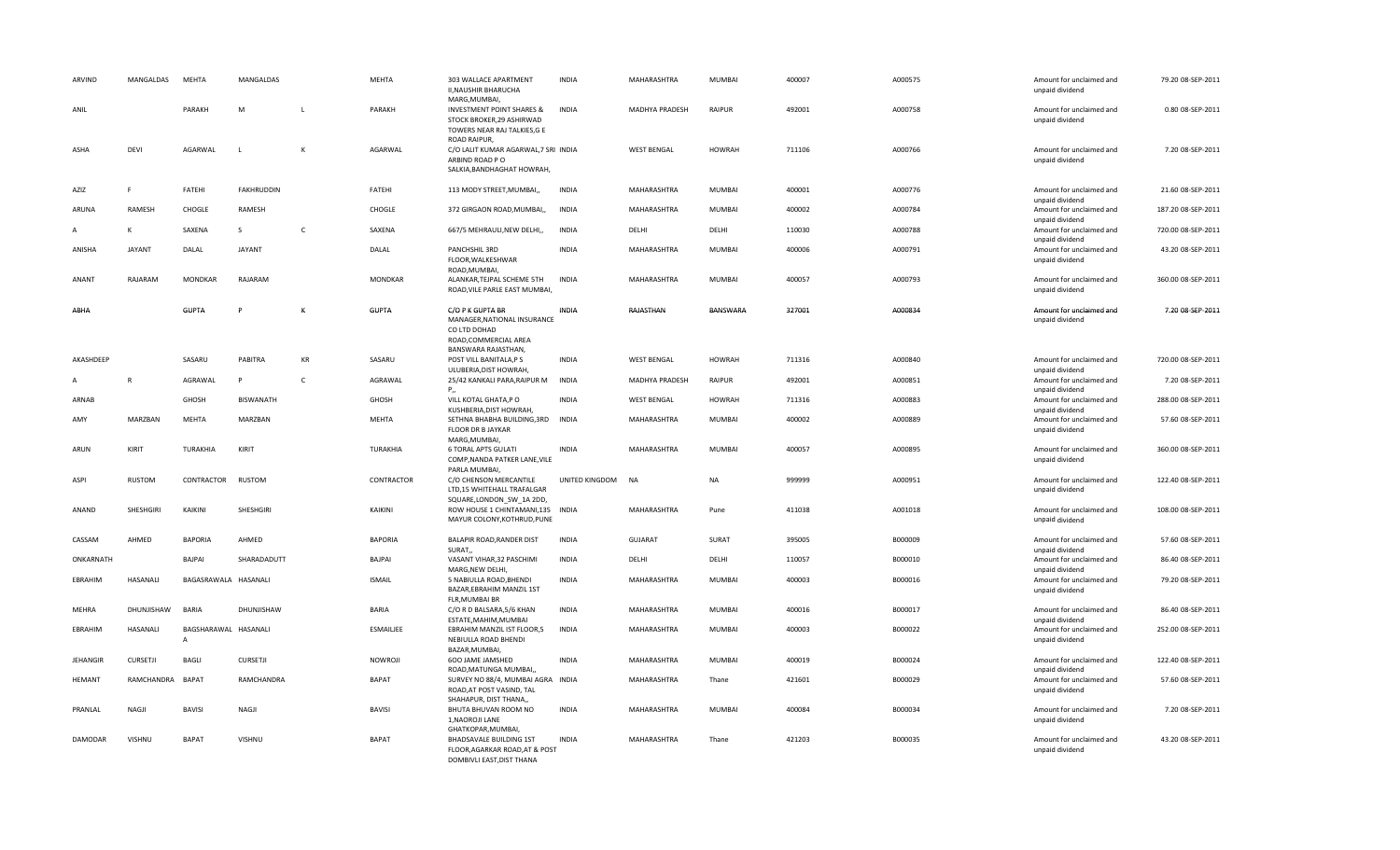| ARVIND          | MANGALDAS       | MEHTA                                  | MANGALDAS         |                      | MEHTA          | 303 WALLACE APARTMENT<br>II, NAUSHIR BHARUCHA<br>MARG, MUMBAI,                                       | <b>INDIA</b>   | MAHARASHTRA        | MUMBAI        | 400007 | A000575 | Amount for unclaimed and<br>unpaid dividend                    | 79.20 08-SEP-2011  |
|-----------------|-----------------|----------------------------------------|-------------------|----------------------|----------------|------------------------------------------------------------------------------------------------------|----------------|--------------------|---------------|--------|---------|----------------------------------------------------------------|--------------------|
| ANIL            |                 | PARAKH                                 | M                 | L.                   | PARAKH         | <b>INVESTMENT POINT SHARES &amp;</b><br>STOCK BROKER.29 ASHIRWAD<br>TOWERS NEAR RAJ TALKIES, G E     | <b>INDIA</b>   | MADHYA PRADESH     | RAIPUR        | 492001 | A000758 | Amount for unclaimed and<br>unpaid dividend                    | 0.80 08-SEP-2011   |
| ASHA            | <b>DEVI</b>     | AGARWAL                                |                   | K                    | AGARWAL        | ROAD RAIPUR,<br>C/O LALIT KUMAR AGARWAL, 7 SRI INDIA<br>ARBIND ROAD PO<br>SALKIA, BANDHAGHAT HOWRAH, |                | <b>WEST BENGAL</b> | <b>HOWRAH</b> | 711106 | A000766 | Amount for unclaimed and<br>unpaid dividend                    | 7.20 08-SEP-2011   |
| AZIZ            | F.              | FATEHI                                 | <b>FAKHRUDDIN</b> |                      | FATEHI         | 113 MODY STREET, MUMBAI,                                                                             | <b>INDIA</b>   | MAHARASHTRA        | MUMBAI        | 400001 | A000776 | Amount for unclaimed and                                       | 21.60 08-SEP-2011  |
| ARUNA           | RAMESH          | CHOGLE                                 | RAMESH            |                      | CHOGLE         | 372 GIRGAON ROAD, MUMBAI,                                                                            | <b>INDIA</b>   | MAHARASHTRA        | MUMBAI        | 400002 | A000784 | unpaid dividend<br>Amount for unclaimed and                    | 187.20 08-SEP-2011 |
| A               | к               | SAXENA                                 | S                 | C                    | SAXENA         | 667/5 MEHRAULI, NEW DELHI,,                                                                          | <b>INDIA</b>   | DELHI              | DELHI         | 110030 | A000788 | unpaid dividend<br>Amount for unclaimed and<br>unpaid dividend | 720.00 08-SEP-2011 |
| ANISHA          | <b>JAYANT</b>   | DALAL                                  | <b>JAYANT</b>     |                      | DALAL          | PANCHSHIL 3RD<br>FLOOR, WALKESHWAR<br>ROAD, MUMBAI,                                                  | <b>INDIA</b>   | MAHARASHTRA        | MUMBAI        | 400006 | A000791 | Amount for unclaimed and<br>unpaid dividend                    | 43.20 08-SEP-2011  |
| ANANT           | RAJARAM         | MONDKAR                                | RAJARAM           |                      | MONDKAR        | ALANKAR, TEJPAL SCHEME 5TH<br>ROAD, VILE PARLE EAST MUMBAI,                                          | <b>INDIA</b>   | MAHARASHTRA        | MUMBAI        | 400057 | A000793 | Amount for unclaimed and<br>unpaid dividend                    | 360.00 08-SEP-2011 |
| ABHA            |                 | <b>GUPTA</b>                           | p                 | K                    | <b>GUPTA</b>   | C/O P K GUPTA BR<br>MANAGER, NATIONAL INSURANCE<br>CO LTD DOHAD<br>ROAD, COMMERCIAL AREA             | INDIA          | RAJASTHAN          | BANSWARA      | 327001 | A000834 | Amount for unclaimed and<br>unpaid dividend                    | 7.20 08-SEP-2011   |
| AKASHDEEF       |                 | SASARU                                 | PABITRA           | $\mathsf{KR}\xspace$ | SASARU         | BANSWARA RAJASTHAN,<br>POST VILL BANITALA, PS<br>ULUBERIA, DIST HOWRAH,                              | <b>INDIA</b>   | <b>WEST BENGAL</b> | <b>HOWRAH</b> | 711316 | A000840 | Amount for unclaimed and<br>unpaid dividend                    | 720.00 08-SEP-2011 |
| A               | $\mathbb{R}$    | AGRAWAL                                | P                 | $\mathsf{C}$         | AGRAWAL        | 25/42 KANKALI PARA, RAIPUR M<br>P.,                                                                  | <b>INDIA</b>   | MADHYA PRADESH     | RAIPUR        | 492001 | A000851 | Amount for unclaimed and<br>unpaid dividend                    | 7.20 08-SEP-2011   |
| ARNAB           |                 | GHOSH                                  | BISWANATH         |                      | GHOSH          | VILL KOTAL GHATA, PO<br>KUSHBERIA, DIST HOWRAH,                                                      | <b>INDIA</b>   | <b>WEST BENGAL</b> | <b>HOWRAH</b> | 711316 | A000883 | Amount for unclaimed and<br>unpaid dividend                    | 288.00 08-SEP-2011 |
| AMY             | MARZBAN         | MEHTA                                  | MARZBAN           |                      | MEHTA          | SETHNA BHABHA BUILDING, 3RD<br><b>FLOOR DR B JAYKAR</b><br>MARG, MUMBAI,                             | <b>INDIA</b>   | MAHARASHTRA        | MUMBAI        | 400002 | A000889 | Amount for unclaimed and<br>unpaid dividend                    | 57.60 08-SEP-2011  |
| ARUN            | KIRIT           | TURAKHIA                               | KIRIT             |                      | TURAKHIA       | <b>6 TORAL APTS GULATI</b><br>COMP, NANDA PATKER LANE, VILE<br>PARLA MUMBAI,                         | <b>INDIA</b>   | MAHARASHTRA        | MUMBAI        | 400057 | A000895 | Amount for unclaimed and<br>unpaid dividend                    | 360.00 08-SEP-2011 |
| ASPI            | <b>RUSTOM</b>   | CONTRACTOR                             | RUSTOM            |                      | CONTRACTOR     | C/O CHENSON MERCANTILE<br>LTD,15 WHITEHALL TRAFALGAR<br>SQUARE, LONDON_SW_1A 2DD,                    | UNITED KINGDOM | <b>NA</b>          | <b>NA</b>     | 999999 | A000951 | Amount for unclaimed and<br>unpaid dividend                    | 122.40 08-SEP-2011 |
| ANAND           | SHESHGIRI       | KAIKINI                                | SHESHGIRI         |                      | KAIKINI        | ROW HOUSE 1 CHINTAMANI,135 INDIA<br>MAYUR COLONY, KOTHRUD, PUNE                                      |                | MAHARASHTRA        | Pune          | 411038 | A001018 | Amount for unclaimed and<br>unpaid dividend                    | 108.00 08-SEP-2011 |
| CASSAM          | AHMED           | <b>BAPORIA</b>                         | AHMED             |                      | <b>BAPORIA</b> | BALAPIR ROAD, RANDER DIST<br>SURAT.                                                                  | INDIA          | GUJARAT            | SURAT         | 395005 | B000009 | Amount for unclaimed and<br>unpaid dividend                    | 57.60 08-SEP-2011  |
| ONKARNATH       |                 | BAJPAI                                 | SHARADADUTT       |                      | BAJPAI         | VASANT VIHAR, 32 PASCHIMI<br>MARG, NEW DELHI,                                                        | <b>INDIA</b>   | DELHI              | DELHI         | 110057 | B000010 | Amount for unclaimed and<br>unpaid dividend                    | 86.40 08-SEP-2011  |
| EBRAHIM         | HASANALI        | BAGASRAWALA HASANALI                   |                   |                      | <b>ISMAIL</b>  | 5 NABIULLA ROAD, BHENDI<br>BAZAR, EBRAHIM MANZIL 1ST<br>FLR, MUMBAI BR                               | <b>INDIA</b>   | MAHARASHTRA        | MUMBAI        | 400003 | B000016 | Amount for unclaimed and<br>unpaid dividend                    | 79.20 08-SEP-2011  |
| <b>MEHRA</b>    | DHUNJISHAW      | <b>BARIA</b>                           | DHUNJISHAW        |                      | <b>BARIA</b>   | C/O R D BALSARA, 5/6 KHAN<br>ESTATE, MAHIM, MUMBAI                                                   | <b>INDIA</b>   | MAHARASHTRA        | MUMBAI        | 400016 | B000017 | Amount for unclaimed and<br>unpaid dividend                    | 86.40 08-SEP-2011  |
| EBRAHIM         | HASANALI        | BAGSHARAWAL HASANALI<br>$\overline{A}$ |                   |                      | ESMAILIEE      | EBRAHIM MANZIL IST FLOOR,5<br>NEBIULLA ROAD BHENDI<br>BAZAR, MUMBAI,                                 | <b>INDIA</b>   | MAHARASHTRA        | <b>MUMBAI</b> | 400003 | B000022 | Amount for unclaimed and<br>unpaid dividend                    | 252.00 08-SEP-2011 |
| <b>JEHANGIR</b> | <b>CURSETJI</b> | <b>BAGLI</b>                           | <b>CURSETJI</b>   |                      | NOWROJI        | 600 JAME JAMSHED<br>ROAD, MATUNGA MUMBAI,                                                            | <b>INDIA</b>   | MAHARASHTRA        | MUMBAI        | 400019 | B000024 | Amount for unclaimed and<br>unpaid dividend                    | 122.40 08-SEP-2011 |
| <b>HEMANT</b>   | RAMCHANDRA      | <b>BAPAT</b>                           | RAMCHANDRA        |                      | <b>BAPAT</b>   | SURVEY NO 88/4, MUMBAI AGRA INDIA<br>ROAD, AT POST VASIND, TAL<br>SHAHAPUR, DIST THANA,,             |                | MAHARASHTRA        | Thane         | 421601 | B000029 | Amount for unclaimed and<br>unpaid dividend                    | 57.60 08-SEP-2011  |
| PRANLAL         | NAGJI           | <b>BAVISI</b>                          | NAGJI             |                      | <b>BAVISI</b>  | BHUTA BHUVAN ROOM NO<br>1, NAOROJI LANE<br>GHATKOPAR, MUMBAI,                                        | <b>INDIA</b>   | MAHARASHTRA        | MUMBAI        | 400084 | B000034 | Amount for unclaimed and<br>unpaid dividend                    | 7.20 08-SEP-2011   |
| DAMODAR         | VISHNU          | <b>BAPAT</b>                           | VISHNU            |                      | <b>BAPAT</b>   | BHADSAVALE BUILDING 1ST<br>FLOOR, AGARKAR ROAD, AT & POST<br>DOMBIVLI EAST.DIST THANA                | <b>INDIA</b>   | MAHARASHTRA        | Thane         | 421203 | B000035 | Amount for unclaimed and<br>unpaid dividend                    | 43.20 08-SEP-2011  |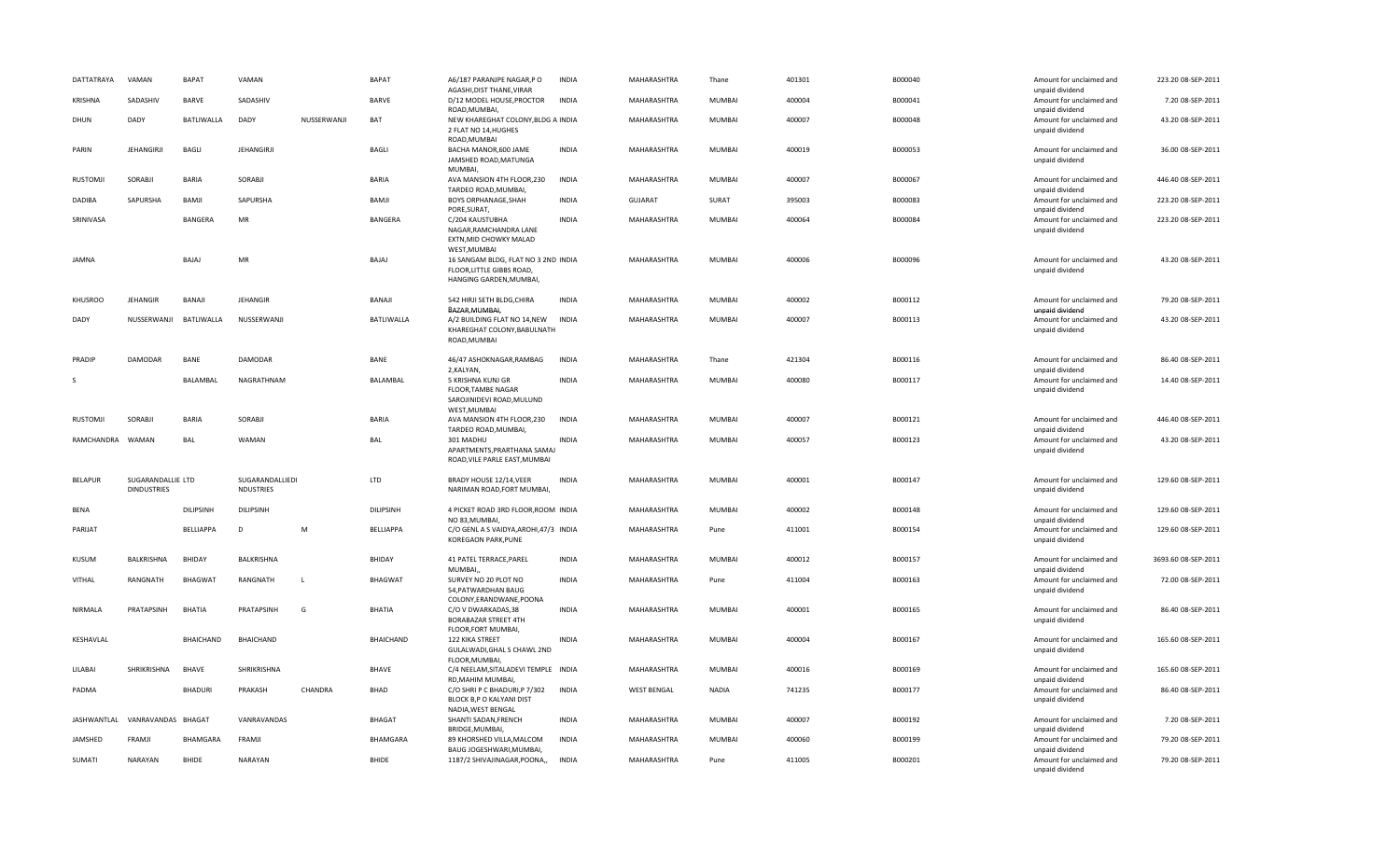| DATTATRAYA       | VAMAN                                   | <b>BAPAT</b>     | VAMAN                               |             | <b>BAPAT</b>     | A6/187 PARANJPE NAGAR,P O<br>AGASHI, DIST THANE, VIRAR                                                      | <b>INDIA</b> | MAHARASHTRA        | Thane         | 401301 | B000040 | Amount for unclaimed and<br>unpaid dividend                    | 223.20 08-SEP-2011  |
|------------------|-----------------------------------------|------------------|-------------------------------------|-------------|------------------|-------------------------------------------------------------------------------------------------------------|--------------|--------------------|---------------|--------|---------|----------------------------------------------------------------|---------------------|
| KRISHNA          | SADASHIV                                | <b>BARVE</b>     | SADASHIV                            |             | <b>BARVE</b>     | D/12 MODEL HOUSE, PROCTOR<br>ROAD, MUMBAI,                                                                  | <b>INDIA</b> | MAHARASHTRA        | MUMBAI        | 400004 | B000041 | Amount for unclaimed and<br>unpaid dividend                    | 7.20 08-SEP-2011    |
| DHUN             | DADY                                    | BATLIWALLA       | DADY                                | NUSSERWANJI | BAT              | NEW KHAREGHAT COLONY, BLDG A INDIA<br>2 FLAT NO 14, HUGHES<br>ROAD, MUMBAI                                  |              | MAHARASHTRA        | MUMBAI        | 400007 | B000048 | Amount for unclaimed and<br>unpaid dividend                    | 43.20 08-SEP-2011   |
| PARIN            | <b>JEHANGIRJI</b>                       | <b>BAGLI</b>     | <b>JEHANGIRJI</b>                   |             | <b>BAGLI</b>     | BACHA MANOR, 600 JAME<br>JAMSHED ROAD, MATUNGA                                                              | <b>INDIA</b> | MAHARASHTRA        | <b>MUMBAI</b> | 400019 | B000053 | Amount for unclaimed and<br>unpaid dividend                    | 36.00 08-SEP-2011   |
| RUSTOMJI         | SORABJI                                 | <b>BARIA</b>     | SORABJI                             |             | <b>BARIA</b>     | MUMBAI,<br>AVA MANSION 4TH FLOOR, 230<br>TARDEO ROAD, MUMBAI,                                               | <b>INDIA</b> | MAHARASHTRA        | MUMBAI        | 400007 | B000067 | Amount for unclaimed and<br>unpaid dividend                    | 446.40 08-SEP-2011  |
| DADIBA           | SAPURSHA                                | BAMJI            | SAPURSHA                            |             | BAMJI            | <b>BOYS ORPHANAGE, SHAH</b><br>PORE, SURAT,                                                                 | <b>INDIA</b> | GUJARAT            | SURAT         | 395003 | B000083 | Amount for unclaimed and<br>unpaid dividend                    | 223.20 08-SEP-2011  |
| SRINIVASA        |                                         | <b>BANGERA</b>   | <b>MR</b>                           |             | BANGERA          | C/204 KAUSTUBHA<br>NAGAR, RAMCHANDRA LANE<br>EXTN, MID CHOWKY MALAD                                         | <b>INDIA</b> | MAHARASHTRA        | <b>MUMBAI</b> | 400064 | B000084 | Amount for unclaimed and<br>unpaid dividend                    | 223.20 08-SEP-2011  |
| JAMNA            |                                         | BAJAJ            | MR                                  |             | BAJAJ            | WEST, MUMBAI<br>16 SANGAM BLDG, FLAT NO 3 2ND INDIA<br>FLOOR, LITTLE GIBBS ROAD,<br>HANGING GARDEN, MUMBAI, |              | MAHARASHTRA        | MUMBAI        | 400006 | B000096 | Amount for unclaimed and<br>unpaid dividend                    | 43.20 08-SEP-2011   |
| <b>KHUSROO</b>   | <b>JEHANGIR</b>                         | BANAJI           | <b>JEHANGIR</b>                     |             | BANAJI           | 542 HIRJI SETH BLDG.CHIRA<br>BAZAR, MUMBAI,                                                                 | <b>INDIA</b> | MAHARASHTRA        | <b>MUMBAI</b> | 400002 | B000112 | Amount for unclaimed and<br>unpaid dividend                    | 79.20 08-SEP-2011   |
| DADY             | NUSSERWANJI BATLIWALLA                  |                  | NUSSERWANJI                         |             | BATLIWALLA       | A/2 BUILDING FLAT NO 14, NEW<br>KHAREGHAT COLONY, BABULNATH<br>ROAD, MUMBAI                                 | <b>INDIA</b> | MAHARASHTRA        | MUMBAI        | 400007 | B000113 | Amount for unclaimed and<br>unpaid dividend                    | 43.20 08-SEP-2011   |
| PRADIP           | <b>DAMODAR</b>                          | <b>BANE</b>      | DAMODAR                             |             | <b>BANE</b>      | 46/47 ASHOKNAGAR, RAMBAG                                                                                    | <b>INDIA</b> | MAHARASHTRA        | Thane         | 421304 | B000116 | Amount for unclaimed and                                       | 86.40 08-SEP-2011   |
| -S               |                                         | <b>BALAMBAL</b>  | NAGRATHNAM                          |             | BALAMBAL         | 2, KALYAN,<br>5 KRISHNA KUNJ GR<br>FLOOR, TAMBE NAGAR<br>SAROJINIDEVI ROAD, MULUND                          | INDIA        | MAHARASHTRA        | MUMBAI        | 400080 | B000117 | unpaid dividend<br>Amount for unclaimed and<br>unpaid dividend | 14.40 08-SEP-2011   |
| RUSTOMJI         | SORABI                                  | <b>BARIA</b>     | SORABJI                             |             | <b>BARIA</b>     | WEST, MUMBAI<br>AVA MANSION 4TH FLOOR, 230<br>TARDEO ROAD, MUMBAI,                                          | <b>INDIA</b> | MAHARASHTRA        | <b>MUMBAI</b> | 400007 | B000121 | Amount for unclaimed and<br>unpaid dividend                    | 446.40 08-SEP-2011  |
| RAMCHANDRA WAMAN |                                         | BAL              | WAMAN                               |             | BAL              | 301 MADHU<br>APARTMENTS, PRARTHANA SAMAJ<br>ROAD, VILE PARLE EAST, MUMBAI                                   | <b>INDIA</b> | MAHARASHTRA        | MUMBAI        | 400057 | B000123 | Amount for unclaimed and<br>unpaid dividend                    | 43.20 08-SEP-2011   |
| <b>BELAPUR</b>   | SUGARANDALLIE LTD<br><b>DINDUSTRIES</b> |                  | SUGARANDALLIEDI<br><b>NDUSTRIES</b> |             | LTD              | BRADY HOUSE 12/14, VEER<br>NARIMAN ROAD.FORT MUMBAI.                                                        | <b>INDIA</b> | MAHARASHTRA        | MUMBAI        | 400001 | B000147 | Amount for unclaimed and<br>unpaid dividend                    | 129.60 08-SEP-2011  |
| <b>BENA</b>      |                                         | <b>DILIPSINH</b> | DILIPSINH                           |             | DILIPSINH        | 4 PICKET ROAD 3RD FLOOR, ROOM INDIA<br>NO 83, MUMBAI,                                                       |              | MAHARASHTRA        | MUMBAI        | 400002 | B000148 | Amount for unclaimed and<br>unpaid dividend                    | 129.60 08-SEP-2011  |
| PARIJAT          |                                         | BELLIAPPA        | D                                   | M           | BELLIAPPA        | C/O GENL A S VAIDYA, AROHI, 47/3 INDIA<br>KOREGAON PARK, PUNE                                               |              | MAHARASHTRA        | Pune          | 411001 | B000154 | Amount for unclaimed and<br>unpaid dividend                    | 129.60 08-SEP-2011  |
| KUSUM            | BALKRISHNA                              | BHIDAY           | BALKRISHNA                          |             | BHIDAY           | 41 PATEL TERRACE, PAREL<br>MUMBAI,                                                                          | <b>INDIA</b> | MAHARASHTRA        | MUMBAI        | 400012 | B000157 | Amount for unclaimed and<br>unpaid dividend                    | 3693.60 08-SEP-2011 |
| <b>VITHAL</b>    | RANGNATH                                | <b>BHAGWAT</b>   | RANGNATH                            | L           | <b>BHAGWAT</b>   | SURVEY NO 20 PLOT NO<br>54, PATWARDHAN BAUG<br>COLONY, ERANDWANE, POONA                                     | <b>INDIA</b> | MAHARASHTRA        | Pune          | 411004 | B000163 | Amount for unclaimed and<br>unpaid dividend                    | 72.00 08-SEP-2011   |
| <b>NIRMALA</b>   | PRATAPSINH                              | <b>BHATIA</b>    | PRATAPSINH                          | G           | <b>BHATIA</b>    | C/O V DWARKADAS,38<br><b>BORABAZAR STREET 4TH</b><br>FLOOR, FORT MUMBAI,                                    | <b>INDIA</b> | MAHARASHTRA        | <b>MUMBAI</b> | 400001 | B000165 | Amount for unclaimed and<br>unpaid dividend                    | 86.40 08-SEP-2011   |
| KESHAVLAL        |                                         | <b>BHAICHAND</b> | <b>BHAICHAND</b>                    |             | <b>BHAICHAND</b> | 122 KIKA STREET<br>GULALWADI, GHAL S CHAWL 2ND<br>FLOOR, MUMBAI,                                            | <b>INDIA</b> | MAHARASHTRA        | MUMBAI        | 400004 | B000167 | Amount for unclaimed and<br>unpaid dividend                    | 165.60 08-SEP-2011  |
| LILABAI          | SHRIKRISHNA                             | <b>BHAVE</b>     | SHRIKRISHNA                         |             | BHAVE            | C/4 NEELAM, SITALADEVI TEMPLE INDIA<br>RD.MAHIM MUMBAI.                                                     |              | MAHARASHTRA        | MUMBAI        | 400016 | B000169 | Amount for unclaimed and<br>unpaid dividend                    | 165.60 08-SEP-2011  |
| PADMA            |                                         | <b>BHADURI</b>   | PRAKASH                             | CHANDRA     | BHAD             | C/O SHRI P C BHADURI, P 7/302<br>BLOCK B,P O KALYANI DIST<br>NADIA, WEST BENGAL                             | <b>INDIA</b> | <b>WEST BENGAL</b> | <b>NADIA</b>  | 741235 | B000177 | Amount for unclaimed and<br>unpaid dividend                    | 86.40 08-SEP-2011   |
| JASHWANTLAL      | VANRAVANDAS BHAGAT                      |                  | VANRAVANDAS                         |             | <b>BHAGAT</b>    | SHANTI SADAN, FRENCH<br>BRIDGE, MUMBAI,                                                                     | <b>INDIA</b> | MAHARASHTRA        | <b>MUMBAI</b> | 400007 | B000192 | Amount for unclaimed and<br>unpaid dividend                    | 7.20 08-SEP-2011    |
| JAMSHED          | FRAMJI                                  | BHAMGARA         | FRAMJI                              |             | BHAMGARA         | 89 KHORSHED VILLA, MALCOM<br>BAUG JOGESHWARI, MUMBAI,                                                       | <b>INDIA</b> | MAHARASHTRA        | MUMBAI        | 400060 | B000199 | Amount for unclaimed and<br>unpaid dividend                    | 79.20 08-SEP-2011   |
| SUMATI           | NARAYAN                                 | <b>BHIDE</b>     | NARAYAN                             |             | <b>BHIDE</b>     | 1187/2 SHIVAJINAGAR, POONA,,                                                                                | <b>INDIA</b> | MAHARASHTRA        | Pune          | 411005 | B000201 | Amount for unclaimed and<br>unpaid dividend                    | 79.20 08-SEP-2011   |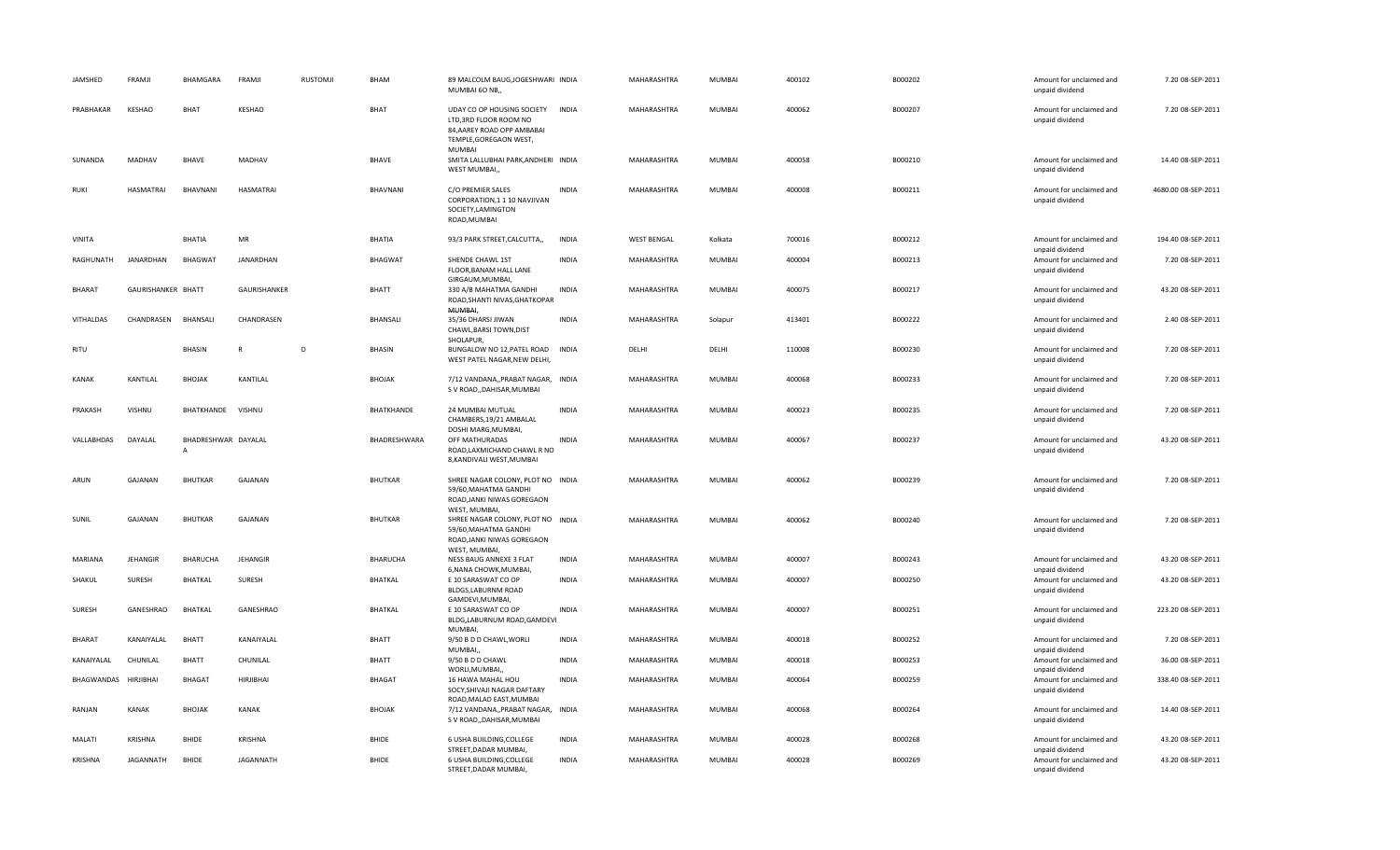| JAMSHED          | FRAMJI             | BHAMGARA                 | FRAMJI           | <b>RUSTOMJI</b> | BHAM            | 89 MALCOLM BAUG, JOGESHWARI INDIA<br>MUMBAI 60 NB,,                                                                                 |              | MAHARASHTRA        | <b>MUMBAI</b> | 400102 | B000202 | Amount for unclaimed and<br>unpaid dividend                    | 7.20 08-SEP-2011    |
|------------------|--------------------|--------------------------|------------------|-----------------|-----------------|-------------------------------------------------------------------------------------------------------------------------------------|--------------|--------------------|---------------|--------|---------|----------------------------------------------------------------|---------------------|
| PRABHAKAR        | KESHAO             | BHAT                     | <b>KESHAO</b>    |                 | <b>BHAT</b>     | UDAY CO OP HOUSING SOCIETY INDIA<br>LTD, 3RD FLOOR ROOM NO<br>84, AAREY ROAD OPP AMBABAI<br>TEMPLE, GOREGAON WEST,<br><b>MUMBAI</b> |              | MAHARASHTRA        | MUMBAI        | 400062 | B000207 | Amount for unclaimed and<br>unpaid dividend                    | 7.20 08-SEP-2011    |
| SUNANDA          | MADHAV             | <b>BHAVE</b>             | MADHAV           |                 | <b>BHAVE</b>    | SMITA LALLUBHAI PARK, ANDHERI INDIA<br>WEST MUMBAI,,                                                                                |              | MAHARASHTRA        | MUMBAI        | 400058 | B000210 | Amount for unclaimed and<br>unpaid dividend                    | 14.40 08-SEP-2011   |
| <b>RUKI</b>      | <b>HASMATRAI</b>   | BHAVNANI                 | <b>HASMATRAI</b> |                 | BHAVNANI        | C/O PREMIER SALES<br>CORPORATION, 1 1 10 NAVJIVAN<br>SOCIETY, LAMINGTON<br>ROAD, MUMBAI                                             | <b>INDIA</b> | MAHARASHTRA        | <b>MUMBAI</b> | 400008 | B000211 | Amount for unclaimed and<br>unpaid dividend                    | 4680.00 08-SEP-2011 |
| VINITA           |                    | <b>BHATIA</b>            | MR               |                 | <b>BHATIA</b>   | 93/3 PARK STREET, CALCUTTA,,                                                                                                        | <b>INDIA</b> | <b>WEST BENGAL</b> | Kolkata       | 700016 | B000212 | Amount for unclaimed and<br>unpaid dividend                    | 194.40 08-SEP-2011  |
| RAGHUNATH        | JANARDHAN          | <b>BHAGWAT</b>           | JANARDHAN        |                 | <b>BHAGWAT</b>  | SHENDE CHAWL 1ST<br>FLOOR, BANAM HALL LANE<br>GIRGAUM, MUMBAI,                                                                      | <b>INDIA</b> | MAHARASHTRA        | MUMBAI        | 400004 | B000213 | Amount for unclaimed and<br>unpaid dividend                    | 7.20 08-SEP-2011    |
| <b>BHARAT</b>    | GAURISHANKER BHATT |                          | GAURISHANKER     |                 | <b>BHATT</b>    | 330 A/B MAHATMA GANDHI<br>ROAD, SHANTI NIVAS, GHATKOPAR<br>MUMBAI,                                                                  | <b>INDIA</b> | MAHARASHTRA        | <b>MUMBAI</b> | 400075 | B000217 | Amount for unclaimed and<br>unpaid dividend                    | 43.20 08-SEP-2011   |
| <b>VITHALDAS</b> | CHANDRASEN         | BHANSALI                 | CHANDRASEN       |                 | BHANSALI        | 35/36 DHARSI JIWAN<br>CHAWL, BARSI TOWN, DIST<br>SHOLAPUR,                                                                          | <b>INDIA</b> | MAHARASHTRA        | Solapur       | 413401 | B000222 | Amount for unclaimed and<br>unpaid dividend                    | 2.40 08-SEP-2011    |
| RITU             |                    | <b>BHASIN</b>            | $\mathsf{R}$     | D               | <b>BHASIN</b>   | BUNGALOW NO 12, PATEL ROAD INDIA<br>WEST PATEL NAGAR, NEW DELHI,                                                                    |              | DELHI              | DELHI         | 110008 | B000230 | Amount for unclaimed and<br>unpaid dividend                    | 7.20 08-SEP-2011    |
| KANAK            | KANTILAL           | <b>BHOJAK</b>            | KANTILAL         |                 | <b>BHOJAK</b>   | 7/12 VANDANA,, PRABAT NAGAR, INDIA<br>S V ROAD, DAHISAR, MUMBAI                                                                     |              | MAHARASHTRA        | MUMBAI        | 400068 | B000233 | Amount for unclaimed and<br>unpaid dividend                    | 7.20 08-SEP-2011    |
| PRAKASH          | VISHNU             | BHATKHANDE               | <b>VISHNU</b>    |                 | BHATKHANDE      | 24 MUMBAI MUTUAL<br>CHAMBERS, 19/21 AMBALAL<br>DOSHI MARG, MUMBAI,                                                                  | <b>INDIA</b> | <b>MAHARASHTRA</b> | <b>MUMBAI</b> | 400023 | B000235 | Amount for unclaimed and<br>unpaid dividend                    | 7.20 08-SEP-2011    |
| VALLABHDAS       | DAYALAL            | BHADRESHWAR DAYALAL<br>A |                  |                 | BHADRESHWARA    | OFF MATHURADAS<br>ROAD, LAXMICHAND CHAWL R NO<br>8, KANDIVALI WEST, MUMBAI                                                          | <b>INDIA</b> | MAHARASHTRA        | <b>MUMBAI</b> | 400067 | B000237 | Amount for unclaimed and<br>unpaid dividend                    | 43.20 08-SEP-2011   |
| ARUN             | GAJANAN            | <b>BHUTKAR</b>           | GAJANAN          |                 | <b>BHUTKAR</b>  | SHREE NAGAR COLONY, PLOT NO INDIA<br>59/60, MAHATMA GANDHI<br>ROAD, JANKI NIWAS GOREGAON<br>WEST, MUMBAI,                           |              | MAHARASHTRA        | <b>MUMBAI</b> | 400062 | B000239 | Amount for unclaimed and<br>unpaid dividend                    | 7.20 08-SEP-2011    |
| SUNIL            | <b>GAJANAN</b>     | BHUTKAR                  | GAJANAN          |                 | <b>BHUTKAR</b>  | SHREE NAGAR COLONY, PLOT NO INDIA<br>59/60, MAHATMA GANDHI<br>ROAD, JANKI NIWAS GOREGAON<br>WEST, MUMBAI,                           |              | MAHARASHTRA        | <b>MUMBAI</b> | 400062 | B000240 | Amount for unclaimed and<br>unpaid dividend                    | 7.20 08-SEP-2011    |
| MARIANA          | <b>JEHANGIR</b>    | BHARUCHA                 | <b>JEHANGIR</b>  |                 | <b>BHARUCHA</b> | NESS BAUG ANNEXE 3 FLAT<br>6, NANA CHOWK, MUMBAI,                                                                                   | <b>INDIA</b> | MAHARASHTRA        | <b>MUMBAI</b> | 400007 | B000243 | Amount for unclaimed and                                       | 43.20 08-SEP-2011   |
| SHAKUL           | SURESH             | BHATKAL                  | <b>SURESH</b>    |                 | BHATKAL         | E 10 SARASWAT CO OP<br>BLDGS,LABURNM ROAD<br>GAMDEVI, MUMBAI,                                                                       | <b>INDIA</b> | MAHARASHTRA        | MUMBAI        | 400007 | B000250 | unpaid dividend<br>Amount for unclaimed and<br>unpaid dividend | 43.20 08-SEP-2011   |
| SURESH           | GANESHRAO          | BHATKAL                  | GANESHRAO        |                 | <b>BHATKAL</b>  | E 10 SARASWAT CO OP<br>BLDG,LABURNUM ROAD,GAMDEVI<br><b>MUMBAI</b>                                                                  | <b>INDIA</b> | MAHARASHTRA        | <b>MUMBAI</b> | 400007 | B000251 | Amount for unclaimed and<br>unpaid dividend                    | 223.20 08-SEP-2011  |
| <b>BHARAT</b>    | KANAIYALAL         | <b>BHATT</b>             | KANAIYALAL       |                 | <b>BHATT</b>    | 9/50 B D D CHAWL, WORLI                                                                                                             | <b>INDIA</b> | MAHARASHTRA        | <b>MUMBAI</b> | 400018 | B000252 | Amount for unclaimed and                                       | 7.20 08-SEP-2011    |
| KANAIYALAL       | CHUNILAL           | <b>BHATT</b>             | CHUNILAL         |                 | BHATT           | MUMBAI,<br>9/50 B D D CHAWL                                                                                                         | <b>INDIA</b> | MAHARASHTRA        | MUMBAI        | 400018 | B000253 | unpaid dividend<br>Amount for unclaimed and                    | 36.00 08-SEP-2011   |
| BHAGWANDAS       | HIRJIBHAI          | <b>BHAGAT</b>            | <b>HIRJIBHAI</b> |                 | <b>BHAGAT</b>   | WORLI, MUMBAI,,<br>16 HAWA MAHAL HOU<br>SOCY, SHIVAJI NAGAR DAFTARY                                                                 | <b>INDIA</b> | MAHARASHTRA        | <b>MUMBAI</b> | 400064 | B000259 | unpaid dividend<br>Amount for unclaimed and<br>unpaid dividend | 338.40 08-SEP-2011  |
| RANJAN           | <b>KANAK</b>       | <b>BHOJAK</b>            | <b>KANAK</b>     |                 | <b>BHOJAK</b>   | ROAD, MALAD EAST, MUMBAI<br>7/12 VANDANA,, PRABAT NAGAR, INDIA<br>S V ROAD, DAHISAR, MUMBAI                                         |              | MAHARASHTRA        | MUMBAI        | 400068 | B000264 | Amount for unclaimed and<br>unpaid dividend                    | 14.40 08-SEP-2011   |
| MALATI           | <b>KRISHNA</b>     | <b>BHIDE</b>             | KRISHNA          |                 | <b>BHIDE</b>    | 6 USHA BUILDING, COLLEGE                                                                                                            | <b>INDIA</b> | MAHARASHTRA        | <b>MUMBAI</b> | 400028 | B000268 | Amount for unclaimed and                                       | 43.20 08-SEP-2011   |
| KRISHNA          | JAGANNATH          | <b>BHIDE</b>             | <b>JAGANNATH</b> |                 | <b>BHIDE</b>    | STREET, DADAR MUMBAI,<br>6 USHA BUILDING, COLLEGE<br>STREET, DADAR MUMBAI,                                                          | <b>INDIA</b> | MAHARASHTRA        | <b>MUMBAI</b> | 400028 | B000269 | unpaid dividend<br>Amount for unclaimed and<br>unpaid dividend | 43.20 08-SEP-2011   |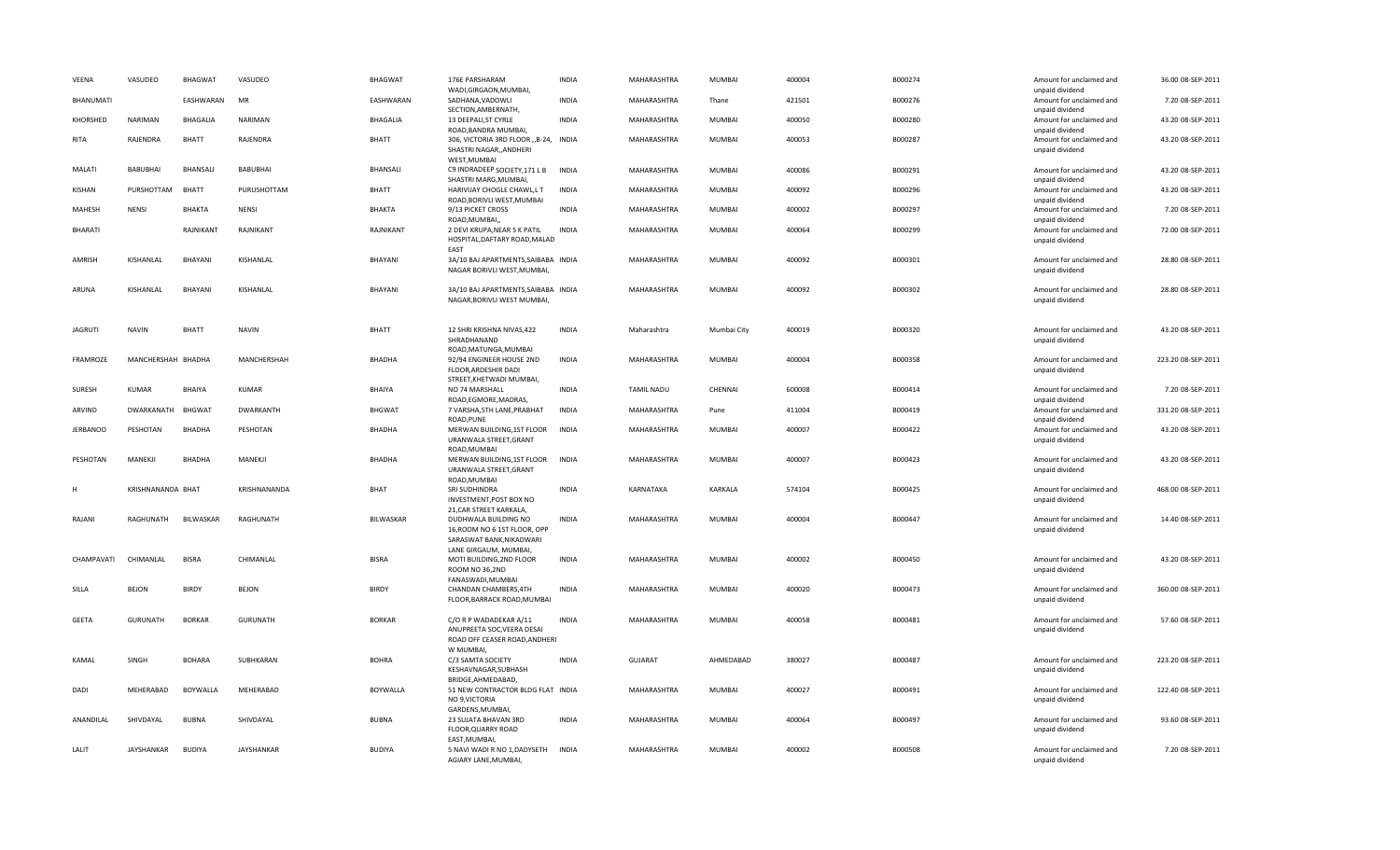| VEENA           | VASUDEO            | <b>BHAGWAT</b>  | VASUDEO         | BHAGWAT         | 176E PARSHARAM<br>WADI, GIRGAON, MUMBAI,                                                                  | <b>INDIA</b> | MAHARASHTRA        | MUMBAI        | 400004 | B000274 | Amount for unclaimed and<br>unpaid dividend | 36.00 08-SEP-2011  |
|-----------------|--------------------|-----------------|-----------------|-----------------|-----------------------------------------------------------------------------------------------------------|--------------|--------------------|---------------|--------|---------|---------------------------------------------|--------------------|
| BHANUMATI       |                    | EASHWARAN       | MR              | EASHWARAN       | SADHANA, VADOWLI<br>SECTION, AMBERNATH,                                                                   | <b>INDIA</b> | MAHARASHTRA        | Thane         | 421501 | B000276 | Amount for unclaimed and<br>unpaid dividend | 7.20 08-SEP-2011   |
| KHORSHED        | <b>NARIMAN</b>     | <b>BHAGALIA</b> | <b>NARIMAN</b>  | BHAGALIA        | 13 DEEPALI, ST CYRLE<br>ROAD.BANDRA MUMBAI.                                                               | <b>INDIA</b> | MAHARASHTRA        | MUMBAI        | 400050 | B000280 | Amount for unclaimed and<br>unpaid dividend | 43.20 08-SEP-2011  |
| RITA            | RAJENDRA           | <b>BHATT</b>    | RAJENDRA        | <b>BHATT</b>    | 306, VICTORIA 3RD FLOOR , B-24, INDIA<br>SHASTRI NAGAR, ANDHERI<br>WEST, MUMBAI                           |              | MAHARASHTRA        | MUMBAI        | 400053 | B000287 | Amount for unclaimed and<br>unpaid dividend | 43.20 08-SEP-2011  |
| MALATI          | BABUBHAI           | <b>BHANSALI</b> | BABUBHAI        | BHANSALI        | C9 INDRADEEP SOCIETY, 171 L B<br>SHASTRI MARG, MUMBAI,                                                    | <b>INDIA</b> | MAHARASHTRA        | MUMBAI        | 400086 | B000291 | Amount for unclaimed and<br>unpaid dividend | 43.20 08-SEP-2011  |
| KISHAN          | PURSHOTTAM         | <b>BHATT</b>    | PURUSHOTTAM     | BHATT           | HARIVIJAY CHOGLE CHAWL,L T<br>ROAD, BORIVLI WEST, MUMBAI                                                  | <b>INDIA</b> | MAHARASHTRA        | MUMBAI        | 400092 | B000296 | Amount for unclaimed and<br>unpaid dividend | 43.20 08-SEP-2011  |
| MAHESH          | NENSI              | BHAKTA          | <b>NENSI</b>    | BHAKTA          | 9/13 PICKET CROSS<br>ROAD, MUMBAI,                                                                        | <b>INDIA</b> | MAHARASHTRA        | MUMBAI        | 400002 | B000297 | Amount for unclaimed and<br>unpaid dividend | 7.20 08-SEP-2011   |
| BHARATI         |                    | RAJNIKANT       | RAJNIKANT       | RAJNIKANT       | 2 DEVI KRUPA, NEAR S K PATIL<br>HOSPITAL, DAFTARY ROAD, MALAD<br>FAST                                     | <b>INDIA</b> | MAHARASHTRA        | MUMBAI        | 400064 | B000299 | Amount for unclaimed and<br>unpaid dividend | 72.00 08-SEP-2011  |
| <b>AMRISH</b>   | KISHANLAL          | <b>BHAYANI</b>  | KISHANLAL       | BHAYANI         | 3A/10 BAJ APARTMENTS, SAIBABA INDIA<br>NAGAR BORIVLI WEST, MUMBAI,                                        |              | <b>MAHARASHTRA</b> | MUMBAI        | 400092 | B000301 | Amount for unclaimed and<br>unpaid dividend | 28.80 08-SEP-2011  |
| ARUNA           | KISHANLAL          | BHAYANI         | KISHANLAL       | BHAYANI         | 3A/10 BAJ APARTMENTS, SAIBABA INDIA<br>NAGAR, BORIVLI WEST MUMBAI,                                        |              | <b>MAHARASHTRA</b> | <b>MUMBAI</b> | 400092 | B000302 | Amount for unclaimed and<br>unpaid dividend | 28.80 08-SEP-2011  |
| <b>JAGRUTI</b>  | <b>NAVIN</b>       | <b>BHATT</b>    | <b>NAVIN</b>    | <b>BHATT</b>    | 12 SHRI KRISHNA NIVAS, 422<br>SHRADHANAND<br>ROAD, MATUNGA, MUMBAI                                        | <b>INDIA</b> | Maharashtra        | Mumbai City   | 400019 | B000320 | Amount for unclaimed and<br>unpaid dividend | 43.20 08-SEP-2011  |
| FRAMROZE        | MANCHERSHAH BHADHA |                 | MANCHERSHAH     | <b>BHADHA</b>   | 92/94 ENGINEER HOUSE 2ND<br>FLOOR, ARDESHIR DADI<br>STREET, KHETWADI MUMBAI,                              | <b>INDIA</b> | MAHARASHTRA        | <b>MUMBAI</b> | 400004 | B000358 | Amount for unclaimed and<br>unpaid dividend | 223.20 08-SEP-2011 |
| SURESH          | <b>KUMAR</b>       | <b>BHAIYA</b>   | <b>KUMAR</b>    | <b>BHAIYA</b>   | NO 74 MARSHALL<br>ROAD, EGMORE, MADRAS,                                                                   | <b>INDIA</b> | <b>TAMIL NADU</b>  | CHENNAI       | 600008 | B000414 | Amount for unclaimed and<br>unpaid dividend | 7.20 08-SEP-2011   |
| ARVIND          | <b>DWARKANATH</b>  | <b>BHGWAT</b>   | DWARKANTH       | <b>BHGWAT</b>   | 7 VARSHA, 5TH LANE, PRABHAT<br>ROAD, PUNE                                                                 | <b>INDIA</b> | MAHARASHTRA        | Pune          | 411004 | B000419 | Amount for unclaimed and<br>unpaid dividend | 331.20 08-SEP-2011 |
| <b>JERBANOO</b> | PESHOTAN           | <b>BHADHA</b>   | PESHOTAN        | <b>BHADHA</b>   | MERWAN BUILDING, 1ST FLOOR<br>URANWALA STREET, GRANT<br>ROAD.MUMBAI                                       | <b>INDIA</b> | MAHARASHTRA        | MUMBAI        | 400007 | B000422 | Amount for unclaimed and<br>unpaid dividend | 43.20 08-SEP-2011  |
| PESHOTAN        | MANEKJI            | <b>BHADHA</b>   | MANEKJI         | <b>BHADHA</b>   | MERWAN BUILDING, 1ST FLOOR<br>URANWALA STREET, GRANT<br>ROAD, MUMBAI                                      | INDIA        | MAHARASHTRA        | MUMBAI        | 400007 | B000423 | Amount for unclaimed and<br>unpaid dividend | 43.20 08-SEP-2011  |
| H               | KRISHNANANDA BHAT  |                 | KRISHNANANDA    | <b>BHAT</b>     | SRI SUDHINDRA<br>INVESTMENT, POST BOX NO<br>21, CAR STREET KARKALA,                                       | <b>INDIA</b> | KARNATAKA          | KARKALA       | 574104 | B000425 | Amount for unclaimed and<br>unpaid dividend | 468.00 08-SEP-2011 |
| RAJANI          | RAGHUNATH          | BILWASKAR       | RAGHUNATH       | BILWASKAR       | DUDHWALA BUILDING NO<br>16, ROOM NO 6 1ST FLOOR, OPP<br>SARASWAT BANK, NIKADWARI<br>LANE GIRGAUM, MUMBAI, | <b>INDIA</b> | MAHARASHTRA        | MUMBAI        | 400004 | B000447 | Amount for unclaimed and<br>unpaid dividend | 14.40 08-SEP-2011  |
| CHAMPAVATI      | CHIMANLAL          | <b>BISRA</b>    | CHIMANLAL       | <b>BISRA</b>    | MOTI BUILDING, 2ND FLOOR<br>ROOM NO 36,2ND<br>FANASWADI, MUMBAI                                           | <b>INDIA</b> | MAHARASHTRA        | MUMBAI        | 400002 | B000450 | Amount for unclaimed and<br>unpaid dividend | 43.20 08-SEP-2011  |
| SILLA           | <b>BEJON</b>       | <b>BIRDY</b>    | <b>BEJON</b>    | <b>BIRDY</b>    | CHANDAN CHAMBERS, 4TH<br>FLOOR, BARRACK ROAD, MUMBAI                                                      | <b>INDIA</b> | MAHARASHTRA        | MUMBAI        | 400020 | B000473 | Amount for unclaimed and<br>unpaid dividend | 360.00 08-SEP-2011 |
| <b>GEETA</b>    | <b>GURUNATH</b>    | <b>BORKAR</b>   | <b>GURUNATH</b> | <b>BORKAR</b>   | C/O R P WADADEKAR A/11<br>ANUPREETA SOC, VEERA DESAI<br>ROAD OFF CEASER ROAD, ANDHERI<br>W MUMBAI,        | <b>INDIA</b> | MAHARASHTRA        | MUMBAI        | 400058 | B000481 | Amount for unclaimed and<br>unpaid dividend | 57.60 08-SEP-2011  |
| KAMAL           | SINGH              | <b>BOHARA</b>   | SUBHKARAN       | <b>BOHRA</b>    | C/3 SAMTA SOCIETY<br>KESHAVNAGAR, SUBHASH<br>BRIDGE, AHMEDABAD,                                           | <b>INDIA</b> | GUJARAT            | AHMEDABAD     | 380027 | B000487 | Amount for unclaimed and<br>unpaid dividend | 223.20 08-SEP-2011 |
| DADI            | MEHERABAD          | <b>BOYWALLA</b> | MEHERABAD       | <b>BOYWALLA</b> | 51 NEW CONTRACTOR BLDG FLAT INDIA<br>NO 9, VICTORIA<br>GARDENS, MUMBAI,                                   |              | MAHARASHTRA        | MUMBAI        | 400027 | B000491 | Amount for unclaimed and<br>unpaid dividend | 122.40 08-SEP-2011 |
| ANANDILAL       | SHIVDAYAL          | <b>BUBNA</b>    | SHIVDAYAL       | <b>BUBNA</b>    | 23 SUJATA BHAVAN 3RD<br>FLOOR, QUARRY ROAD<br>EAST, MUMBAI,                                               | <b>INDIA</b> | MAHARASHTRA        | MUMBAI        | 400064 | B000497 | Amount for unclaimed and<br>unpaid dividend | 93.60 08-SEP-2011  |
| LALIT           | JAYSHANKAR         | <b>BUDIYA</b>   | JAYSHANKAR      | <b>BUDIYA</b>   | 5 NAVI WADI R NO 1, DADYSETH<br>AGIARY LANE, MUMBAI,                                                      | INDIA        | MAHARASHTRA        | MUMBAI        | 400002 | B000508 | Amount for unclaimed and<br>unpaid dividend | 7.20 08-SEP-2011   |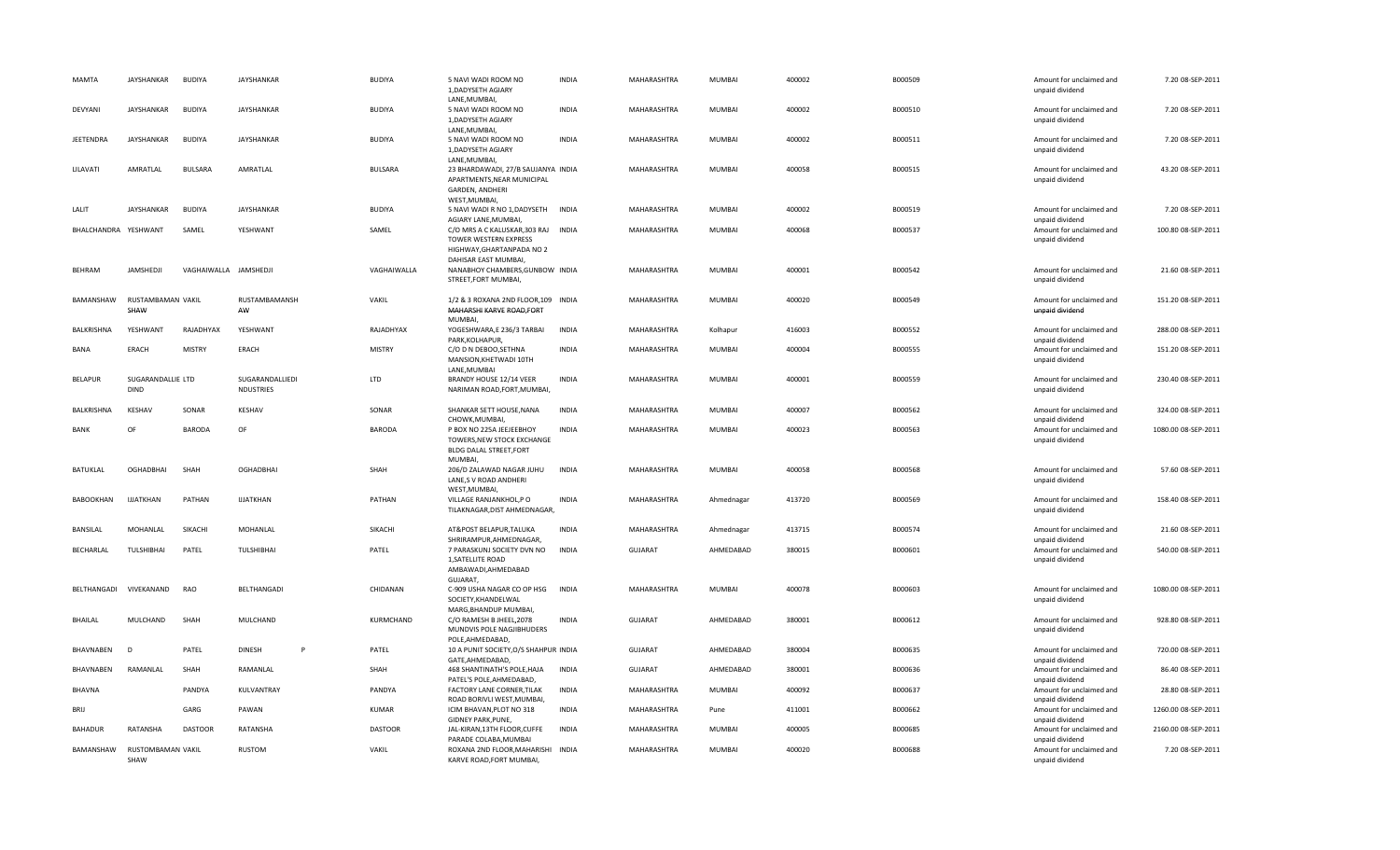| MAMTA                | JAYSHANKAR                | <b>BUDIYA</b>         | <b>JAYSHANKAR</b>            | <b>BUDIYA</b>  | 5 NAVI WADI ROOM NO<br>1, DADYSETH AGIARY<br>LANE, MUMBAI,                                                        | <b>INDIA</b> | MAHARASHTRA    | MUMBAI        | 400002 | B000509 | Amount for unclaimed and<br>unpaid dividend                    | 7.20 08-SEP-2011    |
|----------------------|---------------------------|-----------------------|------------------------------|----------------|-------------------------------------------------------------------------------------------------------------------|--------------|----------------|---------------|--------|---------|----------------------------------------------------------------|---------------------|
| DEVYANI              | JAYSHANKAR                | <b>BUDIYA</b>         | JAYSHANKAR                   | <b>BUDIYA</b>  | 5 NAVI WADI ROOM NO<br>1, DADYSETH AGIARY<br>LANE, MUMBAI,                                                        | <b>INDIA</b> | MAHARASHTRA    | MUMBAI        | 400002 | B000510 | Amount for unclaimed and<br>unpaid dividend                    | 7.20 08-SEP-2011    |
| <b>JEETENDRA</b>     | JAYSHANKAR                | <b>BUDIYA</b>         | <b>JAYSHANKAR</b>            | <b>BUDIYA</b>  | 5 NAVI WADI ROOM NO<br>1, DADYSETH AGIARY<br>LANE, MUMBAI,                                                        | <b>INDIA</b> | MAHARASHTRA    | MUMBAI        | 400002 | B000511 | Amount for unclaimed and<br>unpaid dividend                    | 7.20 08-SEP-2011    |
| LILAVATI             | AMRATLAL                  | <b>BULSARA</b>        | AMRATLAL                     | <b>BULSARA</b> | 23 BHARDAWADI, 27/B SAUJANYA INDIA<br>APARTMENTS, NEAR MUNICIPAL<br>GARDEN, ANDHERI<br>WEST, MUMBAI,              |              | MAHARASHTRA    | MUMBAI        | 400058 | B000515 | Amount for unclaimed and<br>unpaid dividend                    | 43.20 08-SEP-2011   |
| LALIT                | JAYSHANKAR                | <b>BUDIYA</b>         | <b>JAYSHANKAR</b>            | <b>BUDIYA</b>  | 5 NAVI WADI R NO 1, DADYSETH<br>AGIARY LANE, MUMBAI,                                                              | <b>INDIA</b> | MAHARASHTRA    | MUMBAI        | 400002 | B000519 | Amount for unclaimed and<br>unpaid dividend                    | 7.20 08-SEP-2011    |
| BHALCHANDRA YESHWANT |                           | SAMEL                 | YESHWANT                     | SAMEL          | C/O MRS A C KALUSKAR, 303 RAJ INDIA<br>TOWER WESTERN EXPRESS<br>HIGHWAY, GHARTANPADA NO 2<br>DAHISAR EAST MUMBAI, |              | MAHARASHTRA    | MUMBAI        | 400068 | B000537 | Amount for unclaimed and<br>unpaid dividend                    | 100.80 08-SEP-2011  |
| <b>BFHRAM</b>        | JAMSHEDJI                 | VAGHAIWALLA JAMSHEDJI |                              | VAGHAIWALLA    | NANABHOY CHAMBERS, GUNBOW INDIA<br>STREET, FORT MUMBAI,                                                           |              | MAHARASHTRA    | MUMBAI        | 400001 | B000542 | Amount for unclaimed and<br>unpaid dividend                    | 21.60 08-SEP-2011   |
| BAMANSHAW            | RUSTAMBAMAN VAKIL<br>SHAW |                       | RUSTAMBAMANSH<br>AW          | VAKIL          | 1/2 & 3 ROXANA 2ND FLOOR, 109 INDIA<br>MAHARSHI KARVE ROAD, FORT<br>MUMBAI,                                       |              | MAHARASHTRA    | MUMBAI        | 400020 | B000549 | Amount for unclaimed and<br>unpaid dividend                    | 151.20 08-SEP-2011  |
| BALKRISHNA           | YESHWANT                  | RAJADHYAX             | YESHWANT                     | RAJADHYAX      | YOGESHWARA,E 236/3 TARBAI<br>PARK, KOLHAPUR,                                                                      | <b>INDIA</b> | MAHARASHTRA    | Kolhapur      | 416003 | B000552 | Amount for unclaimed and<br>unpaid dividend                    | 288.00 08-SEP-2011  |
| BANA                 | ERACH                     | <b>MISTRY</b>         | <b>FRACH</b>                 | <b>MISTRY</b>  | C/O D N DEBOO, SETHNA<br>MANSION, KHETWADI 10TH<br>LANE, MUMBAI                                                   | <b>INDIA</b> | MAHARASHTRA    | MUMBAI        | 400004 | B000555 | Amount for unclaimed and<br>unpaid dividend                    | 151.20 08-SEP-2011  |
| <b>BELAPUR</b>       | SUGARANDALLIE LTD<br>DIND |                       | SUGARANDALLIEDI<br>NDUSTRIES | <b>LTD</b>     | BRANDY HOUSE 12/14 VEER<br>NARIMAN ROAD, FORT, MUMBAI,                                                            | <b>INDIA</b> | MAHARASHTRA    | MUMBAI        | 400001 | B000559 | Amount for unclaimed and<br>unpaid dividend                    | 230.40 08-SEP-2011  |
| <b>BALKRISHNA</b>    | KESHAV                    | SONAR                 | KESHAV                       | SONAR          | SHANKAR SETT HOUSE, NANA                                                                                          | <b>INDIA</b> | MAHARASHTRA    | <b>MUMBAI</b> | 400007 | B000562 | Amount for unclaimed and                                       | 324.00 08-SEP-2011  |
|                      |                           |                       |                              |                |                                                                                                                   |              |                |               |        |         |                                                                |                     |
| <b>BANK</b>          | OF                        | <b>BARODA</b>         | OF                           | <b>BARODA</b>  | CHOWK, MUMBAI,<br>P BOX NO 225A JEEJEEBHOY<br>TOWERS, NEW STOCK EXCHANGE<br><b>BLDG DALAL STREET, FORT</b>        | <b>INDIA</b> | MAHARASHTRA    | MUMBAI        | 400023 | B000563 | unpaid dividend<br>Amount for unclaimed and<br>unpaid dividend | 1080.00 08-SEP-2011 |
| <b>BATUKLAL</b>      | <b>OGHADBHAI</b>          | SHAH                  | <b>OGHADBHAI</b>             | SHAH           | MUMBAI,<br>206/D ZALAWAD NAGAR JUHU<br>LANE,S V ROAD ANDHERI                                                      | <b>INDIA</b> | MAHARASHTRA    | <b>MUMBAI</b> | 400058 | B000568 | Amount for unclaimed and<br>unpaid dividend                    | 57.60 08-SEP-2011   |
| <b>BABOOKHAN</b>     | <b>IJJATKHAN</b>          | PATHAN                | <b>IJJATKHAN</b>             | PATHAN         | WEST, MUMBAI,<br>VILLAGE RANJANKHOL,P O<br>TILAKNAGAR, DIST AHMEDNAGAR,                                           | <b>INDIA</b> | MAHARASHTRA    | Ahmednagar    | 413720 | B000569 | Amount for unclaimed and<br>unpaid dividend                    | 158.40 08-SEP-2011  |
| BANSILAL             | MOHANLAL                  | SIKACHI               | MOHANLAL                     | SIKACHI        | AT&POST BELAPUR, TALUKA                                                                                           | <b>INDIA</b> | MAHARASHTRA    | Ahmednagar    | 413715 | B000574 | Amount for unclaimed and                                       | 21.60 08-SEP-2011   |
| BECHARLAL            | TULSHIBHAI                | PATEL                 | TULSHIBHAI                   | PATEL          | SHRIRAMPUR, AHMEDNAGAR,<br>7 PARASKUNJ SOCIETY DVN NO<br>1, SATELLITE ROAD<br>AMBAWADI, AHMEDABAD                 | <b>INDIA</b> | <b>GUJARAT</b> | AHMEDABAD     | 380015 | B000601 | unpaid dividend<br>Amount for unclaimed and<br>unpaid dividend | 540.00 08-SEP-2011  |
| BELTHANGADI          | VIVEKANAND                | RAO                   | BELTHANGADI                  | CHIDANAN       | GUJARAT,<br>C-909 USHA NAGAR CO OP HSG<br>SOCIETY, KHANDELWAL                                                     | <b>INDIA</b> | MAHARASHTRA    | MUMBAI        | 400078 | B000603 | Amount for unclaimed and<br>unpaid dividend                    | 1080.00 08-SEP-2011 |
| BHAILAL              | MULCHAND                  | SHAH                  | MULCHAND                     | KURMCHAND      | MARG, BHANDUP MUMBAI,<br>C/O RAMESH B JHEEL, 2078<br>MUNDVIS POLE NAGJIBHUDERS                                    | <b>INDIA</b> | <b>GUJARAT</b> | AHMEDABAD     | 380001 | B000612 | Amount for unclaimed and<br>unpaid dividend                    | 928.80 08-SEP-2011  |
| BHAVNABEN            | D                         | PATEL                 | <b>DINESH</b><br>P           | PATEL          | POLE, AHMEDABAD,<br>10 A PUNIT SOCIETY, O/S SHAHPUR INDIA                                                         |              | <b>GUJARAT</b> | AHMEDABAD     | 380004 | B000635 | Amount for unclaimed and                                       | 720.00 08-SEP-2011  |
| BHAVNABEN            | RAMANLAL                  | SHAH                  | RAMANLAL                     | SHAH           | GATE, AHMEDABAD,<br>468 SHANTINATH'S POLE, HAJA                                                                   | <b>INDIA</b> | GUJARAT        | AHMEDABAD     | 380001 | B000636 | unpaid dividend<br>Amount for unclaimed and                    | 86.40 08-SEP-2011   |
| <b>BHAVNA</b>        |                           | PANDYA                | KULVANTRAY                   | PANDYA         | PATEL'S POLE, AHMEDABAD,<br>FACTORY LANE CORNER, TILAK                                                            | <b>INDIA</b> | MAHARASHTRA    | <b>MUMBAI</b> | 400092 | B000637 | unpaid dividend<br>Amount for unclaimed and                    | 28.80 08-SEP-2011   |
| BRIJ                 |                           | GARG                  | PAWAN                        | KUMAR          | ROAD BORIVLI WEST, MUMBAI,<br>ICIM BHAVAN, PLOT NO 318                                                            | <b>INDIA</b> | MAHARASHTRA    | Pune          | 411001 | B000662 | unpaid dividend<br>Amount for unclaimed and                    | 1260.00 08-SEP-2011 |
| <b>BAHADUR</b>       | RATANSHA                  | <b>DASTOOR</b>        | RATANSHA                     | <b>DASTOOR</b> | <b>GIDNEY PARK, PUNE,</b><br>JAL-KIRAN, 13TH FLOOR, CUFFE<br>PARADE COLABA, MUMBAI                                | <b>INDIA</b> | MAHARASHTRA    | MUMBAI        | 400005 | B000685 | unpaid dividend<br>Amount for unclaimed and<br>unpaid dividend | 2160.00 08-SEP-2011 |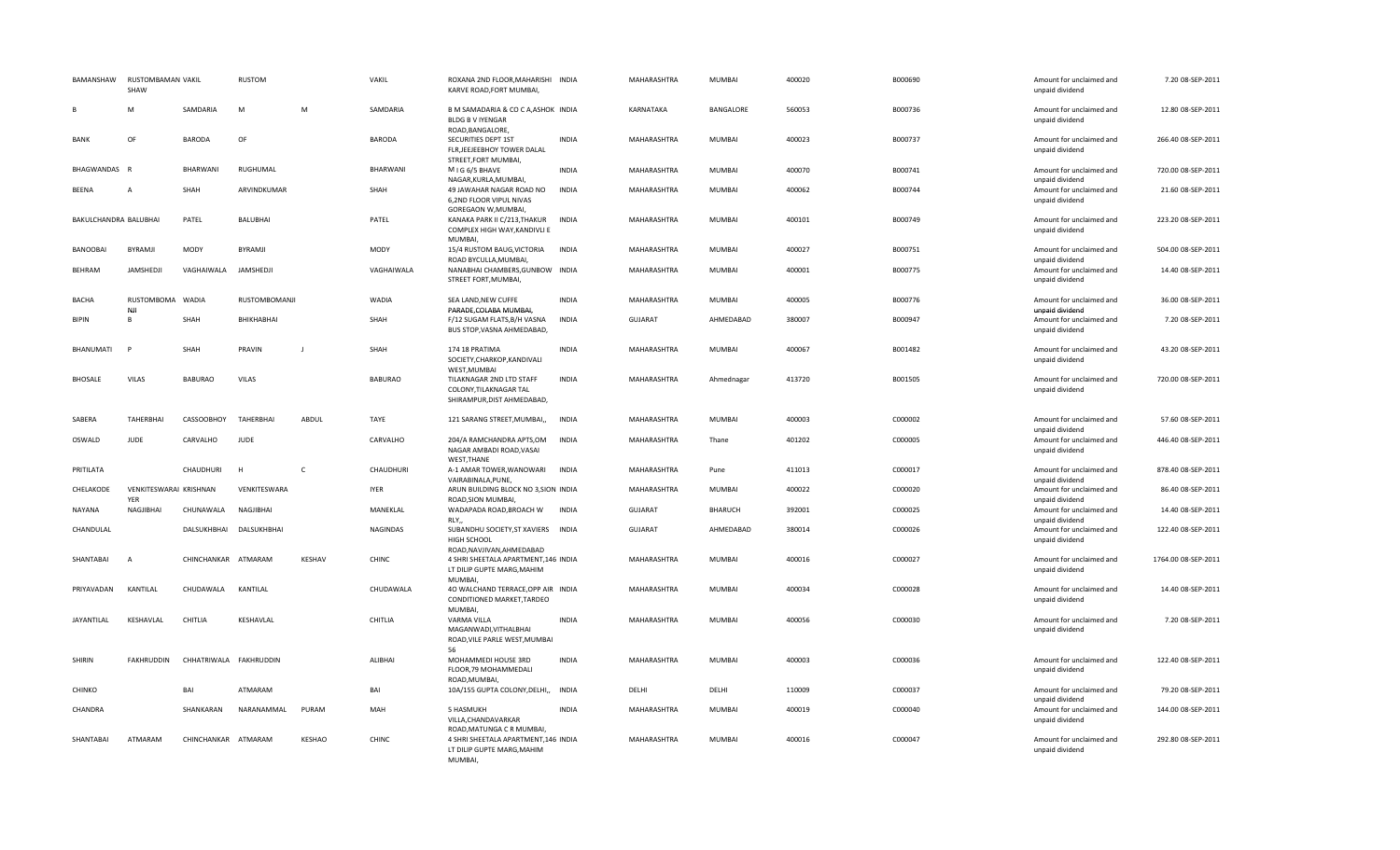| BAMANSHAW             | RUSTOMBAMAN VAKIL<br>SHAW            |                        | RUSTOM          |               | VAKIL           | ROXANA 2ND FLOOR, MAHARISHI INDIA<br>KARVE ROAD, FORT MUMBAI,                      |              | MAHARASHTRA        | MUMBAI        | 400020 | B000690 | Amount for unclaimed and<br>unpaid dividend | 7.20 08-SEP-2011    |
|-----------------------|--------------------------------------|------------------------|-----------------|---------------|-----------------|------------------------------------------------------------------------------------|--------------|--------------------|---------------|--------|---------|---------------------------------------------|---------------------|
| B                     | M                                    | SAMDARIA               | M               | M             | SAMDARIA        | B M SAMADARIA & CO C A, ASHOK INDIA<br><b>BLDG B V IYENGAR</b><br>ROAD, BANGALORE, |              | KARNATAKA          | BANGALORE     | 560053 | B000736 | Amount for unclaimed and<br>unpaid dividend | 12.80 08-SEP-2011   |
| <b>BANK</b>           | OF                                   | <b>BARODA</b>          | OF              |               | <b>BARODA</b>   | SECURITIES DEPT 1ST<br>FLR, JEEJEEBHOY TOWER DALAL<br>STREET, FORT MUMBAI,         | <b>INDIA</b> | MAHARASHTRA        | MUMBAI        | 400023 | B000737 | Amount for unclaimed and<br>unpaid dividend | 266.40 08-SEP-2011  |
| BHAGWANDAS R          |                                      | <b>BHARWAN</b>         | RUGHUMAL        |               | <b>BHARWANI</b> | MIG 6/5 BHAVE<br>NAGAR, KURLA, MUMBAI,                                             | <b>INDIA</b> | MAHARASHTRA        | MUMBAI        | 400070 | B000741 | Amount for unclaimed and<br>unpaid dividend | 720.00 08-SEP-2011  |
| <b>BEENA</b>          | A                                    | SHAH                   | ARVINDKUMAR     |               | SHAH            | 49 JAWAHAR NAGAR ROAD NO<br>6,2ND FLOOR VIPUL NIVAS<br>GOREGAON W, MUMBAI,         | INDIA        | MAHARASHTRA        | MUMBAI        | 400062 | B000744 | Amount for unclaimed and<br>unpaid dividend | 21.60 08-SEP-2011   |
| BAKULCHANDRA BALUBHAI |                                      | PATEL                  | <b>BALUBHAI</b> |               | PATEL           | KANAKA PARK II C/213, THAKUR<br>COMPLEX HIGH WAY, KANDIVLI E<br>MUMBAI,            | <b>INDIA</b> | MAHARASHTRA        | MUMBAI        | 400101 | B000749 | Amount for unclaimed and<br>unpaid dividend | 223.20 08-SEP-2011  |
| <b>BANOOBAI</b>       | <b>BYRAMJI</b>                       | <b>MODY</b>            | BYRAMJI         |               | <b>MODY</b>     | 15/4 RUSTOM BAUG, VICTORIA<br>ROAD BYCULLA, MUMBAI,                                | <b>INDIA</b> | <b>MAHARASHTRA</b> | <b>MUMBAI</b> | 400027 | B000751 | Amount for unclaimed and<br>unpaid dividend | 504.00 08-SEP-2011  |
| BEHRAM                | JAMSHEDJI                            | VAGHAIWALA             | JAMSHEDJI       |               | VAGHAIWALA      | NANABHAI CHAMBERS, GUNBOW INDIA<br>STREET FORT, MUMBAI,                            |              | MAHARASHTRA        | MUMBAI        | 400001 | B000775 | Amount for unclaimed and<br>unpaid dividend | 14.40 08-SEP-2011   |
| <b>BACHA</b>          | RUSTOMBOMA WADIA<br>NJI              |                        | RUSTOMBOMANJI   |               | <b>WADIA</b>    | SEA LAND, NEW CUFFE<br>PARADE, COLABA MUMBAI,                                      | <b>INDIA</b> | MAHARASHTRA        | MUMBAI        | 400005 | B000776 | Amount for unclaimed and<br>unpaid dividend | 36.00 08-SEP-2011   |
| <b>BIPIN</b>          | B                                    | SHAH                   | BHIKHABHAI      |               | SHAH            | F/12 SUGAM FLATS, B/H VASNA<br>BUS STOP, VASNA AHMEDABAD,                          | <b>INDIA</b> | <b>GUJARAT</b>     | AHMEDABAD     | 380007 | B000947 | Amount for unclaimed and<br>unpaid dividend | 7.20 08-SEP-2011    |
| BHANUMATI             | P                                    | SHAH                   | PRAVIN          |               | SHAH            | 174 18 PRATIMA<br>SOCIETY, CHARKOP, KANDIVALI<br>WEST.MUMBAI                       | <b>INDIA</b> | <b>MAHARASHTRA</b> | <b>MUMBAI</b> | 400067 | B001482 | Amount for unclaimed and<br>unpaid dividend | 43.20 08-SEP-2011   |
| <b>BHOSALE</b>        | <b>VILAS</b>                         | <b>BABURAO</b>         | <b>VILAS</b>    |               | <b>BABURAO</b>  | TILAKNAGAR 2ND LTD STAFF<br>COLONY, TILAKNAGAR TAL<br>SHIRAMPUR, DIST AHMEDABAD,   | <b>INDIA</b> | MAHARASHTRA        | Ahmednagar    | 413720 | B001505 | Amount for unclaimed and<br>unpaid dividend | 720.00 08-SEP-2011  |
| SABERA                | <b>TAHERBHAI</b>                     | CASSOOBHOY             | TAHERBHAI       | ABDUL         | TAYE            | 121 SARANG STREET, MUMBAI,,                                                        | INDIA        | MAHARASHTRA        | MUMBAI        | 400003 | C000002 | Amount for unclaimed and<br>unpaid dividend | 57.60 08-SEP-2011   |
| OSWALD                | <b>JUDE</b>                          | CARVALHO               | <b>JUDE</b>     |               | CARVALHO        | 204/A RAMCHANDRA APTS,OM<br>NAGAR AMBADI ROAD, VASAI<br>WEST, THANE                | INDIA        | MAHARASHTRA        | Thane         | 401202 | C000005 | Amount for unclaimed and<br>unpaid dividend | 446.40 08-SEP-2011  |
| PRITILATA             |                                      | CHAUDHURI              | н               | $\mathsf{C}$  | CHAUDHURI       | A-1 AMAR TOWER, WANOWARI<br>VAIRABINALA, PUNE,                                     | <b>INDIA</b> | MAHARASHTRA        | Pune          | 411013 | C000017 | Amount for unclaimed and<br>unpaid dividend | 878.40 08-SEP-2011  |
| CHELAKODE             | VENKITESWARAI KRISHNAN<br><b>YER</b> |                        | VENKITESWARA    |               | <b>IYER</b>     | ARUN BUILDING BLOCK NO 3,SION INDIA<br>ROAD, SION MUMBAI,                          |              | MAHARASHTRA        | MUMBAI        | 400022 | C000020 | Amount for unclaimed and<br>unpaid dividend | 86.40 08-SEP-2011   |
| <b>NAYANA</b>         | NAGJIBHAI                            | CHUNAWALA              | NAGJIBHAI       |               | MANEKLAL        | WADAPADA ROAD, BROACH W<br>RLY,                                                    | INDIA        | <b>GUJARAT</b>     | BHARUCH       | 392001 | C000025 | Amount for unclaimed and<br>unpaid dividend | 14.40 08-SEP-2011   |
| CHANDULAL             |                                      | DALSUKHBHAI            | DALSUKHBHAI     |               | <b>NAGINDAS</b> | SUBANDHU SOCIETY, ST XAVIERS INDIA<br>HIGH SCHOOL<br>ROAD, NAVJIVAN, AHMEDABAD     |              | <b>GUJARAT</b>     | AHMEDABAD     | 380014 | C000026 | Amount for unclaimed and<br>unpaid dividend | 122.40 08-SEP-2011  |
| SHANTABAI             | $\overline{A}$                       | CHINCHANKAR ATMARAM    |                 | KESHAV        | CHINC           | 4 SHRI SHEETALA APARTMENT, 146 INDIA<br>LT DILIP GUPTE MARG, MAHIM<br>MUMBAI,      |              | MAHARASHTRA        | MUMBAI        | 400016 | C000027 | Amount for unclaimed and<br>unpaid dividend | 1764.00 08-SEP-2011 |
| PRIYAVADAN            | KANTILAL                             | CHUDAWALA              | KANTILAL        |               | CHUDAWALA       | 40 WALCHAND TERRACE.OPP AIR INDIA<br>CONDITIONED MARKET, TARDEO<br>MUMBAI,         |              | <b>MAHARASHTRA</b> | <b>MUMBAI</b> | 400034 | C000028 | Amount for unclaimed and<br>unpaid dividend | 14.40 08-SEP-2011   |
| <b>JAYANTILAL</b>     | KESHAVLAL                            | CHITLIA                | KESHAVLAL       |               | CHITLIA         | VARMA VILLA<br>MAGANWADI, VITHALBHAI<br>ROAD, VILE PARLE WEST, MUMBAI<br>56        | <b>INDIA</b> | MAHARASHTRA        | MUMBAI        | 400056 | C000030 | Amount for unclaimed and<br>unpaid dividend | 7.20 08-SEP-2011    |
| SHIRIN                | <b>FAKHRUDDIN</b>                    | CHHATRIWALA FAKHRUDDIN |                 |               | ALIBHAI         | MOHAMMEDI HOUSE 3RD<br>FLOOR, 79 MOHAMMEDALI<br>ROAD, MUMBAI,                      | <b>INDIA</b> | MAHARASHTRA        | MUMBAI        | 400003 | C000036 | Amount for unclaimed and<br>unpaid dividend | 122.40 08-SEP-2011  |
| CHINKO                |                                      | RAI                    | ATMARAM         |               | BAI             | 10A/155 GUPTA COLONY, DELHI,,                                                      | <b>INDIA</b> | DELHI              | DELHI         | 110009 | C000037 | Amount for unclaimed and<br>unpaid dividend | 79.20 08-SEP-2011   |
| CHANDRA               |                                      | SHANKARAN              | NARANAMMAL      | PURAM         | MAH             | 5 HASMUKH<br>VILLA, CHANDAVARKAR<br>ROAD, MATUNGA C R MUMBAI,                      | <b>INDIA</b> | MAHARASHTRA        | MUMBAI        | 400019 | C000040 | Amount for unclaimed and<br>unpaid dividend | 144.00 08-SEP-2011  |
| SHANTABAI             | ATMARAM                              | CHINCHANKAR ATMARAM    |                 | <b>KESHAO</b> | CHINC           | 4 SHRI SHEETALA APARTMENT, 146 INDIA<br>LT DILIP GUPTE MARG, MAHIM<br>MUMBAI,      |              | MAHARASHTRA        | MUMBAI        | 400016 | C000047 | Amount for unclaimed and<br>unpaid dividend | 292.80 08-SEP-2011  |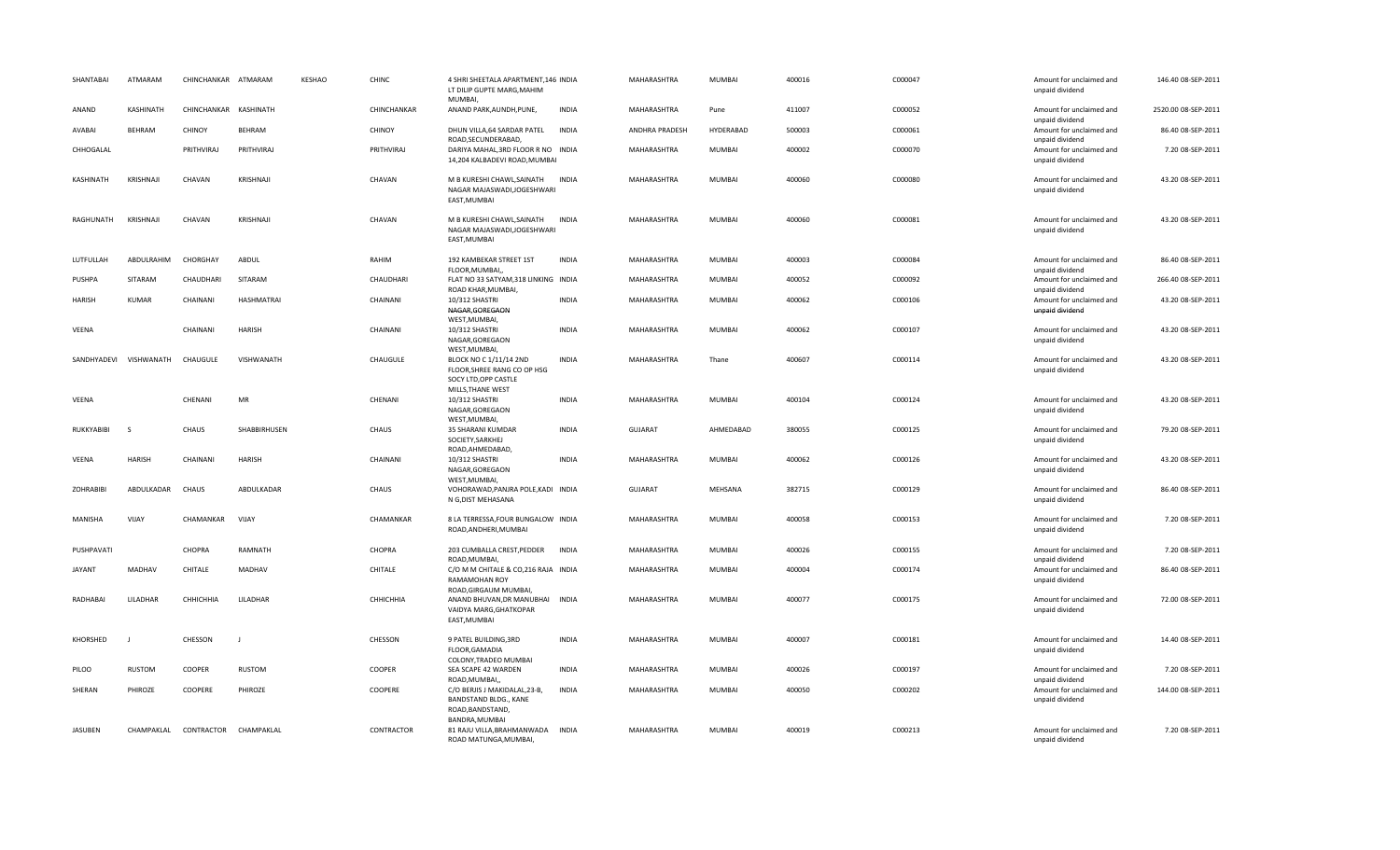| SHANTABAI        | ATMARAM          | CHINCHANKAR ATMARAM   |                   | KESHAO | CHINC         | 4 SHRI SHEETALA APARTMENT, 146 INDIA<br>LT DILIP GUPTE MARG, MAHIM<br>MUMBAI,               |              | MAHARASHTRA    | MUMBAI        | 400016 | C000047 | Amount for unclaimed and<br>unpaid dividend                    | 146.40 08-SEP-2011  |
|------------------|------------------|-----------------------|-------------------|--------|---------------|---------------------------------------------------------------------------------------------|--------------|----------------|---------------|--------|---------|----------------------------------------------------------------|---------------------|
| ANAND            | KASHINATH        | CHINCHANKAR KASHINATH |                   |        | CHINCHANKAR   | ANAND PARK, AUNDH, PUNE,                                                                    | <b>INDIA</b> | MAHARASHTRA    | Pune          | 411007 | C000052 | Amount for unclaimed and<br>unpaid dividend                    | 2520.00 08-SEP-2011 |
| AVABAI           | <b>BEHRAM</b>    | CHINOY                | BEHRAM            |        | <b>CHINOY</b> | DHUN VILLA, 64 SARDAR PATEL<br>ROAD, SECUNDERABAD,                                          | INDIA        | ANDHRA PRADESH | HYDERABAD     | 500003 | C000061 | Amount for unclaimed and<br>unpaid dividend                    | 86.40 08-SEP-2011   |
| CHHOGALAL        |                  | PRITHVIRAJ            | PRITHVIRAJ        |        | PRITHVIRAJ    | DARIYA MAHAL, 3RD FLOOR R NO INDIA<br>14,204 KALBADEVI ROAD, MUMBAI                         |              | MAHARASHTRA    | MUMBAI        | 400002 | C000070 | Amount for unclaimed and<br>unpaid dividend                    | 7.20 08-SEP-2011    |
| KASHINATH        | <b>KRISHNAJI</b> | CHAVAN                | KRISHNAJI         |        | CHAVAN        | M B KURESHI CHAWL, SAINATH<br>NAGAR MAJASWADI, JOGESHWARI<br>EAST, MUMBAI                   | <b>INDIA</b> | MAHARASHTRA    | <b>MUMBAI</b> | 400060 | C000080 | Amount for unclaimed and<br>unpaid dividend                    | 43.20 08-SEP-2011   |
| RAGHUNATH        | <b>KRISHNAI</b>  | CHAVAN                | KRISHNAJI         |        | CHAVAN        | M B KURESHI CHAWL, SAINATH<br>NAGAR MAJASWADI, JOGESHWARI<br>EAST, MUMBAI                   | <b>INDIA</b> | MAHARASHTRA    | MUMBAI        | 400060 | C000081 | Amount for unclaimed and<br>unpaid dividend                    | 43.20 08-SEP-2011   |
| LUTFULLAH        | ABDULRAHIM       | CHORGHAY              | ABDUL             |        | RAHIM         | 192 KAMBEKAR STREET 1ST<br>FLOOR, MUMBAI,                                                   | <b>INDIA</b> | MAHARASHTRA    | MUMBAI        | 400003 | C000084 | Amount for unclaimed and<br>unpaid dividend                    | 86.40 08-SEP-2011   |
| PUSHPA           | SITARAM          | CHAUDHARI             | SITARAM           |        | CHAUDHARI     | FLAT NO 33 SATYAM, 318 LINKING INDIA<br>ROAD KHAR, MUMBAI,                                  |              | MAHARASHTRA    | MUMBAI        | 400052 | C000092 | Amount for unclaimed and<br>unpaid dividend                    | 266.40 08-SEP-2011  |
| <b>HARISH</b>    | <b>KUMAR</b>     | CHAINANI              | <b>HASHMATRAI</b> |        | CHAINANI      | 10/312 SHASTRI<br>NAGAR, GOREGAON<br>WEST, MUMBAI,                                          | <b>INDIA</b> | MAHARASHTRA    | MUMBAI        | 400062 | C000106 | Amount for unclaimed and<br>unpaid dividend                    | 43.20 08-SEP-2011   |
| VEENA            |                  | CHAINANI              | HARISH            |        | CHAINANI      | 10/312 SHASTRI<br>NAGAR, GOREGAON<br>WEST, MUMBAI,                                          | <b>INDIA</b> | MAHARASHTRA    | MUMBAI        | 400062 | C000107 | Amount for unclaimed and<br>unpaid dividend                    | 43.20 08-SEP-2011   |
| SANDHYADEVI      | VISHWANATH       | CHAUGULE              | VISHWANATH        |        | CHAUGULE      | <b>BLOCK NO C 1/11/14 2ND</b><br>FLOOR, SHREE RANG CO OP HSG<br>SOCY LTD, OPP CASTLE        | <b>INDIA</b> | MAHARASHTRA    | Thane         | 400607 | C000114 | Amount for unclaimed and<br>unpaid dividend                    | 43.20 08-SEP-2011   |
| VEENA            |                  | CHENANI               | MR                |        | CHENANI       | MILLS, THANE WEST<br>10/312 SHASTRI<br>NAGAR, GOREGAON<br>WEST, MUMBAI,                     | <b>INDIA</b> | MAHARASHTRA    | MUMBAI        | 400104 | C000124 | Amount for unclaimed and<br>unpaid dividend                    | 43.20 08-SEP-2011   |
| RUKKYABIBI       | -S               | CHAUS                 | SHABBIRHUSEN      |        | CHAUS         | 35 SHARANI KUMDAR<br>SOCIETY, SARKHEJ<br>ROAD, AHMEDABAD,                                   | <b>INDIA</b> | <b>GUJARAT</b> | AHMEDABAD     | 380055 | C000125 | Amount for unclaimed and<br>unpaid dividend                    | 79.20 08-SEP-2011   |
| VEENA            | <b>HARISH</b>    | CHAINANI              | HARISH            |        | CHAINANI      | 10/312 SHASTRI<br>NAGAR, GOREGAON<br>WEST, MUMBAI,                                          | <b>INDIA</b> | MAHARASHTRA    | MUMBAI        | 400062 | C000126 | Amount for unclaimed and<br>unpaid dividend                    | 43.20 08-SEP-2011   |
| <b>ZOHRABIBI</b> | ABDULKADAR       | CHAUS                 | ABDULKADAR        |        | CHAUS         | VOHORAWAD, PANJRA POLE, KADI INDIA<br>N G, DIST MEHASANA                                    |              | GUJARAT        | MEHSANA       | 382715 | C000129 | Amount for unclaimed and<br>unpaid dividend                    | 86.40 08-SEP-2011   |
| MANISHA          | VIJAY            | CHAMANKAR             | VIJAY             |        | CHAMANKAR     | 8 LA TERRESSA, FOUR BUNGALOW INDIA<br>ROAD, ANDHERI, MUMBAI                                 |              | MAHARASHTRA    | MUMBAI        | 400058 | C000153 | Amount for unclaimed and<br>unpaid dividend                    | 7.20 08-SEP-2011    |
| PUSHPAVATI       |                  | CHOPRA                | RAMNATH           |        | CHOPRA        | 203 CUMBALLA CREST, PEDDER<br>ROAD, MUMBAI,                                                 | <b>INDIA</b> | MAHARASHTRA    | MUMBAI        | 400026 | C000155 | Amount for unclaimed and<br>unpaid dividend                    | 7.20 08-SEP-2011    |
| <b>JAYANT</b>    | MADHAV           | CHITALE               | MADHAV            |        | CHITALE       | C/O M M CHITALE & CO, 216 RAJA INDIA<br>RAMAMOHAN ROY<br>ROAD, GIRGAUM MUMBAI,              |              | MAHARASHTRA    | MUMBAI        | 400004 | C000174 | Amount for unclaimed and<br>unpaid dividend                    | 86.40 08-SEP-2011   |
| RADHABAI         | LILADHAR         | CHHICHHIA             | LILADHAR          |        | СННІСННІА     | ANAND BHUVAN, DR MANUBHAI INDIA<br>VAIDYA MARG, GHATKOPAR<br>EAST, MUMBAI                   |              | MAHARASHTRA    | MUMBAI        | 400077 | C000175 | Amount for unclaimed and<br>unpaid dividend                    | 72.00 08-SEP-2011   |
| KHORSHED         |                  | CHESSON               | IJ                |        | CHESSON       | 9 PATEL BUILDING, 3RD<br>FLOOR, GAMADIA<br>COLONY, TRADEO MUMBAI                            | <b>INDIA</b> | MAHARASHTRA    | MUMBAI        | 400007 | C000181 | Amount for unclaimed and<br>unpaid dividend                    | 14.40 08-SEP-2011   |
| PILOO            | <b>RUSTOM</b>    | COOPER                | RUSTOM            |        | COOPER        | SEA SCAPE 42 WARDEN                                                                         | <b>INDIA</b> | MAHARASHTRA    | <b>MUMBAI</b> | 400026 | C000197 | Amount for unclaimed and                                       | 7.20 08-SEP-2011    |
| SHERAN           | PHIROZE          | COOPERE               | PHIROZE           |        | COOPERE       | ROAD, MUMBAI,<br>C/O BERJIS J MAKIDALAL, 23-B,<br>BANDSTAND BLDG., KANE<br>ROAD, BANDSTAND, | <b>INDIA</b> | MAHARASHTRA    | MUMBAI        | 400050 | C000202 | unpaid dividend<br>Amount for unclaimed and<br>unpaid dividend | 144.00 08-SEP-2011  |
| <b>JASUBEN</b>   | CHAMPAKLAL       | CONTRACTOR            | CHAMPAKLAL        |        | CONTRACTOR    | BANDRA, MUMBAI<br>81 RAJU VILLA, BRAHMANWADA<br>ROAD MATUNGA, MUMBAI,                       | INDIA        | MAHARASHTRA    | MUMBAI        | 400019 | C000213 | Amount for unclaimed and<br>unpaid dividend                    | 7.20 08-SEP-2011    |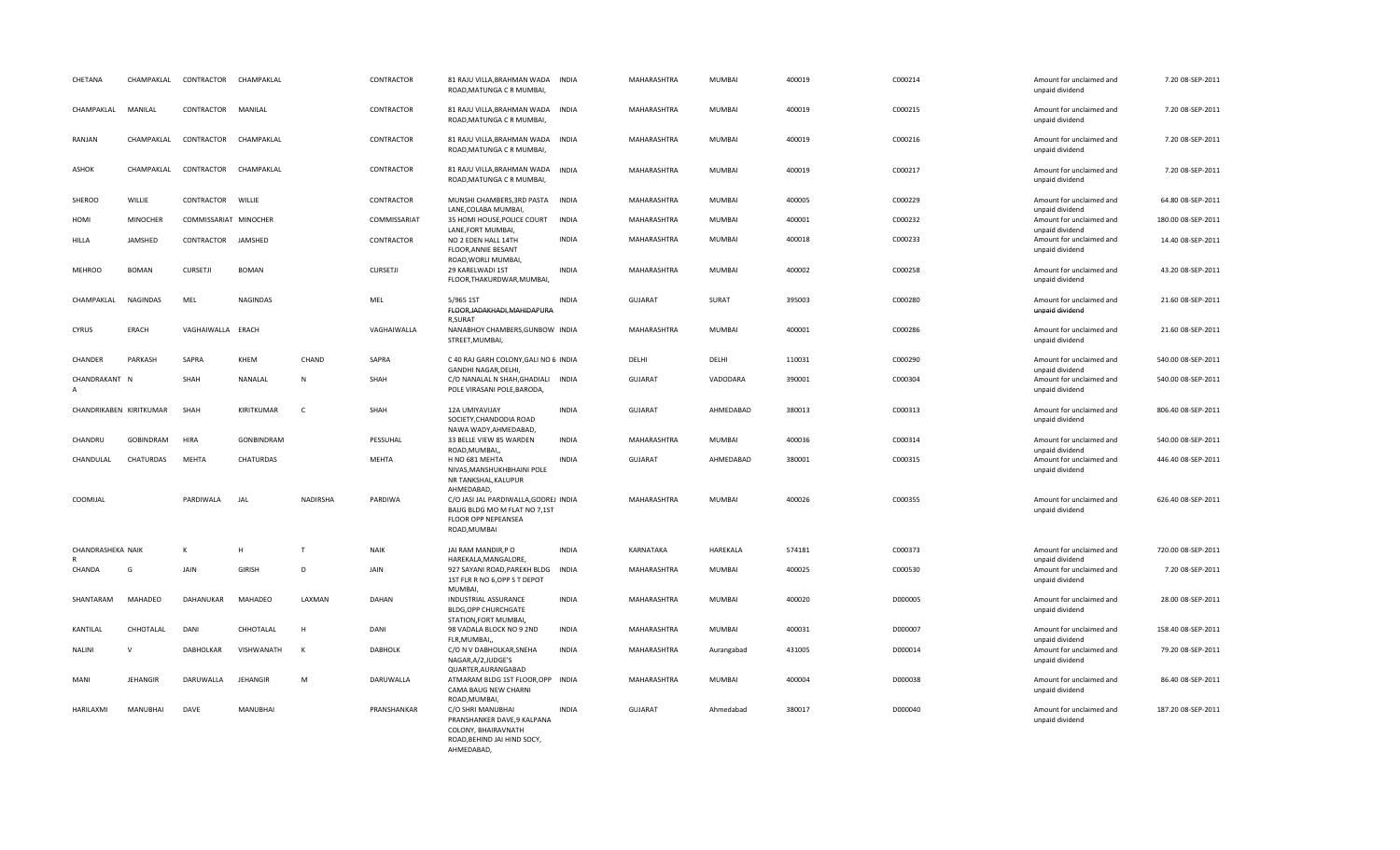| CHETANA                 | CHAMPAKLAL      | CONTRACTOR            | CHAMPAKLAL      |              | CONTRACTOR      | 81 RAJU VILLA, BRAHMAN WADA<br>ROAD, MATUNGA C R MUMBAI,                                                             | <b>INDIA</b> | MAHARASHTRA    | MUMBAI        | 400019 | C000214 | Amount for unclaimed and<br>unpaid dividend                    | 7.20 08-SEP-2011   |
|-------------------------|-----------------|-----------------------|-----------------|--------------|-----------------|----------------------------------------------------------------------------------------------------------------------|--------------|----------------|---------------|--------|---------|----------------------------------------------------------------|--------------------|
| CHAMPAKLAL              | MANILAL         | CONTRACTOR            | MANILAL         |              | CONTRACTOR      | 81 RAJU VILLA, BRAHMAN WADA<br>ROAD, MATUNGA C R MUMBAI,                                                             | <b>INDIA</b> | MAHARASHTRA    | MUMBAI        | 400019 | C000215 | Amount for unclaimed and<br>unpaid dividend                    | 7.20 08-SEP-2011   |
| RANJAN                  | CHAMPAKLAL      | CONTRACTOR CHAMPAKLAL |                 |              | CONTRACTOR      | 81 RAJU VILLA, BRAHMAN WADA INDIA<br>ROAD, MATUNGA C R MUMBAI,                                                       |              | MAHARASHTRA    | MUMBAI        | 400019 | C000216 | Amount for unclaimed and<br>unpaid dividend                    | 7.20 08-SEP-2011   |
| ASHOK                   | CHAMPAKLAL      | CONTRACTOR            | CHAMPAKLAL      |              | CONTRACTOR      | 81 RAJU VILLA, BRAHMAN WADA<br>ROAD, MATUNGA C R MUMBAI,                                                             | <b>INDIA</b> | MAHARASHTRA    | MUMBAI        | 400019 | C000217 | Amount for unclaimed and<br>unpaid dividend                    | 7.20 08-SEP-2011   |
| SHEROO                  | WILLIE          | CONTRACTOR            | WILLIE          |              | CONTRACTOR      | MUNSHI CHAMBERS, 3RD PASTA<br>LANE, COLABA MUMBAI,                                                                   | <b>INDIA</b> | MAHARASHTRA    | MUMBAI        | 400005 | C000229 | Amount for unclaimed and<br>unpaid dividend                    | 64.80 08-SEP-2011  |
| HOMI                    | MINOCHER        | COMMISSARIAT MINOCHER |                 |              | COMMISSARIAT    | 35 HOMI HOUSE, POLICE COURT                                                                                          | <b>INDIA</b> | MAHARASHTRA    | MUMBAI        | 400001 | C000232 | Amount for unclaimed and                                       | 180.00 08-SEP-2011 |
| <b>HILLA</b>            | JAMSHED         | CONTRACTOR            | JAMSHED         |              | CONTRACTOR      | LANE, FORT MUMBAI,<br>NO 2 EDEN HALL 14TH<br>FLOOR, ANNIE BESANT<br>ROAD, WORLI MUMBAI,                              | <b>INDIA</b> | MAHARASHTRA    | <b>MUMBAI</b> | 400018 | C000233 | unpaid dividend<br>Amount for unclaimed and<br>unpaid dividend | 14.40 08-SEP-2011  |
| <b>MEHROO</b>           | <b>BOMAN</b>    | <b>CURSETJI</b>       | <b>BOMAN</b>    |              | <b>CURSETJI</b> | 29 KARELWADI 1ST<br>FLOOR, THAKURDWAR, MUMBAI,                                                                       | <b>INDIA</b> | MAHARASHTRA    | MUMBAI        | 400002 | C000258 | Amount for unclaimed and<br>unpaid dividend                    | 43.20 08-SEP-2011  |
| CHAMPAKLAL              | <b>NAGINDAS</b> | MEL                   | <b>NAGINDAS</b> |              | MEL             | 5/965 1ST<br>FLOOR, JADAKHADI, MAHIDAPURA<br><b>R.SURAT</b>                                                          | <b>INDIA</b> | GUJARAT        | SURAT         | 395003 | C000280 | Amount for unclaimed and<br>unpaid dividend                    | 21.60 08-SEP-2011  |
| <b>CYRUS</b>            | ERACH           | VAGHAIWALLA ERACH     |                 |              | VAGHAIWALLA     | NANABHOY CHAMBERS, GUNBOW INDIA<br>STREET, MUMBAI,                                                                   |              | MAHARASHTRA    | MUMBAI        | 400001 | C000286 | Amount for unclaimed and<br>unpaid dividend                    | 21.60 08-SEP-2011  |
| CHANDER                 | PARKASH         | SAPRA                 | KHEM            | CHAND        | SAPRA           | C 40 RAJ GARH COLONY, GALI NO 6 INDIA<br>GANDHI NAGAR, DELHI,                                                        |              | DELHI          | DELHI         | 110031 | C000290 | Amount for unclaimed and<br>unpaid dividend                    | 540.00 08-SEP-2011 |
| CHANDRAKANT N           |                 | SHAH                  | NANALAL         | $\mathsf{N}$ | SHAH            | C/O NANALAL N SHAH, GHADIALI<br>POLE VIRASANI POLE, BARODA,                                                          | <b>INDIA</b> | <b>GUJARAT</b> | VADODARA      | 390001 | C000304 | Amount for unclaimed and<br>unpaid dividend                    | 540.00 08-SEP-2011 |
| CHANDRIKABEN KIRITKUMAR |                 | SHAH                  | KIRITKUMAR      | $\mathsf{C}$ | SHAH            | 12A UMIYAVIJAY<br>SOCIETY, CHANDODIA ROAD<br>NAWA WADY, AHMEDABAD,                                                   | <b>INDIA</b> | <b>GUJARAT</b> | AHMEDABAD     | 380013 | C000313 | Amount for unclaimed and<br>unpaid dividend                    | 806.40 08-SEP-2011 |
| CHANDRU                 | GOBINDRAM       | <b>HIRA</b>           | GONBINDRAM      |              | PESSUHAL        | 33 BELLE VIEW 85 WARDEN<br>ROAD, MUMBAI,                                                                             | <b>INDIA</b> | MAHARASHTRA    | MUMBAI        | 400036 | C000314 | Amount for unclaimed and<br>unpaid dividend                    | 540.00 08-SEP-2011 |
| CHANDULAL               | CHATURDAS       | MEHTA                 | CHATURDAS       |              | MEHTA           | H NO 681 MEHTA<br>NIVAS, MANSHUKHBHAINI POLE<br>NR TANKSHAL, KALUPUR<br>AHMEDABAD,                                   | <b>INDIA</b> | <b>GUJARAT</b> | AHMEDABAD     | 380001 | C000315 | Amount for unclaimed and<br>unpaid dividend                    | 446.40 08-SEP-2011 |
| COOMIJAL                |                 | PARDIWALA             | <b>JAL</b>      | NADIRSHA     | PARDIWA         | C/O JASI JAL PARDIWALLA, GODREJ INDIA<br>BAUG BLDG MO M FLAT NO 7,1ST<br>FLOOR OPP NEPEANSEA<br>ROAD, MUMBAI         |              | MAHARASHTRA    | MUMBAI        | 400026 | C000355 | Amount for unclaimed and<br>unpaid dividend                    | 626.40 08-SEP-2011 |
| CHANDRASHEKA NAIK       |                 | К                     | H               | T            | <b>NAIK</b>     | JAI RAM MANDIR, PO<br>HAREKALA, MANGALORE,                                                                           | <b>INDIA</b> | KARNATAKA      | HAREKALA      | 574181 | C000373 | Amount for unclaimed and<br>unpaid dividend                    | 720.00 08-SEP-2011 |
| CHANDA                  | G               | JAIN                  | <b>GIRISH</b>   | D            | JAIN            | 927 SAYANI ROAD, PAREKH BLDG INDIA<br>1ST FLR R NO 6, OPP S T DEPOT<br><b>MUMBAI</b>                                 |              | MAHARASHTRA    | MUMBAI        | 400025 | C000530 | Amount for unclaimed and<br>unpaid dividend                    | 7.20 08-SEP-2011   |
| SHANTARAM               | MAHADEO         | DAHANUKAR             | MAHADEO         | LAXMAN       | DAHAN           | <b>INDUSTRIAL ASSURANCE</b><br><b>BLDG, OPP CHURCHGATE</b><br>STATION, FORT MUMBAI,                                  | <b>INDIA</b> | MAHARASHTRA    | MUMBAI        | 400020 | D000005 | Amount for unclaimed and<br>unpaid dividend                    | 28.00 08-SEP-2011  |
| KANTILAL                | CHHOTALAL       | DANI                  | CHHOTALAL       | H            | DANI            | 98 VADALA BLOCK NO 9 2ND<br>FLR, MUMBAI,                                                                             | INDIA        | MAHARASHTRA    | MUMBAI        | 400031 | D000007 | Amount for unclaimed and<br>unpaid dividend                    | 158.40 08-SEP-2011 |
| <b>NALINI</b>           | $\mathsf{V}$    | <b>DABHOLKAR</b>      | VISHWANATH      | $\mathsf{K}$ | <b>DABHOLK</b>  | C/O N V DABHOLKAR, SNEHA<br>NAGAR, A/2, JUDGE'S<br>QUARTER, AURANGABAD                                               | <b>INDIA</b> | MAHARASHTRA    | Aurangabad    | 431005 | D000014 | Amount for unclaimed and<br>unpaid dividend                    | 79.20 08-SEP-2011  |
| MANI                    | <b>JEHANGIR</b> | DARUWALLA             | JEHANGIR        | M            | DARUWALLA       | ATMARAM BLDG 1ST FLOOR, OPP INDIA<br>CAMA BAUG NEW CHARNI<br>ROAD, MUMBAI,                                           |              | MAHARASHTRA    | MUMBAI        | 400004 | D000038 | Amount for unclaimed and<br>unpaid dividend                    | 86.40 08-SEP-2011  |
| HARILAXMI               | MANUBHAI        | DAVE                  | MANUBHAI        |              | PRANSHANKAR     | C/O SHRI MANUBHAI<br>PRANSHANKER DAVE, 9 KALPANA<br>COLONY, BHAIRAVNATH<br>ROAD, BEHIND JAI HIND SOCY,<br>AHMEDABAD, | <b>INDIA</b> | <b>GUJARAT</b> | Ahmedabad     | 380017 | D000040 | Amount for unclaimed and<br>unpaid dividend                    | 187.20 08-SEP-2011 |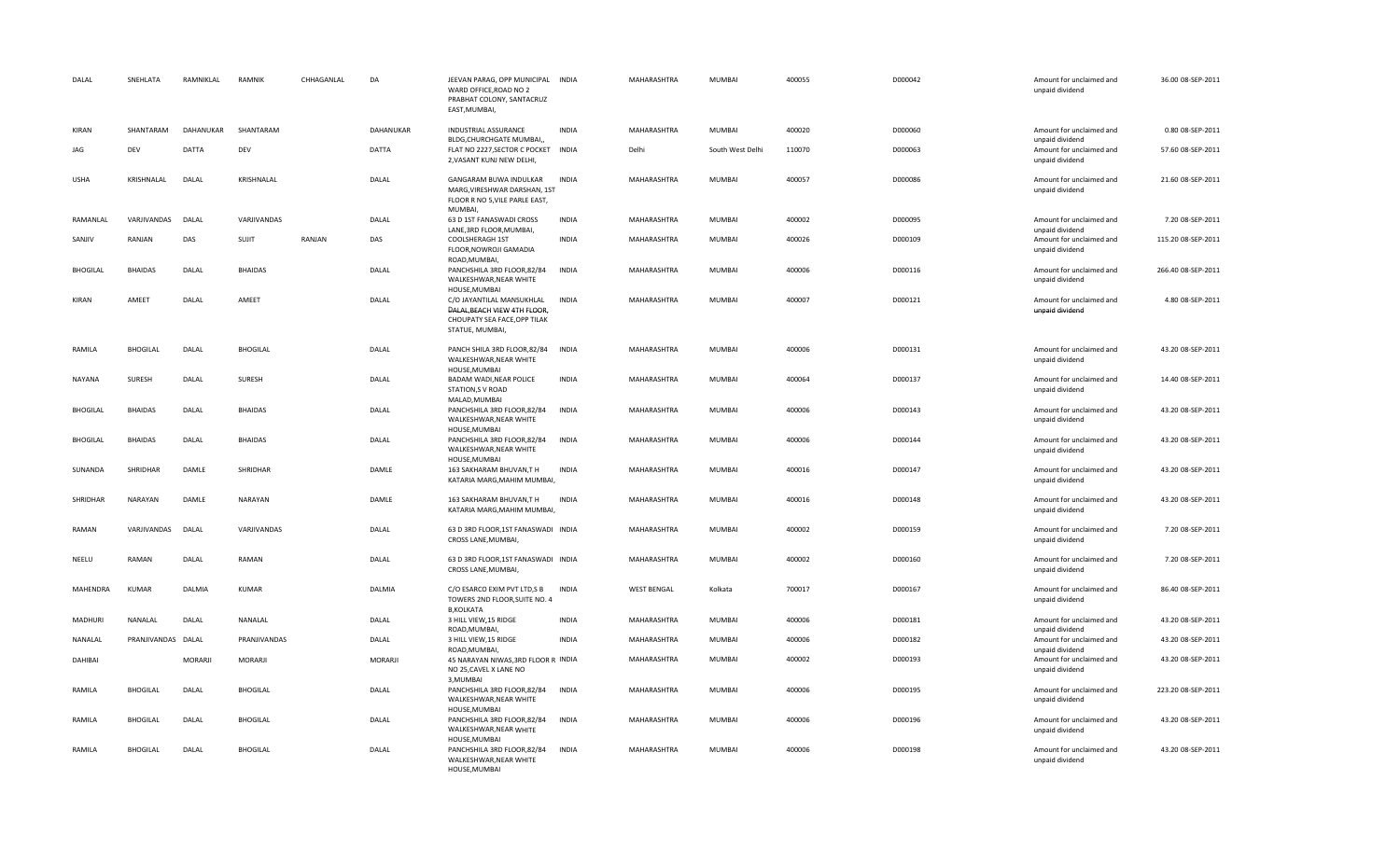| DALAL           | SNEHLATA           | RAMNIKLAL | RAMNIK          | CHHAGANLAL | DA        | JEEVAN PARAG, OPP MUNICIPAL INDIA<br>WARD OFFICE, ROAD NO 2<br>PRABHAT COLONY, SANTACRUZ<br>EAST, MUMBAI,    |              | MAHARASHTRA        | <b>MUMBAI</b>    | 400055 | D000042 | Amount for unclaimed and<br>unpaid dividend | 36.00 08-SEP-2011  |
|-----------------|--------------------|-----------|-----------------|------------|-----------|--------------------------------------------------------------------------------------------------------------|--------------|--------------------|------------------|--------|---------|---------------------------------------------|--------------------|
| <b>KIRAN</b>    | SHANTARAM          | DAHANUKAR | SHANTARAM       |            | DAHANUKAR | INDUSTRIAL ASSURANCE<br>BLDG, CHURCHGATE MUMBAI,,                                                            | <b>INDIA</b> | MAHARASHTRA        | <b>MUMBAI</b>    | 400020 | D000060 | Amount for unclaimed and<br>unpaid dividend | 0.80 08-SEP-2011   |
| JAG             | DEV                | DATTA     | DEV             |            | DATTA     | FLAT NO 2227, SECTOR C POCKET INDIA<br>2, VASANT KUNJ NEW DELHI,                                             |              | Delhi              | South West Delhi | 110070 | D000063 | Amount for unclaimed and<br>unpaid dividend | 57.60 08-SEP-2011  |
| <b>USHA</b>     | KRISHNALAL         | DALAL     | KRISHNALAL      |            | DALAL     | GANGARAM BUWA INDULKAR<br>MARG, VIRESHWAR DARSHAN, 1ST<br>FLOOR R NO 5, VILE PARLE EAST,<br>MUMBAI,          | <b>INDIA</b> | MAHARASHTRA        | <b>MUMBAI</b>    | 400057 | D000086 | Amount for unclaimed and<br>unpaid dividend | 21.60 08-SEP-2011  |
| RAMANLAL        | VARJIVANDAS        | DALAL     | VARJIVANDAS     |            | DALAL     | 63 D 1ST FANASWADI CROSS<br>LANE, 3RD FLOOR, MUMBAI,                                                         | <b>INDIA</b> | MAHARASHTRA        | <b>MUMBAI</b>    | 400002 | D000095 | Amount for unclaimed and<br>unpaid dividend | 7.20 08-SEP-2011   |
| SANJIV          | RANJAN             | DAS       | SUJIT           | RANJAN     | DAS       | COOLSHERAGH 1ST<br>FLOOR, NOWROJI GAMADIA<br>ROAD, MUMBAI,                                                   | INDIA        | MAHARASHTRA        | <b>MUMBAI</b>    | 400026 | D000109 | Amount for unclaimed and<br>unpaid dividend | 115.20 08-SEP-2011 |
| <b>BHOGILAL</b> | <b>BHAIDAS</b>     | DALAL     | <b>BHAIDAS</b>  |            | DALAL     | PANCHSHILA 3RD FLOOR, 82/84<br>WALKESHWAR, NEAR WHITE<br>HOUSE.MUMBAI                                        | INDIA        | MAHARASHTRA        | <b>MUMBAI</b>    | 400006 | D000116 | Amount for unclaimed and<br>unpaid dividend | 266.40 08-SEP-2011 |
| <b>KIRAN</b>    | AMEET              | DALAL     | AMEET           |            | DALAL     | C/O JAYANTILAL MANSUKHLAL<br>DALAL, BEACH VIEW 4TH FLOOR,<br>CHOUPATY SEA FACE, OPP TILAK<br>STATUE, MUMBAI, | <b>INDIA</b> | MAHARASHTRA        | <b>MUMBAI</b>    | 400007 | D000121 | Amount for unclaimed and<br>unpaid dividend | 4.80 08-SEP-2011   |
| RAMILA          | <b>BHOGILAL</b>    | DALAL     | <b>BHOGILAL</b> |            | DALAL     | PANCH SHILA 3RD FLOOR, 82/84<br>WALKESHWAR, NEAR WHITE<br>HOUSE, MUMBAI                                      | INDIA        | MAHARASHTRA        | <b>MUMBAI</b>    | 400006 | D000131 | Amount for unclaimed and<br>unpaid dividend | 43.20 08-SEP-2011  |
| NAYANA          | SURESH             | DALAL     | <b>SURESH</b>   |            | DALAL     | BADAM WADI, NEAR POLICE<br><b>STATION, S V ROAD</b><br>MALAD, MUMBAI                                         | INDIA        | MAHARASHTRA        | <b>MUMBAI</b>    | 400064 | D000137 | Amount for unclaimed and<br>unpaid dividend | 14.40 08-SEP-2011  |
| <b>BHOGILAL</b> | <b>BHAIDAS</b>     | DALAL     | <b>BHAIDAS</b>  |            | DALAL     | PANCHSHILA 3RD FLOOR,82/84<br>WALKESHWAR, NEAR WHITE<br>HOUSE, MUMBAI                                        | <b>INDIA</b> | MAHARASHTRA        | <b>MUMBAI</b>    | 400006 | D000143 | Amount for unclaimed and<br>unpaid dividend | 43.20 08-SEP-2011  |
| <b>BHOGILAL</b> | <b>BHAIDAS</b>     | DALAL     | <b>BHAIDAS</b>  |            | DALAL     | PANCHSHILA 3RD FLOOR,82/84<br>WALKESHWAR, NEAR WHITE<br>HOUSE, MUMBAI                                        | <b>INDIA</b> | MAHARASHTRA        | <b>MUMBAI</b>    | 400006 | D000144 | Amount for unclaimed and<br>unpaid dividend | 43.20 08-SEP-2011  |
| SUNANDA         | SHRIDHAR           | DAMLE     | SHRIDHAR        |            | DAMLE     | 163 SAKHARAM BHUVAN, TH<br>KATARIA MARG, MAHIM MUMBAI,                                                       | <b>INDIA</b> | MAHARASHTRA        | <b>MUMBAI</b>    | 400016 | D000147 | Amount for unclaimed and<br>unpaid dividend | 43.20 08-SEP-2011  |
| SHRIDHAR        | NARAYAN            | DAMLE     | NARAYAN         |            | DAMLE     | 163 SAKHARAM BHUVAN, TH<br>KATARIA MARG, MAHIM MUMBAI,                                                       | INDIA        | MAHARASHTRA        | <b>MUMBAI</b>    | 400016 | D000148 | Amount for unclaimed and<br>unpaid dividend | 43.20 08-SEP-2011  |
| RAMAN           | VARJIVANDAS        | DALAL     | VARJIVANDAS     |            | DALAL     | 63 D 3RD FLOOR, 1ST FANASWADI INDIA<br>CROSS LANE, MUMBAI,                                                   |              | MAHARASHTRA        | <b>MUMBAI</b>    | 400002 | D000159 | Amount for unclaimed and<br>unpaid dividend | 7.20 08-SEP-2011   |
| NEELU           | RAMAN              | DALAL     | RAMAN           |            | DALAL     | 63 D 3RD FLOOR, 1ST FANASWADI INDIA<br>CROSS LANE, MUMBAI,                                                   |              | MAHARASHTRA        | <b>MUMBAI</b>    | 400002 | D000160 | Amount for unclaimed and<br>unpaid dividend | 7.20 08-SEP-2011   |
| MAHENDRA        | <b>KUMAR</b>       | DALMIA    | <b>KUMAR</b>    |            | DALMIA    | C/O ESARCO EXIM PVT LTD,S B<br>TOWERS 2ND FLOOR, SUITE NO. 4<br><b>B,KOLKATA</b>                             | <b>INDIA</b> | <b>WEST BENGAL</b> | Kolkata          | 700017 | D000167 | Amount for unclaimed and<br>unpaid dividend | 86.40 08-SEP-2011  |
| MADHURI         | NANALAL            | DALAL     | NANALAL         |            | DALAL     | 3 HILL VIEW, 15 RIDGE<br>ROAD, MUMBAI,                                                                       | INDIA        | MAHARASHTRA        | <b>MUMBAI</b>    | 400006 | D000181 | Amount for unclaimed and<br>unpaid dividend | 43.20 08-SEP-2011  |
| NANALAL         | PRANJIVANDAS DALAL |           | PRANJIVANDAS    |            | DALAL     | 3 HILL VIEW, 15 RIDGE<br>ROAD, MUMBAI,                                                                       | INDIA        | MAHARASHTRA        | <b>MUMBAI</b>    | 400006 | D000182 | Amount for unclaimed and<br>unpaid dividend | 43.20 08-SEP-2011  |
| DAHIBAI         |                    | MORARJI   | MORARJI         |            | MORARJI   | 45 NARAYAN NIWAS, 3RD FLOOR R INDIA<br>NO 25, CAVEL X LANE NO<br>3, MUMBAI                                   |              | MAHARASHTRA        | <b>MUMBAI</b>    | 400002 | D000193 | Amount for unclaimed and<br>unpaid dividend | 43.20 08-SEP-2011  |
| RAMILA          | <b>BHOGILAL</b>    | DALAL     | <b>BHOGILAL</b> |            | DALAL     | PANCHSHILA 3RD FLOOR, 82/84<br>WALKESHWAR, NEAR WHITE<br>HOUSE, MUMBAI                                       | INDIA        | MAHARASHTRA        | MUMBAI           | 400006 | D000195 | Amount for unclaimed and<br>unpaid dividend | 223.20 08-SEP-2011 |
| RAMILA          | <b>BHOGILAL</b>    | DALAL     | <b>BHOGILAL</b> |            | DALAL     | PANCHSHILA 3RD FLOOR,82/84<br>WALKESHWAR, NEAR WHITE<br>HOUSE, MUMBAI                                        | INDIA        | <b>MAHARASHTRA</b> | <b>MUMBAI</b>    | 400006 | D000196 | Amount for unclaimed and<br>unpaid dividend | 43.20 08-SEP-2011  |
| RAMILA          | <b>BHOGILAL</b>    | DALAL     | <b>BHOGILAL</b> |            | DALAL     | PANCHSHILA 3RD FLOOR,82/84<br>WALKESHWAR, NEAR WHITE<br>HOUSE, MUMBAI                                        | <b>INDIA</b> | MAHARASHTRA        | <b>MUMBAI</b>    | 400006 | D000198 | Amount for unclaimed and<br>unpaid dividend | 43.20 08-SEP-2011  |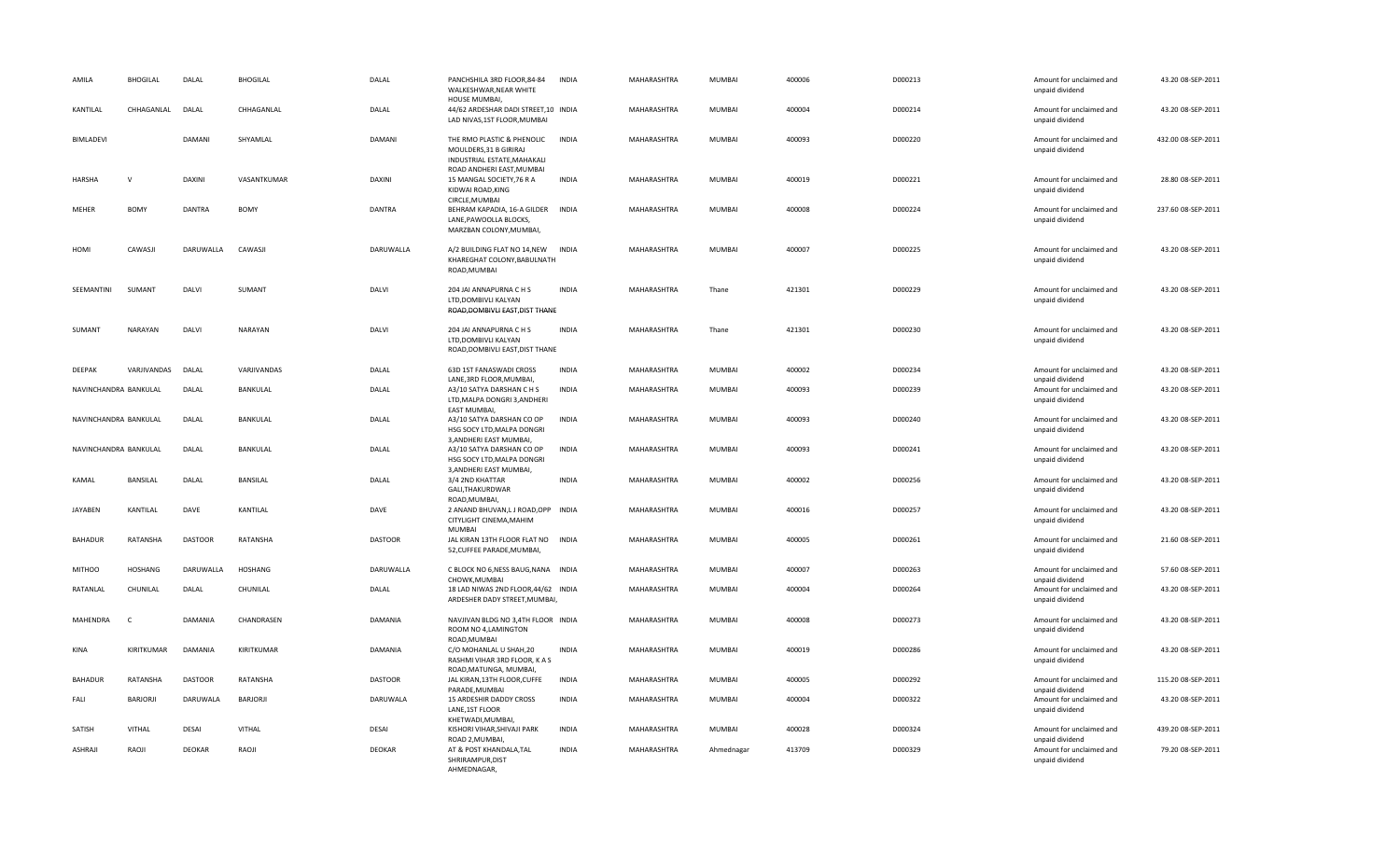| AMILA                 | <b>BHOGILAL</b> | DALAL          | <b>BHOGILAL</b> | DALAL          | PANCHSHILA 3RD FLOOR, 84-84<br>WALKESHWAR, NEAR WHITE<br>HOUSE MUMBAI,                                                 | <b>INDIA</b> | MAHARASHTRA | <b>MUMBAI</b> | 400006 | D000213 | Amount for unclaimed and<br>unpaid dividend                    | 43.20 08-SEP-2011  |
|-----------------------|-----------------|----------------|-----------------|----------------|------------------------------------------------------------------------------------------------------------------------|--------------|-------------|---------------|--------|---------|----------------------------------------------------------------|--------------------|
| KANTILAL              | CHHAGANLAL      | DALAL          | CHHAGANLAL      | DALAL          | 44/62 ARDESHAR DADI STREET,10 INDIA<br>LAD NIVAS, 1ST FLOOR, MUMBAI                                                    |              | MAHARASHTRA | <b>MUMBAI</b> | 400004 | D000214 | Amount for unclaimed and<br>unpaid dividend                    | 43.20 08-SEP-2011  |
| BIMLADEVI             |                 | DAMANI         | SHYAMLAL        | DAMANI         | THE RMO PLASTIC & PHENOLIC INDIA<br>MOULDERS, 31 B GIRIRAJ<br>INDUSTRIAL ESTATE, MAHAKALI<br>ROAD ANDHERI EAST, MUMBAI |              | MAHARASHTRA | <b>MUMBAI</b> | 400093 | D000220 | Amount for unclaimed and<br>unpaid dividend                    | 432.00 08-SEP-2011 |
| <b>HARSHA</b>         | $\mathsf{v}$    | DAXINI         | VASANTKUMAR     | <b>DAXINI</b>  | 15 MANGAL SOCIETY, 76 R A<br>KIDWAI ROAD, KING<br>CIRCLE, MUMBAI                                                       | <b>INDIA</b> | MAHARASHTRA | <b>MUMBAI</b> | 400019 | D000221 | Amount for unclaimed and<br>unpaid dividend                    | 28.80 08-SEP-2011  |
| MEHER                 | <b>BOMY</b>     | <b>DANTRA</b>  | <b>BOMY</b>     | DANTRA         | BEHRAM KAPADIA, 16-A GILDER<br>LANE, PAWOOLLA BLOCKS,<br>MARZBAN COLONY, MUMBAI,                                       | INDIA        | MAHARASHTRA | <b>MUMBAI</b> | 400008 | D000224 | Amount for unclaimed and<br>unpaid dividend                    | 237.60 08-SEP-2011 |
| HOMI                  | CAWASJI         | DARUWALLA      | CAWASJI         | DARUWALLA      | A/2 BUILDING FLAT NO 14, NEW<br>KHAREGHAT COLONY, BABULNATH<br>ROAD, MUMBAI                                            | <b>INDIA</b> | MAHARASHTRA | <b>MUMBAI</b> | 400007 | D000225 | Amount for unclaimed and<br>unpaid dividend                    | 43.20 08-SEP-2011  |
| SEEMANTINI            | SUMANT          | DALVI          | SUMANT          | DALVI          | 204 JAI ANNAPURNA C H S<br>LTD, DOMBIVLI KALYAN<br>ROAD, DOMBIVLI EAST, DIST THANE                                     | <b>INDIA</b> | MAHARASHTRA | Thane         | 421301 | D000229 | Amount for unclaimed and<br>unpaid dividend                    | 43.20 08-SEP-2011  |
| SUMANT                | NARAYAN         | DALVI          | NARAYAN         | DALVI          | 204 JAI ANNAPURNA C H S<br>LTD, DOMBIVLI KALYAN<br>ROAD, DOMBIVLI EAST, DIST THANE                                     | <b>INDIA</b> | MAHARASHTRA | Thane         | 421301 | D000230 | Amount for unclaimed and<br>unpaid dividend                    | 43.20 08-SEP-2011  |
| DEEPAK                | VARJIVANDAS     | DALAL          | VARJIVANDAS     | DALAL          | 63D 1ST FANASWADI CROSS                                                                                                | <b>INDIA</b> | MAHARASHTRA | <b>MUMBAI</b> | 400002 | D000234 | Amount for unclaimed and                                       | 43.20 08-SEP-2011  |
| NAVINCHANDRA BANKULAL |                 | DALAL          | BANKULAL        | DALAL          | LANE, 3RD FLOOR, MUMBAI,<br>A3/10 SATYA DARSHAN C H S<br>LTD, MALPA DONGRI 3, ANDHERI<br>EAST MUMBAI,                  | <b>INDIA</b> | MAHARASHTRA | <b>MUMBAI</b> | 400093 | D000239 | unpaid dividend<br>Amount for unclaimed and<br>unpaid dividend | 43.20 08-SEP-2011  |
| NAVINCHANDRA BANKULAL |                 | DALAL          | BANKULAL        | DALAL          | A3/10 SATYA DARSHAN CO OP<br>HSG SOCY LTD, MALPA DONGRI<br>3, ANDHERI EAST MUMBAI,                                     | <b>INDIA</b> | MAHARASHTRA | <b>MUMBAI</b> | 400093 | D000240 | Amount for unclaimed and<br>unpaid dividend                    | 43.20 08-SEP-2011  |
| NAVINCHANDRA BANKULAL |                 | DALAL          | BANKULAL        | DALAL          | A3/10 SATYA DARSHAN CO OP<br>HSG SOCY LTD, MALPA DONGRI<br>3, ANDHERI EAST MUMBAI,                                     | <b>INDIA</b> | MAHARASHTRA | <b>MUMBAI</b> | 400093 | D000241 | Amount for unclaimed and<br>unpaid dividend                    | 43.20 08-SEP-2011  |
| KAMAL                 | BANSILAL        | DALAL          | BANSILAL        | DALAL          | 3/4 2ND KHATTAR<br>GALI, THAKURDWAR<br>ROAD, MUMBAI,                                                                   | <b>INDIA</b> | MAHARASHTRA | <b>MUMBAI</b> | 400002 | D000256 | Amount for unclaimed and<br>unpaid dividend                    | 43.20 08-SEP-2011  |
| JAYABEN               | KANTILAL        | DAVE           | KANTILAL        | DAVE           | 2 ANAND BHUVAN, LJ ROAD, OPP INDIA<br>CITYLIGHT CINEMA, MAHIM<br><b>MUMBA</b>                                          |              | MAHARASHTRA | MUMBAI        | 400016 | D000257 | Amount for unclaimed and<br>unpaid dividend                    | 43.20 08-SEP-2011  |
| <b>BAHADUR</b>        | RATANSHA        | <b>DASTOOR</b> | RATANSHA        | <b>DASTOOR</b> | JAL KIRAN 13TH FLOOR FLAT NO<br>52, CUFFEE PARADE, MUMBAI,                                                             | <b>INDIA</b> | MAHARASHTRA | <b>MUMBAI</b> | 400005 | D000261 | Amount for unclaimed and<br>unpaid dividend                    | 21.60 08-SEP-2011  |
| <b>MITHOO</b>         | <b>HOSHANG</b>  | DARUWALLA      | <b>HOSHANG</b>  | DARUWALLA      | C BLOCK NO 6, NESS BAUG, NANA INDIA<br>CHOWK, MUMBAI                                                                   |              | MAHARASHTRA | <b>MUMBAI</b> | 400007 | D000263 | Amount for unclaimed and<br>unpaid dividend                    | 57.60 08-SEP-2011  |
| RATANLAL              | CHUNILAL        | DALAL          | CHUNILAL        | DALAL          | 18 LAD NIWAS 2ND FLOOR, 44/62 INDIA<br>ARDESHER DADY STREET, MUMBAI,                                                   |              | MAHARASHTRA | <b>MUMBAI</b> | 400004 | D000264 | Amount for unclaimed and<br>unpaid dividend                    | 43.20 08-SEP-2011  |
| MAHENDRA              | $\epsilon$      | DAMANIA        | CHANDRASEN      | <b>DAMANIA</b> | NAVJIVAN BLDG NO 3,4TH FLOOR INDIA<br>ROOM NO 4, LAMINGTON<br>ROAD, MUMBAI                                             |              | MAHARASHTRA | <b>MUMBAI</b> | 400008 | D000273 | Amount for unclaimed and<br>unpaid dividend                    | 43.20 08-SEP-2011  |
| KINA                  | KIRITKUMAR      | DAMANIA        | KIRITKUMAR      | DAMANIA        | C/O MOHANLAL U SHAH,20<br>RASHMI VIHAR 3RD FLOOR, K A S<br>ROAD, MATUNGA, MUMBAI,                                      | <b>INDIA</b> | MAHARASHTRA | <b>MUMBAI</b> | 400019 | D000286 | Amount for unclaimed and<br>unpaid dividend                    | 43.20 08-SEP-2011  |
| <b>BAHADUR</b>        | RATANSHA        | <b>DASTOOR</b> | RATANSHA        | <b>DASTOOR</b> | JAL KIRAN, 13TH FLOOR, CUFFE<br>PARADE, MUMBAI                                                                         | <b>INDIA</b> | MAHARASHTRA | <b>MUMBAI</b> | 400005 | D000292 | Amount for unclaimed and<br>unpaid dividend                    | 115.20 08-SEP-2011 |
| FALL                  | BARJORJI        | DARUWALA       | BARJORJI        | DARUWALA       | 15 ARDESHIR DADDY CROSS<br>LANE, 1ST FLOOR<br>KHETWADI, MUMBAI,                                                        | <b>INDIA</b> | MAHARASHTRA | <b>MUMBAI</b> | 400004 | D000322 | Amount for unclaimed and<br>unpaid dividend                    | 43.20 08-SEP-2011  |
| SATISH                | VITHAL          | DESAI          | <b>VITHAL</b>   | <b>DESAI</b>   | KISHORI VIHAR, SHIVAJI PARK<br>ROAD 2.MUMBAI.                                                                          | <b>INDIA</b> | MAHARASHTRA | <b>MUMBAI</b> | 400028 | D000324 | Amount for unclaimed and<br>unpaid dividend                    | 439.20 08-SEP-2011 |
| ASHRAJI               | RAOJI           | <b>DEOKAR</b>  | RAOJI           | <b>DEOKAR</b>  | AT & POST KHANDALA, TAL<br>SHRIRAMPUR, DIST<br>AHMEDNAGAR.                                                             | <b>INDIA</b> | MAHARASHTRA | Ahmednagar    | 413709 | D000329 | Amount for unclaimed and<br>unpaid dividend                    | 79.20 08-SEP-2011  |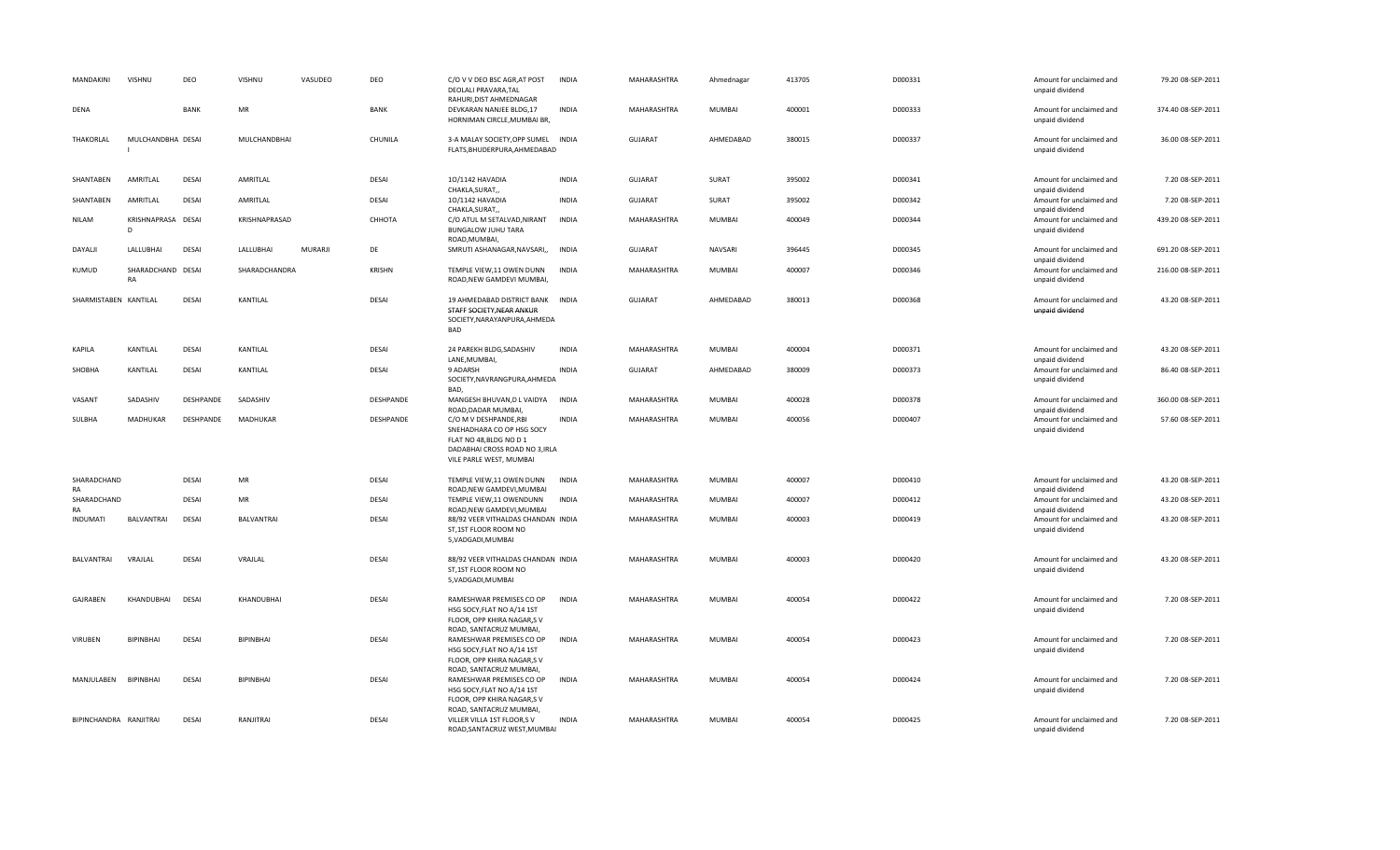| MANDAKINI              | VISHNU                  | DEO          | VISHNU        | VASUDEO | DEO           | C/O V V DEO BSC AGR, AT POST<br>DEOLALI PRAVARA, TAL<br>RAHURI, DIST AHMEDNAGAR                                                             | <b>INDIA</b> | MAHARASHTRA    | Ahmednagar    | 413705 | D000331 | Amount for unclaimed and<br>unpaid dividend                    | 79.20 08-SEP-2011  |
|------------------------|-------------------------|--------------|---------------|---------|---------------|---------------------------------------------------------------------------------------------------------------------------------------------|--------------|----------------|---------------|--------|---------|----------------------------------------------------------------|--------------------|
| DENA                   |                         | <b>BANK</b>  | MR            |         | <b>BANK</b>   | DEVKARAN NANJEE BLDG,17<br>HORNIMAN CIRCLE, MUMBAI BR,                                                                                      | <b>INDIA</b> | MAHARASHTRA    | <b>MUMBAI</b> | 400001 | D000333 | Amount for unclaimed and<br>unpaid dividend                    | 374.40 08-SEP-2011 |
| THAKORLAL              | MULCHANDBHA DESAI       |              | MULCHANDBHAI  |         | CHUNILA       | 3-A MALAY SOCIETY, OPP SUMEL INDIA<br>FLATS, BHUDERPURA, AHMEDABAD                                                                          |              | <b>GUJARAT</b> | AHMEDABAD     | 380015 | D000337 | Amount for unclaimed and<br>unpaid dividend                    | 36.00 08-SEP-2011  |
| SHANTABEN              | AMRITLAL                | <b>DESAI</b> | AMRITLAL      |         | DESAI         | 10/1142 HAVADIA<br>CHAKLA, SURAT,,                                                                                                          | INDIA        | GUJARAT        | SURAT         | 395002 | D000341 | Amount for unclaimed and<br>unpaid dividend                    | 7.20 08-SEP-2011   |
| SHANTABEN              | AMRITLAL                | <b>DESAI</b> | AMRITLAL      |         | <b>DESAI</b>  | 10/1142 HAVADIA<br>CHAKLA, SURAT,                                                                                                           | <b>INDIA</b> | <b>GUJARAT</b> | SURAT         | 395002 | D000342 | Amount for unclaimed and<br>unpaid dividend                    | 7.20 08-SEP-2011   |
| <b>NILAM</b>           | KRISHNAPRASA DESAI<br>D |              | KRISHNAPRASAD |         | СННОТА        | C/O ATUL M SETALVAD, NIRANT<br><b>BUNGALOW JUHU TARA</b><br>ROAD, MUMBAI,                                                                   | <b>INDIA</b> | MAHARASHTRA    | MUMBAI        | 400049 | D000344 | Amount for unclaimed and<br>unpaid dividend                    | 439.20 08-SEP-2011 |
| DAYALJI                | LALLUBHAI               | <b>DESAI</b> | LALLUBHAI     | MURARJI | DE            | SMRUTI ASHANAGAR, NAVSARI,,                                                                                                                 | <b>INDIA</b> | <b>GUJARAT</b> | NAVSARI       | 396445 | D000345 | Amount for unclaimed and<br>unpaid dividend                    | 691.20 08-SEP-2011 |
| KUMUD                  | SHARADCHAND DESAI<br>RA |              | SHARADCHANDRA |         | <b>KRISHN</b> | TEMPLE VIEW, 11 OWEN DUNN<br>ROAD, NEW GAMDEVI MUMBAI,                                                                                      | <b>INDIA</b> | MAHARASHTRA    | <b>MUMBAI</b> | 400007 | D000346 | Amount for unclaimed and<br>unpaid dividend                    | 216.00 08-SEP-2011 |
| SHARMISTABEN KANTILAL  |                         | <b>DESAI</b> | KANTILAL      |         | <b>DESAI</b>  | 19 AHMEDABAD DISTRICT BANK<br>STAFF SOCIETY, NEAR ANKUR<br>SOCIETY, NARAYANPURA, AHMEDA<br><b>BAD</b>                                       | INDIA        | GUJARAT        | AHMEDABAD     | 380013 | D000368 | Amount for unclaimed and<br>unpaid dividend                    | 43.20 08-SEP-2011  |
| KAPILA                 | KANTILAL                | <b>DESAI</b> | KANTILAL      |         | <b>DESAI</b>  | 24 PAREKH BLDG, SADASHIV                                                                                                                    | <b>INDIA</b> | MAHARASHTRA    | MUMBAI        | 400004 | D000371 | Amount for unclaimed and                                       | 43.20 08-SEP-2011  |
| SHOBHA                 | KANTILAL                | <b>DESAI</b> | KANTILAL      |         | <b>DESAI</b>  | LANE, MUMBAI,<br>9 ADARSH<br>SOCIETY, NAVRANGPURA, AHMEDA<br>BAD.                                                                           | <b>INDIA</b> | <b>GUJARAT</b> | AHMEDABAD     | 380009 | D000373 | unpaid dividend<br>Amount for unclaimed and<br>unpaid dividend | 86.40 08-SEP-2011  |
| VASANT                 | SADASHIV                | DESHPANDE    | SADASHIV      |         | DESHPANDE     | MANGESH BHUVAN, D L VAIDYA<br>ROAD, DADAR MUMBAI,                                                                                           | <b>INDIA</b> | MAHARASHTRA    | <b>MUMBAI</b> | 400028 | D000378 | Amount for unclaimed and<br>unpaid dividend                    | 360.00 08-SEP-2011 |
| SULBHA                 | MADHUKAR                | DESHPANDE    | MADHUKAR      |         | DESHPANDE     | C/O M V DESHPANDE, RBI<br>SNEHADHARA CO OP HSG SOCY<br>FLAT NO 48, BLDG NO D 1<br>DADABHAI CROSS ROAD NO 3, IRLA<br>VILE PARLE WEST, MUMBAI | <b>INDIA</b> | MAHARASHTRA    | <b>MUMBAI</b> | 400056 | D000407 | Amount for unclaimed and<br>unpaid dividend                    | 57.60 08-SEP-2011  |
| SHARADCHAND<br>RA      |                         | <b>DESAI</b> | <b>MR</b>     |         | <b>DESAI</b>  | TEMPLE VIEW, 11 OWEN DUNN<br>ROAD, NEW GAMDEVI, MUMBAI                                                                                      | <b>INDIA</b> | MAHARASHTRA    | <b>MUMBAI</b> | 400007 | D000410 | Amount for unclaimed and<br>unpaid dividend                    | 43.20 08-SEP-2011  |
| SHARADCHAND<br>RA      |                         | <b>DESAI</b> | <b>MR</b>     |         | <b>DESAI</b>  | TEMPLE VIEW, 11 OWENDUNN<br>ROAD, NEW GAMDEVI, MUMBAI                                                                                       | <b>INDIA</b> | MAHARASHTRA    | <b>MUMBAI</b> | 400007 | D000412 | Amount for unclaimed and<br>unpaid dividend                    | 43.20 08-SEP-2011  |
| INDUMATI               | BALVANTRAI              | DESAI        | BALVANTRAI    |         | <b>DESAI</b>  | 88/92 VEER VITHALDAS CHANDAN INDIA<br>ST,1ST FLOOR ROOM NO<br>5, VADGADI, MUMBAI                                                            |              | MAHARASHTRA    | <b>MUMBAI</b> | 400003 | D000419 | Amount for unclaimed and<br>unpaid dividend                    | 43.20 08-SEP-2011  |
| <b>BALVANTRAI</b>      | VRAJLAL                 | <b>DESAI</b> | VRAJLAL       |         | DESAI         | 88/92 VEER VITHALDAS CHANDAN INDIA<br>ST,1ST FLOOR ROOM NO<br>5, VADGADI, MUMBAI                                                            |              | MAHARASHTRA    | <b>MUMBAI</b> | 400003 | D000420 | Amount for unclaimed and<br>unpaid dividend                    | 43.20 08-SEP-2011  |
| GAJRABEN               | KHANDUBHAI              | <b>DESAI</b> | KHANDUBHAI    |         | <b>DESAI</b>  | RAMESHWAR PREMISES CO OP<br>HSG SOCY, FLAT NO A/14 1ST<br>FLOOR, OPP KHIRA NAGAR,S V                                                        | <b>INDIA</b> | MAHARASHTRA    | <b>MUMBAI</b> | 400054 | D000422 | Amount for unclaimed and<br>unpaid dividend                    | 7.20 08-SEP-2011   |
| <b>VIRUBEN</b>         | BIPINBHAI               | <b>DESAI</b> | BIPINBHAI     |         | DESAI         | ROAD, SANTACRUZ MUMBAI,<br>RAMESHWAR PREMISES CO OP<br>HSG SOCY, FLAT NO A/14 1ST<br>FLOOR, OPP KHIRA NAGAR,S V                             | <b>INDIA</b> | MAHARASHTRA    | <b>MUMBAI</b> | 400054 | D000423 | Amount for unclaimed and<br>unpaid dividend                    | 7.20 08-SEP-2011   |
| MANJULABEN             | BIPINBHAI               | <b>DESAI</b> | BIPINBHAI     |         | DESAI         | ROAD, SANTACRUZ MUMBAI,<br>RAMESHWAR PREMISES CO OP<br>HSG SOCY, FLAT NO A/14 1ST<br>FLOOR, OPP KHIRA NAGAR,S V                             | <b>INDIA</b> | MAHARASHTRA    | <b>MUMBAI</b> | 400054 | D000424 | Amount for unclaimed and<br>unpaid dividend                    | 7.20 08-SEP-2011   |
| BIPINCHANDRA RANJITRAI |                         | <b>DESAI</b> | RANJITRAI     |         | <b>DESAI</b>  | ROAD, SANTACRUZ MUMBAI,<br>VILLER VILLA 1ST FLOOR,S V<br>ROAD.SANTACRUZ WEST.MUMBAI                                                         | <b>INDIA</b> | MAHARASHTRA    | <b>MUMBAI</b> | 400054 | D000425 | Amount for unclaimed and<br>unpaid dividend                    | 7.20 08-SEP-2011   |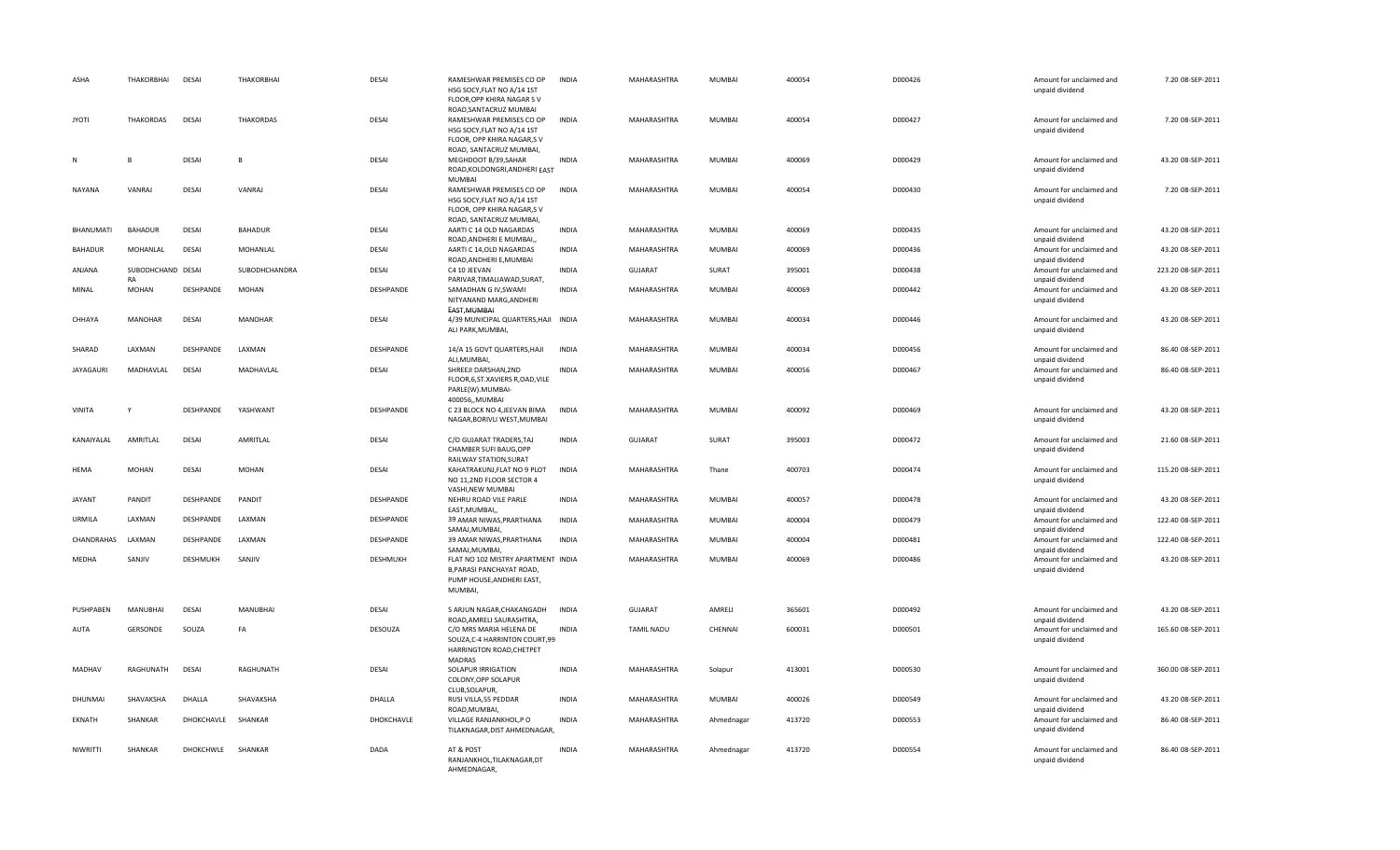| ASHA             | <b>THAKORBHAI</b>       | <b>DESAI</b>       | THAKORBHAI       | DESAI        | RAMESHWAR PREMISES CO OP<br>HSG SOCY, FLAT NO A/14 1ST<br>FLOOR, OPP KHIRA NAGAR SV                               | <b>INDIA</b> | MAHARASHTRA        | <b>MUMBAI</b> | 400054 | D000426 | Amount for unclaimed and<br>unpaid dividend                    | 7.20 08-SEP-2011   |
|------------------|-------------------------|--------------------|------------------|--------------|-------------------------------------------------------------------------------------------------------------------|--------------|--------------------|---------------|--------|---------|----------------------------------------------------------------|--------------------|
| <b>JYOTI</b>     | THAKORDAS               | <b>DESAI</b>       | <b>THAKORDAS</b> | <b>DESAI</b> | ROAD, SANTACRUZ MUMBAI<br>RAMESHWAR PREMISES CO OP<br>HSG SOCY, FLAT NO A/14 1ST<br>FLOOR, OPP KHIRA NAGAR,S V    | <b>INDIA</b> | MAHARASHTRA        | MUMBAI        | 400054 | D000427 | Amount for unclaimed and<br>unpaid dividend                    | 7.20 08-SEP-2011   |
| N                |                         | <b>DESAI</b>       | B                | DESAI        | ROAD, SANTACRUZ MUMBAI,<br>MEGHDOOT B/39,SAHAR<br>ROAD, KOLDONGRI, ANDHERI EAST                                   | <b>INDIA</b> | MAHARASHTRA        | <b>MUMBAI</b> | 400069 | D000429 | Amount for unclaimed and<br>unpaid dividend                    | 43.20 08-SEP-2011  |
| <b>NAYANA</b>    | VANRAJ                  | <b>DESAI</b>       | VANRAJ           | DESAI        | <b>MUMBAI</b><br>RAMESHWAR PREMISES CO OP<br>HSG SOCY, FLAT NO A/14 1ST<br>FLOOR, OPP KHIRA NAGAR,S V             | <b>INDIA</b> | MAHARASHTRA        | <b>MUMBAI</b> | 400054 | D000430 | Amount for unclaimed and<br>unpaid dividend                    | 7.20 08-SEP-2011   |
| BHANUMATI        | <b>BAHADUR</b>          | <b>DESAI</b>       | <b>BAHADUR</b>   | DESAI        | ROAD, SANTACRUZ MUMBAI,<br>AARTI C 14 OLD NAGARDAS<br>ROAD, ANDHERI E MUMBAI,                                     | <b>INDIA</b> | MAHARASHTRA        | <b>MUMBAI</b> | 400069 | D000435 | Amount for unclaimed and<br>unpaid dividend                    | 43.20 08-SEP-2011  |
| <b>BAHADUR</b>   | MOHANLAL                | <b>DESAI</b>       | <b>MOHANLAL</b>  | DESAI        | AARTI C 14, OLD NAGARDAS<br>ROAD, ANDHERI E, MUMBAI                                                               | <b>INDIA</b> | <b>MAHARASHTRA</b> | <b>MUMBAI</b> | 400069 | D000436 | Amount for unclaimed and<br>unpaid dividend                    | 43.20 08-SEP-2011  |
| ANJANA           | SUBODHCHAND DESAI<br>RA |                    | SUBODHCHANDRA    | DESAI        | C4 10 JEEVAN<br>PARIVAR, TIMALIAWAD, SURAT,                                                                       | <b>INDIA</b> | <b>GUJARAT</b>     | SURAT         | 395001 | D000438 | Amount for unclaimed and<br>unpaid dividend                    | 223.20 08-SEP-2011 |
| MINAL            | <b>MOHAN</b>            | DESHPANDE          | <b>MOHAN</b>     | DESHPANDE    | SAMADHAN G IV, SWAMI<br>NITYANAND MARG, ANDHERI<br>EAST MUMBAI                                                    | <b>INDIA</b> | MAHARASHTRA        | MUMBAI        | 400069 | D000442 | Amount for unclaimed and<br>unpaid dividend                    | 43.20 08-SEP-2011  |
| CHHAYA           | <b>MANOHAR</b>          | <b>DESAI</b>       | <b>MANOHAR</b>   | DESAI        | 4/39 MUNICIPAL QUARTERS, HAJI INDIA<br>ALI PARK, MUMBAI,                                                          |              | MAHARASHTRA        | <b>MUMBAI</b> | 400034 | D000446 | Amount for unclaimed and<br>unpaid dividend                    | 43.20 08-SEP-2011  |
| SHARAD           | LAXMAN                  | DESHPANDE          | LAXMAN           | DESHPANDE    | 14/A 15 GOVT QUARTERS, HAJI<br>ALI, MUMBAI,                                                                       | <b>INDIA</b> | MAHARASHTRA        | <b>MUMBAI</b> | 400034 | D000456 | Amount for unclaimed and<br>unpaid dividend                    | 86.40 08-SEP-2011  |
| <b>JAYAGAURI</b> | MADHAVLAL               | <b>DESAI</b>       | MADHAVLAL        | <b>DESAI</b> | SHREEJI DARSHAN, 2ND<br>FLOOR, 6, ST. XAVIERS R, OAD, VILE<br>PARLE(W).MUMBAI-                                    | <b>INDIA</b> | MAHARASHTRA        | MUMBAI        | 400056 | D000467 | Amount for unclaimed and<br>unpaid dividend                    | 86.40 08-SEP-2011  |
| <b>VINITA</b>    |                         | DESHPANDE          | YASHWANT         | DESHPANDE    | 400056, MUMBAI<br>C 23 BLOCK NO 4, JEEVAN BIMA<br>NAGAR, BORIVLI WEST, MUMBAI                                     | <b>INDIA</b> | MAHARASHTRA        | MUMBAI        | 400092 | D000469 | Amount for unclaimed and<br>unpaid dividend                    | 43.20 08-SEP-2011  |
| KANAIYALAL       | AMRITLAL                | <b>DESAI</b>       | AMRITLAL         | DESAI        | C/O GUJARAT TRADERS, TAJ<br>CHAMBER SUFI BAUG, OPP<br>RAILWAY STATION, SURAT                                      | <b>INDIA</b> | <b>GUJARAT</b>     | SURAT         | 395003 | D000472 | Amount for unclaimed and<br>unpaid dividend                    | 21.60 08-SEP-2011  |
| HEMA             | <b>MOHAN</b>            | <b>DESAI</b>       | <b>MOHAN</b>     | DESAI        | KAHATRAKUNJ, FLAT NO 9 PLOT<br>NO 11,2ND FLOOR SECTOR 4<br>VASHI, NEW MUMBAI                                      | <b>INDIA</b> | MAHARASHTRA        | Thane         | 400703 | D000474 | Amount for unclaimed and<br>unpaid dividend                    | 115.20 08-SEP-2011 |
| <b>JAYANT</b>    | PANDIT                  | DESHPANDE          | PANDIT           | DESHPANDE    | NEHRU ROAD VILE PARLE<br>EAST, MUMBAI,                                                                            | <b>INDIA</b> | MAHARASHTRA        | <b>MUMBAI</b> | 400057 | D000478 | Amount for unclaimed and<br>unpaid dividend                    | 43.20 08-SEP-2011  |
| URMILA           | LAXMAN                  | DESHPANDE          | LAXMAN           | DESHPANDE    | 39 AMAR NIWAS, PRARTHANA<br>SAMAJ, MUMBAI,                                                                        | <b>INDIA</b> | MAHARASHTRA        | <b>MUMBAI</b> | 400004 | D000479 | Amount for unclaimed and<br>unpaid dividend                    | 122.40 08-SEP-2011 |
| CHANDRAHAS       | LAXMAN                  | DESHPANDE          | LAXMAN           | DESHPANDE    | 39 AMAR NIWAS, PRARTHANA<br>SAMAJ, MUMBAI,                                                                        | <b>INDIA</b> | MAHARASHTRA        | <b>MUMBAI</b> | 400004 | D000481 | Amount for unclaimed and<br>unpaid dividend                    | 122.40 08-SEP-2011 |
| MEDHA            | SANJIV                  | DESHMUKH           | SANJIV           | DESHMUKH     | FLAT NO 102 MISTRY APARTMENT INDIA<br>B, PARASI PANCHAYAT ROAD,<br>PUMP HOUSE, ANDHERI EAST,<br>MUMBAI,           |              | MAHARASHTRA        | MUMBAI        | 400069 | D000486 | Amount for unclaimed and<br>unpaid dividend                    | 43.20 08-SEP-2011  |
| PUSHPABEN        | MANUBHAI                | <b>DESAI</b>       | <b>MANUBHAI</b>  | DESAI        | 5 ARJUN NAGAR, CHAKANGADH                                                                                         | <b>INDIA</b> | <b>GUJARAT</b>     | AMRELI        | 365601 | D000492 | Amount for unclaimed and                                       | 43.20 08-SEP-2011  |
| AUTA             | GERSONDE                | SOUZA              | FA               | DESOUZA      | ROAD, AMRELI SAURASHTRA,<br>C/O MRS MARIA HELENA DE<br>SOUZA, C-4 HARRINTON COURT, 99<br>HARRINGTON ROAD, CHETPET | <b>INDIA</b> | <b>TAMIL NADU</b>  | CHENNAI       | 600031 | D000501 | unpaid dividend<br>Amount for unclaimed and<br>unpaid dividend | 165.60 08-SEP-2011 |
| MADHAV           | RAGHUNATH               | <b>DESAI</b>       | RAGHUNATH        | DESAI        | <b>MADRAS</b><br>SOLAPUR IRRIGATION<br>COLONY, OPP SOLAPUR<br>CLUB, SOLAPUR,                                      | <b>INDIA</b> | MAHARASHTRA        | Solapur       | 413001 | D000530 | Amount for unclaimed and<br>unpaid dividend                    | 360.00 08-SEP-2011 |
| DHUNMAI          | SHAVAKSHA               | DHALLA             | SHAVAKSHA        | DHALLA       | RUSI VILLA, 55 PEDDAR<br>ROAD, MUMBAI                                                                             | <b>INDIA</b> | MAHARASHTRA        | MUMBAI        | 400026 | D000549 | Amount for unclaimed and<br>unpaid dividend                    | 43.20 08-SEP-2011  |
| EKNATH           | SHANKAR                 | DHOKCHAVLE SHANKAR |                  | DHOKCHAVLE   | VILLAGE RANJANKHOL,P O<br>TILAKNAGAR, DIST AHMEDNAGAR,                                                            | <b>INDIA</b> | MAHARASHTRA        | Ahmednagar    | 413720 | D000553 | Amount for unclaimed and<br>unpaid dividend                    | 86.40 08-SEP-2011  |
| NIWRITTI         | SHANKAR                 | DHOKCHWLE          | SHANKAR          | DADA         | AT & POST<br>RANJANKHOL, TILAKNAGAR, DT<br>AHMEDNAGAR.                                                            | <b>INDIA</b> | MAHARASHTRA        | Ahmednagar    | 413720 | D000554 | Amount for unclaimed and<br>unpaid dividend                    | 86.40 08-SEP-2011  |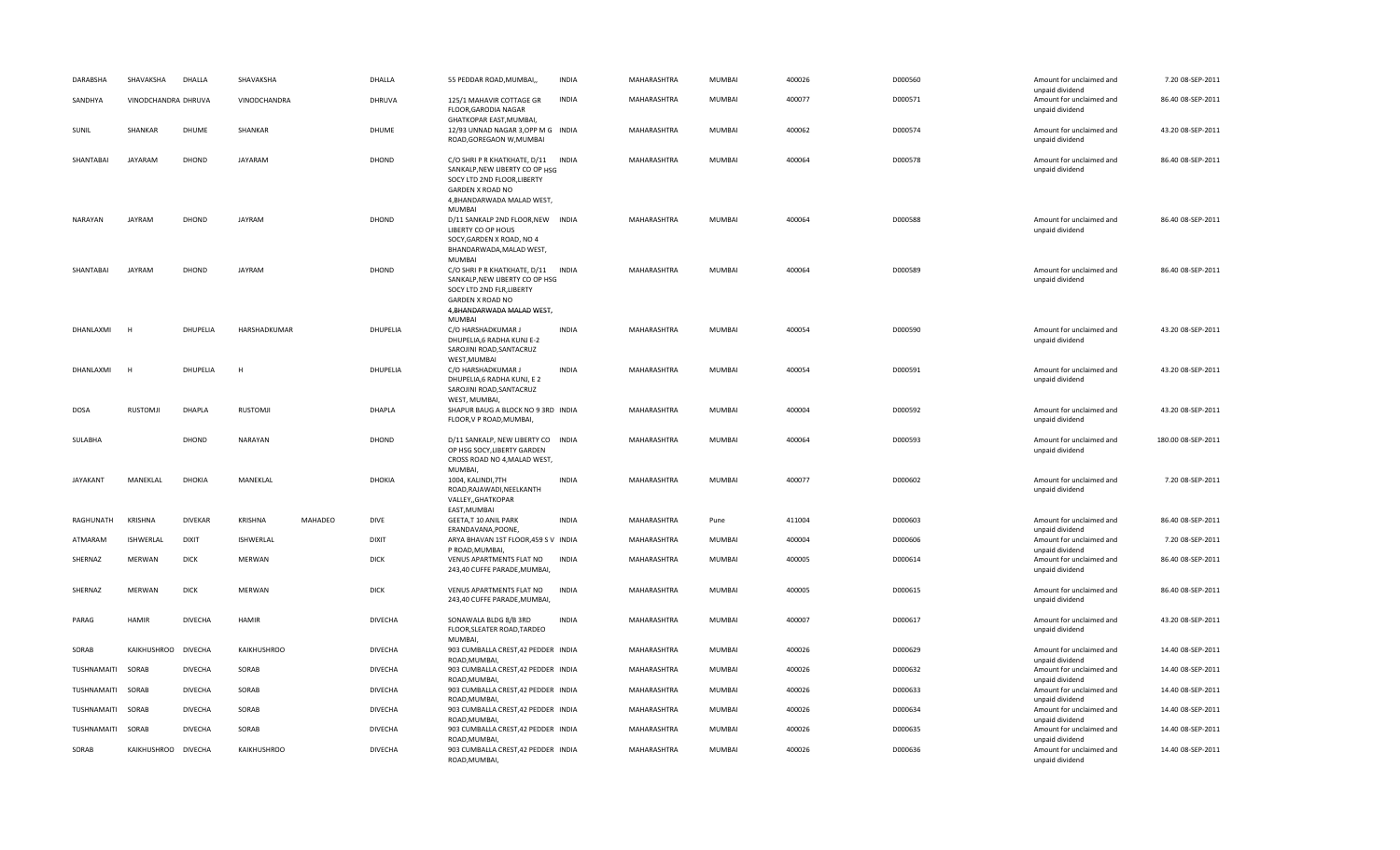| DARABSHA          | SHAVAKSHA           | DHALLA         | SHAVAKSHA          |         | DHALLA         | 55 PEDDAR ROAD, MUMBAI,                                                                                                                                              | <b>INDIA</b> | MAHARASHTRA | MUMBAI        | 400026 | D000560 | Amount for unclaimed and                                       | 7.20 08-SEP-2011   |
|-------------------|---------------------|----------------|--------------------|---------|----------------|----------------------------------------------------------------------------------------------------------------------------------------------------------------------|--------------|-------------|---------------|--------|---------|----------------------------------------------------------------|--------------------|
| SANDHYA           | VINODCHANDRA DHRUVA |                | VINODCHANDRA       |         | DHRUVA         | 125/1 MAHAVIR COTTAGE GR<br>FLOOR, GARODIA NAGAR                                                                                                                     | <b>INDIA</b> | MAHARASHTRA | MUMBAI        | 400077 | D000571 | unpaid dividend<br>Amount for unclaimed and<br>unpaid dividend | 86.40 08-SEP-2011  |
| SUNIL             | SHANKAR             | DHUME          | SHANKAR            |         | DHUME          | GHATKOPAR EAST, MUMBAI,<br>12/93 UNNAD NAGAR 3, OPP M G INDIA<br>ROAD, GOREGAON W, MUMBAI                                                                            |              | MAHARASHTRA | MUMBAI        | 400062 | D000574 | Amount for unclaimed and<br>unpaid dividend                    | 43.20 08-SEP-2011  |
| SHANTABAI         | <b>JAYARAM</b>      | DHOND          | <b>JAYARAM</b>     |         | DHOND          | C/O SHRI P R KHATKHATE, D/11 INDIA<br>SANKALP, NEW LIBERTY CO OP HSG<br>SOCY LTD 2ND FLOOR, LIBERTY<br>GARDEN X ROAD NO<br>4, BHANDARWADA MALAD WEST,                |              | MAHARASHTRA | MUMBAI        | 400064 | D000578 | Amount for unclaimed and<br>unpaid dividend                    | 86.40 08-SEP-2011  |
| <b>NARAYAN</b>    | <b>JAYRAM</b>       | DHOND          | <b>JAYRAM</b>      |         | DHOND          | <b>MUMBAI</b><br>D/11 SANKALP 2ND FLOOR, NEW INDIA<br>LIBERTY CO OP HOUS<br>SOCY, GARDEN X ROAD, NO 4<br>BHANDARWADA, MALAD WEST,<br>MUMBAI                          |              | MAHARASHTRA | <b>MUMBAI</b> | 400064 | D000588 | Amount for unclaimed and<br>unpaid dividend                    | 86.40 08-SEP-2011  |
| SHANTABAI         | <b>JAYRAM</b>       | DHOND          | JAYRAM             |         | DHOND          | C/O SHRI P R KHATKHATE, D/11 INDIA<br>SANKALP, NEW LIBERTY CO OP HSG<br>SOCY LTD 2ND FLR, LIBERTY<br><b>GARDEN X ROAD NO</b><br>4, BHANDARWADA MALAD WEST,<br>MUMBAI |              | MAHARASHTRA | MUMBAI        | 400064 | D000589 | Amount for unclaimed and<br>unpaid dividend                    | 86.40 08-SEP-2011  |
| DHANLAXMI         |                     | DHUPELIA       | HARSHADKUMAR       |         | DHUPELIA       | C/O HARSHADKUMAR J<br>DHUPELIA,6 RADHA KUNJ E-2<br>SAROJINI ROAD, SANTACRUZ<br>WEST, MUMBAI                                                                          | <b>INDIA</b> | MAHARASHTRA | MUMBAI        | 400054 | D000590 | Amount for unclaimed and<br>unpaid dividend                    | 43.20 08-SEP-2011  |
| DHANLAXMI         | н                   | DHUPELIA       | н                  |         | DHUPELIA       | C/O HARSHADKUMAR J<br>DHUPELIA,6 RADHA KUNJ, E 2<br>SAROJINI ROAD, SANTACRUZ<br>WEST, MUMBAI,                                                                        | <b>INDIA</b> | MAHARASHTRA | MUMBAI        | 400054 | D000591 | Amount for unclaimed and<br>unpaid dividend                    | 43.20 08-SEP-2011  |
| DOSA              | RUSTOMJI            | DHAPLA         | <b>RUSTOMJI</b>    |         | <b>DHAPLA</b>  | SHAPUR BAUG A BLOCK NO 9 3RD INDIA<br>FLOOR, V P ROAD, MUMBAI,                                                                                                       |              | MAHARASHTRA | <b>MUMBAI</b> | 400004 | D000592 | Amount for unclaimed and<br>unpaid dividend                    | 43.20 08-SEP-2011  |
| SULABHA           |                     | DHOND          | NARAYAN            |         | DHOND          | D/11 SANKALP, NEW LIBERTY CO INDIA<br>OP HSG SOCY, LIBERTY GARDEN<br>CROSS ROAD NO 4, MALAD WEST,<br>MUMBAI,                                                         |              | MAHARASHTRA | <b>MUMBAI</b> | 400064 | D000593 | Amount for unclaimed and<br>unpaid dividend                    | 180.00 08-SEP-2011 |
| <b>JAYAKANT</b>   | MANEKLAL            | <b>DHOKIA</b>  | MANEKLAL           |         | DHOKIA         | 1004, KALINDI, 7TH<br>ROAD, RAJAWADI, NEELKANTH<br>VALLEY,, GHATKOPAR<br>EAST, MUMBAI                                                                                | <b>INDIA</b> | MAHARASHTRA | <b>MUMBAI</b> | 400077 | D000602 | Amount for unclaimed and<br>unpaid dividend                    | 7.20 08-SEP-2011   |
| RAGHUNATH         | <b>KRISHNA</b>      | DIVEKAR        | KRISHNA            | MAHADEO | <b>DIVE</b>    | GEETA,T 10 ANIL PARK<br>ERANDAVANA, POONE,                                                                                                                           | <b>INDIA</b> | MAHARASHTRA | Pune          | 411004 | D000603 | Amount for unclaimed and<br>unpaid dividend                    | 86.40 08-SEP-2011  |
| ATMARAM           | ISHWERLAL           | <b>DIXIT</b>   | ISHWERLAL          |         | <b>DIXIT</b>   | ARYA BHAVAN 1ST FLOOR, 459 S V INDIA<br>P ROAD, MUMBAI,                                                                                                              |              | MAHARASHTRA | MUMBAI        | 400004 | D000606 | Amount for unclaimed and<br>unpaid dividend                    | 7.20 08-SEP-2011   |
| SHERNAZ           | MERWAN              | <b>DICK</b>    | <b>MERWAN</b>      |         | <b>DICK</b>    | VENUS APARTMENTS FLAT NO<br>243,40 CUFFE PARADE, MUMBAI,                                                                                                             | <b>INDIA</b> | MAHARASHTRA | <b>MUMBAI</b> | 400005 | D000614 | Amount for unclaimed and<br>unpaid dividend                    | 86.40 08-SEP-2011  |
| SHERNAZ           | MERWAN              | <b>DICK</b>    | <b>MERWAN</b>      |         | <b>DICK</b>    | VENUS APARTMENTS FLAT NO<br>243,40 CUFFE PARADE, MUMBAI,                                                                                                             | <b>INDIA</b> | MAHARASHTRA | <b>MUMBAI</b> | 400005 | D000615 | Amount for unclaimed and<br>unpaid dividend                    | 86.40 08-SEP-2011  |
| PARAG             | <b>HAMIR</b>        | <b>DIVECHA</b> | <b>HAMIR</b>       |         | <b>DIVECHA</b> | SONAWALA BLDG 8/B 3RD<br>FLOOR, SLEATER ROAD, TARDEO<br><b>MUMBAI</b>                                                                                                | <b>INDIA</b> | MAHARASHTRA | MUMBAI        | 400007 | D000617 | Amount for unclaimed and<br>unpaid dividend                    | 43.20 08-SEP-2011  |
| SORAB             | KAIKHUSHROO         | <b>DIVECHA</b> | <b>KAIKHUSHROO</b> |         | <b>DIVECHA</b> | 903 CUMBALLA CREST, 42 PEDDER INDIA<br>ROAD, MUMBAI,                                                                                                                 |              | MAHARASHTRA | MUMBAI        | 400026 | D000629 | Amount for unclaimed and<br>unpaid dividend                    | 14.40 08-SEP-2011  |
| TUSHNAMAITI       | SORAB               | <b>DIVECHA</b> | SORAB              |         | <b>DIVECHA</b> | 903 CUMBALLA CREST, 42 PEDDER INDIA<br>ROAD, MUMBAI,                                                                                                                 |              | MAHARASHTRA | MUMBAI        | 400026 | D000632 | Amount for unclaimed and<br>unpaid dividend                    | 14.40 08-SEP-2011  |
| TUSHNAMAITI       | SORAB               | <b>DIVECHA</b> | SORAB              |         | <b>DIVECHA</b> | 903 CUMBALLA CREST, 42 PEDDER INDIA<br>ROAD, MUMBAI,                                                                                                                 |              | MAHARASHTRA | MUMBAI        | 400026 | D000633 | Amount for unclaimed and<br>unpaid dividend                    | 14.40 08-SEP-2011  |
| TUSHNAMAITI       | SORAB               | <b>DIVECHA</b> | SORAB              |         | <b>DIVECHA</b> | 903 CUMBALLA CREST, 42 PEDDER INDIA<br>ROAD, MUMBAI,                                                                                                                 |              | MAHARASHTRA | MUMBAI        | 400026 | D000634 | Amount for unclaimed and<br>unpaid dividend                    | 14.40 08-SEP-2011  |
| TUSHNAMAITI SORAB |                     | <b>DIVECHA</b> | SORAB              |         | <b>DIVECHA</b> | 903 CUMBALLA CREST, 42 PEDDER INDIA<br>ROAD, MUMBAI,                                                                                                                 |              | MAHARASHTRA | MUMBAI        | 400026 | D000635 | Amount for unclaimed and<br>unpaid dividend                    | 14.40 08-SEP-2011  |
| SORAB             | KAIKHUSHROO DIVECHA |                | <b>KAIKHUSHROO</b> |         | <b>DIVECHA</b> | 903 CUMBALLA CREST, 42 PEDDER INDIA<br>ROAD, MUMBAI,                                                                                                                 |              | MAHARASHTRA | <b>MUMBAI</b> | 400026 | D000636 | Amount for unclaimed and<br>unpaid dividend                    | 14.40 08-SEP-2011  |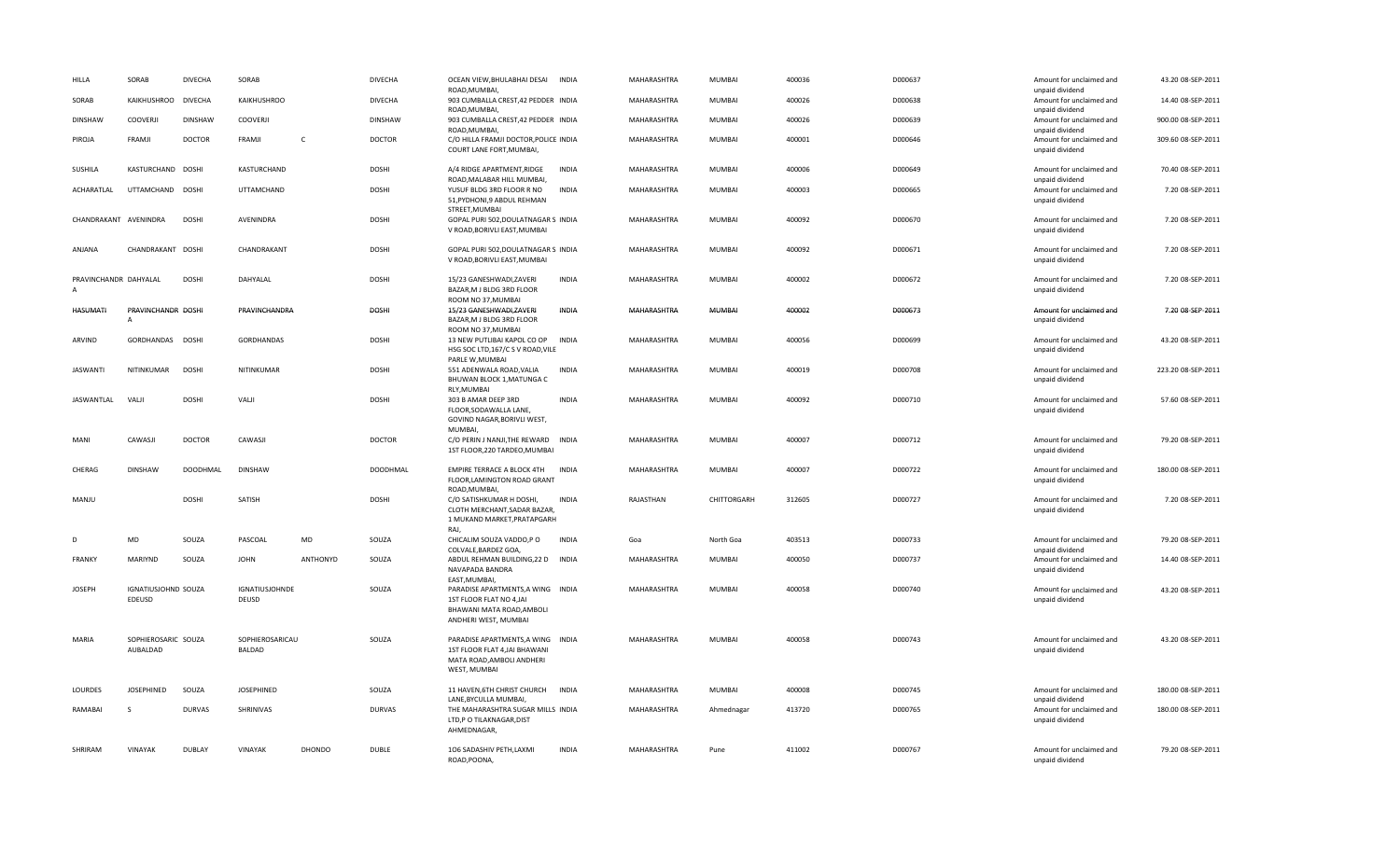| HILLA                                   | SORAB                           | <b>DIVECHA</b>  | SORAB                            |               | <b>DIVECHA</b>  | OCEAN VIEW, BHULABHAI DESAI<br>ROAD, MUMBAI,                                                                                        | <b>INDIA</b> | MAHARASHTRA        | <b>MUMBAI</b> | 400036 | D000637 | Amount for unclaimed and<br>unpaid dividend                    | 43.20 08-SEP-2011  |
|-----------------------------------------|---------------------------------|-----------------|----------------------------------|---------------|-----------------|-------------------------------------------------------------------------------------------------------------------------------------|--------------|--------------------|---------------|--------|---------|----------------------------------------------------------------|--------------------|
| SORAB                                   | KAIKHUSHROO                     | <b>DIVECHA</b>  | KAIKHUSHROO                      |               | <b>DIVECHA</b>  | 903 CUMBALLA CREST, 42 PEDDER INDIA<br>ROAD, MUMBAI,                                                                                |              | MAHARASHTRA        | <b>MUMBAI</b> | 400026 | D000638 | Amount for unclaimed and<br>unpaid dividend                    | 14.40 08-SEP-2011  |
| <b>DINSHAW</b>                          | COOVERJI                        | <b>DINSHAW</b>  | COOVERJI                         |               | <b>DINSHAW</b>  | 903 CUMBALLA CREST, 42 PEDDER INDIA<br>ROAD, MUMBAI,                                                                                |              | MAHARASHTRA        | <b>MUMBAI</b> | 400026 | D000639 | Amount for unclaimed and<br>unpaid dividend                    | 900.00 08-SEP-2011 |
| PIROJA                                  | FRAMJI                          | <b>DOCTOR</b>   | FRAMJI                           | $\mathsf{C}$  | <b>DOCTOR</b>   | C/O HILLA FRAMJI DOCTOR, POLICE INDIA<br>COURT LANE FORT, MUMBAI,                                                                   |              | MAHARASHTRA        | <b>MUMBAI</b> | 400001 | D000646 | Amount for unclaimed and<br>unpaid dividend                    | 309.60 08-SEP-2011 |
| SUSHILA                                 | KASTURCHAND DOSHI               |                 | KASTURCHAND                      |               | <b>DOSHI</b>    | A/4 RIDGE APARTMENT, RIDGE<br>ROAD, MALABAR HILL MUMBAI,                                                                            | <b>INDIA</b> | MAHARASHTRA        | <b>MUMBAI</b> | 400006 | D000649 | Amount for unclaimed and<br>unpaid dividend                    | 70.40 08-SEP-2011  |
| ACHARATLAL                              | UTTAMCHAND DOSHI                |                 | UTTAMCHAND                       |               | DOSHI           | YUSUF BLDG 3RD FLOOR R NO<br>51, PYDHONI, 9 ABDUL REHMAN<br>STREET, MUMBAI                                                          | <b>INDIA</b> | MAHARASHTRA        | <b>MUMBAI</b> | 400003 | D000665 | Amount for unclaimed and<br>unpaid dividend                    | 7.20 08-SEP-2011   |
| CHANDRAKANT AVENINDRA                   |                                 | <b>DOSHI</b>    | AVENINDRA                        |               | DOSHI           | GOPAL PURI 502, DOULATNAGAR S INDIA<br>V ROAD, BORIVLI EAST, MUMBAI                                                                 |              | MAHARASHTRA        | <b>MUMBAI</b> | 400092 | D000670 | Amount for unclaimed and<br>unpaid dividend                    | 7.20 08-SEP-2011   |
| ANJANA                                  | CHANDRAKANT DOSHI               |                 | CHANDRAKANT                      |               | <b>DOSHI</b>    | GOPAL PURI 502, DOULATNAGAR S INDIA<br>V ROAD, BORIVLI EAST, MUMBAI                                                                 |              | MAHARASHTRA        | <b>MUMBAI</b> | 400092 | D000671 | Amount for unclaimed and<br>unpaid dividend                    | 7.20 08-SEP-2011   |
| PRAVINCHANDR DAHYALAL<br>$\overline{A}$ |                                 | <b>DOSHI</b>    | DAHYALAL                         |               | <b>DOSHI</b>    | 15/23 GANESHWADI.ZAVERI<br>BAZAR, M J BLDG 3RD FLOOR<br>ROOM NO 37, MUMBAI                                                          | <b>INDIA</b> | <b>MAHARASHTRA</b> | <b>MUMBAI</b> | 400002 | D000672 | Amount for unclaimed and<br>unpaid dividend                    | 7.20 08-SEP-2011   |
| HASUMATI                                | PRAVINCHANDR DOSHI<br>Α         |                 | PRAVINCHANDRA                    |               | DOSHI           | 15/23 GANESHWADI, ZAVERI<br>BAZAR, M J BLDG 3RD FLOOR<br>ROOM NO 37, MUMBAI                                                         | <b>INDIA</b> | MAHARASHTRA        | <b>MUMBAI</b> | 400002 | D000673 | Amount for unclaimed and<br>unpaid dividend                    | 7.20 08-SEP-2011   |
| ARVIND                                  | GORDHANDAS DOSHI                |                 | <b>GORDHANDAS</b>                |               | <b>DOSHI</b>    | 13 NEW PUTLIBAI KAPOL CO OP<br>HSG SOC LTD, 167/C S V ROAD, VILE<br>PARLE W, MUMBAI                                                 | <b>INDIA</b> | MAHARASHTRA        | <b>MUMBAI</b> | 400056 | D000699 | Amount for unclaimed and<br>unpaid dividend                    | 43.20 08-SEP-2011  |
| <b>JASWANTI</b>                         | NITINKUMAR                      | <b>DOSHI</b>    | NITINKUMAR                       |               | <b>DOSHI</b>    | 551 ADENWALA ROAD, VALIA<br>BHUWAN BLOCK 1, MATUNGA C<br>RLY, MUMBAI                                                                | <b>INDIA</b> | MAHARASHTRA        | <b>MUMBAI</b> | 400019 | D000708 | Amount for unclaimed and<br>unpaid dividend                    | 223.20 08-SEP-2011 |
| JASWANTLAL                              | VALI                            | <b>DOSHI</b>    | VALI                             |               | <b>DOSHI</b>    | 303 B AMAR DEEP 3RD<br>FLOOR, SODAWALLA LANE,<br>GOVIND NAGAR, BORIVLI WEST,<br>MUMBAI,                                             | <b>INDIA</b> | MAHARASHTRA        | <b>MUMBAI</b> | 400092 | D000710 | Amount for unclaimed and<br>unpaid dividend                    | 57.60 08-SEP-2011  |
| <b>MANI</b>                             | CAWASJI                         | <b>DOCTOR</b>   | CAWASJI                          |               | <b>DOCTOR</b>   | C/O PERIN J NANJI, THE REWARD INDIA<br>1ST FLOOR, 220 TARDEO, MUMBAI                                                                |              | MAHARASHTRA        | <b>MUMBAI</b> | 400007 | D000712 | Amount for unclaimed and<br>unpaid dividend                    | 79.20 08-SEP-2011  |
| CHERAG                                  | <b>DINSHAW</b>                  | <b>DOODHMAL</b> | <b>DINSHAW</b>                   |               | <b>DOODHMAL</b> | EMPIRE TERRACE A BLOCK 4TH<br>FLOOR, LAMINGTON ROAD GRANT<br>ROAD, MUMBAI,                                                          | <b>INDIA</b> | <b>MAHARASHTRA</b> | <b>MUMBAI</b> | 400007 | D000722 | Amount for unclaimed and<br>unpaid dividend                    | 180.00 08-SEP-2011 |
| MANJU                                   |                                 | <b>DOSHI</b>    | SATISH                           |               | <b>DOSHI</b>    | C/O SATISHKUMAR H DOSHI,<br>CLOTH MERCHANT, SADAR BAZAR,<br>1 MUKAND MARKET, PRATAPGARH<br>RAJ,                                     | <b>INDIA</b> | RAJASTHAN          | CHITTORGARH   | 312605 | D000727 | Amount for unclaimed and<br>unpaid dividend                    | 7.20 08-SEP-2011   |
| D                                       | MD                              | SOUZA           | PASCOAL                          | MD            | SOUZA           | CHICALIM SOUZA VADDO,P O<br>COLVALE, BARDEZ GOA,                                                                                    | <b>INDIA</b> | Goa                | North Goa     | 403513 | D000733 | Amount for unclaimed and<br>unpaid dividend                    | 79.20 08-SEP-2011  |
| FRANKY                                  | MARIYND                         | SOUZA           | <b>JOHN</b>                      | ANTHONYD      | SOUZA           | ABDUL REHMAN BUILDING, 22 D INDIA<br>NAVAPADA BANDRA                                                                                |              | MAHARASHTRA        | <b>MUMBAI</b> | 400050 | D000737 | Amount for unclaimed and<br>unpaid dividend                    | 14.40 08-SEP-2011  |
| <b>JOSEPH</b>                           | IGNATIUSJOHND SOUZA<br>EDEUSD   |                 | <b>IGNATIUSJOHNDE</b><br>DEUSD   |               | SOUZA           | EAST, MUMBAI,<br>PARADISE APARTMENTS, A WING INDIA<br>1ST FLOOR FLAT NO 4, JAI<br>BHAWANI MATA ROAD, AMBOLI<br>ANDHERI WEST, MUMBAI |              | MAHARASHTRA        | <b>MUMBAI</b> | 400058 | D000740 | Amount for unclaimed and<br>unpaid dividend                    | 43.20 08-SEP-2011  |
| MARIA                                   | SOPHIEROSARIC SOUZA<br>AUBALDAD |                 | SOPHIEROSARICAU<br><b>BALDAD</b> |               | SOUZA           | PARADISE APARTMENTS, A WING INDIA<br>1ST FLOOR FLAT 4, JAI BHAWANI<br>MATA ROAD, AMBOLI ANDHERI<br>WEST, MUMBAI                     |              | MAHARASHTRA        | MUMBAI        | 400058 | D000743 | Amount for unclaimed and<br>unpaid dividend                    | 43.20 08-SEP-2011  |
| LOURDES                                 | <b>JOSEPHINED</b>               | SOUZA           | <b>JOSEPHINED</b>                |               | SOUZA           | 11 HAVEN.6TH CHRIST CHURCH                                                                                                          | <b>INDIA</b> | MAHARASHTRA        | <b>MUMBAI</b> | 400008 | D000745 | Amount for unclaimed and                                       | 180.00 08-SEP-2011 |
| RAMABAI                                 | S                               | <b>DURVAS</b>   | SHRINIVAS                        |               | <b>DURVAS</b>   | LANE, BYCULLA MUMBAI,<br>THE MAHARASHTRA SUGAR MILLS INDIA<br>LTD,P O TILAKNAGAR,DIST<br>AHMEDNAGAR,                                |              | MAHARASHTRA        | Ahmednagar    | 413720 | D000765 | unpaid dividend<br>Amount for unclaimed and<br>unpaid dividend | 180.00 08-SEP-2011 |
| SHRIRAM                                 | VINAYAK                         | <b>DUBLAY</b>   | VINAYAK                          | <b>DHONDO</b> | <b>DUBLE</b>    | 106 SADASHIV PETH, LAXMI<br>ROAD, POONA,                                                                                            | <b>INDIA</b> | MAHARASHTRA        | Pune          | 411002 | D000767 | Amount for unclaimed and<br>unpaid dividend                    | 79.20 08-SEP-2011  |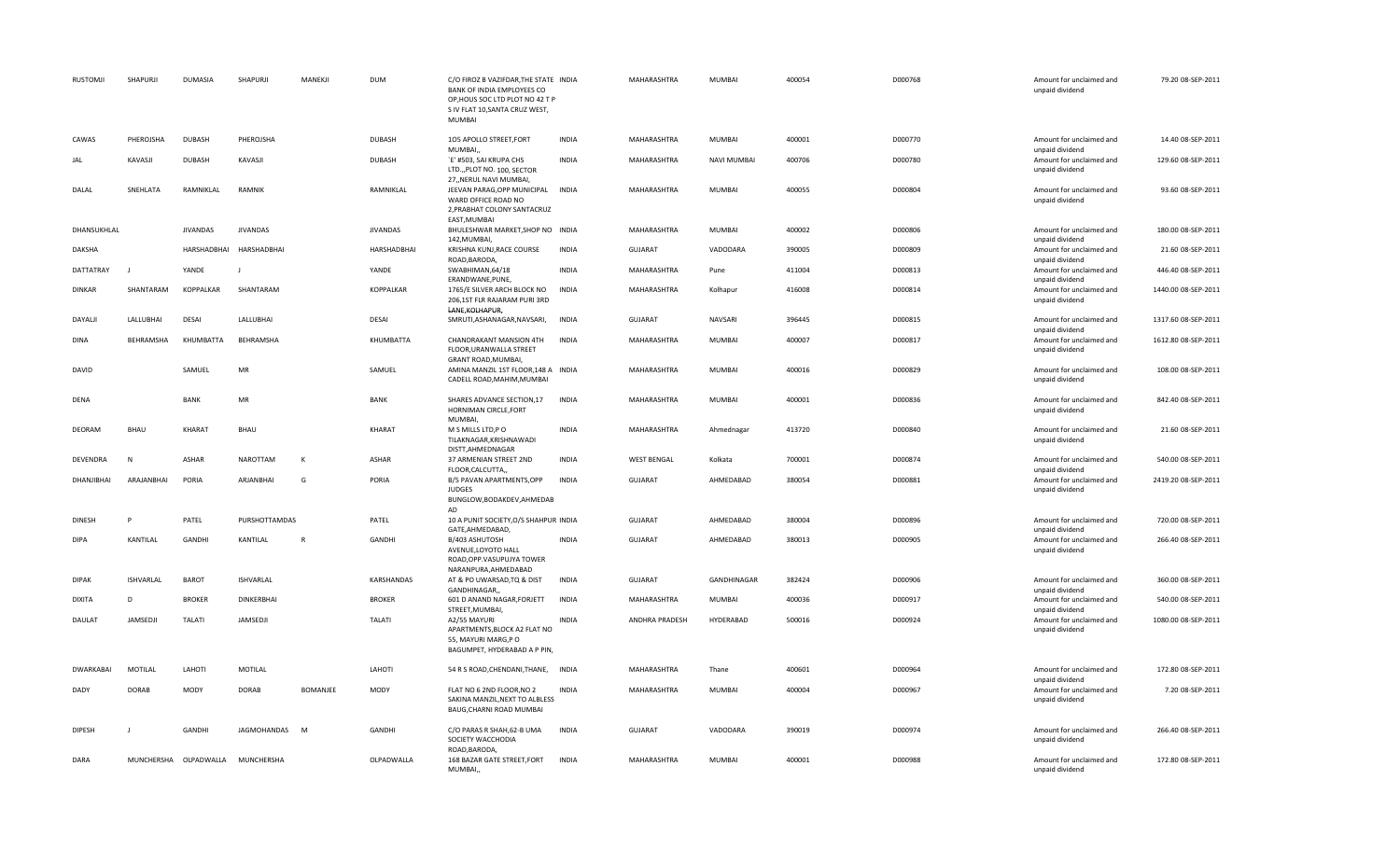| <b>RUSTOMJI</b>  | SHAPURJI         | <b>DUMASIA</b>  | SHAPURJI                         | MANEKJI      | <b>DUM</b>       | C/O FIROZ B VAZIFDAR, THE STATE INDIA<br>BANK OF INDIA EMPLOYEES CO<br>OP, HOUS SOC LTD PLOT NO 42 T P<br>S IV FLAT 10, SANTA CRUZ WEST,<br>MUMBAI |              | MAHARASHTRA        | MUMBAI             | 400054 | D000768 | Amount for unclaimed and<br>unpaid dividend                    | 79.20 08-SEP-2011   |
|------------------|------------------|-----------------|----------------------------------|--------------|------------------|----------------------------------------------------------------------------------------------------------------------------------------------------|--------------|--------------------|--------------------|--------|---------|----------------------------------------------------------------|---------------------|
| CAWAS            | PHEROJSHA        | <b>DUBASH</b>   | PHEROJSHA                        |              | <b>DUBASH</b>    | 105 APOLLO STREET, FORT<br>MUMBAL                                                                                                                  | <b>INDIA</b> | MAHARASHTRA        | MUMBAI             | 400001 | D000770 | Amount for unclaimed and                                       | 14.40 08-SEP-2011   |
| JAL              | KAVASJI          | <b>DUBASH</b>   | KAVASJI                          |              | <b>DUBASH</b>    | `E' #503, SAI KRUPA CHS<br>LTD.,,PLOT NO. 100, SECTOR                                                                                              | <b>INDIA</b> | MAHARASHTRA        | <b>NAVI MUMBAI</b> | 400706 | D000780 | unpaid dividend<br>Amount for unclaimed and<br>unpaid dividend | 129.60 08-SEP-2011  |
| DALAL            | SNEHLATA         | RAMNIKLAL       | RAMNIK                           |              | RAMNIKLAL        | 27. NERUL NAVI MUMBAI.<br>JEEVAN PARAG, OPP MUNICIPAL INDIA<br>WARD OFFICE ROAD NO<br>2, PRABHAT COLONY SANTACRUZ<br>EAST, MUMBAI                  |              | MAHARASHTRA        | MUMBAI             | 400055 | D000804 | Amount for unclaimed and<br>unpaid dividend                    | 93.60 08-SEP-2011   |
| DHANSUKHLAL      |                  | <b>JIVANDAS</b> | <b>JIVANDAS</b>                  |              | <b>JIVANDAS</b>  | BHULESHWAR MARKET, SHOP NO INDIA<br>142, MUMBAI,                                                                                                   |              | MAHARASHTRA        | MUMBAI             | 400002 | D000806 | Amount for unclaimed and<br>unpaid dividend                    | 180.00 08-SEP-2011  |
| DAKSHA           |                  | HARSHADBHAI     | HARSHADBHAI                      |              | HARSHADBHAI      | KRISHNA KUNJ, RACE COURSE<br>ROAD, BARODA,                                                                                                         | <b>INDIA</b> | <b>GUJARAT</b>     | VADODARA           | 390005 | D000809 | Amount for unclaimed and<br>unpaid dividend                    | 21.60 08-SEP-2011   |
| DATTATRAY        | J.               | YANDE           | J.                               |              | YANDE            | SWABHIMAN, 64/18<br>ERANDWANE, PUNE,                                                                                                               | <b>INDIA</b> | MAHARASHTRA        | Pune               | 411004 | D000813 | Amount for unclaimed and<br>unpaid dividend                    | 446.40 08-SEP-2011  |
| <b>DINKAR</b>    | SHANTARAM        | KOPPALKAR       | SHANTARAM                        |              | <b>KOPPALKAR</b> | 1765/E SILVER ARCH BLOCK NO<br>206,1ST FLR RAJARAM PURI 3RD<br>LANE, KOLHAPUR,                                                                     | <b>INDIA</b> | MAHARASHTRA        | Kolhapur           | 416008 | D000814 | Amount for unclaimed and<br>unpaid dividend                    | 1440.00 08-SEP-2011 |
| DAYALII          | LALLUBHAI        | <b>DESAI</b>    | LALLUBHAI                        |              | DESAI            | SMRUTI, ASHANAGAR, NAVSARI,                                                                                                                        | <b>INDIA</b> | <b>GUJARAT</b>     | NAVSARI            | 396445 | D000815 | Amount for unclaimed and<br>unpaid dividend                    | 1317.60 08-SEP-2011 |
| <b>DINA</b>      | BEHRAMSHA        | KHUMBATTA       | BEHRAMSHA                        |              | KHUMBATTA        | CHANDRAKANT MANSION 4TH<br>FLOOR, URANWALLA STREET<br>GRANT ROAD, MUMBAI,                                                                          | <b>INDIA</b> | MAHARASHTRA        | MUMBAI             | 400007 | D000817 | Amount for unclaimed and<br>unpaid dividend                    | 1612.80 08-SEP-2011 |
| <b>DAVID</b>     |                  | SAMUEL          | MR                               |              | SAMUEL           | AMINA MANZIL 1ST FLOOR, 148 A INDIA<br>CADELL ROAD, MAHIM, MUMBAI                                                                                  |              | MAHARASHTRA        | MUMBAI             | 400016 | D000829 | Amount for unclaimed and<br>unpaid dividend                    | 108.00 08-SEP-2011  |
| DENA             |                  | <b>BANK</b>     | $\sf MR$                         |              | <b>BANK</b>      | SHARES ADVANCE SECTION, 17<br>HORNIMAN CIRCLE, FORT<br>MUMBAI,                                                                                     | <b>INDIA</b> | MAHARASHTRA        | MUMBAI             | 400001 | D000836 | Amount for unclaimed and<br>unpaid dividend                    | 842.40 08-SEP-2011  |
| <b>DEORAM</b>    | BHAU             | KHARAT          | <b>BHAU</b>                      |              | KHARAT           | M S MILLS LTD, PO<br>TILAKNAGAR, KRISHNAWADI<br>DISTT, AHMEDNAGAR                                                                                  | <b>INDIA</b> | MAHARASHTRA        | Ahmednagar         | 413720 | D000840 | Amount for unclaimed and<br>unpaid dividend                    | 21.60 08-SEP-2011   |
| DEVENDRA         | N                | ASHAR           | NAROTTAM                         | К            | ASHAR            | 37 ARMENIAN STREET 2ND<br>FLOOR, CALCUTTA,,                                                                                                        | <b>INDIA</b> | <b>WEST BENGAL</b> | Kolkata            | 700001 | D000874 | Amount for unclaimed and<br>unpaid dividend                    | 540.00 08-SEP-2011  |
| DHANJIBHAI       | ARAJANBHAI       | PORIA           | ARJANBHAI                        | G            | PORIA            | B/5 PAVAN APARTMENTS, OPP<br><b>JUDGES</b><br>BUNGLOW, BODAKDEV, AHMEDAB                                                                           | <b>INDIA</b> | GUJARAT            | AHMEDABAD          | 380054 | D000881 | Amount for unclaimed and<br>unpaid dividend                    | 2419.20 08-SEP-2011 |
| <b>DINESH</b>    | P                | PATEL           | PURSHOTTAMDAS                    |              | PATEL            | AD<br>10 A PUNIT SOCIETY, O/S SHAHPUR INDIA                                                                                                        |              | GUJARAT            | AHMEDABAD          | 380004 | D000896 | Amount for unclaimed and                                       | 720.00 08-SEP-2011  |
| <b>DIPA</b>      | KANTILAL         | GANDHI          | KANTILAL                         | $\mathsf{R}$ | GANDHI           | GATE, AHMEDABAD,<br>B/403 ASHUTOSH<br>AVENUE, LOYOTO HALL<br>ROAD, OPP. VASUPUJYA TOWER                                                            | <b>INDIA</b> | GUJARAT            | AHMEDABAD          | 380013 | D000905 | unpaid dividend<br>Amount for unclaimed and<br>unpaid dividend | 266.40 08-SEP-2011  |
| <b>DIPAK</b>     | <b>ISHVARLAL</b> | <b>BAROT</b>    | <b>ISHVARLAL</b>                 |              | KARSHANDAS       | NARANPURA, AHMEDABAD<br>AT & PO UWARSAD, TQ & DIST<br>GANDHINAGAR,                                                                                 | <b>INDIA</b> | <b>GUJARAT</b>     | GANDHINAGAR        | 382424 | D000906 | Amount for unclaimed and<br>unpaid dividend                    | 360.00 08-SEP-2011  |
| <b>DIXITA</b>    | D                | <b>BROKER</b>   | DINKERBHAI                       |              | <b>BROKER</b>    | 601 D ANAND NAGAR, FORJETT<br>STREET, MUMBAI,                                                                                                      | <b>INDIA</b> | MAHARASHTRA        | MUMBAI             | 400036 | D000917 | Amount for unclaimed and<br>unpaid dividend                    | 540.00 08-SEP-2011  |
| DAULAT           | JAMSEDJI         | <b>TALATI</b>   | JAMSEDJI                         |              | <b>TALATI</b>    | A2/55 MAYURI<br>APARTMENTS, BLOCK A2 FLAT NO<br>55, MAYURI MARG, PO<br>BAGUMPET, HYDERABAD A P PIN                                                 | <b>INDIA</b> | ANDHRA PRADESH     | HYDERABAD          | 500016 | D000924 | Amount for unclaimed and<br>unpaid dividend                    | 1080.00 08-SEP-2011 |
| <b>DWARKABAI</b> | MOTILAL          | LAHOTI          | MOTILAL                          |              | LAHOTI           | 54 R S ROAD, CHENDANI, THANE,                                                                                                                      | <b>INDIA</b> | MAHARASHTRA        | Thane              | 400601 | D000964 | Amount for unclaimed and                                       | 172.80 08-SEP-2011  |
| DADY             | <b>DORAB</b>     | <b>MODY</b>     | DORAB                            | BOMANJEE     | <b>MODY</b>      | FLAT NO 6 2ND FLOOR, NO 2<br>SAKINA MANZIL, NEXT TO ALBLESS<br>BAUG, CHARNI ROAD MUMBAI                                                            | <b>INDIA</b> | MAHARASHTRA        | MUMBAI             | 400004 | D000967 | unpaid dividend<br>Amount for unclaimed and<br>unpaid dividend | 7.20 08-SEP-2011    |
| <b>DIPESH</b>    | J                | GANDHI          | JAGMOHANDAS                      | M            | GANDHI           | C/O PARAS R SHAH, 62-B UMA<br>SOCIETY WACCHODIA                                                                                                    | <b>INDIA</b> | <b>GUJARAT</b>     | VADODARA           | 390019 | D000974 | Amount for unclaimed and<br>unpaid dividend                    | 266.40 08-SEP-2011  |
| DARA             |                  |                 | MUNCHERSHA OLPADWALLA MUNCHERSHA |              | OLPADWALLA       | ROAD, BARODA,<br>168 BAZAR GATE STREET, FORT<br>MUMBAI,                                                                                            | <b>INDIA</b> | MAHARASHTRA        | <b>MUMBAI</b>      | 400001 | D000988 | Amount for unclaimed and<br>unpaid dividend                    | 172.80 08-SEP-2011  |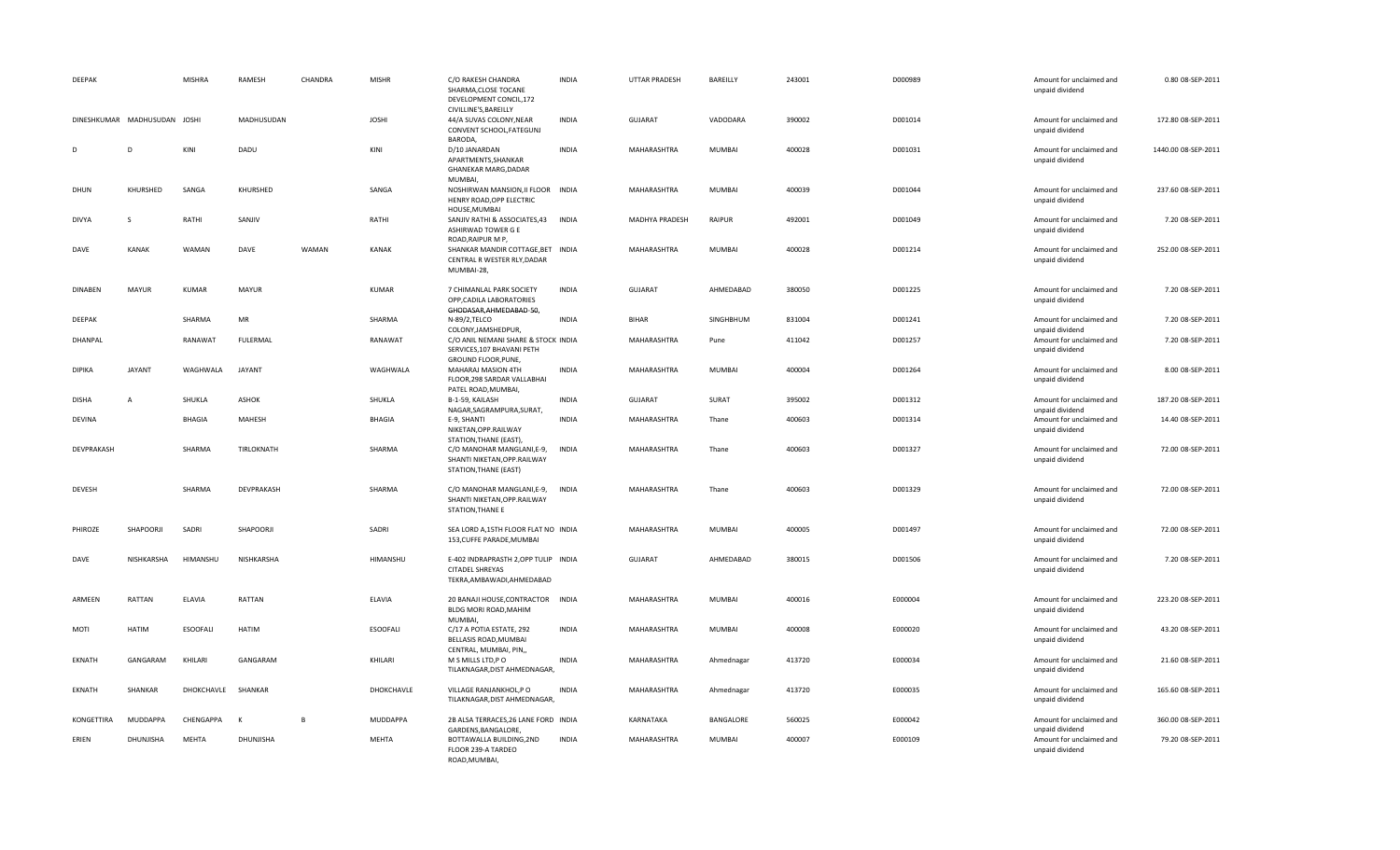| DEEPAK         |                              | <b>MISHRA</b>   | RAMESH        | CHANDRA        | <b>MISHR</b>    | C/O RAKESH CHANDRA<br>SHARMA, CLOSE TOCANE<br>DEVELOPMENT CONCIL,172                                            | <b>INDIA</b> | UTTAR PRADESH  | BAREILLY      | 243001 | D000989 | Amount for unclaimed and<br>unpaid dividend                    | 0.80 08-SEP-2011    |
|----------------|------------------------------|-----------------|---------------|----------------|-----------------|-----------------------------------------------------------------------------------------------------------------|--------------|----------------|---------------|--------|---------|----------------------------------------------------------------|---------------------|
|                | DINESHKUMAR MADHUSUDAN JOSHI |                 | MADHUSUDAN    |                | <b>JOSHI</b>    | CIVILLINE'S, BAREILLY<br>44/A SUVAS COLONY, NEAR<br>CONVENT SCHOOL, FATEGUNJ<br>BARODA,                         | <b>INDIA</b> | <b>GUJARAT</b> | VADODARA      | 390002 | D001014 | Amount for unclaimed and<br>unpaid dividend                    | 172.80 08-SEP-2011  |
| D              | D                            | KINI            | DADU          |                | KINI            | D/10 JANARDAN<br>APARTMENTS, SHANKAR<br><b>GHANEKAR MARG, DADAR</b>                                             | <b>INDIA</b> | MAHARASHTRA    | MUMBAI        | 400028 | D001031 | Amount for unclaimed and<br>unpaid dividend                    | 1440.00 08-SEP-2011 |
| DHUN           | KHURSHED                     | SANGA           | KHURSHED      |                | SANGA           | MUMBAI,<br>NOSHIRWAN MANSION, II FLOOR INDIA<br>HENRY ROAD, OPP ELECTRIC<br>HOUSE, MUMBAI                       |              | MAHARASHTRA    | <b>MUMBAI</b> | 400039 | D001044 | Amount for unclaimed and<br>unpaid dividend                    | 237.60 08-SEP-2011  |
| <b>DIVYA</b>   | S                            | RATHI           | SANJIV        |                | RATHI           | SANJIV RATHI & ASSOCIATES,43<br>ASHIRWAD TOWER G E<br>ROAD, RAIPUR M P,                                         | <b>INDIA</b> | MADHYA PRADESH | RAIPUR        | 492001 | D001049 | Amount for unclaimed and<br>unpaid dividend                    | 7.20 08-SEP-2011    |
| DAVE           | KANAK                        | WAMAN           | DAVE          | WAMAN          | KANAK           | SHANKAR MANDIR COTTAGE, BET INDIA<br>CENTRAL R WESTER RLY, DADAR<br>MUMBAI-28,                                  |              | MAHARASHTRA    | MUMBAI        | 400028 | D001214 | Amount for unclaimed and<br>unpaid dividend                    | 252.00 08-SEP-2011  |
| <b>DINABEN</b> | <b>MAYUR</b>                 | <b>KUMAR</b>    | <b>MAYUR</b>  |                | KUMAR           | 7 CHIMANLAL PARK SOCIETY<br>OPP, CADILA LABORATORIES<br>GHODASAR, AHMEDABAD-50,                                 | <b>INDIA</b> | <b>GUJARAT</b> | AHMEDABAD     | 380050 | D001225 | Amount for unclaimed and<br>unpaid dividend                    | 7.20 08-SEP-2011    |
| <b>DEEPAK</b>  |                              | SHARMA          | MR            |                | SHARMA          | N-89/2, TELCO                                                                                                   | <b>INDIA</b> | <b>BIHAR</b>   | SINGHBHUM     | 831004 | D001241 | Amount for unclaimed and                                       | 7.20 08-SEP-2011    |
| DHANPAL        |                              | RANAWAT         | FULERMAL      |                | RANAWAT         | COLONY, JAMSHEDPUR,<br>C/O ANIL NEMANI SHARE & STOCK INDIA<br>SERVICES, 107 BHAVANI PETH<br>GROUND FLOOR, PUNE, |              | MAHARASHTRA    | Pune          | 411042 | D001257 | unpaid dividend<br>Amount for unclaimed and<br>unpaid dividend | 7.20 08-SEP-2011    |
| <b>DIPIKA</b>  | <b>JAYANT</b>                | WAGHWALA        | <b>JAYANT</b> |                | WAGHWALA        | MAHARAJ MASION 4TH<br>FLOOR, 298 SARDAR VALLABHAI<br>PATEL ROAD, MUMBAI,                                        | <b>INDIA</b> | MAHARASHTRA    | <b>MUMBAI</b> | 400004 | D001264 | Amount for unclaimed and<br>unpaid dividend                    | 8.00 08-SEP-2011    |
| <b>DISHA</b>   | $\overline{A}$               | SHUKLA          | ASHOK         |                | SHUKLA          | B-1-59, KAILASH<br>NAGAR, SAGRAMPURA, SURAT,                                                                    | <b>INDIA</b> | <b>GUJARAT</b> | SURAT         | 395002 | D001312 | Amount for unclaimed and<br>unpaid dividend                    | 187.20 08-SEP-2011  |
| <b>DEVINA</b>  |                              | BHAGIA          | MAHESH        |                | BHAGIA          | E-9, SHANTI<br>NIKETAN, OPP.RAILWAY<br>STATION, THANE (EAST),                                                   | <b>INDIA</b> | MAHARASHTRA    | Thane         | 400603 | D001314 | Amount for unclaimed and<br>unpaid dividend                    | 14.40 08-SEP-2011   |
| DEVPRAKASH     |                              | SHARMA          | TIRLOKNATH    |                | SHARMA          | C/O MANOHAR MANGLANI, E-9,<br>SHANTI NIKETAN, OPP. RAILWAY<br>STATION, THANE (EAST)                             | <b>INDIA</b> | MAHARASHTRA    | Thane         | 400603 | D001327 | Amount for unclaimed and<br>unpaid dividend                    | 72.00 08-SEP-2011   |
| DEVESH         |                              | SHARMA          | DEVPRAKASH    |                | SHARMA          | C/O MANOHAR MANGLANI, E-9,<br>SHANTI NIKETAN, OPP. RAILWAY<br>STATION, THANE E                                  | <b>INDIA</b> | MAHARASHTRA    | Thane         | 400603 | D001329 | Amount for unclaimed and<br>unpaid dividend                    | 72.00 08-SEP-2011   |
| PHIROZE        | SHAPOORJI                    | SADRI           | SHAPOORJI     |                | SADRI           | SEA LORD A, 15TH FLOOR FLAT NO INDIA<br>153, CUFFE PARADE, MUMBAI                                               |              | MAHARASHTRA    | MUMBAI        | 400005 | D001497 | Amount for unclaimed and<br>unpaid dividend                    | 72.00 08-SEP-2011   |
| DAVE           | NISHKARSHA                   | HIMANSHU        | NISHKARSHA    |                | HIMANSHU        | E-402 INDRAPRASTH 2, OPP TULIP INDIA<br>CITADEL SHREYAS<br>TEKRA, AMBAWADI, AHMEDABAD                           |              | <b>GUJARAT</b> | AHMEDABAD     | 380015 | D001506 | Amount for unclaimed and<br>unpaid dividend                    | 7.20 08-SEP-2011    |
| ARMEEN         | RATTAN                       | ELAVIA          | RATTAN        |                | ELAVIA          | 20 BANAJI HOUSE, CONTRACTOR INDIA<br>BLDG MORI ROAD, MAHIM<br>MUMBAI,                                           |              | MAHARASHTRA    | MUMBAI        | 400016 | E000004 | Amount for unclaimed and<br>unpaid dividend                    | 223.20 08-SEP-2011  |
| MOTI           | <b>HATIM</b>                 | <b>ESOOFALI</b> | <b>HATIM</b>  |                | <b>ESOOFALI</b> | C/17 A POTIA ESTATE, 292<br>BELLASIS ROAD, MUMBAI<br>CENTRAL, MUMBAI, PIN,,                                     | <b>INDIA</b> | MAHARASHTRA    | <b>MUMBAI</b> | 400008 | E000020 | Amount for unclaimed and<br>unpaid dividend                    | 43.20 08-SEP-2011   |
| EKNATH         | GANGARAM                     | KHILARI         | GANGARAM      |                | KHILARI         | M S MILLS LTD, PO<br>TILAKNAGAR, DIST AHMEDNAGAR,                                                               | <b>INDIA</b> | MAHARASHTRA    | Ahmednagar    | 413720 | E000034 | Amount for unclaimed and<br>unpaid dividend                    | 21.60 08-SEP-2011   |
| <b>EKNATH</b>  | SHANKAR                      | DHOKCHAVLE      | SHANKAR       |                | DHOKCHAVLE      | VILLAGE RANJANKHOL,P O<br>TILAKNAGAR, DIST AHMEDNAGAR,                                                          | <b>INDIA</b> | MAHARASHTRA    | Ahmednagar    | 413720 | E000035 | Amount for unclaimed and<br>unpaid dividend                    | 165.60 08-SEP-2011  |
| KONGETTIRA     | <b>MUDDAPPA</b>              | CHENGAPPA       | K             | $\overline{B}$ | <b>MUDDAPPA</b> | 2B ALSA TERRACES, 26 LANE FORD INDIA<br>GARDENS, BANGALORE,                                                     |              | KARNATAKA      | BANGALORE     | 560025 | E000042 | Amount for unclaimed and<br>unpaid dividend                    | 360.00 08-SEP-2011  |
| ERIEN          | DHUNJISHA                    | <b>MEHTA</b>    | DHUNJISHA     |                | MEHTA           | BOTTAWALLA BUILDING, 2ND<br>FLOOR 239-A TARDEO<br>ROAD.MUMBAI.                                                  | <b>INDIA</b> | MAHARASHTRA    | MUMBAI        | 400007 | E000109 | Amount for unclaimed and<br>unpaid dividend                    | 79.20 08-SEP-2011   |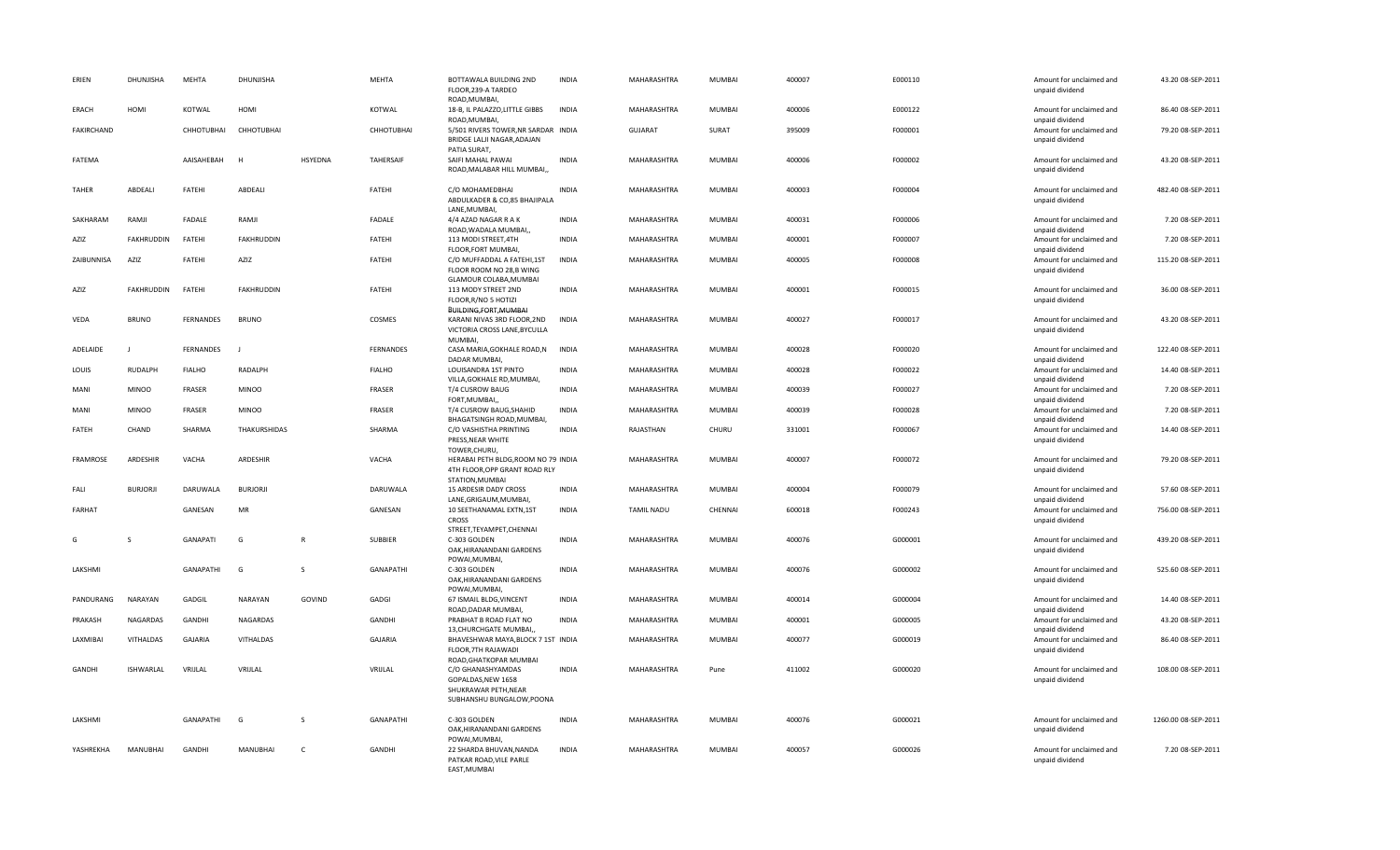| ERIEN             | DHUNJISHA        | <b>MEHTA</b>     | DHUNJISHA         |              | MEHTA            | BOTTAWALA BUILDING 2ND<br>FLOOR, 239-A TARDEO<br>ROAD, MUMBAI,                               | <b>INDIA</b> | MAHARASHTRA        | <b>MUMBAI</b> | 400007 | E000110 | Amount for unclaimed and<br>unpaid dividend | 43.20 08-SEP-2011   |
|-------------------|------------------|------------------|-------------------|--------------|------------------|----------------------------------------------------------------------------------------------|--------------|--------------------|---------------|--------|---------|---------------------------------------------|---------------------|
| ERACH             | HOMI             | KOTWAL           | HOMI              |              | KOTWAL           | 18-B, IL PALAZZO, LITTLE GIBBS<br>ROAD, MUMBAI,                                              | <b>INDIA</b> | MAHARASHTRA        | MUMBAI        | 400006 | E000122 | Amount for unclaimed and<br>unpaid dividend | 86.40 08-SEP-2011   |
| <b>FAKIRCHAND</b> |                  | CHHOTUBHAI       | CHHOTUBHAI        |              | CHHOTUBHAI       | 5/501 RIVERS TOWER, NR SARDAR INDIA<br>BRIDGE LALJI NAGAR, ADAJAN<br>PATIA SURAT,            |              | <b>GUJARAT</b>     | SURAT         | 395009 | F000001 | Amount for unclaimed and<br>unpaid dividend | 79.20 08-SEP-2011   |
| FATEMA            |                  | AAISAHEBAH       | H                 | HSYEDNA      | <b>TAHERSAIF</b> | SAIFI MAHAL PAWAI<br>ROAD, MALABAR HILL MUMBAI,                                              | <b>INDIA</b> | MAHARASHTRA        | <b>MUMBAI</b> | 400006 | F000002 | Amount for unclaimed and<br>unpaid dividend | 43.20 08-SEP-2011   |
| <b>TAHER</b>      | ABDEALI          | FATEHI           | ABDEALI           |              | FATEHI           | C/O MOHAMEDBHAI<br>ABDULKADER & CO,85 BHAJIPALA<br>LANE, MUMBAI,                             | <b>INDIA</b> | <b>MAHARASHTRA</b> | <b>MUMBAI</b> | 400003 | F000004 | Amount for unclaimed and<br>unpaid dividend | 482.40 08-SEP-2011  |
| SAKHARAM          | RAMJI            | FADALE           | RAMJI             |              | FADALE           | 4/4 AZAD NAGAR R A K<br>ROAD, WADALA MUMBAI,,                                                | <b>INDIA</b> | MAHARASHTRA        | MUMBAI        | 400031 | F000006 | Amount for unclaimed and<br>unpaid dividend | 7.20 08-SEP-2011    |
| AZIZ              | FAKHRUDDIN       | FATEHI           | <b>FAKHRUDDIN</b> |              | FATEHI           | 113 MODI STREET, 4TH<br>FLOOR, FORT MUMBAI,                                                  | <b>INDIA</b> | MAHARASHTRA        | MUMBAI        | 400001 | F000007 | Amount for unclaimed and<br>unpaid dividend | 7.20 08-SEP-2011    |
| ZAIBUNNISA        | AZIZ             | FATEHI           | AZIZ              |              | FATEHI           | C/O MUFFADDAL A FATEHI, 1ST<br>FLOOR ROOM NO 28,B WING<br>GLAMOUR COLABA, MUMBAI             | <b>INDIA</b> | MAHARASHTRA        | MUMBAI        | 400005 | F000008 | Amount for unclaimed and<br>unpaid dividend | 115.20 08-SEP-2011  |
| AZIZ              | FAKHRUDDIN       | FATEHI           | <b>FAKHRUDDIN</b> |              | FATEHI           | 113 MODY STREET 2ND<br>FLOOR, R/NO 5 HOTIZI<br>BUILDING,FORT,MUMBAI                          | <b>INDIA</b> | MAHARASHTRA        | MUMBAI        | 400001 | F000015 | Amount for unclaimed and<br>unpaid dividend | 36.00 08-SEP-2011   |
| VEDA              | <b>BRUNO</b>     | FERNANDES        | <b>BRUNO</b>      |              | COSMES           | KARANI NIVAS 3RD FLOOR, 2ND<br>VICTORIA CROSS LANE, BYCULLA<br>MUMBAI,                       | <b>INDIA</b> | MAHARASHTRA        | MUMBAI        | 400027 | F000017 | Amount for unclaimed and<br>unpaid dividend | 43.20 08-SEP-2011   |
| ADELAIDE          | $\mathbf{I}$     | FERNANDES        | $\perp$           |              | <b>FERNANDES</b> | CASA MARIA, GOKHALE ROAD, N<br>DADAR MUMBAI,                                                 | <b>INDIA</b> | MAHARASHTRA        | <b>MUMBAI</b> | 400028 | F000020 | Amount for unclaimed and<br>unpaid dividend | 122.40 08-SEP-2011  |
| LOUIS             | <b>RUDALPH</b>   | <b>FIALHO</b>    | RADALPH           |              | <b>FIALHO</b>    | LOUISANDRA 1ST PINTO<br>VILLA, GOKHALE RD, MUMBAI,                                           | <b>INDIA</b> | MAHARASHTRA        | MUMBAI        | 400028 | F000022 | Amount for unclaimed and<br>unpaid dividend | 14.40 08-SEP-2011   |
| MANI              | <b>MINOO</b>     | FRASER           | <b>MINOO</b>      |              | FRASER           | T/4 CUSROW BAUG<br>FORT, MUMBAI,                                                             | <b>INDIA</b> | MAHARASHTRA        | MUMBAI        | 400039 | F000027 | Amount for unclaimed and<br>unpaid dividend | 7.20 08-SEP-2011    |
| MANI              | <b>MINOO</b>     | FRASER           | <b>MINOO</b>      |              | FRASER           | T/4 CUSROW BAUG, SHAHID<br>BHAGATSINGH ROAD, MUMBAI,                                         | <b>INDIA</b> | MAHARASHTRA        | MUMBAI        | 400039 | F000028 | Amount for unclaimed and<br>unpaid dividend | 7.20 08-SEP-2011    |
| FATEH             | CHAND            | SHARMA           | THAKURSHIDAS      |              | SHARMA           | C/O VASHISTHA PRINTING<br>PRESS, NEAR WHITE<br>TOWER, CHURU,                                 | <b>INDIA</b> | RAJASTHAN          | CHURU         | 331001 | F000067 | Amount for unclaimed and<br>unpaid dividend | 14.40 08-SEP-2011   |
| <b>FRAMROSE</b>   | <b>ARDESHIR</b>  | VACHA            | ARDESHIR          |              | <b>VACHA</b>     | HERABAI PETH BLDG, ROOM NO 79 INDIA<br>4TH FLOOR, OPP GRANT ROAD RLY<br>STATION, MUMBAI      |              | <b>MAHARASHTRA</b> | <b>MUMBAI</b> | 400007 | F000072 | Amount for unclaimed and<br>unpaid dividend | 79.20 08-SEP-2011   |
| FALI              | <b>BURJORJI</b>  | DARUWALA         | <b>BURJORJI</b>   |              | DARUWALA         | 15 ARDESIR DADY CROSS<br>LANE, GRIGAUM, MUMBAI,                                              | <b>INDIA</b> | MAHARASHTRA        | MUMBAI        | 400004 | F000079 | Amount for unclaimed and<br>unpaid dividend | 57.60 08-SEP-2011   |
| <b>FARHAT</b>     |                  | GANESAN          | MR                |              | GANESAN          | 10 SEETHANAMAL EXTN,1ST<br>CROSS<br>STREET.TEYAMPET.CHENNAI                                  | <b>INDIA</b> | TAMIL NADU         | CHENNAI       | 600018 | F000243 | Amount for unclaimed and<br>unpaid dividend | 756.00 08-SEP-2011  |
| G                 | S                | GANAPATI         | G                 | $\mathbb{R}$ | SUBBIER          | C-303 GOLDEN<br>OAK, HIRANANDANI GARDENS<br>POWAI, MUMBAI,                                   | <b>INDIA</b> | MAHARASHTRA        | MUMBAI        | 400076 | G000001 | Amount for unclaimed and<br>unpaid dividend | 439.20 08-SEP-2011  |
| LAKSHMI           |                  | <b>GANAPATHI</b> | G                 | <sub>S</sub> | GANAPATHI        | C-303 GOLDEN<br>OAK, HIRANANDANI GARDENS<br>POWAI, MUMBAI,                                   | <b>INDIA</b> | MAHARASHTRA        | <b>MUMBAI</b> | 400076 | G000002 | Amount for unclaimed and<br>unpaid dividend | 525.60 08-SEP-2011  |
| PANDURANG         | NARAYAN          | GADGIL           | NARAYAN           | GOVIND       | GADGI            | 67 ISMAIL BLDG, VINCENT<br>ROAD, DADAR MUMBAI,                                               | <b>INDIA</b> | MAHARASHTRA        | MUMBAI        | 400014 | G000004 | Amount for unclaimed and<br>unpaid dividend | 14.40 08-SEP-2011   |
| PRAKASH           | NAGARDAS         | <b>GANDHI</b>    | NAGARDAS          |              | GANDHI           | PRABHAT B ROAD FLAT NO<br>13, CHURCHGATE MUMBAI,                                             | <b>INDIA</b> | MAHARASHTRA        | MUMBAI        | 400001 | G000005 | Amount for unclaimed and<br>unpaid dividend | 43.20 08-SEP-2011   |
| LAXMIBAI          | <b>VITHALDAS</b> | <b>GAJARIA</b>   | VITHALDAS         |              | <b>GAJARIA</b>   | BHAVESHWAR MAYA, BLOCK 7 1ST INDIA<br>FLOOR, 7TH RAJAWADI<br>ROAD, GHATKOPAR MUMBAI          |              | MAHARASHTRA        | MUMBAI        | 400077 | G000019 | Amount for unclaimed and<br>unpaid dividend | 86.40 08-SEP-2011   |
| <b>GANDHI</b>     | <b>ISHWARLAL</b> | VRIJLAL          | VRIJLAL           |              | VRIJLAL          | C/O GHANASHYAMDAS<br>GOPALDAS, NEW 1658<br>SHUKRAWAR PETH, NEAR<br>SUBHANSHU BUNGALOW, POONA | <b>INDIA</b> | MAHARASHTRA        | Pune          | 411002 | G000020 | Amount for unclaimed and<br>unpaid dividend | 108.00 08-SEP-2011  |
| LAKSHMI           |                  | GANAPATHI        | G                 | <sub>S</sub> | <b>GANAPATHI</b> | C-303 GOLDEN<br>OAK, HIRANANDANI GARDENS<br>POWAI, MUMBAI,                                   | <b>INDIA</b> | MAHARASHTRA        | <b>MUMBAI</b> | 400076 | G000021 | Amount for unclaimed and<br>unpaid dividend | 1260.00 08-SEP-2011 |
| YASHREKHA         | MANUBHAI         | GANDHI           | MANUBHAI          | $\mathsf{C}$ | GANDHI           | 22 SHARDA BHUVAN, NANDA<br>PATKAR ROAD, VILE PARLE<br>EAST, MUMBAI                           | <b>INDIA</b> | MAHARASHTRA        | <b>MUMBAI</b> | 400057 | G000026 | Amount for unclaimed and<br>unpaid dividend | 7.20 08-SEP-2011    |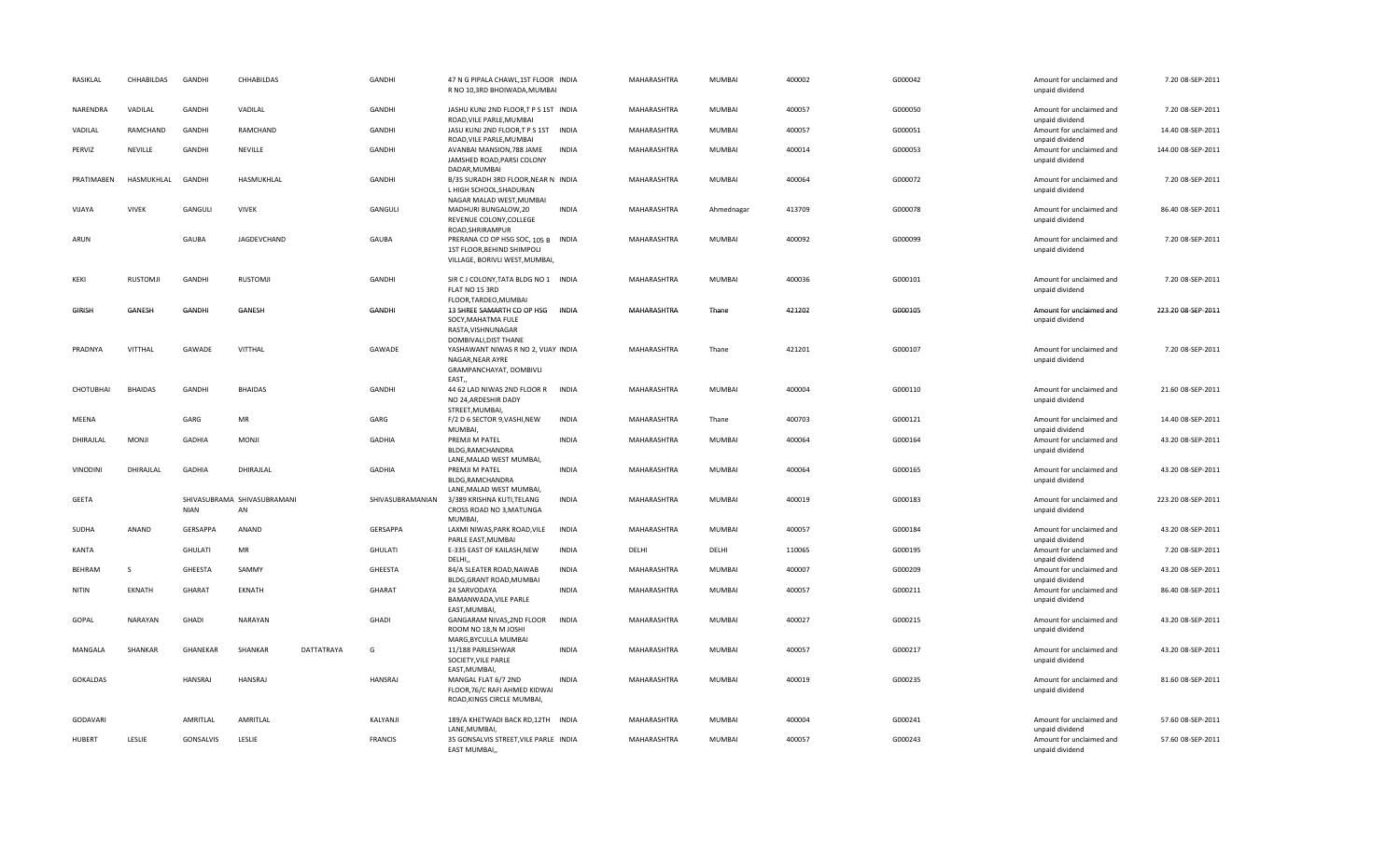| RASIKLAL        | CHHABILDAS      | <b>GANDHI</b>  | CHHABILDAS                        |            | GANDHI           | 47 N G PIPALA CHAWL, 1ST FLOOR INDIA<br>R NO 10,3RD BHOIWADA, MUMBAI                                  |              | MAHARASHTRA | <b>MUMBAI</b> | 400002 | G000042 | Amount for unclaimed and<br>unpaid dividend | 7.20 08-SEP-2011   |
|-----------------|-----------------|----------------|-----------------------------------|------------|------------------|-------------------------------------------------------------------------------------------------------|--------------|-------------|---------------|--------|---------|---------------------------------------------|--------------------|
| NARENDRA        | VADILAL         | GANDHI         | VADILAL                           |            | GANDHI           | JASHU KUNJ 2ND FLOOR,T P S 1ST INDIA<br>ROAD, VILE PARLE, MUMBAI                                      |              | MAHARASHTRA | MUMBAI        | 400057 | G000050 | Amount for unclaimed and<br>unpaid dividend | 7.20 08-SEP-2011   |
| VADILAL         | RAMCHAND        | GANDHI         | RAMCHAND                          |            | GANDHI           | JASU KUNJ 2ND FLOOR,T P S 1ST INDIA<br>ROAD, VILE PARLE, MUMBAI                                       |              | MAHARASHTRA | MUMBAI        | 400057 | G000051 | Amount for unclaimed and<br>unpaid dividend | 14.40 08-SEP-2011  |
| PERVIZ          | NEVILLE         | <b>GANDHI</b>  | NEVILLE                           |            | GANDHI           | AVANBAI MANSION, 788 JAME<br>JAMSHED ROAD, PARSI COLONY<br>DADAR, MUMBAI                              | <b>INDIA</b> | MAHARASHTRA | MUMBAI        | 400014 | G000053 | Amount for unclaimed and<br>unpaid dividend | 144.00 08-SEP-2011 |
| PRATIMABEN      | HASMUKHLAL      | GANDHI         | HASMUKHLAL                        |            | GANDHI           | B/35 SURADH 3RD FLOOR, NEAR N INDIA<br>L HIGH SCHOOL, SHADURAN<br>NAGAR MALAD WEST, MUMBAI            |              | MAHARASHTRA | MUMBAI        | 400064 | G000072 | Amount for unclaimed and<br>unpaid dividend | 7.20 08-SEP-2011   |
| VIJAYA          | <b>VIVEK</b>    | GANGULI        | <b>VIVEK</b>                      |            | GANGULI          | MADHURI BUNGALOW, 20<br>REVENUE COLONY, COLLEGE<br>ROAD, SHRIRAMPUR                                   | <b>INDIA</b> | MAHARASHTRA | Ahmednagar    | 413709 | G000078 | Amount for unclaimed and<br>unpaid dividend | 86.40 08-SEP-2011  |
| ARUN            |                 | GAUBA          | JAGDEVCHAND                       |            | <b>GAUBA</b>     | PRERANA CO OP HSG SOC, 105 B INDIA<br>1ST FLOOR, BEHIND SHIMPOLI<br>VILLAGE, BORIVLI WEST, MUMBAI     |              | MAHARASHTRA | MUMBAI        | 400092 | G000099 | Amount for unclaimed and<br>unpaid dividend | 7.20 08-SEP-2011   |
| KEKI            | <b>RUSTOMJI</b> | GANDHI         | <b>RUSTOMJI</b>                   |            | GANDHI           | SIR C J COLONY, TATA BLDG NO 1 INDIA<br>FLAT NO 15 3RD<br>FLOOR, TARDEO, MUMBAI                       |              | MAHARASHTRA | MUMBAI        | 400036 | G000101 | Amount for unclaimed and<br>unpaid dividend | 7.20 08-SEP-2011   |
| <b>GIRISH</b>   | GANESH          | <b>GANDHI</b>  | GANESH                            |            | GANDHI           | 13 SHREE SAMARTH CO OP HSG INDIA<br>SOCY, MAHATMA FULE<br>RASTA, VISHNUNAGAR<br>DOMBIVALI, DIST THANE |              | MAHARASHTRA | Thane         | 421202 | G000105 | Amount for unclaimed and<br>unpaid dividend | 223.20 08-SEP-2011 |
| PRADNYA         | VITTHAL         | GAWADE         | VITTHAL                           |            | GAWADE           | YASHAWANT NIWAS R NO 2, VIJAY INDIA<br>NAGAR, NEAR AYRE<br>GRAMPANCHAYAT, DOMBIVLI                    |              | MAHARASHTRA | Thane         | 421201 | G000107 | Amount for unclaimed and<br>unpaid dividend | 7.20 08-SEP-2011   |
| CHOTUBHAI       | <b>BHAIDAS</b>  | GANDHI         | <b>BHAIDAS</b>                    |            | GANDHI           | EAST.<br>44 62 LAD NIWAS 2ND FLOOR R<br>NO 24, ARDESHIR DADY<br>STREET, MUMBAI                        | INDIA        | MAHARASHTRA | MUMBAI        | 400004 | G000110 | Amount for unclaimed and<br>unpaid dividend | 21.60 08-SEP-2011  |
| MEENA           |                 | GARG           | MR                                |            | GARG             | F/2 D 6 SECTOR 9, VASHI, NEW<br>MUMBAI,                                                               | <b>INDIA</b> | MAHARASHTRA | Thane         | 400703 | G000121 | Amount for unclaimed and<br>unpaid dividend | 14.40 08-SEP-2011  |
| DHIRAJLAL       | MONJI           | <b>GADHIA</b>  | <b>MONJI</b>                      |            | <b>GADHIA</b>    | PREMJI M PATEL<br>BLDG, RAMCHANDRA<br>LANE, MALAD WEST MUMBAI,                                        | <b>INDIA</b> | MAHARASHTRA | MUMBAI        | 400064 | G000164 | Amount for unclaimed and<br>unpaid dividend | 43.20 08-SEP-2011  |
| <b>VINODINI</b> | DHIRAJLAL       | <b>GADHIA</b>  | DHIRAJLAL                         |            | GADHIA           | PREMJI M PATEL<br>BLDG, RAMCHANDRA<br>LANE, MALAD WEST MUMBAI,                                        | <b>INDIA</b> | MAHARASHTRA | MUMBAI        | 400064 | G000165 | Amount for unclaimed and<br>unpaid dividend | 43.20 08-SEP-2011  |
| <b>GEETA</b>    |                 | <b>NIAN</b>    | SHIVASUBRAMA SHIVASUBRAMANI<br>AN |            | SHIVASUBRAMANIAN | 3/389 KRISHNA KUTI, TELANG<br>CROSS ROAD NO 3, MATUNGA<br>MUMBAI,                                     | <b>INDIA</b> | MAHARASHTRA | MUMBAI        | 400019 | G000183 | Amount for unclaimed and<br>unpaid dividend | 223.20 08-SEP-2011 |
| SUDHA           | ANAND           | GERSAPPA       | ANAND                             |            | GERSAPPA         | LAXMI NIWAS, PARK ROAD, VILE<br>PARLE EAST, MUMBAI                                                    | <b>INDIA</b> | MAHARASHTRA | MUMBAI        | 400057 | G000184 | Amount for unclaimed and<br>unpaid dividend | 43.20 08-SEP-2011  |
| KANTA           |                 | <b>GHULATI</b> | MR                                |            | <b>GHULATI</b>   | E-335 EAST OF KAILASH, NEW<br>DELHI,                                                                  | <b>INDIA</b> | DELHI       | DELHI         | 110065 | G000195 | Amount for unclaimed and<br>unpaid dividend | 7.20 08-SEP-2011   |
| <b>BEHRAM</b>   | $\mathsf{s}$    | GHEESTA        | SAMMY                             |            | GHEESTA          | 84/A SLEATER ROAD, NAWAB<br>BLDG, GRANT ROAD, MUMBAI                                                  | <b>INDIA</b> | MAHARASHTRA | MUMBAI        | 400007 | G000209 | Amount for unclaimed and<br>unpaid dividend | 43.20 08-SEP-2011  |
| <b>NITIN</b>    | <b>EKNATH</b>   | GHARAT         | EKNATH                            |            | GHARAT           | 24 SARVODAYA<br>BAMANWADA, VILE PARLE<br>EAST, MUMBAI,                                                | <b>INDIA</b> | MAHARASHTRA | MUMBAI        | 400057 | G000211 | Amount for unclaimed and<br>unpaid dividend | 86.40 08-SEP-2011  |
| GOPAL           | NARAYAN         | GHADI          | <b>NARAYAN</b>                    |            | GHADI            | GANGARAM NIVAS, 2ND FLOOR<br>ROOM NO 18,N M JOSHI<br>MARG, BYCULLA MUMBAI                             | <b>INDIA</b> | MAHARASHTRA | MUMBAI        | 400027 | G000215 | Amount for unclaimed and<br>unpaid dividend | 43.20 08-SEP-2011  |
| MANGALA         | SHANKAR         | GHANEKAR       | SHANKAR                           | DATTATRAYA | G                | 11/188 PARLESHWAR<br>SOCIETY, VILE PARLE<br>EAST, MUMBAI,                                             | <b>INDIA</b> | MAHARASHTRA | MUMBAI        | 400057 | G000217 | Amount for unclaimed and<br>unpaid dividend | 43.20 08-SEP-2011  |
| GOKALDAS        |                 | <b>HANSRAJ</b> | HANSRAJ                           |            | HANSRAJ          | MANGAL FLAT 6/7 2ND<br>FLOOR, 76/C RAFI AHMED KIDWAI<br>ROAD, KINGS CIRCLE MUMBAI,                    | <b>INDIA</b> | MAHARASHTRA | MUMBAI        | 400019 | G000235 | Amount for unclaimed and<br>unpaid dividend | 81.60 08-SEP-2011  |
|                 |                 |                |                                   |            |                  |                                                                                                       |              |             |               |        |         |                                             |                    |
| <b>GODAVARI</b> |                 | AMRITLAL       | AMRITLAL                          |            | KALYANJI         | 189/A KHETWADI BACK RD, 12TH INDIA<br>LANE, MUMBAI,                                                   |              | MAHARASHTRA | MUMBAI        | 400004 | G000241 | Amount for unclaimed and<br>unpaid dividend | 57.60 08-SEP-2011  |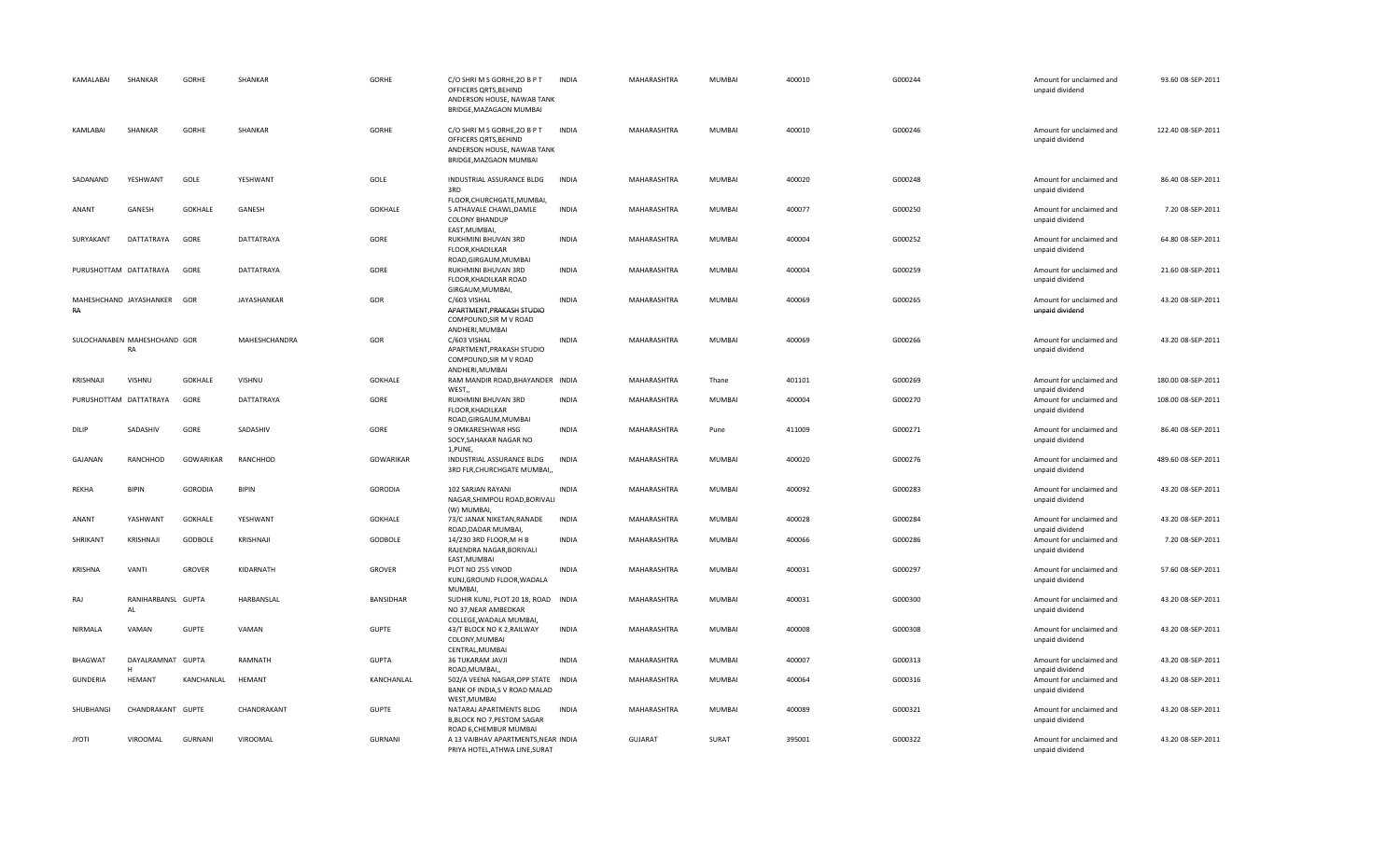| KAMALABAI              | SHANKAR                            | GORHE          | SHANKAR           | GORHE            | C/O SHRI M S GORHE, 20 B P T<br>OFFICERS ORTS, BEHIND<br>ANDERSON HOUSE, NAWAB TANK<br>BRIDGE, MAZAGAON MUMBAI | <b>INDIA</b> | MAHARASHTRA    | MUMBAI | 400010 | G000244 | Amount for unclaimed and<br>unpaid dividend | 93.60 08-SEP-2011  |
|------------------------|------------------------------------|----------------|-------------------|------------------|----------------------------------------------------------------------------------------------------------------|--------------|----------------|--------|--------|---------|---------------------------------------------|--------------------|
| KAMLABAI               | SHANKAR                            | GORHE          | SHANKAR           | GORHE            | C/O SHRI M S GORHE, 20 B P T<br>OFFICERS ORTS, BEHIND<br>ANDERSON HOUSE, NAWAB TANK<br>BRIDGE, MAZGAON MUMBAI  | <b>INDIA</b> | MAHARASHTRA    | MUMBAI | 400010 | G000246 | Amount for unclaimed and<br>unpaid dividend | 122.40 08-SEP-2011 |
| SADANAND               | YESHWANT                           | GOLE           | YESHWANT          | GOLE             | INDUSTRIAL ASSURANCE BLDG<br>3RD<br>FLOOR, CHURCHGATE, MUMBAI,                                                 | <b>INDIA</b> | MAHARASHTRA    | MUMBAI | 400020 | G000248 | Amount for unclaimed and<br>unpaid dividend | 86.40 08-SEP-2011  |
| ANANT                  | GANESH                             | <b>GOKHALE</b> | GANESH            | <b>GOKHALE</b>   | 5 ATHAVALE CHAWL, DAMLE<br><b>COLONY BHANDUP</b><br>EAST, MUMBAI,                                              | <b>INDIA</b> | MAHARASHTRA    | MUMBAI | 400077 | G000250 | Amount for unclaimed and<br>unpaid dividend | 7.20 08-SEP-2011   |
| SURYAKANT              | DATTATRAYA                         | GORE           | DATTATRAYA        | GORE             | RUKHMINI BHUVAN 3RD<br>FLOOR, KHADILKAR<br>ROAD, GIRGAUM, MUMBAI                                               | <b>INDIA</b> | MAHARASHTRA    | MUMBAI | 400004 | G000252 | Amount for unclaimed and<br>unpaid dividend | 64.80 08-SEP-2011  |
| PURUSHOTTAM DATTATRAYA |                                    | GORE           | <b>DATTATRAYA</b> | GORE             | RUKHMINI BHUVAN 3RD<br>FLOOR, KHADILKAR ROAD<br>GIRGAUM, MUMBAI,                                               | <b>INDIA</b> | MAHARASHTRA    | MUMBAI | 400004 | G000259 | Amount for unclaimed and<br>unpaid dividend | 21.60 08-SEP-2011  |
| RA                     | MAHESHCHAND JAYASHANKER            | GOR            | JAYASHANKAR       | GOR              | C/603 VISHAL<br>APARTMENT, PRAKASH STUDIO<br>COMPOUND, SIR M V ROAD                                            | <b>INDIA</b> | MAHARASHTRA    | MUMBAI | 400069 | G000265 | Amount for unclaimed and<br>unpaid dividend | 43.20 08-SEP-2011  |
|                        | SULOCHANABEN MAHESHCHAND GOR<br>RA |                | MAHESHCHANDRA     | GOR              | ANDHERI, MUMBAI<br>C/603 VISHAL<br>APARTMENT, PRAKASH STUDIO<br>COMPOUND, SIR M V ROAD<br>ANDHERI, MUMBAI      | <b>INDIA</b> | MAHARASHTRA    | MUMBAI | 400069 | G000266 | Amount for unclaimed and<br>unpaid dividend | 43.20 08-SEP-2011  |
| KRISHNAJI              | VISHNU                             | <b>GOKHALE</b> | VISHNU            | <b>GOKHALE</b>   | RAM MANDIR ROAD, BHAYANDER INDIA<br>WEST,                                                                      |              | MAHARASHTRA    | Thane  | 401101 | G000269 | Amount for unclaimed and<br>unpaid dividend | 180.00 08-SEP-2011 |
| PURUSHOTTAM DATTATRAYA |                                    | GORE           | DATTATRAYA        | GORE             | RUKHMINI BHUVAN 3RD<br>FLOOR, KHADILKAR<br>ROAD, GIRGAUM, MUMBAI                                               | <b>INDIA</b> | MAHARASHTRA    | MUMBAI | 400004 | G000270 | Amount for unclaimed and<br>unpaid dividend | 108.00 08-SEP-2011 |
| DILIP                  | SADASHIV                           | GORE           | SADASHIV          | GORE             | 9 OMKARESHWAR HSG<br>SOCY, SAHAKAR NAGAR NO<br>1, PUNE,                                                        | <b>INDIA</b> | MAHARASHTRA    | Pune   | 411009 | G000271 | Amount for unclaimed and<br>unpaid dividend | 86.40 08-SEP-2011  |
| GAJANAN                | RANCHHOD                           | GOWARIKAR      | RANCHHOD          | GOWARIKAR        | INDUSTRIAL ASSURANCE BLDG<br>3RD FLR, CHURCHGATE MUMBAI,                                                       | <b>INDIA</b> | MAHARASHTRA    | MUMBAI | 400020 | G000276 | Amount for unclaimed and<br>unpaid dividend | 489.60 08-SEP-2011 |
| REKHA                  | <b>BIPIN</b>                       | <b>GORODIA</b> | <b>BIPIN</b>      | <b>GORODIA</b>   | 102 SARJAN RAYANI<br>NAGAR, SHIMPOLI ROAD, BORIVALI<br>(W) MUMBAI,                                             | <b>INDIA</b> | MAHARASHTRA    | MUMBAI | 400092 | G000283 | Amount for unclaimed and<br>unpaid dividend | 43.20 08-SEP-2011  |
| ANANT                  | YASHWANT                           | <b>GOKHALE</b> | YESHWANT          | GOKHALE          | 73/C JANAK NIKETAN, RANADE<br>ROAD, DADAR MUMBAI,                                                              | <b>INDIA</b> | MAHARASHTRA    | MUMBAI | 400028 | G000284 | Amount for unclaimed and<br>unpaid dividend | 43.20 08-SEP-2011  |
| SHRIKANT               | KRISHNAJI                          | <b>GODBOLE</b> | KRISHNAJI         | GODBOLE          | 14/230 3RD FLOOR, M H B<br>RAJENDRA NAGAR, BORIVALI<br>EAST, MUMBAI                                            | <b>INDIA</b> | MAHARASHTRA    | MUMBAI | 400066 | G000286 | Amount for unclaimed and<br>unpaid dividend | 7.20 08-SEP-2011   |
| KRISHNA                | VANTI                              | <b>GROVER</b>  | KIDARNATH         | GROVER           | PLOT NO 255 VINOD<br>KUNJ, GROUND FLOOR, WADALA<br><b>MUMBAI</b>                                               | <b>INDIA</b> | MAHARASHTRA    | MUMBAI | 400031 | G000297 | Amount for unclaimed and<br>unpaid dividend | 57.60 08-SEP-2011  |
| RAJ                    | RANIHARBANSL GUPTA<br>AL           |                | HARBANSLAL        | <b>BANSIDHAR</b> | SUDHIR KUNJ, PLOT 20 18, ROAD INDIA<br>NO 37, NEAR AMBEDKAR<br>COLLEGE, WADALA MUMBAI,                         |              | MAHARASHTRA    | MUMBAI | 400031 | G000300 | Amount for unclaimed and<br>unpaid dividend | 43.20 08-SEP-2011  |
| NIRMALA                | VAMAN                              | <b>GUPTE</b>   | VAMAN             | <b>GUPTE</b>     | 43/T BLOCK NO K 2, RAILWAY<br>COLONY, MUMBAI<br>CENTRAL, MUMBAI                                                | <b>INDIA</b> | MAHARASHTRA    | MUMBAI | 400008 | G000308 | Amount for unclaimed and<br>unpaid dividend | 43.20 08-SEP-2011  |
| BHAGWAT                | DAYALRAMNAT GUPTA<br>H             |                | RAMNATH           | <b>GUPTA</b>     | 36 TUKARAM JAVJI<br>ROAD.MUMBAI                                                                                | <b>INDIA</b> | MAHARASHTRA    | MUMBAI | 400007 | G000313 | Amount for unclaimed and<br>unpaid dividend | 43.20 08-SEP-2011  |
| <b>GUNDERIA</b>        | HEMANT                             | KANCHANLAL     | HEMANT            | KANCHANLAL       | 502/A VEENA NAGAR, OPP STATE INDIA<br>BANK OF INDIA,S V ROAD MALAD<br>WEST, MUMBAI                             |              | MAHARASHTRA    | MUMBAI | 400064 | G000316 | Amount for unclaimed and<br>unpaid dividend | 43.20 08-SEP-2011  |
| SHUBHANGI              | CHANDRAKANT GUPTE                  |                | CHANDRAKANT       | <b>GUPTE</b>     | NATARAJ APARTMENTS BLDG<br><b>B,BLOCK NO 7, PESTOM SAGAR</b><br>ROAD 6, CHEMBUR MUMBAI                         | <b>INDIA</b> | MAHARASHTRA    | MUMBAI | 400089 | G000321 | Amount for unclaimed and<br>unpaid dividend | 43.20 08-SEP-2011  |
| <b>JYOTI</b>           | VIROOMAL                           | GURNANI        | VIROOMAL          | GURNANI          | A 13 VAIBHAV APARTMENTS, NEAR INDIA<br>PRIYA HOTEL, ATHWA LINE, SURAT                                          |              | <b>GUJARAT</b> | SURAT  | 395001 | G000322 | Amount for unclaimed and<br>unpaid dividend | 43.20 08-SEP-2011  |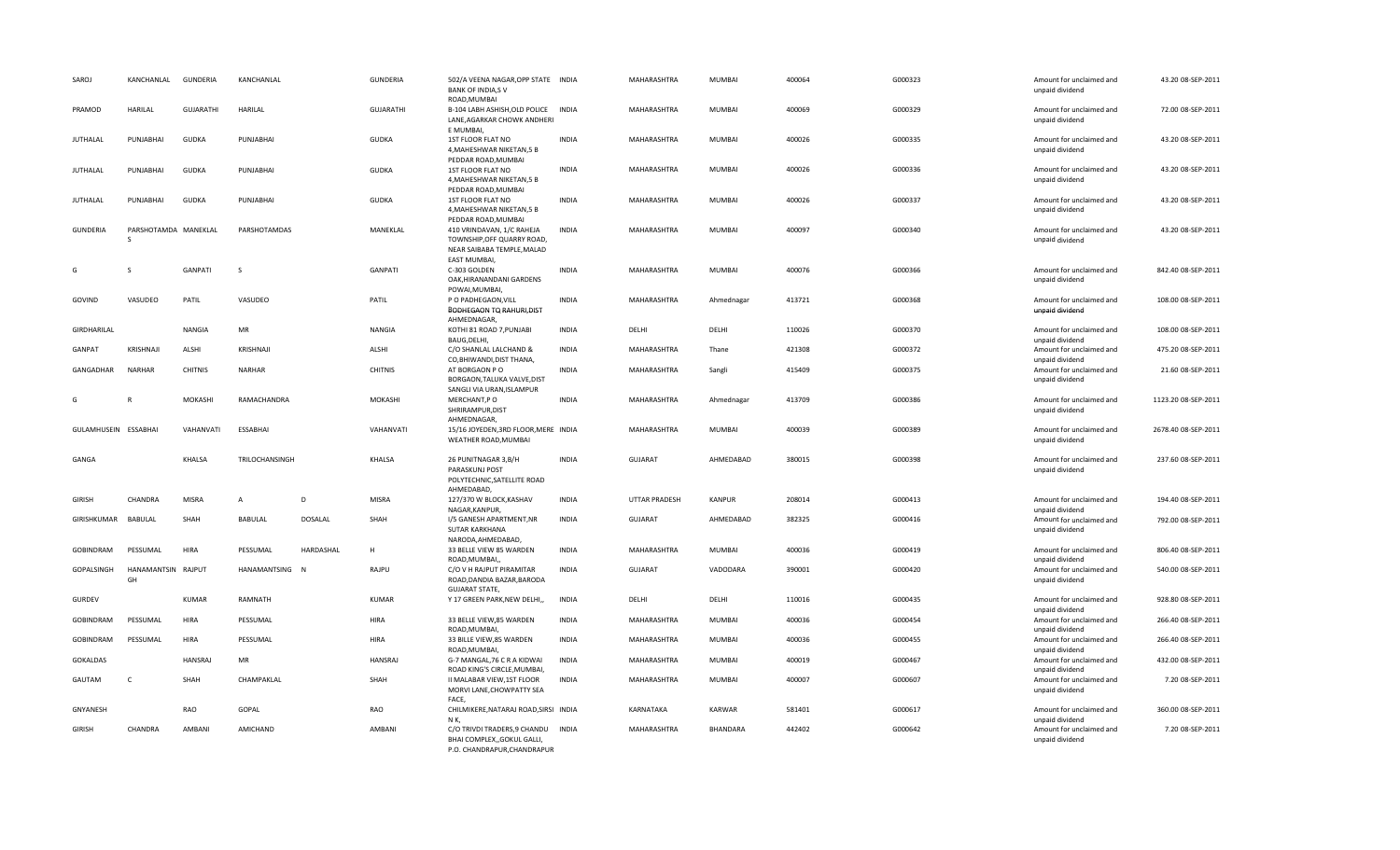| SAROJ                | KANCHANLAL                | <b>GUNDERIA</b>  | KANCHANLAL     |                | <b>GUNDERIA</b>  | 502/A VEENA NAGAR, OPP STATE INDIA<br><b>BANK OF INDIA,SV</b><br>ROAD, MUMBAI                                                      |              | MAHARASHTRA          | MUMBAI        | 400064 | G000323 | Amount for unclaimed and<br>unpaid dividend                    | 43.20 08-SEP-2011   |
|----------------------|---------------------------|------------------|----------------|----------------|------------------|------------------------------------------------------------------------------------------------------------------------------------|--------------|----------------------|---------------|--------|---------|----------------------------------------------------------------|---------------------|
| PRAMOD               | <b>HARILAL</b>            | <b>GUJARATHI</b> | HARILAL        |                | <b>GUJARATHI</b> | B-104 LABH ASHISH, OLD POLICE<br>LANE, AGARKAR CHOWK ANDHERI<br>E MUMBAI,                                                          | <b>INDIA</b> | MAHARASHTRA          | MUMBAI        | 400069 | G000329 | Amount for unclaimed and<br>unpaid dividend                    | 72.00 08-SEP-2011   |
| <b>JUTHALAL</b>      | PUNJABHAI                 | <b>GUDKA</b>     | PUNJABHAI      |                | <b>GUDKA</b>     | 1ST FLOOR FLAT NO<br>4, MAHESHWAR NIKETAN, 5 B<br>PEDDAR ROAD, MUMBAI                                                              | <b>INDIA</b> | MAHARASHTRA          | MUMBAI        | 400026 | G000335 | Amount for unclaimed and<br>unpaid dividend                    | 43.20 08-SEP-2011   |
| <b>JUTHALAL</b>      | PUNJABHAI                 | <b>GUDKA</b>     | PUNJABHAI      |                | <b>GUDKA</b>     | 1ST FLOOR FLAT NO<br>4, MAHESHWAR NIKETAN, 5 B                                                                                     | <b>INDIA</b> | MAHARASHTRA          | MUMBAI        | 400026 | G000336 | Amount for unclaimed and<br>unpaid dividend                    | 43.20 08-SEP-2011   |
| <b>JUTHALAL</b>      | PUNJABHAI                 | <b>GUDKA</b>     | PUNJABHAI      |                | <b>GUDKA</b>     | PEDDAR ROAD, MUMBAI<br>1ST FLOOR FLAT NO<br>4, MAHESHWAR NIKETAN, 5 B                                                              | <b>INDIA</b> | <b>MAHARASHTRA</b>   | <b>MUMBAI</b> | 400026 | G000337 | Amount for unclaimed and<br>unpaid dividend                    | 43.20 08-SEP-2011   |
| <b>GUNDERIA</b>      | PARSHOTAMDA MANEKLAL<br>S |                  | PARSHOTAMDAS   |                | MANEKLAL         | PEDDAR ROAD, MUMBAI<br>410 VRINDAVAN, 1/C RAHEJA<br>TOWNSHIP, OFF QUARRY ROAD,<br>NEAR SAIBABA TEMPLE, MALAD<br><b>EAST MUMBAI</b> | <b>INDIA</b> | MAHARASHTRA          | MUMBAI        | 400097 | G000340 | Amount for unclaimed and<br>unpaid dividend                    | 43.20 08-SEP-2011   |
| G                    | S                         | <b>GANPATI</b>   | <sub>S</sub>   |                | GANPATI          | C-303 GOLDEN<br>OAK, HIRANANDANI GARDENS                                                                                           | <b>INDIA</b> | MAHARASHTRA          | MUMBAI        | 400076 | G000366 | Amount for unclaimed and<br>unpaid dividend                    | 842.40 08-SEP-2011  |
| GOVIND               | VASUDEO                   | PATIL            | VASUDEO        |                | PATIL            | POWAI, MUMBAI,<br>P O PADHEGAON, VILL<br>BODHEGAON TQ RAHURI, DIST<br>AHMEDNAGAR,                                                  | <b>INDIA</b> | <b>MAHARASHTRA</b>   | Ahmednagar    | 413721 | G000368 | Amount for unclaimed and<br>unpaid dividend                    | 108.00 08-SEP-2011  |
| GIRDHARILAL          |                           | <b>NANGIA</b>    | MR             |                | <b>NANGIA</b>    | KOTHI 81 ROAD 7, PUNJABI<br>BAUG, DELHI,                                                                                           | <b>INDIA</b> | DELHI                | DELHI         | 110026 | G000370 | Amount for unclaimed and<br>unpaid dividend                    | 108.00 08-SEP-2011  |
| GANPAT               | KRISHNAJI                 | ALSHI            | KRISHNAJI      |                | ALSHI            | C/O SHANLAL LALCHAND &<br>CO, BHIWANDI, DIST THANA,                                                                                | <b>INDIA</b> | MAHARASHTRA          | Thane         | 421308 | G000372 | Amount for unclaimed and<br>unpaid dividend                    | 475.20 08-SEP-2011  |
| GANGADHAR            | <b>NARHAR</b>             | <b>CHITNIS</b>   | NARHAR         |                | <b>CHITNIS</b>   | AT BORGAON PO<br>BORGAON, TALUKA VALVE, DIST                                                                                       | <b>INDIA</b> | MAHARASHTRA          | Sangli        | 415409 | G000375 | Amount for unclaimed and<br>unpaid dividend                    | 21.60 08-SEP-2011   |
| G                    |                           | <b>MOKASHI</b>   | RAMACHANDRA    |                | <b>MOKASHI</b>   | SANGLI VIA URAN, ISLAMPUR<br>MERCHANT,P O<br>SHRIRAMPUR, DIST                                                                      | INDIA        | MAHARASHTRA          | Ahmednagar    | 413709 | G000386 | Amount for unclaimed and<br>unpaid dividend                    | 1123.20 08-SEP-2011 |
| GULAMHUSEIN ESSABHAI |                           | VAHANVATI        | ESSABHAI       |                | VAHANVATI        | AHMEDNAGAR,<br>15/16 JOYEDEN, 3RD FLOOR, MERE INDIA<br>WEATHER ROAD, MUMBAI                                                        |              | MAHARASHTRA          | MUMBAI        | 400039 | G000389 | Amount for unclaimed and<br>unpaid dividend                    | 2678.40 08-SEP-2011 |
| GANGA                |                           | KHALSA           | TRILOCHANSINGH |                | KHALSA           | 26 PUNITNAGAR 3, B/H<br>PARASKUNJ POST<br>POLYTECHNIC, SATELLITE ROAD<br>AHMEDABAD,                                                | <b>INDIA</b> | <b>GUJARAT</b>       | AHMEDABAD     | 380015 | G000398 | Amount for unclaimed and<br>unpaid dividend                    | 237.60 08-SEP-2011  |
| GIRISH               | CHANDRA                   | <b>MISRA</b>     | $\mathsf{A}$   | D              | <b>MISRA</b>     | 127/370 W BLOCK, KASHAV<br>NAGAR, KANPUR,                                                                                          | <b>INDIA</b> | <b>UTTAR PRADESH</b> | <b>KANPUR</b> | 208014 | G000413 | Amount for unclaimed and<br>unpaid dividend                    | 194.40 08-SEP-2011  |
| GIRISHKUMAR BABULAL  |                           | SHAH             | <b>BABULAL</b> | <b>DOSALAL</b> | SHAH             | I/5 GANESH APARTMENT, NR<br>SUTAR KARKHANA<br>NARODA, AHMEDABAD,                                                                   | <b>INDIA</b> | <b>GUJARAT</b>       | AHMEDABAD     | 382325 | G000416 | Amount for unclaimed and<br>unpaid dividend                    | 792.00 08-SEP-2011  |
| GOBINDRAM            | PESSUMAL                  | HIRA             | PESSUMAL       | HARDASHAL      | н                | 33 BELLE VIEW 85 WARDEN<br>ROAD, MUMBAI,                                                                                           | <b>INDIA</b> | MAHARASHTRA          | MUMBAI        | 400036 | G000419 | Amount for unclaimed and<br>unpaid dividend                    | 806.40 08-SEP-2011  |
| GOPALSINGH           | HANAMANTSIN RAJPUT<br>GH  |                  | HANAMANTSING N |                | RAJPU            | C/O V H RAJPUT PIRAMITAR<br>ROAD, DANDIA BAZAR, BARODA<br><b>GUJARAT STATE,</b>                                                    | INDIA        | <b>GUJARAT</b>       | VADODARA      | 390001 | G000420 | Amount for unclaimed and<br>unpaid dividend                    | 540.00 08-SEP-2011  |
| <b>GURDEV</b>        |                           | KUMAR            | <b>RAMNATH</b> |                | <b>KUMAR</b>     | Y 17 GREEN PARK, NEW DELHI,,                                                                                                       | <b>INDIA</b> | DELHI                | DELHI         | 110016 | G000435 | Amount for unclaimed and<br>unpaid dividend                    | 928.80 08-SEP-2011  |
| <b>GOBINDRAM</b>     | PESSUMAL                  | HIRA             | PESSUMAL       |                | HIRA             | 33 BELLE VIEW,85 WARDEN<br>ROAD, MUMBAI                                                                                            | <b>INDIA</b> | MAHARASHTRA          | MUMBAI        | 400036 | G000454 | Amount for unclaimed and<br>unpaid dividend                    | 266.40 08-SEP-2011  |
| GOBINDRAM            | PESSUMAL                  | HIRA             | PESSUMAL       |                | HIRA             | 33 BILLE VIEW,85 WARDEN<br>ROAD, MUMBAI                                                                                            | <b>INDIA</b> | MAHARASHTRA          | MUMBAI        | 400036 | G000455 | Amount for unclaimed and<br>unpaid dividend                    | 266.40 08-SEP-2011  |
| <b>GOKALDAS</b>      |                           | <b>HANSRAJ</b>   | MR             |                | HANSRAJ          | G-7 MANGAL, 76 C R A KIDWAI<br>ROAD KING'S CIRCLE, MUMBAI,                                                                         | <b>INDIA</b> | MAHARASHTRA          | MUMBAI        | 400019 | G000467 | Amount for unclaimed and                                       | 432.00 08-SEP-2011  |
| GAUTAM               | C                         | SHAH             | CHAMPAKLAL     |                | SHAH             | II MALABAR VIEW, 1ST FLOOR<br>MORVI LANE, CHOWPATTY SEA<br>FACE,                                                                   | <b>INDIA</b> | MAHARASHTRA          | MUMBAI        | 400007 | G000607 | unpaid dividend<br>Amount for unclaimed and<br>unpaid dividend | 7.20 08-SEP-2011    |
| GNYANESH             |                           | RAO              | GOPAL          |                | RAO              | CHILMIKERE, NATARAJ ROAD, SIRSI INDIA                                                                                              |              | KARNATAKA            | KARWAR        | 581401 | G000617 | Amount for unclaimed and                                       | 360.00 08-SEP-2011  |
| <b>GIRISH</b>        | CHANDRA                   | AMBANI           | AMICHAND       |                | AMBANI           | NK,<br>C/O TRIVDI TRADERS, 9 CHANDU INDIA<br>BHAI COMPLEX, GOKUL GALLI,<br>P.O. CHANDRAPUR.CHANDRAPUR                              |              | MAHARASHTRA          | BHANDARA      | 442402 | G000642 | unpaid dividend<br>Amount for unclaimed and<br>unpaid dividend | 7.20 08-SEP-2011    |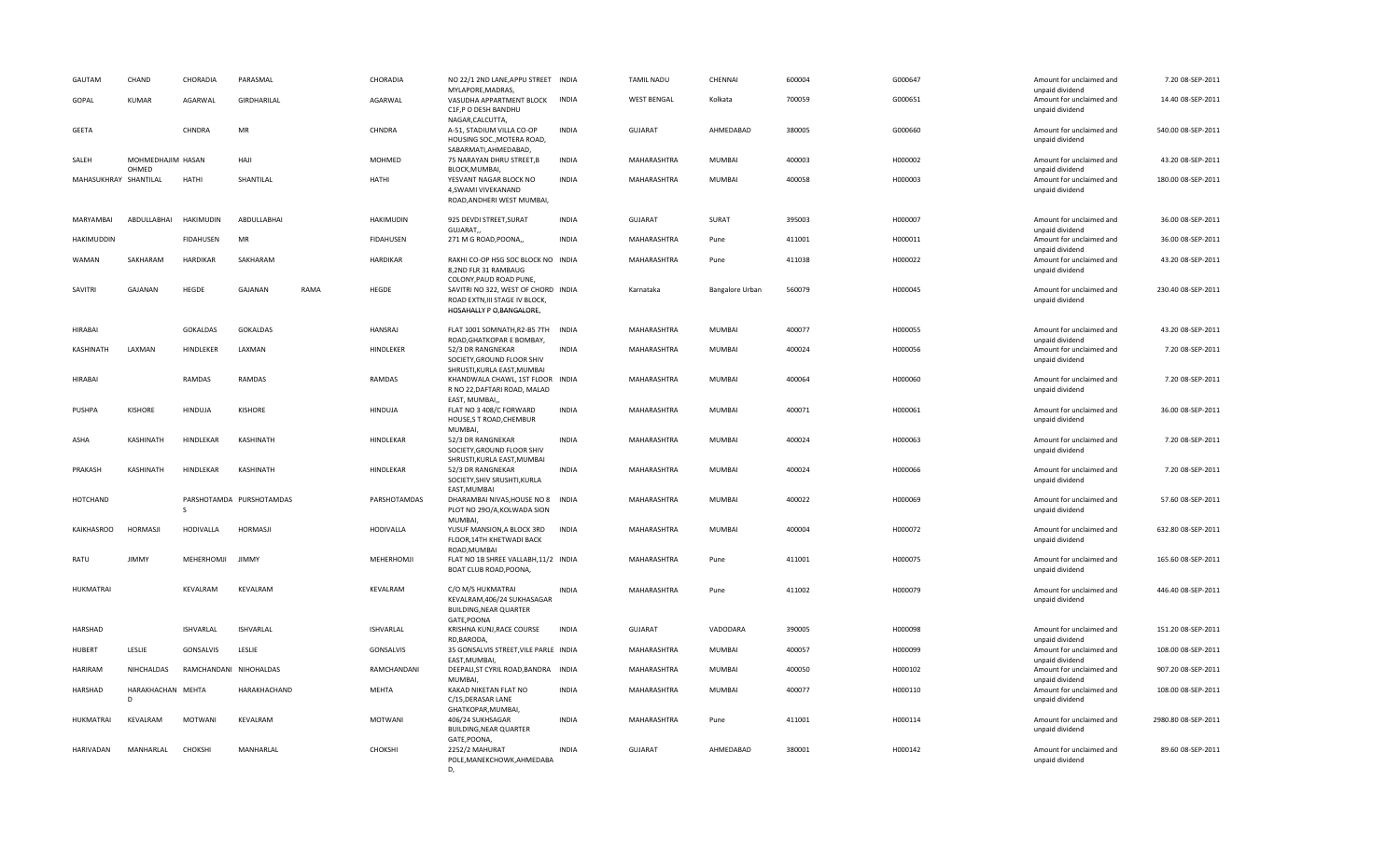| GAUTAM<br>CHAND                     | CHORADIA         | PARASMAL                 |      | CHORADIA         | NO 22/1 2ND LANE, APPU STREET INDIA<br>MYLAPORE, MADRAS,                                                                      |              | <b>TAMIL NADU</b>  | CHENNAI         | 600004 | G000647 | Amount for unclaimed and<br>unpaid dividend | 7.20 08-SEP-2011    |
|-------------------------------------|------------------|--------------------------|------|------------------|-------------------------------------------------------------------------------------------------------------------------------|--------------|--------------------|-----------------|--------|---------|---------------------------------------------|---------------------|
| GOPAL<br>KUMAR                      | AGARWAL          | GIRDHARILAL              |      | AGARWAL          | VASUDHA APPARTMENT BLOCK<br>C1F,P O DESH BANDHU<br>NAGAR, CALCUTTA,                                                           | <b>INDIA</b> | <b>WEST BENGAL</b> | Kolkata         | 700059 | G000651 | Amount for unclaimed and<br>unpaid dividend | 14.40 08-SEP-2011   |
| <b>GEETA</b>                        | CHNDRA           | MR                       |      | CHNDRA           | A-51, STADIUM VILLA CO-OP<br>HOUSING SOC., MOTERA ROAD,                                                                       | <b>INDIA</b> | <b>GUJARAT</b>     | AHMEDABAD       | 380005 | G000660 | Amount for unclaimed and<br>unpaid dividend | 540.00 08-SEP-2011  |
| SALEH<br>MOHMEDHAJIM HASAN<br>OHMED |                  | HAJI                     |      | MOHMED           | SABARMATI, AHMEDABAD,<br>75 NARAYAN DHRU STREET, B<br>BLOCK, MUMBAI,                                                          | <b>INDIA</b> | MAHARASHTRA        | MUMBAI          | 400003 | H000002 | Amount for unclaimed and<br>unpaid dividend | 43.20 08-SEP-2011   |
| MAHASUKHRAY SHANTILAL               | HATHI            | SHANTILAL                |      | <b>HATHI</b>     | YESVANT NAGAR BLOCK NO<br>4,SWAMI VIVEKANAND<br>ROAD, ANDHERI WEST MUMBAI,                                                    | <b>INDIA</b> | <b>MAHARASHTRA</b> | <b>MUMBAI</b>   | 400058 | H000003 | Amount for unclaimed and<br>unpaid dividend | 180.00 08-SEP-2011  |
| MARYAMBAI<br>ABDULLABHAI            | <b>HAKIMUDIN</b> | ABDULLABHAI              |      | <b>HAKIMUDIN</b> | 925 DEVDI STREET, SURAT<br>GUJARAT,                                                                                           | <b>INDIA</b> | GUJARAT            | SURAT           | 395003 | H000007 | Amount for unclaimed and<br>unpaid dividend | 36.00 08-SEP-2011   |
| HAKIMUDDIN                          | <b>FIDAHUSEN</b> | MR                       |      | FIDAHUSEN        | 271 M G ROAD, POONA,,                                                                                                         | <b>INDIA</b> | MAHARASHTRA        | Pune            | 411001 | H000011 | Amount for unclaimed and<br>unpaid dividend | 36.00 08-SEP-2011   |
| SAKHARAM<br>WAMAN                   | HARDIKAR         | SAKHARAM                 |      | HARDIKAR         | RAKHI CO-OP HSG SOC BLOCK NO INDIA<br>8,2ND FLR 31 RAMBAUG                                                                    |              | MAHARASHTRA        | Pune            | 411038 | H000022 | Amount for unclaimed and<br>unpaid dividend | 43.20 08-SEP-2011   |
| SAVITRI<br><b>GAJANAN</b>           | HEGDE            | GAJANAN                  | RAMA | HEGDE            | COLONY, PAUD ROAD PUNE,<br>SAVITRI NO 322, WEST OF CHORD INDIA<br>ROAD EXTN, III STAGE IV BLOCK,<br>HOSAHALLY P O, BANGALORE, |              | Karnataka          | Bangalore Urban | 560079 | H000045 | Amount for unclaimed and<br>unpaid dividend | 230.40 08-SEP-2011  |
| HIRABAI                             | <b>GOKALDAS</b>  | <b>GOKALDAS</b>          |      | HANSRAJ          | FLAT 1001 SOMNATH, R2-B5 7TH<br>ROAD, GHATKOPAR E BOMBAY,                                                                     | <b>INDIA</b> | MAHARASHTRA        | MUMBAI          | 400077 | H000055 | Amount for unclaimed and<br>unpaid dividend | 43.20 08-SEP-2011   |
| KASHINATH<br>LAXMAN                 | HINDLEKER        | LAXMAN                   |      | HINDLEKER        | 52/3 DR RANGNEKAR<br>SOCIETY, GROUND FLOOR SHIV<br>SHRUSTI, KURLA EAST, MUMBAI                                                | <b>INDIA</b> | MAHARASHTRA        | MUMBAI          | 400024 | H000056 | Amount for unclaimed and<br>unpaid dividend | 7.20 08-SEP-2011    |
| HIRABAI                             | RAMDAS           | RAMDAS                   |      | <b>RAMDAS</b>    | KHANDWALA CHAWL, 1ST FLOOR INDIA<br>R NO 22, DAFTARI ROAD, MALAD<br>EAST. MUMBAI.                                             |              | MAHARASHTRA        | MUMBAI          | 400064 | H000060 | Amount for unclaimed and<br>unpaid dividend | 7.20 08-SEP-2011    |
| <b>KISHORE</b><br>PUSHPA            | HINDUJA          | KISHORE                  |      | HINDUJA          | FLAT NO 3 408/C FORWARD<br>HOUSE,S T ROAD,CHEMBUR<br>MUMBAI,                                                                  | <b>INDIA</b> | MAHARASHTRA        | MUMBAI          | 400071 | H000061 | Amount for unclaimed and<br>unpaid dividend | 36.00 08-SEP-2011   |
| KASHINATH<br><b>ASHA</b>            | HINDLEKAR        | KASHINATH                |      | HINDLEKAR        | 52/3 DR RANGNEKAR<br>SOCIETY, GROUND FLOOR SHIV<br>SHRUSTI, KURLA EAST, MUMBAI                                                | <b>INDIA</b> | MAHARASHTRA        | MUMBAI          | 400024 | H000063 | Amount for unclaimed and<br>unpaid dividend | 7.20 08-SEP-2011    |
| PRAKASH<br>KASHINATH                | HINDLEKAR        | KASHINATH                |      | HINDLEKAR        | 52/3 DR RANGNEKAR<br>SOCIETY, SHIV SRUSHTI, KURLA<br>EAST, MUMBAI                                                             | <b>INDIA</b> | MAHARASHTRA        | MUMBAI          | 400024 | H000066 | Amount for unclaimed and<br>unpaid dividend | 7.20 08-SEP-2011    |
| <b>HOTCHAND</b>                     |                  | PARSHOTAMDA PURSHOTAMDAS |      | PARSHOTAMDAS     | DHARAMBAI NIVAS, HOUSE NO 8 INDIA<br>PLOT NO 290/A, KOLWADA SION                                                              |              | MAHARASHTRA        | MUMBAI          | 400022 | H000069 | Amount for unclaimed and<br>unpaid dividend | 57.60 08-SEP-2011   |
| KAIKHASROO<br><b>HORMASJI</b>       | HODIVALLA        | <b>HORMASJI</b>          |      | <b>HODIVALLA</b> | MUMBAI,<br>YUSUF MANSION, A BLOCK 3RD<br>FLOOR, 14TH KHETWADI BACK                                                            | <b>INDIA</b> | MAHARASHTRA        | MUMBAI          | 400004 | H000072 | Amount for unclaimed and<br>unpaid dividend | 632.80 08-SEP-2011  |
| RATU<br><b>JIMMY</b>                | MEHERHOMJI       | <b>JIMMY</b>             |      | MEHERHOMJI       | ROAD, MUMBAI<br>FLAT NO 1B SHREE VALLABH, 11/2 INDIA<br>BOAT CLUB ROAD, POONA,                                                |              | MAHARASHTRA        | Pune            | 411001 | H000075 | Amount for unclaimed and<br>unpaid dividend | 165.60 08-SEP-2011  |
| <b>HUKMATRAI</b>                    | KEVALRAM         | KEVALRAM                 |      | KEVALRAM         | C/O M/S HUKMATRAI<br>KEVALRAM, 406/24 SUKHASAGAR<br>BUILDING, NEAR QUARTER<br>GATE, POONA                                     | <b>INDIA</b> | MAHARASHTRA        | Pune            | 411002 | H000079 | Amount for unclaimed and<br>unpaid dividend | 446.40 08-SEP-2011  |
| HARSHAD                             | ISHVARLAL        | <b>ISHVARLAL</b>         |      | ISHVARLAL        | KRISHNA KUNJ, RACE COURSE<br>RD, BARODA,                                                                                      | <b>INDIA</b> | <b>GUJARAT</b>     | VADODARA        | 390005 | H000098 | Amount for unclaimed and<br>unpaid dividend | 151.20 08-SEP-2011  |
| LESLIE<br>HUBERT                    | GONSALVIS        | LESLIE                   |      | GONSALVIS        | 35 GONSALVIS STREET, VILE PARLE INDIA<br>EAST, MUMBAI,                                                                        |              | MAHARASHTRA        | MUMBAI          | 400057 | H000099 | Amount for unclaimed and<br>unpaid dividend | 108.00 08-SEP-2011  |
| NIHCHALDAS<br>HARIRAM               |                  | RAMCHANDANI NIHOHALDAS   |      | RAMCHANDANI      | DEEPALI, ST CYRIL ROAD, BANDRA INDIA<br>MUMBAI,                                                                               |              | MAHARASHTRA        | MUMBAI          | 400050 | H000102 | Amount for unclaimed and<br>unpaid dividend | 907.20 08-SEP-2011  |
| HARSHAD<br>HARAKHACHAN MEHTA<br>D   |                  | HARAKHACHAND             |      | <b>MEHTA</b>     | KAKAD NIKETAN FLAT NO<br>C/15, DERASAR LANE<br>GHATKOPAR, MUMBAI,                                                             | <b>INDIA</b> | MAHARASHTRA        | MUMBAI          | 400077 | H000110 | Amount for unclaimed and<br>unpaid dividend | 108.00 08-SEP-2011  |
| HUKMATRAI<br>KEVALRAM               | MOTWANI          | KEVALRAM                 |      | MOTWANI          | 406/24 SUKHSAGAR<br><b>BUILDING, NEAR QUARTER</b><br>GATE, POONA,                                                             | <b>INDIA</b> | MAHARASHTRA        | Pune            | 411001 | H000114 | Amount for unclaimed and<br>unpaid dividend | 2980.80 08-SEP-2011 |
| <b>HARIVADAN</b><br>MANHARLAL       | CHOKSHI          | MANHARLAL                |      | CHOKSHI          | 2252/2 MAHURAT<br>POLE, MANEKCHOWK, AHMEDABA<br>D,                                                                            | <b>INDIA</b> | <b>GUJARAT</b>     | AHMEDABAD       | 380001 | H000142 | Amount for unclaimed and<br>unpaid dividend | 89.60 08-SEP-2011   |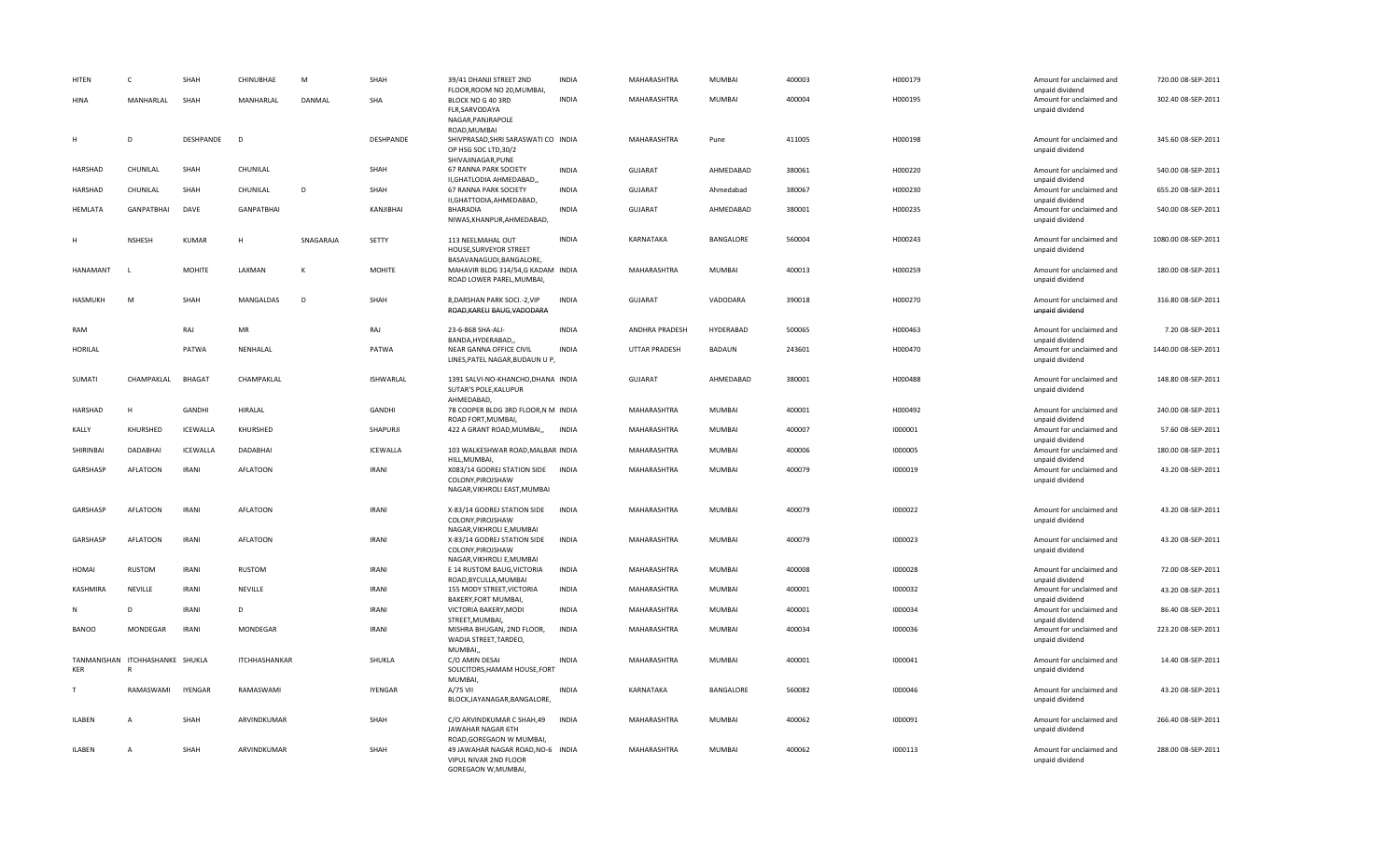| HITEN          | c                                               | SHAH           | CHINUBHAE            | M         | SHAH           | 39/41 DHANJI STREET 2ND<br>FLOOR, ROOM NO 20, MUMBAI,                                             | <b>INDIA</b> | MAHARASHTRA          | MUMBAI        | 400003 | H000179 | Amount for unclaimed and<br>unpaid dividend | 720.00 08-SEP-2011  |
|----------------|-------------------------------------------------|----------------|----------------------|-----------|----------------|---------------------------------------------------------------------------------------------------|--------------|----------------------|---------------|--------|---------|---------------------------------------------|---------------------|
| <b>HINA</b>    | MANHARLAL                                       | SHAH           | MANHARLAL            | DANMAL    | SHA            | BLOCK NO G 40 3RD<br>FLR, SARVODAYA<br>NAGAR, PANJRAPOLE                                          | <b>INDIA</b> | MAHARASHTRA          | MUMBAI        | 400004 | H000195 | Amount for unclaimed and<br>unpaid dividend | 302.40 08-SEP-2011  |
| H              | D                                               | DESHPANDE      | D                    |           | DESHPANDE      | ROAD, MUMBAI<br>SHIVPRASAD, SHRI SARASWATI CO INDIA<br>OP HSG SOC LTD, 30/2<br>SHIVAJINAGAR, PUNE |              | MAHARASHTRA          | Pune          | 411005 | H000198 | Amount for unclaimed and<br>unpaid dividend | 345.60 08-SEP-2011  |
| <b>HARSHAD</b> | CHUNILAL                                        | SHAH           | CHUNILAL             |           | SHAH           | 67 RANNA PARK SOCIETY<br>II, GHATLODIA AHMEDABAD,,                                                | <b>INDIA</b> | <b>GUJARAT</b>       | AHMEDABAD     | 380061 | H000220 | Amount for unclaimed and<br>unpaid dividend | 540.00 08-SEP-2011  |
| HARSHAD        | CHUNILAL                                        | SHAH           | CHUNILAL             | D         | SHAH           | 67 RANNA PARK SOCIETY<br>II, GHATTODIA, AHMEDABAD,                                                | <b>INDIA</b> | <b>GUJARAT</b>       | Ahmedabad     | 380067 | H000230 | Amount for unclaimed and<br>unpaid dividend | 655.20 08-SEP-2011  |
| <b>HEMLATA</b> | <b>GANPATBHAI</b>                               | DAVE           | <b>GANPATBHAI</b>    |           | KANJIBHAI      | <b>BHARADIA</b><br>NIWAS, KHANPUR, AHMEDABAD,                                                     | <b>INDIA</b> | GUJARAT              | AHMEDABAD     | 380001 | H000235 | Amount for unclaimed and<br>unpaid dividend | 540.00 08-SEP-2011  |
|                | <b>NSHESH</b>                                   | <b>KUMAR</b>   | H                    | SNAGARAJA | SETTY          | 113 NEELMAHAL OUT<br>HOUSE, SURVEYOR STREET<br>BASAVANAGUDI, BANGALORE,                           | <b>INDIA</b> | KARNATAKA            | BANGALORE     | 560004 | H000243 | Amount for unclaimed and<br>unpaid dividend | 1080.00 08-SEP-2011 |
| HANAMANT       | -1                                              | <b>MOHITE</b>  | LAXMAN               | K         | <b>MOHITE</b>  | MAHAVIR BLDG 314/54,G KADAM INDIA<br>ROAD LOWER PAREL, MUMBAI,                                    |              | MAHARASHTRA          | MUMBAI        | 400013 | H000259 | Amount for unclaimed and<br>unpaid dividend | 180.00 08-SEP-2011  |
| <b>HASMUKH</b> | M                                               | SHAH           | MANGALDAS            | D         | SHAH           | 8, DARSHAN PARK SOCI .- 2, VIP<br>ROAD, KARELI BAUG, VADODARA                                     | <b>INDIA</b> | <b>GUJARAT</b>       | VADODARA      | 390018 | H000270 | Amount for unclaimed and<br>unpaid dividend | 316.80 08-SEP-2011  |
| RAM            |                                                 | RAJ            | MR                   |           | RAJ            | 23-6-868 SHA-ALI-<br>BANDA, HYDERABAD,                                                            | <b>INDIA</b> | ANDHRA PRADESH       | HYDERABAD     | 500065 | H000463 | Amount for unclaimed and<br>unpaid dividend | 7.20 08-SEP-2011    |
| HORILAL        |                                                 | PATWA          | NENHALAL             |           | PATWA          | NEAR GANNA OFFICE CIVIL<br>LINES, PATEL NAGAR, BUDAUN U P,                                        | INDIA        | <b>UTTAR PRADESH</b> | BADAUN        | 243601 | H000470 | Amount for unclaimed and<br>unpaid dividend | 1440.00 08-SEP-2011 |
| SUMATI         | CHAMPAKLAL                                      | <b>BHAGAT</b>  | CHAMPAKLAL           |           | ISHWARLAL      | 1391 SALVI-NO-KHANCHO, DHANA INDIA<br>SUTAR'S POLE, KALUPUR<br>AHMEDABAD,                         |              | <b>GUJARAT</b>       | AHMEDABAD     | 380001 | H000488 | Amount for unclaimed and<br>unpaid dividend | 148.80 08-SEP-2011  |
| HARSHAD        | $\mathbf{H}$                                    | GANDHI         | HIRALAL              |           | GANDHI         | 7B COOPER BLDG 3RD FLOOR, N M INDIA<br>ROAD FORT, MUMBAI,                                         |              | MAHARASHTRA          | MUMBAI        | 400001 | H000492 | Amount for unclaimed and<br>unpaid dividend | 240.00 08-SEP-2011  |
| KALLY          | KHURSHED                                        | ICEWALLA       | KHURSHED             |           | SHAPURJI       | 422 A GRANT ROAD, MUMBAI,,                                                                        | <b>INDIA</b> | MAHARASHTRA          | MUMBAI        | 400007 | 1000001 | Amount for unclaimed and<br>unpaid dividend | 57.60 08-SEP-2011   |
| SHIRINBAI      | <b>DADABHAI</b>                                 | ICEWALLA       | <b>DADABHAI</b>      |           | ICEWALLA       | 103 WALKESHWAR ROAD, MALBAR INDIA<br>HILL.MUMBAI.                                                 |              | MAHARASHTRA          | MUMBAI        | 400006 | 1000005 | Amount for unclaimed and<br>unpaid dividend | 180.00 08-SEP-2011  |
| GARSHASP       | <b>AFLATOON</b>                                 | <b>IRANI</b>   | <b>AFLATOON</b>      |           | <b>IRANI</b>   | X083/14 GODREJ STATION SIDE<br>COLONY, PIROJSHAW<br>NAGAR, VIKHROLI EAST, MUMBAI                  | <b>INDIA</b> | MAHARASHTRA          | MUMBAI        | 400079 | 1000019 | Amount for unclaimed and<br>unpaid dividend | 43.20 08-SEP-2011   |
| GARSHASP       | <b>AFLATOON</b>                                 | <b>IRANI</b>   | <b>AFLATOON</b>      |           | <b>IRANI</b>   | X-83/14 GODREJ STATION SIDE<br>COLONY, PIROJSHAW<br>NAGAR, VIKHROLI E, MUMBAI                     | INDIA        | MAHARASHTRA          | MUMBAI        | 400079 | 1000022 | Amount for unclaimed and<br>unpaid dividend | 43.20 08-SEP-2011   |
| GARSHASP       | <b>AFLATOON</b>                                 | <b>IRANI</b>   | <b>AFLATOON</b>      |           | <b>IRANI</b>   | X-83/14 GODREJ STATION SIDE<br>COLONY, PIROJSHAW<br>NAGAR, VIKHROLI E, MUMBAI                     | <b>INDIA</b> | MAHARASHTRA          | MUMBAI        | 400079 | 1000023 | Amount for unclaimed and<br>unpaid dividend | 43.20 08-SEP-2011   |
| <b>HOMAI</b>   | <b>RUSTOM</b>                                   | <b>IRANI</b>   | RUSTOM               |           | <b>IRANI</b>   | E 14 RUSTOM BAUG, VICTORIA<br>ROAD, BYCULLA, MUMBAI                                               | <b>INDIA</b> | MAHARASHTRA          | MUMBAI        | 400008 | 1000028 | Amount for unclaimed and<br>unpaid dividend | 72.00 08-SEP-2011   |
| KASHMIRA       | NEVILLE                                         | <b>IRANI</b>   | NEVILLE              |           | <b>IRANI</b>   | 155 MODY STREET, VICTORIA<br>BAKERY, FORT MUMBAI,                                                 | <b>INDIA</b> | MAHARASHTRA          | MUMBAI        | 400001 | 1000032 | Amount for unclaimed and<br>unpaid dividend | 43.20 08-SEP-2011   |
| N              | D                                               | <b>IRANI</b>   | D                    |           | <b>IRANI</b>   | VICTORIA BAKERY, MODI<br>STREET, MUMBAI,                                                          | <b>INDIA</b> | MAHARASHTRA          | MUMBAI        | 400001 | 1000034 | Amount for unclaimed and<br>unpaid dividend | 86.40 08-SEP-2011   |
| <b>BANOO</b>   | MONDEGAR                                        | <b>IRANI</b>   | MONDEGAR             |           | <b>IRANI</b>   | MISHRA BHUGAN, 2ND FLOOR,<br>WADIA STREET, TARDEO,<br>MUMBAI,                                     | INDIA        | MAHARASHTRA          | MUMBAI        | 400034 | 1000036 | Amount for unclaimed and<br>unpaid dividend | 223.20 08-SEP-2011  |
| KER            | TANMANISHAN ITCHHASHANKE SHUKLA<br>$\mathbb{R}$ |                | <b>ITCHHASHANKAR</b> |           | SHUKLA         | C/O AMIN DESAI<br>SOLICITORS, HAMAM HOUSE, FORT<br>MUMBAI,                                        | <b>INDIA</b> | MAHARASHTRA          | MUMBAI        | 400001 | 1000041 | Amount for unclaimed and<br>unpaid dividend | 14.40 08-SEP-2011   |
| т              | RAMASWAMI                                       | <b>IYENGAR</b> | RAMASWAMI            |           | <b>IYENGAR</b> | A/75 VII<br>BLOCK, JAYANAGAR, BANGALORE,                                                          | <b>INDIA</b> | KARNATAKA            | BANGALORE     | 560082 | 1000046 | Amount for unclaimed and<br>unpaid dividend | 43.20 08-SEP-2011   |
| <b>ILABEN</b>  | $\overline{A}$                                  | SHAH           | ARVINDKUMAR          |           | SHAH           | C/O ARVINDKUMAR C SHAH,49<br>JAWAHAR NAGAR 6TH<br>ROAD, GOREGAON W MUMBAI,                        | <b>INDIA</b> | MAHARASHTRA          | <b>MUMBAI</b> | 400062 | 1000091 | Amount for unclaimed and<br>unpaid dividend | 266.40 08-SEP-2011  |
| <b>ILABEN</b>  | Α                                               | SHAH           | ARVINDKUMAR          |           | SHAH           | 49 JAWAHAR NAGAR ROAD, NO-6 INDIA<br>VIPUL NIVAR 2ND FLOOR<br>GOREGAON W, MUMBAI,                 |              | MAHARASHTRA          | MUMBAI        | 400062 | 1000113 | Amount for unclaimed and<br>unpaid dividend | 288.00 08-SEP-2011  |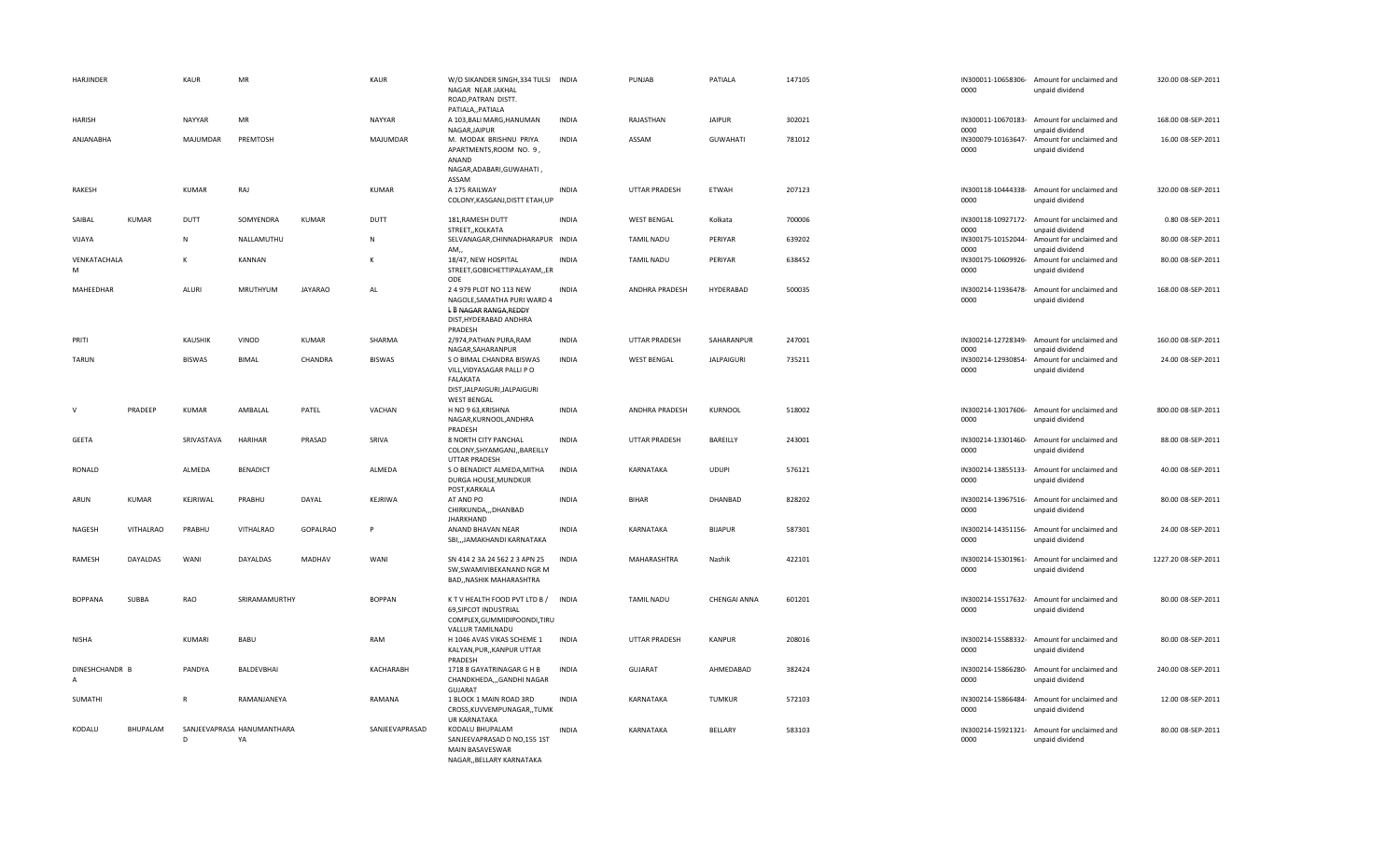| HARJINDER                        |                  | KAUR          | MR                               |                | KAUR           | W/O SIKANDER SINGH, 334 TULSI INDIA<br>NAGAR NEAR JAKHAL<br>ROAD, PATRAN DISTT.<br>PATIALA,, PATIALA                    |              | PUNJAB               | PATIALA           | 147105 | 0000                               | IN300011-10658306- Amount for unclaimed and<br>unpaid dividend | 320.00 08-SEP-2011  |
|----------------------------------|------------------|---------------|----------------------------------|----------------|----------------|-------------------------------------------------------------------------------------------------------------------------|--------------|----------------------|-------------------|--------|------------------------------------|----------------------------------------------------------------|---------------------|
| HARISH                           |                  | NAYYAR        | MR                               |                | <b>NAYYAR</b>  | A 103, BALI MARG, HANUMAN                                                                                               | <b>INDIA</b> | RAJASTHAN            | <b>JAIPUR</b>     | 302021 |                                    | IN300011-10670183- Amount for unclaimed and                    | 168.00 08-SEP-2011  |
| ANJANABHA                        |                  | MAJUMDAR      | PREMTOSH                         |                | MAJUMDAR       | NAGAR, JAIPUR<br>M. MODAK BRISHNU PRIYA<br>APARTMENTS, ROOM NO. 9,<br>ANAND<br>NAGAR, ADABARI, GUWAHATI,                | <b>INDIA</b> | ASSAM                | <b>GUWAHATI</b>   | 781012 | 0000<br>IN300079-10163647-<br>0000 | unpaid dividend<br>Amount for unclaimed and<br>unpaid dividend | 16.00 08-SEP-2011   |
| RAKESH                           |                  | <b>KUMAR</b>  | RAJ                              |                | KUMAR          | ASSAM<br>A 175 RAILWAY<br>COLONY, KASGANJ, DISTT ETAH, UP                                                               | <b>INDIA</b> | <b>UTTAR PRADESH</b> | <b>ETWAH</b>      | 207123 | IN300118-10444338-<br>0000         | Amount for unclaimed and<br>unpaid dividend                    | 320.00 08-SEP-2011  |
| SAIBAI                           | <b>KUMAR</b>     | DUTT          | SOMYENDRA                        | <b>KUMAR</b>   | DUTT           | 181, RAMESH DUTT                                                                                                        | <b>INDIA</b> | <b>WEST BENGAL</b>   | Kolkata           | 700006 |                                    | IN300118-10927172- Amount for unclaimed and                    | 0.80 08-SEP-2011    |
| VIJAYA                           |                  | $\mathsf{N}$  | NALLAMUTHU                       |                | ${\sf N}$      | STREET,, KOLKATA<br>SELVANAGAR, CHINNADHARAPUR INDIA<br>AM.                                                             |              | <b>TAMIL NADU</b>    | PERIYAR           | 639202 | 0000<br>IN300175-10152044-<br>0000 | unpaid dividend<br>Amount for unclaimed and                    | 80.00 08-SEP-2011   |
| VENKATACHALA<br>M                |                  | к             | KANNAN                           |                |                | 18/47, NEW HOSPITAL<br>STREET, GOBICHETTIPALAYAM, , ER<br>ODE                                                           | <b>INDIA</b> | <b>TAMIL NADU</b>    | PERIYAR           | 638452 | IN300175-10609926-<br>0000         | unpaid dividend<br>Amount for unclaimed and<br>unpaid dividend | 80.00 08-SEP-2011   |
| MAHEEDHAR                        |                  | <b>ALURI</b>  | MRUTHYUM                         | <b>JAYARAO</b> | AL             | 2 4 979 PLOT NO 113 NEW<br>NAGOLE, SAMATHA PURI WARD 4<br>L B NAGAR RANGA, REDDY<br>DIST, HYDERABAD ANDHRA<br>PRADESH   | <b>INDIA</b> | ANDHRA PRADESH       | HYDERABAD         | 500035 | 0000                               | IN300214-11936478- Amount for unclaimed and<br>unpaid dividend | 168.00 08-SEP-2011  |
| PRITI                            |                  | KAUSHIK       | VINOD                            | <b>KUMAR</b>   | SHARMA         | 2/974, PATHAN PURA, RAM<br>NAGAR, SAHARANPUR                                                                            | <b>INDIA</b> | <b>UTTAR PRADESH</b> | SAHARANPUR        | 247001 | 0000                               | IN300214-12728349- Amount for unclaimed and<br>unpaid dividend | 160.00 08-SEP-2011  |
| <b>TARUN</b>                     |                  | <b>BISWAS</b> | <b>BIMAL</b>                     | CHANDRA        | <b>BISWAS</b>  | S O BIMAL CHANDRA BISWAS<br>VILL, VIDYASAGAR PALLI PO<br>FALAKATA<br>DIST, JALPAIGURI, JALPAIGURI<br><b>WEST BENGAL</b> | <b>INDIA</b> | <b>WEST BENGAL</b>   | <b>JALPAIGURI</b> | 735211 | IN300214-12930854-<br>0000         | Amount for unclaimed and<br>unpaid dividend                    | 24.00 08-SEP-2011   |
| $\mathsf{V}$                     | PRADEEP          | <b>KUMAR</b>  | AMBALAL                          | PATEL          | VACHAN         | H NO 9 63, KRISHNA<br>NAGAR, KURNOOL, ANDHRA<br>PRADESH                                                                 | <b>INDIA</b> | ANDHRA PRADESH       | KURNOOL           | 518002 | 0000                               | IN300214-13017606- Amount for unclaimed and<br>unpaid dividend | 800.00 08-SEP-2011  |
| <b>GEETA</b>                     |                  | SRIVASTAVA    | HARIHAR                          | PRASAD         | SRIVA          | 8 NORTH CITY PANCHAL<br>COLONY, SHYAMGANJ, , BAREILLY<br><b>UTTAR PRADESH</b>                                           | <b>INDIA</b> | UTTAR PRADESH        | BAREILLY          | 243001 | 0000                               | IN300214-13301460- Amount for unclaimed and<br>unpaid dividend | 88.00 08-SEP-2011   |
| RONALD                           |                  | ALMEDA        | <b>BENADICT</b>                  |                | ALMEDA         | S O BENADICT ALMEDA, MITHA<br>DURGA HOUSE, MUNDKUR<br>POST, KARKALA                                                     | <b>INDIA</b> | KARNATAKA            | <b>UDUPI</b>      | 576121 | 0000                               | IN300214-13855133- Amount for unclaimed and<br>unpaid dividend | 40.00 08-SEP-2011   |
| ARUN                             | <b>KUMAR</b>     | KEJRIWAL      | PRABHU                           | DAYAL          | KEJRIWA        | AT AND PO<br>CHIRKUNDA,,,DHANBAD<br><b>JHARKHAND</b>                                                                    | <b>INDIA</b> | <b>BIHAR</b>         | DHANBAD           | 828202 | 0000                               | IN300214-13967516- Amount for unclaimed and<br>unpaid dividend | 80.00 08-SEP-2011   |
| NAGESH                           | <b>VITHALRAO</b> | PRABHU        | <b>VITHALRAO</b>                 | GOPALRAO       |                | ANAND BHAVAN NEAR<br>SBIJAMAKHANDI KARNATAKA                                                                            | <b>INDIA</b> | KARNATAKA            | <b>BIJAPUR</b>    | 587301 | 0000                               | IN300214-14351156- Amount for unclaimed and<br>unpaid dividend | 24.00 08-SEP-2011   |
| RAMESH                           | DAYALDAS         | WANI          | DAYALDAS                         | MADHAV         | WANI           | SN 414 2 3A 24 562 2 3 APN 25<br>SW, SWAMIVIBEKANAND NGR M<br>BAD,, NASHIK MAHARASHTRA                                  | <b>INDIA</b> | MAHARASHTRA          | Nashik            | 422101 | 0000                               | IN300214-15301961- Amount for unclaimed and<br>unpaid dividend | 1227.20 08-SEP-2011 |
| <b>BOPPANA</b>                   | SUBBA            | RAO           | SRIRAMAMURTHY                    |                | <b>BOPPAN</b>  | K T V HEALTH FOOD PVT LTD B / INDIA<br>69, SIPCOT INDUSTRIAL<br>COMPLEX, GUMMIDIPOONDI, TIRU<br>VALLUR TAMILNADU        |              | <b>TAMIL NADU</b>    | CHENGAI ANNA      | 601201 | 0000                               | IN300214-15517632- Amount for unclaimed and<br>unpaid dividend | 80.00 08-SEP-2011   |
| <b>NISHA</b>                     |                  | KUMARI        | <b>BABU</b>                      |                | RAM            | H 1046 AVAS VIKAS SCHEME 1<br>KALYAN, PUR, , KANPUR UTTAR<br>PRADESH                                                    | <b>INDIA</b> | UTTAR PRADESH        | <b>KANPUR</b>     | 208016 | 0000                               | IN300214-15588332- Amount for unclaimed and<br>unpaid dividend | 80.00 08-SEP-2011   |
| DINESHCHANDR B<br>$\overline{A}$ |                  | PANDYA        | BALDEVBHAI                       |                | KACHARABH      | 1718 8 GAYATRINAGAR G H B<br>CHANDKHEDA,,,GANDHI NAGAR<br>GUJARAT                                                       | <b>INDIA</b> | GUJARAT              | AHMEDABAD         | 382424 | IN300214-15866280-<br>0000         | Amount for unclaimed and<br>unpaid dividend                    | 240.00 08-SEP-2011  |
| SUMATHI                          |                  | $\mathsf{R}$  | RAMANJANEYA                      |                | RAMANA         | 1 BLOCK 1 MAIN ROAD 3RD<br>CROSS, KUVVEMPUNAGAR, , TUMK<br><b>UR KARNATAKA</b>                                          | <b>INDIA</b> | KARNATAKA            | <b>TUMKUR</b>     | 572103 | 0000                               | IN300214-15866484- Amount for unclaimed and<br>unpaid dividend | 12.00 08-SEP-2011   |
| KODALU                           | BHUPALAM         | D             | SANJEEVAPRASA HANUMANTHARA<br>YA |                | SANJEEVAPRASAD | KODALU BHUPALAM<br>SANJEEVAPRASAD D NO,155 1ST<br>MAIN BASAVESWAR<br>NAGARBELLARY KARNATAKA                             | <b>INDIA</b> | KARNATAKA            | BELLARY           | 583103 | 0000                               | IN300214-15921321- Amount for unclaimed and<br>unpaid dividend | 80.00 08-SEP-2011   |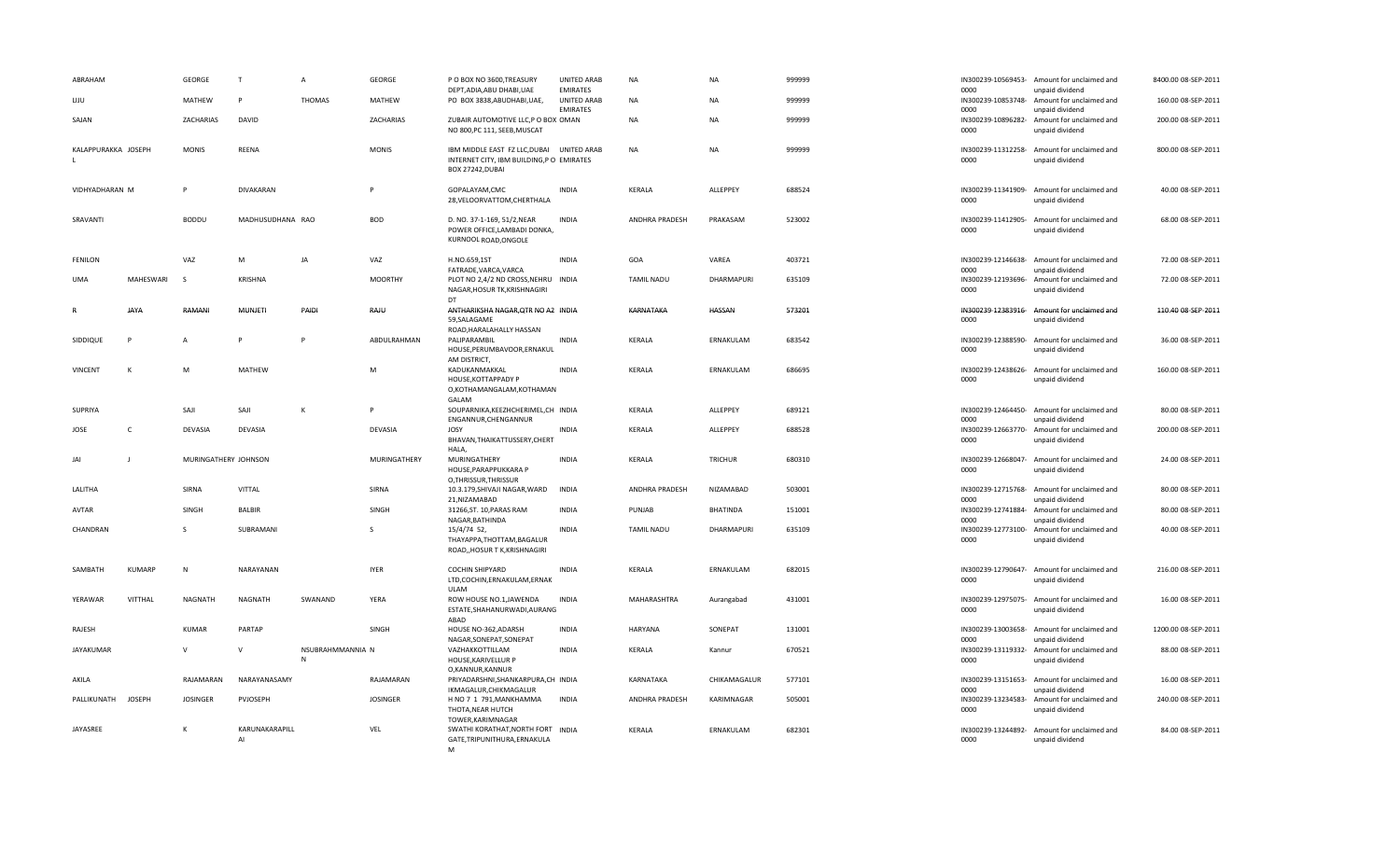| ABRAHAM                      | GEORGE               | $\mathsf{T}$                 | $\overline{A}$                   | <b>GEORGE</b>   | P O BOX NO 3600, TREASURY<br>DEPT, ADIA, ABU DHABI, UAE                                       | <b>UNITED ARAB</b><br><b>EMIRATES</b> | <b>NA</b>         | ΝA              | 999999 | 0000 | IN300239-10569453- Amount for unclaimed and<br>unpaid dividend | 8400.00 08-SEP-2011 |
|------------------------------|----------------------|------------------------------|----------------------------------|-----------------|-----------------------------------------------------------------------------------------------|---------------------------------------|-------------------|-----------------|--------|------|----------------------------------------------------------------|---------------------|
| LIJU                         | MATHEW               | $\mathsf{P}$                 | <b>THOMAS</b>                    | MATHEW          | PO BOX 3838, ABUDHABI, UAE,                                                                   | UNITED ARAB<br><b>EMIRATES</b>        | NA                | ΝA              | 999999 | 0000 | IN300239-10853748- Amount for unclaimed and<br>unpaid dividend | 160.00 08-SEP-2011  |
| SAJAN                        | ZACHARIAS            | DAVID                        |                                  | ZACHARIAS       | ZUBAIR AUTOMOTIVE LLC,P O BOX OMAN<br>NO 800, PC 111, SEEB, MUSCAT                            |                                       | <b>NA</b>         | NA              | 999999 | 0000 | IN300239-10896282- Amount for unclaimed and<br>unpaid dividend | 200.00 08-SEP-2011  |
| KALAPPURAKKA JOSEPH          | <b>MONIS</b>         | REENA                        |                                  | <b>MONIS</b>    | IBM MIDDLE EAST FZ LLC, DUBAI<br>INTERNET CITY, IBM BUILDING, PO EMIRATES<br>BOX 27242, DUBAI | <b>UNITED ARAB</b>                    | <b>NA</b>         | NA              | 999999 | 0000 | IN300239-11312258- Amount for unclaimed and<br>unpaid dividend | 800.00 08-SEP-2011  |
| VIDHYADHARAN M               | P                    | DIVAKARAN                    |                                  | P               | GOPALAYAM,CMC<br>28, VELOORVATTOM, CHERTHALA                                                  | <b>INDIA</b>                          | KERALA            | ALLEPPEY        | 688524 | 0000 | IN300239-11341909- Amount for unclaimed and<br>unpaid dividend | 40.00 08-SEP-2011   |
| SRAVANTI                     | <b>BODDU</b>         | MADHUSUDHANA RAO             |                                  | <b>BOD</b>      | D. NO. 37-1-169, 51/2, NEAR<br>POWER OFFICE, LAMBADI DONKA,<br>KURNOOL ROAD, ONGOLE           | <b>INDIA</b>                          | ANDHRA PRADESH    | PRAKASAM        | 523002 | 0000 | IN300239-11412905- Amount for unclaimed and<br>unpaid dividend | 68.00 08-SEP-2011   |
| <b>FENILON</b>               | VAZ                  | M                            | JA                               | VAZ             | H.NO.659,1ST<br>FATRADE, VARCA, VARCA                                                         | <b>INDIA</b>                          | GOA               | VAREA           | 403721 | 0000 | IN300239-12146638- Amount for unclaimed and<br>unpaid dividend | 72.00 08-SEP-2011   |
| MAHESWARI<br>UMA             | -S                   | KRISHNA                      |                                  | <b>MOORTHY</b>  | PLOT NO 2,4/2 ND CROSS, NEHRU INDIA<br>NAGAR, HOSUR TK, KRISHNAGIRI<br><b>DT</b>              |                                       | <b>TAMIL NADU</b> | DHARMAPURI      | 635109 | 0000 | IN300239-12193696- Amount for unclaimed and<br>unpaid dividend | 72.00 08-SEP-2011   |
| JAYA                         | RAMANI               | <b>MUNJETI</b>               | PAIDI                            | RAJU            | ANTHARIKSHA NAGAR, QTR NO A2 INDIA<br>59.SALAGAME<br>ROAD, HARALAHALLY HASSAN                 |                                       | KARNATAKA         | HASSAN          | 573201 | 0000 | IN300239-12383916- Amount for unclaimed and<br>unpaid dividend | 110.40 08-SEP-2011  |
| SIDDIQUE<br>P                | $\overline{A}$       | p                            | P                                | ABDULRAHMAN     | PALIPARAMBIL<br>HOUSE, PERUMBAVOOR, ERNAKUL<br>AM DISTRICT,                                   | <b>INDIA</b>                          | KERALA            | ERNAKULAM       | 683542 | 0000 | IN300239-12388590- Amount for unclaimed and<br>unpaid dividend | 36.00 08-SEP-2011   |
| <b>VINCENT</b><br>К          | M                    | <b>MATHEW</b>                |                                  | M               | KADUKANMAKKAL<br>HOUSE, KOTTAPPADY P<br>O,KOTHAMANGALAM,KOTHAMAN<br>GALAM                     | <b>INDIA</b>                          | KERALA            | ERNAKULAM       | 686695 | 0000 | IN300239-12438626- Amount for unclaimed and<br>unpaid dividend | 160.00 08-SEP-2011  |
| SUPRIYA                      | SAJI                 | SAIL                         | K                                | P               | SOUPARNIKA, KEEZHCHERIMEL, CH INDIA<br>ENGANNUR, CHENGANNUR                                   |                                       | KERALA            | ALLEPPEY        | 689121 | 0000 | IN300239-12464450- Amount for unclaimed and<br>unpaid dividend | 80.00 08-SEP-2011   |
| $\mathsf{C}$<br>JOSE         | DEVASIA              | DEVASIA                      |                                  | DEVASIA         | JOSY<br>BHAVAN, THAIKATTUSSERY, CHERT<br>HALA,                                                | INDIA                                 | KERALA            | ALLEPPEY        | 688528 | 0000 | IN300239-12663770- Amount for unclaimed and<br>unpaid dividend | 200.00 08-SEP-2011  |
| <b>JAI</b><br>J              | MURINGATHERY JOHNSON |                              |                                  | MURINGATHERY    | MURINGATHERY<br>HOUSE, PARAPPUKKARA P<br>O, THRISSUR, THRISSUR                                | <b>INDIA</b>                          | KERALA            | <b>TRICHUR</b>  | 680310 | 0000 | IN300239-12668047- Amount for unclaimed and<br>unpaid dividend | 24.00 08-SEP-2011   |
| LALITHA                      | SIRNA                | VITTAL                       |                                  | SIRNA           | 10.3.179, SHIVAJI NAGAR, WARD<br>21, NIZAMABAD                                                | <b>INDIA</b>                          | ANDHRA PRADESH    | NIZAMABAD       | 503001 | 0000 | IN300239-12715768- Amount for unclaimed and<br>unpaid dividend | 80.00 08-SEP-2011   |
| AVTAR                        | SINGH                | <b>BALBIR</b>                |                                  | SINGH           | 31266, ST. 10, PARAS RAM<br>NAGAR, BATHINDA                                                   | <b>INDIA</b>                          | PUNJAB            | <b>BHATINDA</b> | 151001 | 0000 | IN300239-12741884- Amount for unclaimed and<br>unpaid dividend | 80.00 08-SEP-2011   |
| CHANDRAN                     | S                    | SUBRAMANI                    |                                  | $\mathsf{S}$    | 15/4/74 52,<br>THAYAPPA, THOTTAM, BAGALUR<br>ROAD, HOSUR T K, KRISHNAGIRI                     | <b>INDIA</b>                          | <b>TAMIL NADU</b> | DHARMAPURI      | 635109 | 0000 | IN300239-12773100- Amount for unclaimed and<br>unpaid dividend | 40.00 08-SEP-2011   |
| SAMBATH<br><b>KUMARP</b>     | N                    | NARAYANAN                    |                                  | <b>IYER</b>     | COCHIN SHIPYARD<br>LTD,COCHIN,ERNAKULAM,ERNAK<br><b>ULAM</b>                                  | <b>INDIA</b>                          | KERALA            | ERNAKULAM       | 682015 | 0000 | IN300239-12790647- Amount for unclaimed and<br>unpaid dividend | 216.00 08-SEP-2011  |
| YERAWAR<br>VITTHAL           | <b>NAGNATH</b>       | NAGNATH                      | SWANAND                          | YERA            | ROW HOUSE NO.1, JAWENDA<br>ESTATE, SHAHANURWADI, AURANG<br>ABAD                               | <b>INDIA</b>                          | MAHARASHTRA       | Aurangabad      | 431001 | 0000 | IN300239-12975075- Amount for unclaimed and<br>unpaid dividend | 16.00 08-SEP-2011   |
| RAJESH                       | <b>KUMAR</b>         | PARTAP                       |                                  | SINGH           | HOUSE NO-362, ADARSH<br>NAGAR, SONEPAT, SONEPAT                                               | <b>INDIA</b>                          | <b>HARYANA</b>    | SONEPAT         | 131001 | 0000 | IN300239-13003658- Amount for unclaimed and<br>unpaid dividend | 1200.00 08-SEP-2011 |
| <b>JAYAKUMAR</b>             | $\mathsf{V}$         | $\mathsf{V}$                 | NSUBRAHMMANNIA N<br>$\mathsf{N}$ |                 | VAZHAKKOTTILLAM<br>HOUSE, KARIVELLUR P<br>O,KANNUR,KANNUR                                     | <b>INDIA</b>                          | KERALA            | Kannur          | 670521 | 0000 | IN300239-13119332- Amount for unclaimed and<br>unpaid dividend | 88.00 08-SEP-2011   |
| AKILA                        | RAJAMARAN            | NARAYANASAMY                 |                                  | RAJAMARAN       | PRIYADARSHNI, SHANKARPURA, CH INDIA<br>IKMAGALUR, CHIKMAGALUR                                 |                                       | KARNATAKA         | CHIKAMAGALUR    | 577101 | 0000 | IN300239-13151653- Amount for unclaimed and<br>unpaid dividend | 16.00 08-SEP-2011   |
| PALLIKUNATH<br><b>JOSEPH</b> | <b>JOSINGER</b>      | PVJOSEPH                     |                                  | <b>JOSINGER</b> | H NO 7 1 791, MANKHAMMA<br>THOTA, NEAR HUTCH<br>TOWER, KARIMNAGAR                             | <b>INDIA</b>                          | ANDHRA PRADESH    | KARIMNAGAR      | 505001 | 0000 | IN300239-13234583- Amount for unclaimed and<br>unpaid dividend | 240.00 08-SEP-2011  |
| JAYASREE                     | $\mathsf{K}$         | KARUNAKARAPILL<br>$\Delta I$ |                                  | <b>VEL</b>      | SWATHI KORATHAT, NORTH FORT INDIA<br>GATE, TRIPUNITHURA, ERNAKULA<br>M                        |                                       | KERALA            | ERNAKULAM       | 682301 | 0000 | IN300239-13244892- Amount for unclaimed and<br>unpaid dividend | 84.00 08-SEP-2011   |

| 111JUUZJJ-1UJUJ4JJ-        | Allivulit Ivi ulitialliittu allu             |                                                                                                                                                                                                                                                                                                                                                                                                                                                                                                                                                                                                                                                                                                                                                                                                                                                                                                                                                                                                 |
|----------------------------|----------------------------------------------|-------------------------------------------------------------------------------------------------------------------------------------------------------------------------------------------------------------------------------------------------------------------------------------------------------------------------------------------------------------------------------------------------------------------------------------------------------------------------------------------------------------------------------------------------------------------------------------------------------------------------------------------------------------------------------------------------------------------------------------------------------------------------------------------------------------------------------------------------------------------------------------------------------------------------------------------------------------------------------------------------|
|                            |                                              | 160.00 08-SEP-2011                                                                                                                                                                                                                                                                                                                                                                                                                                                                                                                                                                                                                                                                                                                                                                                                                                                                                                                                                                              |
| 0000<br>0000               | unpaid dividend<br>unpaid dividend           | 200.00 08-SEP-2011                                                                                                                                                                                                                                                                                                                                                                                                                                                                                                                                                                                                                                                                                                                                                                                                                                                                                                                                                                              |
| 0000                       | unpaid dividend                              | 800.00 08-SEP-2011                                                                                                                                                                                                                                                                                                                                                                                                                                                                                                                                                                                                                                                                                                                                                                                                                                                                                                                                                                              |
| 0000                       | unpaid dividend                              | 40.00 08-SEP-2011                                                                                                                                                                                                                                                                                                                                                                                                                                                                                                                                                                                                                                                                                                                                                                                                                                                                                                                                                                               |
| 0000                       | unpaid dividend                              | 68.00 08-SEP-2011                                                                                                                                                                                                                                                                                                                                                                                                                                                                                                                                                                                                                                                                                                                                                                                                                                                                                                                                                                               |
| IN300239-12146638-<br>nnnn | unpaid dividend                              | 72.00 08-SEP-2011                                                                                                                                                                                                                                                                                                                                                                                                                                                                                                                                                                                                                                                                                                                                                                                                                                                                                                                                                                               |
| 0000                       | unpaid dividend                              | 72.00 08-SEP-2011                                                                                                                                                                                                                                                                                                                                                                                                                                                                                                                                                                                                                                                                                                                                                                                                                                                                                                                                                                               |
| 0000                       | unpaid dividend                              | 110.40 08-SEP-2011                                                                                                                                                                                                                                                                                                                                                                                                                                                                                                                                                                                                                                                                                                                                                                                                                                                                                                                                                                              |
| IN300239-12388590-<br>0000 | Amount for unclaimed and<br>unpaid dividend  | 36.00 08-SEP-2011                                                                                                                                                                                                                                                                                                                                                                                                                                                                                                                                                                                                                                                                                                                                                                                                                                                                                                                                                                               |
| 0000                       | unpaid dividend                              | 160.00 08-SEP-2011                                                                                                                                                                                                                                                                                                                                                                                                                                                                                                                                                                                                                                                                                                                                                                                                                                                                                                                                                                              |
|                            |                                              | 80.00 08-SEP-2011                                                                                                                                                                                                                                                                                                                                                                                                                                                                                                                                                                                                                                                                                                                                                                                                                                                                                                                                                                               |
| IN300239-12663770-<br>0000 | Amount for unclaimed and<br>unpaid dividend  | 200.00 08-SEP-2011                                                                                                                                                                                                                                                                                                                                                                                                                                                                                                                                                                                                                                                                                                                                                                                                                                                                                                                                                                              |
| 0000                       | unpaid dividend                              | 24.00 08-SEP-2011                                                                                                                                                                                                                                                                                                                                                                                                                                                                                                                                                                                                                                                                                                                                                                                                                                                                                                                                                                               |
|                            | Amount for unclaimed and                     | 80.00 08-SEP-2011                                                                                                                                                                                                                                                                                                                                                                                                                                                                                                                                                                                                                                                                                                                                                                                                                                                                                                                                                                               |
|                            |                                              | 80.00 08-SEP-2011                                                                                                                                                                                                                                                                                                                                                                                                                                                                                                                                                                                                                                                                                                                                                                                                                                                                                                                                                                               |
| 0000                       | Amount for unclaimed and<br>unpaid dividend  | 40.00 08-SEP-2011                                                                                                                                                                                                                                                                                                                                                                                                                                                                                                                                                                                                                                                                                                                                                                                                                                                                                                                                                                               |
|                            |                                              |                                                                                                                                                                                                                                                                                                                                                                                                                                                                                                                                                                                                                                                                                                                                                                                                                                                                                                                                                                                                 |
| 0000                       | unpaid dividend                              | 216.00 08-SEP-2011                                                                                                                                                                                                                                                                                                                                                                                                                                                                                                                                                                                                                                                                                                                                                                                                                                                                                                                                                                              |
| 0000                       | unpaid dividend                              | 16.00 08-SEP-2011                                                                                                                                                                                                                                                                                                                                                                                                                                                                                                                                                                                                                                                                                                                                                                                                                                                                                                                                                                               |
|                            |                                              | 1200.00 08-SEP-2011                                                                                                                                                                                                                                                                                                                                                                                                                                                                                                                                                                                                                                                                                                                                                                                                                                                                                                                                                                             |
| 0000                       | unpaid dividend                              | 88.00 08-SEP-2011                                                                                                                                                                                                                                                                                                                                                                                                                                                                                                                                                                                                                                                                                                                                                                                                                                                                                                                                                                               |
|                            |                                              | 16.00 08-SEP-2011                                                                                                                                                                                                                                                                                                                                                                                                                                                                                                                                                                                                                                                                                                                                                                                                                                                                                                                                                                               |
| IN300239-13234583-<br>0000 | Amount for unclaimed and<br>unpaid dividend  | 240.00 08-SEP-2011                                                                                                                                                                                                                                                                                                                                                                                                                                                                                                                                                                                                                                                                                                                                                                                                                                                                                                                                                                              |
| 0000                       | Amount for unclaimed and<br>unpaid dividend  | 84.00 08-SEP-2011                                                                                                                                                                                                                                                                                                                                                                                                                                                                                                                                                                                                                                                                                                                                                                                                                                                                                                                                                                               |
|                            | 0000<br>0000<br>0000<br>nnnn<br>nnnn<br>nnnn | unpaid dividend<br>IN300239-10853748- Amount for unclaimed and<br>IN300239-10896282- Amount for unclaimed and<br>IN300239-11312258- Amount for unclaimed and<br>IN300239-11341909- Amount for unclaimed and<br>IN300239-11412905- Amount for unclaimed and<br>Amount for unclaimed and<br>IN300239-12193696- Amount for unclaimed and<br>IN300239-12383916- Amount for unclaimed and<br>IN300239-12438626- Amount for unclaimed and<br>IN300239-12464450- Amount for unclaimed and<br>unpaid dividend<br>IN300239-12668047- Amount for unclaimed and<br>IN300239-12715768-<br>unpaid dividend<br>IN300239-12741884- Amount for unclaimed and<br>unpaid dividend<br>IN300239-12773100-<br>IN300239-12790647-<br>Amount for unclaimed and<br>IN300239-12975075- Amount for unclaimed and<br>IN300239-13003658- Amount for unclaimed and<br>unpaid dividend<br>IN300239-13119332- Amount for unclaimed and<br>IN300239-13151653- Amount for unclaimed and<br>unpaid dividend<br>IN300239-13244892- |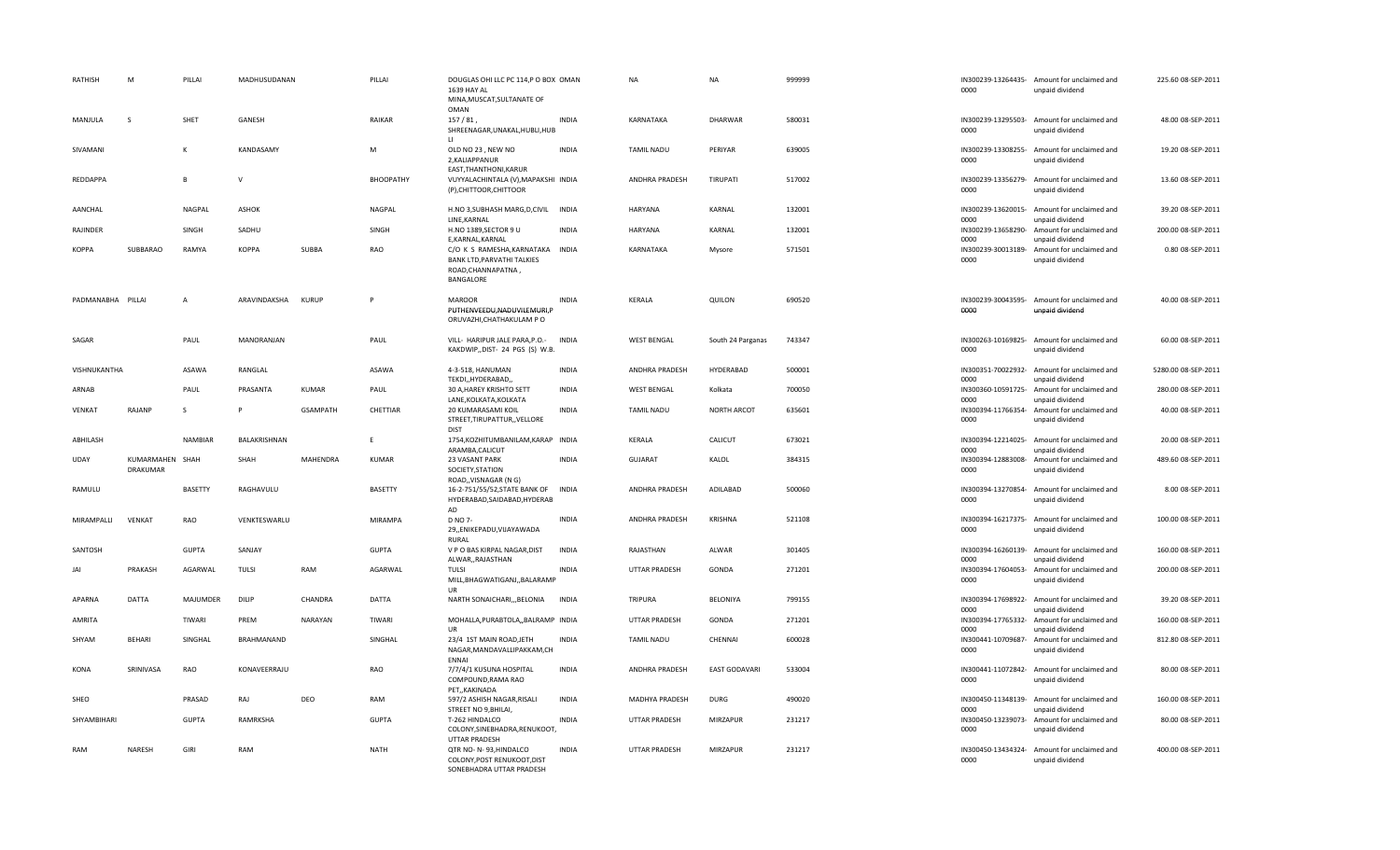| RATHISH           | M                           | PILLAI         | MADHUSUDANAN |                 | PILLAI           | DOUGLAS OHI LLC PC 114,P O BOX OMAN<br>1639 HAY AL                                                       |              | <b>NA</b>             | NA                   | 999999 | 0000                       | IN300239-13264435- Amount for unclaimed and<br>unpaid dividend | 225.60 08-SEP-2011  |
|-------------------|-----------------------------|----------------|--------------|-----------------|------------------|----------------------------------------------------------------------------------------------------------|--------------|-----------------------|----------------------|--------|----------------------------|----------------------------------------------------------------|---------------------|
|                   |                             |                |              |                 |                  | MINA, MUSCAT, SULTANATE OF<br><b>OMAN</b>                                                                |              |                       |                      |        |                            |                                                                |                     |
| MANJULA           | S                           | SHET           | GANESH       |                 | RAIKAR           | 157/81<br>SHREENAGAR, UNAKAL, HUBLI, HUB<br>$\blacksquare$                                               | <b>INDIA</b> | KARNATAKA             | <b>DHARWAR</b>       | 580031 | 0000                       | IN300239-13295503- Amount for unclaimed and<br>unpaid dividend | 48.00 08-SEP-2011   |
| SIVAMANI          |                             | K              | KANDASAMY    |                 | M                | OLD NO 23, NEW NO<br>2, KALIAPPANUR<br>EAST, THANTHONI, KARUR                                            | <b>INDIA</b> | <b>TAMIL NADU</b>     | PERIYAR              | 639005 | 0000                       | IN300239-13308255- Amount for unclaimed and<br>unpaid dividend | 19.20 08-SEP-2011   |
| REDDAPPA          |                             |                | $\mathsf{V}$ |                 | <b>BHOOPATHY</b> | VUYYALACHINTALA (V), MAPAKSHI INDIA<br>(P), CHITTOOR, CHITTOOR                                           |              | ANDHRA PRADESH        | <b>TIRUPATI</b>      | 517002 | 0000                       | IN300239-13356279- Amount for unclaimed and<br>unpaid dividend | 13.60 08-SEP-2011   |
| AANCHAL           |                             | <b>NAGPAL</b>  | <b>ASHOK</b> |                 | NAGPAL           | H.NO 3, SUBHASH MARG, D, CIVIL INDIA<br>LINE, KARNAL                                                     |              | <b>HARYANA</b>        | KARNAL               | 132001 | 0000                       | IN300239-13620015- Amount for unclaimed and<br>unpaid dividend | 39.20 08-SEP-2011   |
| RAJINDER          |                             | SINGH          | SADHU        |                 | SINGH            | H.NO 1389, SECTOR 9 U<br>E,KARNAL,KARNAL                                                                 | <b>INDIA</b> | HARYANA               | KARNAL               | 132001 | IN300239-13658290-<br>0000 | Amount for unclaimed and<br>unpaid dividend                    | 200.00 08-SEP-2011  |
| KOPPA             | SUBBARAO                    | RAMYA          | <b>KOPPA</b> | SUBBA           | RAO              | C/O K S RAMESHA, KARNATAKA INDIA<br><b>BANK LTD, PARVATHI TALKIES</b><br>ROAD, CHANNAPATNA,<br>BANGALORE |              | KARNATAKA             | Mysore               | 571501 | 0000                       | IN300239-30013189- Amount for unclaimed and<br>unpaid dividend | 0.80 08-SEP-2011    |
| PADMANABHA PILLAI |                             | A              | ARAVINDAKSHA | <b>KURUP</b>    | P                | <b>MAROOR</b><br>PUTHENVEEDU, NADUVILEMURI, P<br>ORUVAZHI, CHATHAKULAM P O                               | <b>INDIA</b> | KERALA                | QUILON               | 690520 | 0000                       | IN300239-30043595- Amount for unclaimed and<br>unpaid dividend | 40.00 08-SEP-2011   |
| SAGAR             |                             | PAUL           | MANORANJAN   |                 | PAUL             | VILL- HARIPUR JALE PARA, P.O.-<br>KAKDWIP,,DIST- 24 PGS (S) W.B.                                         | <b>INDIA</b> | <b>WEST BENGAL</b>    | South 24 Parganas    | 743347 | 0000                       | IN300263-10169825- Amount for unclaimed and<br>unpaid dividend | 60.00 08-SEP-2011   |
| VISHNUKANTHA      |                             | ASAWA          | RANGLAL      |                 | ASAWA            | 4-3-518, HANUMAN<br>TEKDI,, HYDERABAD,,                                                                  | <b>INDIA</b> | ANDHRA PRADESH        | <b>HYDERABAD</b>     | 500001 | 0000                       | IN300351-70022932- Amount for unclaimed and<br>unpaid dividend | 5280.00 08-SEP-2011 |
| ARNAB             |                             | PAUL           | PRASANTA     | <b>KUMAR</b>    | PAUL             | 30 A, HAREY KRISHTO SETT<br>LANE, KOLKATA, KOLKATA                                                       | <b>INDIA</b> | <b>WEST BENGAL</b>    | Kolkata              | 700050 | 0000                       | IN300360-10591725- Amount for unclaimed and<br>unpaid dividend | 280.00 08-SEP-2011  |
| VENKAT            | RAJANP                      | <sub>S</sub>   |              | <b>GSAMPATH</b> | CHETTIAR         | 20 KUMARASAMI KOIL<br>STREET, TIRUPATTUR, , VELLORE<br><b>DIST</b>                                       | <b>INDIA</b> | <b>TAMIL NADU</b>     | NORTH ARCOT          | 635601 | 0000                       | IN300394-11766354- Amount for unclaimed and<br>unpaid dividend | 40.00 08-SEP-2011   |
| ABHILASH          |                             | <b>NAMBIAR</b> | BALAKRISHNAN |                 | F                | 1754, KOZHITUMBANILAM, KARAP INDIA<br>ARAMBA, CALICUT                                                    |              | KERALA                | CALICUT              | 673021 | 0000                       | IN300394-12214025- Amount for unclaimed and<br>unpaid dividend | 20.00 08-SEP-2011   |
| <b>UDAY</b>       | KUMARMAHEN SHAH<br>DRAKUMAR |                | SHAH         | MAHENDRA        | KUMAR            | 23 VASANT PARK<br>SOCIETY, STATION<br>ROAD,, VISNAGAR (N G)                                              | <b>INDIA</b> | GUJARAT               | KALOL                | 384315 | 0000                       | IN300394-12883008- Amount for unclaimed and<br>unpaid dividend | 489.60 08-SEP-2011  |
| RAMULU            |                             | <b>BASETTY</b> | RAGHAVULU    |                 | BASETTY          | 16-2-751/55/52, STATE BANK OF<br>HYDERABAD, SAIDABAD, HYDERAB<br>AD                                      | <b>INDIA</b> | ANDHRA PRADESH        | ADILABAD             | 500060 | 0000                       | IN300394-13270854- Amount for unclaimed and<br>unpaid dividend | 8.00 08-SEP-2011    |
| MIRAMPALLI        | <b>VENKAT</b>               | RAO            | VENKTESWARLU |                 | <b>MIRAMPA</b>   | <b>D NO 7-</b><br>29, ENIKEPADU, VIJAYAWADA<br>RURAL                                                     | <b>INDIA</b> | ANDHRA PRADESH        | <b>KRISHNA</b>       | 521108 | 0000                       | IN300394-16217375- Amount for unclaimed and<br>unpaid dividend | 100.00 08-SEP-2011  |
| SANTOSH           |                             | <b>GUPTA</b>   | SANJAY       |                 | <b>GUPTA</b>     | V P O BAS KIRPAL NAGAR, DIST<br>ALWAR,, RAJASTHAN                                                        | <b>INDIA</b> | RAJASTHAN             | ALWAR                | 301405 | 0000                       | IN300394-16260139- Amount for unclaimed and<br>unpaid dividend | 160.00 08-SEP-2011  |
| <b>JAI</b>        | PRAKASH                     | AGARWAL        | <b>TULSI</b> | RAM             | AGARWAL          | <b>TULSI</b><br>MILL, BHAGWATIGANJ, , BALARAMP<br>UR                                                     | <b>INDIA</b> | <b>UTTAR PRADESH</b>  | GONDA                | 271201 | 0000                       | IN300394-17604053- Amount for unclaimed and<br>unpaid dividend | 200.00 08-SEP-2011  |
| APARNA            | DATTA                       | MAJUMDER       | DILIP        | CHANDRA         | <b>DATTA</b>     | NARTH SONAICHARI,,, BELONIA                                                                              | INDIA        | <b>TRIPURA</b>        | BELONIYA             | 799155 | 0000                       | IN300394-17698922- Amount for unclaimed and<br>unpaid dividend | 39.20 08-SEP-2011   |
| <b>AMRITA</b>     |                             | <b>TIWARI</b>  | PREM         | <b>NARAYAN</b>  | TIWARI           | MOHALLA, PURABTOLA, , BALRAMP INDIA<br>IIR                                                               |              | <b>UTTAR PRADESH</b>  | GONDA                | 271201 | 0000                       | IN300394-17765332- Amount for unclaimed and<br>unpaid dividend | 160.00 08-SEP-2011  |
| SHYAM             | <b>BEHARI</b>               | SINGHAL        | BRAHMANAND   |                 | SINGHAL          | 23/4 1ST MAIN ROAD, JETH<br>NAGAR, MANDAVALLIPAKKAM, CH<br><b>ENNAI</b>                                  | <b>INDIA</b> | <b>TAMIL NADU</b>     | CHENNAI              | 600028 | 0000                       | IN300441-10709687- Amount for unclaimed and<br>unpaid dividend | 812.80 08-SEP-2011  |
| <b>KONA</b>       | SRINIVASA                   | RAO            | KONAVEERRAJU |                 | RAO              | 7/7/4/1 KUSUNA HOSPITAL<br>COMPOUND, RAMA RAO<br>PET,, KAKINADA                                          | <b>INDIA</b> | ANDHRA PRADESH        | <b>EAST GODAVARI</b> | 533004 | 0000                       | IN300441-11072842- Amount for unclaimed and<br>unpaid dividend | 80.00 08-SEP-2011   |
| SHEO              |                             | PRASAD         | RAJ          | DEO             | RAM              | 597/2 ASHISH NAGAR, RISALI<br>STREET NO 9, BHILAI,                                                       | <b>INDIA</b> | <b>MADHYA PRADESH</b> | <b>DURG</b>          | 490020 | 0000                       | IN300450-11348139- Amount for unclaimed and<br>unpaid dividend | 160.00 08-SEP-2011  |
| SHYAMBIHARI       |                             | <b>GUPTA</b>   | RAMRKSHA     |                 | <b>GUPTA</b>     | T-262 HINDALCO<br>COLONY, SINEBHADRA, RENUKOOT,<br>UTTAR PRADESH                                         | <b>INDIA</b> | UTTAR PRADESH         | MIRZAPUR             | 231217 | 0000                       | IN300450-13239073- Amount for unclaimed and<br>unpaid dividend | 80.00 08-SEP-2011   |
| RAM               | NARESH                      | GIRI           | RAM          |                 | <b>NATH</b>      | QTR NO- N-93, HINDALCO<br>COLONY, POST RENUKOOT, DIST<br>SONEBHADRA UTTAR PRADESH                        | <b>INDIA</b> | UTTAR PRADESH         | <b>MIRZAPUR</b>      | 231217 | 0000                       | IN300450-13434324- Amount for unclaimed and<br>unpaid dividend | 400.00 08-SEP-2011  |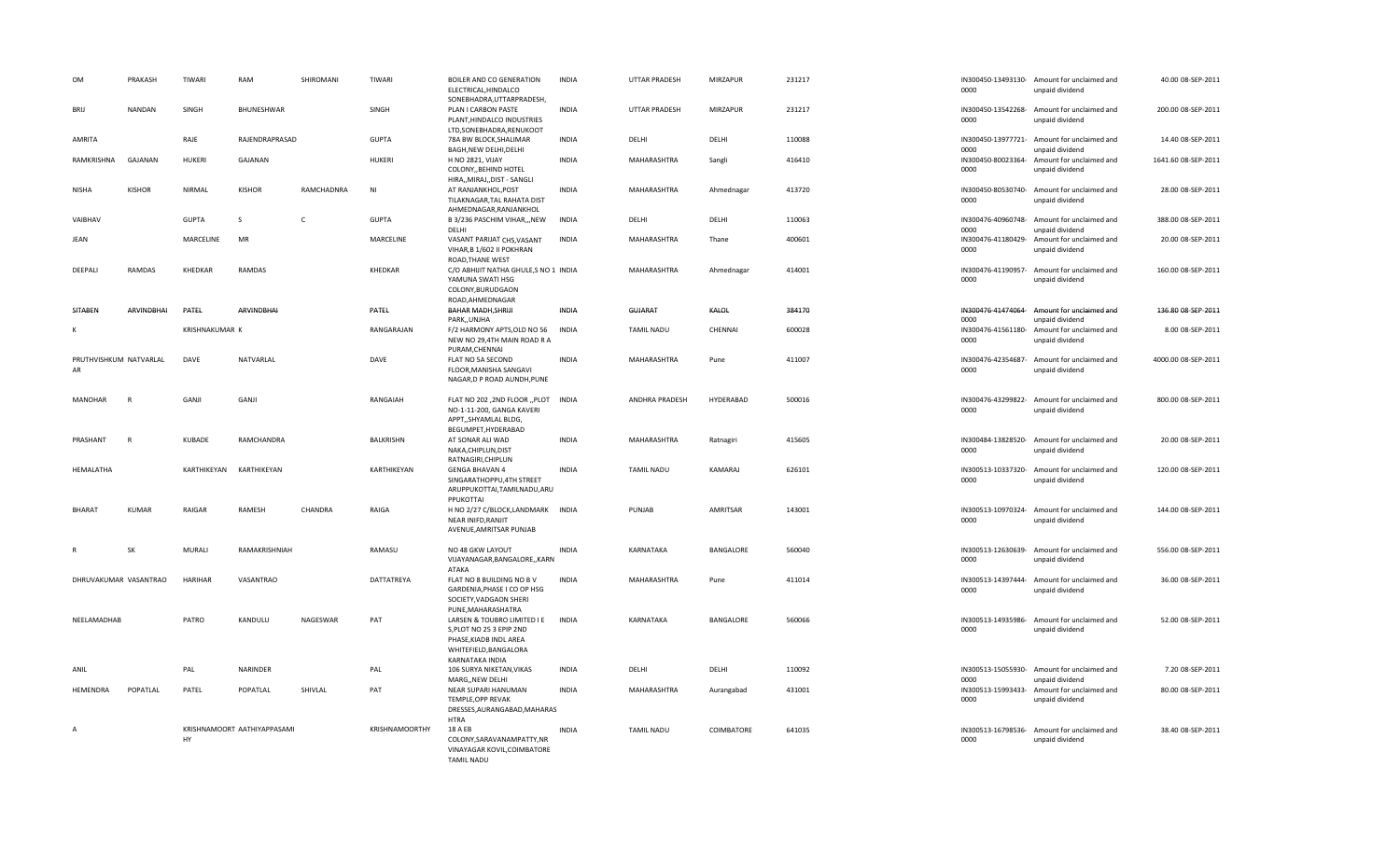| OM                           | PRAKASH       | TIWARI         | RAM                         | SHIROMANI  | TIWARI         | BOILER AND CO GENERATION<br>ELECTRICAL, HINDALCO<br>SONEBHADRA, UTTARPRADESH,                                                 | <b>INDIA</b> | <b>UTTAR PRADESH</b>  | MIRZAPUR   | 231217 | 0000                       | IN300450-13493130- Amount for unclaimed and<br>unpaid dividend | 40.00 08-SEP-2011   |
|------------------------------|---------------|----------------|-----------------------------|------------|----------------|-------------------------------------------------------------------------------------------------------------------------------|--------------|-----------------------|------------|--------|----------------------------|----------------------------------------------------------------|---------------------|
| <b>BRU</b>                   | NANDAN        | SINGH          | BHUNESHWAR                  |            | SINGH          | PLAN I CARBON PASTE<br>PLANT, HINDALCO INDUSTRIES<br>LTD, SONEBHADRA, RENUKOOT                                                | <b>INDIA</b> | UTTAR PRADESH         | MIRZAPUR   | 231217 | 0000                       | IN300450-13542268- Amount for unclaimed and<br>unpaid dividend | 200.00 08-SEP-2011  |
| AMRITA                       |               | RAJE           | RAJENDRAPRASAD              |            | <b>GUPTA</b>   | 78A BW BLOCK, SHALIMAR<br>BAGH, NEW DELHI, DELHI                                                                              | <b>INDIA</b> | DELHI                 | DELHI      | 110088 | 0000                       | IN300450-13977721- Amount for unclaimed and<br>unpaid dividend | 14.40 08-SEP-2011   |
| RAMKRISHNA                   | GAJANAN       | <b>HUKERI</b>  | GAJANAN                     |            | <b>HUKERI</b>  | <b>H NO 2821, VIJAY</b><br>COLONY, BEHIND HOTEL<br>HIRA,, MIRAJ,, DIST - SANGLI                                               | <b>INDIA</b> | MAHARASHTRA           | Sangli     | 416410 | IN300450-80023364-<br>0000 | Amount for unclaimed and<br>unpaid dividend                    | 1641.60 08-SEP-2011 |
| NISHA                        | <b>KISHOR</b> | NIRMAL         | <b>KISHOR</b>               | RAMCHADNRA | NI             | AT RANJANKHOL, POST<br>TILAKNAGAR, TAL RAHATA DIST<br>AHMEDNAGAR, RANJANKHOL                                                  | INDIA        | MAHARASHTRA           | Ahmednagar | 413720 | 0000                       | IN300450-80530740- Amount for unclaimed and<br>unpaid dividend | 28.00 08-SEP-2011   |
| VAIBHAV                      |               | <b>GUPTA</b>   | <sub>S</sub>                | c          | <b>GUPTA</b>   | B 3/236 PASCHIM VIHAR,,,NEW<br>DELHI                                                                                          | <b>INDIA</b> | DELHI                 | DELHI      | 110063 | 0000                       | IN300476-40960748- Amount for unclaimed and<br>unpaid dividend | 388.00 08-SEP-2011  |
| JEAN                         |               | MARCELINE      | MR                          |            | MARCELINE      | VASANT PARIJAT CHS, VASANT<br>VIHAR, B 1/602 II POKHRAN<br>ROAD, THANE WEST                                                   | <b>INDIA</b> | MAHARASHTRA           | Thane      | 400601 | 0000                       | IN300476-41180429- Amount for unclaimed and<br>unpaid dividend | 20.00 08-SEP-2011   |
| DEEPALI                      | <b>RAMDAS</b> | KHEDKAR        | <b>RAMDAS</b>               |            | KHEDKAR        | C/O ABHIJIT NATHA GHULE, S NO 1 INDIA<br>YAMUNA SWATI HSG<br>COLONY, BURUDGAON<br>ROAD, AHMEDNAGAR                            |              | MAHARASHTRA           | Ahmednagar | 414001 | 0000                       | IN300476-41190957- Amount for unclaimed and<br>unpaid dividend | 160.00 08-SEP-2011  |
| SITABEN                      | ARVINDBHAI    | PATEL          | ARVINDBHAI                  |            | PATEL          | BAHAR MADH, SHRIJI<br>PARK, UNJHA                                                                                             | INDIA        | GUJARAT               | KALOL      | 384170 | 0000                       | IN300476-41474064- Amount for unclaimed and<br>unpaid dividend | 136.80 08-SEP-2011  |
| к                            |               | KRISHNAKUMAR K |                             |            | RANGARAJAN     | F/2 HARMONY APTS, OLD NO 56<br>NEW NO 29,4TH MAIN ROAD R A<br>PURAM, CHENNAI                                                  | <b>INDIA</b> | <b>TAMIL NADU</b>     | CHENNAI    | 600028 | IN300476-41561180-<br>0000 | Amount for unclaimed and<br>unpaid dividend                    | 8.00 08-SEP-2011    |
| PRUTHVISHKUM NATVARLAL<br>AR |               | DAVE           | NATVARLAL                   |            | DAVE           | FLAT NO 5A SECOND<br>FLOOR, MANISHA SANGAVI<br>NAGAR, D P ROAD AUNDH, PUNE                                                    | <b>INDIA</b> | MAHARASHTRA           | Pune       | 411007 | 0000                       | IN300476-42354687- Amount for unclaimed and<br>unpaid dividend | 4000.00 08-SEP-2011 |
| <b>MANOHAR</b>               | R             | GANJI          | GANJI                       |            | RANGAIAH       | FLAT NO 202, 2ND FLOOR "PLOT INDIA<br>NO-1-11-200, GANGA KAVERI<br>APPT,, SHYAMLAL BLDG,<br>BEGUMPET, HYDERABAD               |              | <b>ANDHRA PRADESH</b> | HYDERABAD  | 500016 | 0000                       | IN300476-43299822- Amount for unclaimed and<br>unpaid dividend | 800.00 08-SEP-2011  |
| PRASHANT                     | $\mathsf{R}$  | KUBADE         | RAMCHANDRA                  |            | BALKRISHN      | AT SONAR ALI WAD<br>NAKA, CHIPLUN, DIST<br>RATNAGIRI, CHIPLUN                                                                 | INDIA        | MAHARASHTRA           | Ratnagiri  | 415605 | 0000                       | IN300484-13828520- Amount for unclaimed and<br>unpaid dividend | 20.00 08-SEP-2011   |
| HEMALATHA                    |               | KARTHIKEYAN    | KARTHIKEYAN                 |            | KARTHIKEYAN    | <b>GENGA BHAVAN 4</b><br>SINGARATHOPPU, 4TH STREET<br>ARUPPUKOTTAI, TAMILNADU, ARU<br>PPUKOTTAI                               | <b>INDIA</b> | <b>TAMIL NADU</b>     | KAMARAJ    | 626101 | 0000                       | IN300513-10337320- Amount for unclaimed and<br>unpaid dividend | 120.00 08-SEP-2011  |
| <b>BHARAT</b>                | <b>KUMAR</b>  | RAIGAR         | RAMESH                      | CHANDRA    | RAIGA          | H NO 2/27 C/BLOCK,LANDMARK<br><b>NEAR INIFD.RANJIT</b><br>AVENUE, AMRITSAR PUNJAB                                             | <b>INDIA</b> | PUNJAB                | AMRITSAR   | 143001 | 0000                       | IN300513-10970324- Amount for unclaimed and<br>unpaid dividend | 144.00 08-SEP-2011  |
|                              | SK            | MURALI         | RAMAKRISHNIAH               |            | RAMASU         | NO 48 GKW LAYOUT<br>VIJAYANAGAR, BANGALORE, , KARN<br>ATAKA                                                                   | INDIA        | KARNATAKA             | BANGALORE  | 560040 | 0000                       | IN300513-12630639- Amount for unclaimed and<br>unpaid dividend | 556.00 08-SEP-2011  |
| DHRUVAKUMAR VASANTRAO        |               | <b>HARIHAR</b> | VASANTRAO                   |            | DATTATREYA     | FLAT NO 8 BUILDING NO B V<br>GARDENIA, PHASE I CO OP HSG<br>SOCIETY, VADGAON SHERI<br>PUNE, MAHARASHATRA                      | <b>INDIA</b> | MAHARASHTRA           | Pune       | 411014 | 0000                       | IN300513-14397444- Amount for unclaimed and<br>unpaid dividend | 36.00 08-SEP-2011   |
| NEELAMADHAB                  |               | PATRO          | KANDULU                     | NAGESWAR   | PAT            | LARSEN & TOUBRO LIMITED I E<br>S, PLOT NO 25 3 EPIP 2ND<br>PHASE, KIADB INDL AREA<br>WHITEFIELD, BANGALORA<br>KARNATAKA INDIA | <b>INDIA</b> | KARNATAKA             | BANGALORE  | 560066 | 0000                       | IN300513-14935986- Amount for unclaimed and<br>unpaid dividend | 52.00 08-SEP-2011   |
| ANIL                         |               | PAL            | NARINDER                    |            | PAL            | 106 SURYA NIKETAN, VIKAS<br>MARG,, NEW DELHI                                                                                  | INDIA        | DELHI                 | DELHI      | 110092 | 0000                       | IN300513-15055930- Amount for unclaimed and<br>unpaid dividend | 7.20 08-SEP-2011    |
| HEMENDRA                     | POPATLAL      | PATEL          | POPATLAL                    | SHIVLAL    | PAT            | NEAR SUPARI HANUMAN<br>TEMPLE, OPP REVAK<br>DRESSES, AURANGABAD, MAHARAS<br><b>HTRA</b>                                       | <b>INDIA</b> | MAHARASHTRA           | Aurangabad | 431001 | IN300513-15993433-<br>0000 | Amount for unclaimed and<br>unpaid dividend                    | 80.00 08-SEP-2011   |
| $\overline{A}$               |               | HY             | KRISHNAMOORT AATHIYAPPASAMI |            | KRISHNAMOORTHY | 18 A EB<br>COLONY.SARAVANAMPATTY.NR<br>VINAYAGAR KOVIL, COIMBATORE<br><b>TAMIL NADU</b>                                       | <b>INDIA</b> | <b>TAMIL NADU</b>     | COIMBATORE | 641035 | 0000                       | IN300513-16798536- Amount for unclaimed and<br>unpaid dividend | 38.40 08-SEP-2011   |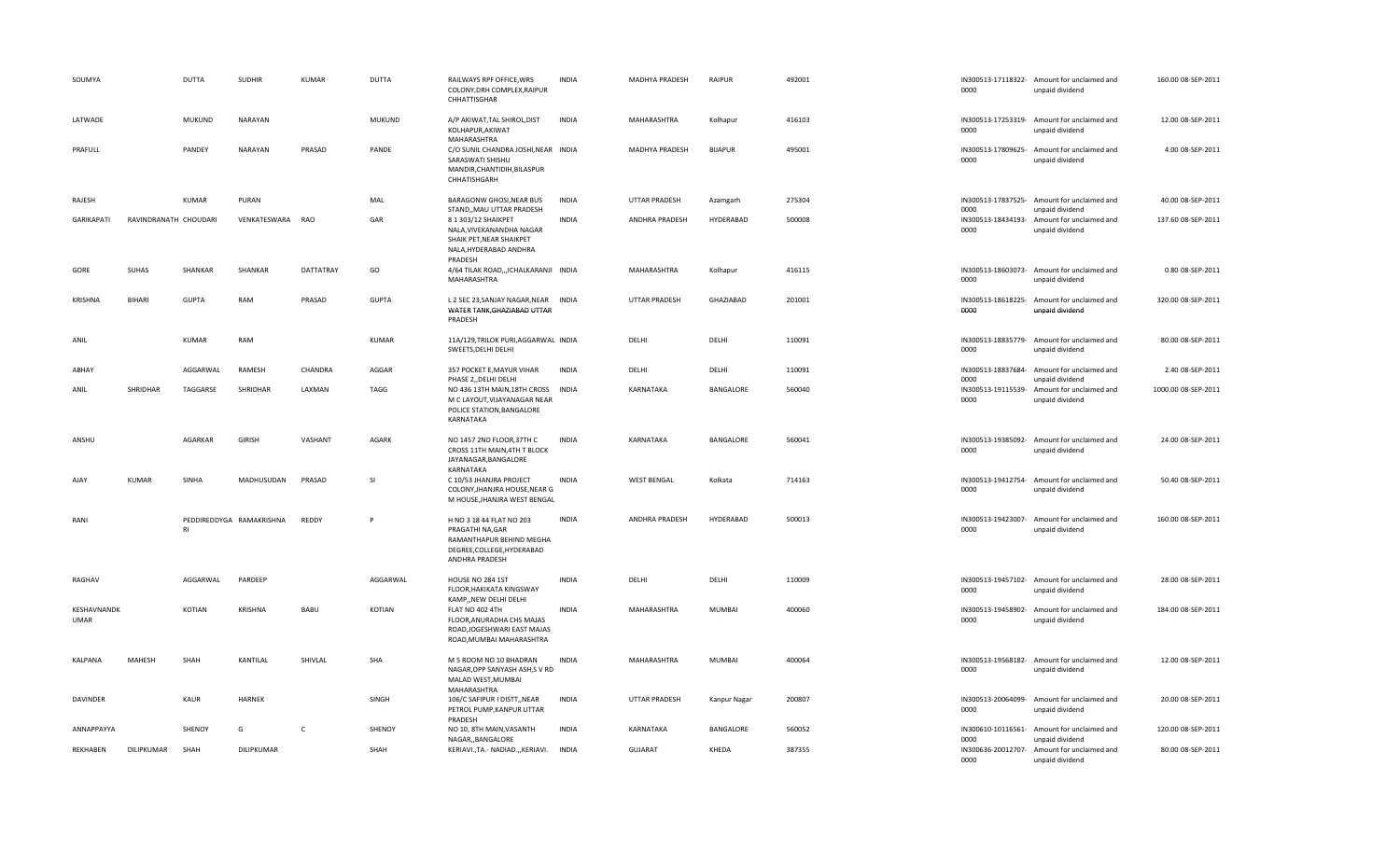| SOUMYA                     |                       | DUTTA         | <b>SUDHIR</b>            | <b>KUMAR</b> | <b>DUTTA</b> | RAILWAYS RPF OFFICE, WRS<br>COLONY, DRH COMPLEX, RAIPUR<br>CHHATTISGHAR                                                  | <b>INDIA</b> | MADHYA PRADESH       | RAIPUR         | 492001 | 0000                       | IN300513-17118322- Amount for unclaimed and<br>unpaid dividend | 160.00 08-SEP-2011  |
|----------------------------|-----------------------|---------------|--------------------------|--------------|--------------|--------------------------------------------------------------------------------------------------------------------------|--------------|----------------------|----------------|--------|----------------------------|----------------------------------------------------------------|---------------------|
| LATWADE                    |                       | <b>MUKUND</b> | NARAYAN                  |              | MUKUND       | A/P AKIWAT, TAL SHIROL, DIST<br>KOLHAPUR, AKIWAT<br>MAHARASHTRA                                                          | <b>INDIA</b> | MAHARASHTRA          | Kolhapur       | 416103 | 0000                       | IN300513-17253319- Amount for unclaimed and<br>unpaid dividend | 12.00 08-SEP-2011   |
| PRAFULL                    |                       | PANDEY        | NARAYAN                  | PRASAD       | PANDE        | C/O SUNIL CHANDRA JOSHI, NEAR INDIA<br>SARASWATI SHISHU<br>MANDIR, CHANTIDIH, BILASPUR<br>CHHATISHGARH                   |              | MADHYA PRADESH       | <b>BIJAPUR</b> | 495001 | 0000                       | IN300513-17809625- Amount for unclaimed and<br>unpaid dividend | 4.00 08-SEP-2011    |
| RAJESH                     |                       | KUMAR         | PURAN                    |              | MAL          | BARAGONW GHOSI, NEAR BUS<br>STAND,, MAU UTTAR PRADESH                                                                    | <b>INDIA</b> | UTTAR PRADESH        | Azamgarh       | 275304 | 0000                       | IN300513-17837525- Amount for unclaimed and<br>unpaid dividend | 40.00 08-SEP-2011   |
| GARIKAPATI                 | RAVINDRANATH CHOUDARI |               | VENKATESWARA RAO         |              | GAR          | 8 1 303/12 SHAIKPET<br>NALA, VIVEKANANDHA NAGAR<br>SHAIK PET, NEAR SHAIKPET<br>NALA, HYDERABAD ANDHRA<br>PRADESH         | INDIA        | ANDHRA PRADESH       | HYDERABAD      | 500008 | IN300513-18434193-<br>0000 | Amount for unclaimed and<br>unpaid dividend                    | 137.60 08-SEP-2011  |
| GORE                       | SUHAS                 | SHANKAR       | SHANKAR                  | DATTATRAY    | GO           | 4/64 TILAK ROAD,,, ICHALKARANJI INDIA<br>MAHARASHTRA                                                                     |              | MAHARASHTRA          | Kolhapur       | 416115 | 0000                       | IN300513-18603073- Amount for unclaimed and<br>unpaid dividend | 0.80 08-SEP-2011    |
| <b>KRISHNA</b>             | <b>BIHARI</b>         | <b>GUPTA</b>  | RAM                      | PRASAD       | <b>GUPTA</b> | L 2 SEC 23, SANJAY NAGAR, NEAR INDIA<br>WATER TANK, GHAZIABAD UTTAR<br>PRADESH                                           |              | UTTAR PRADESH        | GHAZIABAD      | 201001 | 0000                       | IN300513-18618225- Amount for unclaimed and<br>unpaid dividend | 320.00 08-SEP-2011  |
| ANIL                       |                       | KUMAR         | RAM                      |              | KUMAR        | 11A/129, TRILOK PURI, AGGARWAL INDIA<br>SWEETS, DELHI DELHI                                                              |              | DELHI                | DELHI          | 110091 | 0000                       | IN300513-18835779- Amount for unclaimed and<br>unpaid dividend | 80.00 08-SEP-2011   |
| ABHAY                      |                       | AGGARWAL      | RAMESH                   | CHANDRA      | AGGAR        | 357 POCKET E, MAYUR VIHAR<br>PHASE 2, DELHI DELHI                                                                        | <b>INDIA</b> | DELHI                | DELHI          | 110091 | IN300513-18837684-<br>0000 | Amount for unclaimed and<br>unpaid dividend                    | 2.40 08-SEP-2011    |
| ANIL                       | SHRIDHAR              | TAGGARSE      | SHRIDHAR                 | LAXMAN       | TAGG         | NO 436 13TH MAIN, 18TH CROSS INDIA<br>M C LAYOUT, VIJAYANAGAR NEAR<br>POLICE STATION, BANGALORE<br>KARNATAKA             |              | KARNATAKA            | BANGALORE      | 560040 | 0000                       | IN300513-19115539- Amount for unclaimed and<br>unpaid dividend | 1000.00 08-SEP-2011 |
| ANSHU                      |                       | AGARKAR       | <b>GIRISH</b>            | VASHANT      | AGARK        | NO 1457 2ND FLOOR, 37TH C<br>CROSS 11TH MAIN, 4TH T BLOCK<br>JAYANAGAR, BANGALORE<br>KARNATAKA                           | <b>INDIA</b> | KARNATAKA            | BANGALORE      | 560041 | IN300513-19385092-<br>0000 | Amount for unclaimed and<br>unpaid dividend                    | 24.00 08-SEP-2011   |
| AJAY                       | KUMAR                 | SINHA         | MADHUSUDAN               | PRASAD       | <b>SI</b>    | C 10/53 JHANJRA PROJECT<br>COLONY, JHANJRA HOUSE, NEAR G<br>M HOUSE, JHANJRA WEST BENGAL                                 | <b>INDIA</b> | <b>WEST BENGAL</b>   | Kolkata        | 714163 | IN300513-19412754-<br>0000 | Amount for unclaimed and<br>unpaid dividend                    | 50.40 08-SEP-2011   |
| RANI                       |                       | R1            | PEDDIREDDYGA RAMAKRISHNA | REDDY        |              | H NO 3 18 44 FLAT NO 203<br>PRAGATHI NA, GAR<br>RAMANTHAPUR BEHIND MEGHA<br>DEGREE, COLLEGE, HYDERABAD<br>ANDHRA PRADESH | <b>INDIA</b> | ANDHRA PRADESH       | HYDERABAD      | 500013 | 0000                       | IN300513-19423007- Amount for unclaimed and<br>unpaid dividend | 160.00 08-SEP-2011  |
| RAGHAV                     |                       | AGGARWAL      | PARDEEP                  |              | AGGARWAL     | HOUSE NO 284 1ST<br>FLOOR, HAKIKATA KINGSWAY<br>KAMP,, NEW DELHI DELHI                                                   | <b>INDIA</b> | DELHI                | DELHI          | 110009 | 0000                       | IN300513-19457102- Amount for unclaimed and<br>unpaid dividend | 28.00 08-SEP-2011   |
| KESHAVNANDK<br><b>UMAR</b> |                       | KOTIAN        | KRISHNA                  | <b>BABU</b>  | KOTIAN       | FLAT NO 402 4TH<br>FLOOR, ANURADHA CHS MAJAS<br>ROAD, JOGESHWARI EAST MAJAS<br>ROAD, MUMBAI MAHARASHTRA                  | <b>INDIA</b> | MAHARASHTRA          | <b>MUMBAI</b>  | 400060 | 0000                       | IN300513-19458902- Amount for unclaimed and<br>unpaid dividend | 184.00 08-SEP-2011  |
| KALPANA                    | <b>MAHESH</b>         | SHAH          | KANTILAL                 | SHIVLAL      | SHA          | M 5 ROOM NO 10 BHADRAN<br>NAGAR, OPP SANYASH ASH, S V RD<br>MALAD WEST, MUMBAI<br>MAHARASHTRA                            | INDIA        | MAHARASHTRA          | <b>MUMBAI</b>  | 400064 | 0000                       | IN300513-19568182- Amount for unclaimed and<br>unpaid dividend | 12.00 08-SEP-2011   |
| <b>DAVINDER</b>            |                       | KAUR          | <b>HARNEK</b>            |              | SINGH        | 106/C SAFIPUR I DISTT, NEAR<br>PETROL PUMP, KANPUR UTTAR<br>PRADESH                                                      | <b>INDIA</b> | <b>UTTAR PRADESH</b> | Kanpur Nagar   | 200807 | IN300513-20064099-<br>0000 | Amount for unclaimed and<br>unpaid dividend                    | 20.00 08-SEP-2011   |
| ANNAPPAYYA                 |                       | SHENOY        | G                        | C            | SHENOY       | NO 10, 8TH MAIN, VASANTH<br>NAGAR, BANGALORE                                                                             | <b>INDIA</b> | KARNATAKA            | BANGALORE      | 560052 | IN300610-10116561-<br>0000 | Amount for unclaimed and<br>unpaid dividend                    | 120.00 08-SEP-2011  |
| REKHABEN                   | DILIPKUMAR            | SHAH          | DILIPKUMAR               |              | SHAH         | KERIAVI., TA. - NADIAD., , KERIAVI. INDIA                                                                                |              | <b>GUJARAT</b>       | KHEDA          | 387355 | IN300636-20012707-<br>0000 | Amount for unclaimed and<br>unpaid dividend                    | 80.00 08-SEP-2011   |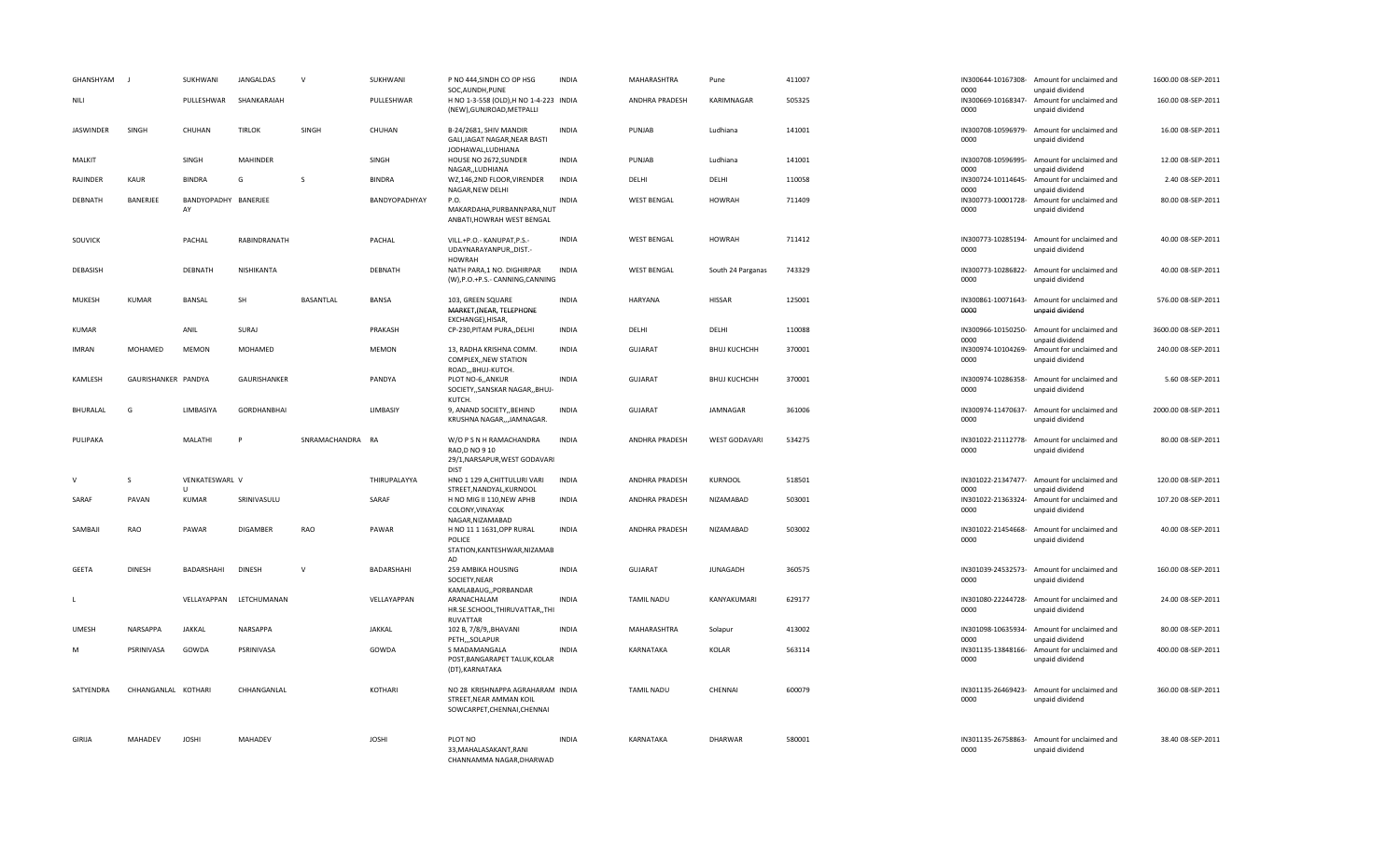| GHANSHYAM        |                     | SUKHWANI                       | JANGALDAS               | $\mathsf{v}$     | SUKHWANI      | P NO 444, SINDH CO OP HSG<br>SOC, AUNDH, PUNE                                              | <b>INDIA</b> | MAHARASHTRA        | Pune                 | 411007 | 0000                       | IN300644-10167308- Amount for unclaimed and<br>unpaid dividend | 1600.00 08-SEP-2011 |
|------------------|---------------------|--------------------------------|-------------------------|------------------|---------------|--------------------------------------------------------------------------------------------|--------------|--------------------|----------------------|--------|----------------------------|----------------------------------------------------------------|---------------------|
| NILI             |                     | PULLESHWAR                     | SHANKARAIAH             |                  | PULLESHWAR    | H NO 1-3-558 (OLD), H NO 1-4-223 INDIA<br>(NEW), GUNJROAD, METPALLI                        |              | ANDHRA PRADESH     | KARIMNAGAR           | 505325 | IN300669-10168347-<br>0000 | Amount for unclaimed and<br>unpaid dividend                    | 160.00 08-SEP-2011  |
| <b>JASWINDER</b> | SINGH               | CHUHAN                         | <b>TIRLOK</b>           | SINGH            | CHUHAN        | B-24/2681, SHIV MANDIR<br>GALI, JAGAT NAGAR, NEAR BASTI<br>JODHAWAL, LUDHIANA              | <b>INDIA</b> | PUNJAB             | Ludhiana             | 141001 | 0000                       | IN300708-10596979- Amount for unclaimed and<br>unpaid dividend | 16.00 08-SEP-2011   |
| MALKIT           |                     | SINGH                          | <b>MAHINDER</b>         |                  | SINGH         | HOUSE NO 2672, SUNDER<br>NAGARLUDHIANA                                                     | <b>INDIA</b> | PUNJAB             | Ludhiana             | 141001 | IN300708-10596995-<br>0000 | Amount for unclaimed and<br>unpaid dividend                    | 12.00 08-SEP-2011   |
| RAJINDER         | KAUR                | <b>BINDRA</b>                  | G                       | <sub>S</sub>     | <b>BINDRA</b> | WZ,146,2ND FLOOR, VIRENDER<br>NAGAR, NEW DELHI                                             | <b>INDIA</b> | DELHI              | DELHI                | 110058 | IN300724-10114645-<br>0000 | Amount for unclaimed and<br>unpaid dividend                    | 2.40 08-SEP-2011    |
| DEBNATH          | BANERJEE            | BANDYOPADHY BANERJEE<br>AY     |                         |                  | BANDYOPADHYAY | P.O.<br>MAKARDAHA, PURBANNPARA, NUT<br>ANBATI, HOWRAH WEST BENGAL                          | <b>INDIA</b> | <b>WEST BENGAL</b> | <b>HOWRAH</b>        | 711409 | IN300773-10001728-<br>0000 | Amount for unclaimed and<br>unpaid dividend                    | 80.00 08-SEP-2011   |
| SOUVICK          |                     | PACHAL                         | RABINDRANATH            |                  | PACHAL        | VILL.+P.O.- KANUPAT,P.S.-<br>UDAYNARAYANPUR,,DIST.-<br><b>HOWRAH</b>                       | <b>INDIA</b> | <b>WEST BENGAL</b> | <b>HOWRAH</b>        | 711412 | 0000                       | IN300773-10285194- Amount for unclaimed and<br>unpaid dividend | 40.00 08-SEP-2011   |
| DEBASISH         |                     | DEBNATH                        | NISHIKANTA              |                  | DEBNATH       | NATH PARA, 1 NO. DIGHIRPAR<br>(W), P.O.+P.S.- CANNING, CANNING                             | <b>INDIA</b> | <b>WEST BENGAL</b> | South 24 Parganas    | 743329 | 0000                       | IN300773-10286822- Amount for unclaimed and<br>unpaid dividend | 40.00 08-SEP-2011   |
| MUKESH           | <b>KUMAR</b>        | <b>BANSAL</b>                  | SH                      | <b>BASANTLAL</b> | <b>BANSA</b>  | 103. GREEN SQUARE<br>MARKET, (NEAR, TELEPHONE<br>EXCHANGE), HISAR,                         | <b>INDIA</b> | <b>HARYANA</b>     | <b>HISSAR</b>        | 125001 | 0000                       | IN300861-10071643- Amount for unclaimed and<br>unpaid dividend | 576.00 08-SEP-2011  |
| <b>KUMAR</b>     |                     | ANIL                           | SURAJ                   |                  | PRAKASH       | CP-230, PITAM PURA, , DELHI                                                                | <b>INDIA</b> | DELHI              | DELHI                | 110088 | IN300966-10150250-<br>0000 | Amount for unclaimed and<br>unpaid dividend                    | 3600.00 08-SEP-2011 |
| <b>IMRAN</b>     | MOHAMED             | <b>MEMON</b>                   | MOHAMED                 |                  | <b>MEMON</b>  | 13, RADHA KRISHNA COMM.<br>COMPLEX, NEW STATION<br>ROAD,,,BHUJ-KUTCH.                      | <b>INDIA</b> | <b>GUJARAT</b>     | <b>ВНИЈ КИСНСНН</b>  | 370001 | IN300974-10104269-<br>0000 | Amount for unclaimed and<br>unpaid dividend                    | 240.00 08-SEP-2011  |
| KAMLESH          | GAURISHANKER PANDYA |                                | GAURISHANKER            |                  | PANDYA        | PLOT NO-6,, ANKUR<br>SOCIETY,, SANSKAR NAGAR,, BHUJ-<br>KUTCH.                             | <b>INDIA</b> | <b>GUJARAT</b>     | BHUJ KUCHCHH         | 370001 | IN300974-10286358-<br>0000 | Amount for unclaimed and<br>unpaid dividend                    | 5.60 08-SEP-2011    |
| BHURALAL         | G                   | LIMBASIYA                      | <b>GORDHANBHAI</b>      |                  | LIMBASIY      | 9, ANAND SOCIETY,, BEHIND<br>KRUSHNA NAGAR,,,JAMNAGAR.                                     | <b>INDIA</b> | GUJARAT            | JAMNAGAR             | 361006 | 0000                       | IN300974-11470637- Amount for unclaimed and<br>unpaid dividend | 2000.00 08-SEP-2011 |
| PULIPAKA         |                     | MALATHI                        | D                       | SNRAMACHANDRA    | RA            | W/O P S N H RAMACHANDRA<br>RAO, DNO 910<br>29/1, NARSAPUR, WEST GODAVARI<br><b>DIST</b>    | <b>INDIA</b> | ANDHRA PRADESH     | <b>WEST GODAVARI</b> | 534275 | IN301022-21112778-<br>0000 | Amount for unclaimed and<br>unpaid dividend                    | 80.00 08-SEP-2011   |
| $\vee$           | S                   | VENKATESWARL V<br>$\mathbf{U}$ |                         |                  | THIRUPALAYYA  | HNO 1 129 A, CHITTULURI VARI<br>STREET, NANDYAL, KURNOOL                                   | <b>INDIA</b> | ANDHRA PRADESH     | KURNOOL              | 518501 | 0000                       | IN301022-21347477- Amount for unclaimed and<br>unpaid dividend | 120.00 08-SEP-2011  |
| SARAF            | PAVAN               | <b>KUMAR</b>                   | SRINIVASULU             |                  | SARAF         | H NO MIG II 110, NEW APHB<br>COLONY, VINAYAK<br>NAGAR, NIZAMABAD                           | <b>INDIA</b> | ANDHRA PRADESH     | NIZAMABAD            | 503001 | IN301022-21363324-<br>0000 | Amount for unclaimed and<br>unpaid dividend                    | 107.20 08-SEP-2011  |
| SAMBAJI          | RAO                 | PAWAR                          | DIGAMBER                | RAO              | PAWAR         | H NO 11 1 1631, OPP RURAL<br>POLICE<br>STATION, KANTESHWAR, NIZAMAB<br>AD                  | <b>INDIA</b> | ANDHRA PRADESH     | NIZAMABAD            | 503002 | IN301022-21454668-<br>0000 | Amount for unclaimed and<br>unpaid dividend                    | 40.00 08-SEP-2011   |
| <b>GEETA</b>     | <b>DINESH</b>       | BADARSHAHI                     | <b>DINESH</b>           | $\mathsf{V}$     | BADARSHAHI    | 259 AMBIKA HOUSING<br>SOCIETY, NEAR<br>KAMLABAUG,, PORBANDAR                               | <b>INDIA</b> | <b>GUJARAT</b>     | <b>JUNAGADH</b>      | 360575 | IN301039-24532573-<br>0000 | Amount for unclaimed and<br>unpaid dividend                    | 160.00 08-SEP-2011  |
| L                |                     |                                | VELLAYAPPAN LETCHUMANAN |                  | VELLAYAPPAN   | ARANACHALAM<br>HR.SE.SCHOOL, THIRUVATTAR, , THI<br><b>RUVATTAR</b>                         | <b>INDIA</b> | <b>TAMIL NADU</b>  | KANYAKUMARI          | 629177 | IN301080-22244728-<br>0000 | Amount for unclaimed and<br>unpaid dividend                    | 24.00 08-SEP-2011   |
| <b>UMESH</b>     | NARSAPPA            | JAKKAL                         | NARSAPPA                |                  | JAKKAL        | 102 B, 7/8/9,, BHAVANI<br>PETH,,,SOLAPUR                                                   | <b>INDIA</b> | MAHARASHTRA        | Solapur              | 413002 | IN301098-10635934-<br>0000 | Amount for unclaimed and<br>unpaid dividend                    | 80.00 08-SEP-2011   |
| M                | PSRINIVASA          | GOWDA                          | PSRINIVASA              |                  | GOWDA         | S MADAMANGALA<br>POST, BANGARAPET TALUK, KOLAR<br>(DT), KARNATAKA                          | <b>INDIA</b> | KARNATAKA          | KOLAR                | 563114 | 0000                       | IN301135-13848166- Amount for unclaimed and<br>unpaid dividend | 400.00 08-SEP-2011  |
| SATYENDRA        | CHHANGANLAL KOTHARI |                                | CHHANGANLAL             |                  | KOTHARI       | NO 28 KRISHNAPPA AGRAHARAM INDIA<br>STREET, NEAR AMMAN KOIL<br>SOWCARPET, CHENNAI, CHENNAI |              | <b>TAMIL NADU</b>  | CHENNAI              | 600079 | IN301135-26469423-<br>0000 | Amount for unclaimed and<br>unpaid dividend                    | 360.00 08-SEP-2011  |
| <b>GIRIJA</b>    | <b>MAHADEV</b>      | <b>JOSHI</b>                   | <b>MAHADEV</b>          |                  | <b>JOSHI</b>  | PLOT NO<br>33, MAHALASAKANT, RANI<br>CHANNAMMA NAGAR, DHARWAD                              | <b>INDIA</b> | KARNATAKA          | <b>DHARWAR</b>       | 580001 | IN301135-26758863-<br>0000 | Amount for unclaimed and<br>unpaid dividend                    | 38.40 08-SEP-2011   |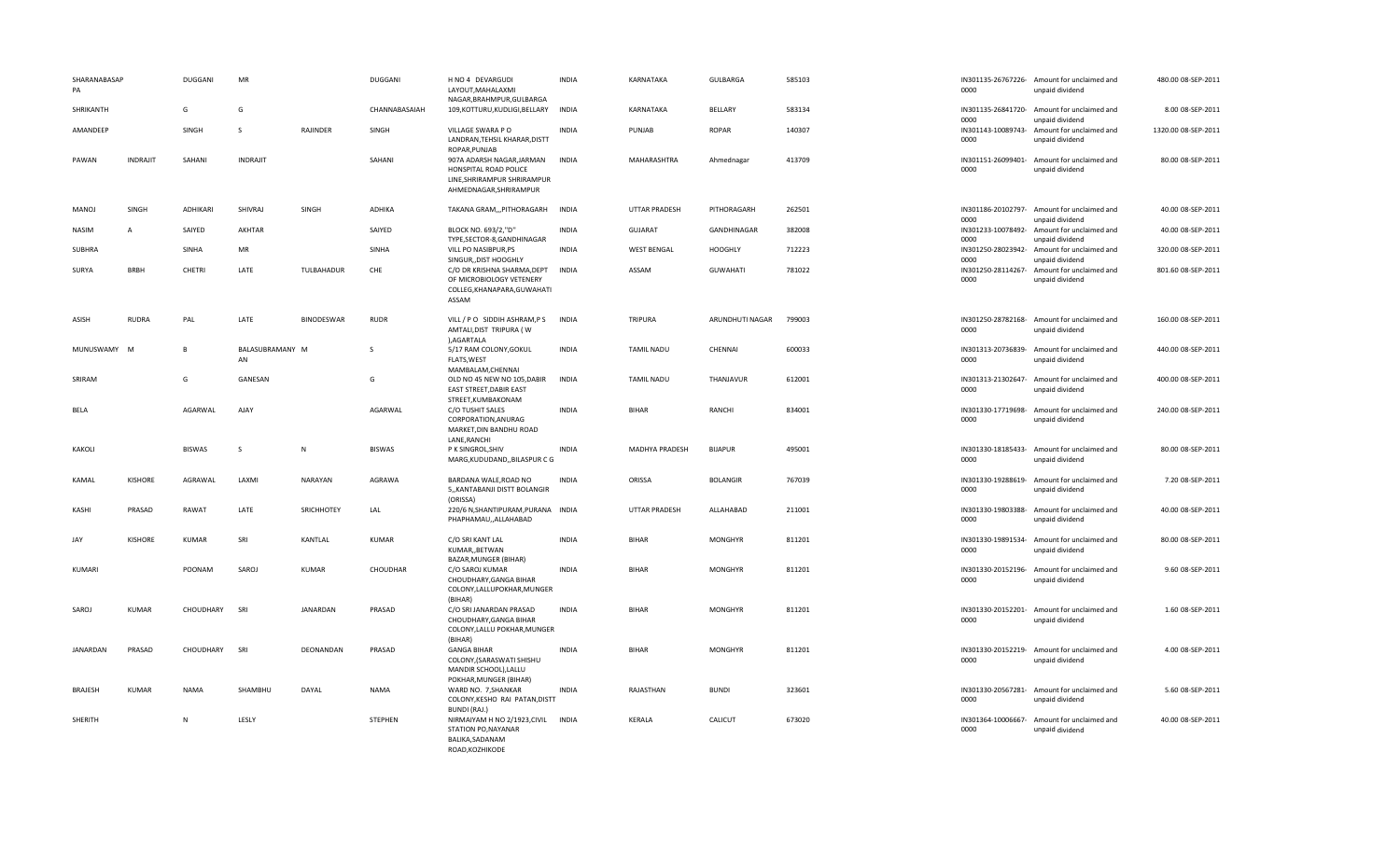| SHARANABASAP<br>PA |                 | <b>DUGGANI</b> | MR                    |                   | <b>DUGGANI</b> | H NO 4 DEVARGUDI<br>LAYOUT, MAHALAXMI                                                                       | <b>INDIA</b> | KARNATAKA            | GULBARGA        | 585103 | 0000                       | IN301135-26767226- Amount for unclaimed and<br>unpaid dividend | 480.00 08-SEP-2011  |
|--------------------|-----------------|----------------|-----------------------|-------------------|----------------|-------------------------------------------------------------------------------------------------------------|--------------|----------------------|-----------------|--------|----------------------------|----------------------------------------------------------------|---------------------|
| SHRIKANTH          |                 | G              | G                     |                   | CHANNABASAIAH  | NAGAR, BRAHMPUR, GULBARGA<br>109, KOTTURU, KUDLIGI, BELLARY                                                 | <b>INDIA</b> | KARNATAKA            | BELLARY         | 583134 | 0000                       | IN301135-26841720- Amount for unclaimed and<br>unpaid dividend | 8.00 08-SEP-2011    |
| AMANDEEP           |                 | SINGH          | S.                    | RAJINDER          | SINGH          | VILLAGE SWARA PO<br>LANDRAN, TEHSIL KHARAR, DISTT<br>ROPAR, PUNJAB                                          | <b>INDIA</b> | PUNJAB               | <b>ROPAR</b>    | 140307 | 0000                       | IN301143-10089743- Amount for unclaimed and<br>unpaid dividend | 1320.00 08-SEP-2011 |
| PAWAN              | <b>INDRAJIT</b> | SAHANI         | <b>INDRAJIT</b>       |                   | SAHANI         | 907A ADARSH NAGAR, JARMAN<br>HONSPITAL ROAD POLICE<br>LINE, SHRIRAMPUR SHRIRAMPUR<br>AHMEDNAGAR, SHRIRAMPUR | <b>INDIA</b> | <b>MAHARASHTRA</b>   | Ahmednagar      | 413709 | 0000                       | IN301151-26099401- Amount for unclaimed and<br>unpaid dividend | 80.00 08-SEP-2011   |
| MANOJ              | SINGH           | ADHIKARI       | SHIVRAJ               | SINGH             | ADHIKA         | TAKANA GRAM,,,PITHORAGARH                                                                                   | <b>INDIA</b> | <b>UTTAR PRADESH</b> | PITHORAGARH     | 262501 | 0000                       | IN301186-20102797- Amount for unclaimed and<br>unpaid dividend | 40.00 08-SEP-2011   |
| <b>NASIM</b>       | $\overline{A}$  | SAIYED         | AKHTAR                |                   | SAIYED         | BLOCK NO. 693/2,"D"<br>TYPE,SECTOR-8,GANDHINAGAR                                                            | <b>INDIA</b> | <b>GUJARAT</b>       | GANDHINAGAR     | 382008 | IN301233-10078492-<br>0000 | Amount for unclaimed and<br>unpaid dividend                    | 40.00 08-SEP-2011   |
| SUBHRA             |                 | <b>SINHA</b>   | MR                    |                   | SINHA          | VILL PO NASIBPUR, PS<br>SINGUR, DIST HOOGHLY                                                                | <b>INDIA</b> | <b>WEST BENGAL</b>   | <b>HOOGHLY</b>  | 712223 | IN301250-28023942-<br>0000 | Amount for unclaimed and<br>unpaid dividend                    | 320.00 08-SEP-2011  |
| SURYA              | <b>BRBH</b>     | <b>CHETRI</b>  | LATE                  | TULBAHADUR        | CHE            | C/O DR KRISHNA SHARMA, DEPT<br>OF MICROBIOLOGY VETENERY<br>COLLEG, KHANAPARA, GUWAHATI<br>ASSAM             | <b>INDIA</b> | ASSAM                | <b>GUWAHATI</b> | 781022 | IN301250-28114267-<br>0000 | Amount for unclaimed and<br>unpaid dividend                    | 801.60 08-SEP-2011  |
| ASISH              | <b>RUDRA</b>    | PAL            | LATE                  | <b>BINODESWAR</b> | <b>RUDR</b>    | VILL / PO SIDDIH ASHRAM, PS<br>AMTALI, DIST TRIPURA (W<br>), AGARTALA                                       | <b>INDIA</b> | <b>TRIPURA</b>       | ARUNDHUTI NAGAR | 799003 | IN301250-28782168-<br>0000 | Amount for unclaimed and<br>unpaid dividend                    | 160.00 08-SEP-2011  |
| MUNUSWAMY M        |                 | B              | BALASUBRAMANY M<br>AN |                   | <sub>S</sub>   | 5/17 RAM COLONY, GOKUL<br>FLATS, WEST<br>MAMBALAM, CHENNAI                                                  | <b>INDIA</b> | <b>TAMIL NADU</b>    | CHENNAI         | 600033 | 0000                       | IN301313-20736839- Amount for unclaimed and<br>unpaid dividend | 440.00 08-SEP-2011  |
| SRIRAM             |                 | G              | GANESAN               |                   | G              | OLD NO 45 NEW NO 105, DABIR<br>EAST STREET, DABIR EAST<br>STREET, KUMBAKONAM                                | INDIA        | <b>TAMIL NADU</b>    | THANJAVUR       | 612001 | 0000                       | IN301313-21302647- Amount for unclaimed and<br>unpaid dividend | 400.00 08-SEP-2011  |
| BELA               |                 | AGARWAL        | AJAY                  |                   | AGARWAL        | C/O TUSHIT SALES<br>CORPORATION, ANURAG<br>MARKET, DIN BANDHU ROAD<br>LANE, RANCHI                          | <b>INDIA</b> | <b>BIHAR</b>         | RANCHI          | 834001 | IN301330-17719698-<br>0000 | Amount for unclaimed and<br>unpaid dividend                    | 240.00 08-SEP-2011  |
| KAKOLI             |                 | <b>BISWAS</b>  | <sub>S</sub>          | $\mathsf{N}$      | <b>BISWAS</b>  | P K SINGROL, SHIV<br>MARG, KUDUDAND, , BILASPUR C G                                                         | <b>INDIA</b> | MADHYA PRADESH       | <b>BIJAPUR</b>  | 495001 | 0000                       | IN301330-18185433- Amount for unclaimed and<br>unpaid dividend | 80.00 08-SEP-2011   |
| KAMAL              | <b>KISHORE</b>  | AGRAWAL        | LAXMI                 | NARAYAN           | AGRAWA         | BARDANA WALE, ROAD NO<br>5,, KANTABANJI DISTT BOLANGIR<br>(ORISSA)                                          | <b>INDIA</b> | ORISSA               | <b>BOLANGIR</b> | 767039 | IN301330-19288619-<br>0000 | Amount for unclaimed and<br>unpaid dividend                    | 7.20 08-SEP-2011    |
| <b>KASHI</b>       | PRASAD          | RAWAT          | LATE                  | SRICHHOTEY        | LAL            | 220/6 N, SHANTIPURAM, PURANA INDIA<br>PHAPHAMAU,, ALLAHABAD                                                 |              | <b>UTTAR PRADESH</b> | ALLAHABAD       | 211001 | IN301330-19803388-<br>0000 | Amount for unclaimed and<br>unpaid dividend                    | 40.00 08-SEP-2011   |
| JAY                | <b>KISHORE</b>  | <b>KUMAR</b>   | SRI                   | KANTLAL           | KUMAR          | C/O SRI KANT LAL<br>KUMAR, BETWAN<br>BAZAR, MUNGER (BIHAR)                                                  | <b>INDIA</b> | <b>BIHAR</b>         | <b>MONGHYR</b>  | 811201 | IN301330-19891534-<br>0000 | Amount for unclaimed and<br>unpaid dividend                    | 80.00 08-SEP-2011   |
| KUMARI             |                 | POONAM         | SAROJ                 | <b>KUMAR</b>      | CHOUDHAR       | C/O SAROJ KUMAR<br>CHOUDHARY, GANGA BIHAR<br>COLONY, LALLUPOKHAR, MUNGER<br>(BIHAR)                         | <b>INDIA</b> | <b>BIHAR</b>         | <b>MONGHYR</b>  | 811201 | 0000                       | IN301330-20152196- Amount for unclaimed and<br>unpaid dividend | 9.60 08-SEP-2011    |
| SAROJ              | <b>KUMAR</b>    | CHOUDHARY      | SRI                   | JANARDAN          | PRASAD         | C/O SRI JANARDAN PRASAD<br>CHOUDHARY, GANGA BIHAR<br>COLONY, LALLU POKHAR, MUNGER<br>(BIHAR)                | <b>INDIA</b> | <b>BIHAR</b>         | <b>MONGHYR</b>  | 811201 | IN301330-20152201-<br>0000 | Amount for unclaimed and<br>unpaid dividend                    | 1.60 08-SEP-2011    |
| JANARDAN           | PRASAD          | CHOUDHARY      | SRI                   | DEONANDAN         | PRASAD         | <b>GANGA BIHAR</b><br>COLONY, (SARASWATI SHISHU<br>MANDIR SCHOOL), LALLU<br>POKHAR, MUNGER (BIHAR)          | <b>INDIA</b> | <b>BIHAR</b>         | <b>MONGHYR</b>  | 811201 | 0000                       | IN301330-20152219- Amount for unclaimed and<br>unpaid dividend | 4.00 08-SEP-2011    |
| <b>BRAJESH</b>     | <b>KUMAR</b>    | <b>NAMA</b>    | SHAMBHU               | DAYAL             | <b>NAMA</b>    | WARD NO. 7, SHANKAR<br>COLONY, KESHO RAI PATAN, DISTT<br>BUNDI (RAJ.)                                       | <b>INDIA</b> | RAJASTHAN            | <b>BUNDI</b>    | 323601 | IN301330-20567281-<br>0000 | Amount for unclaimed and<br>unpaid dividend                    | 5.60 08-SEP-2011    |
| SHERITH            |                 | N              | LESLY                 |                   | STEPHEN        | NIRMAIYAM H NO 2/1923, CIVIL<br>STATION PO, NAYANAR<br>BALIKA, SADANAM<br>ROAD, KOZHIKODE                   | <b>INDIA</b> | KERALA               | CALICUT         | 673020 | IN301364-10006667-<br>0000 | Amount for unclaimed and<br>unpaid dividend                    | 40.00 08-SEP-2011   |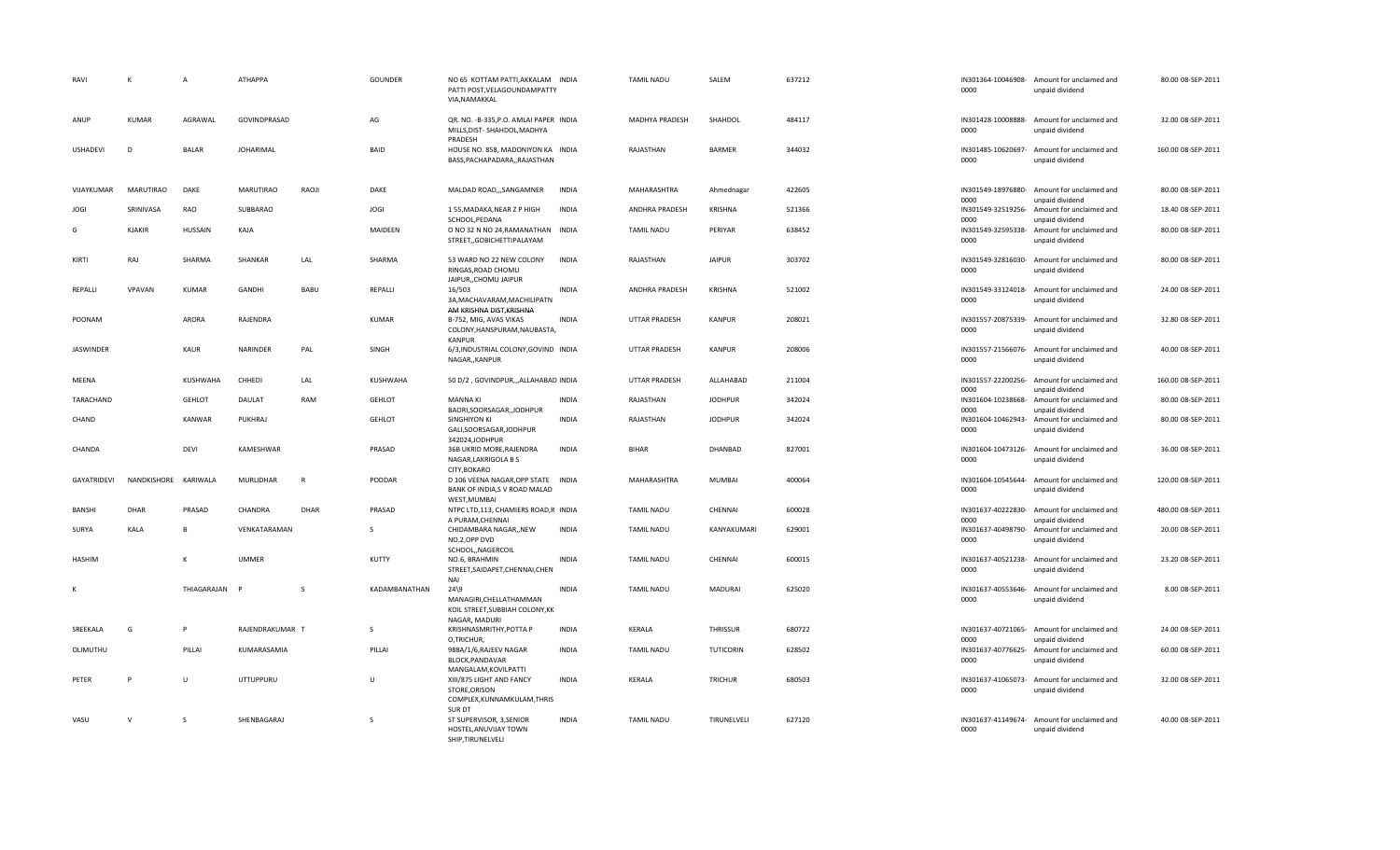| RAVI             | К                | $\overline{A}$ | ATHAPPA          |              | GOUNDER       | NO 65 KOTTAM PATTI, AKKALAM INDIA<br>PATTI POST, VELAGOUNDAMPATTY<br>VIA, NAMAKKAL   |              | <b>TAMIL NADU</b>    | SALEM            | 637212 | IN301364-10046908-<br>0000 | Amount for unclaimed and<br>unpaid dividend                    | 80.00 08-SEP-2011  |
|------------------|------------------|----------------|------------------|--------------|---------------|--------------------------------------------------------------------------------------|--------------|----------------------|------------------|--------|----------------------------|----------------------------------------------------------------|--------------------|
| ANUP             | <b>KUMAR</b>     | AGRAWAL        | GOVINDPRASAD     |              | AG            | QR. NO. - B-335, P.O. AMLAI PAPER INDIA<br>MILLS, DIST-SHAHDOL, MADHYA<br>PRADESH    |              | MADHYA PRADESH       | SHAHDOL          | 484117 | IN301428-10008888-<br>0000 | Amount for unclaimed and<br>unpaid dividend                    | 32.00 08-SEP-2011  |
| USHADEVI         | D                | <b>BALAR</b>   | <b>JOHARIMAL</b> |              | BAID          | HOUSE NO. 858, MADONIYON KA INDIA<br>BASS, PACHAPADARA, , RAJASTHAN                  |              | RAJASTHAN            | <b>BARMER</b>    | 344032 | IN301485-10620697-<br>0000 | Amount for unclaimed and<br>unpaid dividend                    | 160.00 08-SEP-2011 |
| VIJAYKUMAR       | <b>MARUTIRAO</b> | DAKE           | <b>MARUTIRAO</b> | RAOJI        | DAKE          | MALDAD ROAD,,,SANGAMNER                                                              | <b>INDIA</b> | MAHARASHTRA          | Ahmednagar       | 422605 | IN301549-18976880-<br>0000 | Amount for unclaimed and<br>unpaid dividend                    | 80.00 08-SEP-2011  |
| <b>JOGI</b>      | SRINIVASA        | RAO            | SUBBARAO         |              | JOGI          | 155, MADAKA, NEAR Z P HIGH<br>SCHOOL, PEDANA                                         | <b>INDIA</b> | ANDHRA PRADESH       | <b>KRISHNA</b>   | 521366 | IN301549-32519256-<br>0000 | Amount for unclaimed and<br>unpaid dividend                    | 18.40 08-SEP-2011  |
| G                | <b>KJAKIR</b>    | <b>HUSSAIN</b> | KAJA             |              | MAIDEEN       | O NO 32 N NO 24, RAMANATHAN INDIA<br>STREET,,GOBICHETTIPALAYAM                       |              | <b>TAMIL NADU</b>    | PERIYAR          | 638452 | IN301549-32595338-<br>0000 | Amount for unclaimed and<br>unpaid dividend                    | 80.00 08-SEP-2011  |
| KIRTI            | RAJ              | SHARMA         | SHANKAR          | LAL          | SHARMA        | 53 WARD NO 22 NEW COLONY<br>RINGAS, ROAD CHOMU<br>JAIPUR, CHOMU JAIPUR               | <b>INDIA</b> | RAJASTHAN            | <b>JAIPUR</b>    | 303702 | IN301549-32816030-<br>0000 | Amount for unclaimed and<br>unpaid dividend                    | 80.00 08-SEP-2011  |
| REPALLI          | VPAVAN           | KUMAR          | GANDHI           | BABU         | REPALLI       | 16/503<br>3A, MACHAVARAM, MACHILIPATN<br>AM KRISHNA DIST, KRISHNA                    | <b>INDIA</b> | ANDHRA PRADESH       | <b>KRISHNA</b>   | 521002 | IN301549-33124018-<br>0000 | Amount for unclaimed and<br>unpaid dividend                    | 24.00 08-SEP-2011  |
| POONAM           |                  | <b>ARORA</b>   | RAJENDRA         |              | KUMAR         | B-752, MIG, AVAS VIKAS<br>COLONY, HANSPURAM, NAUBASTA,<br>KANPUR                     | <b>INDIA</b> | UTTAR PRADESH        | <b>KANPUR</b>    | 208021 | IN301557-20875339-<br>0000 | Amount for unclaimed and<br>unpaid dividend                    | 32.80 08-SEP-2011  |
| <b>JASWINDER</b> |                  | KAUR           | NARINDER         | PAL          | SINGH         | 6/3, INDUSTRIAL COLONY, GOVIND INDIA<br>NAGAR,, KANPUR                               |              | UTTAR PRADESH        | <b>KANPUR</b>    | 208006 | IN301557-21566076-<br>0000 | Amount for unclaimed and<br>unpaid dividend                    | 40.00 08-SEP-2011  |
| MEENA            |                  | KUSHWAHA       | CHHEDI           | LAL          | KUSHWAHA      | 50 D/2, GOVINDPUR,,,ALLAHABAD INDIA                                                  |              | <b>UTTAR PRADESH</b> | ALLAHABAD        | 211004 | IN301557-22200256-<br>0000 | Amount for unclaimed and<br>unpaid dividend                    | 160.00 08-SEP-2011 |
| TARACHAND        |                  | <b>GEHLOT</b>  | DAULAT           | <b>RAM</b>   | <b>GEHLOT</b> | <b>MANNA KI</b><br>BAORI, SOORSAGAR, JODHPUR                                         | <b>INDIA</b> | RAJASTHAN            | <b>JODHPUR</b>   | 342024 | IN301604-10238668-<br>0000 | Amount for unclaimed and<br>unpaid dividend                    | 80.00 08-SEP-2011  |
| CHAND            |                  | KANWAR         | PUKHRAJ          |              | <b>GEHLOT</b> | <b>SINGHIYON KI</b><br>GALI, SOORSAGAR, JODHPUR<br>342024,JODHPUR                    | <b>INDIA</b> | RAJASTHAN            | <b>JODHPUR</b>   | 342024 | IN301604-10462943-<br>0000 | Amount for unclaimed and<br>unpaid dividend                    | 80.00 08-SEP-2011  |
| CHANDA           |                  | <b>DEVI</b>    | KAMESHWAR        |              | PRASAD        | 36B UKRID MORE, RAJENDRA<br>NAGAR, LAKRIGOLA B S<br>CITY, BOKARO                     | <b>INDIA</b> | <b>BIHAR</b>         | DHANBAD          | 827001 | 0000                       | IN301604-10473126- Amount for unclaimed and<br>unpaid dividend | 36.00 08-SEP-2011  |
| GAYATRIDEVI      | NANDKISHORE      | KARIWALA       | <b>MURLIDHAR</b> | $\mathsf{R}$ | PODDAR        | D 106 VEENA NAGAR, OPP STATE INDIA<br>BANK OF INDIA,S V ROAD MALAD<br>WEST, MUMBAI   |              | MAHARASHTRA          | MUMBAI           | 400064 | IN301604-10545644-<br>0000 | Amount for unclaimed and<br>unpaid dividend                    | 120.00 08-SEP-2011 |
| <b>BANSHI</b>    | DHAR             | PRASAD         | CHANDRA          | <b>DHAR</b>  | PRASAD        | NTPC LTD, 113, CHAMIERS ROAD, R INDIA<br>A PURAM, CHENNAI                            |              | <b>TAMIL NADU</b>    | CHENNAI          | 600028 | IN301637-40222830-<br>0000 | Amount for unclaimed and<br>unpaid dividend                    | 480.00 08-SEP-2011 |
| SURYA            | KALA             | $\overline{R}$ | VENKATARAMAN     |              | -S            | CHIDAMBARA NAGAR,, NEW<br>NO.2.OPP DVD<br>SCHOOL,, NAGERCOIL                         | <b>INDIA</b> | <b>TAMIL NADU</b>    | KANYAKUMARI      | 629001 | IN301637-40498790-<br>0000 | Amount for unclaimed and<br>unpaid dividend                    | 20.00 08-SEP-2011  |
| HASHIM           |                  |                | <b>UMMER</b>     |              | KUTTY         | NO.6, BRAHMIN<br>STREET, SAIDAPET, CHENNAI, CHEN<br>NAI                              | <b>INDIA</b> | <b>TAMIL NADU</b>    | CHENNAI          | 600015 | IN301637-40521238-<br>0000 | Amount for unclaimed and<br>unpaid dividend                    | 23.20 08-SEP-2011  |
| К                |                  | THIAGARAJAN    |                  | S            | KADAMBANATHAN | $24\$<br>MANAGIRI, CHELLATHAMMAN<br>KOIL STREET, SUBBIAH COLONY, KK<br>NAGAR, MADURI | <b>INDIA</b> | <b>TAMIL NADU</b>    | <b>MADURAI</b>   | 625020 | IN301637-40553646-<br>0000 | Amount for unclaimed and<br>unpaid dividend                    | 8.00 08-SEP-2011   |
| SREEKALA         | G                | <b>D</b>       | RAJENDRAKUMAR T  |              | $\zeta$       | KRISHNASMRITHY, POTTA P<br>O,TRICHUR,                                                | <b>INDIA</b> | KERALA               | THRISSUR         | 680722 | IN301637-40721065-<br>0000 | Amount for unclaimed and<br>unpaid dividend                    | 24.00 08-SEP-2011  |
| OLIMUTHU         |                  | PILLAI         | KUMARASAMIA      |              | PILLAI        | 988A/1/6, RAJEEV NAGAR<br>BLOCK, PANDAVAR<br>MANGALAM, KOVILPATTI                    | <b>INDIA</b> | <b>TAMIL NADU</b>    | <b>TUTICORIN</b> | 628502 | 0000                       | IN301637-40776625- Amount for unclaimed and<br>unpaid dividend | 60.00 08-SEP-2011  |
| PETER            | P                | U              | <b>UTTUPPURU</b> |              | $\cup$        | XIII/875 LIGHT AND FANCY<br>STORE, ORISON<br>COMPLEX, KUNNAMKULAM, THRIS             | <b>INDIA</b> | KERALA               | <b>TRICHUR</b>   | 680503 | IN301637-41065073-<br>0000 | Amount for unclaimed and<br>unpaid dividend                    | 32.00 08-SEP-2011  |
| VASU             | $\mathsf{V}$     | -S             | SHENBAGARAJ      |              | -S            | SUR DT<br>ST SUPERVISOR, 3, SENIOR<br>HOSTEL, ANUVIJAY TOWN<br>SHIP.TIRUNELVELI      | <b>INDIA</b> | <b>TAMIL NADU</b>    | TIRUNELVELI      | 627120 | IN301637-41149674-<br>0000 | Amount for unclaimed and<br>unpaid dividend                    | 40.00 08-SEP-2011  |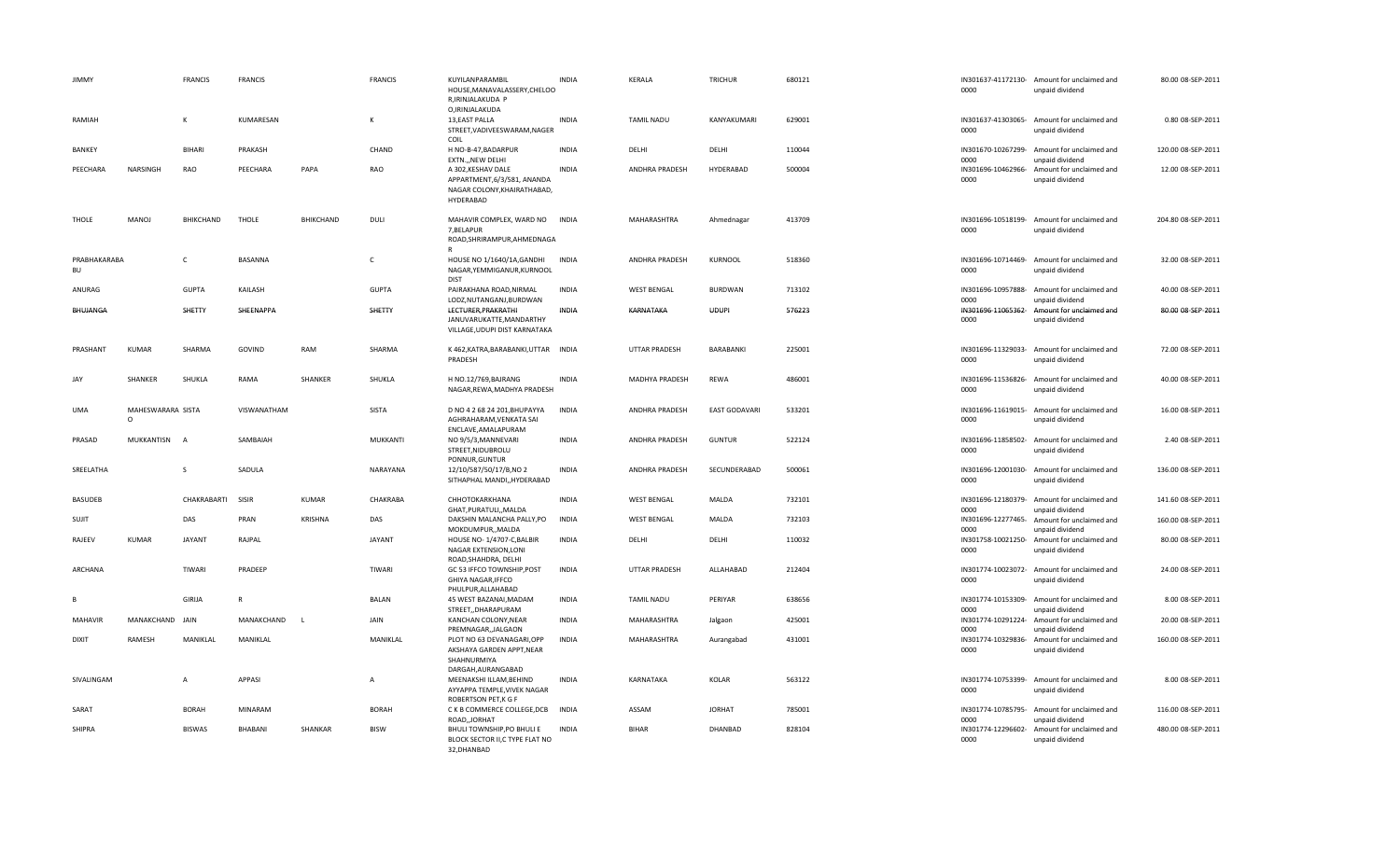| <b>JIMMY</b>       |                               | <b>FRANCIS</b> | <b>FRANCIS</b> |                  | <b>FRANCIS</b>  | KUYILANPARAMBIL<br>HOUSE, MANAVALASSERY, CHELOO<br>R, IRINJALAKUDA P<br>O, IRINJALAKUDA              | <b>INDIA</b> | KERALA               | <b>TRICHUR</b>       | 680121 | 0000                       | IN301637-41172130- Amount for unclaimed and<br>unpaid dividend | 80.00 08-SEP-2011  |
|--------------------|-------------------------------|----------------|----------------|------------------|-----------------|------------------------------------------------------------------------------------------------------|--------------|----------------------|----------------------|--------|----------------------------|----------------------------------------------------------------|--------------------|
| RAMIAH             |                               | к              | KUMARESAN      |                  | к               | 13, EAST PALLA<br>STREET, VADIVEES WARAM, NAGER<br>COIL                                              | <b>INDIA</b> | <b>TAMIL NADU</b>    | KANYAKUMARI          | 629001 | 0000                       | IN301637-41303065- Amount for unclaimed and<br>unpaid dividend | 0.80 08-SEP-2011   |
| <b>BANKEY</b>      |                               | <b>BIHARI</b>  | PRAKASH        |                  | CHAND           | H NO-B-47, BADARPUR<br>EXTN.,, NEW DELHI                                                             | <b>INDIA</b> | DELHI                | DELHI                | 110044 | 0000                       | IN301670-10267299- Amount for unclaimed and<br>unpaid dividend | 120.00 08-SEP-2011 |
| PEECHARA           | NARSINGH                      | RAO            | PEECHARA       | PAPA             | RAO             | A 302, KESHAV DALE<br>APPARTMENT, 6/3/581, ANANDA<br>NAGAR COLONY, KHAIRATHABAD,<br><b>HYDERABAD</b> | <b>INDIA</b> | ANDHRA PRADESH       | HYDERABAD            | 500004 | IN301696-10462966-<br>0000 | Amount for unclaimed and<br>unpaid dividend                    | 12.00 08-SEP-2011  |
| THOLE              | <b>MANOJ</b>                  | BHIKCHAND      | THOLE          | <b>BHIKCHAND</b> | DULI            | MAHAVIR COMPLEX, WARD NO<br>7, BELAPUR<br>ROAD, SHRIRAMPUR, AHMEDNAGA<br>R                           | <b>INDIA</b> | <b>MAHARASHTRA</b>   | Ahmednagar           | 413709 | 0000                       | IN301696-10518199- Amount for unclaimed and<br>unpaid dividend | 204.80 08-SEP-2011 |
| PRABHAKARABA<br>BU |                               | C              | BASANNA        |                  | C               | HOUSE NO 1/1640/1A, GANDHI<br>NAGAR, YEMMIGANUR, KURNOOL<br><b>DIST</b>                              | <b>INDIA</b> | ANDHRA PRADESH       | KURNOOL              | 518360 | 0000                       | IN301696-10714469- Amount for unclaimed and<br>unpaid dividend | 32.00 08-SEP-2011  |
| ANURAG             |                               | <b>GUPTA</b>   | KAILASH        |                  | <b>GUPTA</b>    | PAIRAKHANA ROAD, NIRMAL<br>LODZ, NUTANGANJ, BURDWAN                                                  | <b>INDIA</b> | <b>WEST BENGAL</b>   | <b>BURDWAN</b>       | 713102 | IN301696-10957888-<br>0000 | Amount for unclaimed and<br>unpaid dividend                    | 40.00 08-SEP-2011  |
| BHUJANGA           |                               | SHETTY         | SHEENAPPA      |                  | SHETTY          | LECTURER, PRAKRATHI<br>JANUVARUKATTE, MANDARTHY<br>VILLAGE, UDUPI DIST KARNATAKA                     | INDIA        | KARNATAKA            | <b>UDUPI</b>         | 576223 | IN301696-11065362-<br>0000 | Amount for unclaimed and<br>unpaid dividend                    | 80.00 08-SEP-2011  |
| PRASHANT           | <b>KUMAR</b>                  | SHARMA         | GOVIND         | RAM              | SHARMA          | K 462, KATRA, BARABANKI, UTTAR INDIA<br>PRADESH                                                      |              | <b>UTTAR PRADESH</b> | BARABANKI            | 225001 | 0000                       | IN301696-11329033- Amount for unclaimed and<br>unpaid dividend | 72.00 08-SEP-2011  |
| JAY                | SHANKER                       | SHUKLA         | RAMA           | SHANKER          | SHUKLA          | H NO.12/769, BAJRANG<br>NAGAR, REWA, MADHYA PRADESH                                                  | INDIA        | MADHYA PRADESH       | REWA                 | 486001 | 0000                       | IN301696-11536826- Amount for unclaimed and<br>unpaid dividend | 40.00 08-SEP-2011  |
| <b>UMA</b>         | MAHESWARARA SISTA<br>$\Omega$ |                | VISWANATHAM    |                  | SISTA           | D NO 4 2 68 24 201, BHUPAYYA<br>AGHRAHARAM, VENKATA SAI<br>ENCLAVE, AMALAPURAM                       | <b>INDIA</b> | ANDHRA PRADESH       | <b>EAST GODAVARI</b> | 533201 | 0000                       | IN301696-11619015- Amount for unclaimed and<br>unpaid dividend | 16.00 08-SEP-2011  |
| PRASAD             | MUKKANTISN A                  |                | SAMBAIAH       |                  | <b>MUKKANTI</b> | NO 9/5/3, MANNEVARI<br>STREET, NIDUBROLU<br>PONNUR, GUNTUR                                           | <b>INDIA</b> | ANDHRA PRADESH       | <b>GUNTUR</b>        | 522124 | 0000                       | IN301696-11858502- Amount for unclaimed and<br>unpaid dividend | 2.40 08-SEP-2011   |
| SREELATHA          |                               | S              | SADULA         |                  | NARAYANA        | 12/10/587/50/17/B,NO 2<br>SITHAPHAL MANDI,, HYDERABAD                                                | <b>INDIA</b> | ANDHRA PRADESH       | SECUNDERABAD         | 500061 | 0000                       | IN301696-12001030- Amount for unclaimed and<br>unpaid dividend | 136.00 08-SEP-2011 |
| <b>BASUDEB</b>     |                               | CHAKRABARTI    | SISIR          | <b>KUMAR</b>     | CHAKRABA        | CHHOTOKARKHANA<br>GHAT, PURATULI, , MALDA                                                            | <b>INDIA</b> | <b>WEST BENGAL</b>   | MALDA                | 732101 | IN301696-12180379-<br>0000 | Amount for unclaimed and<br>unpaid dividend                    | 141.60 08-SEP-2011 |
| SUJIT              |                               | DAS            | PRAN           | <b>KRISHNA</b>   | DAS             | DAKSHIN MALANCHA PALLY, PO<br>MOKDUMPUR,, MALDA                                                      | <b>INDIA</b> | <b>WEST BENGAL</b>   | MALDA                | 732103 | IN301696-12277465-<br>0000 | Amount for unclaimed and<br>unpaid dividend                    | 160.00 08-SEP-2011 |
| RAJEEV             | <b>KUMAR</b>                  | <b>JAYANT</b>  | RAJPAL         |                  | <b>JAYANT</b>   | HOUSE NO-1/4707-C, BALBIR<br>NAGAR EXTENSION, LONI<br>ROAD, SHAHDRA, DELHI                           | <b>INDIA</b> | DELHI                | DELHI                | 110032 | 0000                       | IN301758-10021250- Amount for unclaimed and<br>unpaid dividend | 80.00 08-SEP-2011  |
| ARCHANA            |                               | TIWARI         | PRADEEP        |                  | TIWARI          | GC 53 IFFCO TOWNSHIP, POST<br>GHIYA NAGAR, IFFCO<br>PHULPUR, ALLAHABAD                               | <b>INDIA</b> | <b>UTTAR PRADESH</b> | ALLAHABAD            | 212404 | 0000                       | IN301774-10023072- Amount for unclaimed and<br>unpaid dividend | 24.00 08-SEP-2011  |
| <b>B</b>           |                               | GIRIJA         | $\mathsf{R}$   |                  | <b>BALAN</b>    | 45 WEST BAZANAI, MADAM<br>STREET,, DHARAPURAM                                                        | <b>INDIA</b> | TAMIL NADU           | PERIYAR              | 638656 | 0000                       | IN301774-10153309- Amount for unclaimed and<br>unpaid dividend | 8.00 08-SEP-2011   |
| <b>MAHAVIR</b>     | MANAKCHAND JAIN               |                | MANAKCHAND     | <b>L</b>         | JAIN            | KANCHAN COLONY, NEAR<br>PREMNAGAR,, JALGAON                                                          | <b>INDIA</b> | MAHARASHTRA          | Jalgaon              | 425001 | 0000                       | IN301774-10291224- Amount for unclaimed and<br>unpaid dividend | 20.00 08-SEP-2011  |
| <b>DIXIT</b>       | RAMESH                        | MANIKLAL       | MANIKLAL       |                  | MANIKLAL        | PLOT NO 63 DEVANAGARI, OPP<br>AKSHAYA GARDEN APPT, NEAR<br>SHAHNURMIYA                               | <b>INDIA</b> | MAHARASHTRA          | Aurangabad           | 431001 | 0000                       | IN301774-10329836- Amount for unclaimed and<br>unpaid dividend | 160.00 08-SEP-2011 |
| SIVALINGAM         |                               | $\overline{A}$ | APPASI         |                  | Α               | DARGAH, AURANGABAD<br>MEENAKSHI ILLAM, BEHIND<br>AYYAPPA TEMPLE, VIVEK NAGAR<br>ROBERTSON PET, K G F | <b>INDIA</b> | KARNATAKA            | KOLAR                | 563122 | 0000                       | IN301774-10753399- Amount for unclaimed and<br>unpaid dividend | 8.00 08-SEP-2011   |
| SARAT              |                               | <b>BORAH</b>   | MINARAM        |                  | <b>BORAH</b>    | C K B COMMERCE COLLEGE, DCB<br>ROAD, JORHAT                                                          | <b>INDIA</b> | ASSAM                | <b>JORHAT</b>        | 785001 | 0000                       | IN301774-10785795- Amount for unclaimed and<br>unpaid dividend | 116.00 08-SEP-2011 |
| SHIPRA             |                               | <b>BISWAS</b>  | BHABANI        | SHANKAR          | <b>BISW</b>     | BHULI TOWNSHIP, PO BHULI E<br>BLOCK SECTOR II, C TYPE FLAT NO<br>32, DHANBAD                         | <b>INDIA</b> | <b>BIHAR</b>         | DHANBAD              | 828104 | IN301774-12296602-<br>0000 | Amount for unclaimed and<br>unpaid dividend                    | 480.00 08-SEP-2011 |

| 00                     | 301670-10267299- Amount for unclaimed and<br>unpaid dividend | 120.00 08-SEP-2011 |
|------------------------|--------------------------------------------------------------|--------------------|
| 00                     | 301696-10462966- Amount for unclaimed and<br>unpaid dividend | 12.00 08-SEP-2011  |
| 00                     | 301696-10518199- Amount for unclaimed and<br>unpaid dividend | 204.80 08-SEP-2011 |
| 301696-10714469-<br>00 | Amount for unclaimed and<br>unpaid dividend                  | 32.00 08-SEP-2011  |
| 00                     | 301696-10957888- Amount for unclaimed and<br>unpaid dividend | 40.00 08-SEP-2011  |
| 301696-11065362-<br>00 | Amount for unclaimed and<br>unpaid dividend                  | 80.00 08-SEP-2011  |
| 301696-11329033-<br>00 | Amount for unclaimed and<br>unpaid dividend                  | 72.00 08-SEP-2011  |
| 100                    | 301696-11536826- Amount for unclaimed and<br>unpaid dividend | 40.00 08-SEP-2011  |
| 301696-11619015-<br>00 | Amount for unclaimed and<br>unpaid dividend                  | 16.00 08-SEP-2011  |
| 301696-11858502-<br>00 | Amount for unclaimed and<br>unpaid dividend                  | 2.40 08-SEP-2011   |
| 301696-12001030-<br>00 | Amount for unclaimed and<br>unpaid dividend                  | 136.00 08-SEP-2011 |
| 00                     | 301696-12180379- Amount for unclaimed and<br>unpaid dividend | 141.60 08-SEP-2011 |
| m                      | 301696-12277465- Amount for unclaimed and<br>unpaid dividend | 160.00 08-SEP-2011 |
| 301758-10021250-<br>00 | Amount for unclaimed and<br>unpaid dividend                  | 80.00 08-SEP-2011  |
| 301774-10023072-<br>00 | Amount for unclaimed and<br>unpaid dividend                  | 24.00 08-SEP-2011  |
| 301774-10153309-<br>00 | Amount for unclaimed and<br>unpaid dividend                  | 8.00 08-SEP-2011   |
| 301774-10291224-<br>00 | Amount for unclaimed and<br>unpaid dividend                  | 20.00 08-SEP-2011  |
| 301774-10329836-<br>00 | Amount for unclaimed and<br>unpaid dividend                  | 160.00 08-SEP-2011 |
| 00                     | 301774-10753399- Amount for unclaimed and<br>unpaid dividend | 8.00 08-SEP-2011   |
| 00                     | 301774-10785795- Amount for unclaimed and<br>unpaid dividend | 116.00 08-SEP-2011 |
| 301774-12296602-<br>00 | Amount for unclaimed and<br>unpaid dividend                  | 480.00 08-SEP-2011 |

80.00 08‐SEP‐2011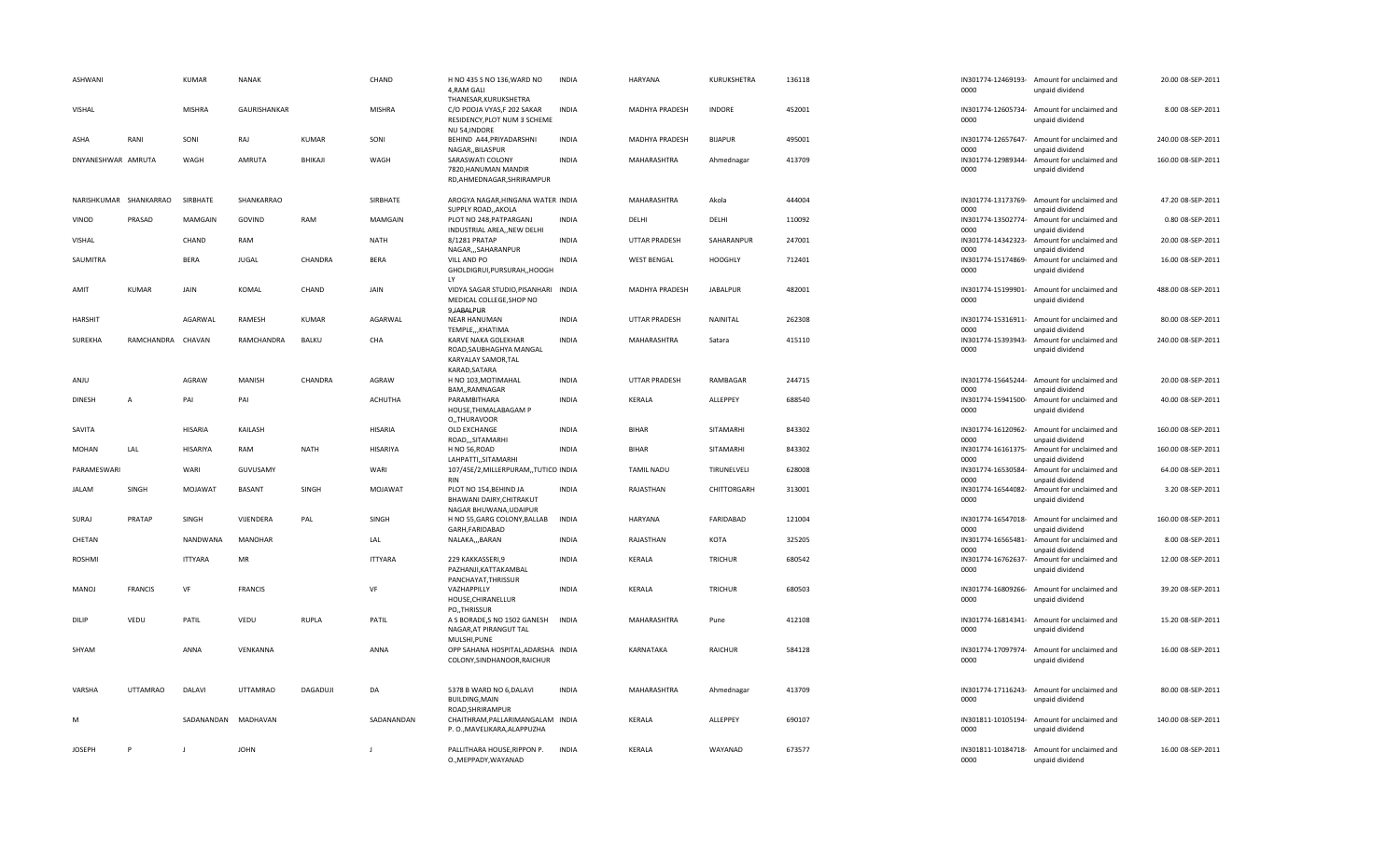| <b>ASHWANI</b>         |                   | <b>KUMAR</b>   | <b>NANAK</b>        |              | CHAND          | H NO 435 S NO 136, WARD NO<br>4, RAM GALI<br>THANESAR, KURUKSHETRA                | <b>INDIA</b> | HARYANA               | KURUKSHETRA     | 136118 | 0000                       | IN301774-12469193- Amount for unclaimed and<br>unpaid dividend | 20.00 08-SEP-2011  |
|------------------------|-------------------|----------------|---------------------|--------------|----------------|-----------------------------------------------------------------------------------|--------------|-----------------------|-----------------|--------|----------------------------|----------------------------------------------------------------|--------------------|
| VISHAL                 |                   | <b>MISHRA</b>  | <b>GAURISHANKAR</b> |              | <b>MISHRA</b>  | C/O POOJA VYAS,F 202 SAKAR<br>RESIDENCY, PLOT NUM 3 SCHEME<br>NU 54, INDORE       | <b>INDIA</b> | <b>MADHYA PRADESH</b> | <b>INDORE</b>   | 452001 | 0000                       | IN301774-12605734- Amount for unclaimed and<br>unpaid dividend | 8.00 08-SEP-2011   |
| ASHA                   | RANI              | SONI           | RAJ                 | KUMAR        | SONI           | BEHIND A44, PRIYADARSHNI<br>NAGAR,, BILASPUR                                      | <b>INDIA</b> | MADHYA PRADESH        | <b>BIJAPUR</b>  | 495001 | 0000                       | IN301774-12657647- Amount for unclaimed and<br>unpaid dividend | 240.00 08-SEP-2011 |
| DNYANESHWAR AMRUTA     |                   | WAGH           | AMRUTA              | BHIKAJI      | WAGH           | SARASWATI COLONY<br>7820, HANUMAN MANDIR<br>RD, AHMEDNAGAR, SHRIRAMPUR            | <b>INDIA</b> | MAHARASHTRA           | Ahmednagar      | 413709 | 0000                       | IN301774-12989344- Amount for unclaimed and<br>unpaid dividend | 160.00 08-SEP-2011 |
| NARISHKUMAR SHANKARRAO |                   | SIRBHATE       | SHANKARRAO          |              | SIRBHATE       | AROGYA NAGAR, HINGANA WATER INDIA<br>SUPPLY ROAD, AKOLA                           |              | MAHARASHTRA           | Akola           | 444004 | IN301774-13173769-<br>0000 | Amount for unclaimed and<br>unpaid dividend                    | 47.20 08-SEP-2011  |
| VINOD                  | PRASAD            | <b>MAMGAIN</b> | GOVIND              | RAM          | MAMGAIN        | PLOT NO 248, PATPARGANJ<br>INDUSTRIAL AREA,, NEW DELHI                            | <b>INDIA</b> | DELHI                 | DELHI           | 110092 | IN301774-13502774-<br>0000 | Amount for unclaimed and<br>unpaid dividend                    | 0.80 08-SEP-2011   |
| VISHAL                 |                   | CHAND          | RAM                 |              | NATH           | 8/1281 PRATAP<br>NAGAR,,,SAHARANPUR                                               | <b>INDIA</b> | <b>UTTAR PRADESH</b>  | SAHARANPUR      | 247001 | IN301774-14342323-<br>0000 | Amount for unclaimed and<br>unpaid dividend                    | 20.00 08-SEP-2011  |
| SAUMITRA               |                   | <b>BERA</b>    | <b>JUGAL</b>        | CHANDRA      | <b>BERA</b>    | VILL AND PO<br>GHOLDIGRUI, PURSURAH,, HOOGH<br>LY                                 | <b>INDIA</b> | <b>WEST BENGAL</b>    | <b>HOOGHLY</b>  | 712401 | IN301774-15174869-<br>0000 | Amount for unclaimed and<br>unpaid dividend                    | 16.00 08-SEP-2011  |
| AMIT                   | <b>KUMAR</b>      | JAIN           | KOMAL               | CHAND        | JAIN           | VIDYA SAGAR STUDIO, PISANHARI INDIA<br>MEDICAL COLLEGE, SHOP NO                   |              | MADHYA PRADESH        | <b>JABALPUR</b> | 482001 | 0000                       | IN301774-15199901- Amount for unclaimed and<br>unpaid dividend | 488.00 08-SEP-2011 |
| <b>HARSHIT</b>         |                   | AGARWAL        | RAMESH              | KUMAR        | AGARWAL        | 9, JABALPUR<br><b>NEAR HANUMAN</b><br>TEMPLE,,,KHATIMA                            | <b>INDIA</b> | <b>UTTAR PRADESH</b>  | NAINITAL        | 262308 | IN301774-15316911-<br>0000 | Amount for unclaimed and                                       | 80.00 08-SEP-2011  |
| <b>SUREKHA</b>         | RAMCHANDRA CHAVAN |                | RAMCHANDRA          | BALKU        | CHA            | KARVE NAKA GOLEKHAR<br>ROAD, SAUBHAGHYA MANGAL<br>KARYALAY SAMOR, TAL             | <b>INDIA</b> | MAHARASHTRA           | Satara          | 415110 | IN301774-15393943-<br>0000 | unpaid dividend<br>Amount for unclaimed and<br>unpaid dividend | 240.00 08-SEP-2011 |
| ANJU                   |                   | <b>AGRAW</b>   | MANISH              | CHANDRA      | AGRAW          | KARAD.SATARA<br>H NO 103, MOTIMAHAL<br>BAM,,RAMNAGAR                              | <b>INDIA</b> | UTTAR PRADESH         | RAMBAGAR        | 244715 | 0000                       | IN301774-15645244- Amount for unclaimed and<br>unpaid dividend | 20.00 08-SEP-2011  |
| <b>DINESH</b>          | A                 | PAI            | PAI                 |              | <b>ACHUTHA</b> | PARAMBITHARA<br>HOUSE, THIMALABAGAM P                                             | <b>INDIA</b> | KERALA                | ALLEPPEY        | 688540 | 0000                       | IN301774-15941500- Amount for unclaimed and<br>unpaid dividend | 40.00 08-SEP-2011  |
| SAVITA                 |                   | HISARIA        | KAILASH             |              | HISARIA        | O., THURAVOOR<br>OLD EXCHANGE<br>ROAD,,,SITAMARHI                                 | <b>INDIA</b> | <b>BIHAR</b>          | SITAMARHI       | 843302 | 0000                       | IN301774-16120962- Amount for unclaimed and<br>unpaid dividend | 160.00 08-SEP-2011 |
| <b>MOHAN</b>           | LAL               | HISARIYA       | RAM                 | <b>NATH</b>  | HISARIYA       | H NO 56, ROAD<br>LAHPATTI,, SITAMARHI                                             | <b>INDIA</b> | <b>BIHAR</b>          | SITAMARHI       | 843302 | IN301774-16161375-<br>0000 | Amount for unclaimed and<br>unpaid dividend                    | 160.00 08-SEP-2011 |
| PARAMESWARI            |                   | WARI           | GUVUSAMY            |              | WARI           | 107/45E/2, MILLERPURAM,, TUTICO INDIA<br><b>RIN</b>                               |              | <b>TAMIL NADU</b>     | TIRUNELVELI     | 628008 | IN301774-16530584-<br>0000 | Amount for unclaimed and<br>unpaid dividend                    | 64.00 08-SEP-2011  |
| <b>JALAM</b>           | SINGH             | MOJAWAT        | <b>BASANT</b>       | SINGH        | MOJAWAT        | PLOT NO 154, BEHIND JA<br>BHAWANI DAIRY, CHITRAKUT<br>NAGAR BHUWANA, UDAIPUR      | <b>INDIA</b> | RAJASTHAN             | CHITTORGARH     | 313001 | IN301774-16544082-<br>0000 | Amount for unclaimed and<br>unpaid dividend                    | 3.20 08-SEP-2011   |
| SURAJ                  | PRATAP            | SINGH          | VIJENDERA           | PAL          | SINGH          | H NO 55, GARG COLONY, BALLAB<br>GARH, FARIDABAD                                   | <b>INDIA</b> | HARYANA               | FARIDABAD       | 121004 | 0000                       | IN301774-16547018- Amount for unclaimed and<br>unpaid dividend | 160.00 08-SEP-2011 |
| CHETAN                 |                   | NANDWANA       | <b>MANOHAR</b>      |              | LAL            | NALAKA,,,BARAN                                                                    | <b>INDIA</b> | RAJASTHAN             | KOTA            | 325205 | IN301774-16565481-<br>0000 | Amount for unclaimed and<br>unpaid dividend                    | 8.00 08-SEP-2011   |
| ROSHMI                 |                   | <b>ITTYARA</b> | MR                  |              | <b>ITTYARA</b> | 229 KAKKASSERI.9<br>PAZHANJI, KATTAKAMBAL<br>PANCHAYAT, THRISSUR                  | <b>INDIA</b> | KERALA                | <b>TRICHUR</b>  | 680542 | IN301774-16762637-<br>0000 | Amount for unclaimed and<br>unpaid dividend                    | 12.00 08-SEP-2011  |
| MANOJ                  | <b>FRANCIS</b>    | VF             | <b>FRANCIS</b>      |              | VF             | VAZHAPPILLY<br>HOUSE, CHIRANELLUR<br>PO,,THRISSUR                                 | <b>INDIA</b> | KERALA                | <b>TRICHUR</b>  | 680503 | IN301774-16809266-<br>0000 | Amount for unclaimed and<br>unpaid dividend                    | 39.20 08-SEP-2011  |
| DILIP                  | VEDU              | PATIL          | VEDU                | <b>RUPLA</b> | PATIL          | A S BORADE, S NO 1502 GANESH<br>NAGAR, AT PIRANGUT TAL                            | <b>INDIA</b> | MAHARASHTRA           | Pune            | 412108 | 0000                       | IN301774-16814341- Amount for unclaimed and<br>unpaid dividend | 15.20 08-SEP-2011  |
| SHYAM                  |                   | ANNA           | VENKANNA            |              | ANNA           | MULSHI, PUNE<br>OPP SAHANA HOSPITAL, ADARSHA INDIA<br>COLONY, SINDHANOOR, RAICHUR |              | KARNATAKA             | <b>RAICHUR</b>  | 584128 | 0000                       | IN301774-17097974- Amount for unclaimed and<br>unpaid dividend | 16.00 08-SEP-2011  |
| VARSHA                 | <b>UTTAMRAO</b>   | DALAVI         | <b>UTTAMRAO</b>     | DAGADUJI     | DA             | 5378 B WARD NO 6, DALAVI<br><b>BUILDING, MAIN</b><br>ROAD, SHRIRAMPUR             | <b>INDIA</b> | MAHARASHTRA           | Ahmednagar      | 413709 | 0000                       | IN301774-17116243- Amount for unclaimed and<br>unpaid dividend | 80.00 08-SEP-2011  |
| N                      |                   | SADANANDAN     | MADHAVAN            |              | SADANANDAN     | CHAITHRAM, PALLARIMANGALAM INDIA<br>P. O., MAVELIKARA, ALAPPUZHA                  |              | KERALA                | ALLEPPEY        | 690107 | 0000                       | IN301811-10105194- Amount for unclaimed and<br>unpaid dividend | 140.00 08-SEP-2011 |
| JOSEPH                 | P                 | J.             | <b>JOHN</b>         |              | $\mathbf{I}$   | PALLITHARA HOUSE, RIPPON P.<br>O., MEPPADY, WAYANAD                               | <b>INDIA</b> | KERALA                | WAYANAD         | 673577 | 0000                       | IN301811-10184718- Amount for unclaimed and<br>unpaid dividend | 16.00 08-SEP-2011  |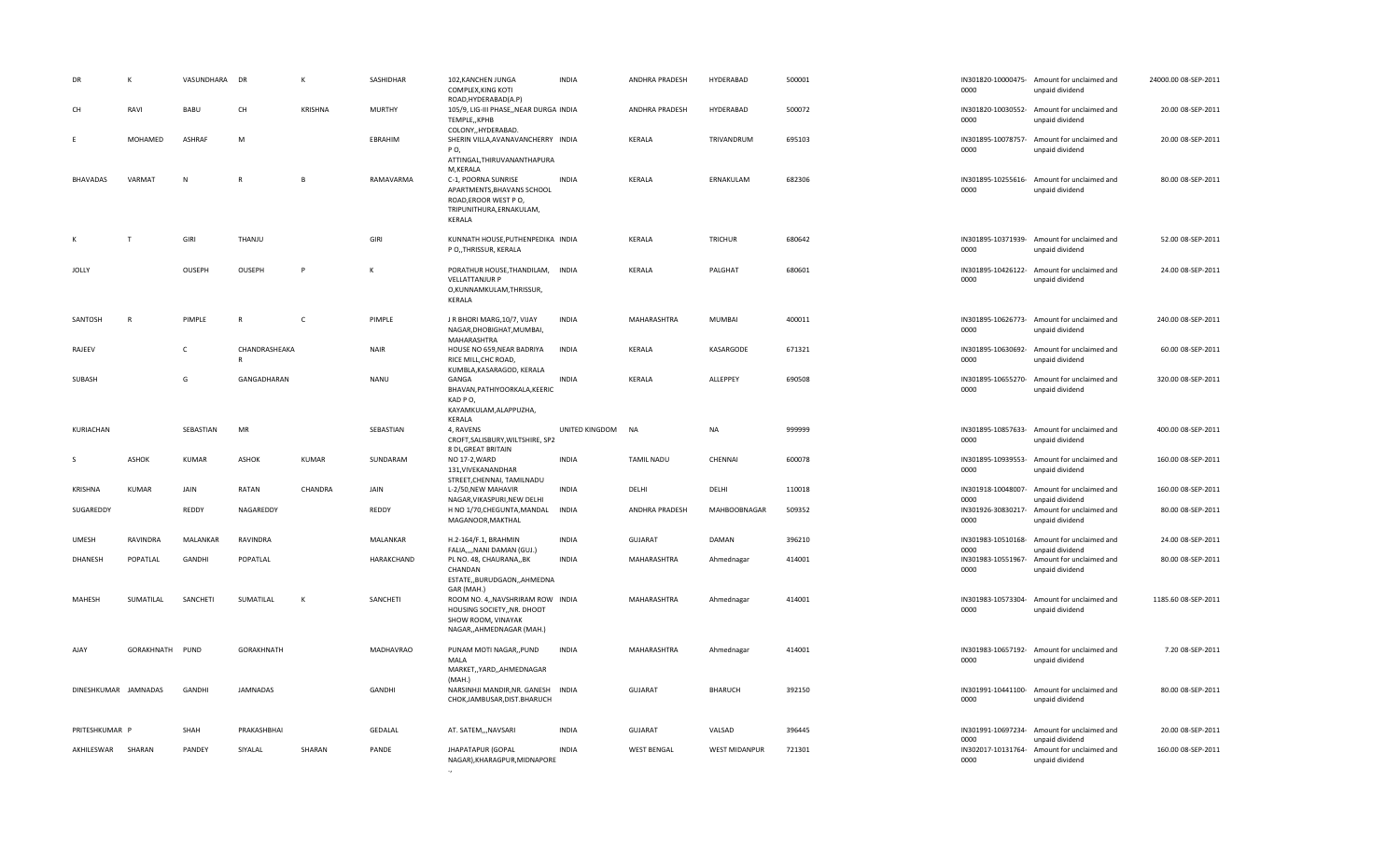| DR                   | $\mathsf{K}$    | VASUNDHARA DR |                    | К       | SASHIDHAR        | 102, KANCHEN JUNGA<br>COMPLEX, KING KOTI<br>ROAD, HYDERABAD(A.P)                                                                  | <b>INDIA</b>   | ANDHRA PRADESH    | HYDERABAD      | 500001 | 0000                               | IN301820-10000475- Amount for unclaimed and<br>unpaid dividend | 24000.00 08-SEP-2011 |
|----------------------|-----------------|---------------|--------------------|---------|------------------|-----------------------------------------------------------------------------------------------------------------------------------|----------------|-------------------|----------------|--------|------------------------------------|----------------------------------------------------------------|----------------------|
| CH                   | RAVI            | <b>BABU</b>   | CH                 | KRISHNA | <b>MURTHY</b>    | 105/9, LIG-III PHASE,, NEAR DURGA INDIA<br>TEMPLE,, KPHB<br>COLONY,, HYDERABAD.                                                   |                | ANDHRA PRADESH    | HYDERABAD      | 500072 | 0000                               | IN301820-10030552- Amount for unclaimed and<br>unpaid dividend | 20.00 08-SEP-2011    |
|                      | MOHAMED         | <b>ASHRAF</b> | M                  |         | EBRAHIM          | SHERIN VILLA, AVANAVANCHERRY INDIA<br>PO,<br>ATTINGAL.THIRUVANANTHAPURA<br>M,KERALA                                               |                | KERALA            | TRIVANDRUM     | 695103 | IN301895-10078757-<br>0000         | Amount for unclaimed and<br>unpaid dividend                    | 20.00 08-SEP-2011    |
| <b>BHAVADAS</b>      | VARMAT          | N             | R                  | B       | RAMAVARMA        | C-1, POORNA SUNRISE<br>APARTMENTS, BHAVANS SCHOOL<br>ROAD, EROOR WEST PO,<br>TRIPUNITHURA, ERNAKULAM,<br>KERALA                   | <b>INDIA</b>   | KERALA            | ERNAKULAM      | 682306 | IN301895-10255616-<br>0000         | Amount for unclaimed and<br>unpaid dividend                    | 80.00 08-SEP-2011    |
| к                    |                 | GIRI          | THANJU             |         | GIRI             | KUNNATH HOUSE, PUTHENPEDIKA INDIA<br>P O,, THRISSUR, KERALA                                                                       |                | KERALA            | <b>TRICHUR</b> | 680642 | IN301895-10371939-<br>0000         | Amount for unclaimed and<br>unpaid dividend                    | 52.00 08-SEP-2011    |
| <b>JOLLY</b>         |                 | OUSEPH        | OUSEPH             | P       | K                | PORATHUR HOUSE, THANDILAM, INDIA<br><b>VELLATTANJUR P</b><br>O,KUNNAMKULAM,THRISSUR,<br>KERALA                                    |                | KERALA            | PALGHAT        | 680601 | 0000                               | IN301895-10426122- Amount for unclaimed and<br>unpaid dividend | 24.00 08-SEP-2011    |
| SANTOSH              | $\mathsf{R}$    | PIMPLE        | $\mathsf{R}$       | C       | PIMPLE           | J R BHORI MARG, 10/7, VIJAY<br>NAGAR, DHOBIGHAT, MUMBAI,<br>MAHARASHTRA                                                           | <b>INDIA</b>   | MAHARASHTRA       | <b>MUMBAI</b>  | 400011 | IN301895-10626773-<br>0000         | Amount for unclaimed and<br>unpaid dividend                    | 240.00 08-SEP-2011   |
| RAJEEV               |                 | $\mathsf{C}$  | CHANDRASHEAKA<br>R |         | <b>NAIR</b>      | HOUSE NO 659, NEAR BADRIYA<br>RICE MILL, CHC ROAD,<br>KUMBLA, KASARAGOD, KERALA                                                   | <b>INDIA</b>   | KERALA            | KASARGODE      | 671321 | 0000                               | IN301895-10630692- Amount for unclaimed and<br>unpaid dividend | 60.00 08-SEP-2011    |
| SUBASH               |                 | G             | GANGADHARAN        |         | NANU             | GANGA<br>BHAVAN, PATHIYOORKALA, KEERIC<br>KAD PO,<br>KAYAMKULAM, ALAPPUZHA,<br>KERALA                                             | <b>INDIA</b>   | KERALA            | ALLEPPEY       | 690508 | 0000                               | IN301895-10655270- Amount for unclaimed and<br>unpaid dividend | 320.00 08-SEP-2011   |
| KURIACHAN            |                 | SEBASTIAN     | MR                 |         | SEBASTIAN        | 4, RAVENS<br>CROFT, SALISBURY, WILTSHIRE, SP2<br>8 DL, GREAT BRITAIN                                                              | UNITED KINGDOM | <b>NA</b>         | <b>NA</b>      | 999999 | IN301895-10857633-<br>0000         | Amount for unclaimed and<br>unpaid dividend                    | 400.00 08-SEP-2011   |
| S                    | ASHOK           | <b>KUMAR</b>  | ASHOK              | KUMAR   | SUNDARAM         | NO 17-2, WARD<br>131, VIVEKANANDHAR                                                                                               | <b>INDIA</b>   | <b>TAMIL NADU</b> | CHENNAI        | 600078 | IN301895-10939553-<br>0000         | Amount for unclaimed and<br>unpaid dividend                    | 160.00 08-SEP-2011   |
|                      |                 |               |                    |         |                  | STREET, CHENNAI, TAMILNADU                                                                                                        |                |                   |                |        |                                    |                                                                |                      |
| <b>KRISHNA</b>       | <b>KUMAR</b>    | <b>JAIN</b>   | RATAN              | CHANDRA | <b>JAIN</b>      | L-2/50, NEW MAHAVIR                                                                                                               | <b>INDIA</b>   | DELHI             | DELHI          | 110018 |                                    | IN301918-10048007- Amount for unclaimed and                    | 160.00 08-SEP-2011   |
| SUGAREDDY            |                 | REDDY         | NAGAREDDY          |         | REDDY            | NAGAR, VIKASPURI, NEW DELHI<br>H NO 1/70, CHEGUNTA, MANDAL INDIA<br>MAGANOOR, MAKTHAL                                             |                | ANDHRA PRADESH    | MAHBOOBNAGAR   | 509352 | 0000<br>IN301926-30830217-<br>0000 | unpaid dividend<br>Amount for unclaimed and<br>unpaid dividend | 80.00 08-SEP-2011    |
| <b>UMESH</b>         | RAVINDRA        | MALANKAR      | RAVINDRA           |         | MALANKAR         | H.2-164/F.1, BRAHMIN                                                                                                              | <b>INDIA</b>   | <b>GUJARAT</b>    | <b>DAMAN</b>   | 396210 |                                    | IN301983-10510168- Amount for unclaimed and                    | 24.00 08-SEP-2011    |
| <b>DHANESH</b>       | POPATLAL        | <b>GANDHI</b> | POPATLAL           |         | HARAKCHAND       | FALIA,,,,NANI DAMAN (GUJ.)<br>PL NO. 48, CHAURANA,, BK<br>CHANDAN<br>ESTATE,, BURUDGAON,, AHMEDNA                                 | <b>INDIA</b>   | MAHARASHTRA       | Ahmednagar     | 414001 | 0000<br>IN301983-10551967-<br>0000 | unpaid dividend<br>Amount for unclaimed and<br>unpaid dividend | 80.00 08-SEP-2011    |
| <b>MAHESH</b>        | SUMATILAL       | SANCHETI      | SUMATILAL          | К       | SANCHETI         | GAR (MAH.)<br>ROOM NO. 4,, NAVSHRIRAM ROW INDIA<br>HOUSING SOCIETY,, NR. DHOOT<br>SHOW ROOM, VINAYAK<br>NAGAR,, AHMEDNAGAR (MAH.) |                | MAHARASHTRA       | Ahmednagar     | 414001 | IN301983-10573304-<br>0000         | Amount for unclaimed and<br>unpaid dividend                    | 1185.60 08-SEP-2011  |
| AJAY                 | GORAKHNATH PUND |               | GORAKHNATH         |         | <b>MADHAVRAO</b> | PUNAM MOTI NAGAR,, PUND<br>MALA<br>MARKET,, YARD,, AHMEDNAGAR                                                                     | INDIA          | MAHARASHTRA       | Ahmednagar     | 414001 | 0000                               | IN301983-10657192- Amount for unclaimed and<br>unpaid dividend | 7.20 08-SEP-2011     |
| DINESHKUMAR JAMNADAS |                 | GANDHI        | <b>JAMNADAS</b>    |         | GANDHI           | (MAH.)<br>NARSINHJI MANDIR, NR. GANESH INDIA<br>CHOK, JAMBUSAR, DIST. BHARUCH                                                     |                | GUJARAT           | BHARUCH        | 392150 | 0000                               | IN301991-10441100- Amount for unclaimed and<br>unpaid dividend | 80.00 08-SEP-2011    |
| PRITESHKUMAR P       |                 | SHAH          | PRAKASHBHAI        |         | <b>GEDALAL</b>   | AT. SATEM,,,NAVSARI                                                                                                               | <b>INDIA</b>   | GUJARAT           | VALSAD         | 396445 | 0000                               | IN301991-10697234- Amount for unclaimed and<br>unpaid dividend | 20.00 08-SEP-2011    |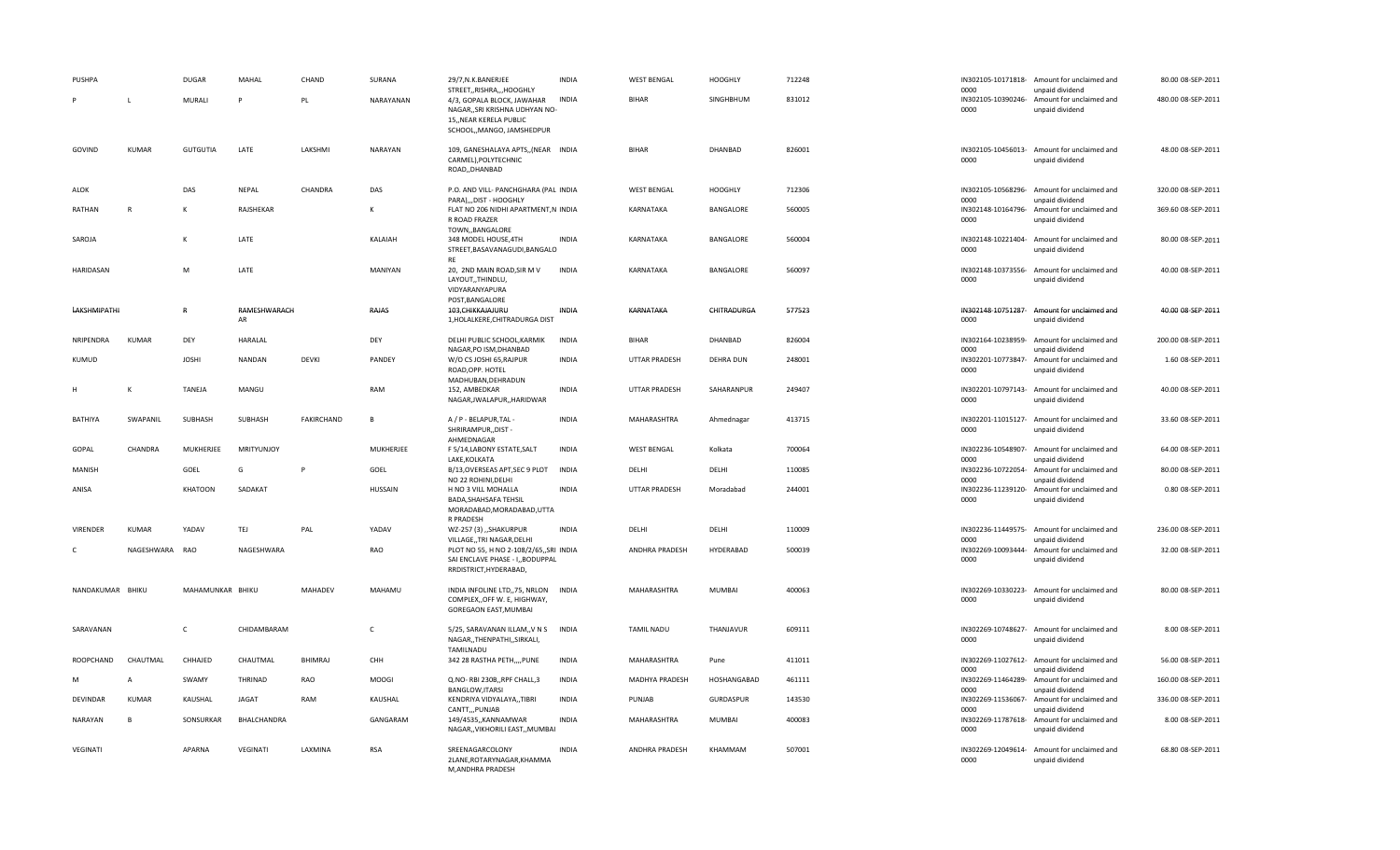| <b>PUSHPA</b>    |                | <b>DUGAR</b><br>MURALI | MAHAL<br>P         | CHAND<br>PL    | SURANA<br>NARAYANAN | 29/7, N.K. BANERJEE<br>STREET,, RISHRA,,, HOOGHLY<br>4/3, GOPALA BLOCK, JAWAHAR                       | <b>INDIA</b><br><b>INDIA</b> | <b>WEST BENGAL</b><br><b>BIHAR</b> | <b>HOOGHLY</b><br>SINGHBHUM | 712248<br>831012 | 0000                       | IN302105-10171818- Amount for unclaimed and<br>unpaid dividend | 80.00 08-SEP-2011<br>480.00 08-SEP-2011 |
|------------------|----------------|------------------------|--------------------|----------------|---------------------|-------------------------------------------------------------------------------------------------------|------------------------------|------------------------------------|-----------------------------|------------------|----------------------------|----------------------------------------------------------------|-----------------------------------------|
|                  |                |                        |                    |                |                     | NAGAR,, SRI KRISHNA UDHYAN NO-<br>15,, NEAR KERELA PUBLIC<br>SCHOOL,, MANGO, JAMSHEDPUR               |                              |                                    |                             |                  | IN302105-10390246-<br>0000 | Amount for unclaimed and<br>unpaid dividend                    |                                         |
| GOVIND           | KUMAR          | <b>GUTGUTIA</b>        | LATE               | LAKSHMI        | NARAYAN             | 109, GANESHALAYA APTS,, (NEAR INDIA<br>CARMEL), POLYTECHNIC<br>ROAD,, DHANBAD                         |                              | <b>BIHAR</b>                       | DHANBAD                     | 826001           | 0000                       | IN302105-10456013- Amount for unclaimed and<br>unpaid dividend | 48.00 08-SEP-2011                       |
| ALOK             |                | DAS                    | NEPAL              | CHANDRA        | DAS                 | P.O. AND VILL- PANCHGHARA (PAL INDIA<br>PARA),,,DIST - HOOGHLY                                        |                              | <b>WEST BENGAL</b>                 | <b>HOOGHLY</b>              | 712306           | 0000                       | IN302105-10568296- Amount for unclaimed and<br>unpaid dividend | 320.00 08-SEP-2011                      |
| RATHAN           | R              | К                      | RAJSHEKAR          |                | К                   | FLAT NO 206 NIDHI APARTMENT, NINDIA<br>R ROAD FRAZER<br>TOWN,, BANGALORE                              |                              | KARNATAKA                          | BANGALORE                   | 560005           | IN302148-10164796-<br>0000 | Amount for unclaimed and<br>unpaid dividend                    | 369.60 08-SEP-2011                      |
| SAROJA           |                | К                      | LATE               |                | KALAIAH             | 348 MODEL HOUSE, 4TH<br>STREET, BASAVANAGUDI, BANGALO<br><b>RF</b>                                    | <b>INDIA</b>                 | KARNATAKA                          | BANGALORE                   | 560004           | 0000                       | IN302148-10221404- Amount for unclaimed and<br>unpaid dividend | 80.00 08-SEP-2011                       |
| HARIDASAN        |                | M                      | LATE               |                | MANIYAN             | 20, 2ND MAIN ROAD, SIR M V<br>LAYOUT,,THINDLU,<br>VIDYARANYAPURA<br>POST, BANGALORE                   | INDIA                        | KARNATAKA                          | BANGALORE                   | 560097           | 0000                       | IN302148-10373556- Amount for unclaimed and<br>unpaid dividend | 40.00 08-SEP-2011                       |
| LAKSHMIPATHI     |                | $\mathsf{R}$           | RAMESHWARACH<br>AR |                | RAJAS               | 103, CHIKKAJAJURU<br>1, HOLALKERE, CHITRADURGA DIST                                                   | INDIA                        | KARNATAKA                          | CHITRADURGA                 | 577523           | 0000                       | IN302148-10751287- Amount for unclaimed and<br>unpaid dividend | 40.00 08-SEP-2011                       |
| NRIPENDRA        | <b>KUMAR</b>   | DEY                    | <b>HARALAL</b>     |                | DEY                 | DELHI PUBLIC SCHOOL, KARMIK<br>NAGAR, PO ISM, DHANBAD                                                 | INDIA                        | <b>BIHAR</b>                       | DHANBAD                     | 826004           | IN302164-10238959-<br>0000 | Amount for unclaimed and<br>unpaid dividend                    | 200.00 08-SEP-2011                      |
| KUMUD            |                | <b>JOSHI</b>           | <b>NANDAN</b>      | DEVKI          | PANDEY              | W/O CS JOSHI 65, RAJPUR<br>ROAD, OPP. HOTEL<br>MADHUBAN, DEHRADUN                                     | <b>INDIA</b>                 | <b>UTTAR PRADESH</b>               | <b>DEHRA DUN</b>            | 248001           | 0000                       | IN302201-10773847- Amount for unclaimed and<br>unpaid dividend | 1.60 08-SEP-2011                        |
|                  | K              | TANEJA                 | MANGU              |                | RAM                 | 152, AMBEDKAR<br>NAGAR, JWALAPUR, , HARIDWAR                                                          | <b>INDIA</b>                 | <b>UTTAR PRADESH</b>               | SAHARANPUR                  | 249407           | 0000                       | IN302201-10797143- Amount for unclaimed and<br>unpaid dividend | 40.00 08-SEP-2011                       |
| BATHIYA          | SWAPANIL       | SUBHASH                | SUBHASH            | FAKIRCHAND     | B                   | A / P - BELAPUR, TAL -<br>SHRIRAMPUR,, DIST-<br>AHMEDNAGAR                                            | <b>INDIA</b>                 | MAHARASHTRA                        | Ahmednagar                  | 413715           | 0000                       | IN302201-11015127- Amount for unclaimed and<br>unpaid dividend | 33.60 08-SEP-2011                       |
| GOPAL            | CHANDRA        | MUKHERJEE              | MRITYUNJOY         |                | MUKHERJEE           | F 5/14, LABONY ESTATE, SALT<br>LAKE, KOLKATA                                                          | <b>INDIA</b>                 | <b>WEST BENGAL</b>                 | Kolkata                     | 700064           | IN302236-10548907-<br>0000 | Amount for unclaimed and<br>unpaid dividend                    | 64.00 08-SEP-2011                       |
| <b>MANISH</b>    |                | GOEL                   | G                  |                | GOEL                | B/13, OVERSEAS APT, SEC 9 PLOT<br>NO 22 ROHINI, DELHI                                                 | <b>INDIA</b>                 | DELHI                              | DELHI                       | 110085           | IN302236-10722054-<br>0000 | Amount for unclaimed and<br>unpaid dividend                    | 80.00 08-SEP-2011                       |
| ANISA            |                | <b>KHATOON</b>         | SADAKAT            |                | HUSSAIN             | H NO 3 VILL MOHALLA<br><b>BADA, SHAHSAFA TEHSIL</b><br>MORADABAD, MORADABAD, UTTA<br>R PRADESH        | <b>INDIA</b>                 | <b>UTTAR PRADESH</b>               | Moradabad                   | 244001           | 0000                       | IN302236-11239120- Amount for unclaimed and<br>unpaid dividend | 0.80 08-SEP-2011                        |
| VIRENDER         | <b>KUMAR</b>   | YADAV                  | TEJ                | PAL            | YADAV               | WZ-257 (3) "SHAKURPUR<br>VILLAGE,, TRI NAGAR, DELHI                                                   | <b>INDIA</b>                 | DELHI                              | DELHI                       | 110009           | 0000                       | IN302236-11449575- Amount for unclaimed and<br>unpaid dividend | 236.00 08-SEP-2011                      |
| C                | NAGESHWARA RAO |                        | NAGESHWARA         |                | RAO                 | PLOT NO 55, H NO 2-108/2/65,, SRI INDIA<br>SAI ENCLAVE PHASE - I,, BODUPPAL<br>RRDISTRICT, HYDERABAD, |                              | ANDHRA PRADESH                     | HYDERABAD                   | 500039           | 0000                       | IN302269-10093444- Amount for unclaimed and<br>unpaid dividend | 32.00 08-SEP-2011                       |
| NANDAKUMAR BHIKU |                | MAHAMUNKAR BHIKU       |                    | MAHADEV        | MAHAMU              | INDIA INFOLINE LTD,,75, NRLON<br>COMPLEX, OFF W. E, HIGHWAY,<br>GOREGAON EAST, MUMBAI                 | INDIA                        | MAHARASHTRA                        | MUMBAI                      | 400063           | 0000                       | IN302269-10330223- Amount for unclaimed and<br>unpaid dividend | 80.00 08-SEP-2011                       |
| SARAVANAN        |                | $\mathsf{C}$           | CHIDAMBARAM        |                | C                   | 5/25, SARAVANAN ILLAM,, V N S<br>NAGAR,, THENPATHI,, SIRKALI,<br>TAMILNADU                            | <b>INDIA</b>                 | <b>TAMIL NADU</b>                  | THANJAVUR                   | 609111           | 0000                       | IN302269-10748627- Amount for unclaimed and<br>unpaid dividend | 8.00 08-SEP-2011                        |
| ROOPCHAND        | CHAUTMAL       | CHHAJED                | CHAUTMAL           | <b>BHIMRAJ</b> | CHH                 | 342 28 RASTHA PETH,,,,PUNE                                                                            | <b>INDIA</b>                 | MAHARASHTRA                        | Pune                        | 411011           | 0000                       | IN302269-11027612- Amount for unclaimed and<br>unpaid dividend | 56.00 08-SEP-2011                       |
|                  | A              | SWAMY                  | THRINAD            | <b>RAO</b>     | <b>MOOGI</b>        | Q.NO-RBI 230B,,RPF CHALL,3<br>BANGLOW, ITARSI                                                         | INDIA                        | MADHYA PRADESH                     | HOSHANGABAD                 | 461111           | IN302269-11464289-<br>0000 | Amount for unclaimed and<br>unpaid dividend                    | 160.00 08-SEP-2011                      |
| <b>DEVINDAR</b>  | <b>KUMAR</b>   | KAUSHAL                | <b>JAGAT</b>       | RAM            | KAUSHAL             | KENDRIYA VIDYALAYA,,TIBRI<br>CANTT,,,PUNJAB                                                           | INDIA                        | PUNJAB                             | GURDASPUR                   | 143530           | 0000                       | IN302269-11536067- Amount for unclaimed and<br>unpaid dividend | 336.00 08-SEP-2011                      |
| NARAYAN          | B              | SONSURKAR              | BHALCHANDRA        |                | GANGARAM            | 149/4535,, KANNAMWAR<br>NAGAR,, VIKHORILI EAST,, MUMBAI                                               | <b>INDIA</b>                 | MAHARASHTRA                        | <b>MUMBAI</b>               | 400083           | 0000                       | IN302269-11787618- Amount for unclaimed and<br>unpaid dividend | 8.00 08-SEP-2011                        |
| VEGINATI         |                | <b>APARNA</b>          | VEGINATI           | LAXMINA        | <b>RSA</b>          | SREENAGARCOLONY<br>2LANE, ROTARYNAGAR, KHAMMA<br>M, ANDHRA PRADESH                                    | <b>INDIA</b>                 | ANDHRA PRADESH                     | KHAMMAM                     | 507001           | 0000                       | IN302269-12049614- Amount for unclaimed and<br>unpaid dividend | 68.80 08-SEP-2011                       |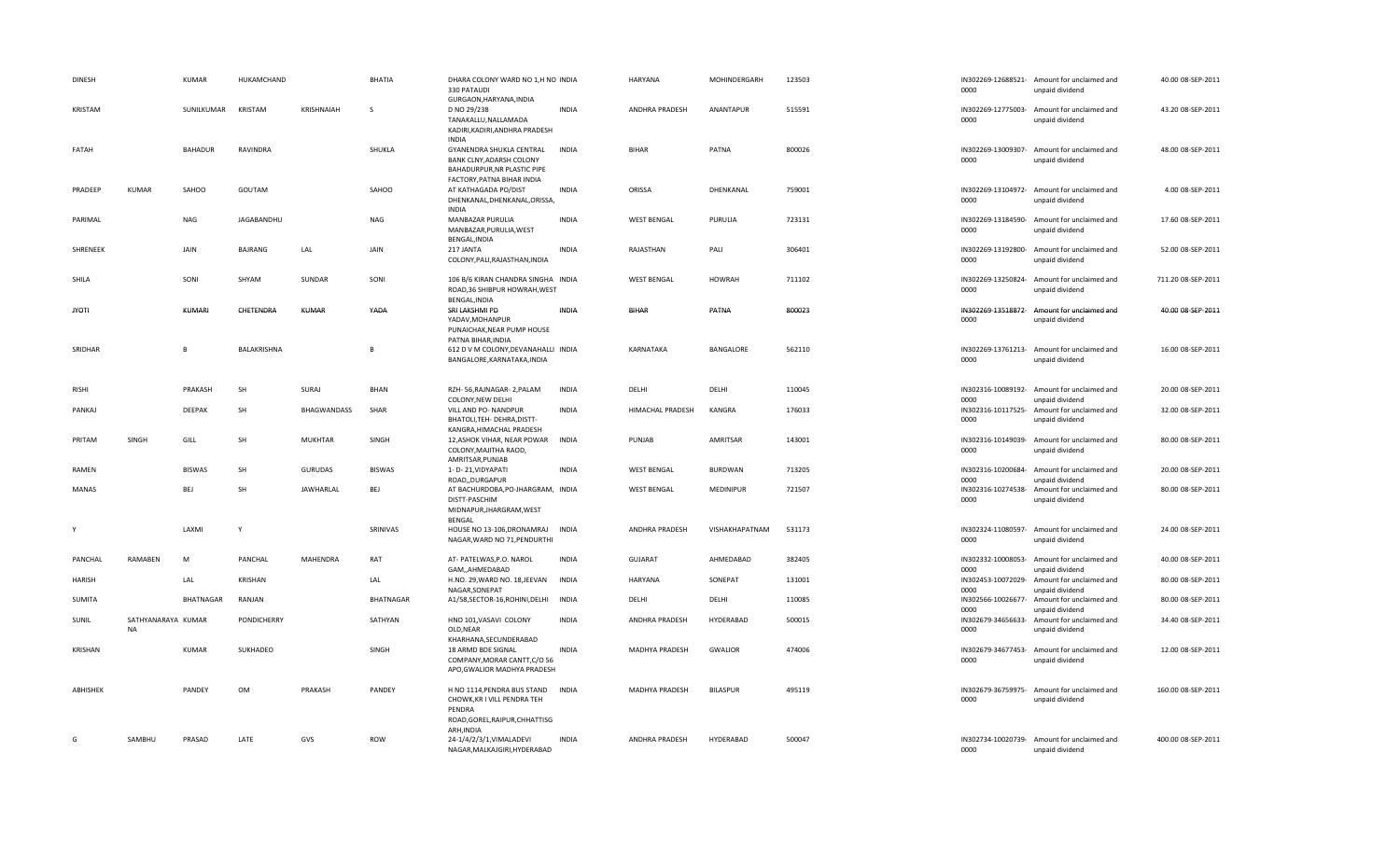| <b>DINESH</b> |                          | <b>KUMAR</b>  | HUKAMCHAND     |                   | <b>BHATIA</b>    | DHARA COLONY WARD NO 1,H NO INDIA<br>330 PATAUDI<br>GURGAON, HARYANA, INDIA                                       |              | <b>HARYANA</b>     | MOHINDERGARH    | 123503 | 0000                       | IN302269-12688521- Amount for unclaimed and<br>unpaid dividend | 40.00 08-SEP-2011  |
|---------------|--------------------------|---------------|----------------|-------------------|------------------|-------------------------------------------------------------------------------------------------------------------|--------------|--------------------|-----------------|--------|----------------------------|----------------------------------------------------------------|--------------------|
| KRISTAM       |                          | SUNILKUMAR    | KRISTAM        | <b>KRISHNAIAH</b> | <sub>S</sub>     | D NO 29/238<br>TANAKALLU, NALLAMADA<br>KADIRI, KADIRI, ANDHRA PRADESH<br><b>INDIA</b>                             | <b>INDIA</b> | ANDHRA PRADESH     | ANANTAPUR       | 515591 | 0000                       | IN302269-12775003- Amount for unclaimed and<br>unpaid dividend | 43.20 08-SEP-2011  |
| FATAH         |                          | BAHADUR       | RAVINDRA       |                   | SHUKLA           | GYANENDRA SHUKLA CENTRAL<br>BANK CLNY, ADARSH COLONY<br>BAHADURPUR, NR PLASTIC PIPE<br>FACTORY, PATNA BIHAR INDIA | <b>INDIA</b> | <b>BIHAR</b>       | PATNA           | 800026 | IN302269-13009307-<br>0000 | Amount for unclaimed and<br>unpaid dividend                    | 48.00 08-SEP-2011  |
| PRADEEP       | <b>KUMAR</b>             | SAHOO         | GOUTAM         |                   | SAHOO            | AT KATHAGADA PO/DIST<br>DHENKANAL, DHENKANAL, ORISSA,<br><b>INDIA</b>                                             | <b>INDIA</b> | ORISSA             | DHENKANAL       | 759001 | 0000                       | IN302269-13104972- Amount for unclaimed and<br>unpaid dividend | 4.00 08-SEP-2011   |
| PARIMAL       |                          | <b>NAG</b>    | JAGABANDHU     |                   | <b>NAG</b>       | MANBAZAR PURULIA<br>MANBAZAR, PURULIA, WEST<br>BENGAL, INDIA                                                      | <b>INDIA</b> | <b>WEST BENGAL</b> | PURULIA         | 723131 | IN302269-13184590-<br>0000 | Amount for unclaimed and<br>unpaid dividend                    | 17.60 08-SEP-2011  |
| SHRENEEK      |                          | JAIN          | <b>BAJRANG</b> | LAL               | JAIN             | 217 JANTA<br>COLONY, PALI, RAJASTHAN, INDIA                                                                       | <b>INDIA</b> | RAJASTHAN          | PALI            | 306401 | 0000                       | IN302269-13192800- Amount for unclaimed and<br>unpaid dividend | 52.00 08-SEP-2011  |
| SHILA         |                          | SONI          | SHYAM          | SUNDAR            | SONI             | 106 B/6 KIRAN CHANDRA SINGHA INDIA<br>ROAD, 36 SHIBPUR HOWRAH, WEST<br>BENGAL, INDIA                              |              | <b>WEST BENGAL</b> | <b>HOWRAH</b>   | 711102 | IN302269-13250824-<br>0000 | Amount for unclaimed and<br>unpaid dividend                    | 711.20 08-SEP-2011 |
| <b>JYOTI</b>  |                          | KUMARI        | CHETENDRA      | <b>KUMAR</b>      | YADA             | SRI LAKSHMI PD<br>YADAV, MOHANPUR<br>PUNAICHAK, NEAR PUMP HOUSE<br>PATNA BIHAR, INDIA                             | INDIA        | <b>BIHAR</b>       | PATNA           | 800023 | IN302269-13518872-<br>0000 | Amount for unclaimed and<br>unpaid dividend                    | 40.00 08-SEP-2011  |
| SRIDHAR       |                          | B.            | BALAKRISHNA    |                   |                  | 612 D V M COLONY, DEVANAHALLI INDIA<br>BANGALORE, KARNATAKA, INDIA                                                |              | KARNATAKA          | BANGALORE       | 562110 | 0000                       | IN302269-13761213- Amount for unclaimed and<br>unpaid dividend | 16.00 08-SEP-2011  |
| <b>RISHI</b>  |                          | PRAKASH       | <b>SH</b>      | SURAJ             | <b>BHAN</b>      | RZH-56, RAJNAGAR-2, PALAM<br>COLONY, NEW DELHI                                                                    | <b>INDIA</b> | DELHI              | DELHI           | 110045 | IN302316-10089192-<br>0000 | Amount for unclaimed and<br>unpaid dividend                    | 20.00 08-SEP-2011  |
| PANKAJ        |                          | DEEPAK        | SH             | BHAGWANDASS       | SHAR             | VILL AND PO- NANDPUR<br>BHATOLI, TEH- DEHRA, DISTT-<br>KANGRA, HIMACHAL PRADESH                                   | <b>INDIA</b> | HIMACHAL PRADESH   | KANGRA          | 176033 | IN302316-10117525-<br>0000 | Amount for unclaimed and<br>unpaid dividend                    | 32.00 08-SEP-2011  |
| PRITAM        | SINGH                    | GILL          | SH             | <b>MUKHTAR</b>    | SINGH            | 12, ASHOK VIHAR, NEAR POWAR INDIA<br>COLONY, MAJITHA RAOD,<br>AMRITSAR, PUNJAB                                    |              | PUNJAB             | AMRITSAR        | 143001 | 0000                       | IN302316-10149039- Amount for unclaimed and<br>unpaid dividend | 80.00 08-SEP-2011  |
| RAMEN         |                          | <b>BISWAS</b> | SH             | <b>GURUDAS</b>    | <b>BISWAS</b>    | 1- D-21, VIDYAPATI<br>ROAD,,DURGAPUR                                                                              | <b>INDIA</b> | <b>WEST BENGAL</b> | <b>BURDWAN</b>  | 713205 | IN302316-10200684-<br>0000 | Amount for unclaimed and<br>unpaid dividend                    | 20.00 08-SEP-2011  |
| MANAS         |                          | BEJ           | SH             | <b>JAWHARLAL</b>  | BEJ              | AT BACHURDOBA, PO-JHARGRAM, INDIA<br>DISTT-PASCHIM<br>MIDNAPUR, JHARGRAM, WEST<br>BENGAL                          |              | <b>WEST BENGAL</b> | MEDINIPUR       | 721507 | IN302316-10274538-<br>0000 | Amount for unclaimed and<br>unpaid dividend                    | 80.00 08-SEP-2011  |
| Y             |                          | LAXMI         | $\mathsf{v}$   |                   | SRINIVAS         | HOUSE NO 13-106, DRONAMRAJ INDIA<br>NAGAR, WARD NO 71, PENDURTHI                                                  |              | ANDHRA PRADESH     | VISHAKHAPATNAM  | 531173 | IN302324-11080597-<br>0000 | Amount for unclaimed and<br>unpaid dividend                    | 24.00 08-SEP-2011  |
| PANCHAL       | RAMABEN                  | M             | PANCHAL        | MAHENDRA          | RAT              | AT- PATELWAS, P.O. NAROL<br>GAM,,AHMEDABAD                                                                        | <b>INDIA</b> | <b>GUJARAT</b>     | AHMEDABAD       | 382405 | IN302332-10008053-<br>0000 | Amount for unclaimed and<br>unpaid dividend                    | 40.00 08-SEP-2011  |
| <b>HARISH</b> |                          | LAL           | KRISHAN        |                   | LAL              | H.NO. 29, WARD NO. 18, JEEVAN<br>NAGAR, SONEPAT                                                                   | <b>INDIA</b> | <b>HARYANA</b>     | SONEPAT         | 131001 | IN302453-10072029-<br>0000 | Amount for unclaimed and<br>unpaid dividend                    | 80.00 08-SEP-2011  |
| SUMITA        |                          | BHATNAGAR     | RANJAN         |                   | <b>BHATNAGAR</b> | A1/58,SECTOR-16,ROHINI,DELHI                                                                                      | INDIA        | DELHI              | DELHI           | 110085 | IN302566-10026677-<br>0000 | Amount for unclaimed and<br>unpaid dividend                    | 80.00 08-SEP-2011  |
| SUNIL         | SATHYANARAYA KUMAR<br>NA |               | PONDICHERRY    |                   | SATHYAN          | HNO 101, VASAVI COLONY<br>OLD, NEAR<br>KHARHANA, SECUNDERABAD                                                     | <b>INDIA</b> | ANDHRA PRADESH     | HYDERABAD       | 500015 | IN302679-34656633-<br>0000 | Amount for unclaimed and<br>unpaid dividend                    | 34.40 08-SEP-2011  |
| KRISHAN       |                          | <b>KUMAR</b>  | SUKHADEO       |                   | SINGH            | 18 ARMD BDE SIGNAL<br>COMPANY, MORAR CANTT, C/O 56<br>APO, GWALIOR MADHYA PRADESH                                 | <b>INDIA</b> | MADHYA PRADESH     | <b>GWALIOR</b>  | 474006 | 0000                       | IN302679-34677453- Amount for unclaimed and<br>unpaid dividend | 12.00 08-SEP-2011  |
| ABHISHEK      |                          | PANDEY        | OM             | PRAKASH           | PANDEY           | H NO 1114, PENDRA BUS STAND<br>CHOWK, KR I VILL PENDRA TEH<br>PENDRA<br>ROAD, GOREL, RAIPUR, CHHATTISG            | <b>INDIA</b> | MADHYA PRADESH     | <b>BILASPUR</b> | 495119 | IN302679-36759975-<br>0000 | Amount for unclaimed and<br>unpaid dividend                    | 160.00 08-SEP-2011 |
| G             | SAMBHU                   | PRASAD        | LATE           | GVS               | ROW              | ARH, INDIA<br>24-1/4/2/3/1, VIMALADEVI<br>NAGAR, MALKAJGIRI, HYDERABAD                                            | <b>INDIA</b> | ANDHRA PRADESH     | HYDERABAD       | 500047 | 0000                       | IN302734-10020739- Amount for unclaimed and<br>unpaid dividend | 400.00 08-SEP-2011 |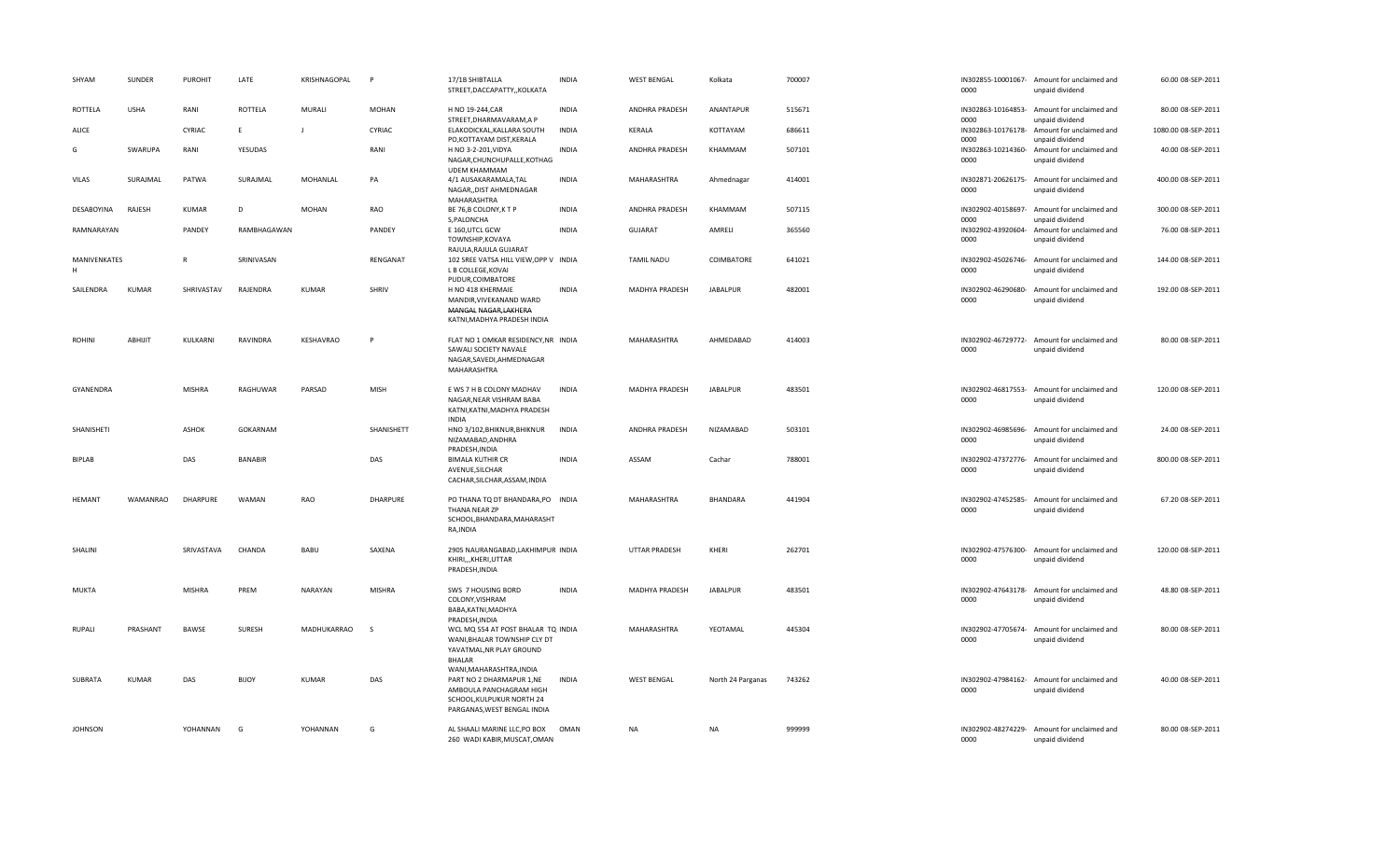| SHYAM             | SUNDER          | <b>PUROHIT</b>  | LATE           | KRISHNAGOPAL   | <b>P</b>        | 17/1B SHIBTALLA<br>STREET, DACCAPATTY, , KOLKATA                                                                                     | <b>INDIA</b> | <b>WEST BENGAL</b>    | Kolkata           | 700007 | 0000                       | IN302855-10001067- Amount for unclaimed and<br>unpaid dividend | 60.00 08-SEP-2011   |
|-------------------|-----------------|-----------------|----------------|----------------|-----------------|--------------------------------------------------------------------------------------------------------------------------------------|--------------|-----------------------|-------------------|--------|----------------------------|----------------------------------------------------------------|---------------------|
| ROTTELA           | <b>USHA</b>     | RANI            | ROTTELA        | MURALI         | <b>MOHAN</b>    | H NO 19-244, CAR<br>STREET, DHARMAVARAM, A P                                                                                         | <b>INDIA</b> | ANDHRA PRADESH        | ANANTAPUR         | 515671 | IN302863-10164853-<br>0000 | Amount for unclaimed and<br>unpaid dividend                    | 80.00 08-SEP-2011   |
| ALICE             |                 | CYRIAC          | E              | $\mathbf{I}$   | CYRIAC          | ELAKODICKAL, KALLARA SOUTH<br>PO, KOTTAYAM DIST, KERALA                                                                              | <b>INDIA</b> | KERALA                | KOTTAYAM          | 686611 | IN302863-10176178-<br>0000 | Amount for unclaimed and<br>unpaid dividend                    | 1080.00 08-SEP-2011 |
| G                 | SWARUPA         | RANI            | YESUDAS        |                | RANI            | H NO 3-2-201, VIDYA<br>NAGAR, CHUNCHUPALLE, KOTHAG<br><b>UDEM KHAMMAM</b>                                                            | INDIA        | ANDHRA PRADESH        | KHAMMAM           | 507101 | IN302863-10214360-<br>0000 | Amount for unclaimed and<br>unpaid dividend                    | 40.00 08-SEP-2011   |
| <b>VILAS</b>      | SURAJMAL        | PATWA           | SURAJMAL       | MOHANLAL       | PA              | 4/1 AUSAKARAMALA, TAL<br>NAGAR,, DIST AHMEDNAGAR<br>MAHARASHTRA                                                                      | <b>INDIA</b> | MAHARASHTRA           | Ahmednagar        | 414001 | IN302871-20626175-<br>0000 | Amount for unclaimed and<br>unpaid dividend                    | 400.00 08-SEP-2011  |
| DESABOYINA        | RAJESH          | <b>KUMAR</b>    | D              | <b>MOHAN</b>   | RAO             | BE 76,B COLONY, K T P<br>S, PALONCHA                                                                                                 | <b>INDIA</b> | <b>ANDHRA PRADESH</b> | KHAMMAM           | 507115 | 0000                       | IN302902-40158697- Amount for unclaimed and<br>unpaid dividend | 300.00 08-SEP-2011  |
| RAMNARAYAN        |                 | PANDEY          | RAMBHAGAWAN    |                | PANDEY          | E 160, UTCL GCW<br>TOWNSHIP, KOVAYA<br>RAJULA, RAJULA GUJARAT                                                                        | <b>INDIA</b> | GUJARAT               | AMRELI            | 365560 | IN302902-43920604-<br>0000 | Amount for unclaimed and<br>unpaid dividend                    | 76.00 08-SEP-2011   |
| MANIVENKATES<br>H |                 | R               | SRINIVASAN     |                | RENGANAT        | 102 SREE VATSA HILL VIEW, OPP V INDIA<br>L B COLLEGE, KOVAI<br>PUDUR, COIMBATORE                                                     |              | <b>TAMIL NADU</b>     | COIMBATORE        | 641021 | IN302902-45026746-<br>0000 | Amount for unclaimed and<br>unpaid dividend                    | 144.00 08-SEP-2011  |
| SAILENDRA         | <b>KUMAR</b>    | SHRIVASTAV      | RAJENDRA       | <b>KUMAR</b>   | SHRIV           | H NO 418 KHERMAIE<br>MANDIR, VIVEKANAND WARD<br>MANGAL NAGAR, LAKHERA<br>KATNI, MADHYA PRADESH INDIA                                 | <b>INDIA</b> | MADHYA PRADESH        | <b>JABALPUR</b>   | 482001 | IN302902-46290680-<br>0000 | Amount for unclaimed and<br>unpaid dividend                    | 192.00 08-SEP-2011  |
| <b>ROHINI</b>     | ABHIJIT         | KULKARNI        | RAVINDRA       | KESHAVRAO      |                 | FLAT NO 1 OMKAR RESIDENCY, NR INDIA<br>SAWALI SOCIETY NAVALE<br>NAGAR, SAVEDI, AHMEDNAGAR<br>MAHARASHTRA                             |              | MAHARASHTRA           | AHMEDABAD         | 414003 | 0000                       | IN302902-46729772- Amount for unclaimed and<br>unpaid dividend | 80.00 08-SEP-2011   |
| GYANENDRA         |                 | <b>MISHRA</b>   | RAGHUWAR       | PARSAD         | <b>MISH</b>     | E WS 7 H B COLONY MADHAV<br>NAGAR, NEAR VISHRAM BABA<br>KATNI, KATNI, MADHYA PRADESH<br><b>INDIA</b>                                 | <b>INDIA</b> | MADHYA PRADESH        | <b>JABALPUR</b>   | 483501 | 0000                       | IN302902-46817553- Amount for unclaimed and<br>unpaid dividend | 120.00 08-SEP-2011  |
| SHANISHETI        |                 | ASHOK           | GOKARNAM       |                | SHANISHETT      | HNO 3/102, BHIKNUR, BHIKNUR<br>NIZAMABAD, ANDHRA<br>PRADESH, INDIA                                                                   | <b>INDIA</b> | ANDHRA PRADESH        | NIZAMABAD         | 503101 | IN302902-46985696-<br>0000 | Amount for unclaimed and<br>unpaid dividend                    | 24.00 08-SEP-2011   |
| BIPLAB            |                 | DAS             | <b>BANABIR</b> |                | DAS             | <b>BIMALA KUTHIR CR</b><br>AVENUE, SILCHAR<br>CACHAR, SILCHAR, ASSAM, INDIA                                                          | <b>INDIA</b> | ASSAM                 | Cachar            | 788001 | IN302902-47372776-<br>0000 | Amount for unclaimed and<br>unpaid dividend                    | 800.00 08-SEP-2011  |
| <b>HEMANT</b>     | <b>WAMANRAO</b> | <b>DHARPURE</b> | WAMAN          | RAO            | <b>DHARPURE</b> | PO THANA TO DT BHANDARA, PO INDIA<br>THANA NEAR ZP<br>SCHOOL, BHANDARA, MAHARASHT<br>RA, INDIA                                       |              | MAHARASHTRA           | BHANDARA          | 441904 | IN302902-47452585-<br>0000 | Amount for unclaimed and<br>unpaid dividend                    | 67.20 08-SEP-2011   |
| SHALINI           |                 | SRIVASTAVA      | CHANDA         | BABU           | SAXENA          | 2905 NAURANGABAD, LAKHIMPUR INDIA<br>KHIRI,,,KHERI,UTTAR<br>PRADESH, INDIA                                                           |              | UTTAR PRADESH         | KHERI             | 262701 | IN302902-47576300-<br>0000 | Amount for unclaimed and<br>unpaid dividend                    | 120.00 08-SEP-2011  |
| MUKTA             |                 | <b>MISHRA</b>   | PREM           | <b>NARAYAN</b> | <b>MISHRA</b>   | SWS 7 HOUSING BORD<br>COLONY, VISHRAM<br>BABA, KATNI, MADHYA<br>PRADESH, INDIA                                                       | <b>INDIA</b> | MADHYA PRADESH        | <b>JABALPUR</b>   | 483501 | IN302902-47643178-<br>0000 | Amount for unclaimed and<br>unpaid dividend                    | 48.80 08-SEP-2011   |
| RUPALI            | PRASHANT        | BAWSE           | SURESH         | MADHUKARRAO    | $\mathsf{S}$    | WCL MQ 554 AT POST BHALAR TQ INDIA<br>WANI, BHALAR TOWNSHIP CLY DT<br>YAVATMAL, NR PLAY GROUND<br>BHALAR<br>WANI, MAHARASHTRA, INDIA |              | MAHARASHTRA           | YEOTAMAL          | 445304 | IN302902-47705674-<br>0000 | Amount for unclaimed and<br>unpaid dividend                    | 80.00 08-SEP-2011   |
| SUBRATA           | <b>KUMAR</b>    | DAS             | <b>BIJOY</b>   | KUMAR          | DAS             | PART NO 2 DHARMAPUR 1,NE<br>AMBOULA PANCHAGRAM HIGH<br>SCHOOL, KULPUKUR NORTH 24<br>PARGANAS, WEST BENGAL INDIA                      | <b>INDIA</b> | <b>WEST BENGAL</b>    | North 24 Parganas | 743262 | IN302902-47984162-<br>0000 | Amount for unclaimed and<br>unpaid dividend                    | 40.00 08-SEP-2011   |
| <b>JOHNSON</b>    |                 | YOHANNAN        | G              | YOHANNAN       | G               | AL SHAALI MARINE LLC, PO BOX<br>260 WADI KABIR.MUSCAT.OMAN                                                                           | <b>OMAN</b>  | <b>NA</b>             | <b>NA</b>         | 999999 | 0000                       | IN302902-48274229- Amount for unclaimed and<br>unpaid dividend | 80.00 08-SEP-2011   |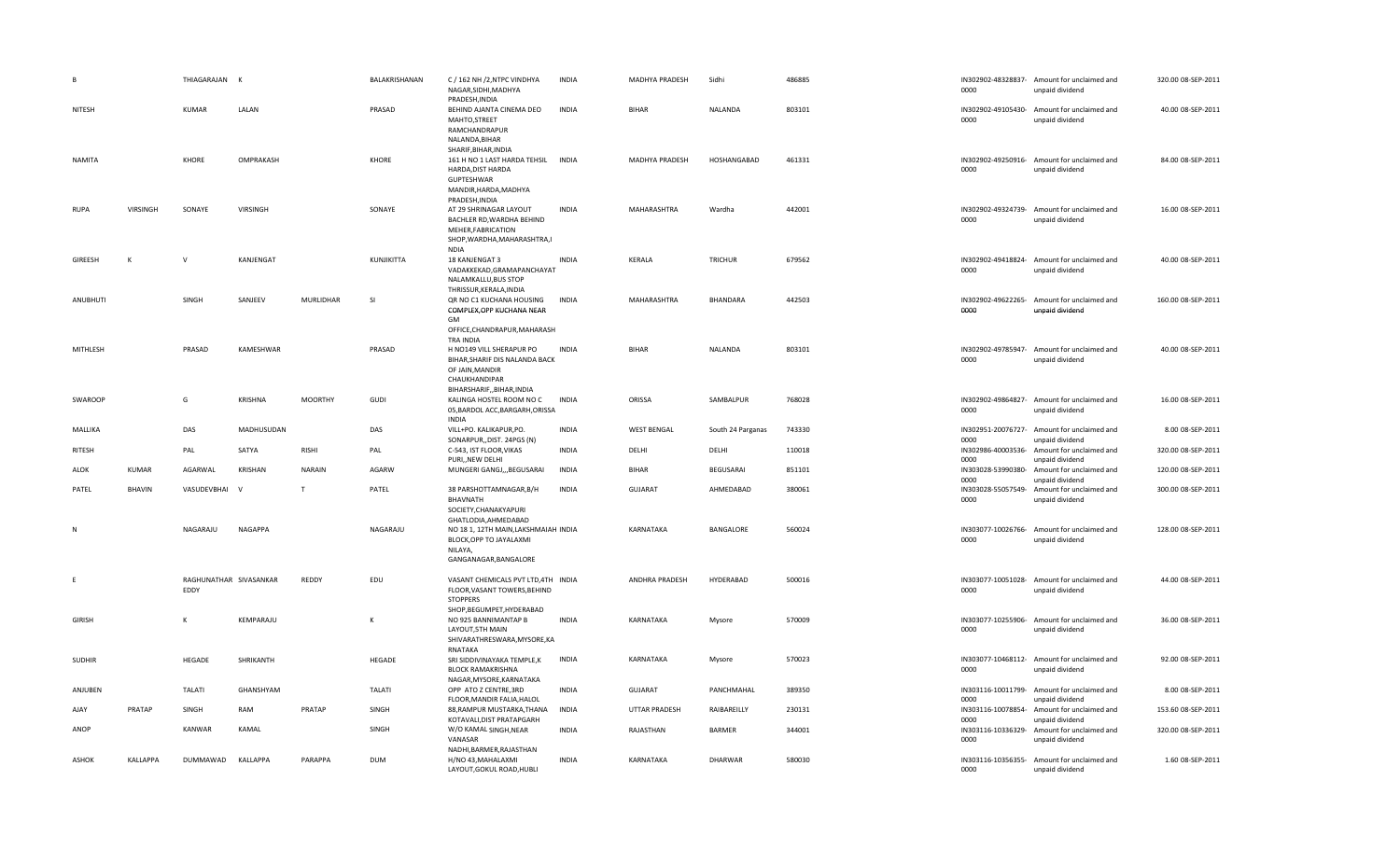| B             |               | THIAGARAJAN                    | K              |                | BALAKRISHANAN | C / 162 NH /2, NTPC VINDHYA<br>NAGAR, SIDHI, MADHYA<br>PRADESH, INDIA                                                                    | <b>INDIA</b> | MADHYA PRADESH     | Sidhi             | 486885 | 0000                       | IN302902-48328837- Amount for unclaimed and<br>unpaid dividend                    | 320.00 08-SEP-2011 |
|---------------|---------------|--------------------------------|----------------|----------------|---------------|------------------------------------------------------------------------------------------------------------------------------------------|--------------|--------------------|-------------------|--------|----------------------------|-----------------------------------------------------------------------------------|--------------------|
| NITESH        |               | <b>KUMAR</b>                   | LALAN          |                | PRASAD        | BEHIND AJANTA CINEMA DEO<br>MAHTO, STREET<br>RAMCHANDRAPUR<br>NALANDA, BIHAR                                                             | <b>INDIA</b> | <b>BIHAR</b>       | NALANDA           | 803101 | IN302902-49105430-<br>0000 | Amount for unclaimed and<br>unpaid dividend                                       | 40.00 08-SEP-2011  |
| <b>NAMITA</b> |               | KHORE                          | OMPRAKASH      |                | KHORE         | SHARIF, BIHAR, INDIA<br>161 H NO 1 LAST HARDA TEHSIL<br>HARDA, DIST HARDA<br>GUPTESHWAR<br>MANDIR, HARDA, MADHYA<br>PRADESH, INDIA       | <b>INDIA</b> | MADHYA PRADESH     | HOSHANGABAD       | 461331 | 0000                       | IN302902-49250916- Amount for unclaimed and<br>unpaid dividend                    | 84.00 08-SEP-2011  |
| RUPA          | VIRSINGH      | SONAYE                         | VIRSINGH       |                | SONAYE        | AT 29 SHRINAGAR LAYOUT<br>BACHLER RD, WARDHA BEHIND<br>MEHER, FABRICATION<br>SHOP, WARDHA, MAHARASHTRA, I<br><b>NDIA</b>                 | <b>INDIA</b> | MAHARASHTRA        | Wardha            | 442001 | IN302902-49324739-<br>0000 | Amount for unclaimed and<br>unpaid dividend                                       | 16.00 08-SEP-2011  |
| GIREESH       | К             | $\mathsf{V}$                   | KANJENGAT      |                | KUNJIKITTA    | 18 KANJENGAT 3<br>VADAKKEKAD, GRAMAPANCHAYAT<br>NALAMKALLU, BUS STOP<br>THRISSUR, KERALA, INDIA                                          | INDIA        | KERALA             | <b>TRICHUR</b>    | 679562 | 0000                       | IN302902-49418824- Amount for unclaimed and<br>unpaid dividend                    | 40.00 08-SEP-2011  |
| ANUBHUTI      |               | SINGH                          | SANJEEV        | MURLIDHAR      | -SI           | QR NO C1 KUCHANA HOUSING<br>COMPLEX, OPP KUCHANA NEAR<br>GM<br>OFFICE, CHANDRAPUR, MAHARASH                                              | INDIA        | MAHARASHTRA        | BHANDARA          | 442503 | IN302902-49622265-<br>0000 | Amount for unclaimed and<br>unpaid dividend                                       | 160.00 08-SEP-2011 |
| MITHLESH      |               | PRASAD                         | KAMESHWAR      |                | PRASAD        | TRA INDIA<br>H NO149 VILL SHERAPUR PO<br>BIHAR, SHARIF DIS NALANDA BACK<br>OF JAIN, MANDIR<br>CHAUKHANDIPAR<br>BIHARSHARIF, BIHAR, INDIA | <b>INDIA</b> | <b>BIHAR</b>       | NALANDA           | 803101 | 0000                       | IN302902-49785947- Amount for unclaimed and<br>unpaid dividend                    | 40.00 08-SEP-2011  |
| SWAROOP       |               | G                              | <b>KRISHNA</b> | <b>MOORTHY</b> | <b>GUDI</b>   | KALINGA HOSTEL ROOM NO C<br>05, BARDOL ACC, BARGARH, ORISSA<br><b>INDIA</b>                                                              | <b>INDIA</b> | ORISSA             | SAMBALPUR         | 768028 | 0000                       | IN302902-49864827- Amount for unclaimed and<br>unpaid dividend                    | 16.00 08-SEP-2011  |
| MALLIKA       |               | DAS                            | MADHUSUDAN     |                | DAS           | VILL+PO. KALIKAPUR,PO.<br>SONARPUR,, DIST. 24PGS (N)                                                                                     | <b>INDIA</b> | <b>WEST BENGAL</b> | South 24 Parganas | 743330 | IN302951-20076727-<br>0000 | Amount for unclaimed and<br>unpaid dividend                                       | 8.00 08-SEP-2011   |
| RITESH        |               | PAL                            | SATYA          | RISHI          | PAL           | C-543, IST FLOOR, VIKAS<br>PURI, NEW DELHI                                                                                               | <b>INDIA</b> | DELHI              | DELHI             | 110018 | IN302986-40003536-<br>0000 | Amount for unclaimed and<br>unpaid dividend                                       | 320.00 08-SEP-2011 |
| ALOK          | KUMAR         | AGARWAL                        | KRISHAN        | <b>NARAIN</b>  | AGARW         | MUNGERI GANGJ,,,BEGUSARAI                                                                                                                | <b>INDIA</b> | <b>BIHAR</b>       | <b>BEGUSARAI</b>  | 851101 | 0000                       | IN303028-53990380- Amount for unclaimed and<br>unpaid dividend                    | 120.00 08-SEP-2011 |
| PATEL         | <b>BHAVIN</b> | VASUDEVBHAI                    | <b>V</b>       | T              | PATEL         | 38 PARSHOTTAMNAGAR, B/H<br>BHAVNATH<br>SOCIETY, CHANAKYAPURI                                                                             | <b>INDIA</b> | GUJARAT            | AHMEDABAD         | 380061 | IN303028-55057549-<br>0000 | Amount for unclaimed and<br>unpaid dividend                                       | 300.00 08-SEP-2011 |
| N             |               | NAGARAJU                       | NAGAPPA        |                | NAGARAJU      | GHATLODIA, AHMEDABAD<br>NO 18 1, 12TH MAIN, LAKSHMAIAH INDIA<br>BLOCK, OPP TO JAYALAXMI<br>NILAYA,<br>GANGANAGAR, BANGALORE              |              | KARNATAKA          | BANGALORE         | 560024 | IN303077-10026766-<br>0000 | Amount for unclaimed and<br>unpaid dividend                                       | 128.00 08-SEP-2011 |
| E             |               | RAGHUNATHAR SIVASANKAR<br>EDDY |                | REDDY          | EDU           | VASANT CHEMICALS PVT LTD,4TH INDIA<br>FLOOR, VASANT TOWERS, BEHIND<br><b>STOPPERS</b><br>SHOP, BEGUMPET, HYDERABAD                       |              | ANDHRA PRADESH     | HYDERABAD         | 500016 | 0000                       | IN303077-10051028- Amount for unclaimed and<br>unpaid dividend                    | 44.00 08-SEP-2011  |
| <b>GIRISH</b> |               | $\mathsf{K}$                   | KEMPARAJU      |                |               | NO 925 BANNIMANTAP B<br>LAYOUT, 5TH MAIN<br>SHIVARATHRESWARA, MYSORE, KA<br>RNATAKA                                                      | <b>INDIA</b> | KARNATAKA          | Mysore            | 570009 | 0000                       | IN303077-10255906- Amount for unclaimed and<br>unpaid dividend                    | 36.00 08-SEP-2011  |
| <b>SUDHIR</b> |               | HEGADE                         | SHRIKANTH      |                | HEGADE        | SRI SIDDIVINAYAKA TEMPLE,K<br><b>BLOCK RAMAKRISHNA</b><br>NAGAR, MYSORE, KARNATAKA                                                       | INDIA        | KARNATAKA          | Mysore            | 570023 | 0000                       | IN303077-10468112- Amount for unclaimed and<br>unpaid dividend                    | 92.00 08-SEP-2011  |
|               |               |                                |                |                | <b>TALATI</b> | OPP ATO Z CENTRE, 3RD                                                                                                                    | <b>INDIA</b> | GUJARAT            | PANCHMAHAL        | 389350 | IN303116-10011799-         | Amount for unclaimed and                                                          | 8.00 08-SEP-2011   |
| ANJUBEN       |               | <b>TALATI</b>                  | GHANSHYAM      |                |               |                                                                                                                                          |              |                    |                   |        |                            |                                                                                   |                    |
| AJAY          | PRATAP        | SINGH                          | RAM            | PRATAP         | SINGH         | FLOOR, MANDIR FALIA, HALOL<br>88, RAMPUR MUSTARKA, THANA                                                                                 | <b>INDIA</b> | UTTAR PRADESH      | RAIBAREILLY       | 230131 | 0000                       | unpaid dividend<br>IN303116-10078854- Amount for unclaimed and                    | 153.60 08-SEP-2011 |
| ANOP          |               | <b>KANWAR</b>                  | KAMAL          |                | SINGH         | KOTAVALI, DIST PRATAPGARH<br>W/O KAMAL SINGH, NEAR<br>VANASAR                                                                            | <b>INDIA</b> | RAJASTHAN          | BARMER            | 344001 | 0000<br>0000               | unpaid dividend<br>IN303116-10336329- Amount for unclaimed and<br>unpaid dividend | 320.00 08-SEP-2011 |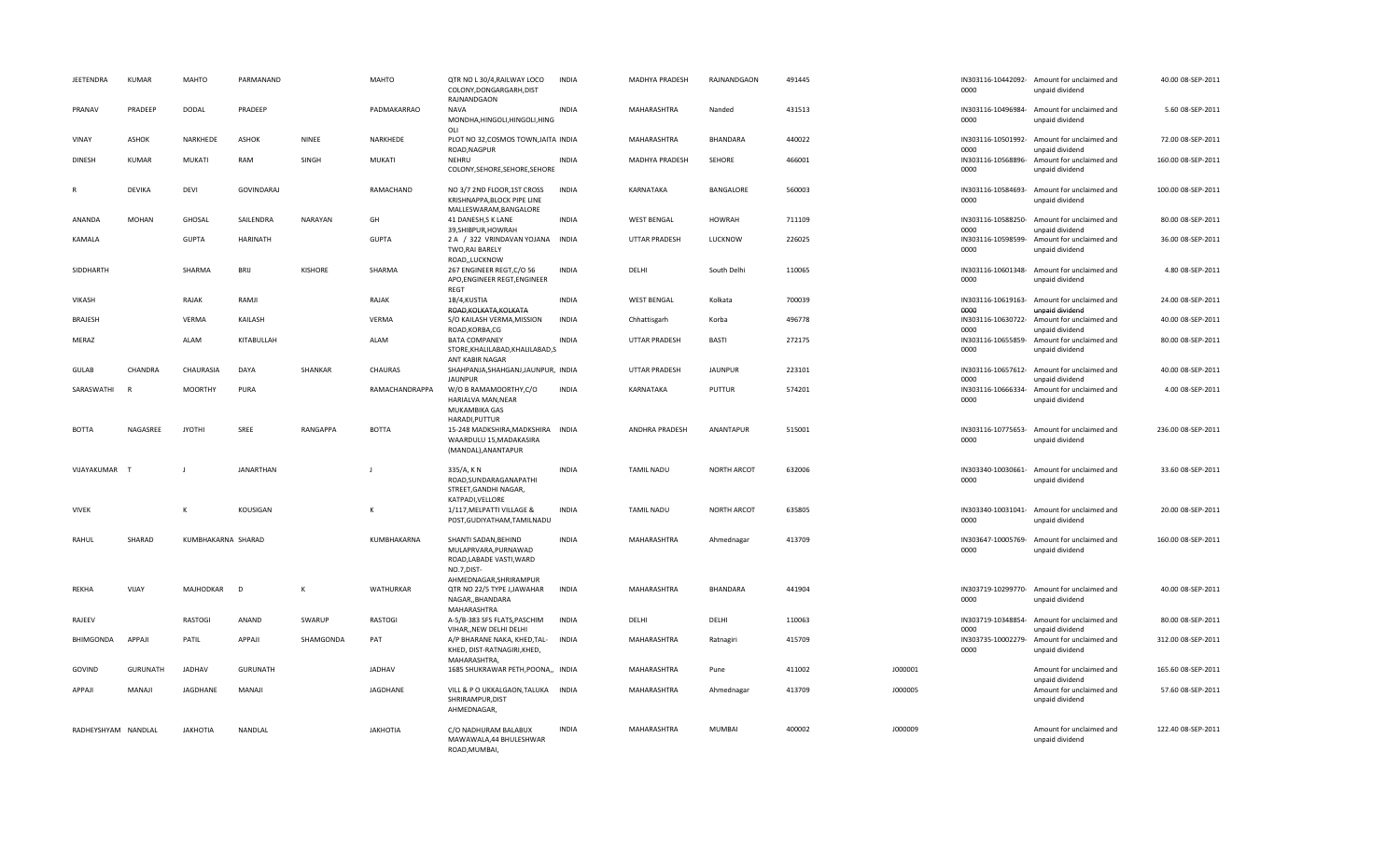| <b>JEETENDRA</b>    | <b>KUMAR</b>    | MAHTO              | PARMANAND         |                 | <b>MAHTO</b>     | QTR NO L 30/4, RAILWAY LOCO<br>COLONY, DONGARGARH, DIST<br>RAJNANDGAON                                 | <b>INDIA</b> | MADHYA PRADESH       | RAJNANDGAON        | 491445 |         | 0000                               | IN303116-10442092- Amount for unclaimed and<br>unpaid dividend | 40.00 08-SEP-2011  |
|---------------------|-----------------|--------------------|-------------------|-----------------|------------------|--------------------------------------------------------------------------------------------------------|--------------|----------------------|--------------------|--------|---------|------------------------------------|----------------------------------------------------------------|--------------------|
| PRANAV              | PRADEEP         | DODAL              | PRADEEP           |                 | PADMAKARRAO      | <b>NAVA</b><br>MONDHA, HINGOLI, HINGOLI, HING<br>OLI                                                   | <b>INDIA</b> | MAHARASHTRA          | Nanded             | 431513 |         | 0000                               | IN303116-10496984- Amount for unclaimed and<br>unpaid dividend | 5.60 08-SEP-2011   |
| VINAY               | <b>ASHOK</b>    | NARKHEDE           | <b>ASHOK</b>      | NINEE           | NARKHEDE         | PLOT NO 32, COSMOS TOWN, JAITA INDIA<br>ROAD, NAGPUR                                                   |              | MAHARASHTRA          | BHANDARA           | 440022 |         | 0000                               | IN303116-10501992- Amount for unclaimed and<br>unpaid dividend | 72.00 08-SEP-2011  |
| <b>DINESH</b>       | <b>KUMAR</b>    | MUKATI             | RAM               | SINGH           | MUKATI           | NEHRU<br>COLONY, SEHORE, SEHORE, SEHORE                                                                | <b>INDIA</b> | MADHYA PRADESH       | SEHORE             | 466001 |         | IN303116-10568896-<br>0000         | Amount for unclaimed and<br>unpaid dividend                    | 160.00 08-SEP-2011 |
| $\mathsf{R}$        | <b>DEVIKA</b>   | DEVI               | <b>GOVINDARAJ</b> |                 | RAMACHAND        | NO 3/7 2ND FLOOR, 1ST CROSS<br>KRISHNAPPA, BLOCK PIPE LINE<br>MALLESWARAM, BANGALORE                   | <b>INDIA</b> | KARNATAKA            | BANGALORE          | 560003 |         | IN303116-10584693-<br>0000         | Amount for unclaimed and<br>unpaid dividend                    | 100.00 08-SEP-2011 |
| <b>ANANDA</b>       | <b>MOHAN</b>    | GHOSAL             | SAILENDRA         | NARAYAN         | GH               | 41 DANESH, S K LANE<br>39, SHIBPUR, HOWRAH                                                             | <b>INDIA</b> | <b>WEST BENGAL</b>   | <b>HOWRAH</b>      | 711109 |         | IN303116-10588250-<br>0000         | Amount for unclaimed and<br>unpaid dividend                    | 80.00 08-SEP-2011  |
| KAMALA              |                 | <b>GUPTA</b>       | <b>HARINATH</b>   |                 | <b>GUPTA</b>     | 2 A / 322 VRINDAVAN YOJANA INDIA<br>TWO, RAI BARELY<br>ROAD,,LUCKNOW                                   |              | <b>UTTAR PRADESH</b> | LUCKNOW            | 226025 |         | IN303116-10598599-<br>0000         | Amount for unclaimed and<br>unpaid dividend                    | 36.00 08-SEP-2011  |
| SIDDHARTH           |                 | SHARMA             | <b>BRIJ</b>       | <b>KISHORE</b>  | SHARMA           | 267 ENGINEER REGT, C/O 56<br>APO, ENGINEER REGT, ENGINEER<br>REGT                                      | <b>INDIA</b> | DELHI                | South Delhi        | 110065 |         | 0000                               | IN303116-10601348- Amount for unclaimed and<br>unpaid dividend | 4.80 08-SEP-2011   |
| VIKASH              |                 | RAJAK              | RAMJI             |                 | RAJAK            | 1B/4,KUSTIA<br>ROAD, KOLKATA, KOLKATA                                                                  | <b>INDIA</b> | <b>WEST BENGAL</b>   | Kolkata            | 700039 |         | IN303116-10619163-<br>0000         | Amount for unclaimed and<br>unpaid dividend                    | 24.00 08-SEP-2011  |
| BRAJESH             |                 | VERMA              | KAILASH           |                 | <b>VERMA</b>     | S/O KAILASH VERMA, MISSION<br>ROAD.KORBA.CG                                                            | <b>INDIA</b> | Chhattisgarh         | Korba              | 496778 |         | IN303116-10630722-<br>0000         | Amount for unclaimed and<br>unpaid dividend                    | 40.00 08-SEP-2011  |
| MERAZ               |                 | ALAM               | KITABULLAH        |                 | ALAM             | <b>BATA COMPANEY</b><br>STORE, KHALILABAD, KHALILABAD, S<br>ANT KABIR NAGAR                            | <b>INDIA</b> | <b>UTTAR PRADESH</b> | <b>BASTI</b>       | 272175 |         | IN303116-10655859-<br>0000         | Amount for unclaimed and<br>unpaid dividend                    | 80.00 08-SEP-2011  |
| GULAB               | CHANDRA         | CHAURASIA          | DAYA              | SHANKAR         | CHAURAS          | SHAHPANJA, SHAHGANJ, JAUNPUR, INDIA<br><b>JAUNPUR</b>                                                  |              | <b>UTTAR PRADESH</b> | <b>JAUNPUR</b>     | 223101 |         | IN303116-10657612-<br>0000         | Amount for unclaimed and<br>unpaid dividend                    | 40.00 08-SEP-2011  |
| SARASWATHI          | R               | <b>MOORTHY</b>     | PURA              |                 | RAMACHANDRAPPA   | W/O B RAMAMOORTHY,C/O<br>HARIALVA MAN, NEAR<br>MUKAMBIKA GAS<br>HARADI, PUTTUR                         | <b>INDIA</b> | KARNATAKA            | PUTTUR             | 574201 |         | IN303116-10666334-<br>0000         | Amount for unclaimed and<br>unpaid dividend                    | 4.00 08-SEP-2011   |
| <b>BOTTA</b>        | NAGASREE        | <b>JYOTHI</b>      | SREE              | <b>RANGAPPA</b> | <b>BOTTA</b>     | 15-248 MADKSHIRA, MADKSHIRA INDIA<br>WAARDULU 15, MADAKASIRA<br>(MANDAL), ANANTAPUR                    |              | ANDHRA PRADESH       | ANANTAPUR          | 515001 |         | 0000                               | IN303116-10775653- Amount for unclaimed and<br>unpaid dividend | 236.00 08-SEP-2011 |
| VIJAYAKUMAR         | $\mathsf{T}$    | $\mathbf{I}$       | <b>JANARTHAN</b>  |                 | $\mathbf{I}$     | 335/A, KN<br>ROAD, SUNDARAGANAPATHI<br>STREET, GANDHI NAGAR,<br>KATPADI, VELLORE                       | <b>INDIA</b> | <b>TAMIL NADU</b>    | <b>NORTH ARCOT</b> | 632006 |         | IN303340-10030661-<br>0000         | Amount for unclaimed and<br>unpaid dividend                    | 33.60 08-SEP-2011  |
| <b>VIVEK</b>        |                 | К                  | KOUSIGAN          |                 | К                | 1/117, MELPATTI VILLAGE &<br>POST, GUDIYATHAM, TAMILNADU                                               | <b>INDIA</b> | <b>TAMIL NADU</b>    | <b>NORTH ARCOT</b> | 635805 |         | 0000                               | IN303340-10031041- Amount for unclaimed and<br>unpaid dividend | 20.00 08-SEP-2011  |
| RAHUL               | SHARAD          | KUMBHAKARNA SHARAD |                   |                 | KUMBHAKARNA      | SHANTI SADAN, BEHIND<br>MULAPRVARA, PURNAWAD<br>ROAD, LABADE VASTI, WARD<br>NO.7, DIST-                | <b>INDIA</b> | MAHARASHTRA          | Ahmednagar         | 413709 |         | 0000                               | IN303647-10005769- Amount for unclaimed and<br>unpaid dividend | 160.00 08-SEP-2011 |
| <b>REKHA</b>        | VIJAY           | MAJHODKAR          | D                 | $\mathsf{K}$    | <b>WATHURKAR</b> | AHMEDNAGAR, SHRIRAMPUR<br>QTR NO 22/5 TYPE J, JAWAHAR<br>NAGAR,, BHANDARA<br>MAHARASHTRA               | <b>INDIA</b> | MAHARASHTRA          | BHANDARA           | 441904 |         | IN303719-10299770-<br>0000         | Amount for unclaimed and<br>unpaid dividend                    | 40.00 08-SEP-2011  |
| RAJEEV              |                 | <b>RASTOGI</b>     | ANAND             | SWARUP          | RASTOGI          | A-5/B-383 SFS FLATS, PASCHIM                                                                           | <b>INDIA</b> | DFLH                 | DELHI              | 110063 |         | IN303719-10348854-                 | Amount for unclaimed and                                       | 80.00 08-SEP-2011  |
| BHIMGONDA           | APPAJI          | PATIL              | APPAJI            | SHAMGONDA       | PAT              | VIHAR,, NEW DELHI DELHI<br>A/P BHARANE NAKA, KHED, TAL-<br>KHED, DIST-RATNAGIRI, KHED,<br>MAHARASHTRA, | <b>INDIA</b> | MAHARASHTRA          | Ratnagiri          | 415709 |         | 0000<br>IN303735-10002279-<br>0000 | unpaid dividend<br>Amount for unclaimed and<br>unpaid dividend | 312.00 08-SEP-2011 |
| GOVIND              | <b>GURUNATH</b> | JADHAV             | <b>GURUNATH</b>   |                 | JADHAV           | 1685 SHUKRAWAR PETH, POONA,, INDIA                                                                     |              | MAHARASHTRA          | Pune               | 411002 | J000001 |                                    | Amount for unclaimed and                                       | 165.60 08-SEP-2011 |
| APPAJI              | MANAJI          | JAGDHANE           | MANAJI            |                 | JAGDHANE         | VILL & P O UKKALGAON, TALUKA INDIA<br>SHRIRAMPUR, DIST<br>AHMEDNAGAR,                                  |              | MAHARASHTRA          | Ahmednagar         | 413709 | J000005 |                                    | unpaid dividend<br>Amount for unclaimed and<br>unpaid dividend | 57.60 08-SEP-2011  |
| RADHEYSHYAM NANDLAL |                 | <b>JAKHOTIA</b>    | NANDLAL           |                 | <b>JAKHOTIA</b>  | C/O NADHURAM BALABUX<br>MAWAWALA,44 BHULESHWAR<br>ROAD, MUMBAI,                                        | <b>INDIA</b> | MAHARASHTRA          | MUMBAI             | 400002 | J000009 |                                    | Amount for unclaimed and<br>unpaid dividend                    | 122.40 08-SEP-2011 |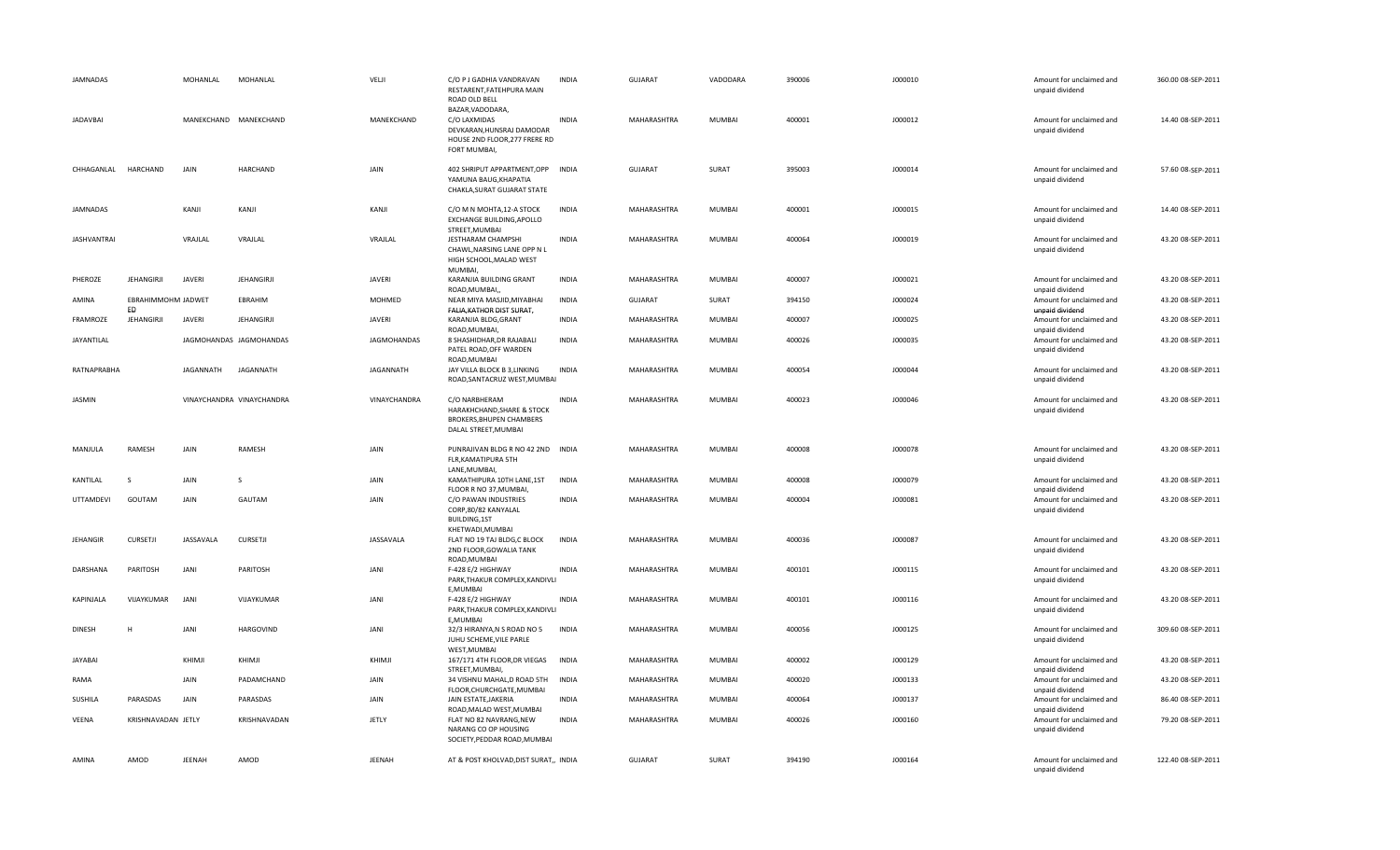| <b>JAMNADAS</b>     |                          | MOHANLAL      | MOHANLAL                  | VELJI         | C/O P J GADHIA VANDRAVAN<br>RESTARENT, FATEHPURA MAIN<br>ROAD OLD BELL                                         | <b>INDIA</b> | <b>GUJARAT</b>     | VADODARA      | 390006 | J000010 | Amount for unclaimed and<br>unpaid dividend | 360.00 08-SEP-2011 |
|---------------------|--------------------------|---------------|---------------------------|---------------|----------------------------------------------------------------------------------------------------------------|--------------|--------------------|---------------|--------|---------|---------------------------------------------|--------------------|
| <b>JADAVBAI</b>     |                          |               | MANEKCHAND MANEKCHAND     | MANEKCHAND    | BAZAR, VADODARA,<br>C/O LAXMIDAS<br>DEVKARAN, HUNSRAJ DAMODAR<br>HOUSE 2ND FLOOR, 277 FRERE RD<br>FORT MUMBAI, | <b>INDIA</b> | MAHARASHTRA        | <b>MUMBAI</b> | 400001 | J000012 | Amount for unclaimed and<br>unpaid dividend | 14.40 08-SEP-2011  |
| CHHAGANLAL HARCHAND |                          | JAIN          | HARCHAND                  | JAIN          | 402 SHRIPUT APPARTMENT, OPP INDIA<br>YAMUNA BAUG, KHAPATIA<br>CHAKLA, SURAT GUJARAT STATE                      |              | <b>GUJARAT</b>     | SURAT         | 395003 | J000014 | Amount for unclaimed and<br>unpaid dividend | 57.60 08-SEP-2011  |
| JAMNADAS            |                          | KANJI         | KANJI                     | KANJI         | C/O M N MOHTA, 12-A STOCK<br>EXCHANGE BUILDING, APOLLO<br>STREET, MUMBAI                                       | <b>INDIA</b> | MAHARASHTRA        | MUMBAI        | 400001 | J000015 | Amount for unclaimed and<br>unpaid dividend | 14.40 08-SEP-2011  |
| <b>JASHVANTRAI</b>  |                          | VRAJLAL       | VRAJLAL                   | VRAJLAL       | <b>JESTHARAM CHAMPSHI</b><br>CHAWL, NARSING LANE OPP N L<br>HIGH SCHOOL, MALAD WEST<br>MUMBAI,                 | <b>INDIA</b> | <b>MAHARASHTRA</b> | <b>MUMBAI</b> | 400064 | J000019 | Amount for unclaimed and<br>unpaid dividend | 43.20 08-SEP-2011  |
| PHEROZE             | <b>JEHANGIRJI</b>        | <b>JAVERI</b> | <b>JEHANGIRJI</b>         | <b>JAVERI</b> | KARANJIA BUILDING GRANT<br>ROAD, MUMBAI,,                                                                      | <b>INDIA</b> | MAHARASHTRA        | <b>MUMBAI</b> | 400007 | J000021 | Amount for unclaimed and<br>unpaid dividend | 43.20 08-SEP-2011  |
| AMINA               | EBRAHIMMOHM JADWET<br>ED |               | EBRAHIM                   | MOHMED        | NEAR MIYA MASJID, MIYABHAI<br>FALIA, KATHOR DIST SURAT,                                                        | INDIA        | GUJARAT            | SURAT         | 394150 | J000024 | Amount for unclaimed and<br>unpaid dividend | 43.20 08-SEP-2011  |
| FRAMROZE            | JEHANGIRJI               | <b>JAVERI</b> | <b>JEHANGIRJI</b>         | <b>JAVERI</b> | KARANJIA BLDG, GRANT<br>ROAD, MUMBAI,                                                                          | <b>INDIA</b> | MAHARASHTRA        | MUMBAI        | 400007 | J000025 | Amount for unclaimed and<br>unpaid dividend | 43.20 08-SEP-2011  |
| JAYANTILAL          |                          |               | JAGMOHANDAS JAGMOHANDAS   | JAGMOHANDAS   | 8 SHASHIDHAR, DR RAJABALI<br>PATEL ROAD, OFF WARDEN<br>ROAD, MUMBAI                                            | <b>INDIA</b> | MAHARASHTRA        | MUMBAI        | 400026 | J000035 | Amount for unclaimed and<br>unpaid dividend | 43.20 08-SEP-2011  |
| RATNAPRABHA         |                          | JAGANNATH     | JAGANNATH                 | JAGANNATH     | JAY VILLA BLOCK B 3, LINKING<br>ROAD, SANTACRUZ WEST, MUMBAI                                                   | <b>INDIA</b> | MAHARASHTRA        | MUMBAI        | 400054 | J000044 | Amount for unclaimed and<br>unpaid dividend | 43.20 08-SEP-2011  |
| JASMIN              |                          |               | VINAYCHANDRA VINAYCHANDRA | VINAYCHANDRA  | C/O NARBHERAM<br>HARAKHCHAND, SHARE & STOCK<br>BROKERS, BHUPEN CHAMBERS<br>DALAL STREET, MUMBAI                | <b>INDIA</b> | MAHARASHTRA        | MUMBAI        | 400023 | J000046 | Amount for unclaimed and<br>unpaid dividend | 43.20 08-SEP-2011  |
| MANJULA             | RAMESH                   | JAIN          | RAMESH                    | JAIN          | PUNRAJIVAN BLDG R NO 42 2ND INDIA<br>FLR, KAMATIPURA 5TH<br>LANE, MUMBAI,                                      |              | MAHARASHTRA        | <b>MUMBAI</b> | 400008 | J000078 | Amount for unclaimed and<br>unpaid dividend | 43.20 08-SEP-2011  |
| KANTILAL            | <sub>S</sub>             | JAIN          | <sub>S</sub>              | JAIN          | KAMATHIPURA 10TH LANE,1ST<br>FLOOR R NO 37, MUMBAI,                                                            | <b>INDIA</b> | MAHARASHTRA        | MUMBAI        | 400008 | J000079 | Amount for unclaimed and<br>unpaid dividend | 43.20 08-SEP-2011  |
| UTTAMDEVI           | GOUTAM                   | JAIN          | GAUTAM                    | JAIN          | C/O PAWAN INDUSTRIES<br>CORP,80/82 KANYALAL<br><b>BUILDING,1ST</b><br>KHETWADI, MUMBAI                         | <b>INDIA</b> | MAHARASHTRA        | MUMBAI        | 400004 | J000081 | Amount for unclaimed and<br>unpaid dividend | 43.20 08-SEP-2011  |
| JEHANGIR            | CURSETJI                 | JASSAVALA     | CURSETJI                  | JASSAVALA     | FLAT NO 19 TAJ BLDG,C BLOCK<br>2ND FLOOR, GOWALIA TANK<br>ROAD, MUMBAI                                         | <b>INDIA</b> | MAHARASHTRA        | MUMBAI        | 400036 | J000087 | Amount for unclaimed and<br>unpaid dividend | 43.20 08-SEP-2011  |
| DARSHANA            | PARITOSH                 | JANI          | PARITOSH                  | JANI          | F-428 E/2 HIGHWAY<br>PARK, THAKUR COMPLEX, KANDIVLI<br>E, MUMBAI                                               | INDIA        | MAHARASHTRA        | <b>MUMBAI</b> | 400101 | J000115 | Amount for unclaimed and<br>unpaid dividend | 43.20 08-SEP-2011  |
| KAPINJALA           | VIJAYKUMAR               | <b>JANI</b>   | VIJAYKUMAR                | JANI          | F-428 E/2 HIGHWAY<br>PARK, THAKUR COMPLEX, KANDIVLI<br>E, MUMBAI                                               | <b>INDIA</b> | MAHARASHTRA        | MUMBAI        | 400101 | J000116 | Amount for unclaimed and<br>unpaid dividend | 43.20 08-SEP-2011  |
| <b>DINESH</b>       | Н                        | JANI          | HARGOVIND                 | JANI          | 32/3 HIRANYA, N S ROAD NO 5<br>JUHU SCHEME, VILE PARLE<br>WEST, MUMBAI                                         | <b>INDIA</b> | MAHARASHTRA        | MUMBAI        | 400056 | J000125 | Amount for unclaimed and<br>unpaid dividend | 309.60 08-SEP-2011 |
| JAYABAI             |                          | KHIMJI        | KHIMJI                    | KHIMJI        | 167/171 4TH FLOOR, DR VIEGAS<br>STREET, MUMBAI,                                                                | <b>INDIA</b> | MAHARASHTRA        | MUMBAI        | 400002 | J000129 | Amount for unclaimed and<br>unpaid dividend | 43.20 08-SEP-2011  |
| RAMA                |                          | JAIN          | PADAMCHAND                | JAIN          | 34 VISHNU MAHAL, D ROAD 5TH<br>FLOOR, CHURCHGATE, MUMBAI                                                       | <b>INDIA</b> | MAHARASHTRA        | MUMBAI        | 400020 | J000133 | Amount for unclaimed and<br>unpaid dividend | 43.20 08-SEP-2011  |
| SUSHILA             | PARASDAS                 | JAIN          | PARASDAS                  | JAIN          | JAIN ESTATE, JAKERIA<br>ROAD, MALAD WEST, MUMBAI                                                               | <b>INDIA</b> | MAHARASHTRA        | MUMBAI        | 400064 | J000137 | Amount for unclaimed and<br>unpaid dividend | 86.40 08-SEP-2011  |
| VEENA               | KRISHNAVADAN JETLY       |               | KRISHNAVADAN              | JETLY         | FLAT NO 82 NAVRANG, NEW<br>NARANG CO OP HOUSING<br>SOCIETY, PEDDAR ROAD, MUMBAI                                | <b>INDIA</b> | MAHARASHTRA        | MUMBAI        | 400026 | J000160 | Amount for unclaimed and<br>unpaid dividend | 79.20 08-SEP-2011  |
| AMINA               | AMOD                     | <b>JEENAH</b> | AMOD                      | JEENAH        | AT & POST KHOLVAD, DIST SURAT,, INDIA                                                                          |              | <b>GUJARAT</b>     | SURAT         | 394190 | J000164 | Amount for unclaimed and<br>unpaid dividend | 122.40 08-SEP-2011 |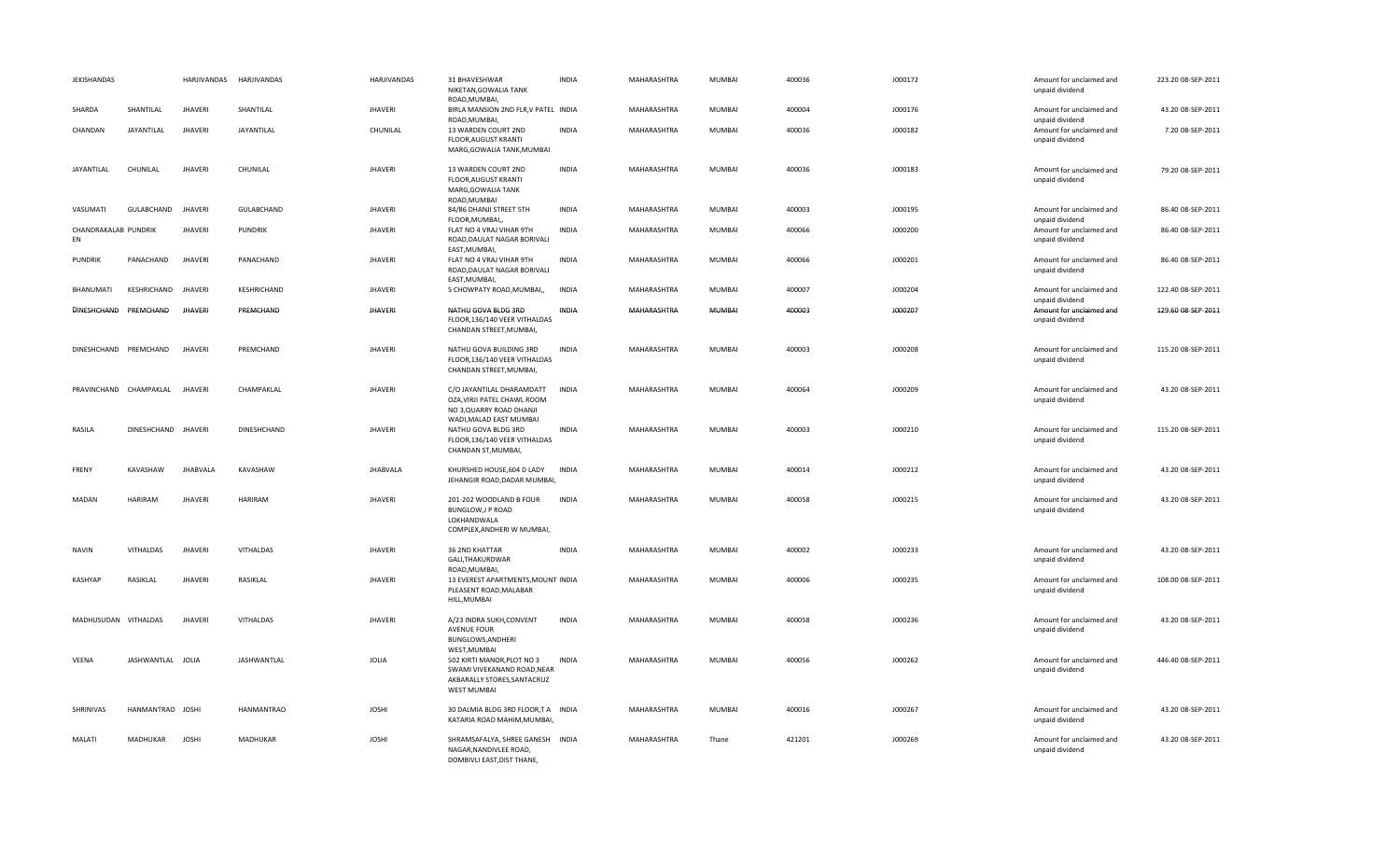| JEKISHANDAS                |                     | HARJIVANDAS     | HARJIVANDAS    | HARJIVANDAS     | 31 BHAVESHWAR<br>NIKETAN, GOWALIA TANK<br>ROAD.MUMBAI.                                                         | <b>INDIA</b> | MAHARASHTRA        | MUMBAI        | 400036 | J000172 | Amount for unclaimed and<br>unpaid dividend | 223.20 08-SEP-2011 |
|----------------------------|---------------------|-----------------|----------------|-----------------|----------------------------------------------------------------------------------------------------------------|--------------|--------------------|---------------|--------|---------|---------------------------------------------|--------------------|
| SHARDA                     | SHANTILAL           | <b>JHAVERI</b>  | SHANTILAL      | <b>JHAVERI</b>  | BIRLA MANSION 2ND FLR, V PATEL INDIA<br>ROAD, MUMBAI,                                                          |              | MAHARASHTRA        | <b>MUMBAI</b> | 400004 | J000176 | Amount for unclaimed and<br>unpaid dividend | 43.20 08-SEP-2011  |
| CHANDAN                    | JAYANTILAL          | <b>JHAVERI</b>  | JAYANTILAL     | CHUNILAL        | 13 WARDEN COURT 2ND<br>FLOOR, AUGUST KRANTI<br>MARG, GOWALIA TANK, MUMBAI                                      | <b>INDIA</b> | MAHARASHTRA        | MUMBAI        | 400036 | J000182 | Amount for unclaimed and<br>unpaid dividend | 7.20 08-SEP-2011   |
| JAYANTILAL                 | CHUNILAL            | <b>JHAVERI</b>  | CHUNILAL       | <b>JHAVERI</b>  | 13 WARDEN COURT 2ND<br>FLOOR, AUGUST KRANTI<br>MARG, GOWALIA TANK<br>ROAD, MUMBAI                              | <b>INDIA</b> | MAHARASHTRA        | MUMBAI        | 400036 | J000183 | Amount for unclaimed and<br>unpaid dividend | 79.20 08-SEP-2011  |
| VASUMATI                   | GULABCHAND          | <b>JHAVERI</b>  | GULABCHAND     | <b>JHAVERI</b>  | 84/86 DHANJI STREET 5TH<br>FLOOR, MUMBAI,,                                                                     | <b>INDIA</b> | MAHARASHTRA        | MUMBAI        | 400003 | J000195 | Amount for unclaimed and<br>unpaid dividend | 86.40 08-SEP-2011  |
| CHANDRAKALAB PUNDRIK<br>EN |                     | <b>JHAVERI</b>  | <b>PUNDRIK</b> | <b>JHAVERI</b>  | FLAT NO 4 VRAJ VIHAR 9TH<br>ROAD, DAULAT NAGAR BORIVALI<br>EAST, MUMBAI,                                       | <b>INDIA</b> | MAHARASHTRA        | MUMBAI        | 400066 | J000200 | Amount for unclaimed and<br>unpaid dividend | 86.40 08-SEP-2011  |
| <b>PUNDRIK</b>             | PANACHAND           | <b>JHAVERI</b>  | PANACHAND      | <b>JHAVERI</b>  | FLAT NO 4 VRAJ VIHAR 9TH<br>ROAD, DAULAT NAGAR BORIVALI<br>EAST, MUMBAI                                        | <b>INDIA</b> | MAHARASHTRA        | MUMBAI        | 400066 | J000201 | Amount for unclaimed and<br>unpaid dividend | 86.40 08-SEP-2011  |
| BHANUMATI                  | KESHRICHAND         | <b>JHAVERI</b>  | KESHRICHAND    | <b>JHAVERI</b>  | 5 CHOWPATY ROAD, MUMBAI,,                                                                                      | <b>INDIA</b> | MAHARASHTRA        | <b>MUMBAI</b> | 400007 | J000204 | Amount for unclaimed and<br>unpaid dividend | 122.40 08-SEP-2011 |
| DINESHCHAND PREMCHAND      |                     | <b>JHAVERI</b>  | PREMCHAND      | <b>JHAVERI</b>  | NATHU GOVA BLDG 3RD<br>FLOOR,136/140 VEER VITHALDAS<br>CHANDAN STREET, MUMBAI,                                 | <b>INDIA</b> | MAHARASHTRA        | MUMBAI        | 400003 | J000207 | Amount for unclaimed and<br>unpaid dividend | 129.60 08-SEP-2011 |
| DINESHCHAND PREMCHAND      |                     | <b>JHAVERI</b>  | PREMCHAND      | <b>JHAVERI</b>  | NATHU GOVA BUILDING 3RD<br>FLOOR,136/140 VEER VITHALDAS<br>CHANDAN STREET, MUMBAI,                             | <b>INDIA</b> | MAHARASHTRA        | <b>MUMBAI</b> | 400003 | J000208 | Amount for unclaimed and<br>unpaid dividend | 115.20 08-SEP-2011 |
| PRAVINCHAND CHAMPAKLAL     |                     | <b>JHAVERI</b>  | CHAMPAKLAL     | <b>JHAVERI</b>  | C/O JAYANTILAL DHARAMDATT<br>OZA, VIRJI PATEL CHAWL ROOM<br>NO 3, QUARRY ROAD DHANJI                           | INDIA        | MAHARASHTRA        | MUMBAI        | 400064 | J000209 | Amount for unclaimed and<br>unpaid dividend | 43.20 08-SEP-2011  |
| RASILA                     | DINESHCHAND JHAVERI |                 | DINESHCHAND    | <b>JHAVERI</b>  | WADI, MALAD EAST MUMBAI<br>NATHU GOVA BLDG 3RD<br>FLOOR,136/140 VEER VITHALDAS<br>CHANDAN ST, MUMBAI,          | <b>INDIA</b> | MAHARASHTRA        | MUMBAI        | 400003 | J000210 | Amount for unclaimed and<br>unpaid dividend | 115.20 08-SEP-2011 |
| FRENY                      | KAVASHAW            | <b>JHABVALA</b> | KAVASHAW       | <b>JHABVALA</b> | KHURSHED HOUSE, 604 D LADY<br>JEHANGIR ROAD, DADAR MUMBAI,                                                     | <b>INDIA</b> | MAHARASHTRA        | <b>MUMBAI</b> | 400014 | J000212 | Amount for unclaimed and<br>unpaid dividend | 43.20 08-SEP-2011  |
| MADAN                      | <b>HARIRAM</b>      | <b>JHAVERI</b>  | <b>HARIRAM</b> | <b>JHAVERI</b>  | 201-202 WOODLAND B FOUR<br>BUNGLOW, J P ROAD<br>LOKHANDWALA<br>COMPLEX, ANDHERI W MUMBAI,                      | <b>INDIA</b> | MAHARASHTRA        | MUMBAI        | 400058 | J000215 | Amount for unclaimed and<br>unpaid dividend | 43.20 08-SEP-2011  |
| <b>NAVIN</b>               | VITHALDAS           | <b>JHAVERI</b>  | VITHALDAS      | <b>JHAVERI</b>  | 36 2ND KHATTAR<br>GALI, THAKURDWAR<br>ROAD, MUMBAI,                                                            | <b>INDIA</b> | MAHARASHTRA        | MUMBAI        | 400002 | J000233 | Amount for unclaimed and<br>unpaid dividend | 43.20 08-SEP-2011  |
| <b>KASHYAP</b>             | RASIKLAL            | <b>JHAVERI</b>  | RASIKLAL       | <b>JHAVERI</b>  | 13 EVEREST APARTMENTS, MOUNT INDIA<br>PLEASENT ROAD, MALABAR<br>HILL, MUMBAI                                   |              | MAHARASHTRA        | MUMBAI        | 400006 | J000235 | Amount for unclaimed and<br>unpaid dividend | 108.00 08-SEP-2011 |
| MADHUSUDAN VITHALDAS       |                     | <b>JHAVERI</b>  | VITHALDAS      | <b>JHAVERI</b>  | A/23 INDRA SUKH, CONVENT<br><b>AVENUE FOUR</b><br>BUNGLOWS, ANDHERI<br>WEST, MUMBAI                            | <b>INDIA</b> | MAHARASHTRA        | <b>MUMBAI</b> | 400058 | J000236 | Amount for unclaimed and<br>unpaid dividend | 43.20 08-SEP-2011  |
| VEENA                      | JASHWANTLAL JOLIA   |                 | JASHWANTLAL    | JOLIA           | 502 KIRTI MANOR, PLOT NO 3<br>SWAMI VIVEKANAND ROAD, NEAR<br>AKBARALLY STORES, SANTACRUZ<br><b>WEST MUMBAI</b> | <b>INDIA</b> | MAHARASHTRA        | MUMBAI        | 400056 | J000262 | Amount for unclaimed and<br>unpaid dividend | 446.40 08-SEP-2011 |
| SHRINIVAS                  | HANMANTRAO JOSHI    |                 | HANMANTRAO     | <b>JOSHI</b>    | 30 DALMIA BLDG 3RD FLOOR,T A INDIA<br>KATARIA ROAD MAHIM, MUMBAI,                                              |              | MAHARASHTRA        | <b>MUMBAI</b> | 400016 | J000267 | Amount for unclaimed and<br>unpaid dividend | 43.20 08-SEP-2011  |
| <b>MALATI</b>              | <b>MADHUKAR</b>     | <b>JOSHI</b>    | MADHUKAR       | <b>JOSHI</b>    | SHRAMSAFALYA, SHREE GANESH INDIA<br>NAGAR, NANDIVLEE ROAD,<br>DOMBIVLI EAST, DIST THANE,                       |              | <b>MAHARASHTRA</b> | Thane         | 421201 | J000269 | Amount for unclaimed and<br>unpaid dividend | 43.20 08-SEP-2011  |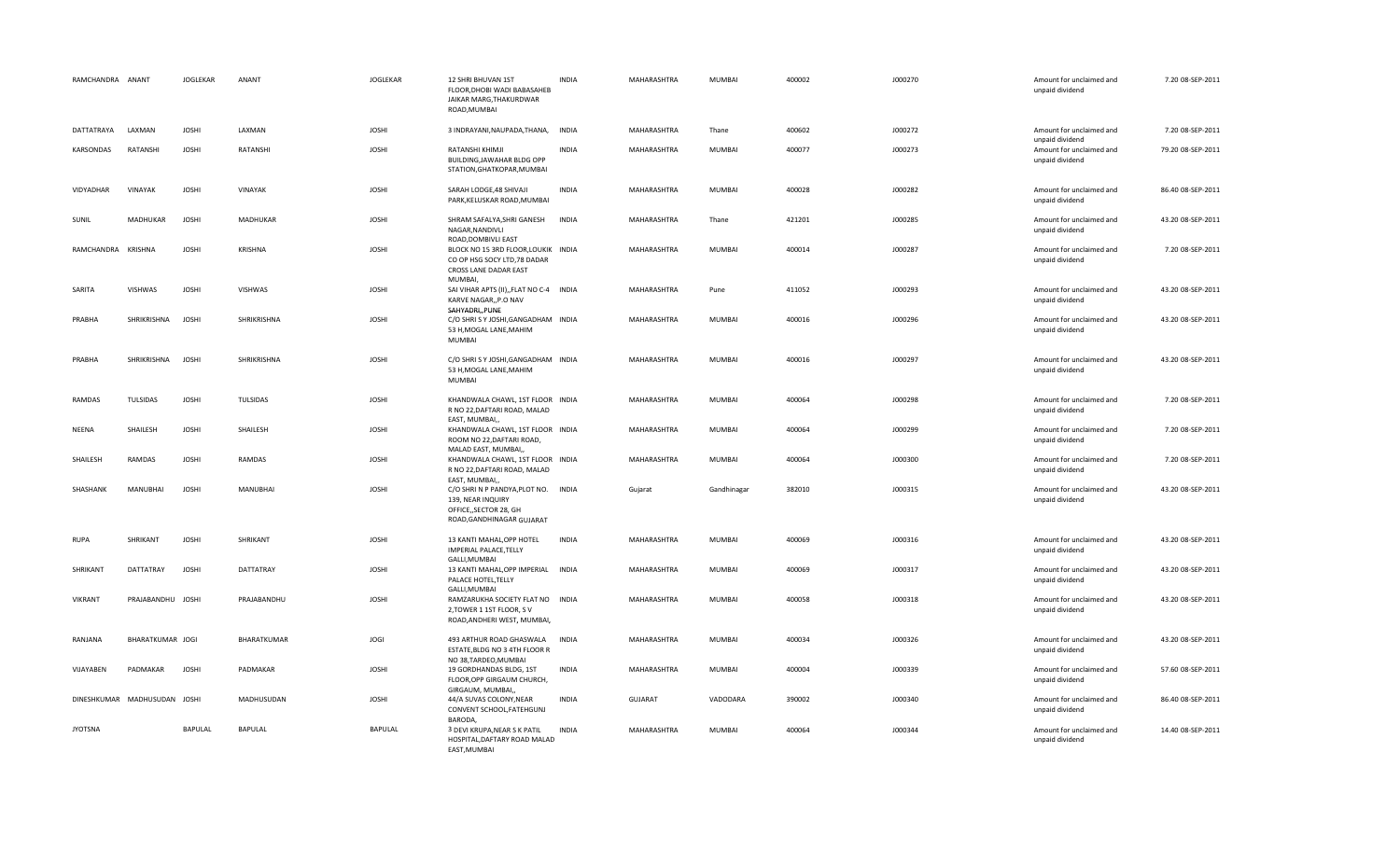| RAMCHANDRA ANANT   |                              | <b>JOGLEKAR</b> | ANANT           | JOGLEKAR       | 12 SHRI BHUVAN 1ST<br>FLOOR, DHOBI WADI BABASAHEB<br>JAIKAR MARG, THAKURDWAR<br>ROAD, MUMBAI                   | <b>INDIA</b> | MAHARASHTRA    | <b>MUMBAI</b> | 400002 | J000270 | Amount for unclaimed and<br>unpaid dividend | 7.20 08-SEP-2011  |
|--------------------|------------------------------|-----------------|-----------------|----------------|----------------------------------------------------------------------------------------------------------------|--------------|----------------|---------------|--------|---------|---------------------------------------------|-------------------|
| DATTATRAYA         | LAXMAN                       | <b>JOSHI</b>    | LAXMAN          | <b>JOSHI</b>   | 3 INDRAYANI, NAUPADA, THANA,                                                                                   | <b>INDIA</b> | MAHARASHTRA    | Thane         | 400602 | J000272 | Amount for unclaimed and<br>unpaid dividend | 7.20 08-SEP-2011  |
| KARSONDAS          | RATANSHI                     | <b>JOSHI</b>    | RATANSHI        | <b>JOSHI</b>   | RATANSHI KHIMJI<br>BUILDING, JAWAHAR BLDG OPP<br>STATION, GHATKOPAR, MUMBAI                                    | <b>INDIA</b> | MAHARASHTRA    | <b>MUMBAI</b> | 400077 | J000273 | Amount for unclaimed and<br>unpaid dividend | 79.20 08-SEP-2011 |
| VIDYADHAR          | VINAYAK                      | <b>JOSHI</b>    | <b>VINAYAK</b>  | <b>JOSHI</b>   | SARAH LODGE, 48 SHIVAJI<br>PARK, KELUSKAR ROAD, MUMBAI                                                         | <b>INDIA</b> | MAHARASHTRA    | <b>MUMBAI</b> | 400028 | J000282 | Amount for unclaimed and<br>unpaid dividend | 86.40 08-SEP-2011 |
| SUNIL              | MADHUKAR                     | <b>JOSHI</b>    | <b>MADHUKAR</b> | <b>JOSHI</b>   | SHRAM SAFALYA.SHRI GANESH<br>NAGAR, NANDIVLI<br>ROAD, DOMBIVLI EAST                                            | <b>INDIA</b> | MAHARASHTRA    | Thane         | 421201 | J000285 | Amount for unclaimed and<br>unpaid dividend | 43.20 08-SEP-2011 |
| RAMCHANDRA KRISHNA |                              | <b>JOSHI</b>    | <b>KRISHNA</b>  | <b>JOSHI</b>   | BLOCK NO 15 3RD FLOOR, LOUKIK INDIA<br>CO OP HSG SOCY LTD,78 DADAR<br>CROSS LANE DADAR EAST<br>MUMBAI,         |              | MAHARASHTRA    | <b>MUMBAI</b> | 400014 | J000287 | Amount for unclaimed and<br>unpaid dividend | 7.20 08-SEP-2011  |
| SARITA             | VISHWAS                      | <b>JOSHI</b>    | VISHWAS         | <b>JOSHI</b>   | SAI VIHAR APTS (II), FLAT NO C-4 INDIA<br>KARVE NAGAR,, P.O NAV<br>SAHYADRI,, PUNE                             |              | MAHARASHTRA    | Pune          | 411052 | J000293 | Amount for unclaimed and<br>unpaid dividend | 43.20 08-SEP-2011 |
| PRABHA             | SHRIKRISHNA                  | <b>JOSHI</b>    | SHRIKRISHNA     | <b>JOSHI</b>   | C/O SHRISY JOSHI, GANGADHAM INDIA<br>53 H, MOGAL LANE, MAHIM<br><b>MUMBAI</b>                                  |              | MAHARASHTRA    | <b>MUMBAI</b> | 400016 | J000296 | Amount for unclaimed and<br>unpaid dividend | 43.20 08-SEP-2011 |
| PRABHA             | SHRIKRISHNA                  | <b>JOSHI</b>    | SHRIKRISHNA     | <b>JOSHI</b>   | C/O SHRISY JOSHI, GANGADHAM INDIA<br>53 H, MOGAL LANE, MAHIM<br><b>MUMBAI</b>                                  |              | MAHARASHTRA    | MUMBAI        | 400016 | J000297 | Amount for unclaimed and<br>unpaid dividend | 43.20 08-SEP-2011 |
| RAMDAS             | <b>TULSIDAS</b>              | <b>JOSHI</b>    | TULSIDAS        | <b>JOSHI</b>   | KHANDWALA CHAWL, 1ST FLOOR INDIA<br>R NO 22, DAFTARI ROAD, MALAD<br>EAST, MUMBAI,                              |              | MAHARASHTRA    | <b>MUMBAI</b> | 400064 | J000298 | Amount for unclaimed and<br>unpaid dividend | 7.20 08-SEP-2011  |
| NEENA              | SHAILESH                     | <b>JOSHI</b>    | SHAILESH        | <b>JOSHI</b>   | KHANDWALA CHAWL, 1ST FLOOR INDIA<br>ROOM NO 22, DAFTARI ROAD,<br>MALAD EAST, MUMBAI,,                          |              | MAHARASHTRA    | <b>MUMBAI</b> | 400064 | J000299 | Amount for unclaimed and<br>unpaid dividend | 7.20 08-SEP-2011  |
| SHAILESH           | RAMDAS                       | <b>JOSHI</b>    | RAMDAS          | <b>JOSHI</b>   | KHANDWALA CHAWL, 1ST FLOOR INDIA<br>R NO 22, DAFTARI ROAD, MALAD<br>EAST, MUMBAI,                              |              | MAHARASHTRA    | <b>MUMBAI</b> | 400064 | J000300 | Amount for unclaimed and<br>unpaid dividend | 7.20 08-SEP-2011  |
| SHASHANK           | MANUBHAI                     | <b>JOSHI</b>    | MANUBHAI        | <b>JOSHI</b>   | C/O SHRIN P PANDYA, PLOT NO. INDIA<br>139, NEAR INQUIRY<br>OFFICE,, SECTOR 28, GH<br>ROAD, GANDHINAGAR GUJARAT |              | Gujarat        | Gandhinagar   | 382010 | J000315 | Amount for unclaimed and<br>unpaid dividend | 43.20 08-SEP-2011 |
| RUPA               | SHRIKANT                     | <b>JOSHI</b>    | SHRIKANT        | <b>JOSHI</b>   | 13 KANTI MAHAL, OPP HOTEL<br>IMPERIAL PALACE, TELLY<br>GALLI, MUMBAI                                           | INDIA        | MAHARASHTRA    | MUMBAI        | 400069 | J000316 | Amount for unclaimed and<br>unpaid dividend | 43.20 08-SEP-2011 |
| SHRIKANT           | DATTATRAY                    | <b>JOSHI</b>    | DATTATRAY       | <b>JOSHI</b>   | 13 KANTI MAHAL, OPP IMPERIAL INDIA<br>PALACE HOTEL, TELLY<br>GALLI, MUMBAI                                     |              | MAHARASHTRA    | <b>MUMBAI</b> | 400069 | J000317 | Amount for unclaimed and<br>unpaid dividend | 43.20 08-SEP-2011 |
| <b>VIKRANT</b>     | PRAJABANDHU JOSHI            |                 | PRAJABANDHU     | <b>JOSHI</b>   | RAMZARUKHA SOCIETY FLAT NO INDIA<br>2, TOWER 1 1ST FLOOR, SV<br>ROAD, ANDHERI WEST, MUMBAI,                    |              | MAHARASHTRA    | <b>MUMBAI</b> | 400058 | J000318 | Amount for unclaimed and<br>unpaid dividend | 43.20 08-SEP-2011 |
| RANJANA            | BHARATKUMAR JOGI             |                 | BHARATKUMAR     | <b>JOGI</b>    | 493 ARTHUR ROAD GHASWALA<br>ESTATE, BLDG NO 3 4TH FLOOR R<br>NO 38, TARDEO, MUMBAI                             | <b>INDIA</b> | MAHARASHTRA    | <b>MUMBAI</b> | 400034 | J000326 | Amount for unclaimed and<br>unpaid dividend | 43.20 08-SEP-2011 |
| VIJAYABEN          | PADMAKAR                     | <b>JOSHI</b>    | PADMAKAR        | <b>JOSHI</b>   | 19 GORDHANDAS BLDG, 1ST<br>FLOOR, OPP GIRGAUM CHURCH,<br>GIRGAUM, MUMBAI,,                                     | <b>INDIA</b> | MAHARASHTRA    | <b>MUMBAI</b> | 400004 | J000339 | Amount for unclaimed and<br>unpaid dividend | 57.60 08-SEP-2011 |
|                    | DINESHKUMAR MADHUSUDAN JOSHI |                 | MADHUSUDAN      | <b>JOSHI</b>   | 44/A SUVAS COLONY, NEAR<br>CONVENT SCHOOL, FATEHGUNJ<br>BARODA,                                                | <b>INDIA</b> | <b>GUJARAT</b> | VADODARA      | 390002 | J000340 | Amount for unclaimed and<br>unpaid dividend | 86.40 08-SEP-2011 |
| <b>JYOTSNA</b>     |                              | <b>BAPULAL</b>  | <b>BAPULAL</b>  | <b>BAPULAL</b> | 3 DEVI KRUPA, NEAR S K PATIL<br>HOSPITAL, DAFTARY ROAD MALAD<br>EAST, MUMBAI                                   | <b>INDIA</b> | MAHARASHTRA    | <b>MUMBAI</b> | 400064 | J000344 | Amount for unclaimed and<br>unpaid dividend | 14.40 08-SEP-2011 |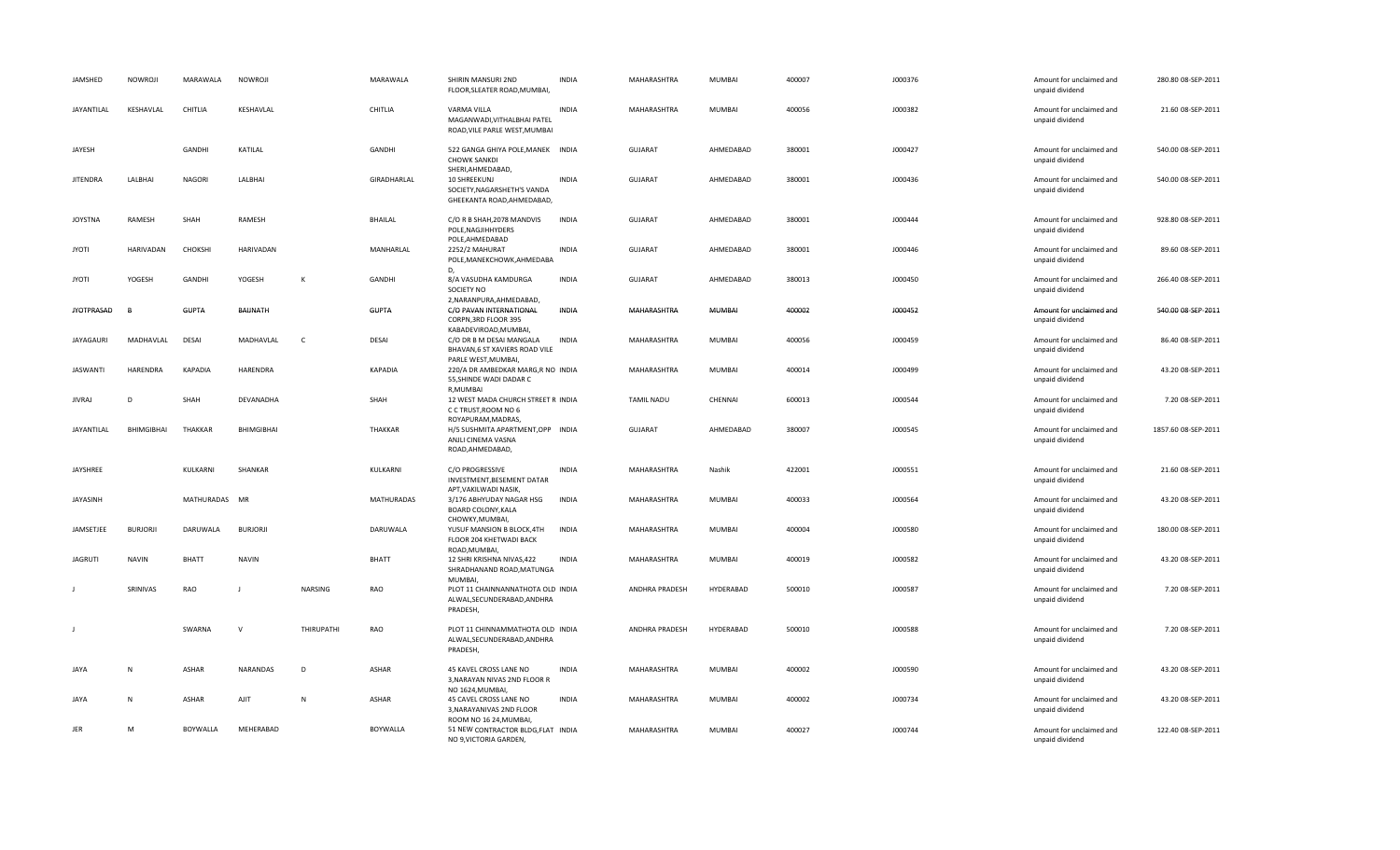| JAMSHED           | <b>NOWROJI</b>    | MARAWALA       | NOWROJI         |            | MARAWALA          | SHIRIN MANSURI 2ND<br>FLOOR, SLEATER ROAD, MUMBAI,                                                | <b>INDIA</b> | MAHARASHTRA       | MUMBAI    | 400007 | J000376 | Amount for unclaimed and<br>unpaid dividend | 280.80 08-SEP-2011  |
|-------------------|-------------------|----------------|-----------------|------------|-------------------|---------------------------------------------------------------------------------------------------|--------------|-------------------|-----------|--------|---------|---------------------------------------------|---------------------|
| JAYANTILAL        | KESHAVLAL         | CHITLIA        | KESHAVLAL       |            | CHITLIA           | VARMA VILLA<br>MAGANWADI, VITHALBHAI PATEL<br>ROAD, VILE PARLE WEST, MUMBAI                       | <b>INDIA</b> | MAHARASHTRA       | MUMBAI    | 400056 | J000382 | Amount for unclaimed and<br>unpaid dividend | 21.60 08-SEP-2011   |
| JAYESH            |                   | GANDHI         | KATILAL         |            | GANDHI            | 522 GANGA GHIYA POLE, MANEK INDIA<br><b>CHOWK SANKDI</b>                                          |              | GUJARAT           | AHMEDABAD | 380001 | J000427 | Amount for unclaimed and<br>unpaid dividend | 540.00 08-SEP-2011  |
| <b>JITENDRA</b>   | LALBHAI           | <b>NAGORI</b>  | LALBHAI         |            | GIRADHARLAL       | SHERI, AHMEDABAD,<br>10 SHREEKUNJ<br>SOCIETY, NAGARSHETH'S VANDA<br>GHEEKANTA ROAD, AHMEDABAD,    | <b>INDIA</b> | GUJARAT           | AHMEDABAD | 380001 | J000436 | Amount for unclaimed and<br>unpaid dividend | 540.00 08-SEP-2011  |
| <b>JOYSTNA</b>    | RAMESH            | SHAH           | RAMESH          |            | <b>BHAILAL</b>    | C/O R B SHAH, 2078 MANDVIS<br>POLE, NAGJIHHYDERS<br>POLE, AHMEDABAD                               | <b>INDIA</b> | GUJARAT           | AHMEDABAD | 380001 | J000444 | Amount for unclaimed and<br>unpaid dividend | 928.80 08-SEP-2011  |
| <b>ITOYL</b>      | HARIVADAN         | CHOKSHI        | HARIVADAN       |            | MANHARLAL         | 2252/2 MAHURAT<br>POLE, MANEKCHOWK, AHMEDABA                                                      | <b>INDIA</b> | <b>GUJARAT</b>    | AHMEDABAD | 380001 | J000446 | Amount for unclaimed and<br>unpaid dividend | 89.60 08-SEP-2011   |
| <b>JYOTI</b>      | YOGESH            | <b>GANDHI</b>  | YOGESH          | к          | GANDHI            | D,<br>8/A VASUDHA KAMDURGA<br>SOCIETY NO<br>2, NARANPURA, AHMEDABAD,                              | <b>INDIA</b> | <b>GUJARAT</b>    | AHMEDABAD | 380013 | J000450 | Amount for unclaimed and<br>unpaid dividend | 266.40 08-SEP-2011  |
| <b>JYOTPRASAD</b> |                   | <b>GUPTA</b>   | BAUNATH         |            | <b>GUPTA</b>      | C/O PAVAN INTERNATIONAL<br>CORPN, 3RD FLOOR 395                                                   | INDIA        | MAHARASHTRA       | MUMBAI    | 400002 | J000452 | Amount for unclaimed and<br>unpaid dividend | 540.00 08-SEP-2011  |
| JAYAGAURI         | MADHAVLAL         | DESAI          | MADHAVLAL       | <b>C</b>   | DESAI             | KABADEVIROAD, MUMBAI,<br>C/O DR B M DESAI MANGALA<br>BHAVAN, 6 ST XAVIERS ROAD VILE               | <b>INDIA</b> | MAHARASHTRA       | MUMBAI    | 400056 | J000459 | Amount for unclaimed and<br>unpaid dividend | 86.40 08-SEP-2011   |
| JASWANTI          | HARENDRA          | <b>KAPADIA</b> | HARENDRA        |            | KAPADIA           | PARLE WEST, MUMBAI,<br>220/A DR AMBEDKAR MARG,R NO INDIA<br>55, SHINDE WADI DADAR C               |              | MAHARASHTRA       | MUMBAI    | 400014 | J000499 | Amount for unclaimed and<br>unpaid dividend | 43.20 08-SEP-2011   |
| <b>JIVRAJ</b>     | D                 | SHAH           | DEVANADHA       |            | SHAH              | R, MUMBAI<br>12 WEST MADA CHURCH STREET R INDIA<br>C C TRUST, ROOM NO 6                           |              | <b>TAMIL NADU</b> | CHENNAI   | 600013 | J000544 | Amount for unclaimed and<br>unpaid dividend | 7.20 08-SEP-2011    |
| JAYANTILAL        | <b>BHIMGIBHAI</b> | THAKKAR        | BHIMGIBHAI      |            | THAKKAR           | ROYAPURAM, MADRAS,<br>H/5 SUSHMITA APARTMENT, OPP INDIA<br>ANJLI CINEMA VASNA<br>ROAD, AHMEDABAD, |              | <b>GUJARAT</b>    | AHMEDABAD | 380007 | J000545 | Amount for unclaimed and<br>unpaid dividend | 1857.60 08-SEP-2011 |
| JAYSHREE          |                   | KULKARNI       | SHANKAR         |            | KULKARNI          | C/O PROGRESSIVE<br>INVESTMENT, BESEMENT DATAR<br>APT, VAKILWADI NASIK,                            | <b>INDIA</b> | MAHARASHTRA       | Nashik    | 422001 | J000551 | Amount for unclaimed and<br>unpaid dividend | 21.60 08-SEP-2011   |
| JAYASINH          |                   | MATHURADAS MR  |                 |            | <b>MATHURADAS</b> | 3/176 ABHYUDAY NAGAR HSG<br>BOARD COLONY, KALA<br>CHOWKY, MUMBAI,                                 | INDIA        | MAHARASHTRA       | MUMBAI    | 400033 | J000564 | Amount for unclaimed and<br>unpaid dividend | 43.20 08-SEP-2011   |
| JAMSETJEE         | <b>BURJORJI</b>   | DARUWALA       | <b>BURJORJI</b> |            | DARUWALA          | YUSUF MANSION B BLOCK, 4TH<br>FLOOR 204 KHETWADI BACK<br>ROAD, MUMBAI,                            | <b>INDIA</b> | MAHARASHTRA       | MUMBAI    | 400004 | J000580 | Amount for unclaimed and<br>unpaid dividend | 180.00 08-SEP-2011  |
| <b>JAGRUTI</b>    | <b>NAVIN</b>      | <b>BHATT</b>   | <b>NAVIN</b>    |            | <b>BHATT</b>      | 12 SHRI KRISHNA NIVAS, 422<br>SHRADHANAND ROAD, MATUNGA<br>MUMBAI.                                | <b>INDIA</b> | MAHARASHTRA       | MUMBAI    | 400019 | J000582 | Amount for unclaimed and<br>unpaid dividend | 43.20 08-SEP-2011   |
|                   | SRINIVAS          | RAO            | - 1             | NARSING    | RAO               | PLOT 11 CHAINNANNATHOTA OLD INDIA<br>ALWAL, SECUNDERABAD, ANDHRA<br>PRADESH,                      |              | ANDHRA PRADESH    | HYDERABAD | 500010 | J000587 | Amount for unclaimed and<br>unpaid dividend | 7.20 08-SEP-2011    |
| J                 |                   | SWARNA         | $\mathsf{v}$    | THIRUPATHI | RAO               | PLOT 11 CHINNAMMATHOTA OLD INDIA<br>ALWAL, SECUNDERABAD, ANDHRA<br>PRADESH,                       |              | ANDHRA PRADESH    | HYDERABAD | 500010 | J000588 | Amount for unclaimed and<br>unpaid dividend | 7.20 08-SEP-2011    |
| JAYA              | N                 | ASHAR          | NARANDAS        | D          | ASHAR             | 45 KAVEL CROSS LANE NO<br>3, NARAYAN NIVAS 2ND FLOOR R<br>NO 1624, MUMBAI,                        | <b>INDIA</b> | MAHARASHTRA       | MUMBAI    | 400002 | J000590 | Amount for unclaimed and<br>unpaid dividend | 43.20 08-SEP-2011   |
| JAYA              | N                 | ASHAR          | AJIT            | N          | ASHAR             | 45 CAVEL CROSS LANE NO<br>3, NARAYANIVAS 2ND FLOOR<br>ROOM NO 16 24, MUMBAI,                      | <b>INDIA</b> | MAHARASHTRA       | MUMBAI    | 400002 | J000734 | Amount for unclaimed and<br>unpaid dividend | 43.20 08-SEP-2011   |
| JER               | M                 | BOYWALLA       | MEHERABAD       |            | BOYWALLA          | 51 NEW CONTRACTOR BLDG, FLAT INDIA<br>NO 9, VICTORIA GARDEN,                                      |              | MAHARASHTRA       | MUMBAI    | 400027 | J000744 | Amount for unclaimed and<br>unpaid dividend | 122.40 08-SEP-2011  |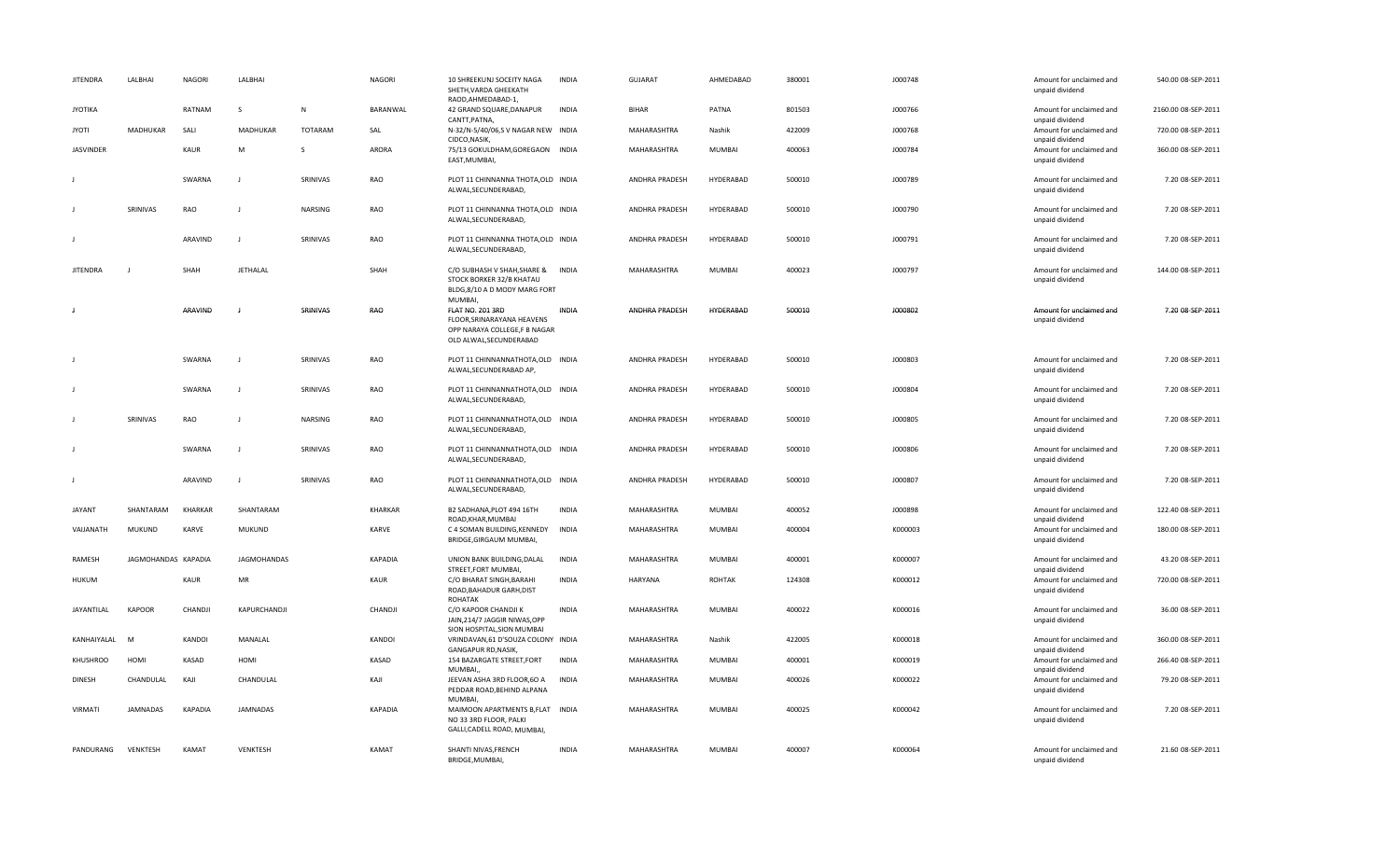| <b>JITENDRA</b>  | LALBHAI             | <b>NAGORI</b>  | LALBHAI            |          | <b>NAGORI</b> | 10 SHREEKUNJ SOCEITY NAGA<br>SHETH, VARDA GHEEKATH<br>RAOD, AHMEDABAD-1,                                         | <b>INDIA</b> | GUJARAT        | AHMEDABAD     | 380001 | J000748 | Amount for unclaimed and<br>unpaid dividend | 540.00 08-SEP-2011  |
|------------------|---------------------|----------------|--------------------|----------|---------------|------------------------------------------------------------------------------------------------------------------|--------------|----------------|---------------|--------|---------|---------------------------------------------|---------------------|
| <b>JYOTIKA</b>   |                     | RATNAM         | S                  | N        | BARANWAL      | 42 GRAND SQUARE, DANAPUR<br>CANTT, PATNA,                                                                        | <b>INDIA</b> | <b>BIHAR</b>   | PATNA         | 801503 | J000766 | Amount for unclaimed and<br>unpaid dividend | 2160.00 08-SEP-2011 |
| <b>JYOTI</b>     | MADHUKAR            | SALI           | MADHUKAR           | TOTARAM  | SAL           | N-32/N-5/40/06,SV NAGAR NEW INDIA<br>CIDCO, NASIK,                                                               |              | MAHARASHTRA    | Nashik        | 422009 | J000768 | Amount for unclaimed and<br>unpaid dividend | 720.00 08-SEP-2011  |
| <b>JASVINDER</b> |                     | KAUR           | M                  | S        | ARORA         | 75/13 GOKULDHAM, GOREGAON INDIA<br>EAST, MUMBAI,                                                                 |              | MAHARASHTRA    | <b>MUMBAI</b> | 400063 | J000784 | Amount for unclaimed and<br>unpaid dividend | 360.00 08-SEP-2011  |
|                  |                     | SWARNA         | $\perp$            | SRINIVAS | RAO           | PLOT 11 CHINNANNA THOTA, OLD INDIA<br>ALWAL, SECUNDERABAD,                                                       |              | ANDHRA PRADESH | HYDERABAD     | 500010 | J000789 | Amount for unclaimed and<br>unpaid dividend | 7.20 08-SEP-2011    |
|                  | SRINIVAS            | RAO            |                    | NARSING  | RAO           | PLOT 11 CHINNANNA THOTA, OLD INDIA<br>ALWAL, SECUNDERABAD,                                                       |              | ANDHRA PRADESH | HYDERABAD     | 500010 | J000790 | Amount for unclaimed and<br>unpaid dividend | 7.20 08-SEP-2011    |
|                  |                     | ARAVIND        | - 1                | SRINIVAS | RAO           | PLOT 11 CHINNANNA THOTA, OLD INDIA<br>ALWAL, SECUNDERABAD,                                                       |              | ANDHRA PRADESH | HYDERABAD     | 500010 | J000791 | Amount for unclaimed and<br>unpaid dividend | 7.20 08-SEP-2011    |
| <b>JITENDRA</b>  |                     | SHAH           | JETHALAL           |          | SHAH          | C/O SUBHASH V SHAH, SHARE & INDIA<br>STOCK BORKER 32/B KHATAU<br>BLDG,8/10 A D MODY MARG FORT<br><b>MUMBAI</b>   |              | MAHARASHTRA    | <b>MUMBAI</b> | 400023 | J000797 | Amount for unclaimed and<br>unpaid dividend | 144.00 08-SEP-2011  |
| J                |                     | ARAVIND        |                    | SRINIVAS | RAO           | <b>FLAT NO. 201 3RD</b><br>FLOOR, SRINARAYANA HEAVENS<br>OPP NARAYA COLLEGE,F B NAGAR<br>OLD ALWAL, SECUNDERABAD | <b>INDIA</b> | ANDHRA PRADESH | HYDERABAD     | 500010 | J000802 | Amount for unclaimed and<br>unpaid dividend | 7.20 08-SEP-2011    |
| J                |                     | SWARNA         |                    | SRINIVAS | RAO           | PLOT 11 CHINNANNATHOTA, OLD INDIA<br>ALWAL, SECUNDERABAD AP,                                                     |              | ANDHRA PRADESH | HYDERABAD     | 500010 | J000803 | Amount for unclaimed and<br>unpaid dividend | 7.20 08-SEP-2011    |
|                  |                     | SWARNA         | - 1                | SRINIVAS | RAO           | PLOT 11 CHINNANNATHOTA, OLD INDIA<br>ALWAL, SECUNDERABAD,                                                        |              | ANDHRA PRADESH | HYDERABAD     | 500010 | J000804 | Amount for unclaimed and<br>unpaid dividend | 7.20 08-SEP-2011    |
|                  | SRINIVAS            | RAO            | - 1                | NARSING  | RAO           | PLOT 11 CHINNANNATHOTA, OLD INDIA<br>ALWAL, SECUNDERABAD,                                                        |              | ANDHRA PRADESH | HYDERABAD     | 500010 | J000805 | Amount for unclaimed and<br>unpaid dividend | 7.20 08-SEP-2011    |
| $\mathbf{I}$     |                     | SWARNA         | $\blacksquare$     | SRINIVAS | RAO           | PLOT 11 CHINNANNATHOTA, OLD INDIA<br>ALWAL, SECUNDERABAD,                                                        |              | ANDHRA PRADESH | HYDERABAD     | 500010 | J000806 | Amount for unclaimed and<br>unpaid dividend | 7.20 08-SEP-2011    |
| J                |                     | ARAVIND        | - 1                | SRINIVAS | RAO           | PLOT 11 CHINNANNATHOTA, OLD INDIA<br>ALWAL, SECUNDERABAD,                                                        |              | ANDHRA PRADESH | HYDERABAD     | 500010 | J000807 | Amount for unclaimed and<br>unpaid dividend | 7.20 08-SEP-2011    |
| <b>JAYANT</b>    | SHANTARAM           | KHARKAR        | SHANTARAM          |          | KHARKAR       | B2 SADHANA, PLOT 494 16TH<br>ROAD, KHAR, MUMBAI                                                                  | <b>INDIA</b> | MAHARASHTRA    | <b>MUMBAI</b> | 400052 | J000898 | Amount for unclaimed and<br>unpaid dividend | 122.40 08-SEP-2011  |
| VAIJANATH        | MUKUND              | <b>KARVE</b>   | <b>MUKUND</b>      |          | <b>KARVE</b>  | C 4 SOMAN BUILDING, KENNEDY<br>BRIDGE, GIRGAUM MUMBAI,                                                           | INDIA        | MAHARASHTRA    | <b>MUMBAI</b> | 400004 | K000003 | Amount for unclaimed and<br>unpaid dividend | 180.00 08-SEP-2011  |
| RAMESH           | JAGMOHANDAS KAPADIA |                | <b>JAGMOHANDAS</b> |          | KAPADIA       | UNION BANK BUILDING, DALAL<br>STREET, FORT MUMBAI,                                                               | <b>INDIA</b> | MAHARASHTRA    | MUMBAI        | 400001 | K000007 | Amount for unclaimed and<br>unpaid dividend | 43.20 08-SEP-2011   |
| <b>HUKUM</b>     |                     | KAUR           | MR                 |          | KAUR          | C/O BHARAT SINGH, BARAHI<br>ROAD, BAHADUR GARH, DIST<br><b>ROHATAK</b>                                           | <b>INDIA</b> | HARYANA        | ROHTAK        | 124308 | K000012 | Amount for unclaimed and<br>unpaid dividend | 720.00 08-SEP-2011  |
| JAYANTILAL       | KAPOOR              | CHANDJI        | KAPURCHANDJI       |          | CHANDJI       | C/O KAPOOR CHANDJI K<br>JAIN, 214/7 JAGGIR NIWAS, OPP<br>SION HOSPITAL, SION MUMBAI                              | <b>INDIA</b> | MAHARASHTRA    | MUMBAI        | 400022 | K000016 | Amount for unclaimed and<br>unpaid dividend | 36.00 08-SEP-2011   |
| KANHAIYALAL      | M                   | KANDOI         | MANALAL            |          | KANDOI        | VRINDAVAN, 61 D'SOUZA COLONY INDIA<br>GANGAPUR RD, NASIK                                                         |              | MAHARASHTRA    | Nashik        | 422005 | K000018 | Amount for unclaimed and<br>unpaid dividend | 360.00 08-SEP-2011  |
| <b>KHUSHROO</b>  | HOMI                | KASAD          | HOMI               |          | KASAD         | 154 BAZARGATE STREET, FORT<br>MUMBAI,                                                                            | <b>INDIA</b> | MAHARASHTRA    | <b>MUMBAI</b> | 400001 | K000019 | Amount for unclaimed and<br>unpaid dividend | 266.40 08-SEP-2011  |
| <b>DINESH</b>    | CHANDULAL           | KAJI           | CHANDULAL          |          | KAJI          | JEEVAN ASHA 3RD FLOOR,60 A<br>PEDDAR ROAD, BEHIND ALPANA<br>MUMBAI.                                              | <b>INDIA</b> | MAHARASHTRA    | MUMBAI        | 400026 | K000022 | Amount for unclaimed and<br>unpaid dividend | 79.20 08-SEP-2011   |
| VIRMATI          | <b>JAMNADAS</b>     | <b>KAPADIA</b> | <b>JAMNADAS</b>    |          | KAPADIA       | MAIMOON APARTMENTS B, FLAT INDIA<br>NO 33 3RD FLOOR, PALKI<br>GALLI, CADELL ROAD, MUMBAI,                        |              | MAHARASHTRA    | <b>MUMBAI</b> | 400025 | K000042 | Amount for unclaimed and<br>unpaid dividend | 7.20 08-SEP-2011    |
| PANDURANG        | VENKTESH            | KAMAT          | VENKTESH           |          | KAMAT         | SHANTI NIVAS, FRENCH<br>BRIDGE, MUMBAI,                                                                          | <b>INDIA</b> | MAHARASHTRA    | <b>MUMBAI</b> | 400007 | K000064 | Amount for unclaimed and<br>unpaid dividend | 21.60 08-SEP-2011   |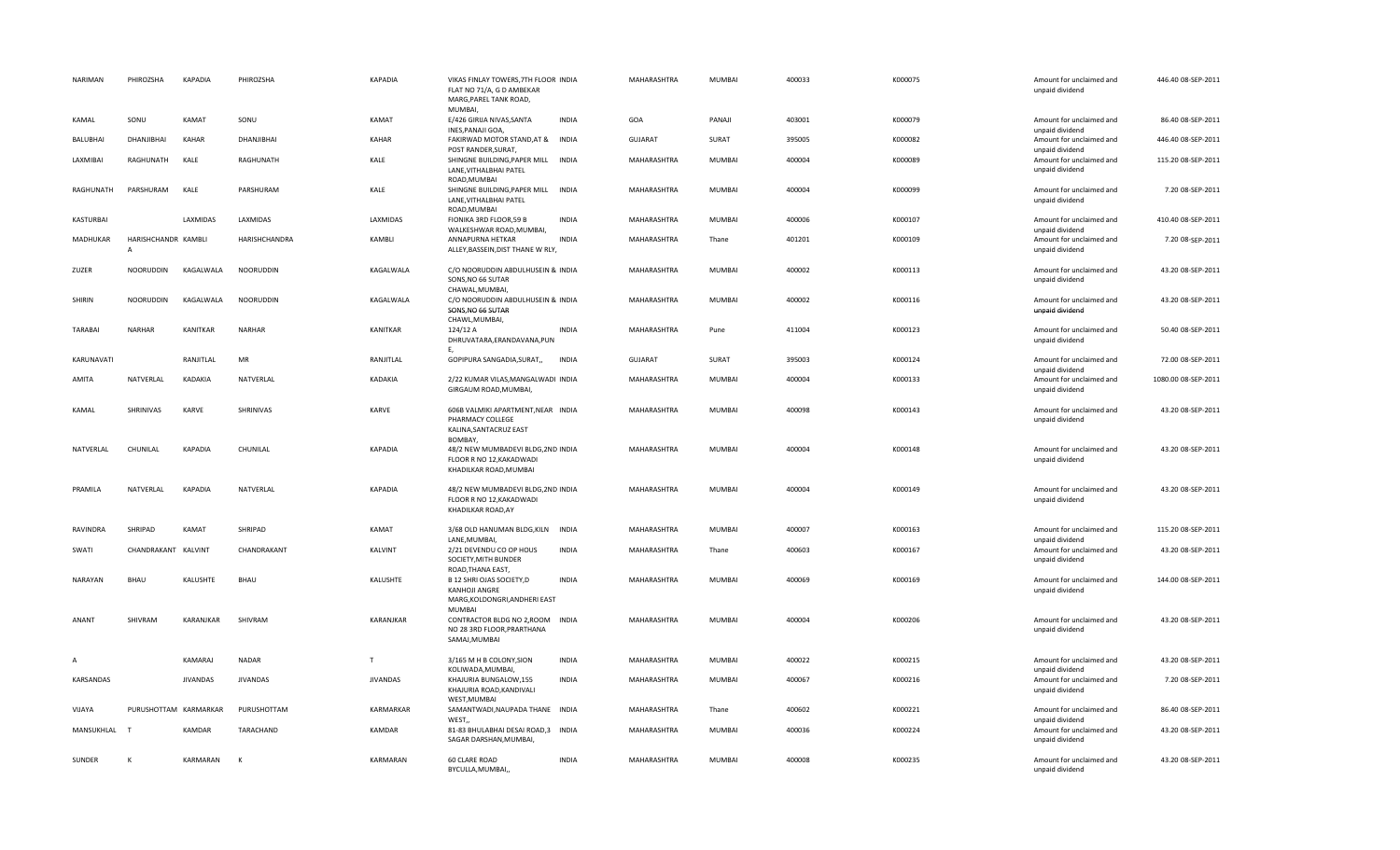| NARIMAN        | PHIROZSHA                | <b>KAPADIA</b>  | PHIROZSHA       | <b>KAPADIA</b>  | VIKAS FINLAY TOWERS, 7TH FLOOR INDIA<br>FLAT NO 71/A, G D AMBEKAR<br>MARG, PAREL TANK ROAD,<br>MUMBAI, |              | MAHARASHTRA    | <b>MUMBAI</b> | 400033 | K000075 | Amount for unclaimed and<br>unpaid dividend | 446.40 08-SEP-2011  |
|----------------|--------------------------|-----------------|-----------------|-----------------|--------------------------------------------------------------------------------------------------------|--------------|----------------|---------------|--------|---------|---------------------------------------------|---------------------|
| KAMAL          | SONU                     | KAMAT           | SONU            | KAMAT           | E/426 GIRIJA NIVAS, SANTA<br>INES, PANAJI GOA,                                                         | <b>INDIA</b> | GOA            | PANAJI        | 403001 | K000079 | Amount for unclaimed and<br>unpaid dividend | 86.40 08-SEP-2011   |
| BALUBHAI       | DHANJIBHAI               | KAHAR           | DHANJIBHAI      | KAHAR           | FAKIRWAD MOTOR STAND, AT & INDIA<br>POST RANDER, SURAT,                                                |              | <b>GUJARAT</b> | SURAT         | 395005 | K000082 | Amount for unclaimed and<br>unpaid dividend | 446.40 08-SEP-2011  |
| LAXMIBAI       | RAGHUNATH                | KALE            | RAGHUNATH       | KALE            | SHINGNE BUILDING, PAPER MILL INDIA<br>LANE, VITHALBHAI PATEL                                           |              | MAHARASHTRA    | <b>MUMBAI</b> | 400004 | K000089 | Amount for unclaimed and<br>unpaid dividend | 115.20 08-SEP-2011  |
| RAGHUNATH      | PARSHURAM                | KALE            | PARSHURAM       | KALE            | ROAD, MUMBAI<br>SHINGNE BUILDING, PAPER MILL INDIA<br>LANE, VITHALBHAI PATEL<br>ROAD, MUMBAI           |              | MAHARASHTRA    | MUMBAI        | 400004 | K000099 | Amount for unclaimed and<br>unpaid dividend | 7.20 08-SEP-2011    |
| KASTURBAI      |                          | LAXMIDAS        | LAXMIDAS        | LAXMIDAS        | FIONIKA 3RD FLOOR, 59 B<br>WALKESHWAR ROAD, MUMBAI,                                                    | <b>INDIA</b> | MAHARASHTRA    | MUMBAI        | 400006 | K000107 | Amount for unclaimed and<br>unpaid dividend | 410.40 08-SEP-2011  |
| MADHUKAR       | HARISHCHANDR KAMBLI<br>A |                 | HARISHCHANDRA   | KAMBLI          | ANNAPURNA HETKAR<br>ALLEY, BASSEIN, DIST THANE W RLY,                                                  | <b>INDIA</b> | MAHARASHTRA    | Thane         | 401201 | K000109 | Amount for unclaimed and<br>unpaid dividend | 7.20 08-SEP-2011    |
| ZUZER          | NOORUDDIN                | KAGALWALA       | NOORUDDIN       | KAGALWALA       | C/O NOORUDDIN ABDULHUSEIN & INDIA<br>SONS, NO 66 SUTAR<br>CHAWAL, MUMBAI,                              |              | MAHARASHTRA    | MUMBAI        | 400002 | K000113 | Amount for unclaimed and<br>unpaid dividend | 43.20 08-SEP-2011   |
| SHIRIN         | NOORUDDIN                | KAGALWALA       | NOORUDDIN       | KAGALWALA       | C/O NOORUDDIN ABDULHUSEIN & INDIA<br>SONS, NO 66 SUTAR<br>CHAWL, MUMBAI,                               |              | MAHARASHTRA    | MUMBAI        | 400002 | K000116 | Amount for unclaimed and<br>unpaid dividend | 43.20 08-SEP-2011   |
| <b>TARABAI</b> | <b>NARHAR</b>            | KANITKAR        | NARHAR          | KANITKAR        | 124/12 A<br>DHRUVATARA, ERANDAVANA, PUN<br>Ε.                                                          | <b>INDIA</b> | MAHARASHTRA    | Pune          | 411004 | K000123 | Amount for unclaimed and<br>unpaid dividend | 50.40 08-SEP-2011   |
| KARUNAVATI     |                          | RANJITLAL       | MR              | RANJITLAL       | GOPIPURA SANGADIA, SURAT,,                                                                             | <b>INDIA</b> | <b>GUJARAT</b> | SURAT         | 395003 | K000124 | Amount for unclaimed and<br>unpaid dividend | 72.00 08-SEP-2011   |
| AMITA          | NATVERLAL                | KADAKIA         | NATVERLAL       | KADAKIA         | 2/22 KUMAR VILAS, MANGALWADI INDIA<br>GIRGAUM ROAD, MUMBAI,                                            |              | MAHARASHTRA    | MUMBAI        | 400004 | K000133 | Amount for unclaimed and<br>unpaid dividend | 1080.00 08-SEP-2011 |
| KAMAL          | SHRINIVAS                | KARVE           | SHRINIVAS       | KARVE           | 606B VALMIKI APARTMENT, NEAR INDIA<br>PHARMACY COLLEGE<br>KALINA, SANTACRUZ EAST<br>BOMBAY,            |              | MAHARASHTRA    | MUMBAI        | 400098 | K000143 | Amount for unclaimed and<br>unpaid dividend | 43.20 08-SEP-2011   |
| NATVERLAL      | CHUNILAL                 | <b>KAPADIA</b>  | CHUNILAL        | KAPADIA         | 48/2 NEW MUMBADEVI BLDG, 2ND INDIA<br>FLOOR R NO 12, KAKADWADI<br>KHADILKAR ROAD, MUMBAI               |              | MAHARASHTRA    | MUMBAI        | 400004 | K000148 | Amount for unclaimed and<br>unpaid dividend | 43.20 08-SEP-2011   |
| PRAMILA        | NATVERLAL                | <b>KAPADIA</b>  | NATVERLAL       | <b>KAPADIA</b>  | 48/2 NEW MUMBADEVI BLDG, 2ND INDIA<br>FLOOR R NO 12, KAKADWADI<br>KHADILKAR ROAD, AY                   |              | MAHARASHTRA    | MUMBAI        | 400004 | K000149 | Amount for unclaimed and<br>unpaid dividend | 43.20 08-SEP-2011   |
| RAVINDRA       | SHRIPAD                  | KAMAT           | SHRIPAD         | KAMAT           | 3/68 OLD HANUMAN BLDG, KILN<br>LANE, MUMBAI,                                                           | <b>INDIA</b> | MAHARASHTRA    | MUMBAI        | 400007 | K000163 | Amount for unclaimed and<br>unpaid dividend | 115.20 08-SEP-2011  |
| SWATI          | CHANDRAKANT              | KALVINT         | CHANDRAKANT     | KALVINT         | 2/21 DEVENDU CO OP HOUS<br>SOCIETY, MITH BUNDER<br>ROAD, THANA EAST,                                   | <b>INDIA</b> | MAHARASHTRA    | Thane         | 400603 | K000167 | Amount for unclaimed and<br>unpaid dividend | 43.20 08-SEP-2011   |
| NARAYAN        | BHAU                     | KALUSHTE        | BHAU            | KALUSHTE        | B 12 SHRI OJAS SOCIETY, D<br>KANHOJI ANGRE<br>MARG, KOLDONGRI, ANDHERI EAST<br><b>MUMBAI</b>           | <b>INDIA</b> | MAHARASHTRA    | MUMBAI        | 400069 | K000169 | Amount for unclaimed and<br>unpaid dividend | 144.00 08-SEP-2011  |
| ANANT          | SHIVRAM                  | KARANJKAR       | SHIVRAM         | KARANJKAR       | CONTRACTOR BLDG NO 2, ROOM INDIA<br>NO 28 3RD FLOOR, PRARTHANA<br>SAMAJ, MUMBAI                        |              | MAHARASHTRA    | MUMBAI        | 400004 | K000206 | Amount for unclaimed and<br>unpaid dividend | 43.20 08-SEP-2011   |
| Α              |                          | KAMARAJ         | <b>NADAR</b>    | T               | 3/165 M H B COLONY, SION<br>KOLIWADA, MUMBAI,                                                          | <b>INDIA</b> | MAHARASHTRA    | MUMBAI        | 400022 | K000215 | Amount for unclaimed and<br>unpaid dividend | 43.20 08-SEP-2011   |
| KARSANDAS      |                          | <b>JIVANDAS</b> | <b>JIVANDAS</b> | <b>JIVANDAS</b> | KHAJURIA BUNGALOW,155<br>KHAJURIA ROAD, KANDIVALI<br>WEST, MUMBAI                                      | <b>INDIA</b> | MAHARASHTRA    | MUMBAI        | 400067 | K000216 | Amount for unclaimed and<br>unpaid dividend | 7.20 08-SEP-2011    |
| VIJAYA         | PURUSHOTTAM KARMARKAR    |                 | PURUSHOTTAM     | KARMARKAR       | SAMANTWADI, NAUPADA THANE INDIA<br>WEST,                                                               |              | MAHARASHTRA    | Thane         | 400602 | K000221 | Amount for unclaimed and<br>unpaid dividend | 86.40 08-SEP-2011   |
| MANSUKHLAL     | T                        | KAMDAR          | TARACHAND       | KAMDAR          | 81-83 BHULABHAI DESAI ROAD,3 INDIA<br>SAGAR DARSHAN, MUMBAI,                                           |              | MAHARASHTRA    | MUMBAI        | 400036 | K000224 | Amount for unclaimed and<br>unpaid dividend | 43.20 08-SEP-2011   |
| SUNDER         | К                        | KARMARAN        | K               | KARMARAN        | 60 CLARE ROAD<br>BYCULLA, MUMBAI,                                                                      | <b>INDIA</b> | MAHARASHTRA    | <b>MUMBAI</b> | 400008 | K000235 | Amount for unclaimed and<br>unpaid dividend | 43.20 08-SEP-2011   |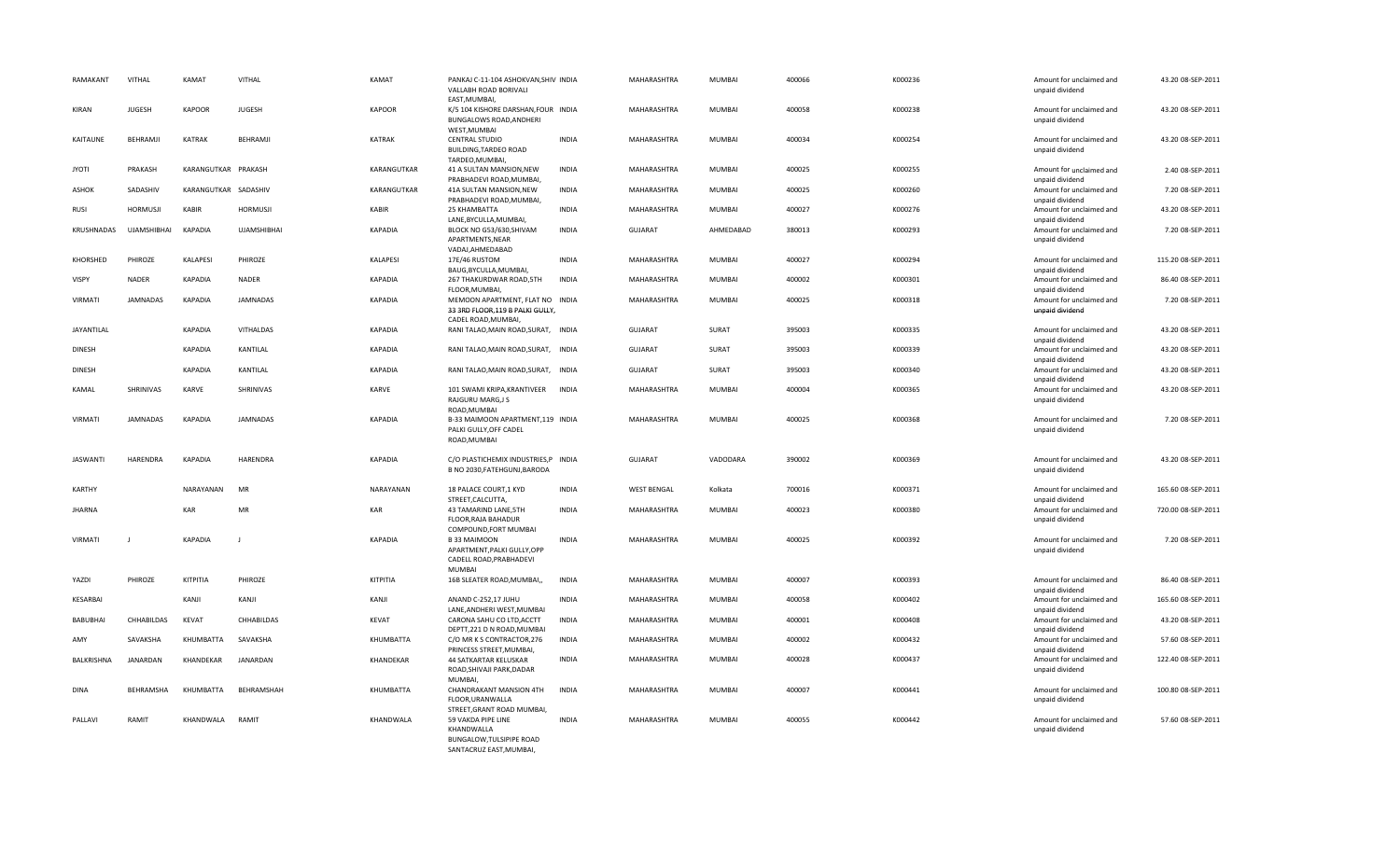| RAMAKANT        | VITHAL             | KAMAT                | VITHAL             | KAMAT          | PANKAJ C-11-104 ASHOKVAN, SHIV INDIA<br>VALLABH ROAD BORIVALI<br>EAST, MUMBAI,             |              | MAHARASHTRA        | MUMBAI        | 400066 | K000236 | Amount for unclaimed and<br>unpaid dividend | 43.20 08-SEP-2011  |
|-----------------|--------------------|----------------------|--------------------|----------------|--------------------------------------------------------------------------------------------|--------------|--------------------|---------------|--------|---------|---------------------------------------------|--------------------|
| KIRAN           | <b>JUGESH</b>      | <b>KAPOOR</b>        | <b>JUGESH</b>      | <b>KAPOOR</b>  | K/5 104 KISHORE DARSHAN, FOUR INDIA<br><b>BUNGALOWS ROAD, ANDHERI</b><br>WEST, MUMBAI      |              | MAHARASHTRA        | MUMBAI        | 400058 | K000238 | Amount for unclaimed and<br>unpaid dividend | 43.20 08-SEP-2011  |
| KAITAUNE        | BEHRAMJI           | <b>KATRAK</b>        | BEHRAMJI           | KATRAK         | <b>CENTRAL STUDIO</b><br>BUILDING, TARDEO ROAD<br>TARDEO, MUMBAI,                          | <b>INDIA</b> | MAHARASHTRA        | MUMBAI        | 400034 | K000254 | Amount for unclaimed and<br>unpaid dividend | 43.20 08-SEP-2011  |
| <b>JYOTI</b>    | PRAKASH            | KARANGUTKAR PRAKASH  |                    | KARANGUTKAR    | 41 A SULTAN MANSION, NEW<br>PRABHADEVI ROAD, MUMBAI,                                       | <b>INDIA</b> | MAHARASHTRA        | MUMBAI        | 400025 | K000255 | Amount for unclaimed and<br>unpaid dividend | 2.40 08-SEP-2011   |
| <b>ASHOK</b>    | SADASHIV           | KARANGUTKAR SADASHIV |                    | KARANGUTKAR    | 41A SULTAN MANSION, NEW<br>PRABHADEVI ROAD, MUMBAI,                                        | <b>INDIA</b> | MAHARASHTRA        | MUMBAI        | 400025 | K000260 | Amount for unclaimed and<br>unpaid dividend | 7.20 08-SEP-2011   |
| RUSI            | <b>HORMUSJI</b>    | <b>KABIR</b>         | <b>HORMUSJI</b>    | KABIR          | 25 KHAMBATTA<br>LANE, BYCULLA, MUMBAI,                                                     | <b>INDIA</b> | MAHARASHTRA        | MUMBAI        | 400027 | K000276 | Amount for unclaimed and<br>unpaid dividend | 43.20 08-SEP-2011  |
| KRUSHNADAS      | <b>UJAMSHIBHAI</b> | <b>KAPADIA</b>       | <b>UJAMSHIBHAI</b> | <b>KAPADIA</b> | BLOCK NO G53/630, SHIVAM<br>APARTMENTS, NEAR<br>VADAJ, AHMEDABAD                           | <b>INDIA</b> | <b>GUJARAT</b>     | AHMEDABAD     | 380013 | K000293 | Amount for unclaimed and<br>unpaid dividend | 7.20 08-SEP-2011   |
| KHORSHED        | PHIROZE            | <b>KALAPESI</b>      | PHIROZE            | KALAPESI       | 17E/46 RUSTOM<br>BAUG, BYCULLA, MUMBAI,                                                    | <b>INDIA</b> | MAHARASHTRA        | MUMBAI        | 400027 | K000294 | Amount for unclaimed and<br>unpaid dividend | 115.20 08-SEP-2011 |
| VISPY           | NADER              | <b>KAPADIA</b>       | <b>NADER</b>       | <b>KAPADIA</b> | 267 THAKURDWAR ROAD, 5TH<br>FLOOR, MUMBAI,                                                 | <b>INDIA</b> | MAHARASHTRA        | MUMBAI        | 400002 | K000301 | Amount for unclaimed and<br>unpaid dividend | 86.40 08-SEP-2011  |
| <b>VIRMATI</b>  | <b>JAMNADAS</b>    | <b>KAPADIA</b>       | <b>JAMNADAS</b>    | <b>KAPADIA</b> | MEMOON APARTMENT, FLAT NO INDIA<br>33 3RD FLOOR, 119 B PALKI GULLY,<br>CADEL ROAD, MUMBAI, |              | <b>MAHARASHTRA</b> | <b>MUMBAI</b> | 400025 | K000318 | Amount for unclaimed and<br>unpaid dividend | 7.20 08-SEP-2011   |
| JAYANTILAL      |                    | <b>KAPADIA</b>       | VITHALDAS          | <b>KAPADIA</b> | RANI TALAO, MAIN ROAD, SURAT, INDIA                                                        |              | <b>GUJARAT</b>     | SURAT         | 395003 | K000335 | Amount for unclaimed and<br>unpaid dividend | 43.20 08-SEP-2011  |
| <b>DINESH</b>   |                    | <b>KAPADIA</b>       | KANTILAL           | <b>KAPADIA</b> | RANI TALAO, MAIN ROAD, SURAT, INDIA                                                        |              | <b>GUJARAT</b>     | SURAT         | 395003 | K000339 | Amount for unclaimed and<br>unpaid dividend | 43.20 08-SEP-2011  |
| <b>DINESH</b>   |                    | <b>KAPADIA</b>       | KANTILAL           | <b>KAPADIA</b> | RANI TALAO, MAIN ROAD, SURAT, INDIA                                                        |              | <b>GUJARAT</b>     | SURAT         | 395003 | K000340 | Amount for unclaimed and<br>unpaid dividend | 43.20 08-SEP-2011  |
| KAMAL           | SHRINIVAS          | KARVE                | SHRINIVAS          | KARVE          | 101 SWAMI KRIPA, KRANTIVEER<br>RAJGURU MARG, JS<br>ROAD, MUMBAI                            | <b>INDIA</b> | MAHARASHTRA        | MUMBAI        | 400004 | K000365 | Amount for unclaimed and<br>unpaid dividend | 43.20 08-SEP-2011  |
| VIRMATI         | <b>JAMNADAS</b>    | <b>KAPADIA</b>       | <b>JAMNADAS</b>    | <b>KAPADIA</b> | B-33 MAIMOON APARTMENT,119 INDIA<br>PALKI GULLY, OFF CADEL<br>ROAD, MUMBAI                 |              | MAHARASHTRA        | MUMBAI        | 400025 | K000368 | Amount for unclaimed and<br>unpaid dividend | 7.20 08-SEP-2011   |
| <b>JASWANTI</b> | HARENDRA           | <b>KAPADIA</b>       | HARENDRA           | <b>KAPADIA</b> | C/O PLASTICHEMIX INDUSTRIES, P INDIA<br>B NO 2030, FATEHGUNJ, BARODA                       |              | <b>GUJARAT</b>     | VADODARA      | 390002 | K000369 | Amount for unclaimed and<br>unpaid dividend | 43.20 08-SEP-2011  |
| <b>KARTHY</b>   |                    | NARAYANAN            | MR                 | NARAYANAN      | 18 PALACE COURT, 1 KYD<br>STREET, CALCUTTA,                                                | <b>INDIA</b> | <b>WEST BENGAL</b> | Kolkata       | 700016 | K000371 | Amount for unclaimed and<br>unpaid dividend | 165.60 08-SEP-2011 |
| <b>JHARNA</b>   |                    | KAR                  | MR                 | KAR            | 43 TAMARIND LANE, 5TH<br>FLOOR, RAJA BAHADUR<br>COMPOUND, FORT MUMBAI                      | <b>INDIA</b> | MAHARASHTRA        | MUMBAI        | 400023 | K000380 | Amount for unclaimed and<br>unpaid dividend | 720.00 08-SEP-2011 |
| VIRMATI         |                    | <b>KAPADIA</b>       | $\overline{1}$     | <b>KAPADIA</b> | <b>B33 MAIMOON</b><br>APARTMENT, PALKI GULLY, OPP<br>CADELL ROAD, PRABHADEVI<br>MUMBAI     | <b>INDIA</b> | MAHARASHTRA        | MUMBAI        | 400025 | K000392 | Amount for unclaimed and<br>unpaid dividend | 7.20 08-SEP-2011   |
| YAZDI           | PHIROZE            | KITPITIA             | PHIROZE            | KITPITIA       | 16B SLEATER ROAD, MUMBAI,,                                                                 | <b>INDIA</b> | MAHARASHTRA        | MUMBAI        | 400007 | K000393 | Amount for unclaimed and<br>unpaid dividend | 86.40 08-SEP-2011  |
| KESARBAI        |                    | KANJI                | KANJI              | KANJI          | ANAND C-252,17 JUHU<br>LANE, ANDHERI WEST, MUMBAI                                          | <b>INDIA</b> | MAHARASHTRA        | <b>MUMBAI</b> | 400058 | K000402 | Amount for unclaimed and<br>unpaid dividend | 165.60 08-SEP-2011 |
| <b>BABUBHAI</b> | CHHABILDAS         | <b>KEVAT</b>         | CHHABILDAS         | <b>KEVAT</b>   | CARONA SAHU CO LTD, ACCTT<br>DEPTT, 221 D N ROAD, MUMBAI                                   | <b>INDIA</b> | MAHARASHTRA        | MUMBAI        | 400001 | K000408 | Amount for unclaimed and<br>unpaid dividend | 43.20 08-SEP-2011  |
| AMY             | SAVAKSHA           | KHUMBATTA            | SAVAKSHA           | KHUMBATTA      | C/O MR K S CONTRACTOR, 276<br>PRINCESS STREET, MUMBAI,                                     | <b>INDIA</b> | MAHARASHTRA        | MUMBAI        | 400002 | K000432 | Amount for unclaimed and<br>unpaid dividend | 57.60 08-SEP-2011  |
| BALKRISHNA      | JANARDAN           | KHANDEKAR            | JANARDAN           | KHANDEKAR      | 44 SATKARTAR KELUSKAR<br>ROAD, SHIVAJI PARK, DADAR<br>MUMBAI,                              | <b>INDIA</b> | MAHARASHTRA        | MUMBAI        | 400028 | K000437 | Amount for unclaimed and<br>unpaid dividend | 122.40 08-SEP-2011 |
| <b>DINA</b>     | BEHRAMSHA          | KHUMBATTA            | BEHRAMSHAH         | KHUMBATTA      | CHANDRAKANT MANSION 4TH<br>FLOOR, URANWALLA<br>STREET, GRANT ROAD MUMBAI,                  | <b>INDIA</b> | MAHARASHTRA        | MUMBAI        | 400007 | K000441 | Amount for unclaimed and<br>unpaid dividend | 100.80 08-SEP-2011 |
| PALLAVI         | RAMIT              | KHANDWALA            | RAMIT              | KHANDWALA      | 59 VAKDA PIPE LINE<br>KHANDWALLA<br>BUNGALOW, TULSIPIPE ROAD<br>SANTACRUZ EAST.MUMBAI.     | <b>INDIA</b> | MAHARASHTRA        | MUMBAI        | 400055 | K000442 | Amount for unclaimed and<br>unpaid dividend | 57.60 08-SEP-2011  |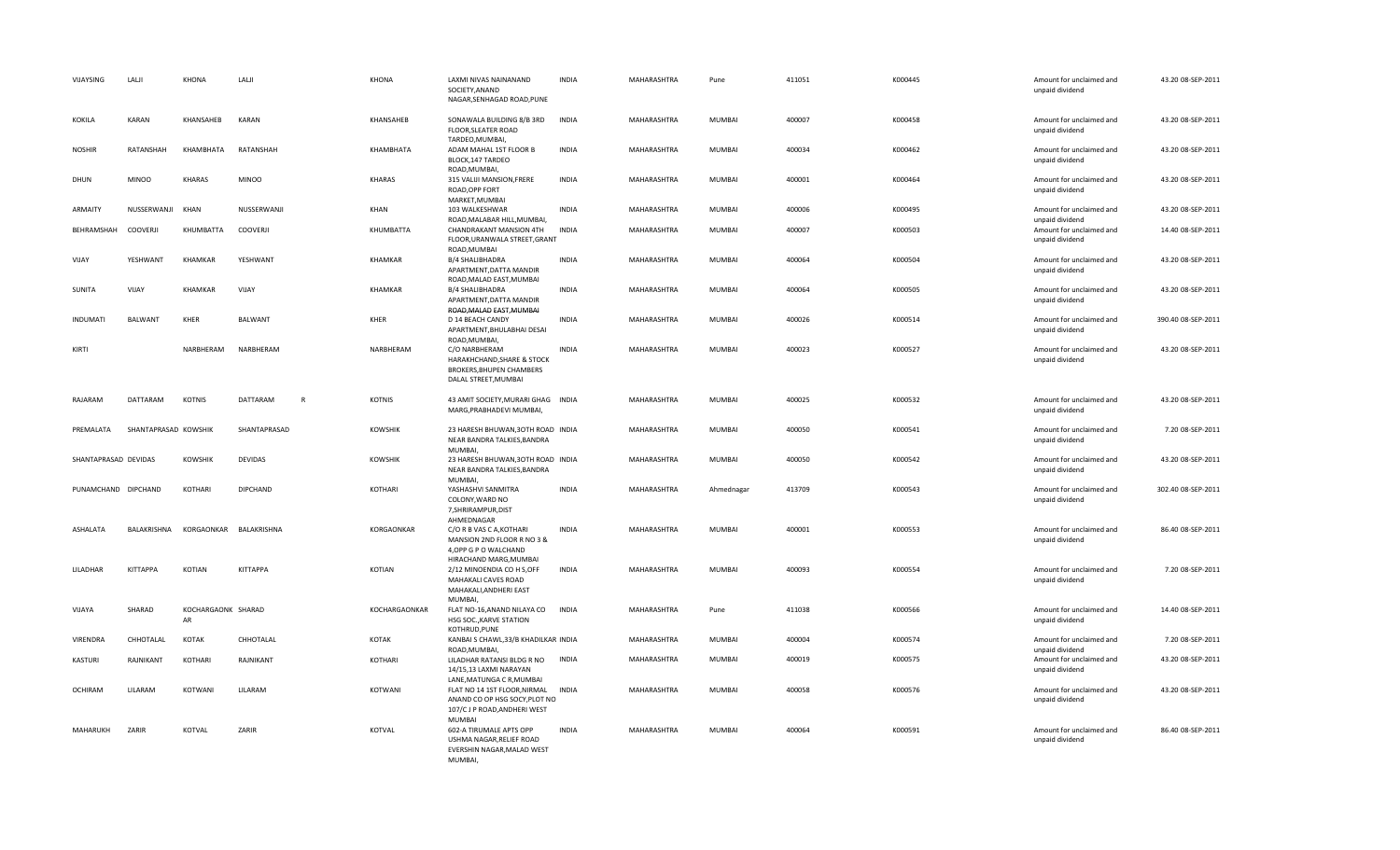| VIJAYSING            | LALJI                | KHONA                    | LALJI                    | KHONA          | LAXMI NIVAS NAINANAND<br>SOCIETY, ANAND<br>NAGAR, SENHAGAD ROAD, PUNE                                          | <b>INDIA</b> | MAHARASHTRA | Pune          | 411051 | K000445 | Amount for unclaimed and<br>unpaid dividend | 43.20 08-SEP-2011  |
|----------------------|----------------------|--------------------------|--------------------------|----------------|----------------------------------------------------------------------------------------------------------------|--------------|-------------|---------------|--------|---------|---------------------------------------------|--------------------|
| <b>KOKILA</b>        | <b>KARAN</b>         | KHANSAHEB                | KARAN                    | KHANSAHEB      | SONAWALA BUILDING 8/B 3RD<br>FLOOR, SLEATER ROAD<br>TARDEO, MUMBAI,                                            | <b>INDIA</b> | MAHARASHTRA | MUMBAI        | 400007 | K000458 | Amount for unclaimed and<br>unpaid dividend | 43.20 08-SEP-2011  |
| <b>NOSHIR</b>        | RATANSHAH            | KHAMBHATA                | RATANSHAH                | KHAMBHATA      | ADAM MAHAL 1ST FLOOR B<br>BLOCK, 147 TARDEO<br>ROAD, MUMBAI,                                                   | <b>INDIA</b> | MAHARASHTRA | MUMBAI        | 400034 | K000462 | Amount for unclaimed and<br>unpaid dividend | 43.20 08-SEP-2011  |
| DHUN                 | <b>MINOO</b>         | <b>KHARAS</b>            | <b>MINOO</b>             | KHARAS         | 315 VALIJI MANSION, FRERE<br>ROAD, OPP FORT<br>MARKET, MUMBAI                                                  | <b>INDIA</b> | MAHARASHTRA | MUMBAI        | 400001 | K000464 | Amount for unclaimed and<br>unpaid dividend | 43.20 08-SEP-2011  |
| ARMAITY              | NUSSERWANJI          | KHAN                     | NUSSERWANJI              | KHAN           | 103 WALKESHWAR<br>ROAD, MALABAR HILL, MUMBAI,                                                                  | <b>INDIA</b> | MAHARASHTRA | MUMBAI        | 400006 | K000495 | Amount for unclaimed and<br>unpaid dividend | 43.20 08-SEP-2011  |
| BEHRAMSHAH           | <b>COOVERJI</b>      | KHUMBATTA                | COOVERJI                 | KHUMBATTA      | CHANDRAKANT MANSION 4TH<br>FLOOR, URANWALA STREET, GRANT<br>ROAD, MUMBAI                                       | <b>INDIA</b> | MAHARASHTRA | MUMBAI        | 400007 | K000503 | Amount for unclaimed and<br>unpaid dividend | 14.40 08-SEP-2011  |
| VIJAY                | YESHWANT             | KHAMKAR                  | YESHWANT                 | KHAMKAR        | B/4 SHALIBHADRA<br>APARTMENT, DATTA MANDIR<br>ROAD, MALAD EAST, MUMBAI                                         | <b>INDIA</b> | MAHARASHTRA | MUMBAI        | 400064 | K000504 | Amount for unclaimed and<br>unpaid dividend | 43.20 08-SEP-2011  |
| SUNITA               | VIJAY                | KHAMKAR                  | VIJAY                    | KHAMKAR        | <b>B/4 SHALIBHADRA</b><br>APARTMENT, DATTA MANDIR<br>ROAD, MALAD EAST, MUMBAI                                  | <b>INDIA</b> | MAHARASHTRA | <b>MUMBAI</b> | 400064 | K000505 | Amount for unclaimed and<br>unpaid dividend | 43.20 08-SEP-2011  |
| <b>INDUMATI</b>      | <b>BALWANT</b>       | KHER                     | <b>BALWANT</b>           | <b>KHER</b>    | D 14 BEACH CANDY<br>APARTMENT, BHULABHAI DESAI<br>ROAD, MUMBAI,                                                | <b>INDIA</b> | MAHARASHTRA | MUMBAI        | 400026 | K000514 | Amount for unclaimed and<br>unpaid dividend | 390.40 08-SEP-2011 |
| KIRTI                |                      | NARBHERAM                | NARBHERAM                | NARBHERAM      | C/O NARBHERAM<br>HARAKHCHAND, SHARE & STOCK<br><b>BROKERS, BHUPEN CHAMBERS</b><br>DALAL STREET, MUMBAI         | <b>INDIA</b> | MAHARASHTRA | <b>MUMBAI</b> | 400023 | K000527 | Amount for unclaimed and<br>unpaid dividend | 43.20 08-SEP-2011  |
| RAJARAM              | DATTARAM             | KOTNIS                   | DATTARAM<br>$\mathsf{R}$ | KOTNIS         | 43 AMIT SOCIETY, MURARI GHAG INDIA<br>MARG, PRABHADEVI MUMBAI,                                                 |              | MAHARASHTRA | MUMBAI        | 400025 | K000532 | Amount for unclaimed and<br>unpaid dividend | 43.20 08-SEP-2011  |
| PREMALATA            | SHANTAPRASAD KOWSHIK |                          | SHANTAPRASAD             | <b>KOWSHIK</b> | 23 HARESH BHUWAN, 30TH ROAD INDIA<br>NEAR BANDRA TALKIES, BANDRA<br>MUMBAI,                                    |              | MAHARASHTRA | MUMBAI        | 400050 | K000541 | Amount for unclaimed and<br>unpaid dividend | 7.20 08-SEP-2011   |
| SHANTAPRASAD DEVIDAS |                      | <b>KOWSHIK</b>           | <b>DEVIDAS</b>           | <b>KOWSHIK</b> | 23 HARESH BHUWAN, 30TH ROAD INDIA<br>NEAR BANDRA TALKIES, BANDRA<br>MUMBAI,                                    |              | MAHARASHTRA | MUMBAI        | 400050 | K000542 | Amount for unclaimed and<br>unpaid dividend | 43.20 08-SEP-2011  |
| PUNAMCHAND DIPCHAND  |                      | KOTHARI                  | <b>DIPCHAND</b>          | KOTHARI        | YASHASHVI SANMITRA<br>COLONY, WARD NO<br>7, SHRIRAMPUR, DIST<br>AHMEDNAGAR                                     | <b>INDIA</b> | MAHARASHTRA | Ahmednagar    | 413709 | K000543 | Amount for unclaimed and<br>unpaid dividend | 302.40 08-SEP-2011 |
| <b>ASHALATA</b>      | BALAKRISHNA          | KORGAONKAR BALAKRISHNA   |                          | KORGAONKAR     | C/O R B VAS C A, KOTHARI<br>MANSION 2ND FLOOR R NO 3 &<br>4, OPP G P O WALCHAND<br>HIRACHAND MARG, MUMBAI      | <b>INDIA</b> | MAHARASHTRA | MUMBAI        | 400001 | K000553 | Amount for unclaimed and<br>unpaid dividend | 86.40 08-SEP-2011  |
| LILADHAR             | <b>KITTAPPA</b>      | KOTIAN                   | <b>KITTAPPA</b>          | KOTIAN         | 2/12 MINOENDIA CO H S, OFF<br>MAHAKALI CAVES ROAD<br>MAHAKALI, ANDHERI EAST<br>MUMBAL                          | INDIA        | MAHARASHTRA | MUMBAI        | 400093 | K000554 | Amount for unclaimed and<br>unpaid dividend | 7.20 08-SEP-2011   |
| VIJAYA               | SHARAD               | KOCHARGAONK SHARAD<br>AR |                          | KOCHARGAONKAR  | FLAT NO-16, ANAND NILAYA CO<br>HSG SOC., KARVE STATION<br>KOTHRUD, PUNE                                        | INDIA        | MAHARASHTRA | Pune          | 411038 | K000566 | Amount for unclaimed and<br>unpaid dividend | 14.40 08-SEP-2011  |
| VIRENDRA             | CHHOTALAL            | KOTAK                    | CHHOTALAL                | KOTAK          | KANBAI S CHAWL, 33/B KHADILKAR INDIA<br>ROAD, MUMBAI                                                           |              | MAHARASHTRA | MUMBAI        | 400004 | K000574 | Amount for unclaimed and<br>unpaid dividend | 7.20 08-SEP-2011   |
| KASTURI              | RAJNIKANT            | KOTHARI                  | RAJNIKANT                | KOTHARI        | LILADHAR RATANSI BLDG R NO<br>14/15,13 LAXMI NARAYAN<br>LANE, MATUNGA C R, MUMBAI                              | <b>INDIA</b> | MAHARASHTRA | MUMBAI        | 400019 | K000575 | Amount for unclaimed and<br>unpaid dividend | 43.20 08-SEP-2011  |
| <b>OCHIRAM</b>       | LILARAM              | KOTWANI                  | LILARAM                  | KOTWANI        | FLAT NO 14 1ST FLOOR, NIRMAL<br>ANAND CO OP HSG SOCY, PLOT NO<br>107/C J P ROAD, ANDHERI WEST<br><b>MUMBAI</b> | INDIA        | MAHARASHTRA | <b>MUMBAI</b> | 400058 | K000576 | Amount for unclaimed and<br>unpaid dividend | 43.20 08-SEP-2011  |
| MAHARUKH             | ZARIR                | KOTVAL                   | ZARIR                    | KOTVAL         | 602-A TIRUMALE APTS OPP<br>USHMA NAGAR, RELIEF ROAD<br>EVERSHIN NAGAR, MALAD WEST<br>MUMBAI,                   | <b>INDIA</b> | MAHARASHTRA | MUMBAI        | 400064 | K000591 | Amount for unclaimed and<br>unpaid dividend | 86.40 08-SEP-2011  |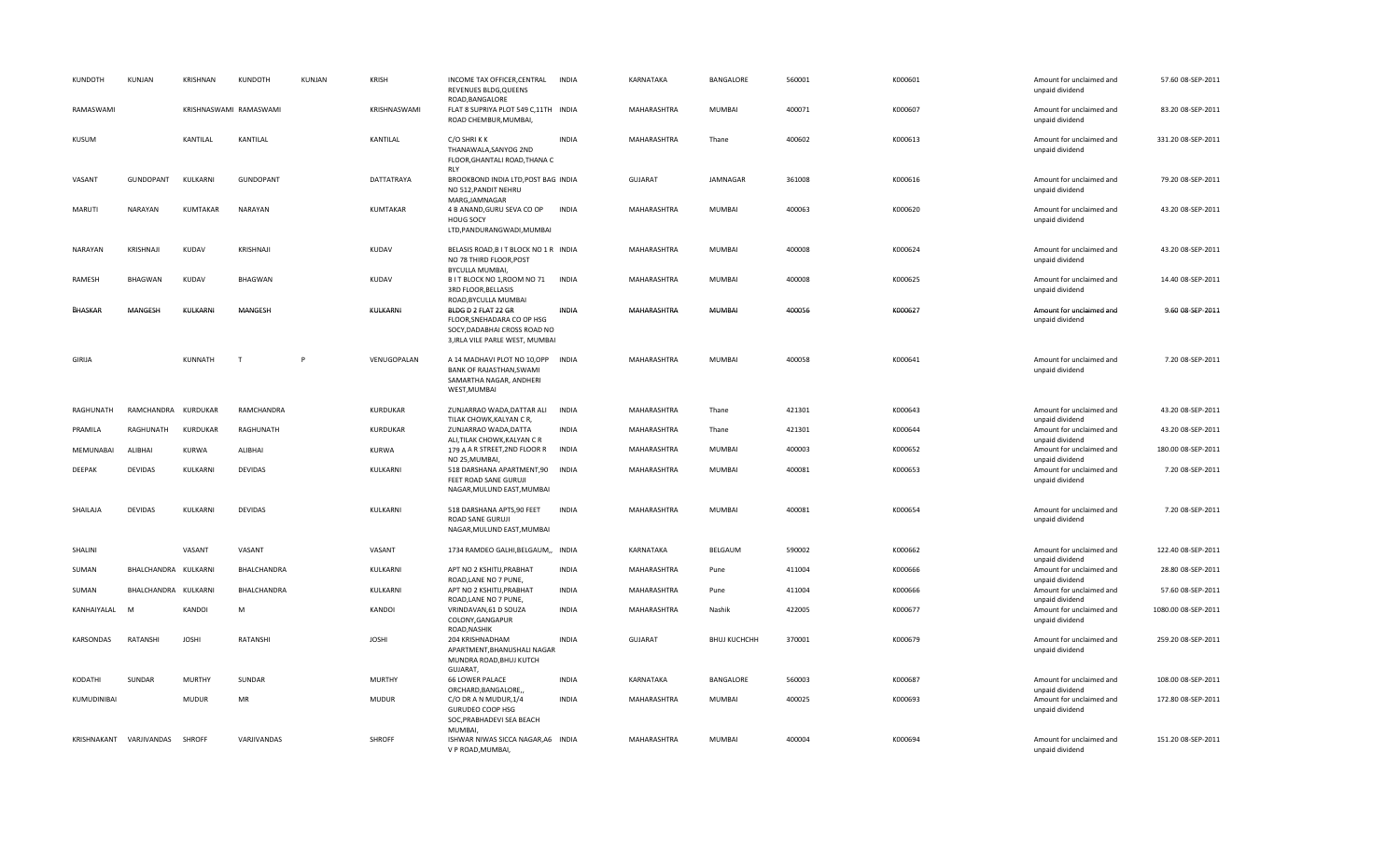| KUNDOTH       | KUNJAN                  | KRISHNAN      | KUNDOTH                | <b>KUNJAN</b> | <b>KRISH</b>    | INCOME TAX OFFICER, CENTRAL<br><b>REVENUES BLDG.QUEENS</b><br>ROAD, BANGALORE                                        | INDIA        | KARNATAKA      | BANGALORE           | 560001 | K000601 | Amount for unclaimed and<br>unpaid dividend                    | 57.60 08-SEP-2011   |
|---------------|-------------------------|---------------|------------------------|---------------|-----------------|----------------------------------------------------------------------------------------------------------------------|--------------|----------------|---------------------|--------|---------|----------------------------------------------------------------|---------------------|
| RAMASWAMI     |                         |               | KRISHNASWAMI RAMASWAMI |               | KRISHNASWAMI    | FLAT 8 SUPRIYA PLOT 549 C,11TH INDIA<br>ROAD CHEMBUR, MUMBAI,                                                        |              | MAHARASHTRA    | <b>MUMBAI</b>       | 400071 | K000607 | Amount for unclaimed and<br>unpaid dividend                    | 83.20 08-SEP-2011   |
| KUSUM         |                         | KANTILAL      | KANTILAL               |               | KANTILAL        | C/O SHRIKK<br>THANAWALA.SANYOG 2ND<br>FLOOR, GHANTALI ROAD, THANA C<br><b>RLY</b>                                    | INDIA        | MAHARASHTRA    | Thane               | 400602 | K000613 | Amount for unclaimed and<br>unpaid dividend                    | 331.20 08-SEP-2011  |
| VASANT        | GUNDOPANT               | KULKARNI      | <b>GUNDOPANT</b>       |               | DATTATRAYA      | BROOKBOND INDIA LTD, POST BAG INDIA<br>NO 512, PANDIT NEHRU<br>MARG, JAMNAGAR                                        |              | <b>GUJARAT</b> | JAMNAGAR            | 361008 | K000616 | Amount for unclaimed and<br>unpaid dividend                    | 79.20 08-SEP-2011   |
| <b>MARUTI</b> | NARAYAN                 | KUMTAKAR      | <b>NARAYAN</b>         |               | <b>KUMTAKAR</b> | 4 B ANAND, GURU SEVA CO OP<br>HOUG SOCY<br>LTD, PANDURANGWADI, MUMBAI                                                | <b>INDIA</b> | MAHARASHTRA    | <b>MUMBAI</b>       | 400063 | K000620 | Amount for unclaimed and<br>unpaid dividend                    | 43.20 08-SEP-2011   |
| NARAYAN       | KRISHNAJI               | KUDAV         | KRISHNAJI              |               | KUDAV           | BELASIS ROAD, B I T BLOCK NO 1 R INDIA<br>NO 78 THIRD FLOOR, POST<br>BYCULLA MUMBAI,                                 |              | MAHARASHTRA    | <b>MUMBAI</b>       | 400008 | K000624 | Amount for unclaimed and<br>unpaid dividend                    | 43.20 08-SEP-2011   |
| RAMESH        | <b>BHAGWAN</b>          | KUDAV         | BHAGWAN                |               | KUDAV           | B I T BLOCK NO 1, ROOM NO 71<br>3RD FLOOR, BELLASIS<br>ROAD, BYCULLA MUMBAI                                          | INDIA        | MAHARASHTRA    | <b>MUMBAI</b>       | 400008 | K000625 | Amount for unclaimed and<br>unpaid dividend                    | 14.40 08-SEP-2011   |
| BHASKAR       | MANGESH                 | KULKARNI      | MANGESH                |               | KULKARNI        | BLDG D 2 FLAT 22 GR<br>FLOOR, SNEHADARA CO OP HSG<br>SOCY, DADABHAI CROSS ROAD NO<br>3, IRLA VILE PARLE WEST, MUMBAI | INDIA        | MAHARASHTRA    | <b>MUMBAI</b>       | 400056 | K000627 | Amount for unclaimed and<br>unpaid dividend                    | 9.60 08-SEP-2011    |
| GIRIJA        |                         | KUNNATH       | T                      | $\mathsf{P}$  | VENUGOPALAN     | A 14 MADHAVI PLOT NO 10,OPP INDIA<br>BANK OF RAJASTHAN, SWAMI<br>SAMARTHA NAGAR, ANDHERI<br>WEST, MUMBAI             |              | MAHARASHTRA    | <b>MUMBAI</b>       | 400058 | K000641 | Amount for unclaimed and<br>unpaid dividend                    | 7.20 08-SEP-2011    |
| RAGHUNATH     | RAMCHANDRA KURDUKAR     |               | RAMCHANDRA             |               | KURDUKAR        | ZUNJARRAO WADA, DATTAR ALI                                                                                           | <b>INDIA</b> | MAHARASHTRA    | Thane               | 421301 | K000643 | Amount for unclaimed and                                       | 43.20 08-SEP-2011   |
| PRAMILA       | RAGHUNATH               | KURDUKAR      | RAGHUNATH              |               | <b>KURDUKAR</b> | TILAK CHOWK, KALYAN C R,<br>ZUNJARRAO WADA, DATTA<br>ALI, TILAK CHOWK, KALYAN CR                                     | <b>INDIA</b> | MAHARASHTRA    | Thane               | 421301 | K000644 | unpaid dividend<br>Amount for unclaimed and<br>unpaid dividend | 43.20 08-SEP-2011   |
| MEMUNABAI     | ALIBHAI                 | KURWA         | ALIBHAI                |               | <b>KURWA</b>    | 179 A A R STREET, 2ND FLOOR R<br>NO 25, MUMBAI,                                                                      | <b>INDIA</b> | MAHARASHTRA    | MUMBAI              | 400003 | K000652 | Amount for unclaimed and<br>unpaid dividend                    | 180.00 08-SEP-2011  |
| DEEPAK        | <b>DEVIDAS</b>          | KULKARNI      | <b>DEVIDAS</b>         |               | KULKARNI        | 518 DARSHANA APARTMENT, 90 INDIA<br>FEET ROAD SANE GURUJI<br>NAGAR, MULUND EAST, MUMBAI                              |              | MAHARASHTRA    | <b>MUMBAI</b>       | 400081 | K000653 | Amount for unclaimed and<br>unpaid dividend                    | 7.20 08-SEP-2011    |
| SHAILAJA      | <b>DEVIDAS</b>          | KULKARNI      | DEVIDAS                |               | KULKARNI        | 518 DARSHANA APTS,90 FEET<br><b>ROAD SANE GURUJI</b><br>NAGAR, MULUND EAST, MUMBAI                                   | INDIA        | MAHARASHTRA    | MUMBAI              | 400081 | K000654 | Amount for unclaimed and<br>unpaid dividend                    | 7.20 08-SEP-2011    |
| SHALINI       |                         | VASANT        | VASANT                 |               | VASANT          | 1734 RAMDEO GALHI, BELGAUM,, INDIA                                                                                   |              | KARNATAKA      | BELGAUM             | 590002 | K000662 | Amount for unclaimed and<br>unpaid dividend                    | 122.40 08-SEP-2011  |
| SUMAN         | BHALCHANDRA KULKARNI    |               | BHALCHANDRA            |               | KULKARNI        | APT NO 2 KSHITIJ, PRABHAT<br>ROAD, LANE NO 7 PUNE,                                                                   | INDIA        | MAHARASHTRA    | Pune                | 411004 | K000666 | Amount for unclaimed and<br>unpaid dividend                    | 28.80 08-SEP-2011   |
| SUMAN         | BHALCHANDRA KULKARNI    |               | BHALCHANDRA            |               | KULKARNI        | APT NO 2 KSHITIJ, PRABHAT<br>ROAD, LANE NO 7 PUNE,                                                                   | <b>INDIA</b> | MAHARASHTRA    | Pune                | 411004 | K000666 | Amount for unclaimed and<br>unpaid dividend                    | 57.60 08-SEP-2011   |
| KANHAIYALAL   | M                       | KANDOI        | M                      |               | KANDOI          | VRINDAVAN, 61 D SOUZA<br>COLONY, GANGAPUR<br>ROAD, NASHIK                                                            | <b>INDIA</b> | MAHARASHTRA    | Nashik              | 422005 | K000677 | Amount for unclaimed and<br>unpaid dividend                    | 1080.00 08-SEP-2011 |
| KARSONDAS     | RATANSHI                | <b>JOSHI</b>  | RATANSHI               |               | <b>JOSHI</b>    | 204 KRISHNADHAM<br>APARTMENT, BHANUSHALI NAGAR<br>MUNDRA ROAD, BHUJ KUTCH                                            | <b>INDIA</b> | <b>GUJARAT</b> | <b>BHUJ KUCHCHH</b> | 370001 | K000679 | Amount for unclaimed and<br>unpaid dividend                    | 259.20 08-SEP-2011  |
| KODATHI       | SUNDAR                  | <b>MURTHY</b> | SUNDAR                 |               | <b>MURTHY</b>   | GUJARAT,<br><b>66 LOWER PALACE</b>                                                                                   | <b>INDIA</b> | KARNATAKA      | BANGALORE           | 560003 | K000687 | Amount for unclaimed and                                       | 108.00 08-SEP-2011  |
| KUMUDINIBAI   |                         | <b>MUDUR</b>  | MR                     |               | <b>MUDUR</b>    | ORCHARD, BANGALORE,,<br>C/O DR A N MUDUR, 1/4<br><b>GURUDEO COOP HSG</b><br>SOC, PRABHADEVI SEA BEACH                | <b>INDIA</b> | MAHARASHTRA    | <b>MUMBAI</b>       | 400025 | K000693 | unpaid dividend<br>Amount for unclaimed and<br>unpaid dividend | 172.80 08-SEP-2011  |
|               | KRISHNAKANT VARJIVANDAS | <b>SHROFF</b> | VARJIVANDAS            |               | SHROFF          | MUMBAI,<br>ISHWAR NIWAS SICCA NAGAR, A6 INDIA<br>V P ROAD, MUMBAI,                                                   |              | MAHARASHTRA    | <b>MUMBAI</b>       | 400004 | K000694 | Amount for unclaimed and<br>unpaid dividend                    | 151.20 08-SEP-2011  |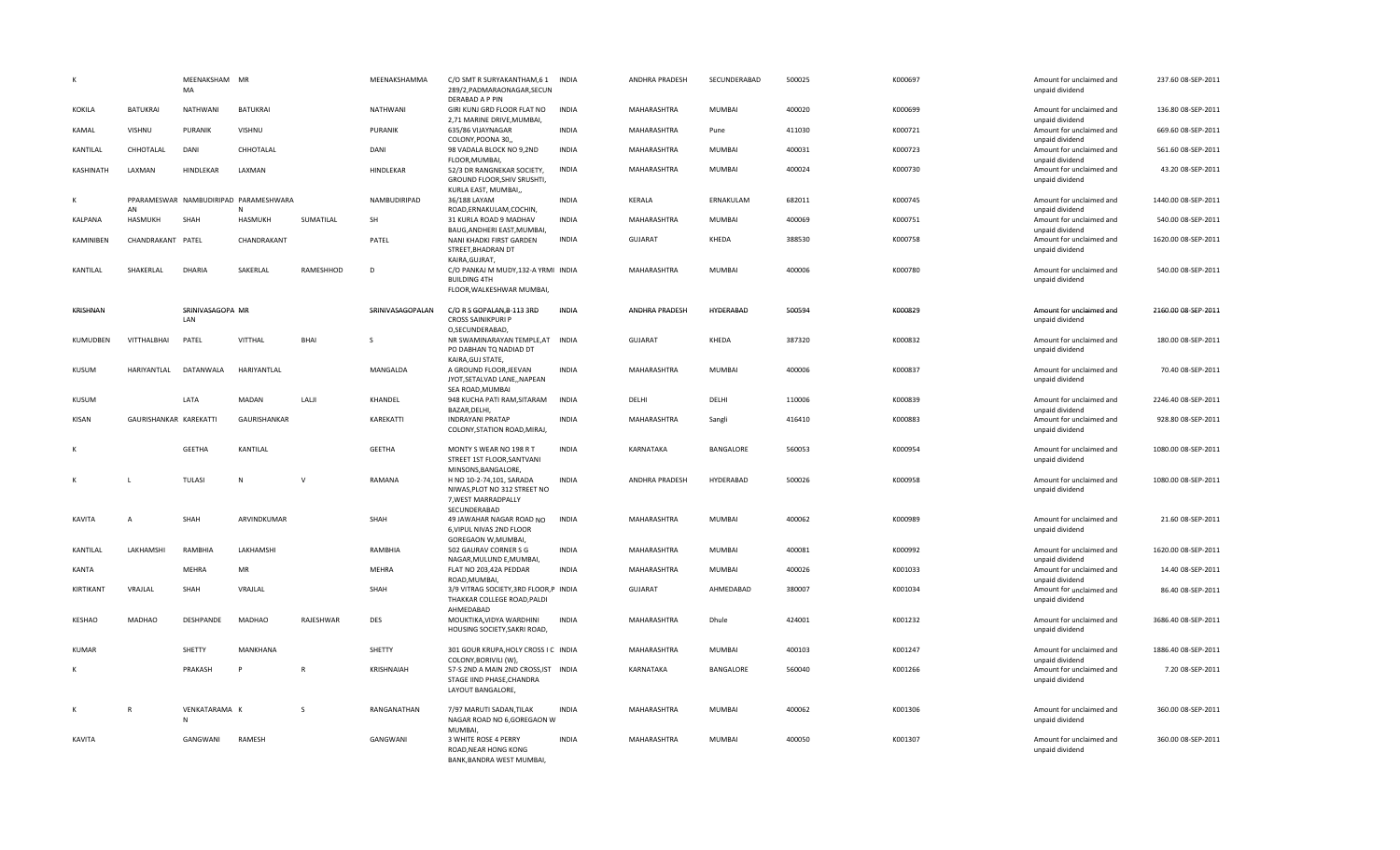|              |                        | MEENAKSHAM MR<br>MA     |                                       |              | MEENAKSHAMMA     | C/O SMT R SURYAKANTHAM,6 1<br>289/2, PADMARAONAGAR, SECUN<br>DERABAD A P PIN                    | INDIA        | ANDHRA PRADESH | SECUNDERABAD  | 500025 | K000697 | Amount for unclaimed and<br>unpaid dividend | 237.60 08-SEP-2011  |
|--------------|------------------------|-------------------------|---------------------------------------|--------------|------------------|-------------------------------------------------------------------------------------------------|--------------|----------------|---------------|--------|---------|---------------------------------------------|---------------------|
| KOKILA       | <b>BATUKRAI</b>        | NATHWANI                | BATUKRAI                              |              | NATHWANI         | GIRI KUNJ GRD FLOOR FLAT NO<br>2,71 MARINE DRIVE, MUMBAI,                                       | <b>INDIA</b> | MAHARASHTRA    | MUMBAI        | 400020 | K000699 | Amount for unclaimed and<br>unpaid dividend | 136.80 08-SEP-2011  |
| KAMAL        | VISHNU                 | PURANIK                 | VISHNU                                |              | PURANIK          | 635/86 VIJAYNAGAR<br>COLONY, POONA 30,                                                          | <b>INDIA</b> | MAHARASHTRA    | Pune          | 411030 | K000721 | Amount for unclaimed and<br>unpaid dividend | 669.60 08-SEP-2011  |
| KANTILAL     | CHHOTALAL              | DANI                    | CHHOTALAL                             |              | DANI             | 98 VADALA BLOCK NO 9,2ND<br>FLOOR, MUMBAI,                                                      | <b>INDIA</b> | MAHARASHTRA    | MUMBAI        | 400031 | K000723 | Amount for unclaimed and<br>unpaid dividend | 561.60 08-SEP-2011  |
| KASHINATH    | LAXMAN                 | HINDLEKAR               | LAXMAN                                |              | HINDLEKAR        | 52/3 DR RANGNEKAR SOCIETY,<br>GROUND FLOOR, SHIV SRUSHTI,<br>KURLA EAST, MUMBAI,,               | <b>INDIA</b> | MAHARASHTRA    | MUMBAI        | 400024 | K000730 | Amount for unclaimed and<br>unpaid dividend | 43.20 08-SEP-2011   |
| К            | AN                     |                         | PPARAMESWAR NAMBUDIRIPAD PARAMESHWARA |              | NAMBUDIRIPAD     | 36/188 LAYAM<br>ROAD, ERNAKULAM, COCHIN,                                                        | <b>INDIA</b> | KERALA         | ERNAKULAM     | 682011 | K000745 | Amount for unclaimed and<br>unpaid dividend | 1440.00 08-SEP-2011 |
| KALPANA      | HASMUKH                | SHAH                    | <b>HASMUKH</b>                        | SUMATILAL    | SH               | 31 KURLA ROAD 9 MADHAV<br>BAUG, ANDHERI EAST, MUMBAI,                                           | <b>INDIA</b> | MAHARASHTRA    | MUMBAI        | 400069 | K000751 | Amount for unclaimed and<br>unpaid dividend | 540.00 08-SEP-2011  |
| KAMINIBEN    | CHANDRAKANT PATEL      |                         | CHANDRAKANT                           |              | PATEL            | NANI KHADKI FIRST GARDEN<br>STREET, BHADRAN DT<br>KAIRA, GUJRAT,                                | <b>INDIA</b> | <b>GUJARAT</b> | KHEDA         | 388530 | K000758 | Amount for unclaimed and<br>unpaid dividend | 1620.00 08-SEP-2011 |
| KANTILAL     | SHAKERLAL              | DHARIA                  | SAKERLAL                              | RAMESHHOD    | D                | C/O PANKAJ M MUDY, 132-A YRMI INDIA<br><b>BUILDING 4TH</b><br>FLOOR, WALKESHWAR MUMBAI,         |              | MAHARASHTRA    | MUMBAI        | 400006 | K000780 | Amount for unclaimed and<br>unpaid dividend | 540.00 08-SEP-2011  |
| KRISHNAN     |                        | SRINIVASAGOPA MR<br>LAN |                                       |              | SRINIVASAGOPALAN | C/O R S GOPALAN, B-113 3RD<br><b>CROSS SAINIKPURI P</b><br>O,SECUNDERABAD,                      | INDIA        | ANDHRA PRADESH | HYDERABAD     | 500594 | K000829 | Amount for unclaimed and<br>unpaid dividend | 2160.00 08-SEP-2011 |
| KUMUDBEN     | VITTHALBHAI            | PATEL                   | <b>VITTHAL</b>                        | BHAI         | <sub>S</sub>     | NR SWAMINARAYAN TEMPLE, AT INDIA<br>PO DABHAN TQ NADIAD DT<br>KAIRA, GUJ STATE,                 |              | GUJARAT        | KHEDA         | 387320 | K000832 | Amount for unclaimed and<br>unpaid dividend | 180.00 08-SEP-2011  |
| <b>KUSUM</b> | HARIYANTLAL            | DATANWALA               | HARIYANTLAL                           |              | MANGALDA         | A GROUND FLOOR, JEEVAN<br>JYOT, SETALVAD LANE,, NAPEAN<br>SEA ROAD, MUMBAI                      | <b>INDIA</b> | MAHARASHTRA    | MUMBAI        | 400006 | K000837 | Amount for unclaimed and<br>unpaid dividend | 70.40 08-SEP-2011   |
| KUSUM        |                        | LATA                    | MADAN                                 | LALJI        | KHANDEL          | 948 KUCHA PATI RAM, SITARAM<br>BAZAR, DELHI,                                                    | <b>INDIA</b> | DELHI          | DELHI         | 110006 | K000839 | Amount for unclaimed and<br>unpaid dividend | 2246.40 08-SEP-2011 |
| KISAN        | GAURISHANKAR KAREKATTI |                         | GAURISHANKAR                          |              | KAREKATTI        | <b>INDRAYANI PRATAP</b><br>COLONY, STATION ROAD, MIRAJ,                                         | <b>INDIA</b> | MAHARASHTRA    | Sangli        | 416410 | K000883 | Amount for unclaimed and<br>unpaid dividend | 928.80 08-SEP-2011  |
|              |                        | <b>GEETHA</b>           | KANTILAL                              |              | <b>GEETHA</b>    | MONTY S WEAR NO 198 R T<br>STREET 1ST FLOOR, SANTVANI<br>MINSONS, BANGALORE,                    | <b>INDIA</b> | KARNATAKA      | BANGALORE     | 560053 | K000954 | Amount for unclaimed and<br>unpaid dividend | 1080.00 08-SEP-2011 |
| K            |                        | TULASI                  | $\mathsf{N}$                          | $\mathsf{V}$ | RAMANA           | H NO 10-2-74,101, SARADA<br>NIWAS, PLOT NO 312 STREET NO<br>7, WEST MARRADPALLY<br>SECUNDERABAD | <b>INDIA</b> | ANDHRA PRADESH | HYDERABAD     | 500026 | K000958 | Amount for unclaimed and<br>unpaid dividend | 1080.00 08-SEP-2011 |
| KAVITA       | $\mathsf{A}$           | SHAH                    | ARVINDKUMAR                           |              | SHAH             | 49 JAWAHAR NAGAR ROAD NO<br>6, VIPUL NIVAS 2ND FLOOR<br>GOREGAON W, MUMBAI,                     | <b>INDIA</b> | MAHARASHTRA    | MUMBAI        | 400062 | K000989 | Amount for unclaimed and<br>unpaid dividend | 21.60 08-SEP-2011   |
| KANTILAL     | LAKHAMSHI              | RAMBHIA                 | LAKHAMSHI                             |              | RAMBHIA          | 502 GAURAV CORNER S G<br>NAGAR, MULUND E, MUMBAI,                                               | <b>INDIA</b> | MAHARASHTRA    | MUMBAI        | 400081 | K000992 | Amount for unclaimed and<br>unpaid dividend | 1620.00 08-SEP-2011 |
| KANTA        |                        | MEHRA                   | MR                                    |              | MEHRA            | FLAT NO 203,42A PEDDAR<br>ROAD, MUMBAI,                                                         | <b>INDIA</b> | MAHARASHTRA    | MUMBAI        | 400026 | K001033 | Amount for unclaimed and<br>unpaid dividend | 14.40 08-SEP-2011   |
| KIRTIKANT    | VRAJLAL                | SHAH                    | VRAJLAL                               |              | SHAH             | 3/9 VITRAG SOCIETY, 3RD FLOOR, P INDIA<br>THAKKAR COLLEGE ROAD, PALDI<br>AHMEDABAD              |              | <b>GUJARAT</b> | AHMEDABAD     | 380007 | K001034 | Amount for unclaimed and<br>unpaid dividend | 86.40 08-SEP-2011   |
| KESHAO       | <b>MADHAO</b>          | DESHPANDE               | MADHAO                                | RAJESHWAR    | DES              | MOUKTIKA, VIDYA WARDHINI<br>HOUSING SOCIETY, SAKRI ROAD,                                        | <b>INDIA</b> | MAHARASHTRA    | Dhule         | 424001 | K001232 | Amount for unclaimed and<br>unpaid dividend | 3686.40 08-SEP-2011 |
| KUMAR        |                        | SHETTY                  | MANKHANA                              |              | SHETTY           | 301 GOUR KRUPA, HOLY CROSS I C INDIA<br>COLONY.BORIVILI (W).                                    |              | MAHARASHTRA    | MUMBAI        | 400103 | K001247 | Amount for unclaimed and<br>unpaid dividend | 1886.40 08-SEP-2011 |
|              |                        | PRAKASH                 | D                                     | R            | KRISHNAIAH       | 57-S 2ND A MAIN 2ND CROSS, IST INDIA<br>STAGE IIND PHASE, CHANDRA<br>LAYOUT BANGALORE,          |              | KARNATAKA      | BANGALORE     | 560040 | K001266 | Amount for unclaimed and<br>unpaid dividend | 7.20 08-SEP-2011    |
| К            | $\mathsf{R}$           | VENKATARAMA K<br>N      |                                       | <sub>S</sub> | RANGANATHAN      | 7/97 MARUTI SADAN, TILAK<br>NAGAR ROAD NO 6,GOREGAON W<br>MUMBAI.                               | <b>INDIA</b> | MAHARASHTRA    | MUMBAI        | 400062 | K001306 | Amount for unclaimed and<br>unpaid dividend | 360.00 08-SEP-2011  |
| KAVITA       |                        | GANGWANI                | RAMESH                                |              | GANGWANI         | 3 WHITE ROSE 4 PERRY<br>ROAD, NEAR HONG KONG<br>BANK, BANDRA WEST MUMBAI,                       | <b>INDIA</b> | MAHARASHTRA    | <b>MUMBAI</b> | 400050 | K001307 | Amount for unclaimed and<br>unpaid dividend | 360.00 08-SEP-2011  |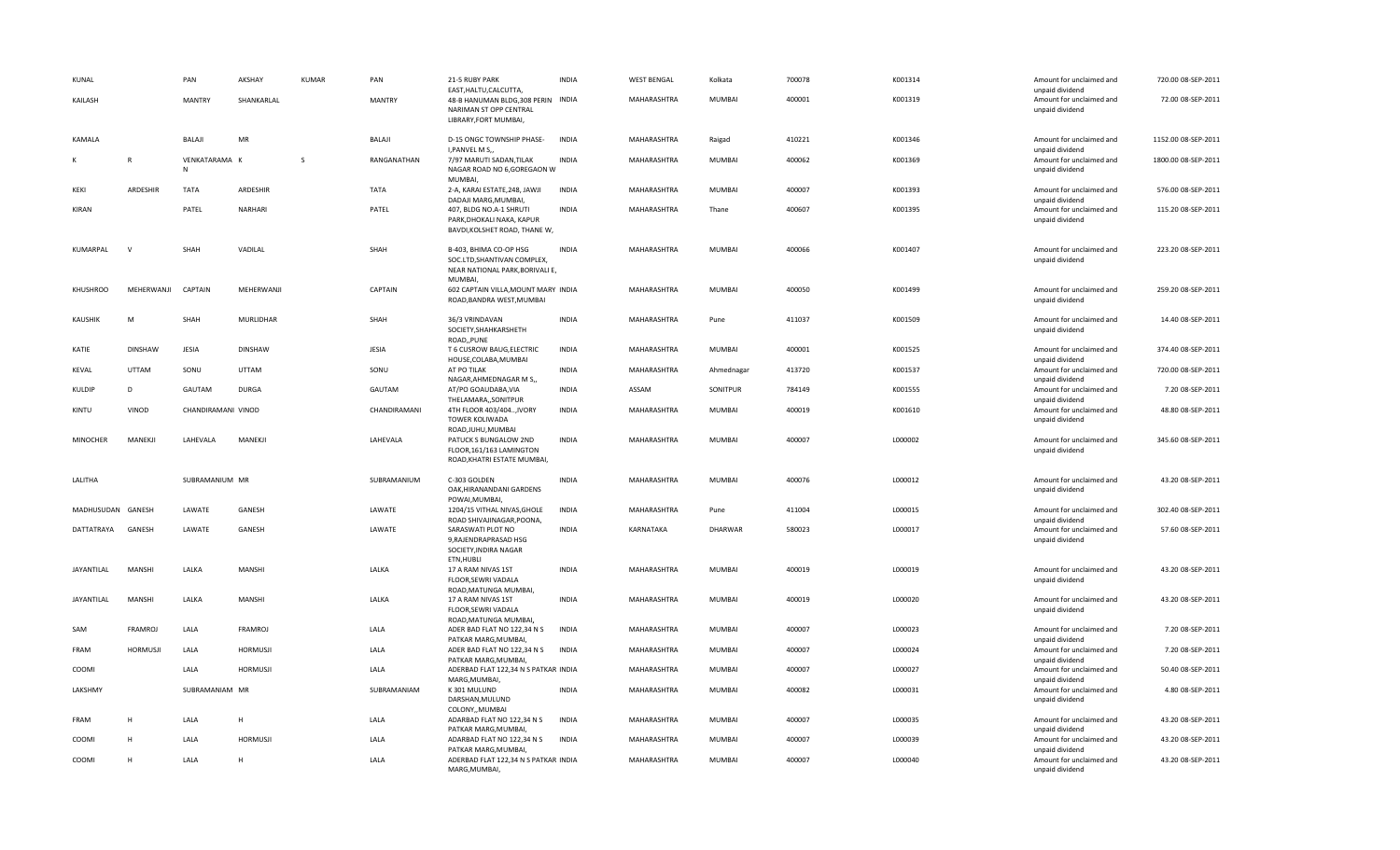| KUNAL             |                 | PAN                | AKSHAY           | <b>KUMAR</b> | PAN           | 21-5 RUBY PARK<br>EAST, HALTU, CALCUTTA,                                                            | <b>INDIA</b> | <b>WEST BENGAL</b> | Kolkata       | 700078 | K001314 | Amount for unclaimed and<br>unpaid dividend | 720.00 08-SEP-2011  |
|-------------------|-----------------|--------------------|------------------|--------------|---------------|-----------------------------------------------------------------------------------------------------|--------------|--------------------|---------------|--------|---------|---------------------------------------------|---------------------|
| KAILASH           |                 | <b>MANTRY</b>      | SHANKARLAL       |              | <b>MANTRY</b> | 48-B HANUMAN BLDG, 308 PERIN INDIA<br>NARIMAN ST OPP CENTRAL<br>LIBRARY, FORT MUMBAI,               |              | MAHARASHTRA        | MUMBAI        | 400001 | K001319 | Amount for unclaimed and<br>unpaid dividend | 72.00 08-SEP-2011   |
| KAMALA            |                 | BALAJI             | MR               |              | BALAJI        | D-15 ONGC TOWNSHIP PHASE-<br>I, PANVEL M S,                                                         | <b>INDIA</b> | MAHARASHTRA        | Raigad        | 410221 | K001346 | Amount for unclaimed and<br>unpaid dividend | 1152.00 08-SEP-2011 |
| К                 | $\mathsf{R}$    | VENKATARAMA K<br>N |                  | <sub>S</sub> | RANGANATHAN   | 7/97 MARUTI SADAN, TILAK<br>NAGAR ROAD NO 6,GOREGAON W<br><b>MUMBAI</b>                             | <b>INDIA</b> | MAHARASHTRA        | MUMBAI        | 400062 | K001369 | Amount for unclaimed and<br>unpaid dividend | 1800.00 08-SEP-2011 |
| KEKI              | ARDESHIR        | TATA               | ARDESHIR         |              | TATA          | 2-A, KARAI ESTATE, 248, JAWJI<br>DADAJI MARG, MUMBAI,                                               | <b>INDIA</b> | MAHARASHTRA        | MUMBAI        | 400007 | K001393 | Amount for unclaimed and<br>unpaid dividend | 576.00 08-SEP-2011  |
| <b>KIRAN</b>      |                 | PATEL              | NARHARI          |              | PATEL         | 407, BLDG NO.A-1 SHRUTI<br>PARK, DHOKALI NAKA, KAPUR<br>BAVDI, KOLSHET ROAD, THANE W,               | <b>INDIA</b> | MAHARASHTRA        | Thane         | 400607 | K001395 | Amount for unclaimed and<br>unpaid dividend | 115.20 08-SEP-2011  |
| KUMARPAL          | $\mathbf{v}$    | SHAH               | VADILAL          |              | SHAH          | B-403, BHIMA CO-OP HSG<br>SOC.LTD, SHANTIVAN COMPLEX,<br>NEAR NATIONAL PARK, BORIVALI E,<br>MUMBAI, | <b>INDIA</b> | MAHARASHTRA        | <b>MUMBAI</b> | 400066 | K001407 | Amount for unclaimed and<br>unpaid dividend | 223.20 08-SEP-2011  |
| KHUSHROO          | MEHERWANJI      | CAPTAIN            | MEHERWANJI       |              | CAPTAIN       | 602 CAPTAIN VILLA, MOUNT MARY INDIA<br>ROAD, BANDRA WEST, MUMBAI                                    |              | MAHARASHTRA        | <b>MUMBAI</b> | 400050 | K001499 | Amount for unclaimed and<br>unpaid dividend | 259.20 08-SEP-2011  |
| <b>KAUSHIK</b>    | M               | SHAH               | <b>MURLIDHAR</b> |              | SHAH          | 36/3 VRINDAVAN<br>SOCIETY, SHAHKARSHETH<br>ROAD,, PUNE                                              | <b>INDIA</b> | MAHARASHTRA        | Pune          | 411037 | K001509 | Amount for unclaimed and<br>unpaid dividend | 14.40 08-SEP-2011   |
| KATIE             | <b>DINSHAW</b>  | JESIA              | DINSHAW          |              | JESIA         | T 6 CUSROW BAUG, ELECTRIC<br>HOUSE, COLABA, MUMBAI                                                  | <b>INDIA</b> | MAHARASHTRA        | MUMBAI        | 400001 | K001525 | Amount for unclaimed and<br>unpaid dividend | 374.40 08-SEP-2011  |
| <b>KEVAL</b>      | UTTAM           | SONU               | UTTAM            |              | SONU          | AT PO TILAK<br>NAGAR, AHMEDNAGAR M S,,                                                              | <b>INDIA</b> | MAHARASHTRA        | Ahmednagar    | 413720 | K001537 | Amount for unclaimed and<br>unpaid dividend | 720.00 08-SEP-2011  |
| KULDIP            | D               | GAUTAM             | <b>DURGA</b>     |              | GAUTAM        | AT/PO GOAUDABA, VIA<br>THELAMARA,, SONITPUR                                                         | <b>INDIA</b> | ASSAM              | SONITPUR      | 784149 | K001555 | Amount for unclaimed and<br>unpaid dividend | 7.20 08-SEP-2011    |
| KINTU             | VINOD           | CHANDIRAMANI VINOD |                  |              | CHANDIRAMANI  | 4TH FLOOR 403/404, IVORY<br>TOWER KOLIWADA<br>ROAD, JUHU, MUMBAI                                    | <b>INDIA</b> | MAHARASHTRA        | <b>MUMBAI</b> | 400019 | K001610 | Amount for unclaimed and<br>unpaid dividend | 48.80 08-SEP-2011   |
| <b>MINOCHER</b>   | MANEKJI         | LAHEVALA           | MANEKJI          |              | LAHEVALA      | PATUCK S BUNGALOW 2ND<br>FLOOR, 161/163 LAMINGTON<br>ROAD, KHATRI ESTATE MUMBAI,                    | <b>INDIA</b> | MAHARASHTRA        | <b>MUMBAI</b> | 400007 | L000002 | Amount for unclaimed and<br>unpaid dividend | 345.60 08-SEP-2011  |
| LALITHA           |                 | SUBRAMANIUM MR     |                  |              | SUBRAMANIUM   | C-303 GOLDEN<br>OAK, HIRANANDANI GARDENS<br>POWAI, MUMBAI,                                          | <b>INDIA</b> | MAHARASHTRA        | MUMBAI        | 400076 | L000012 | Amount for unclaimed and<br>unpaid dividend | 43.20 08-SEP-2011   |
| MADHUSUDAN GANESH |                 | LAWATE             | GANESH           |              | LAWATE        | 1204/15 VITHAL NIVAS, GHOLE<br>ROAD SHIVAJINAGAR, POONA,                                            | <b>INDIA</b> | MAHARASHTRA        | Pune          | 411004 | L000015 | Amount for unclaimed and<br>unpaid dividend | 302.40 08-SEP-2011  |
| DATTATRAYA        | GANESH          | LAWATE             | GANESH           |              | LAWATE        | SARASWATI PLOT NO<br>9, RAJENDRAPRASAD HSG<br>SOCIETY, INDIRA NAGAR<br>ETN, HUBLI                   | <b>INDIA</b> | KARNATAKA          | DHARWAR       | 580023 | L000017 | Amount for unclaimed and<br>unpaid dividend | 57.60 08-SEP-2011   |
| JAYANTILAL        | MANSHI          | LALKA              | <b>MANSHI</b>    |              | LALKA         | 17 A RAM NIVAS 1ST<br>FLOOR, SEWRI VADALA<br>ROAD, MATUNGA MUMBAI,                                  | <b>INDIA</b> | MAHARASHTRA        | MUMBAI        | 400019 | L000019 | Amount for unclaimed and<br>unpaid dividend | 43.20 08-SEP-2011   |
| JAYANTILAL        | MANSHI          | LALKA              | MANSHI           |              | LALKA         | 17 A RAM NIVAS 1ST<br>FLOOR, SEWRI VADALA<br>ROAD, MATUNGA MUMBAI,                                  | <b>INDIA</b> | MAHARASHTRA        | MUMBAI        | 400019 | L000020 | Amount for unclaimed and<br>unpaid dividend | 43.20 08-SEP-2011   |
| SAM               | <b>FRAMROJ</b>  | LALA               | FRAMROJ          |              | LALA          | ADER BAD FLAT NO 122,34 N S<br>PATKAR MARG, MUMBAI,                                                 | <b>INDIA</b> | MAHARASHTRA        | MUMBAI        | 400007 | L000023 | Amount for unclaimed and<br>unpaid dividend | 7.20 08-SEP-2011    |
| FRAM              | <b>HORMUSJI</b> | LALA               | <b>HORMUSJI</b>  |              | LALA          | ADER BAD FLAT NO 122,34 N S<br>PATKAR MARG, MUMBAI,                                                 | INDIA        | MAHARASHTRA        | MUMBAI        | 400007 | L000024 | Amount for unclaimed and<br>unpaid dividend | 7.20 08-SEP-2011    |
| COOMI             |                 | LALA               | <b>HORMUSJI</b>  |              | LALA          | ADERBAD FLAT 122,34 N S PATKAR INDIA<br>MARG, MUMBAI,                                               |              | MAHARASHTRA        | MUMBAI        | 400007 | L000027 | Amount for unclaimed and<br>unpaid dividend | 50.40 08-SEP-2011   |
| LAKSHMY           |                 | SUBRAMANIAM MR     |                  |              | SUBRAMANIAM   | K 301 MULUND<br>DARSHAN, MULUND<br>COLONY,, MUMBAI                                                  | <b>INDIA</b> | MAHARASHTRA        | MUMBAI        | 400082 | L000031 | Amount for unclaimed and<br>unpaid dividend | 4.80 08-SEP-2011    |
| <b>FRAM</b>       | H               | LALA               | H                |              | LALA          | ADARBAD FLAT NO 122,34 N S<br>PATKAR MARG, MUMBAI,                                                  | <b>INDIA</b> | MAHARASHTRA        | MUMBAI        | 400007 | L000035 | Amount for unclaimed and<br>unpaid dividend | 43.20 08-SEP-2011   |
| COOMI             | H               | LALA               | <b>HORMUSJI</b>  |              | LALA          | ADARBAD FLAT NO 122,34 N S<br>PATKAR MARG, MUMBAI,                                                  | INDIA        | MAHARASHTRA        | MUMBAI        | 400007 | L000039 | Amount for unclaimed and<br>unpaid dividend | 43.20 08-SEP-2011   |
| COOMI             | H               | LALA               | H                |              | LALA          | ADERBAD FLAT 122,34 N S PATKAR INDIA<br>MARG, MUMBAI,                                               |              | MAHARASHTRA        | <b>MUMBAI</b> | 400007 | L000040 | Amount for unclaimed and<br>unpaid dividend | 43.20 08-SEP-2011   |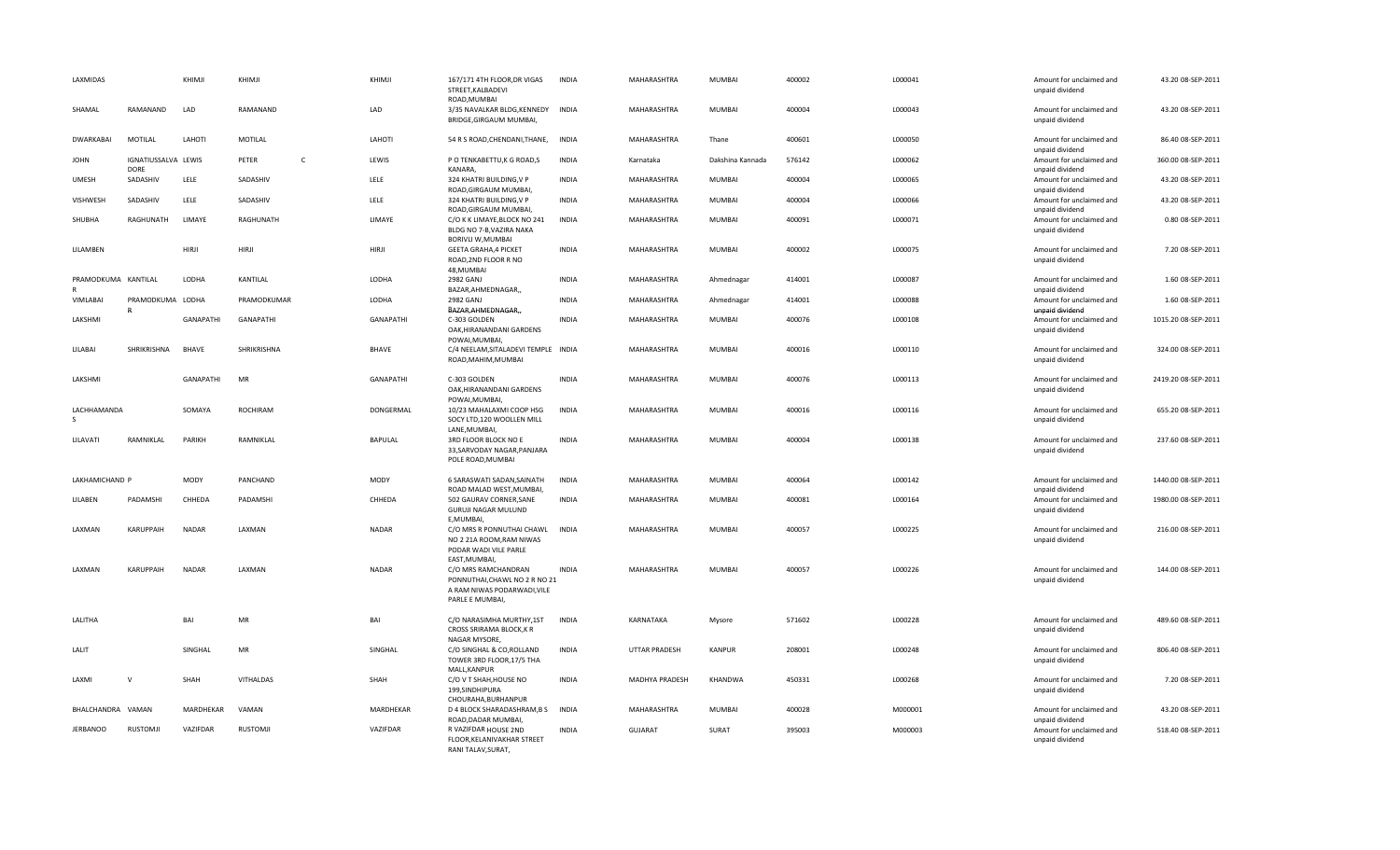| LAXMIDAS                    |                                    | KHIMJI           | KHIMJI          |              | KHIMJI           | 167/171 4TH FLOOR, DR VIGAS<br>STREET, KALBADEVI<br>ROAD, MUMBAI                                                        | <b>INDIA</b> | MAHARASHTRA          | <b>MUMBAI</b>    | 400002 | L000041 | Amount for unclaimed and<br>unpaid dividend | 43.20 08-SEP-2011   |
|-----------------------------|------------------------------------|------------------|-----------------|--------------|------------------|-------------------------------------------------------------------------------------------------------------------------|--------------|----------------------|------------------|--------|---------|---------------------------------------------|---------------------|
| SHAMAL                      | RAMANAND                           | LAD              | RAMANAND        |              | LAD              | 3/35 NAVALKAR BLDG, KENNEDY<br>BRIDGE, GIRGAUM MUMBAI,                                                                  | <b>INDIA</b> | MAHARASHTRA          | MUMBAI           | 400004 | L000043 | Amount for unclaimed and<br>unpaid dividend | 43.20 08-SEP-2011   |
| <b>DWARKABAI</b>            | MOTILAL                            | LAHOTI           | MOTILAL         |              | LAHOTI           | 54 R S ROAD, CHENDANI, THANE,                                                                                           | <b>INDIA</b> | MAHARASHTRA          | Thane            | 400601 | L000050 | Amount for unclaimed and<br>unpaid dividend | 86.40 08-SEP-2011   |
| <b>JOHN</b>                 | IGNATIUSSALVA LEWIS<br><b>DORE</b> |                  | PETER           | $\mathsf{C}$ | LEWIS            | P O TENKABETTU, K G ROAD, S<br>KANARA,                                                                                  | <b>INDIA</b> | Karnataka            | Dakshina Kannada | 576142 | L000062 | Amount for unclaimed and<br>unpaid dividend | 360.00 08-SEP-2011  |
| <b>UMESH</b>                | SADASHIV                           | LELE             | SADASHIV        |              | LELE             | 324 KHATRI BUILDING, V P<br>ROAD, GIRGAUM MUMBAI,                                                                       | <b>INDIA</b> | MAHARASHTRA          | MUMBAI           | 400004 | L000065 | Amount for unclaimed and<br>unpaid dividend | 43.20 08-SEP-2011   |
| VISHWESH                    | SADASHIV                           | LELE             | SADASHIV        |              | LELE             | 324 KHATRI BUILDING, V P<br>ROAD, GIRGAUM MUMBAI,                                                                       | <b>INDIA</b> | MAHARASHTRA          | MUMBAI           | 400004 | L000066 | Amount for unclaimed and<br>unpaid dividend | 43.20 08-SEP-2011   |
| SHUBHA                      | RAGHUNATH                          | LIMAYE           | RAGHUNATH       |              | LIMAYE           | C/O K K LIMAYE, BLOCK NO 241<br>BLDG NO 7-B, VAZIRA NAKA<br><b>BORIVLI W, MUMBAI</b>                                    | INDIA        | MAHARASHTRA          | MUMBAI           | 400091 | L000071 | Amount for unclaimed and<br>unpaid dividend | 0.80 08-SEP-2011    |
| LILAMBEN                    |                                    | HIRJI            | HIRJI           |              | <b>HIRJI</b>     | <b>GEETA GRAHA, 4 PICKET</b><br>ROAD, 2ND FLOOR R NO<br>48, MUMBAI                                                      | <b>INDIA</b> | MAHARASHTRA          | MUMBAI           | 400002 | L000075 | Amount for unclaimed and<br>unpaid dividend | 7.20 08-SEP-2011    |
| PRAMODKUMA KANTILAL         |                                    | LODHA            | KANTILAL        |              | LODHA            | 2982 GANJ<br>BAZAR, AHMEDNAGAR,,                                                                                        | <b>INDIA</b> | MAHARASHTRA          | Ahmednagar       | 414001 | L000087 | Amount for unclaimed and<br>unpaid dividend | 1.60 08-SEP-2011    |
| VIMLABAI                    | PRAMODKUMA LODHA<br>$\mathbb{R}$   |                  | PRAMODKUMAR     |              | LODHA            | 2982 GANJ<br>BAZAR, AHMEDNAGAR,,                                                                                        | <b>INDIA</b> | MAHARASHTRA          | Ahmednagar       | 414001 | L000088 | Amount for unclaimed and<br>unpaid dividend | 1.60 08-SEP-2011    |
| LAKSHMI                     |                                    | GANAPATHI        | GANAPATHI       |              | <b>GANAPATHI</b> | C-303 GOLDEN<br>OAK, HIRANANDANI GARDENS<br>POWAI, MUMBAI,                                                              | <b>INDIA</b> | MAHARASHTRA          | MUMBAI           | 400076 | L000108 | Amount for unclaimed and<br>unpaid dividend | 1015.20 08-SEP-2011 |
| LILABAI                     | SHRIKRISHNA                        | <b>BHAVE</b>     | SHRIKRISHNA     |              | BHAVE            | C/4 NEELAM, SITALADEVI TEMPLE INDIA<br>ROAD, MAHIM, MUMBAI                                                              |              | MAHARASHTRA          | MUMBAI           | 400016 | L000110 | Amount for unclaimed and<br>unpaid dividend | 324.00 08-SEP-2011  |
| LAKSHMI                     |                                    | <b>GANAPATHI</b> | MR              |              | GANAPATHI        | C-303 GOLDEN<br>OAK, HIRANANDANI GARDENS<br>POWAI, MUMBAI,                                                              | <b>INDIA</b> | MAHARASHTRA          | MUMBAI           | 400076 | L000113 | Amount for unclaimed and<br>unpaid dividend | 2419.20 08-SEP-2011 |
| LACHHAMANDA<br><sub>S</sub> |                                    | SOMAYA           | <b>ROCHIRAM</b> |              | DONGERMAL        | 10/23 MAHALAXMI COOP HSG<br>SOCY LTD,120 WOOLLEN MILL<br>LANE, MUMBAI                                                   | <b>INDIA</b> | MAHARASHTRA          | MUMBAI           | 400016 | L000116 | Amount for unclaimed and<br>unpaid dividend | 655.20 08-SEP-2011  |
| LILAVATI                    | RAMNIKLAL                          | PARIKH           | RAMNIKLAL       |              | <b>BAPULAL</b>   | 3RD FLOOR BLOCK NO E<br>33, SARVODAY NAGAR, PANJARA<br>POLE ROAD, MUMBAI                                                | <b>INDIA</b> | MAHARASHTRA          | <b>MUMBAI</b>    | 400004 | L000138 | Amount for unclaimed and<br>unpaid dividend | 237.60 08-SEP-2011  |
| LAKHAMICHAND P              |                                    | MODY             | PANCHAND        |              | MODY             | 6 SARASWATI SADAN, SAINATH<br>ROAD MALAD WEST, MUMBAI,                                                                  | <b>INDIA</b> | MAHARASHTRA          | MUMBAI           | 400064 | L000142 | Amount for unclaimed and<br>unpaid dividend | 1440.00 08-SEP-2011 |
| LILABEN                     | PADAMSHI                           | CHHEDA           | PADAMSHI        |              | CHHEDA           | 502 GAURAV CORNER, SANE<br>GURUJI NAGAR MULUND<br>E, MUMBAI,                                                            | <b>INDIA</b> | MAHARASHTRA          | <b>MUMBAI</b>    | 400081 | L000164 | Amount for unclaimed and<br>unpaid dividend | 1980.00 08-SEP-2011 |
| LAXMAN                      | KARUPPAIH                          | NADAR            | LAXMAN          |              | NADAR            | C/O MRS R PONNUTHAI CHAWL<br>NO 2 21A ROOM, RAM NIWAS<br>PODAR WADI VILE PARLE                                          | INDIA        | MAHARASHTRA          | MUMBAI           | 400057 | L000225 | Amount for unclaimed and<br>unpaid dividend | 216.00 08-SEP-2011  |
| LAXMAN                      | <b>KARUPPAIH</b>                   | <b>NADAR</b>     | LAXMAN          |              | <b>NADAR</b>     | EAST, MUMBAI,<br>C/O MRS RAMCHANDRAN<br>PONNUTHAI, CHAWL NO 2 R NO 21<br>A RAM NIWAS PODARWADI, VILE<br>PARLE E MUMBAI, | <b>INDIA</b> | MAHARASHTRA          | <b>MUMBAI</b>    | 400057 | L000226 | Amount for unclaimed and<br>unpaid dividend | 144.00 08-SEP-2011  |
| LALITHA                     |                                    | BAI              | MR              |              | BAI              | C/O NARASIMHA MURTHY,1ST<br>CROSS SRIRAMA BLOCK, KR<br>NAGAR MYSORE,                                                    | <b>INDIA</b> | KARNATAKA            | Mysore           | 571602 | L000228 | Amount for unclaimed and<br>unpaid dividend | 489.60 08-SEP-2011  |
| LALIT                       |                                    | SINGHAL          | <b>MR</b>       |              | SINGHAL          | C/O SINGHAL & CO, ROLLAND<br>TOWER 3RD FLOOR, 17/5 THA<br>MALL, KANPUR                                                  | <b>INDIA</b> | <b>UTTAR PRADESH</b> | <b>KANPUR</b>    | 208001 | L000248 | Amount for unclaimed and<br>unpaid dividend | 806.40 08-SEP-2011  |
| LAXMI                       | $\mathsf{v}$                       | SHAH             | VITHALDAS       |              | SHAH             | C/O V T SHAH, HOUSE NO<br>199, SINDHIPURA<br>CHOURAHA, BURHANPUR                                                        | <b>INDIA</b> | MADHYA PRADESH       | KHANDWA          | 450331 | L000268 | Amount for unclaimed and<br>unpaid dividend | 7.20 08-SEP-2011    |
| BHALCHANDRA                 | VAMAN                              | MARDHEKAR        | VAMAN           |              | MARDHEKAR        | D 4 BLOCK SHARADASHRAM, B S<br>ROAD, DADAR MUMBAI                                                                       | INDIA        | MAHARASHTRA          | MUMBAI           | 400028 | M000001 | Amount for unclaimed and<br>unpaid dividend | 43.20 08-SEP-2011   |
| <b>JERBANOO</b>             | <b>RUSTOMJI</b>                    | VAZIFDAR         | RUSTOMJI        |              | VAZIFDAR         | R VAZIFDAR HOUSE 2ND<br>FLOOR, KELANIVAKHAR STREET<br>RANI TALAV.SURAT.                                                 | <b>INDIA</b> | <b>GUJARAT</b>       | SURAT            | 395003 | M000003 | Amount for unclaimed and<br>unpaid dividend | 518.40 08-SEP-2011  |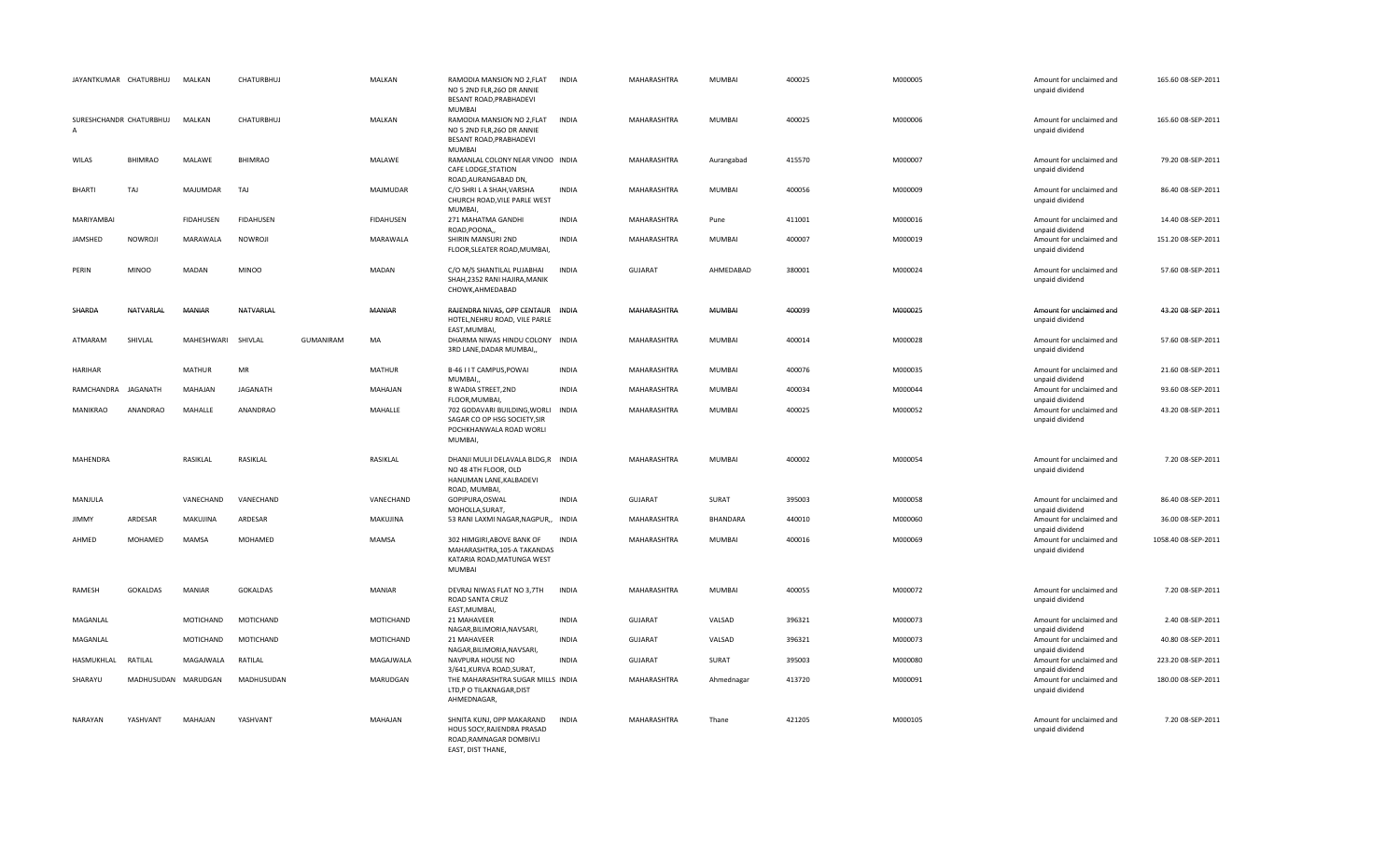| JAYANTKUMAR CHATURBHUJ       |                     | MALKAN             | CHATURBHUJ        |                  | MALKAN           | RAMODIA MANSION NO 2, FLAT<br>NO 5 2ND FLR, 260 DR ANNIE<br>BESANT ROAD, PRABHADEVI<br>MUMBAI                        | <b>INDIA</b> | MAHARASHTRA    | MUMBAI          | 400025 | M000005 | Amount for unclaimed and<br>unpaid dividend                    | 165.60 08-SEP-2011  |
|------------------------------|---------------------|--------------------|-------------------|------------------|------------------|----------------------------------------------------------------------------------------------------------------------|--------------|----------------|-----------------|--------|---------|----------------------------------------------------------------|---------------------|
| SURESHCHANDR CHATURBHUJ<br>A |                     | MALKAN             | <b>CHATURBHUJ</b> |                  | MALKAN           | RAMODIA MANSION NO 2, FLAT<br>NO 5 2ND FLR, 260 DR ANNIE<br>BESANT ROAD, PRABHADEVI<br><b>MUMBAI</b>                 | <b>INDIA</b> | MAHARASHTRA    | <b>MUMBAI</b>   | 400025 | M000006 | Amount for unclaimed and<br>unpaid dividend                    | 165.60 08-SEP-2011  |
| WILAS                        | <b>BHIMRAO</b>      | MALAWE             | <b>BHIMRAO</b>    |                  | MALAWE           | RAMANLAL COLONY NEAR VINOO INDIA<br>CAFE LODGE, STATION<br>ROAD, AURANGABAD DN,                                      |              | MAHARASHTRA    | Aurangabad      | 415570 | M000007 | Amount for unclaimed and<br>unpaid dividend                    | 79.20 08-SEP-2011   |
| <b>BHARTI</b>                | TAJ                 | MAJUMDAR           | TAJ               |                  | MAJMUDAR         | C/O SHRI L A SHAH, VARSHA<br>CHURCH ROAD, VILE PARLE WEST<br>MUMBAI,                                                 | <b>INDIA</b> | MAHARASHTRA    | <b>MUMBAI</b>   | 400056 | M000009 | Amount for unclaimed and<br>unpaid dividend                    | 86.40 08-SEP-2011   |
| MARIYAMBAI                   |                     | <b>FIDAHUSEN</b>   | <b>FIDAHUSEN</b>  |                  | <b>FIDAHUSEN</b> | 271 MAHATMA GANDHI                                                                                                   | <b>INDIA</b> | MAHARASHTRA    | Pune            | 411001 | M000016 | Amount for unclaimed and                                       | 14.40 08-SEP-2011   |
| JAMSHED                      | NOWROJI             | MARAWALA           | NOWROJI           |                  | MARAWALA         | ROAD, POONA,<br>SHIRIN MANSURI 2ND<br>FLOOR, SLEATER ROAD, MUMBAI,                                                   | <b>INDIA</b> | MAHARASHTRA    | MUMBAI          | 400007 | M000019 | unpaid dividend<br>Amount for unclaimed and<br>unpaid dividend | 151.20 08-SEP-2011  |
| PERIN                        | <b>MINOO</b>        | MADAN              | <b>MINOO</b>      |                  | MADAN            | C/O M/S SHANTILAL PUJABHAI<br>SHAH, 2352 RANI HAJIRA, MANIK<br>CHOWK, AHMEDABAD                                      | <b>INDIA</b> | <b>GUJARAT</b> | AHMEDABAD       | 380001 | M000024 | Amount for unclaimed and<br>unpaid dividend                    | 57.60 08-SEP-2011   |
| SHARDA                       | NATVARLAL           | MANIAR             | NATVARLAL         |                  | <b>MANIAR</b>    | RAJENDRA NIVAS, OPP CENTAUR INDIA<br>HOTEL, NEHRU ROAD, VILE PARLE<br>EAST, MUMBAI                                   |              | MAHARASHTRA    | <b>MUMBAI</b>   | 400099 | M000025 | Amount for unclaimed and<br>unpaid dividend                    | 43.20 08-SEP-2011   |
| ATMARAM                      | SHIVLAL             | MAHESHWARI SHIVLAL |                   | <b>GUMANIRAM</b> | MA               | DHARMA NIWAS HINDU COLONY INDIA<br>3RD LANE, DADAR MUMBAI,                                                           |              | MAHARASHTRA    | MUMBAI          | 400014 | M000028 | Amount for unclaimed and<br>unpaid dividend                    | 57.60 08-SEP-2011   |
| <b>HARIHAR</b>               |                     | <b>MATHUR</b>      | MR                |                  | MATHUR           | B-46 I I T CAMPUS, POWAI<br>MUMBAI,                                                                                  | <b>INDIA</b> | MAHARASHTRA    | MUMBAI          | 400076 | M000035 | Amount for unclaimed and<br>unpaid dividend                    | 21.60 08-SEP-2011   |
| RAMCHANDRA                   | <b>JAGANATH</b>     | MAHAJAN            | <b>JAGANATH</b>   |                  | MAHAJAN          | 8 WADIA STREET, 2ND                                                                                                  | <b>INDIA</b> | MAHARASHTRA    | MUMBAI          | 400034 | M000044 | Amount for unclaimed and                                       | 93.60 08-SEP-2011   |
| MANIKRAO                     | ANANDRAO            | MAHALLE            | ANANDRAO          |                  | MAHALLE          | FLOOR, MUMBAI,<br>702 GODAVARI BUILDING, WORLI<br>SAGAR CO OP HSG SOCIETY, SIR<br>POCHKHANWALA ROAD WORLI<br>MUMBAI, | <b>INDIA</b> | MAHARASHTRA    | <b>MUMBAI</b>   | 400025 | M000052 | unpaid dividend<br>Amount for unclaimed and<br>unpaid dividend | 43.20 08-SEP-2011   |
| MAHENDRA                     |                     | RASIKLAL           | RASIKLAL          |                  | RASIKLAL         | DHANJI MULJI DELAVALA BLDG,R INDIA<br>NO 48 4TH FLOOR, OLD<br>HANUMAN LANE, KALBADEVI<br>ROAD, MUMBAI,               |              | MAHARASHTRA    | MUMBAI          | 400002 | M000054 | Amount for unclaimed and<br>unpaid dividend                    | 7.20 08-SEP-2011    |
| MANJULA                      |                     | VANECHAND          | VANECHAND         |                  | VANECHAND        | GOPIPURA, OSWAL<br>MOHOLLA, SURAT,                                                                                   | <b>INDIA</b> | GUJARAT        | SURAT           | 395003 | M000058 | Amount for unclaimed and<br>unpaid dividend                    | 86.40 08-SEP-2011   |
| <b>JIMMY</b>                 | ARDESAR             | MAKUJINA           | ARDESAR           |                  | MAKUJINA         | 53 RANI LAXMI NAGAR, NAGPUR,, INDIA                                                                                  |              | MAHARASHTRA    | <b>BHANDARA</b> | 440010 | M000060 | Amount for unclaimed and<br>unpaid dividend                    | 36.00 08-SEP-2011   |
| AHMED                        | MOHAMED             | MAMSA              | MOHAMED           |                  | MAMSA            | 302 HIMGIRI, ABOVE BANK OF<br>MAHARASHTRA, 105-A TAKANDAS<br>KATARIA ROAD, MATUNGA WEST<br><b>MUMBAI</b>             | <b>INDIA</b> | MAHARASHTRA    | <b>MUMBAI</b>   | 400016 | M000069 | Amount for unclaimed and<br>unpaid dividend                    | 1058.40 08-SEP-2011 |
| RAMESH                       | <b>GOKALDAS</b>     | <b>MANIAR</b>      | <b>GOKALDAS</b>   |                  | <b>MANIAR</b>    | DEVRAJ NIWAS FLAT NO 3,7TH<br>ROAD SANTA CRUZ                                                                        | <b>INDIA</b> | MAHARASHTRA    | MUMBAI          | 400055 | M000072 | Amount for unclaimed and<br>unpaid dividend                    | 7.20 08-SEP-2011    |
| MAGANLAL                     |                     | MOTICHAND          | MOTICHAND         |                  | MOTICHAND        | EAST, MUMBAI,<br>21 MAHAVEER                                                                                         | <b>INDIA</b> | <b>GUJARAT</b> | VALSAD          | 396321 | M000073 | Amount for unclaimed and                                       | 2.40 08-SEP-2011    |
| MAGANLAL                     |                     | MOTICHAND          | MOTICHAND         |                  | MOTICHAND        | NAGAR, BILIMORIA, NAVSARI,<br>21 MAHAVEER                                                                            | <b>INDIA</b> | <b>GUJARAT</b> | VALSAD          | 396321 | M000073 | unpaid dividend<br>Amount for unclaimed and                    | 40.80 08-SEP-2011   |
| HASMUKHLAL                   | RATILAL             | MAGAJWALA          | RATILAL           |                  | MAGAJWALA        | NAGAR, BILIMORIA, NAVSARI,<br>NAVPURA HOUSE NO                                                                       | <b>INDIA</b> | GUJARAT        | SURAT           | 395003 | M000080 | unpaid dividend<br>Amount for unclaimed and                    | 223.20 08-SEP-2011  |
| SHARAYU                      | MADHUSUDAN MARUDGAN |                    | MADHUSUDAN        |                  | MARUDGAN         | 3/641, KURVA ROAD, SURAT,<br>THE MAHARASHTRA SUGAR MILLS INDIA<br>LTD,P O TILAKNAGAR, DIST<br>AHMEDNAGAR,            |              | MAHARASHTRA    | Ahmednagar      | 413720 | M000091 | unpaid dividend<br>Amount for unclaimed and<br>unpaid dividend | 180.00 08-SEP-2011  |
| NARAYAN                      | YASHVANT            | MAHAJAN            | YASHVANT          |                  | MAHAJAN          | SHNITA KUNJ, OPP MAKARAND<br>HOUS SOCY.RAJENDRA PRASAD<br>ROAD, RAMNAGAR DOMBIVLI<br>EAST, DIST THANE,               | <b>INDIA</b> | MAHARASHTRA    | Thane           | 421205 | M000105 | Amount for unclaimed and<br>unpaid dividend                    | 7.20 08-SEP-2011    |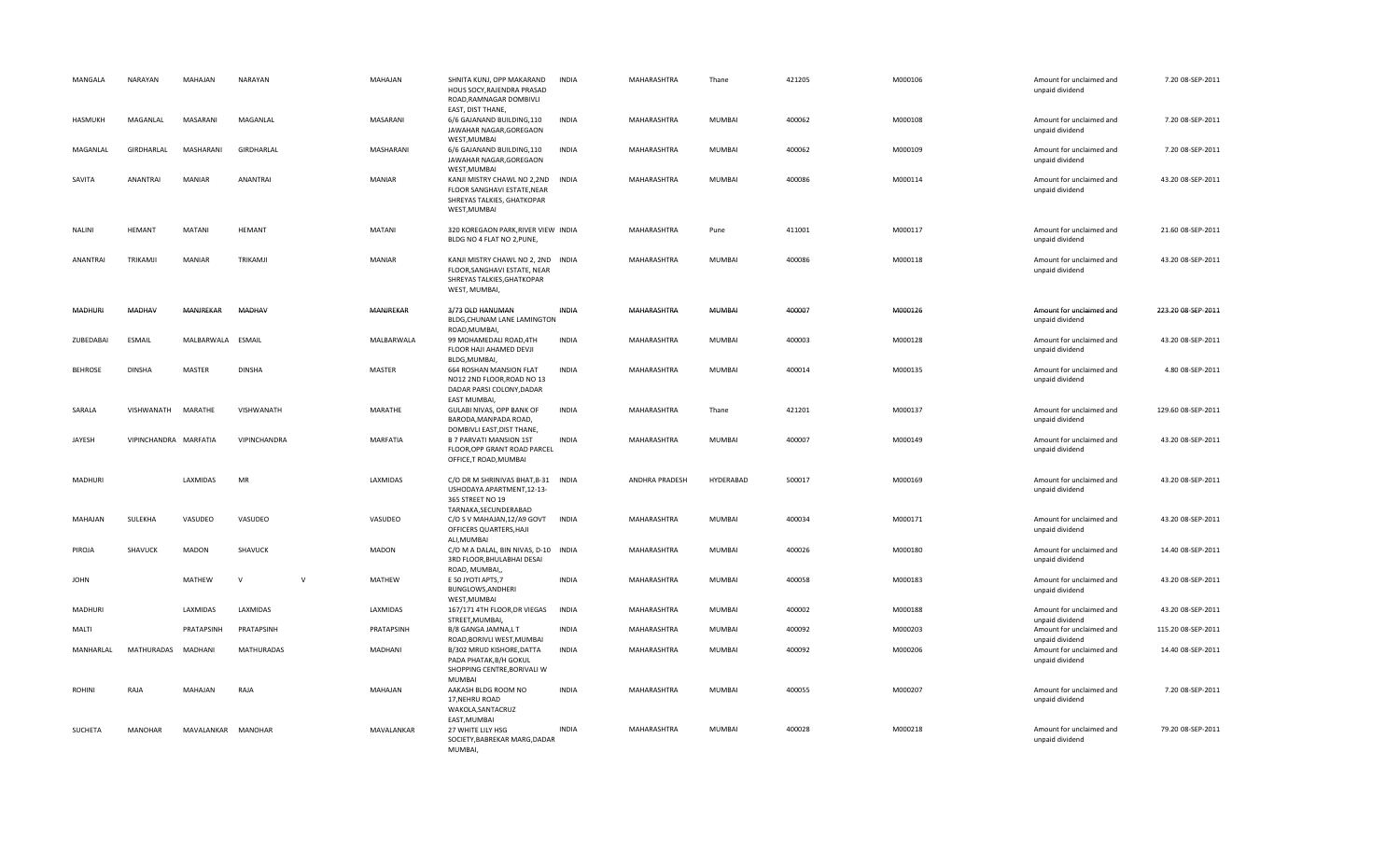| MANGALA        | NARAYAN               | MAHAJAN           | NARAYAN           |        | MAHAJAN         | SHNITA KUNJ, OPP MAKARAND<br>HOUS SOCY, RAJENDRA PRASAD<br>ROAD, RAMNAGAR DOMBIVLI<br>EAST, DIST THANE,                           | <b>INDIA</b> | MAHARASHTRA        | Thane         | 421205 | M000106 | Amount for unclaimed and<br>unpaid dividend                    | 7.20 08-SEP-2011   |
|----------------|-----------------------|-------------------|-------------------|--------|-----------------|-----------------------------------------------------------------------------------------------------------------------------------|--------------|--------------------|---------------|--------|---------|----------------------------------------------------------------|--------------------|
| HASMUKH        | MAGANLAL              | MASARANI          | MAGANLAL          |        | MASARANI        | 6/6 GAJANAND BUILDING,110<br>JAWAHAR NAGAR, GOREGAON<br>WEST, MUMBAI                                                              | <b>INDIA</b> | MAHARASHTRA        | MUMBAI        | 400062 | M000108 | Amount for unclaimed and<br>unpaid dividend                    | 7.20 08-SEP-2011   |
| MAGANLAL       | GIRDHARLAL            | MASHARANI         | GIRDHARLAL        |        | MASHARANI       | 6/6 GAJANAND BUILDING,110<br>JAWAHAR NAGAR, GOREGAON<br>WEST, MUMBAI                                                              | <b>INDIA</b> | MAHARASHTRA        | MUMBAI        | 400062 | M000109 | Amount for unclaimed and<br>unpaid dividend                    | 7.20 08-SEP-2011   |
| SAVITA         | ANANTRAI              | <b>MANIAR</b>     | <b>ANANTRAI</b>   |        | MANIAR          | KANJI MISTRY CHAWL NO 2,2ND<br>FLOOR SANGHAVI ESTATE, NEAR<br>SHREYAS TALKIES, GHATKOPAR<br>WEST, MUMBAI                          | <b>INDIA</b> | MAHARASHTRA        | <b>MUMBAI</b> | 400086 | M000114 | Amount for unclaimed and<br>unpaid dividend                    | 43.20 08-SEP-2011  |
| <b>NALINI</b>  | <b>HEMANT</b>         | <b>MATANI</b>     | <b>HEMANT</b>     |        | <b>MATANI</b>   | 320 KOREGAON PARK, RIVER VIEW INDIA<br>BLDG NO 4 FLAT NO 2, PUNE,                                                                 |              | MAHARASHTRA        | Pune          | 411001 | M000117 | Amount for unclaimed and<br>unpaid dividend                    | 21.60 08-SEP-2011  |
| ANANTRAI       | TRIKAMJI              | <b>MANIAR</b>     | TRIKAMJI          |        | <b>MANIAR</b>   | KANJI MISTRY CHAWL NO 2, 2ND INDIA<br>FLOOR.SANGHAVI ESTATE, NEAR<br>SHREYAS TALKIES, GHATKOPAR<br>WEST, MUMBAI,                  |              | MAHARASHTRA        | MUMBAI        | 400086 | M000118 | Amount for unclaimed and<br>unpaid dividend                    | 43.20 08-SEP-2011  |
| <b>MADHUR</b>  | MADHAV                | MANJREKAR         | <b>MADHAV</b>     |        | MANJREKAR       | 3/73 OLD HANUMAN<br>BLDG, CHUNAM LANE LAMINGTON<br>ROAD, MUMBAI                                                                   | <b>INDIA</b> | MAHARASHTRA        | <b>MUMBAI</b> | 400007 | M000126 | Amount for unclaimed and<br>unpaid dividend                    | 223.20 08-SEP-2011 |
| ZUBEDABAI      | <b>ESMAIL</b>         | MALBARWALA ESMAIL |                   |        | MALBARWALA      | 99 MOHAMEDALI ROAD, 4TH<br>FLOOR HAJI AHAMED DEVJI<br>BLDG, MUMBAI,                                                               | <b>INDIA</b> | MAHARASHTRA        | <b>MUMBAI</b> | 400003 | M000128 | Amount for unclaimed and<br>unpaid dividend                    | 43.20 08-SEP-2011  |
| <b>BEHROSE</b> | <b>DINSHA</b>         | <b>MASTER</b>     | <b>DINSHA</b>     |        | <b>MASTER</b>   | 664 ROSHAN MANSION FLAT<br>NO12 2ND FLOOR, ROAD NO 13<br>DADAR PARSI COLONY, DADAR<br>EAST MUMBAI,                                | <b>INDIA</b> | MAHARASHTRA        | MUMBAI        | 400014 | M000135 | Amount for unclaimed and<br>unpaid dividend                    | 4.80 08-SEP-2011   |
| SARALA         | VISHWANATH            | MARATHE           | VISHWANATH        |        | MARATHE         | GULABI NIVAS, OPP BANK OF<br>BARODA, MANPADA ROAD,<br>DOMBIVLI EAST, DIST THANE,                                                  | <b>INDIA</b> | MAHARASHTRA        | Thane         | 421201 | M000137 | Amount for unclaimed and<br>unpaid dividend                    | 129.60 08-SEP-2011 |
| JAYESH         | VIPINCHANDRA MARFATIA |                   | VIPINCHANDRA      |        | <b>MARFATIA</b> | B 7 PARVATI MANSION 1ST<br>FLOOR, OPP GRANT ROAD PARCEL<br>OFFICE, T ROAD, MUMBAI                                                 | <b>INDIA</b> | MAHARASHTRA        | <b>MUMBAI</b> | 400007 | M000149 | Amount for unclaimed and<br>unpaid dividend                    | 43.20 08-SEP-2011  |
| MADHURI        |                       | LAXMIDAS          | MR                |        | LAXMIDAS        | C/O DR M SHRINIVAS BHAT, B-31 INDIA<br>USHODAYA APARTMENT, 12-13-<br>365 STREET NO 19<br>TARNAKA, SECUNDERABAD                    |              | ANDHRA PRADESH     | HYDERABAD     | 500017 | M000169 | Amount for unclaimed and<br>unpaid dividend                    | 43.20 08-SEP-2011  |
| MAHAJAN        | SULEKHA               | VASUDEO           | VASUDEO           |        | VASUDEO         | C/O S V MAHAJAN, 12/A9 GOVT<br>OFFICERS QUARTERS, HAJI<br>ALI, MUMBAI                                                             | <b>INDIA</b> | MAHARASHTRA        | <b>MUMBAI</b> | 400034 | M000171 | Amount for unclaimed and<br>unpaid dividend                    | 43.20 08-SEP-2011  |
| PIROJA         | SHAVUCK               | MADON             | SHAVUCK           |        | <b>MADON</b>    | C/O M A DALAL, BIN NIVAS, D-10 INDIA<br>3RD FLOOR, BHULABHAI DESAI<br>ROAD, MUMBAI,                                               |              | <b>MAHARASHTRA</b> | <b>MUMBAI</b> | 400026 | M000180 | Amount for unclaimed and<br>unpaid dividend                    | 14.40 08-SEP-2011  |
| <b>JOHN</b>    |                       | MATHEW            | $\mathsf{V}$      | $\vee$ | MATHEW          | E 50 JYOTI APTS,7<br>BUNGLOWS, ANDHERI<br>WEST, MUMBAI                                                                            | <b>INDIA</b> | MAHARASHTRA        | MUMBAI        | 400058 | M000183 | Amount for unclaimed and<br>unpaid dividend                    | 43.20 08-SEP-2011  |
| MADHURI        |                       | LAXMIDAS          | LAXMIDAS          |        | LAXMIDAS        | 167/171 4TH FLOOR, DR VIEGAS<br>STREET, MUMBAI,                                                                                   | <b>INDIA</b> | MAHARASHTRA        | MUMBAI        | 400002 | M000188 | Amount for unclaimed and<br>unpaid dividend                    | 43.20 08-SEP-2011  |
| MALTI          |                       | PRATAPSINH        | PRATAPSINH        |        | PRATAPSINH      | B/8 GANGA JAMNA,L T                                                                                                               | <b>INDIA</b> | MAHARASHTRA        | <b>MUMBAI</b> | 400092 | M000203 | Amount for unclaimed and                                       | 115.20 08-SEP-2011 |
| MANHARLAL      | MATHURADAS            | MADHANI           | <b>MATHURADAS</b> |        | MADHANI         | ROAD, BORIVLI WEST, MUMBAI<br>B/302 MRUD KISHORE, DATTA<br>PADA PHATAK, B/H GOKUL<br>SHOPPING CENTRE, BORIVALI W<br><b>MUMBAI</b> | <b>INDIA</b> | MAHARASHTRA        | <b>MUMBAI</b> | 400092 | M000206 | unpaid dividend<br>Amount for unclaimed and<br>unpaid dividend | 14.40 08-SEP-2011  |
| <b>ROHINI</b>  | RAJA                  | MAHAJAN           | RAJA              |        | MAHAJAN         | AAKASH BLDG ROOM NO<br>17, NEHRU ROAD<br>WAKOLA, SANTACRUZ<br>EAST, MUMBAI                                                        | <b>INDIA</b> | MAHARASHTRA        | MUMBAI        | 400055 | M000207 | Amount for unclaimed and<br>unpaid dividend                    | 7.20 08-SEP-2011   |
| SUCHETA        | <b>MANOHAR</b>        | MAVALANKAR        | <b>MANOHAR</b>    |        | MAVALANKAR      | 27 WHITE LILY HSG<br>SOCIETY, BABREKAR MARG, DADAR<br>MUMBAI,                                                                     | <b>INDIA</b> | <b>MAHARASHTRA</b> | <b>MUMBAI</b> | 400028 | M000218 | Amount for unclaimed and<br>unpaid dividend                    | 79.20 08-SEP-2011  |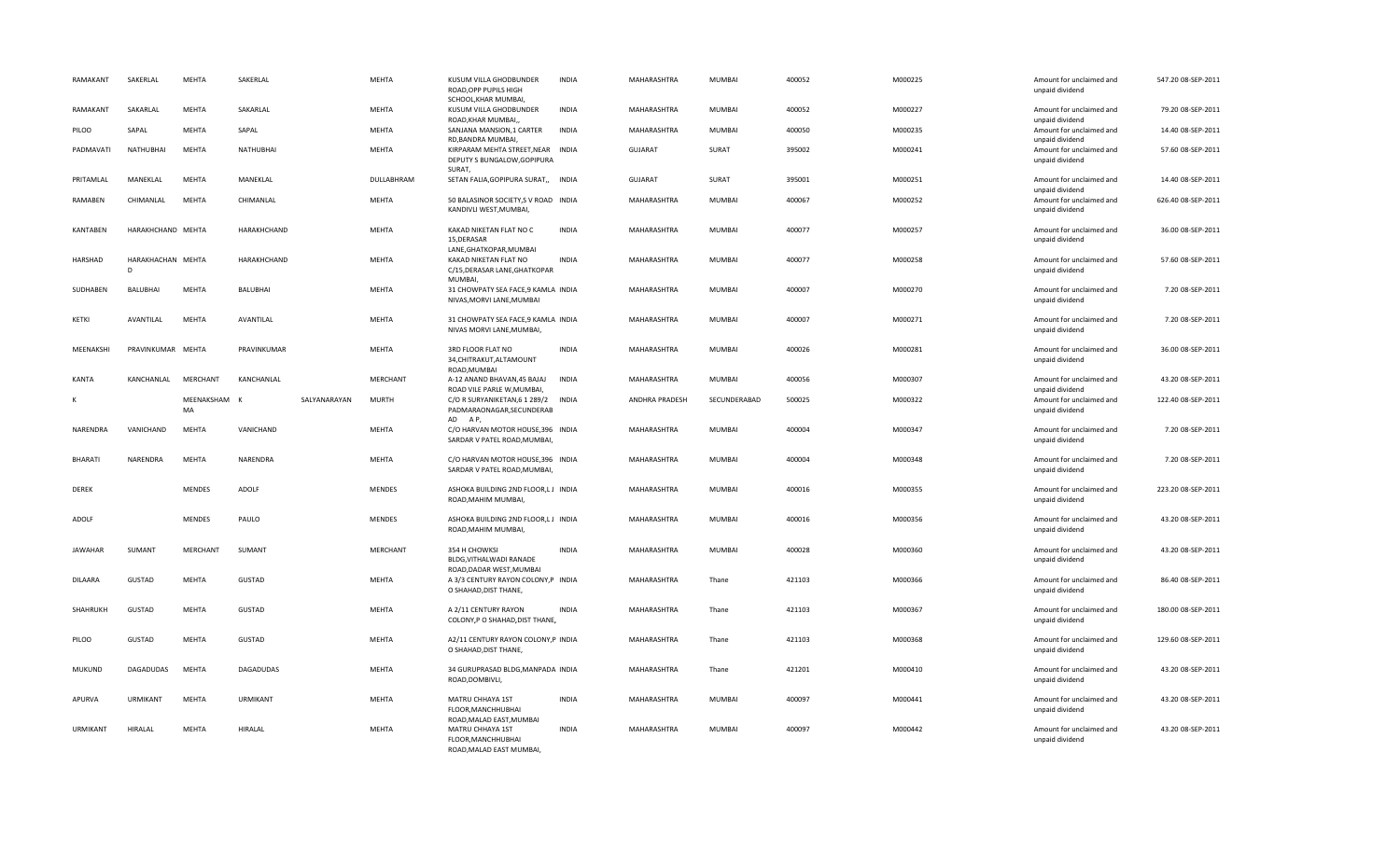| RAMAKANT        | SAKERLAL               | <b>MEHTA</b>       | SAKERLAL         |              | <b>MEHTA</b>  | KUSUM VILLA GHODBUNDER<br>ROAD.OPP PUPILS HIGH<br>SCHOOL, KHAR MUMBAI,            | <b>INDIA</b> | MAHARASHTRA        | MUMBAI        | 400052 | M000225 | Amount for unclaimed and<br>unpaid dividend | 547.20 08-SEP-2011 |
|-----------------|------------------------|--------------------|------------------|--------------|---------------|-----------------------------------------------------------------------------------|--------------|--------------------|---------------|--------|---------|---------------------------------------------|--------------------|
| RAMAKANT        | SAKARLAL               | <b>MEHTA</b>       | SAKARLAL         |              | <b>MEHTA</b>  | KUSUM VILLA GHODBUNDER<br>ROAD, KHAR MUMBAI,                                      | <b>INDIA</b> | MAHARASHTRA        | MUMBAI        | 400052 | M000227 | Amount for unclaimed and<br>unpaid dividend | 79.20 08-SEP-2011  |
| PILOO           | SAPAL                  | <b>MEHTA</b>       | SAPAL            |              | MEHTA         | SANJANA MANSION,1 CARTER<br>RD, BANDRA MUMBAI,                                    | INDIA        | MAHARASHTRA        | MUMBAI        | 400050 | M000235 | Amount for unclaimed and<br>unpaid dividend | 14.40 08-SEP-2011  |
| PADMAVATI       | NATHUBHAI              | <b>MEHTA</b>       | <b>NATHUBHAI</b> |              | <b>MEHTA</b>  | KIRPARAM MEHTA STREET, NEAR INDIA<br>DEPUTY S BUNGALOW, GOPIPURA<br>SURAT,        |              | <b>GUJARAT</b>     | SURAT         | 395002 | M000241 | Amount for unclaimed and<br>unpaid dividend | 57.60 08-SEP-2011  |
| PRITAMLAL       | MANEKLAL               | <b>MEHTA</b>       | MANEKLAL         |              | DULLABHRAM    | SETAN FALIA, GOPIPURA SURAT,,                                                     | <b>INDIA</b> | <b>GUJARAT</b>     | SURAT         | 395001 | M000251 | Amount for unclaimed and<br>unpaid dividend | 14.40 08-SEP-2011  |
| RAMABEN         | CHIMANLAL              | MEHTA              | CHIMANLAL        |              | MEHTA         | 50 BALASINOR SOCIETY, S V ROAD INDIA<br>KANDIVLI WEST, MUMBAI,                    |              | MAHARASHTRA        | <b>MUMBAI</b> | 400067 | M000252 | Amount for unclaimed and<br>unpaid dividend | 626.40 08-SEP-2011 |
| KANTABEN        | HARAKHCHAND MEHTA      |                    | HARAKHCHAND      |              | <b>MEHTA</b>  | KAKAD NIKETAN FLAT NO C<br>15, DERASAR                                            | <b>INDIA</b> | MAHARASHTRA        | MUMBAI        | 400077 | M000257 | Amount for unclaimed and<br>unpaid dividend | 36.00 08-SEP-2011  |
| HARSHAD         | HARAKHACHAN MEHTA<br>D |                    | HARAKHCHAND      |              | MEHTA         | LANE, GHATKOPAR, MUMBAI<br>KAKAD NIKETAN FLAT NO<br>C/15, DERASAR LANE, GHATKOPAR | <b>INDIA</b> | MAHARASHTRA        | MUMBAI        | 400077 | M000258 | Amount for unclaimed and<br>unpaid dividend | 57.60 08-SEP-2011  |
| SUDHABEN        | BALUBHAI               | <b>MEHTA</b>       | BALUBHAI         |              | MEHTA         | <b>MUMBAL</b><br>31 CHOWPATY SEA FACE,9 KAMLA INDIA<br>NIVAS, MORVI LANE, MUMBAI  |              | MAHARASHTRA        | MUMBAI        | 400007 | M000270 | Amount for unclaimed and<br>unpaid dividend | 7.20 08-SEP-2011   |
| KETKI           | AVANTILAL              | <b>MEHTA</b>       | AVANTILAL        |              | <b>MEHTA</b>  | 31 CHOWPATY SEA FACE,9 KAMLA INDIA<br>NIVAS MORVI LANE, MUMBAI,                   |              | MAHARASHTRA        | MUMBAI        | 400007 | M000271 | Amount for unclaimed and<br>unpaid dividend | 7.20 08-SEP-2011   |
| MEENAKSHI       | PRAVINKUMAR MEHTA      |                    | PRAVINKUMAR      |              | MEHTA         | 3RD FLOOR FLAT NO<br>34, CHITRAKUT, ALTAMOUNT<br>ROAD, MUMBAI                     | <b>INDIA</b> | MAHARASHTRA        | MUMBAI        | 400026 | M000281 | Amount for unclaimed and<br>unpaid dividend | 36.00 08-SEP-2011  |
| KANTA           | KANCHANLAL             | MERCHANT           | KANCHANLAL       |              | MERCHANT      | A-12 ANAND BHAVAN, 45 BAJAJ<br>ROAD VILE PARLE W, MUMBAI,                         | <b>INDIA</b> | MAHARASHTRA        | <b>MUMBAI</b> | 400056 | M000307 | Amount for unclaimed and<br>unpaid dividend | 43.20 08-SEP-2011  |
| к               |                        | MEENAKSHAM K<br>MA |                  | SALYANARAYAN | <b>MURTH</b>  | C/O R SURYANIKETAN, 6 1 289/2<br>PADMARAONAGAR, SECUNDERAB                        | <b>INDIA</b> | ANDHRA PRADESH     | SECUNDERABAD  | 500025 | M000322 | Amount for unclaimed and<br>unpaid dividend | 122.40 08-SEP-2011 |
| <b>NARENDRA</b> | VANICHAND              | <b>MEHTA</b>       | VANICHAND        |              | MEHTA         | AD AP,<br>C/O HARVAN MOTOR HOUSE, 396 INDIA<br>SARDAR V PATEL ROAD, MUMBAI,       |              | MAHARASHTRA        | <b>MUMBAI</b> | 400004 | M000347 | Amount for unclaimed and<br>unpaid dividend | 7.20 08-SEP-2011   |
| <b>BHARATI</b>  | NARENDRA               | <b>MEHTA</b>       | NARENDRA         |              | MEHTA         | C/O HARVAN MOTOR HOUSE, 396 INDIA<br>SARDAR V PATEL ROAD, MUMBAI,                 |              | <b>MAHARASHTRA</b> | <b>MUMBAI</b> | 400004 | M000348 | Amount for unclaimed and<br>unpaid dividend | 7.20 08-SEP-2011   |
| <b>DEREK</b>    |                        | <b>MENDES</b>      | ADOLF            |              | MENDES        | ASHOKA BUILDING 2ND FLOOR,L J INDIA<br>ROAD, MAHIM MUMBAI,                        |              | MAHARASHTRA        | <b>MUMBAI</b> | 400016 | M000355 | Amount for unclaimed and<br>unpaid dividend | 223.20 08-SEP-2011 |
| ADOLF           |                        | <b>MENDES</b>      | PAULO            |              | <b>MENDES</b> | ASHOKA BUILDING 2ND FLOOR,L J INDIA<br>ROAD, MAHIM MUMBAI,                        |              | MAHARASHTRA        | MUMBAI        | 400016 | M000356 | Amount for unclaimed and<br>unpaid dividend | 43.20 08-SEP-2011  |
| <b>JAWAHAR</b>  | SUMANT                 | MERCHANT           | SUMANT           |              | MERCHANT      | 354 H CHOWKSI<br>BLDG, VITHALWADI RANADE<br>ROAD, DADAR WEST, MUMBAI              | <b>INDIA</b> | MAHARASHTRA        | MUMBAI        | 400028 | M000360 | Amount for unclaimed and<br>unpaid dividend | 43.20 08-SEP-2011  |
| DILAARA         | GUSTAD                 | MEHTA              | GUSTAD           |              | MEHTA         | A 3/3 CENTURY RAYON COLONY, P INDIA<br>O SHAHAD, DIST THANE,                      |              | MAHARASHTRA        | Thane         | 421103 | M000366 | Amount for unclaimed and<br>unpaid dividend | 86.40 08-SEP-2011  |
| SHAHRUKH        | GUSTAD                 | <b>MEHTA</b>       | GUSTAD           |              | <b>MEHTA</b>  | A 2/11 CENTURY RAYON<br>COLONY, P O SHAHAD, DIST THANE,                           | <b>INDIA</b> | MAHARASHTRA        | Thane         | 421103 | M000367 | Amount for unclaimed and<br>unpaid dividend | 180.00 08-SEP-2011 |
| PILOO           | GUSTAD                 | MEHTA              | GUSTAD           |              | MEHTA         | A2/11 CENTURY RAYON COLONY, P INDIA<br>O SHAHAD, DIST THANE,                      |              | MAHARASHTRA        | Thane         | 421103 | M000368 | Amount for unclaimed and<br>unpaid dividend | 129.60 08-SEP-2011 |
| MUKUND          | DAGADUDAS              | <b>MEHTA</b>       | DAGADUDAS        |              | <b>MEHTA</b>  | 34 GURUPRASAD BLDG, MANPADA INDIA<br>ROAD, DOMBIVLI,                              |              | MAHARASHTRA        | Thane         | 421201 | M000410 | Amount for unclaimed and<br>unpaid dividend | 43.20 08-SEP-2011  |
| APURVA          | <b>URMIKANT</b>        | <b>MEHTA</b>       | URMIKANT         |              | <b>MEHTA</b>  | MATRU CHHAYA 1ST<br>FLOOR, MANCHHUBHAI<br>ROAD, MALAD EAST, MUMBAI                | INDIA        | MAHARASHTRA        | <b>MUMBAI</b> | 400097 | M000441 | Amount for unclaimed and<br>unpaid dividend | 43.20 08-SEP-2011  |
| URMIKANT        | HIRALAL                | <b>MEHTA</b>       | HIRALAL          |              | MEHTA         | MATRU CHHAYA 1ST<br>FLOOR, MANCHHUBHAI<br>ROAD, MALAD EAST MUMBAI,                | <b>INDIA</b> | MAHARASHTRA        | <b>MUMBAI</b> | 400097 | M000442 | Amount for unclaimed and<br>unpaid dividend | 43.20 08-SEP-2011  |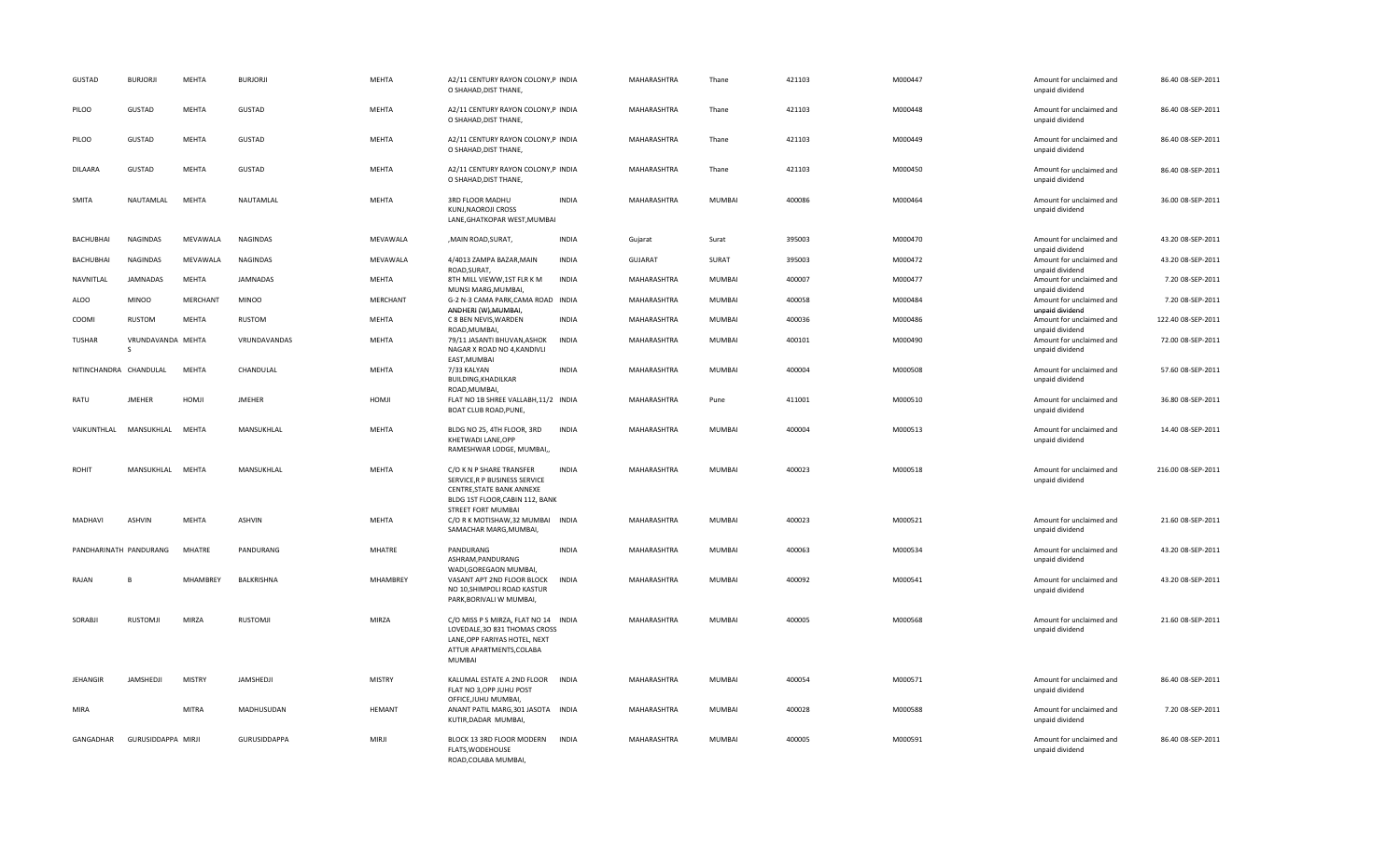| GUSTAD                 | <b>BURJORJI</b>        | MEHTA           | <b>BURJORJI</b> | MEHTA         | A2/11 CENTURY RAYON COLONY, P INDIA<br>O SHAHAD, DIST THANE,                                                                                        |              | MAHARASHTRA    | Thane         | 421103 | M000447 | Amount for unclaimed and<br>unpaid dividend                    | 86.40 08-SEP-2011  |
|------------------------|------------------------|-----------------|-----------------|---------------|-----------------------------------------------------------------------------------------------------------------------------------------------------|--------------|----------------|---------------|--------|---------|----------------------------------------------------------------|--------------------|
| PILOO                  | GUSTAD                 | MEHTA           | GUSTAD          | MEHTA         | A2/11 CENTURY RAYON COLONY, P INDIA<br>O SHAHAD, DIST THANE,                                                                                        |              | MAHARASHTRA    | Thane         | 421103 | M000448 | Amount for unclaimed and<br>unpaid dividend                    | 86.40 08-SEP-2011  |
| PILOO                  | GUSTAD                 | MEHTA           | <b>GUSTAD</b>   | MEHTA         | A2/11 CENTURY RAYON COLONY, P INDIA<br>O SHAHAD, DIST THANE,                                                                                        |              | MAHARASHTRA    | Thane         | 421103 | M000449 | Amount for unclaimed and<br>unpaid dividend                    | 86.40 08-SEP-2011  |
| <b>DILAARA</b>         | GUSTAD                 | MEHTA           | <b>GUSTAD</b>   | MEHTA         | A2/11 CENTURY RAYON COLONY, P INDIA<br>O SHAHAD, DIST THANE,                                                                                        |              | MAHARASHTRA    | Thane         | 421103 | M000450 | Amount for unclaimed and<br>unpaid dividend                    | 86.40 08-SEP-2011  |
| <b>SMITA</b>           | NAUTAMLAL              | <b>MEHTA</b>    | NAUTAMLAL       | MEHTA         | 3RD FLOOR MADHU<br>KUNJ, NAOROJI CROSS<br>LANE, GHATKOPAR WEST, MUMBAI                                                                              | <b>INDIA</b> | MAHARASHTRA    | MUMBAI        | 400086 | M000464 | Amount for unclaimed and<br>unpaid dividend                    | 36.00 08-SEP-2011  |
| <b>BACHUBHAI</b>       | <b>NAGINDAS</b>        | MEVAWALA        | <b>NAGINDAS</b> | MEVAWALA      | , MAIN ROAD, SURAT,                                                                                                                                 | <b>INDIA</b> | Gujarat        | Surat         | 395003 | M000470 | Amount for unclaimed and<br>unpaid dividend                    | 43.20 08-SEP-2011  |
| BACHUBHAI              | <b>NAGINDAS</b>        | MEVAWALA        | NAGINDAS        | MEVAWALA      | 4/4013 ZAMPA BAZAR, MAIN<br>ROAD, SURAT,                                                                                                            | <b>INDIA</b> | <b>GUJARAT</b> | SURAT         | 395003 | M000472 | Amount for unclaimed and                                       | 43.20 08-SEP-2011  |
| NAVNITLAL              | JAMNADAS               | MEHTA           | <b>JAMNADAS</b> | MEHTA         | 8TH MILL VIEWW, 1ST FLR K M                                                                                                                         | <b>INDIA</b> | MAHARASHTRA    | MUMBAI        | 400007 | M000477 | unpaid dividend<br>Amount for unclaimed and                    | 7.20 08-SEP-2011   |
| ALOO                   | <b>MINOO</b>           | <b>MERCHANT</b> | <b>MINOO</b>    | MERCHANT      | MUNSI MARG, MUMBAI,<br>G-2 N-3 CAMA PARK, CAMA ROAD INDIA<br>ANDHERI (W), MUMBAI,                                                                   |              | MAHARASHTRA    | MUMBAI        | 400058 | M000484 | unpaid dividend<br>Amount for unclaimed and<br>unpaid dividend | 7.20 08-SEP-2011   |
| COOMI                  | <b>RUSTOM</b>          | <b>MEHTA</b>    | RUSTOM          | MEHTA         | C 8 BEN NEVIS, WARDEN<br>ROAD, MUMBAI,                                                                                                              | <b>INDIA</b> | MAHARASHTRA    | MUMBAI        | 400036 | M000486 | Amount for unclaimed and<br>unpaid dividend                    | 122.40 08-SEP-2011 |
| TUSHAR                 | VRUNDAVANDA MEHTA<br>S |                 | VRUNDAVANDAS    | MEHTA         | 79/11 JASANTI BHUVAN, ASHOK<br>NAGAR X ROAD NO 4, KANDIVLI<br>EAST, MUMBAI                                                                          | <b>INDIA</b> | MAHARASHTRA    | MUMBAI        | 400101 | M000490 | Amount for unclaimed and<br>unpaid dividend                    | 72.00 08-SEP-2011  |
| NITINCHANDRA CHANDULAL |                        | <b>MEHTA</b>    | CHANDULAL       | MEHTA         | 7/33 KALYAN<br>BUILDING, KHADILKAR<br>ROAD, MUMBAI,                                                                                                 | <b>INDIA</b> | MAHARASHTRA    | MUMBAI        | 400004 | M000508 | Amount for unclaimed and<br>unpaid dividend                    | 57.60 08-SEP-2011  |
| RATU                   | <b>JMEHER</b>          | HOMJI           | <b>JMEHER</b>   | HOMJI         | FLAT NO 1B SHREE VALLABH, 11/2 INDIA<br>BOAT CLUB ROAD, PUNE,                                                                                       |              | MAHARASHTRA    | Pune          | 411001 | M000510 | Amount for unclaimed and<br>unpaid dividend                    | 36.80 08-SEP-2011  |
| VAIKUNTHLAL            | MANSUKHLAL             | <b>MEHTA</b>    | MANSUKHLAL      | <b>MEHTA</b>  | BLDG NO 25, 4TH FLOOR, 3RD<br>KHETWADI LANE, OPP<br>RAMESHWAR LODGE, MUMBAI,                                                                        | <b>INDIA</b> | MAHARASHTRA    | MUMBAI        | 400004 | M000513 | Amount for unclaimed and<br>unpaid dividend                    | 14.40 08-SEP-2011  |
| ROHIT                  | MANSUKHLAL MEHTA       |                 | MANSUKHLAL      | <b>MEHTA</b>  | C/O K N P SHARE TRANSFER<br>SERVICE, R P BUSINESS SERVICE<br>CENTRE, STATE BANK ANNEXE<br>BLDG 1ST FLOOR, CABIN 112, BANK                           | <b>INDIA</b> | MAHARASHTRA    | MUMBAI        | 400023 | M000518 | Amount for unclaimed and<br>unpaid dividend                    | 216.00 08-SEP-2011 |
| MADHAVI                | <b>ASHVIN</b>          | MEHTA           | ASHVIN          | MEHTA         | STREET FORT MUMBAI<br>C/O R K MOTISHAW, 32 MUMBAI INDIA<br>SAMACHAR MARG, MUMBAI,                                                                   |              | MAHARASHTRA    | MUMBAI        | 400023 | M000521 | Amount for unclaimed and<br>unpaid dividend                    | 21.60 08-SEP-2011  |
|                        | PANDHARINATH PANDURANG | <b>MHATRE</b>   | PANDURANG       | <b>MHATRE</b> | PANDURANG<br>ASHRAM, PANDURANG                                                                                                                      | <b>INDIA</b> | MAHARASHTRA    | MUMBAI        | 400063 | M000534 | Amount for unclaimed and<br>unpaid dividend                    | 43.20 08-SEP-2011  |
| RAIAN                  | $\overline{B}$         | <b>MHAMBREY</b> | BALKRISHNA      | MHAMBREY      | WADI, GOREGAON MUMBAI,<br>VASANT APT 2ND FLOOR BLOCK<br>NO 10, SHIMPOLI ROAD KASTUR<br>PARK, BORIVALI W MUMBAI,                                     | <b>INDIA</b> | MAHARASHTRA    | <b>MUMBAI</b> | 400092 | M000541 | Amount for unclaimed and<br>unpaid dividend                    | 43.20 08-SEP-2011  |
| SORABJI                | RUSTOMJI               | MIRZA           | RUSTOMJI        | MIRZA         | C/O MISS P S MIRZA, FLAT NO 14 INDIA<br>LOVEDALE, 30 831 THOMAS CROSS<br>LANE, OPP FARIYAS HOTEL, NEXT<br>ATTUR APARTMENTS, COLABA<br><b>MUMBAI</b> |              | MAHARASHTRA    | MUMBAI        | 400005 | M000568 | Amount for unclaimed and<br>unpaid dividend                    | 21.60 08-SEP-2011  |
| <b>JEHANGIR</b>        | <b>JAMSHEDJI</b>       | <b>MISTRY</b>   | JAMSHEDJI       | <b>MISTRY</b> | KALUMAL ESTATE A 2ND FLOOR INDIA<br>FLAT NO 3, OPP JUHU POST<br>OFFICE, JUHU MUMBAI,                                                                |              | MAHARASHTRA    | MUMBAI        | 400054 | M000571 | Amount for unclaimed and<br>unpaid dividend                    | 86.40 08-SEP-2011  |
| <b>MIRA</b>            |                        | <b>MITRA</b>    | MADHUSUDAN      | HEMANT        | ANANT PATIL MARG, 301 JASOTA INDIA<br>KUTIR, DADAR MUMBAI,                                                                                          |              | MAHARASHTRA    | <b>MUMBAI</b> | 400028 | M000588 | Amount for unclaimed and<br>unpaid dividend                    | 7.20 08-SEP-2011   |
| GANGADHAR              | GURUSIDDAPPA MIRJI     |                 | GURUSIDDAPPA    | <b>MIRJI</b>  | BLOCK 13 3RD FLOOR MODERN INDIA<br>FLATS, WODEHOUSE<br>ROAD, COLABA MUMBAI,                                                                         |              | MAHARASHTRA    | MUMBAI        | 400005 | M000591 | Amount for unclaimed and<br>unpaid dividend                    | 86.40 08-SEP-2011  |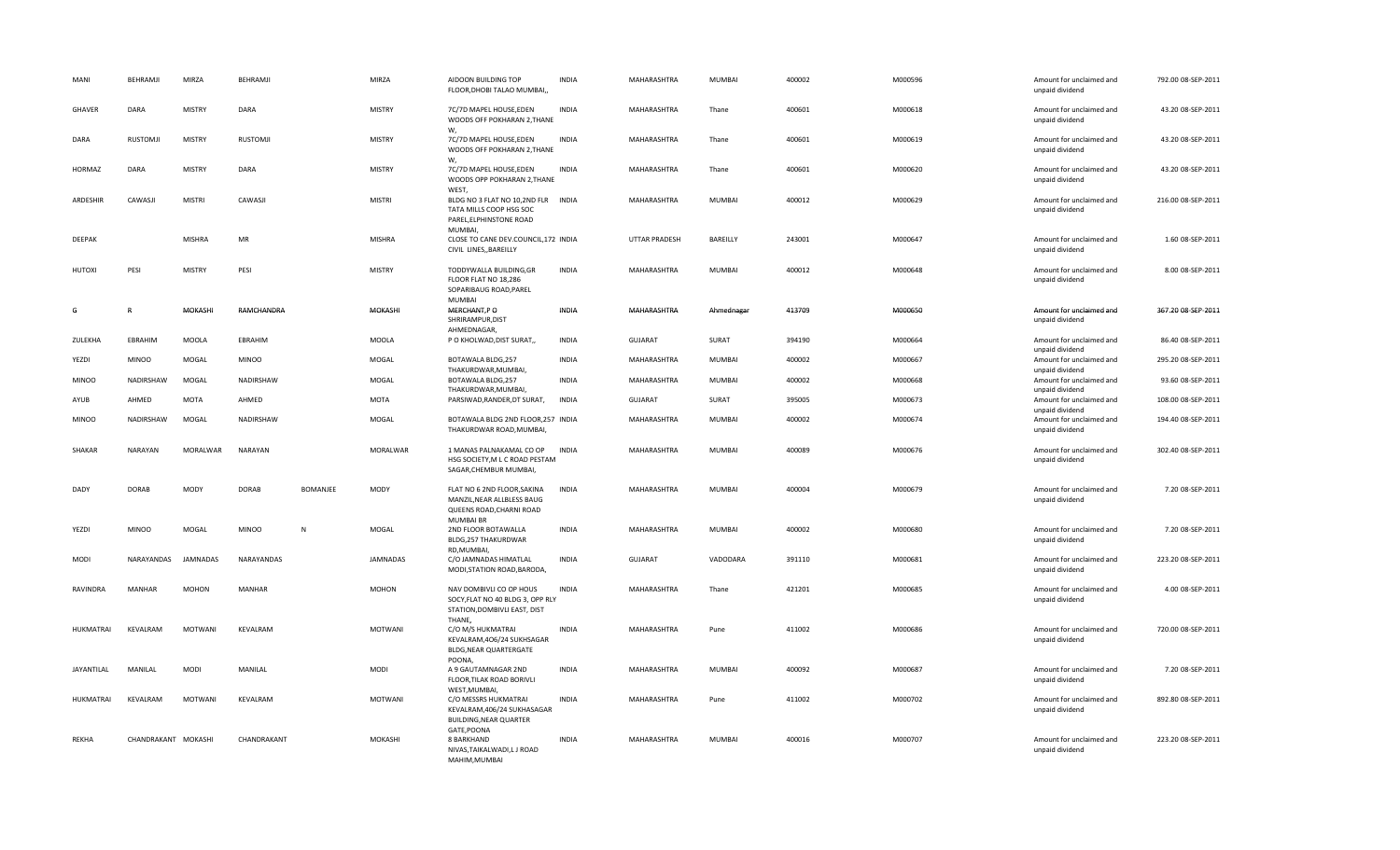| MANI             | BEHRAMJI            | MIRZA           | BEHRAMJI      |                 | MIRZA           | AIDOON BUILDING TOP<br>FLOOR, DHOBI TALAO MUMBAI,,                                                           | <b>INDIA</b> | MAHARASHTRA          | MUMBAI        | 400002 | M000596 | Amount for unclaimed and<br>unpaid dividend                    | 792.00 08-SEP-2011 |
|------------------|---------------------|-----------------|---------------|-----------------|-----------------|--------------------------------------------------------------------------------------------------------------|--------------|----------------------|---------------|--------|---------|----------------------------------------------------------------|--------------------|
| <b>GHAVER</b>    | DARA                | <b>MISTRY</b>   | DARA          |                 | <b>MISTRY</b>   | 7C/7D MAPEL HOUSE, EDEN<br>WOODS OFF POKHARAN 2, THANE                                                       | <b>INDIA</b> | MAHARASHTRA          | Thane         | 400601 | M000618 | Amount for unclaimed and<br>unpaid dividend                    | 43.20 08-SEP-2011  |
| DARA             | <b>RUSTOMJI</b>     | <b>MISTRY</b>   | RUSTOMJI      |                 | <b>MISTRY</b>   | W,<br>7C/7D MAPEL HOUSE, EDEN<br>WOODS OFF POKHARAN 2, THANE                                                 | <b>INDIA</b> | MAHARASHTRA          | Thane         | 400601 | M000619 | Amount for unclaimed and<br>unpaid dividend                    | 43.20 08-SEP-2011  |
| HORMAZ           | DARA                | <b>MISTRY</b>   | DARA          |                 | <b>MISTRY</b>   | W,<br>7C/7D MAPEL HOUSE, EDEN<br>WOODS OPP POKHARAN 2, THANE                                                 | <b>INDIA</b> | MAHARASHTRA          | Thane         | 400601 | M000620 | Amount for unclaimed and<br>unpaid dividend                    | 43.20 08-SEP-2011  |
| ARDESHIR         | CAWASJI             | <b>MISTRI</b>   | CAWASJI       |                 | <b>MISTRI</b>   | WEST,<br>BLDG NO 3 FLAT NO 10,2ND FLR INDIA<br>TATA MILLS COOP HSG SOC<br>PAREL, ELPHINSTONE ROAD<br>MUMBAI, |              | MAHARASHTRA          | MUMBAI        | 400012 | M000629 | Amount for unclaimed and<br>unpaid dividend                    | 216.00 08-SEP-2011 |
| DEEPAK           |                     | <b>MISHRA</b>   | MR            |                 | <b>MISHRA</b>   | CLOSE TO CANE DEV.COUNCIL, 172 INDIA<br>CIVIL LINES,, BAREILLY                                               |              | <b>UTTAR PRADESH</b> | BAREILLY      | 243001 | M000647 | Amount for unclaimed and<br>unpaid dividend                    | 1.60 08-SEP-2011   |
| HUTOXI           | PESI                | <b>MISTRY</b>   | PESI          |                 | <b>MISTRY</b>   | TODDYWALLA BUILDING, GR<br>FLOOR FLAT NO 18,286<br>SOPARIBAUG ROAD, PAREL<br><b>MUMBAI</b>                   | <b>INDIA</b> | MAHARASHTRA          | MUMBAI        | 400012 | M000648 | Amount for unclaimed and<br>unpaid dividend                    | 8.00 08-SEP-2011   |
| G                | $\mathsf{R}$        | MOKASHI         | RAMCHANDRA    |                 | MOKASHI         | MERCHANT,P O<br>SHRIRAMPUR, DIST<br>AHMEDNAGAR,                                                              | INDIA        | MAHARASHTRA          | Ahmednagar    | 413709 | M000650 | Amount for unclaimed and<br>unpaid dividend                    | 367.20 08-SEP-2011 |
| ZULEKHA          | EBRAHIM             | MOOLA           | EBRAHIM       |                 | MOOLA           | P O KHOLWAD, DIST SURAT,,                                                                                    | INDIA        | <b>GUJARAT</b>       | SURAT         | 394190 | M000664 | Amount for unclaimed and<br>unpaid dividend                    | 86.40 08-SEP-2011  |
| YEZDI            | <b>MINOO</b>        | MOGAL           | <b>MINOO</b>  |                 | MOGAL           | BOTAWALA BLDG,257                                                                                            | <b>INDIA</b> | MAHARASHTRA          | MUMBAI        | 400002 | M000667 | Amount for unclaimed and                                       | 295.20 08-SEP-2011 |
| <b>MINOO</b>     | NADIRSHAW           | MOGAL           | NADIRSHAW     |                 | MOGAL           | THAKURDWAR, MUMBAI,<br>BOTAWALA BLDG,257<br>THAKURDWAR.MUMBAI.                                               | <b>INDIA</b> | MAHARASHTRA          | MUMBAI        | 400002 | M000668 | unpaid dividend<br>Amount for unclaimed and<br>unpaid dividend | 93.60 08-SEP-2011  |
| AYUB             | AHMED               | <b>MOTA</b>     | AHMED         |                 | <b>MOTA</b>     | PARSIWAD, RANDER, DT SURAT,                                                                                  | <b>INDIA</b> | <b>GUJARAT</b>       | SURAT         | 395005 | M000673 | Amount for unclaimed and<br>unpaid dividend                    | 108.00 08-SEP-2011 |
| <b>MINOO</b>     | NADIRSHAW           | MOGAL           | NADIRSHAW     |                 | MOGAL           | BOTAWALA BLDG 2ND FLOOR, 257 INDIA<br>THAKURDWAR ROAD, MUMBAI,                                               |              | MAHARASHTRA          | MUMBAI        | 400002 | M000674 | Amount for unclaimed and<br>unpaid dividend                    | 194.40 08-SEP-2011 |
| SHAKAR           | NARAYAN             | MORALWAR        | NARAYAN       |                 | MORALWAR        | 1 MANAS PALNAKAMAL CO OP<br>HSG SOCIETY, M L C ROAD PESTAM<br>SAGAR, CHEMBUR MUMBAI,                         | <b>INDIA</b> | MAHARASHTRA          | MUMBAI        | 400089 | M000676 | Amount for unclaimed and<br>unpaid dividend                    | 302.40 08-SEP-2011 |
| DADY             | <b>DORAB</b>        | <b>MODY</b>     | <b>DORAB</b>  | <b>BOMANJEE</b> | <b>MODY</b>     | FLAT NO 6 2ND FLOOR, SAKINA<br>MANZIL, NEAR ALLBLESS BAUG<br>QUEENS ROAD, CHARNI ROAD                        | <b>INDIA</b> | MAHARASHTRA          | MUMBAI        | 400004 | M000679 | Amount for unclaimed and<br>unpaid dividend                    | 7.20 08-SEP-2011   |
| YEZDI            | <b>MINOO</b>        | MOGAL           | <b>MINOO</b>  | N               | MOGAL           | <b>MUMBAI BR</b><br>2ND FLOOR BOTAWALLA<br>BLDG, 257 THAKURDWAR                                              | <b>INDIA</b> | MAHARASHTRA          | MUMBAI        | 400002 | M000680 | Amount for unclaimed and<br>unpaid dividend                    | 7.20 08-SEP-2011   |
| MODI             | NARAYANDAS          | <b>JAMNADAS</b> | NARAYANDAS    |                 | <b>JAMNADAS</b> | RD, MUMBAI,<br>C/O JAMNADAS HIMATLAL<br>MODI, STATION ROAD, BARODA,                                          | <b>INDIA</b> | <b>GUJARAT</b>       | VADODARA      | 391110 | M000681 | Amount for unclaimed and<br>unpaid dividend                    | 223.20 08-SEP-2011 |
| RAVINDRA         | MANHAR              | <b>MOHON</b>    | <b>MANHAR</b> |                 | <b>MOHON</b>    | NAV DOMBIVLI CO OP HOUS<br>SOCY, FLAT NO 40 BLDG 3, OPP RLY<br>STATION, DOMBIVLI EAST, DIST<br>THANE,        | <b>INDIA</b> | MAHARASHTRA          | Thane         | 421201 | M000685 | Amount for unclaimed and<br>unpaid dividend                    | 4.00 08-SEP-2011   |
| <b>HUKMATRAI</b> | KEVALRAM            | MOTWANI         | KEVALRAM      |                 | <b>MOTWANI</b>  | C/O M/S HUKMATRAI<br>KEVALRAM, 406/24 SUKHSAGAR<br>BLDG, NEAR QUARTERGATE<br>POONA,                          | <b>INDIA</b> | MAHARASHTRA          | Pune          | 411002 | M000686 | Amount for unclaimed and<br>unpaid dividend                    | 720.00 08-SEP-2011 |
| JAYANTILAL       | MANILAL             | <b>MODI</b>     | MANILAL       |                 | <b>MODI</b>     | A 9 GAUTAMNAGAR 2ND<br>FLOOR, TILAK ROAD BORIVLI                                                             | <b>INDIA</b> | MAHARASHTRA          | MUMBAI        | 400092 | M000687 | Amount for unclaimed and<br>unpaid dividend                    | 7.20 08-SEP-2011   |
| HUKMATRAI        | KEVALRAM            | MOTWANI         | KEVALRAM      |                 | MOTWANI         | WEST, MUMBAI,<br>C/O MESSRS HUKMATRAI<br>KEVALRAM, 406/24 SUKHASAGAR<br>BUILDING, NEAR QUARTER               | <b>INDIA</b> | MAHARASHTRA          | Pune          | 411002 | M000702 | Amount for unclaimed and<br>unpaid dividend                    | 892.80 08-SEP-2011 |
| REKHA            | CHANDRAKANT MOKASHI |                 | CHANDRAKANT   |                 | MOKASHI         | GATE, POONA<br>8 BARKHAND<br>NIVAS, TAIKALWADI, LJ ROAD<br>MAHIM.MUMBAI                                      | <b>INDIA</b> | MAHARASHTRA          | <b>MUMBAI</b> | 400016 | M000707 | Amount for unclaimed and<br>unpaid dividend                    | 223.20 08-SEP-2011 |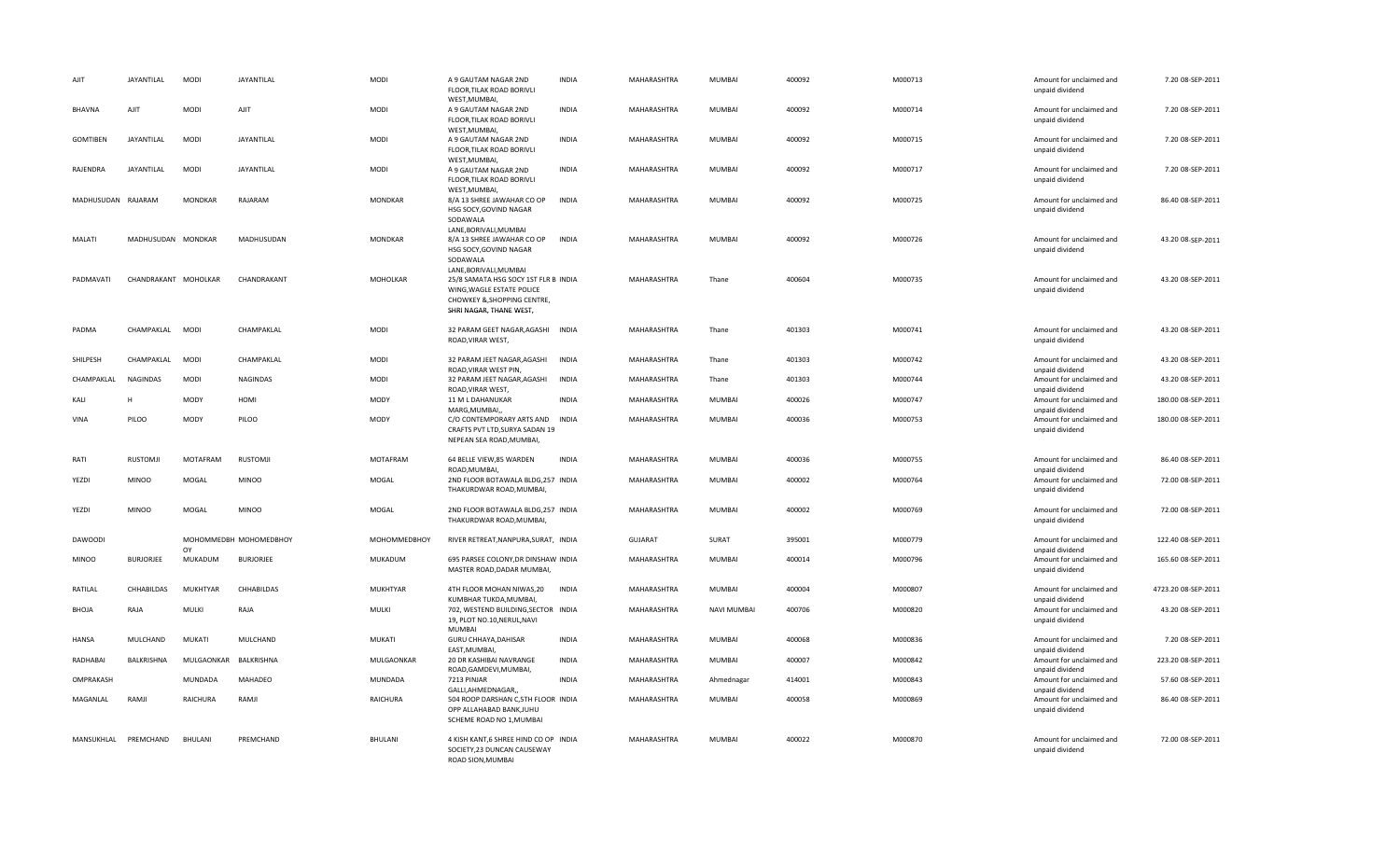| AJIT                 | JAYANTILAL           | <b>MODI</b>           | JAYANTILAL             | <b>MODI</b>     | A 9 GAUTAM NAGAR 2ND<br>FLOOR, TILAK ROAD BORIVLI<br>WEST, MUMBAI,                                                                                   | <b>INDIA</b> | MAHARASHTRA    | <b>MUMBAI</b>      | 400092 | M000713 | Amount for unclaimed and<br>unpaid dividend                    | 7.20 08-SEP-2011    |
|----------------------|----------------------|-----------------------|------------------------|-----------------|------------------------------------------------------------------------------------------------------------------------------------------------------|--------------|----------------|--------------------|--------|---------|----------------------------------------------------------------|---------------------|
| <b>BHAVNA</b>        | AJIT                 | <b>MODI</b>           | AJIT                   | <b>MODI</b>     | A 9 GAUTAM NAGAR 2ND<br>FLOOR, TILAK ROAD BORIVLI<br>WEST, MUMBAI,                                                                                   | INDIA        | MAHARASHTRA    | <b>MUMBAI</b>      | 400092 | M000714 | Amount for unclaimed and<br>unpaid dividend                    | 7.20 08-SEP-2011    |
| <b>GOMTIBEN</b>      | JAYANTILAL           | <b>MODI</b>           | JAYANTILAL             | <b>MODI</b>     | A 9 GAUTAM NAGAR 2ND<br>FLOOR, TILAK ROAD BORIVLI<br>WEST, MUMBAI,                                                                                   | <b>INDIA</b> | MAHARASHTRA    | <b>MUMBAI</b>      | 400092 | M000715 | Amount for unclaimed and<br>unpaid dividend                    | 7.20 08-SEP-2011    |
| RAJENDRA             | JAYANTILAL           | <b>MODI</b>           | JAYANTILAL             | <b>MODI</b>     | A 9 GAUTAM NAGAR 2ND<br>FLOOR, TILAK ROAD BORIVLI                                                                                                    | INDIA        | MAHARASHTRA    | <b>MUMBAI</b>      | 400092 | M000717 | Amount for unclaimed and<br>unpaid dividend                    | 7.20 08-SEP-2011    |
| MADHUSUDAN RAJARAM   |                      | <b>MONDKAR</b>        | RAJARAM                | <b>MONDKAR</b>  | WEST, MUMBAI,<br>8/A 13 SHREE JAWAHAR CO OP<br>HSG SOCY, GOVIND NAGAR<br>SODAWALA                                                                    | <b>INDIA</b> | MAHARASHTRA    | <b>MUMBAI</b>      | 400092 | M000725 | Amount for unclaimed and<br>unpaid dividend                    | 86.40 08-SEP-2011   |
| MALATI               | MADHUSUDAN MONDKAR   |                       | MADHUSUDAN             | <b>MONDKAR</b>  | LANE, BORIVALI, MUMBAI<br>8/A 13 SHREE JAWAHAR CO OP<br>HSG SOCY, GOVIND NAGAR<br>SODAWALA                                                           | INDIA        | MAHARASHTRA    | MUMBAI             | 400092 | M000726 | Amount for unclaimed and<br>unpaid dividend                    | 43.20 08-SEP-2011   |
| PADMAVATI            | CHANDRAKANT MOHOLKAR |                       | CHANDRAKANT            | MOHOLKAR        | LANE, BORIVALI, MUMBAI<br>25/8 SAMATA HSG SOCY 1ST FLR B INDIA<br>WING, WAGLE ESTATE POLICE<br>CHOWKEY & SHOPPING CENTRE,<br>SHRI NAGAR, THANE WEST, |              | MAHARASHTRA    | Thane              | 400604 | M000735 | Amount for unclaimed and<br>unpaid dividend                    | 43.20 08-SEP-2011   |
| PADMA                | CHAMPAKLAL MODI      |                       | CHAMPAKLAL             | <b>MODI</b>     | 32 PARAM GEET NAGAR, AGASHI INDIA<br>ROAD, VIRAR WEST,                                                                                               |              | MAHARASHTRA    | Thane              | 401303 | M000741 | Amount for unclaimed and<br>unpaid dividend                    | 43.20 08-SEP-2011   |
| SHILPESH             | CHAMPAKLAL           | <b>MODI</b>           | CHAMPAKLAL             | MODI            | 32 PARAM JEET NAGAR, AGASHI<br>ROAD, VIRAR WEST PIN                                                                                                  | INDIA        | MAHARASHTRA    | Thane              | 401303 | M000742 | Amount for unclaimed and<br>unpaid dividend                    | 43.20 08-SEP-2011   |
| CHAMPAKLAL           | <b>NAGINDAS</b>      | <b>MODI</b>           | NAGINDAS               | <b>MODI</b>     | 32 PARAM JEET NAGAR, AGASHI<br>ROAD, VIRAR WEST,                                                                                                     | <b>INDIA</b> | MAHARASHTRA    | Thane              | 401303 | M000744 | Amount for unclaimed and<br>unpaid dividend                    | 43.20 08-SEP-2011   |
| KALI                 | H                    | MODY                  | HOMI                   | MODY            | 11 M L DAHANUKAR<br>MARG, MUMBAI,                                                                                                                    | <b>INDIA</b> | MAHARASHTRA    | MUMBAI             | 400026 | M000747 | Amount for unclaimed and<br>unpaid dividend                    | 180.00 08-SEP-2011  |
| VINA                 | PILOO                | <b>MODY</b>           | PILOO                  | <b>MODY</b>     | C/O CONTEMPORARY ARTS AND<br>CRAFTS PVT LTD, SURYA SADAN 19<br>NEPEAN SEA ROAD, MUMBAI,                                                              | <b>INDIA</b> | MAHARASHTRA    | <b>MUMBAI</b>      | 400036 | M000753 | Amount for unclaimed and<br>unpaid dividend                    | 180.00 08-SEP-2011  |
| RATI                 | <b>RUSTOMJI</b>      | MOTAFRAM              | <b>RUSTOMJI</b>        | MOTAFRAM        | 64 BELLE VIEW,85 WARDEN<br>ROAD, MUMBAI,                                                                                                             | <b>INDIA</b> | MAHARASHTRA    | MUMBAI             | 400036 | M000755 | Amount for unclaimed and<br>unpaid dividend                    | 86.40 08-SEP-2011   |
| YEZDI                | <b>MINOO</b>         | MOGAL                 | <b>MINOO</b>           | MOGAL           | 2ND FLOOR BOTAWALA BLDG,257 INDIA<br>THAKURDWAR ROAD, MUMBAI,                                                                                        |              | MAHARASHTRA    | <b>MUMBAI</b>      | 400002 | M000764 | Amount for unclaimed and<br>unpaid dividend                    | 72.00 08-SEP-2011   |
| YEZDI                | <b>MINOO</b>         | MOGAL                 | <b>MINOO</b>           | MOGAL           | 2ND FLOOR BOTAWALA BLDG,257 INDIA<br>THAKURDWAR ROAD, MUMBAI,                                                                                        |              | MAHARASHTRA    | <b>MUMBAI</b>      | 400002 | M000769 | Amount for unclaimed and<br>unpaid dividend                    | 72.00 08-SEP-2011   |
| <b>DAWOODI</b>       |                      | OY                    | МОНОММЕДВН МОНОМЕДВНОҮ | МОНОММЕДВНОҮ    | RIVER RETREAT, NANPURA, SURAT, INDIA                                                                                                                 |              | <b>GUJARAT</b> | SURAT              | 395001 | M000779 | Amount for unclaimed and<br>unpaid dividend                    | 122.40 08-SEP-2011  |
| <b>MINOO</b>         | <b>BURJORJEE</b>     | MUKADUM               | <b>BURJORJEE</b>       | MUKADUM         | 695 PARSEE COLONY, DR DINSHAW INDIA<br>MASTER ROAD, DADAR MUMBAI,                                                                                    |              | MAHARASHTRA    | <b>MUMBAI</b>      | 400014 | M000796 | Amount for unclaimed and<br>unpaid dividend                    | 165.60 08-SEP-2011  |
| RATILAL              | CHHABILDAS           | MUKHTYAR              | CHHABILDAS             | <b>MUKHTYAR</b> | 4TH FLOOR MOHAN NIWAS, 20<br>KUMBHAR TUKDA, MUMBAI,                                                                                                  | <b>INDIA</b> | MAHARASHTRA    | MUMBAI             | 400004 | M000807 | Amount for unclaimed and<br>unpaid dividend                    | 4723.20 08-SEP-2011 |
| BHOJA                | RAJA                 | MULKI                 | RAJA                   | MULKI           | 702, WESTEND BUILDING, SECTOR INDIA<br>19, PLOT NO.10, NERUL, NAVI<br><b>MUMBAI</b>                                                                  |              | MAHARASHTRA    | <b>NAVI MUMBAI</b> | 400706 | M000820 | Amount for unclaimed and<br>unpaid dividend                    | 43.20 08-SEP-2011   |
| HANSA                | MULCHAND             | MUKATI                | MULCHAND               | MUKATI          | GURU CHHAYA, DAHISAR<br>EAST, MUMBAI,                                                                                                                | <b>INDIA</b> | MAHARASHTRA    | <b>MUMBAI</b>      | 400068 | M000836 | Amount for unclaimed and                                       | 7.20 08-SEP-2011    |
| RADHABAI             | BALKRISHNA           | MULGAONKAR BALKRISHNA |                        | MULGAONKAR      | 20 DR KASHIBAI NAVRANGE<br>ROAD, GAMDEVI, MUMBAI,                                                                                                    | <b>INDIA</b> | MAHARASHTRA    | MUMBAI             | 400007 | M000842 | unpaid dividend<br>Amount for unclaimed and<br>unpaid dividend | 223.20 08-SEP-2011  |
| OMPRAKASH            |                      | MUNDADA               | MAHADEO                | MUNDADA         | 7213 PINJAR<br>GALLI, AHMEDNAGAR,,                                                                                                                   | <b>INDIA</b> | MAHARASHTRA    | Ahmednagar         | 414001 | M000843 | Amount for unclaimed and                                       | 57.60 08-SEP-2011   |
| MAGANLAL             | RAMJI                | RAICHURA              | RAMJI                  | RAICHURA        | 504 ROOP DARSHAN C,5TH FLOOR INDIA<br>OPP ALLAHABAD BANK, JUHU<br>SCHEME ROAD NO 1, MUMBAI                                                           |              | MAHARASHTRA    | <b>MUMBAI</b>      | 400058 | M000869 | unpaid dividend<br>Amount for unclaimed and<br>unpaid dividend | 86.40 08-SEP-2011   |
| MANSUKHLAL PREMCHAND |                      | BHULANI               | PREMCHAND              | BHULANI         | 4 KISH KANT,6 SHREE HIND CO OP INDIA<br>SOCIETY, 23 DUNCAN CAUSEWAY<br>ROAD SION.MUMBAI                                                              |              | MAHARASHTRA    | <b>MUMBAI</b>      | 400022 | M000870 | Amount for unclaimed and<br>unpaid dividend                    | 72.00 08-SEP-2011   |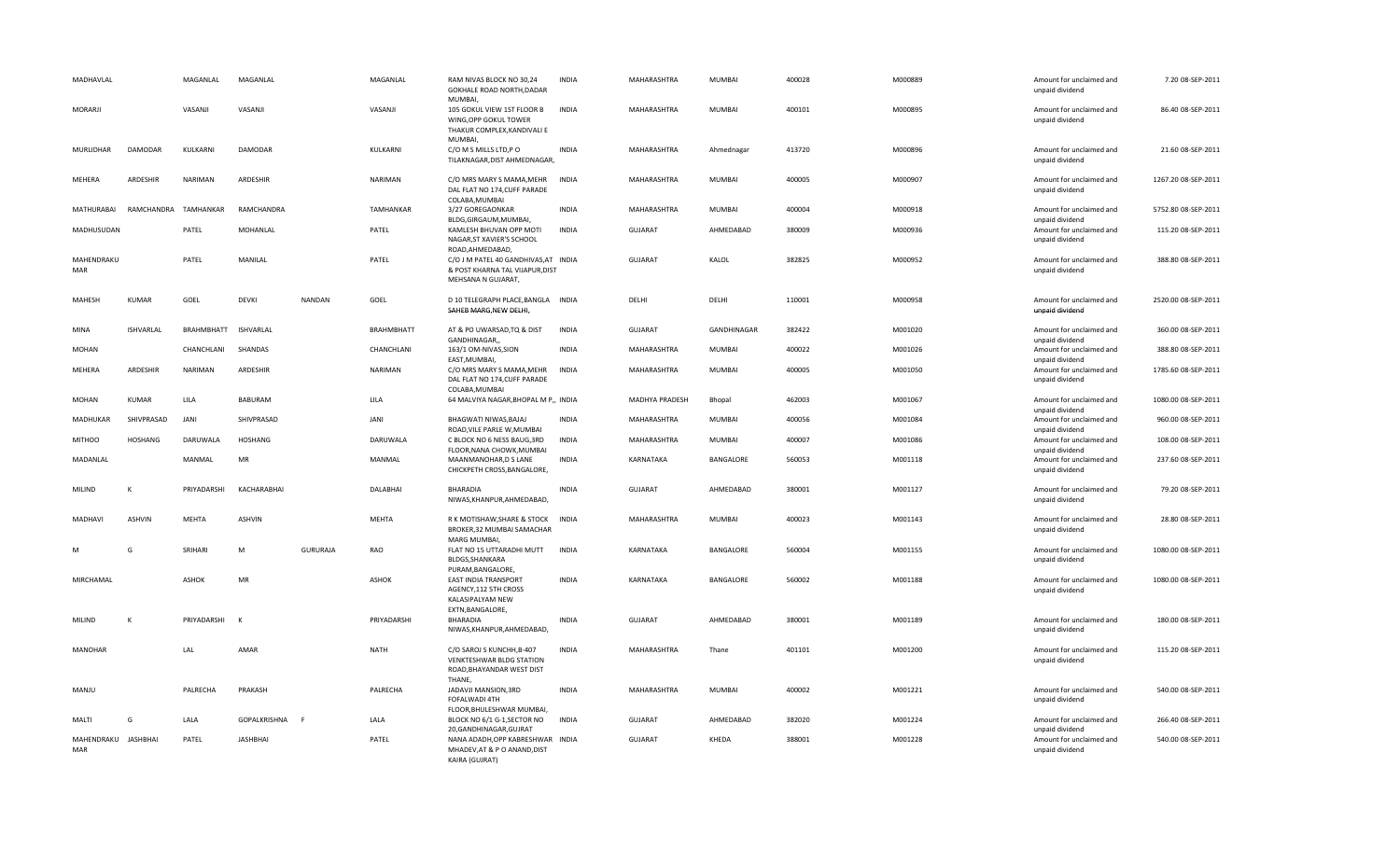| MADHAVLAL                  |                  | MAGANLAL     | MAGANLAL         |                 | MAGANLAL          | RAM NIVAS BLOCK NO 30,24<br><b>GOKHALE ROAD NORTH, DADAR</b><br>MUMBAI,                                           | <b>INDIA</b> | MAHARASHTRA    | MUMBAI        | 400028 | M000889 | Amount for unclaimed and<br>unpaid dividend                    | 7.20 08-SEP-2011    |
|----------------------------|------------------|--------------|------------------|-----------------|-------------------|-------------------------------------------------------------------------------------------------------------------|--------------|----------------|---------------|--------|---------|----------------------------------------------------------------|---------------------|
| MORARJI                    |                  | VASANJI      | VASANJI          |                 | VASANJI           | 105 GOKUL VIEW 1ST FLOOR B<br>WING.OPP GOKUL TOWER<br>THAKUR COMPLEX, KANDIVALI E<br><b>MUMBAI</b>                | <b>INDIA</b> | MAHARASHTRA    | MUMBAI        | 400101 | M000895 | Amount for unclaimed and<br>unpaid dividend                    | 86.40 08-SEP-2011   |
| MURLIDHAR                  | DAMODAR          | KULKARNI     | DAMODAR          |                 | KULKARNI          | C/O M S MILLS LTD,P O<br>TILAKNAGAR, DIST AHMEDNAGAR,                                                             | <b>INDIA</b> | MAHARASHTRA    | Ahmednagar    | 413720 | M000896 | Amount for unclaimed and<br>unpaid dividend                    | 21.60 08-SEP-2011   |
| MEHERA                     | ARDESHIR         | NARIMAN      | ARDESHIR         |                 | NARIMAN           | C/O MRS MARY S MAMA, MEHR<br>DAL FLAT NO 174, CUFF PARADE<br>COLABA, MUMBAI                                       | <b>INDIA</b> | MAHARASHTRA    | MUMBAI        | 400005 | M000907 | Amount for unclaimed and<br>unpaid dividend                    | 1267.20 08-SEP-2011 |
| MATHURABAI                 | RAMCHANDRA       | TAMHANKAR    | RAMCHANDRA       |                 | TAMHANKAR         | 3/27 GOREGAONKAR<br>BLDG, GIRGAUM, MUMBAI,                                                                        | <b>INDIA</b> | MAHARASHTRA    | MUMBAI        | 400004 | M000918 | Amount for unclaimed and<br>unpaid dividend                    | 5752.80 08-SEP-2011 |
| MADHUSUDAN                 |                  | PATEL        | MOHANLAL         |                 | PATEL             | KAMLESH BHUVAN OPP MOTI<br>NAGAR, ST XAVIER'S SCHOOL                                                              | INDIA        | <b>GUJARAT</b> | AHMEDABAD     | 380009 | M000936 | Amount for unclaimed and<br>unpaid dividend                    | 115.20 08-SEP-2011  |
| MAHENDRAKU<br><b>MAR</b>   |                  | PATEL        | MANILAL          |                 | PATEL             | ROAD, AHMEDABAD,<br>C/O J M PATEL 40 GANDHIVAS, AT INDIA<br>& POST KHARNA TAL VIJAPUR, DIST<br>MEHSANA N GUJARAT, |              | GUJARAT        | KALOL         | 382825 | M000952 | Amount for unclaimed and<br>unpaid dividend                    | 388.80 08-SEP-2011  |
| MAHESH                     | <b>KUMAR</b>     | GOEL         | <b>DEVKI</b>     | <b>NANDAN</b>   | GOEL              | D 10 TELEGRAPH PLACE, BANGLA INDIA<br>SAHEB MARG, NEW DELHI,                                                      |              | DELHI          | DELHI         | 110001 | M000958 | Amount for unclaimed and<br>unpaid dividend                    | 2520.00 08-SEP-2011 |
| MINA                       | <b>ISHVARLAL</b> | BRAHMBHATT   | <b>ISHVARLAL</b> |                 | <b>BRAHMBHATT</b> | AT & PO UWARSAD, TQ & DIST<br>GANDHINAGAR,                                                                        | <b>INDIA</b> | <b>GUJARAT</b> | GANDHINAGAR   | 382422 | M001020 | Amount for unclaimed and<br>unpaid dividend                    | 360.00 08-SEP-2011  |
| <b>MOHAN</b>               |                  | CHANCHLANI   | SHANDAS          |                 | CHANCHLANI        | 163/1 OM-NIVAS, SION<br>EAST, MUMBAI,                                                                             | <b>INDIA</b> | MAHARASHTRA    | MUMBAI        | 400022 | M001026 | Amount for unclaimed and<br>unpaid dividend                    | 388.80 08-SEP-2011  |
| MEHERA                     | ARDESHIR         | NARIMAN      | ARDESHIR         |                 | NARIMAN           | C/O MRS MARY S MAMA, MEHR<br>DAL FLAT NO 174, CUFF PARADE<br>COLABA, MUMBAI                                       | <b>INDIA</b> | MAHARASHTRA    | MUMBAI        | 400005 | M001050 | Amount for unclaimed and<br>unpaid dividend                    | 1785.60 08-SEP-2011 |
| MOHAN                      | <b>KUMAR</b>     | LILA         | BABURAM          |                 | LILA              | 64 MALVIYA NAGAR, BHOPAL M P,, INDIA                                                                              |              | MADHYA PRADESH | Bhopal        | 462003 | M001067 | Amount for unclaimed and<br>unpaid dividend                    | 1080.00 08-SEP-2011 |
| MADHUKAR                   | SHIVPRASAD       | JANI         | SHIVPRASAD       |                 | JANI              | BHAGWATI NIWAS, BAJAJ<br>ROAD, VILE PARLE W, MUMBAI                                                               | <b>INDIA</b> | MAHARASHTRA    | MUMBAI        | 400056 | M001084 | Amount for unclaimed and<br>unpaid dividend                    | 960.00 08-SEP-2011  |
| <b>MITHOO</b>              | <b>HOSHANG</b>   | DARUWALA     | HOSHANG          |                 | DARUWALA          | C BLOCK NO 6 NESS BAUG, 3RD<br>FLOOR, NANA CHOWK, MUMBAI                                                          | INDIA        | MAHARASHTRA    | MUMBAI        | 400007 | M001086 | Amount for unclaimed and<br>unpaid dividend                    | 108.00 08-SEP-2011  |
| MADANLAL                   |                  | MANMAL       | MR               |                 | MANMAL            | MAANMANOHAR, D S LANE<br>CHICKPETH CROSS, BANGALORE,                                                              | <b>INDIA</b> | KARNATAKA      | BANGALORE     | 560053 | M001118 | Amount for unclaimed and<br>unpaid dividend                    | 237.60 08-SEP-2011  |
| MILIND                     | K                | PRIYADARSHI  | KACHARABHAI      |                 | DALABHAI          | RHARADIA<br>NIWAS, KHANPUR, AHMEDABAD,                                                                            | <b>INDIA</b> | <b>GUJARAT</b> | AHMEDABAD     | 380001 | M001127 | Amount for unclaimed and<br>unpaid dividend                    | 79.20 08-SEP-2011   |
| MADHAVI                    | <b>ASHVIN</b>    | <b>MEHTA</b> | <b>ASHVIN</b>    |                 | MEHTA             | R K MOTISHAW, SHARE & STOCK<br>BROKER, 32 MUMBAI SAMACHAR<br><b>MARG MUMBAI</b>                                   | <b>INDIA</b> | MAHARASHTRA    | <b>MUMBAI</b> | 400023 | M001143 | Amount for unclaimed and<br>unpaid dividend                    | 28.80 08-SEP-2011   |
| м                          | G                | SRIHARI      | M                | <b>GURURAJA</b> | RAO               | FLAT NO 15 UTTARADHI MUTT<br>BLDGS, SHANKARA<br>PURAM, BANGALORE,                                                 | INDIA        | KARNATAKA      | BANGALORE     | 560004 | M001155 | Amount for unclaimed and<br>unpaid dividend                    | 1080.00 08-SEP-2011 |
| MIRCHAMAL                  |                  | ASHOK        | MR               |                 | ASHOK             | EAST INDIA TRANSPORT<br>AGENCY, 112 5TH CROSS<br>KALASIPALYAM NEW<br>EXTN, BANGALORE,                             | <b>INDIA</b> | KARNATAKA      | BANGALORE     | 560002 | M001188 | Amount for unclaimed and<br>unpaid dividend                    | 1080.00 08-SEP-2011 |
| MILIND                     | K                | PRIYADARSHI  | $\mathsf{K}$     |                 | PRIYADARSHI       | <b>BHARADIA</b><br>NIWAS, KHANPUR, AHMEDABAD,                                                                     | <b>INDIA</b> | <b>GUJARAT</b> | AHMEDABAD     | 380001 | M001189 | Amount for unclaimed and<br>unpaid dividend                    | 180.00 08-SEP-2011  |
| MANOHAR                    |                  | LAL          | AMAR             |                 | NATH              | C/O SAROJ S KUNCHH, B-407<br>VENKTESHWAR BLDG STATION<br>ROAD, BHAYANDAR WEST DIST<br>THANE,                      | INDIA        | MAHARASHTRA    | Thane         | 401101 | M001200 | Amount for unclaimed and<br>unpaid dividend                    | 115.20 08-SEP-2011  |
| MANJU                      |                  | PALRECHA     | PRAKASH          |                 | PALRECHA          | JADAVJI MANSION, 3RD<br>FOFALWADI 4TH                                                                             | <b>INDIA</b> | MAHARASHTRA    | MUMBAI        | 400002 | M001221 | Amount for unclaimed and<br>unpaid dividend                    | 540.00 08-SEP-2011  |
| MALTI                      | G                | LALA         | GOPALKRISHNA     | - F             | LALA              | FLOOR, BHULESHWAR MUMBAI,<br>BLOCK NO 6/1 G-1, SECTOR NO<br>20, GANDHINAGAR, GUJRAT                               | INDIA        | <b>GUJARAT</b> | AHMEDABAD     | 382020 | M001224 | Amount for unclaimed and                                       | 266.40 08-SEP-2011  |
| MAHENDRAKU JASHBHAI<br>MAR |                  | PATEL        | <b>JASHBHAI</b>  |                 | PATEL             | NANA ADADH, OPP KABRESHWAR INDIA<br>MHADEV, AT & P O ANAND, DIST<br>KAIRA (GUJRAT)                                |              | GUJARAT        | KHEDA         | 388001 | M001228 | unpaid dividend<br>Amount for unclaimed and<br>unpaid dividend | 540.00 08-SEP-2011  |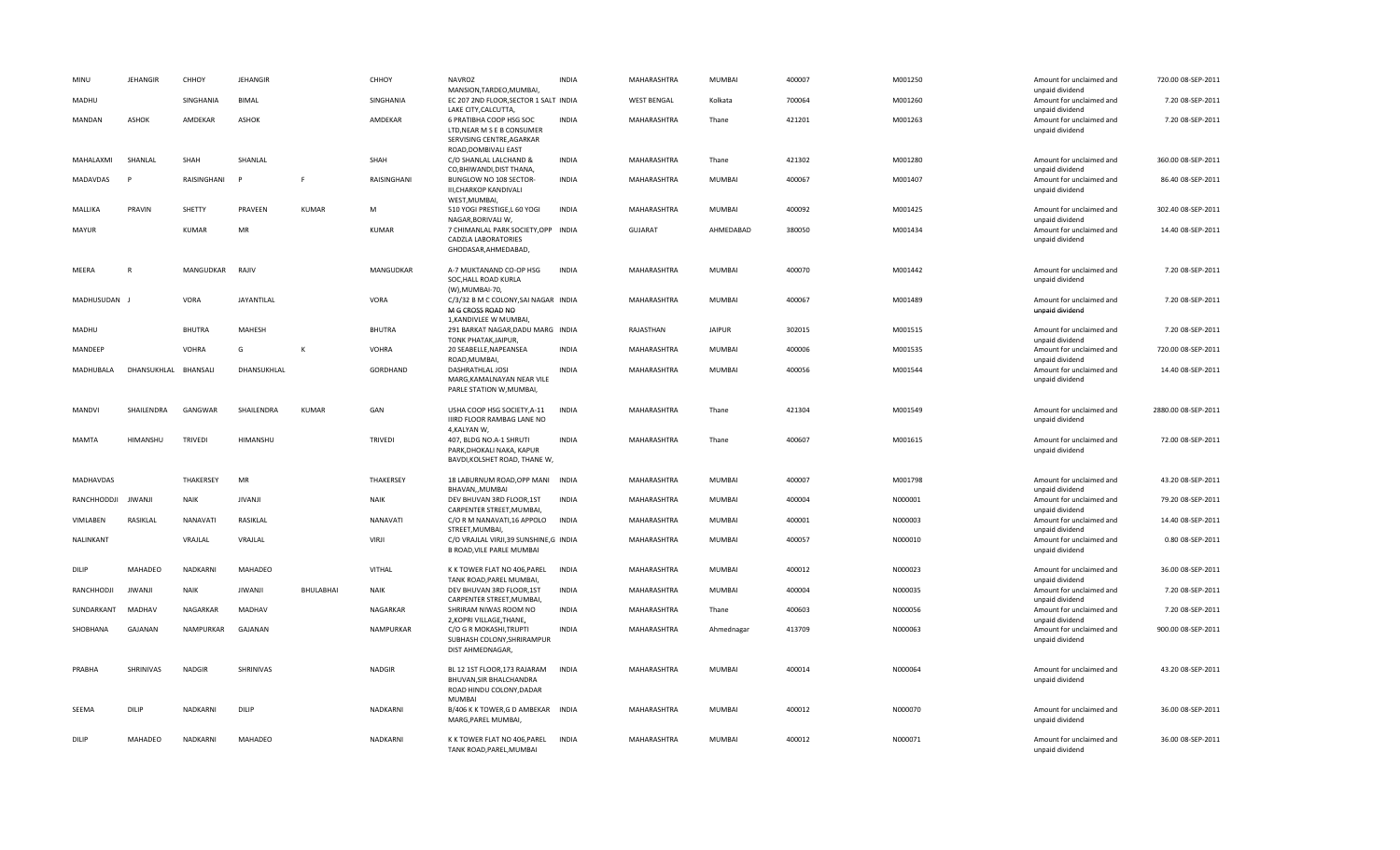| MINU         | <b>JEHANGIR</b> | CHHOY          | <b>JEHANGIR</b> |           | CHHOY          | <b>NAVROZ</b><br>MANSION, TARDEO, MUMBAI,                                                            | <b>INDIA</b> | MAHARASHTRA        | MUMBAI        | 400007 | M001250 | Amount for unclaimed and<br>unpaid dividend                    | 720.00 08-SEP-2011  |
|--------------|-----------------|----------------|-----------------|-----------|----------------|------------------------------------------------------------------------------------------------------|--------------|--------------------|---------------|--------|---------|----------------------------------------------------------------|---------------------|
| MADHU        |                 | SINGHANIA      | BIMAL           |           | SINGHANIA      | EC 207 2ND FLOOR, SECTOR 1 SALT INDIA<br>LAKE CITY, CALCUTTA,                                        |              | <b>WEST BENGAL</b> | Kolkata       | 700064 | M001260 | Amount for unclaimed and<br>unpaid dividend                    | 7.20 08-SEP-2011    |
| MANDAN       | <b>ASHOK</b>    | AMDEKAR        | <b>ASHOK</b>    |           | AMDEKAR        | 6 PRATIBHA COOP HSG SOC<br>LTD, NEAR M S E B CONSUMER<br>SERVISING CENTRE, AGARKAR                   | <b>INDIA</b> | MAHARASHTRA        | Thane         | 421201 | M001263 | Amount for unclaimed and<br>unpaid dividend                    | 7.20 08-SEP-2011    |
| MAHALAXMI    | SHANLAL         | SHAH           | SHANLAL         |           | SHAH           | ROAD, DOMBIVALI EAST<br>C/O SHANLAL LALCHAND &                                                       | <b>INDIA</b> | MAHARASHTRA        | Thane         | 421302 | M001280 | Amount for unclaimed and                                       | 360.00 08-SEP-2011  |
| MADAVDAS     | P               | RAISINGHANI    | P               | F         | RAISINGHANI    | CO, BHIWANDI, DIST THANA,<br>BUNGLOW NO 108 SECTOR-<br>III, CHARKOP KANDIVALI<br>WEST, MUMBAI,       | <b>INDIA</b> | MAHARASHTRA        | MUMBAI        | 400067 | M001407 | unpaid dividend<br>Amount for unclaimed and<br>unpaid dividend | 86.40 08-SEP-2011   |
| MALLIKA      | PRAVIN          | SHETTY         | PRAVEEN         | KUMAR     | M              | 510 YOGI PRESTIGE, L 60 YOGI<br>NAGAR, BORIVALI W,                                                   | <b>INDIA</b> | MAHARASHTRA        | MUMBAI        | 400092 | M001425 | Amount for unclaimed and<br>unpaid dividend                    | 302.40 08-SEP-2011  |
| MAYUR        |                 | <b>KUMAR</b>   | MR              |           | <b>KUMAR</b>   | 7 CHIMANLAL PARK SOCIETY, OPP INDIA<br><b>CADZLA LABORATORIES</b><br>GHODASAR, AHMEDABAD,            |              | <b>GUJARAT</b>     | AHMEDABAD     | 380050 | M001434 | Amount for unclaimed and<br>unpaid dividend                    | 14.40 08-SEP-2011   |
| MEERA        | $\mathsf{R}$    | MANGUDKAR      | RAJIV           |           | MANGUDKAR      | A-7 MUKTANAND CO-OP HSG<br>SOC, HALL ROAD KURLA<br>(W), MUMBAI-70,                                   | <b>INDIA</b> | MAHARASHTRA        | MUMBAI        | 400070 | M001442 | Amount for unclaimed and<br>unpaid dividend                    | 7.20 08-SEP-2011    |
| MADHUSUDAN J |                 | VORA           | JAYANTILAL      |           | VORA           | C/3/32 B M C COLONY, SAI NAGAR INDIA<br>M G CROSS ROAD NO<br>1, KANDIVLEE W MUMBAI,                  |              | MAHARASHTRA        | MUMBAI        | 400067 | M001489 | Amount for unclaimed and<br>unpaid dividend                    | 7.20 08-SEP-2011    |
| MADHU        |                 | <b>BHUTRA</b>  | MAHESH          |           | <b>BHUTRA</b>  | 291 BARKAT NAGAR, DADU MARG INDIA<br>TONK PHATAK, JAIPUR,                                            |              | RAJASTHAN          | <b>JAIPUR</b> | 302015 | M001515 | Amount for unclaimed and<br>unpaid dividend                    | 7.20 08-SEP-2011    |
| MANDEEP      |                 | <b>VOHRA</b>   | G               | К         | <b>VOHRA</b>   | 20 SEABELLE, NAPEANSEA<br>ROAD, MUMBAI                                                               | <b>INDIA</b> | MAHARASHTRA        | MUMBAI        | 400006 | M001535 | Amount for unclaimed and<br>unpaid dividend                    | 720.00 08-SEP-2011  |
| MADHUBALA    | DHANSUKHLAL     | BHANSALI       | DHANSUKHLAL     |           | GORDHAND       | DASHRATHLAL JOSI<br>MARG, KAMALNAYAN NEAR VILE<br>PARLE STATION W, MUMBAI,                           | <b>INDIA</b> | MAHARASHTRA        | MUMBAI        | 400056 | M001544 | Amount for unclaimed and<br>unpaid dividend                    | 14.40 08-SEP-2011   |
| MANDVI       | SHAILENDRA      | GANGWAR        | SHAILENDRA      | KUMAR     | GAN            | USHA COOP HSG SOCIETY, A-11<br>IIIRD FLOOR RAMBAG LANE NO<br>4, KALYAN W,                            | <b>INDIA</b> | MAHARASHTRA        | Thane         | 421304 | M001549 | Amount for unclaimed and<br>unpaid dividend                    | 2880.00 08-SEP-2011 |
| MAMTA        | HIMANSHU        | <b>TRIVEDI</b> | HIMANSHU        |           | <b>TRIVEDI</b> | 407, BLDG NO.A-1 SHRUTI<br>PARK, DHOKALI NAKA, KAPUR<br>BAVDI, KOLSHET ROAD, THANE W,                | <b>INDIA</b> | MAHARASHTRA        | Thane         | 400607 | M001615 | Amount for unclaimed and<br>unpaid dividend                    | 72.00 08-SEP-2011   |
| MADHAVDAS    |                 | THAKERSEY      | MR              |           | THAKERSEY      | 18 LABURNUM ROAD, OPP MANI INDIA<br>BHAVAN,, MUMBAI                                                  |              | MAHARASHTRA        | MUMBAI        | 400007 | M001798 | Amount for unclaimed and<br>unpaid dividend                    | 43.20 08-SEP-2011   |
| RANCHHODDJI  | JIWANJI         | <b>NAIK</b>    | <b>JIVANJI</b>  |           | <b>NAIK</b>    | DEV BHUVAN 3RD FLOOR, 1ST<br>CARPENTER STREET, MUMBAI,                                               | <b>INDIA</b> | MAHARASHTRA        | MUMBAI        | 400004 | N000001 | Amount for unclaimed and<br>unpaid dividend                    | 79.20 08-SEP-2011   |
| VIMLABEN     | RASIKLAL        | NANAVATI       | RASIKLAL        |           | NANAVATI       | C/O R M NANAVATI, 16 APPOLO<br>STREET, MUMBAI,                                                       | <b>INDIA</b> | MAHARASHTRA        | MUMBAI        | 400001 | N000003 | Amount for unclaimed and<br>unpaid dividend                    | 14.40 08-SEP-2011   |
| NALINKANT    |                 | VRAJLAL        | VRAJLAL         |           | VIRJI          | C/O VRAJLAL VIRJI,39 SUNSHINE,G INDIA<br>B ROAD, VILE PARLE MUMBAI                                   |              | MAHARASHTRA        | MUMBAI        | 400057 | N000010 | Amount for unclaimed and<br>unpaid dividend                    | 0.80 08-SEP-2011    |
| DILIP        | MAHADEO         | NADKARNI       | MAHADEO         |           | VITHAL         | K K TOWER FLAT NO 406, PAREL<br>TANK ROAD, PAREL MUMBAI,                                             | <b>INDIA</b> | MAHARASHTRA        | MUMBAI        | 400012 | N000023 | Amount for unclaimed and<br>unpaid dividend                    | 36.00 08-SEP-2011   |
| RANCHHODJI   | JIWANJI         | NAIK           | JIWANJI         | BHULABHAI | <b>NAIK</b>    | DEV BHUVAN 3RD FLOOR,1ST<br>CARPENTER STREET, MUMBAI,                                                | INDIA        | MAHARASHTRA        | MUMBAI        | 400004 | N000035 | Amount for unclaimed and<br>unpaid dividend                    | 7.20 08-SEP-2011    |
| SUNDARKANT   | MADHAV          | NAGARKAR       | MADHAV          |           | NAGARKAR       | SHRIRAM NIWAS ROOM NO<br>2, KOPRI VILLAGE, THANE,                                                    | <b>INDIA</b> | MAHARASHTRA        | Thane         | 400603 | N000056 | Amount for unclaimed and<br>unpaid dividend                    | 7.20 08-SEP-2011    |
| SHOBHANA     | GAJANAN         | NAMPURKAR      | GAJANAN         |           | NAMPURKAR      | C/O G R MOKASHI, TRUPTI<br>SUBHASH COLONY, SHRIRAMPUR<br>DIST AHMEDNAGAR,                            | <b>INDIA</b> | MAHARASHTRA        | Ahmednagar    | 413709 | N000063 | Amount for unclaimed and<br>unpaid dividend                    | 900.00 08-SEP-2011  |
| PRABHA       | SHRINIVAS       | <b>NADGIR</b>  | SHRINIVAS       |           | <b>NADGIR</b>  | BL 12 1ST FLOOR, 173 RAJARAM<br>BHUVAN, SIR BHALCHANDRA<br>ROAD HINDU COLONY, DADAR<br><b>MUMBAI</b> | INDIA        | MAHARASHTRA        | MUMBAI        | 400014 | N000064 | Amount for unclaimed and<br>unpaid dividend                    | 43.20 08-SEP-2011   |
| SEEMA        | <b>DILIP</b>    | NADKARNI       | DILIP           |           | NADKARNI       | B/406 K K TOWER, G D AMBEKAR INDIA<br>MARG, PAREL MUMBAI,                                            |              | MAHARASHTRA        | <b>MUMBAI</b> | 400012 | N000070 | Amount for unclaimed and<br>unpaid dividend                    | 36.00 08-SEP-2011   |
| <b>DILIP</b> | MAHADEO         | NADKARNI       | MAHADEO         |           | NADKARNI       | K K TOWER FLAT NO 406, PAREL<br>TANK ROAD, PAREL, MUMBAI                                             | <b>INDIA</b> | MAHARASHTRA        | MUMBAI        | 400012 | N000071 | Amount for unclaimed and<br>unpaid dividend                    | 36.00 08-SEP-2011   |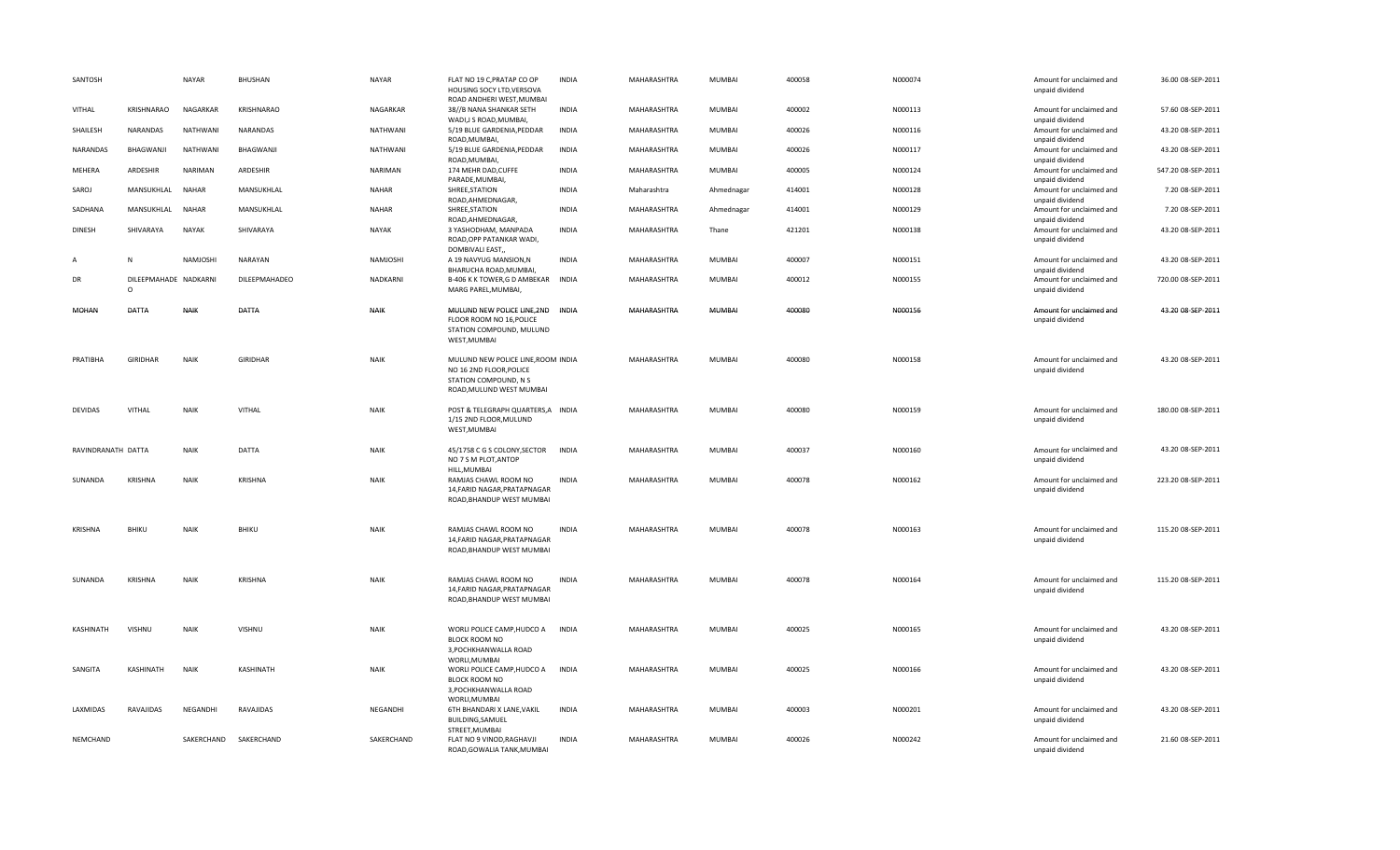| SANTOSH            |                                   | <b>NAYAR</b> | BHUSHAN               | <b>NAYAR</b> | FLAT NO 19 C, PRATAP CO OP<br>HOUSING SOCY LTD, VERSOVA<br>ROAD ANDHERI WEST, MUMBAI                               | <b>INDIA</b> | MAHARASHTRA | MUMBAI        | 400058 | N000074 | Amount for unclaimed and<br>unpaid dividend | 36.00 08-SEP-2011  |
|--------------------|-----------------------------------|--------------|-----------------------|--------------|--------------------------------------------------------------------------------------------------------------------|--------------|-------------|---------------|--------|---------|---------------------------------------------|--------------------|
| <b>VITHAL</b>      | KRISHNARAO                        | NAGARKAR     | <b>KRISHNARAO</b>     | NAGARKAR     | 38//B NANA SHANKAR SETH<br>WADI, JS ROAD, MUMBAI,                                                                  | <b>INDIA</b> | MAHARASHTRA | MUMBAI        | 400002 | N000113 | Amount for unclaimed and<br>unpaid dividend | 57.60 08-SEP-2011  |
| SHAILESH           | NARANDAS                          | NATHWANI     | NARANDAS              | NATHWANI     | 5/19 BLUE GARDENIA, PEDDAR<br>ROAD, MUMBAI,                                                                        | <b>INDIA</b> | MAHARASHTRA | MUMBAI        | 400026 | N000116 | Amount for unclaimed and<br>unpaid dividend | 43.20 08-SEP-2011  |
| NARANDAS           | BHAGWANJI                         | NATHWAN      | BHAGWANJI             | NATHWANI     | 5/19 BLUE GARDENIA, PEDDAR<br>ROAD, MUMBAI,                                                                        | INDIA        | MAHARASHTRA | MUMBAI        | 400026 | N000117 | Amount for unclaimed and<br>unpaid dividend | 43.20 08-SEP-2011  |
| MEHERA             | ARDESHIR                          | NARIMAN      | ARDESHIR              | NARIMAN      | 174 MEHR DAD, CUFFE<br>PARADE, MUMBAI,                                                                             | <b>INDIA</b> | MAHARASHTRA | MUMBAI        | 400005 | N000124 | Amount for unclaimed and<br>unpaid dividend | 547.20 08-SEP-2011 |
| SAROJ              | MANSUKHLAL                        | <b>NAHAR</b> | MANSUKHLAL            | <b>NAHAR</b> | SHREE, STATION<br>ROAD, AHMEDNAGAR,                                                                                | <b>INDIA</b> | Maharashtra | Ahmednagar    | 414001 | N000128 | Amount for unclaimed and<br>unpaid dividend | 7.20 08-SEP-2011   |
| SADHANA            | MANSUKHLAL                        | <b>NAHAR</b> | MANSUKHLAL            | <b>NAHAR</b> | SHREE, STATION<br>ROAD, AHMEDNAGAR                                                                                 | <b>INDIA</b> | MAHARASHTRA | Ahmednagar    | 414001 | N000129 | Amount for unclaimed and<br>unpaid dividend | 7.20 08-SEP-2011   |
| <b>DINESH</b>      | SHIVARAYA                         | <b>NAYAK</b> | SHIVARAYA             | <b>NAYAK</b> | 3 YASHODHAM, MANPADA<br>ROAD, OPP PATANKAR WADI,<br>DOMBIVALI EAST,                                                | <b>INDIA</b> | MAHARASHTRA | Thane         | 421201 | N000138 | Amount for unclaimed and<br>unpaid dividend | 43.20 08-SEP-2011  |
| A                  | N                                 | NAMJOSHI     | NARAYAN               | NAMJOSHI     | A 19 NAVYUG MANSION, N<br>BHARUCHA ROAD, MUMBAI,                                                                   | <b>INDIA</b> | MAHARASHTRA | MUMBAI        | 400007 | N000151 | Amount for unclaimed and<br>unpaid dividend | 43.20 08-SEP-2011  |
| DR                 | DILEEPMAHADE NADKARNI<br>$\Omega$ |              | DILEEPMAHADEO         | NADKARNI     | B-406 K K TOWER, G D AMBEKAR INDIA<br>MARG PAREL, MUMBAI,                                                          |              | MAHARASHTRA | MUMBAI        | 400012 | N000155 | Amount for unclaimed and<br>unpaid dividend | 720.00 08-SEP-2011 |
| MOHAN              | DATTA                             | <b>NAIK</b>  | DATTA                 | <b>NAIK</b>  | MULUND NEW POLICE LINE, 2ND INDIA<br>FLOOR ROOM NO 16.POLICE<br>STATION COMPOUND, MULUND<br>WEST, MUMBAI           |              | MAHARASHTRA | <b>MUMBAI</b> | 400080 | N000156 | Amount for unclaimed and<br>unpaid dividend | 43.20 08-SEP-2011  |
| PRATIBHA           | <b>GIRIDHAR</b>                   | <b>NAIK</b>  | <b>GIRIDHAR</b>       | <b>NAIK</b>  | MULUND NEW POLICE LINE, ROOM INDIA<br>NO 16 2ND FLOOR, POLICE<br>STATION COMPOUND, N S<br>ROAD, MULUND WEST MUMBAI |              | MAHARASHTRA | MUMBAI        | 400080 | N000158 | Amount for unclaimed and<br>unpaid dividend | 43.20 08-SEP-2011  |
| <b>DEVIDAS</b>     | VITHAL                            | <b>NAIK</b>  | VITHAL                | <b>NAIK</b>  | POST & TELEGRAPH QUARTERS, A INDIA<br>1/15 2ND FLOOR, MULUND<br>WEST, MUMBAI                                       |              | MAHARASHTRA | MUMBAI        | 400080 | N000159 | Amount for unclaimed and<br>unpaid dividend | 180.00 08-SEP-2011 |
| RAVINDRANATH DATTA |                                   | <b>NAIK</b>  | DATTA                 | <b>NAIK</b>  | 45/1758 C G S COLONY, SECTOR<br>NO 7 S M PLOT, ANTOP<br>HILL, MUMBAI                                               | <b>INDIA</b> | MAHARASHTRA | <b>MUMBAI</b> | 400037 | N000160 | Amount for unclaimed and<br>unpaid dividend | 43.20 08-SEP-2011  |
| SUNANDA            | KRISHNA                           | <b>NAIK</b>  | KRISHNA               | <b>NAIK</b>  | RAMJAS CHAWL ROOM NO<br>14, FARID NAGAR, PRATAPNAGAR<br>ROAD, BHANDUP WEST MUMBAI                                  | INDIA        | MAHARASHTRA | MUMBAI        | 400078 | N000162 | Amount for unclaimed and<br>unpaid dividend | 223.20 08-SEP-2011 |
| <b>KRISHNA</b>     | <b>BHIKU</b>                      | <b>NAIK</b>  | BHIKU                 | <b>NAIK</b>  | RAMJAS CHAWL ROOM NO<br>14, FARID NAGAR, PRATAPNAGAR<br>ROAD, BHANDUP WEST MUMBAI                                  | <b>INDIA</b> | MAHARASHTRA | MUMBAI        | 400078 | N000163 | Amount for unclaimed and<br>unpaid dividend | 115.20 08-SEP-2011 |
| SUNANDA            | <b>KRISHNA</b>                    | <b>NAIK</b>  | KRISHNA               | <b>NAIK</b>  | RAMJAS CHAWL ROOM NO<br>14, FARID NAGAR, PRATAPNAGAR<br>ROAD, BHANDUP WEST MUMBAI                                  | <b>INDIA</b> | MAHARASHTRA | MUMBAI        | 400078 | N000164 | Amount for unclaimed and<br>unpaid dividend | 115.20 08-SEP-2011 |
| KASHINATH          | <b>VISHNU</b>                     | <b>NAIK</b>  | VISHNU                | <b>NAIK</b>  | WORLI POLICE CAMP, HUDCO A<br>BLOCK ROOM NO<br>3, POCHKHANWALLA ROAD                                               | <b>INDIA</b> | MAHARASHTRA | MUMBAI        | 400025 | N000165 | Amount for unclaimed and<br>unpaid dividend | 43.20 08-SEP-2011  |
| SANGITA            | KASHINATH                         | <b>NAIK</b>  | KASHINATH             | <b>NAIK</b>  | WORLI, MUMBAI<br>WORLI POLICE CAMP, HUDCO A<br>BLOCK ROOM NO<br>3, POCHKHANWALLA ROAD                              | <b>INDIA</b> | MAHARASHTRA | MUMBAI        | 400025 | N000166 | Amount for unclaimed and<br>unpaid dividend | 43.20 08-SEP-2011  |
| LAXMIDAS           | RAVAJIDAS                         | NEGANDHI     | RAVAJIDAS             | NEGANDHI     | WORLI, MUMBAI<br>6TH BHANDARI X LANE, VAKIL<br><b>BUILDING, SAMUEL</b>                                             | <b>INDIA</b> | MAHARASHTRA | MUMBAI        | 400003 | N000201 | Amount for unclaimed and<br>unpaid dividend | 43.20 08-SEP-2011  |
| NEMCHAND           |                                   |              | SAKERCHAND SAKERCHAND | SAKERCHAND   | STREET, MUMBAI<br>FLAT NO 9 VINOD, RAGHAVJI<br>ROAD.GOWALIA TANK.MUMBAI                                            | <b>INDIA</b> | MAHARASHTRA | MUMBAI        | 400026 | N000242 | Amount for unclaimed and<br>unpaid dividend | 21.60 08-SEP-2011  |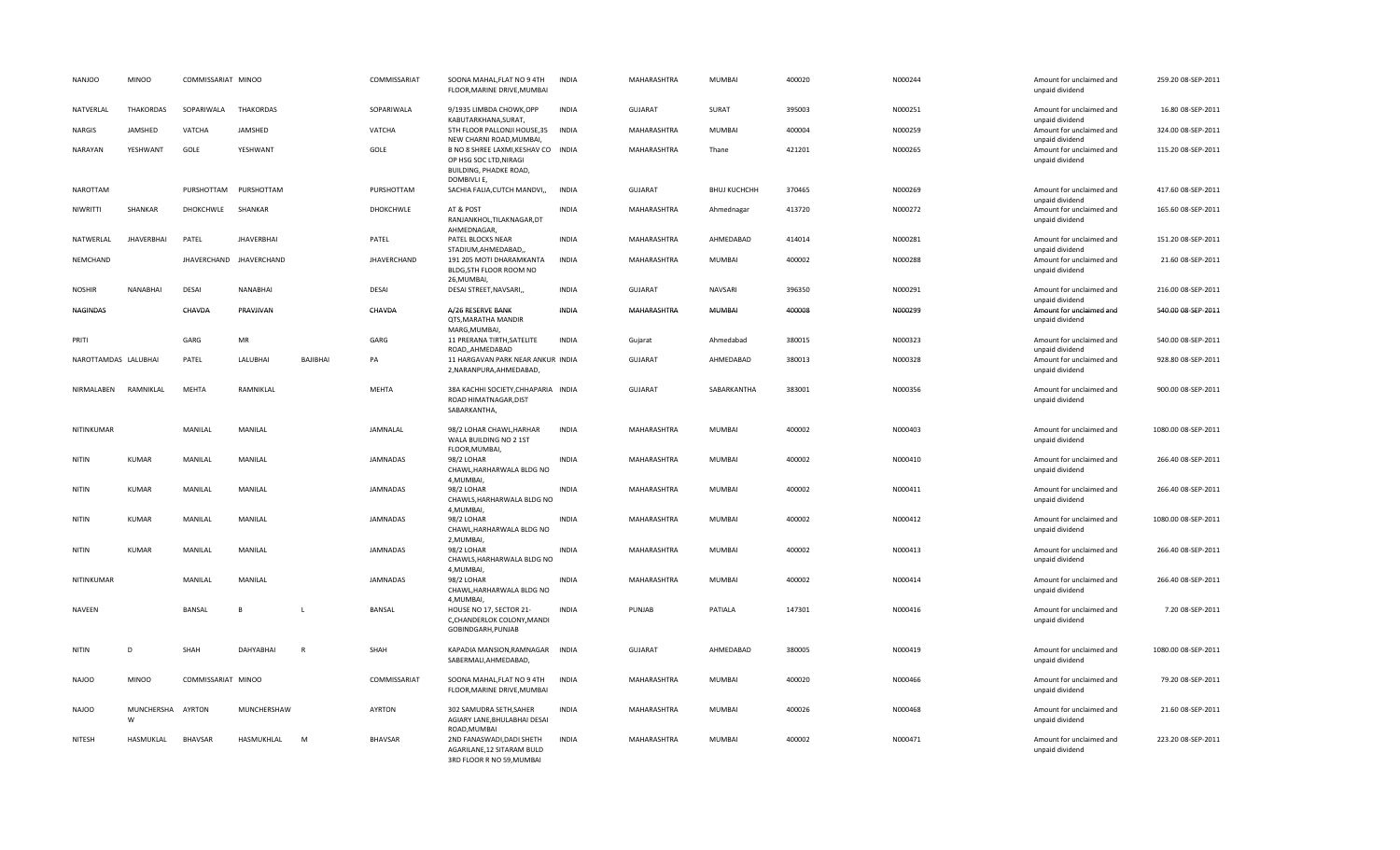| <b>NANJOO</b>        | <b>MINOO</b>      | COMMISSARIAT MINOO |                         |              | COMMISSARIAT    | SOONA MAHAL, FLAT NO 9 4TH<br>FLOOR, MARINE DRIVE, MUMBAI                                                     | <b>INDIA</b> | MAHARASHTRA    | MUMBAI              | 400020 | N000244 | Amount for unclaimed and<br>unpaid dividend | 259.20 08-SEP-2011  |
|----------------------|-------------------|--------------------|-------------------------|--------------|-----------------|---------------------------------------------------------------------------------------------------------------|--------------|----------------|---------------------|--------|---------|---------------------------------------------|---------------------|
| NATVERLAL            | <b>THAKORDAS</b>  | SOPARIWALA         | <b>THAKORDAS</b>        |              | SOPARIWALA      | 9/1935 LIMBDA CHOWK, OPP<br>KABUTARKHANA.SURAT.                                                               | <b>INDIA</b> | <b>GUJARAT</b> | SURAT               | 395003 | N000251 | Amount for unclaimed and<br>unpaid dividend | 16.80 08-SEP-2011   |
| NARGIS               | JAMSHED           | VATCHA             | JAMSHED                 |              | VATCHA          | 5TH FLOOR PALLONJI HOUSE, 35<br>NEW CHARNI ROAD, MUMBAI,                                                      | <b>INDIA</b> | MAHARASHTRA    | MUMBAI              | 400004 | N000259 | Amount for unclaimed and<br>unpaid dividend | 324.00 08-SEP-2011  |
| NARAYAN              | YESHWANT          | GOLE               | YESHWANT                |              | GOLE            | B NO 8 SHREE LAXMI, KESHAV CO INDIA<br>OP HSG SOC LTD, NIRAGI<br><b>BUILDING, PHADKE ROAD,</b><br>DOMBIVLI E, |              | MAHARASHTRA    | Thane               | 421201 | N000265 | Amount for unclaimed and<br>unpaid dividend | 115.20 08-SEP-2011  |
| <b>NAROTTAM</b>      |                   | PURSHOTTAM         | PURSHOTTAM              |              | PURSHOTTAM      | SACHIA FALIA, CUTCH MANDVI,,                                                                                  | <b>INDIA</b> | <b>GUJARAT</b> | <b>BHUJ KUCHCHH</b> | 370465 | N000269 | Amount for unclaimed and<br>unpaid dividend | 417.60 08-SEP-2011  |
| NIWRITTI             | SHANKAR           | DHOKCHWLE          | SHANKAR                 |              | DHOKCHWLE       | AT & POST<br>RANJANKHOL, TILAKNAGAR, DT<br>AHMEDNAGAR,                                                        | <b>INDIA</b> | MAHARASHTRA    | Ahmednagar          | 413720 | N000272 | Amount for unclaimed and<br>unpaid dividend | 165.60 08-SEP-2011  |
| NATWERLAL            | <b>JHAVERBHAI</b> | PATEL              | <b>JHAVERBHAI</b>       |              | PATEL           | PATEL BLOCKS NEAR<br>STADIUM, AHMEDABAD,                                                                      | <b>INDIA</b> | MAHARASHTRA    | AHMEDABAD           | 414014 | N000281 | Amount for unclaimed and<br>unpaid dividend | 151.20 08-SEP-2011  |
| NEMCHAND             |                   |                    | JHAVERCHAND JHAVERCHAND |              | JHAVERCHAND     | 191 205 MOTI DHARAMKANTA<br>BLDG, 5TH FLOOR ROOM NO<br>26, MUMBAI,                                            | <b>INDIA</b> | MAHARASHTRA    | MUMBAI              | 400002 | N000288 | Amount for unclaimed and<br>unpaid dividend | 21.60 08-SEP-2011   |
| <b>NOSHIR</b>        | NANABHAI          | <b>DESAI</b>       | <b>NANABHAI</b>         |              | <b>DESAI</b>    | DESAI STREET, NAVSARI,,                                                                                       | <b>INDIA</b> | <b>GUJARAT</b> | NAVSARI             | 396350 | N000291 | Amount for unclaimed and<br>unpaid dividend | 216.00 08-SEP-2011  |
| NAGINDAS             |                   | CHAVDA             | PRAVJIVAN               |              | CHAVDA          | A/26 RESERVE BANK<br>QTS, MARATHA MANDIR<br>MARG, MUMBAI,                                                     | INDIA        | MAHARASHTRA    | MUMBAI              | 400008 | N000299 | Amount for unclaimed and<br>unpaid dividend | 540.00 08-SEP-2011  |
| PRITI                |                   | GARG               | MR                      |              | GARG            | 11 PRERANA TIRTH, SATELITE<br>ROAD,,AHMEDABAD                                                                 | <b>INDIA</b> | Gujarat        | Ahmedabad           | 380015 | N000323 | Amount for unclaimed and<br>unpaid dividend | 540.00 08-SEP-2011  |
| NAROTTAMDAS LALUBHAI |                   | PATEL              | LALUBHAI                | BAJIBHAI     | PA              | 11 HARGAVAN PARK NEAR ANKUR INDIA<br>2, NARANPURA, AHMEDABAD,                                                 |              | <b>GUJARAT</b> | AHMEDABAD           | 380013 | N000328 | Amount for unclaimed and<br>unpaid dividend | 928.80 08-SEP-2011  |
| NIRMALABEN           | RAMNIKLAL         | <b>MEHTA</b>       | RAMNIKLAL               |              | <b>MEHTA</b>    | 38A KACHHI SOCIETY, CHHAPARIA INDIA<br>ROAD HIMATNAGAR, DIST<br>SABARKANTHA,                                  |              | GUJARAT        | SABARKANTHA         | 383001 | N000356 | Amount for unclaimed and<br>unpaid dividend | 900.00 08-SEP-2011  |
| NITINKUMAR           |                   | MANILAL            | MANILAL                 |              | JAMNALAL        | 98/2 LOHAR CHAWL, HARHAR<br>WALA BUILDING NO 2 1ST<br>FLOOR, MUMBAI,                                          | INDIA        | MAHARASHTRA    | MUMBAI              | 400002 | N000403 | Amount for unclaimed and<br>unpaid dividend | 1080.00 08-SEP-2011 |
| NITIN                | <b>KUMAR</b>      | MANILAL            | MANILAL                 |              | JAMNADAS        | 98/2 LOHAR<br>CHAWL, HARHARWALA BLDG NO<br>4.MUMBAI.                                                          | <b>INDIA</b> | MAHARASHTRA    | <b>MUMBAI</b>       | 400002 | N000410 | Amount for unclaimed and<br>unpaid dividend | 266.40 08-SEP-2011  |
| NITIN                | <b>KUMAR</b>      | MANILAL            | MANILAL                 |              | <b>JAMNADAS</b> | 98/2 LOHAR<br>CHAWLS, HARHARWALA BLDG NO<br>4, MUMBAI,                                                        | <b>INDIA</b> | MAHARASHTRA    | MUMBAI              | 400002 | N000411 | Amount for unclaimed and<br>unpaid dividend | 266.40 08-SEP-2011  |
| NITIN                | <b>KUMAR</b>      | MANILAL            | MANILAL                 |              | <b>JAMNADAS</b> | 98/2 LOHAR<br>CHAWL, HARHARWALA BLDG NO<br>2, MUMBAI,                                                         | INDIA        | MAHARASHTRA    | MUMBAI              | 400002 | N000412 | Amount for unclaimed and<br>unpaid dividend | 1080.00 08-SEP-2011 |
| NITIN                | <b>KUMAR</b>      | MANILAL            | MANILAL                 |              | JAMNADAS        | 98/2 LOHAR<br>CHAWLS, HARHARWALA BLDG NO<br>4, MUMBAI,                                                        | <b>INDIA</b> | MAHARASHTRA    | MUMBAI              | 400002 | N000413 | Amount for unclaimed and<br>unpaid dividend | 266.40 08-SEP-2011  |
| NITINKUMAR           |                   | MANILAL            | MANILAL                 |              | JAMNADAS        | 98/2 LOHAR<br>CHAWL, HARHARWALA BLDG NO<br>4, MUMBAI,                                                         | INDIA        | MAHARASHTRA    | MUMBAI              | 400002 | N000414 | Amount for unclaimed and<br>unpaid dividend | 266.40 08-SEP-2011  |
| NAVEEN               |                   | <b>BANSAL</b>      | $\overline{R}$          |              | BANSAL          | HOUSE NO 17, SECTOR 21-<br>C, CHANDERLOK COLONY, MANDI<br>GOBINDGARH, PUNJAB                                  | <b>INDIA</b> | PUNJAB         | PATIALA             | 147301 | N000416 | Amount for unclaimed and<br>unpaid dividend | 7.20 08-SEP-2011    |
| NITIN                | D                 | SHAH               | DAHYABHAI               | $\mathsf{R}$ | SHAH            | KAPADIA MANSION, RAMNAGAR INDIA<br>SABERMALI, AHMEDABAD,                                                      |              | <b>GUJARAT</b> | AHMEDABAD           | 380005 | N000419 | Amount for unclaimed and<br>unpaid dividend | 1080.00 08-SEP-2011 |
| <b>NAJOO</b>         | <b>MINOO</b>      | COMMISSARIAT MINOO |                         |              | COMMISSARIAT    | SOONA MAHAL, FLAT NO 9 4TH<br>FLOOR, MARINE DRIVE, MUMBAI                                                     | <b>INDIA</b> | MAHARASHTRA    | MUMBAI              | 400020 | N000466 | Amount for unclaimed and<br>unpaid dividend | 79.20 08-SEP-2011   |
| <b>NAJOO</b>         | MUNCHERSHA<br>W   | <b>AYRTON</b>      | MUNCHERSHAW             |              | <b>AYRTON</b>   | 302 SAMUDRA SETH, SAHER<br>AGIARY LANE, BHULABHAI DESAI<br>ROAD, MUMBAI                                       | <b>INDIA</b> | MAHARASHTRA    | MUMBAI              | 400026 | N000468 | Amount for unclaimed and<br>unpaid dividend | 21.60 08-SEP-2011   |
| NITESH               | HASMUKLAL         | <b>BHAVSAR</b>     | HASMUKHLAL              | M            | <b>BHAVSAR</b>  | 2ND FANASWADI, DADI SHETH<br>AGARILANE, 12 SITARAM BULD<br>3RD FLOOR R NO 59.MUMBAI                           | <b>INDIA</b> | MAHARASHTRA    | <b>MUMBAI</b>       | 400002 | N000471 | Amount for unclaimed and<br>unpaid dividend | 223.20 08-SEP-2011  |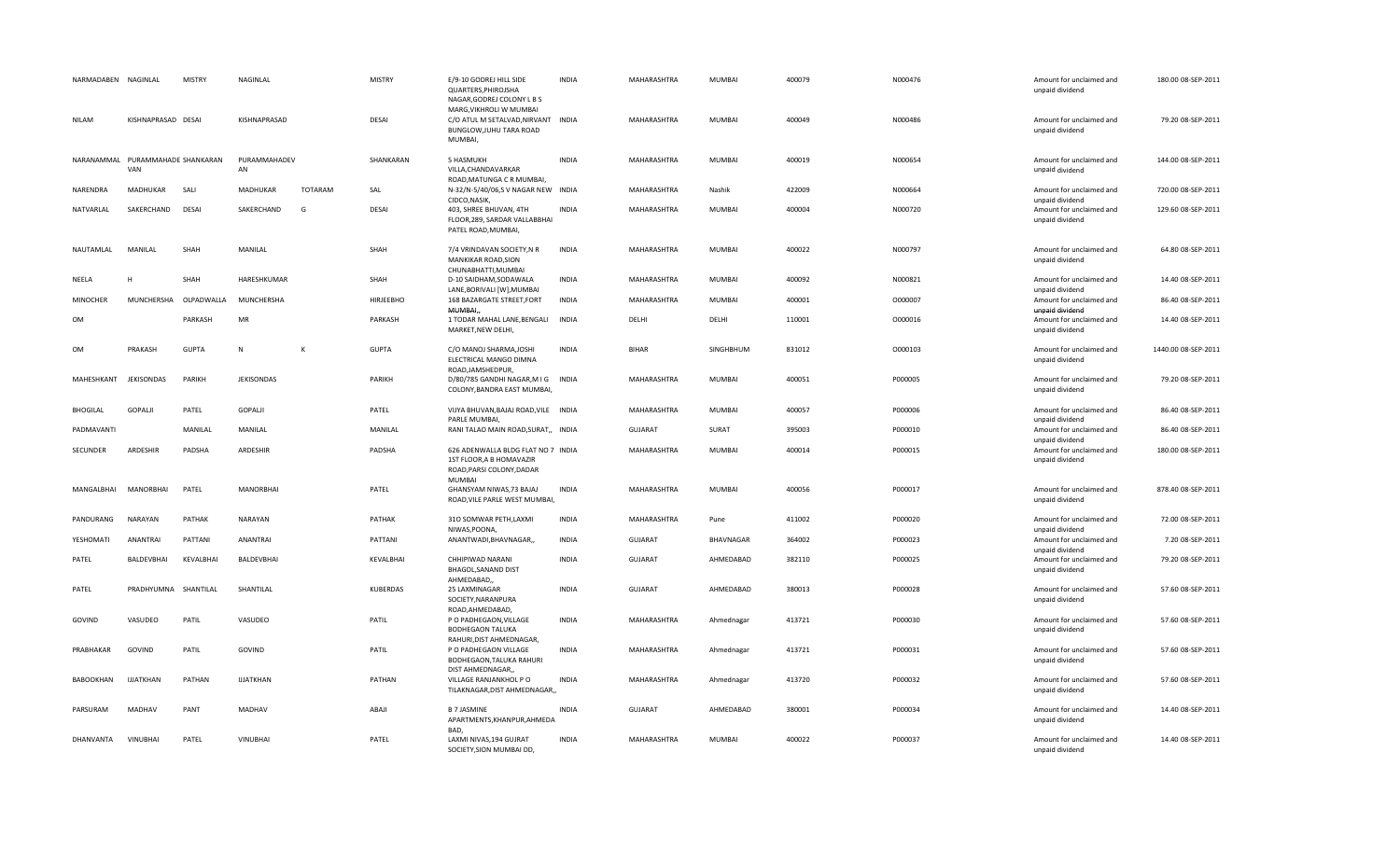| NARMADABEN      | NAGINLAL                                | <b>MISTRY</b> | NAGINLAL           |                | <b>MISTRY</b>    | E/9-10 GODREJ HILL SIDE<br>QUARTERS, PHIROJSHA<br>NAGAR, GODREJ COLONY L B S                        | <b>INDIA</b> | MAHARASHTRA        | MUMBAI     | 400079 | N000476 | Amount for unclaimed and<br>unpaid dividend | 180.00 08-SEP-2011  |
|-----------------|-----------------------------------------|---------------|--------------------|----------------|------------------|-----------------------------------------------------------------------------------------------------|--------------|--------------------|------------|--------|---------|---------------------------------------------|---------------------|
| <b>NILAM</b>    | KISHNAPRASAD DESAI                      |               | KISHNAPRASAD       |                | <b>DESAI</b>     | MARG, VIKHROLI W MUMBAI<br>C/O ATUL M SETALVAD, NIRVANT INDIA<br>BUNGLOW, JUHU TARA ROAD<br>MUMBAI, |              | MAHARASHTRA        | MUMBAI     | 400049 | N000486 | Amount for unclaimed and<br>unpaid dividend | 79.20 08-SEP-2011   |
|                 | NARANAMMAL PURAMMAHADE SHANKARAN<br>VAN |               | PURAMMAHADEV<br>AN |                | SHANKARAN        | 5 HASMUKH<br>VILLA, CHANDAVARKAR<br>ROAD, MATUNGA C R MUMBAI,                                       | <b>INDIA</b> | MAHARASHTRA        | MUMBAI     | 400019 | N000654 | Amount for unclaimed and<br>unpaid dividend | 144.00 08-SEP-2011  |
| NARENDRA        | <b>MADHUKAR</b>                         | SALI          | <b>MADHUKAR</b>    | <b>TOTARAM</b> | SAL              | N-32/N-5/40/06,SV NAGAR NEW INDIA<br>CIDCO, NASIK,                                                  |              | MAHARASHTRA        | Nashik     | 422009 | N000664 | Amount for unclaimed and<br>unpaid dividend | 720.00 08-SEP-2011  |
| NATVARLAL       | SAKERCHAND                              | <b>DESAI</b>  | SAKERCHAND         | G              | <b>DESAI</b>     | 403, SHREE BHUVAN, 4TH<br>FLOOR, 289, SARDAR VALLABBHAI<br>PATEL ROAD, MUMBAI,                      | <b>INDIA</b> | MAHARASHTRA        | MUMBAI     | 400004 | N000720 | Amount for unclaimed and<br>unpaid dividend | 129.60 08-SEP-2011  |
| NAUTAMLAL       | MANILAL                                 | SHAH          | MANILAL            |                | SHAH             | 7/4 VRINDAVAN SOCIETY, NR<br>MANKIKAR ROAD, SION<br>CHUNABHATTI, MUMBAI                             | <b>INDIA</b> | MAHARASHTRA        | MUMBAI     | 400022 | N000797 | Amount for unclaimed and<br>unpaid dividend | 64.80 08-SEP-2011   |
| NEELA           | Н                                       | SHAH          | HARESHKUMAR        |                | SHAH             | D-10 SAIDHAM, SODAWALA<br>LANE, BORIVALI [W], MUMBAI                                                | <b>INDIA</b> | MAHARASHTRA        | MUMBAI     | 400092 | N000821 | Amount for unclaimed and<br>unpaid dividend | 14.40 08-SEP-2011   |
| <b>MINOCHER</b> | MUNCHERSHA                              | OLPADWALLA    | MUNCHERSHA         |                | <b>HIRJEEBHO</b> | 168 BAZARGATE STREET, FORT<br>MUMBAI,                                                               | <b>INDIA</b> | <b>MAHARASHTRA</b> | MUMBAI     | 400001 | 0000007 | Amount for unclaimed and<br>unpaid dividend | 86.40 08-SEP-2011   |
| OM              |                                         | PARKASH       | MR                 |                | PARKASH          | 1 TODAR MAHAL LANE, BENGALI<br>MARKET, NEW DELHI,                                                   | <b>INDIA</b> | DELHI              | DELHI      | 110001 | 0000016 | Amount for unclaimed and<br>unpaid dividend | 14.40 08-SEP-2011   |
| OM              | PRAKASH                                 | <b>GUPTA</b>  | N                  | к              | <b>GUPTA</b>     | C/O MANOJ SHARMA, JOSHI<br>ELECTRICAL MANGO DIMNA<br>ROAD, JAMSHEDPUR,                              | <b>INDIA</b> | <b>BIHAR</b>       | SINGHBHUM  | 831012 | 0000103 | Amount for unclaimed and<br>unpaid dividend | 1440.00 08-SEP-2011 |
| MAHESHKANT      | <b>JEKISONDAS</b>                       | PARIKH        | <b>JEKISONDAS</b>  |                | PARIKH           | D/80/785 GANDHI NAGAR, M I G INDIA<br>COLONY, BANDRA EAST MUMBAI,                                   |              | MAHARASHTRA        | MUMBAI     | 400051 | P000005 | Amount for unclaimed and<br>unpaid dividend | 79.20 08-SEP-2011   |
| <b>BHOGILAL</b> | GOPALJI                                 | PATEL         | GOPALI             |                | PATEL            | VIJYA BHUVAN, BAJAJ ROAD, VILE INDIA<br>PARLE MUMBAI,                                               |              | MAHARASHTRA        | MUMBAI     | 400057 | P000006 | Amount for unclaimed and<br>unpaid dividend | 86.40 08-SEP-2011   |
| PADMAVANTI      |                                         | MANILAL       | MANILAL            |                | MANILAL          | RANI TALAO MAIN ROAD, SURAT,, INDIA                                                                 |              | GUJARAT            | SURAT      | 395003 | P000010 | Amount for unclaimed and<br>unpaid dividend | 86.40 08-SEP-2011   |
| SECUNDER        | ARDESHIR                                | PADSHA        | ARDESHIR           |                | PADSHA           | 626 ADENWALLA BLDG FLAT NO 7 INDIA<br>1ST FLOOR, A B HOMAVAZIR<br>ROAD, PARSI COLONY, DADAR         |              | MAHARASHTRA        | MUMBAI     | 400014 | P000015 | Amount for unclaimed and<br>unpaid dividend | 180.00 08-SEP-2011  |
| MANGALBHAI      | MANORBHAI                               | PATEL         | <b>MANORBHAI</b>   |                | PATEL            | <b>MUMBAI</b><br>GHANSYAM NIWAS, 73 BAJAJ<br>ROAD, VILE PARLE WEST MUMBAI,                          | <b>INDIA</b> | MAHARASHTRA        | MUMBAI     | 400056 | P000017 | Amount for unclaimed and<br>unpaid dividend | 878.40 08-SEP-2011  |
| PANDURANG       | NARAYAN                                 | PATHAK        | NARAYAN            |                | PATHAK           | 310 SOMWAR PETH, LAXMI<br>NIWAS, POONA,                                                             | INDIA        | MAHARASHTRA        | Pune       | 411002 | P000020 | Amount for unclaimed and<br>unpaid dividend | 72.00 08-SEP-2011   |
| YESHOMATI       | ANANTRAI                                | PATTANI       | <b>ANANTRAI</b>    |                | PATTANI          | ANANTWADI, BHAVNAGAR,,                                                                              | <b>INDIA</b> | <b>GUJARAT</b>     | BHAVNAGAR  | 364002 | P000023 | Amount for unclaimed and<br>unpaid dividend | 7.20 08-SEP-2011    |
| PATEL           | BALDEVBHAI                              | KEVALBHAI     | BALDEVBHAI         |                | KEVALBHAI        | CHHIPIWAD NARANI<br>BHAGOL, SANAND DIST<br>AHMEDABAD                                                | <b>INDIA</b> | <b>GUJARAT</b>     | AHMEDABAD  | 382110 | P000025 | Amount for unclaimed and<br>unpaid dividend | 79.20 08-SEP-2011   |
| PATEL           | PRADHYUMNA SHANTILAL                    |               | SHANTILAL          |                | <b>KUBERDAS</b>  | 25 LAXMINAGAR<br>SOCIETY, NARANPURA<br>ROAD, AHMEDABAD,                                             | <b>INDIA</b> | <b>GUJARAT</b>     | AHMEDABAD  | 380013 | P000028 | Amount for unclaimed and<br>unpaid dividend | 57.60 08-SEP-2011   |
| GOVIND          | VASUDEO                                 | PATIL         | VASUDEO            |                | PATIL            | P O PADHEGAON, VILLAGE<br><b>BODHEGAON TALUKA</b><br>RAHURI, DIST AHMEDNAGAR,                       | <b>INDIA</b> | MAHARASHTRA        | Ahmednagar | 413721 | P000030 | Amount for unclaimed and<br>unpaid dividend | 57.60 08-SEP-2011   |
| PRABHAKAR       | GOVIND                                  | PATIL         | GOVIND             |                | PATIL            | P O PADHEGAON VILLAGE<br>BODHEGAON, TALUKA RAHURI<br>DIST AHMEDNAGAR,,                              | <b>INDIA</b> | MAHARASHTRA        | Ahmednagar | 413721 | P000031 | Amount for unclaimed and<br>unpaid dividend | 57.60 08-SEP-2011   |
| BABOOKHAN       | <b>IJJATKHAN</b>                        | PATHAN        | <b>IJJATKHAN</b>   |                | PATHAN           | VILLAGE RANJANKHOL P O<br>TILAKNAGAR, DIST AHMEDNAGAR,,                                             | <b>INDIA</b> | MAHARASHTRA        | Ahmednagar | 413720 | P000032 | Amount for unclaimed and<br>unpaid dividend | 57.60 08-SEP-2011   |
| PARSURAM        | MADHAV                                  | PANT          | MADHAV             |                | ABAJI            | <b>B 7 JASMINE</b><br>APARTMENTS, KHANPUR, AHMEDA<br><b>BAD</b>                                     | <b>INDIA</b> | <b>GUJARAT</b>     | AHMEDABAD  | 380001 | P000034 | Amount for unclaimed and<br>unpaid dividend | 14.40 08-SEP-2011   |
| DHANVANTA       | <b>VINUBHAI</b>                         | PATEL         | VINUBHAI           |                | PATEL            | LAXMI NIVAS, 194 GUJRAT<br>SOCIETY, SION MUMBAI DD,                                                 | <b>INDIA</b> | MAHARASHTRA        | MUMBAI     | 400022 | P000037 | Amount for unclaimed and<br>unpaid dividend | 14.40 08-SEP-2011   |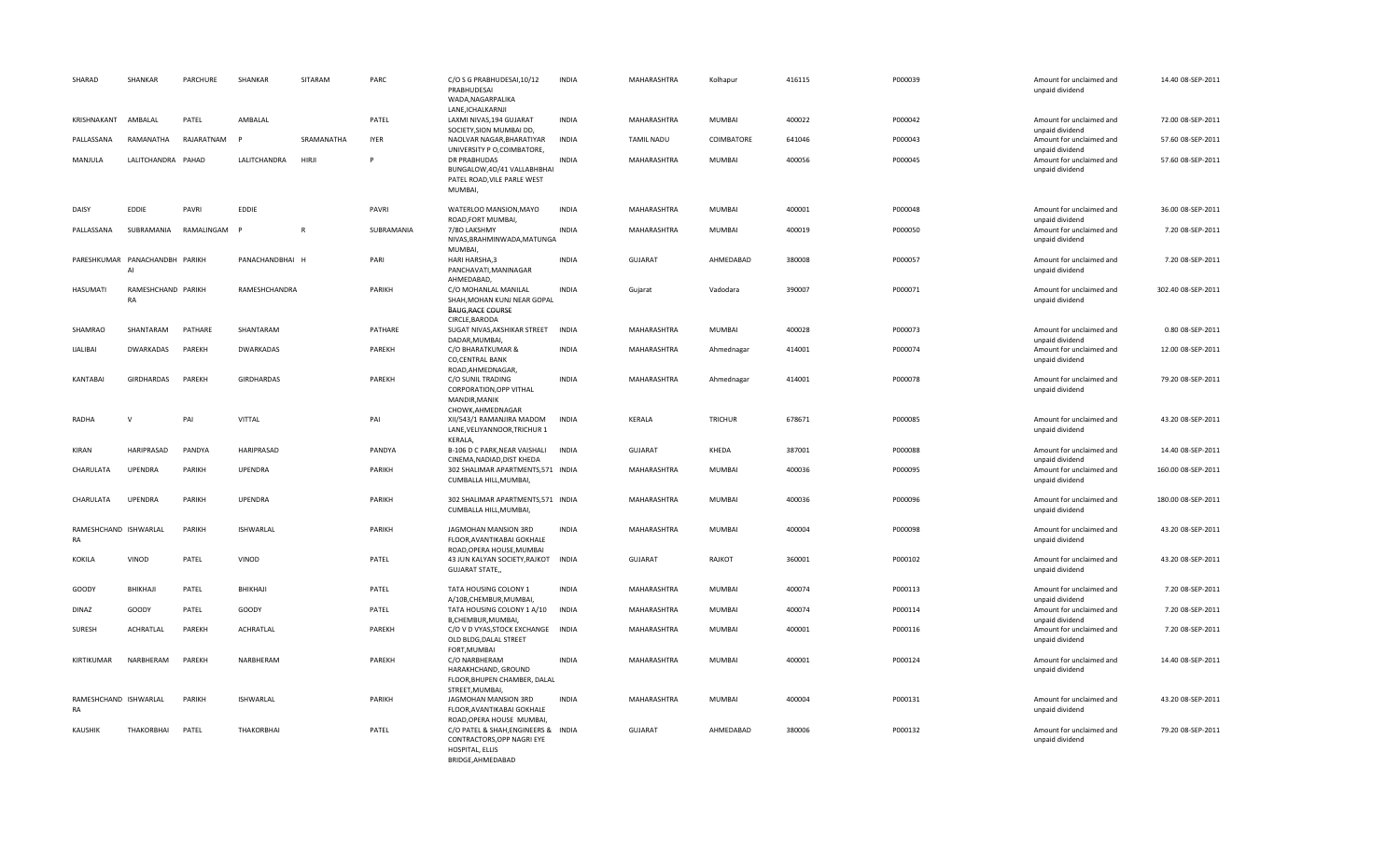| SHARAD                      | SHANKAR                              | PARCHURE   | SHANKAR           | SITARAM      | PARC        | C/O S G PRABHUDESAI, 10/12<br>PRABHUDESAI<br>WADA, NAGARPALIKA                                                              | <b>INDIA</b> | MAHARASHTRA       | Kolhapur      | 416115 | P000039 | Amount for unclaimed and<br>unpaid dividend                    | 14.40 08-SEP-2011  |
|-----------------------------|--------------------------------------|------------|-------------------|--------------|-------------|-----------------------------------------------------------------------------------------------------------------------------|--------------|-------------------|---------------|--------|---------|----------------------------------------------------------------|--------------------|
| KRISHNAKANT                 | AMBALAL                              | PATEL      | AMBALAL           |              | PATEL       | LANE, ICHALKARNJI<br>LAXMI NIVAS, 194 GUJARAT                                                                               | <b>INDIA</b> | MAHARASHTRA       | MUMBAI        | 400022 | P000042 | Amount for unclaimed and                                       | 72.00 08-SEP-2011  |
| PALLASSANA                  | RAMANATHA                            | RAJARATNAM | $\mathbf{D}$      | SRAMANATHA   | <b>IYER</b> | SOCIETY, SION MUMBAI DD,<br>NAOLVAR NAGAR, BHARATIYAR                                                                       | <b>INDIA</b> | <b>TAMIL NADU</b> | COIMBATORE    | 641046 | P000043 | unpaid dividend<br>Amount for unclaimed and                    | 57.60 08-SEP-2011  |
| MANJULA                     | LALITCHANDRA PAHAD                   |            | LALITCHANDRA      | HIRJI        | P           | UNIVERSITY P O, COIMBATORE,<br><b>DR PRABHUDAS</b><br>BUNGALOW, 40/41 VALLABHBHAI<br>PATEL ROAD, VILE PARLE WEST<br>MUMBAI, | <b>INDIA</b> | MAHARASHTRA       | <b>MUMBAI</b> | 400056 | P000045 | unpaid dividend<br>Amount for unclaimed and<br>unpaid dividend | 57.60 08-SEP-2011  |
| DAISY                       | EDDIE                                | PAVRI      | EDDIE             |              | PAVRI       | WATERLOO MANSION, MAYO                                                                                                      | <b>INDIA</b> | MAHARASHTRA       | <b>MUMBAI</b> | 400001 | P000048 | Amount for unclaimed and                                       | 36.00 08-SEP-2011  |
| PALLASSANA                  | SUBRAMANIA                           | RAMALINGAM |                   | $\mathsf{R}$ | SUBRAMANIA  | ROAD, FORT MUMBAI,<br>7/80 LAKSHMY<br>NIVAS, BRAHMINWADA, MATUNGA<br>MUMBAI,                                                | <b>INDIA</b> | MAHARASHTRA       | MUMBAI        | 400019 | P000050 | unpaid dividend<br>Amount for unclaimed and<br>unpaid dividend | 7.20 08-SEP-2011   |
|                             | PARESHKUMAR PANACHANDBH PARIKH<br>AI |            | PANACHANDBHAI H   |              | PARI        | HARI HARSHA,3<br>PANCHAVATI, MANINAGAR<br>AHMEDABAD,                                                                        | <b>INDIA</b> | GUJARAT           | AHMEDABAD     | 380008 | P000057 | Amount for unclaimed and<br>unpaid dividend                    | 7.20 08-SEP-2011   |
| HASUMATI                    | RAMESHCHAND PARIKH<br>RA             |            | RAMESHCHANDRA     |              | PARIKH      | C/O MOHANLAL MANILAL<br>SHAH, MOHAN KUNJ NEAR GOPAL<br><b>BAUG, RACE COURSE</b>                                             | <b>INDIA</b> | Gujarat           | Vadodara      | 390007 | P000071 | Amount for unclaimed and<br>unpaid dividend                    | 302.40 08-SEP-2011 |
| SHAMRAO                     | SHANTARAM                            | PATHARE    | SHANTARAM         |              | PATHARE     | CIRCLE, BARODA<br>SUGAT NIVAS, AKSHIKAR STREET<br>DADAR, MUMBAI,                                                            | <b>INDIA</b> | MAHARASHTRA       | MUMBAI        | 400028 | P000073 | Amount for unclaimed and<br>unpaid dividend                    | 0.80 08-SEP-2011   |
| <b>IJALIBAI</b>             | DWARKADAS                            | PAREKH     | DWARKADAS         |              | PAREKH      | C/O BHARATKUMAR &<br><b>CO, CENTRAL BANK</b>                                                                                | <b>INDIA</b> | MAHARASHTRA       | Ahmednagar    | 414001 | P000074 | Amount for unclaimed and<br>unpaid dividend                    | 12.00 08-SEP-2011  |
| KANTABAI                    | GIRDHARDAS                           | PAREKH     | <b>GIRDHARDAS</b> |              | PAREKH      | ROAD, AHMEDNAGAR,<br>C/O SUNIL TRADING<br>CORPORATION, OPP VITHAL<br>MANDIR, MANIK                                          | <b>INDIA</b> | MAHARASHTRA       | Ahmednagar    | 414001 | P000078 | Amount for unclaimed and<br>unpaid dividend                    | 79.20 08-SEP-2011  |
| RADHA                       | $\mathsf{V}$                         | PAI        | VITTAL            |              | PAI         | CHOWK, AHMEDNAGAR<br>XII/543/1 RAMANJIRA MADOM<br>LANE, VELIYANNOOR, TRICHUR 1<br>KERALA,                                   | <b>INDIA</b> | KERALA            | TRICHUR       | 678671 | P000085 | Amount for unclaimed and<br>unpaid dividend                    | 43.20 08-SEP-2011  |
| KIRAN                       | HARIPRASAD                           | PANDYA     | HARIPRASAD        |              | PANDYA      | B-106 D C PARK, NEAR VAISHALI<br>CINEMA, NADIAD, DIST KHEDA                                                                 | INDIA        | <b>GUJARAT</b>    | KHEDA         | 387001 | P000088 | Amount for unclaimed and<br>unpaid dividend                    | 14.40 08-SEP-2011  |
| CHARULATA                   | <b>UPENDRA</b>                       | PARIKH     | <b>UPENDRA</b>    |              | PARIKH      | 302 SHALIMAR APARTMENTS, 571 INDIA<br>CUMBALLA HILL, MUMBAI,                                                                |              | MAHARASHTRA       | MUMBAI        | 400036 | P000095 | Amount for unclaimed and<br>unpaid dividend                    | 160.00 08-SEP-2011 |
| CHARULATA                   | UPENDRA                              | PARIKH     | <b>UPENDRA</b>    |              | PARIKH      | 302 SHALIMAR APARTMENTS, 571 INDIA<br>CUMBALLA HILL, MUMBAI,                                                                |              | MAHARASHTRA       | MUMBAI        | 400036 | P000096 | Amount for unclaimed and<br>unpaid dividend                    | 180.00 08-SEP-2011 |
| RAMESHCHAND ISHWARLAL<br>RA |                                      | PARIKH     | ISHWARLAL         |              | PARIKH      | JAGMOHAN MANSION 3RD<br>FLOOR, AVANTIKABAI GOKHALE<br>ROAD, OPERA HOUSE, MUMBAI                                             | <b>INDIA</b> | MAHARASHTRA       | MUMBAI        | 400004 | P000098 | Amount for unclaimed and<br>unpaid dividend                    | 43.20 08-SEP-2011  |
| KOKILA                      | VINOD                                | PATEL      | VINOD             |              | PATEL       | 43 JUN KALYAN SOCIETY, RAJKOT<br><b>GUJARAT STATE,,</b>                                                                     | <b>INDIA</b> | <b>GUJARAT</b>    | RAJKOT        | 360001 | P000102 | Amount for unclaimed and<br>unpaid dividend                    | 43.20 08-SEP-2011  |
| GOODY                       | BHIKHAJI                             | PATEL      | BHIKHAJI          |              | PATEL       | TATA HOUSING COLONY 1<br>A/10B, CHEMBUR, MUMBAI,                                                                            | <b>INDIA</b> | MAHARASHTRA       | MUMBAI        | 400074 | P000113 | Amount for unclaimed and<br>unpaid dividend                    | 7.20 08-SEP-2011   |
| <b>DINAZ</b>                | GOODY                                | PATEL      | GOODY             |              | PATEL       | TATA HOUSING COLONY 1 A/10<br>B, CHEMBUR, MUMBAI,                                                                           | <b>INDIA</b> | MAHARASHTRA       | MUMBAI        | 400074 | P000114 | Amount for unclaimed and<br>unpaid dividend                    | 7.20 08-SEP-2011   |
| SURESH                      | <b>ACHRATLAL</b>                     | PAREKH     | <b>ACHRATLAL</b>  |              | PAREKH      | C/O V D VYAS, STOCK EXCHANGE INDIA<br>OLD BLDG, DALAL STREET<br>FORT, MUMBAI                                                |              | MAHARASHTRA       | <b>MUMBAI</b> | 400001 | P000116 | Amount for unclaimed and<br>unpaid dividend                    | 7.20 08-SEP-2011   |
| KIRTIKUMAR                  | NARBHERAM                            | PAREKH     | NARBHERAM         |              | PAREKH      | C/O NARBHERAM<br>HARAKHCHAND, GROUND<br>FLOOR, BHUPEN CHAMBER, DALAL<br>STREET, MUMBAI,                                     | <b>INDIA</b> | MAHARASHTRA       | MUMBAI        | 400001 | P000124 | Amount for unclaimed and<br>unpaid dividend                    | 14.40 08-SEP-2011  |
| RAMESHCHAND ISHWARLAL<br>RA |                                      | PARIKH     | ISHWARLAL         |              | PARIKH      | JAGMOHAN MANSION 3RD<br>FLOOR, AVANTIKABAI GOKHALE<br>ROAD, OPERA HOUSE MUMBAI,                                             | <b>INDIA</b> | MAHARASHTRA       | MUMBAI        | 400004 | P000131 | Amount for unclaimed and<br>unpaid dividend                    | 43.20 08-SEP-2011  |
| <b>KAUSHIK</b>              | THAKORBHAI                           | PATEL      | <b>THAKORBHAI</b> |              | PATEL       | C/O PATEL & SHAH, ENGINEERS & INDIA<br>CONTRACTORS, OPP NAGRI EYE<br>HOSPITAL, ELLIS<br>BRIDGE.AHMEDABAD                    |              | <b>GUJARAT</b>    | AHMEDABAD     | 380006 | P000132 | Amount for unclaimed and<br>unpaid dividend                    | 79.20 08-SEP-2011  |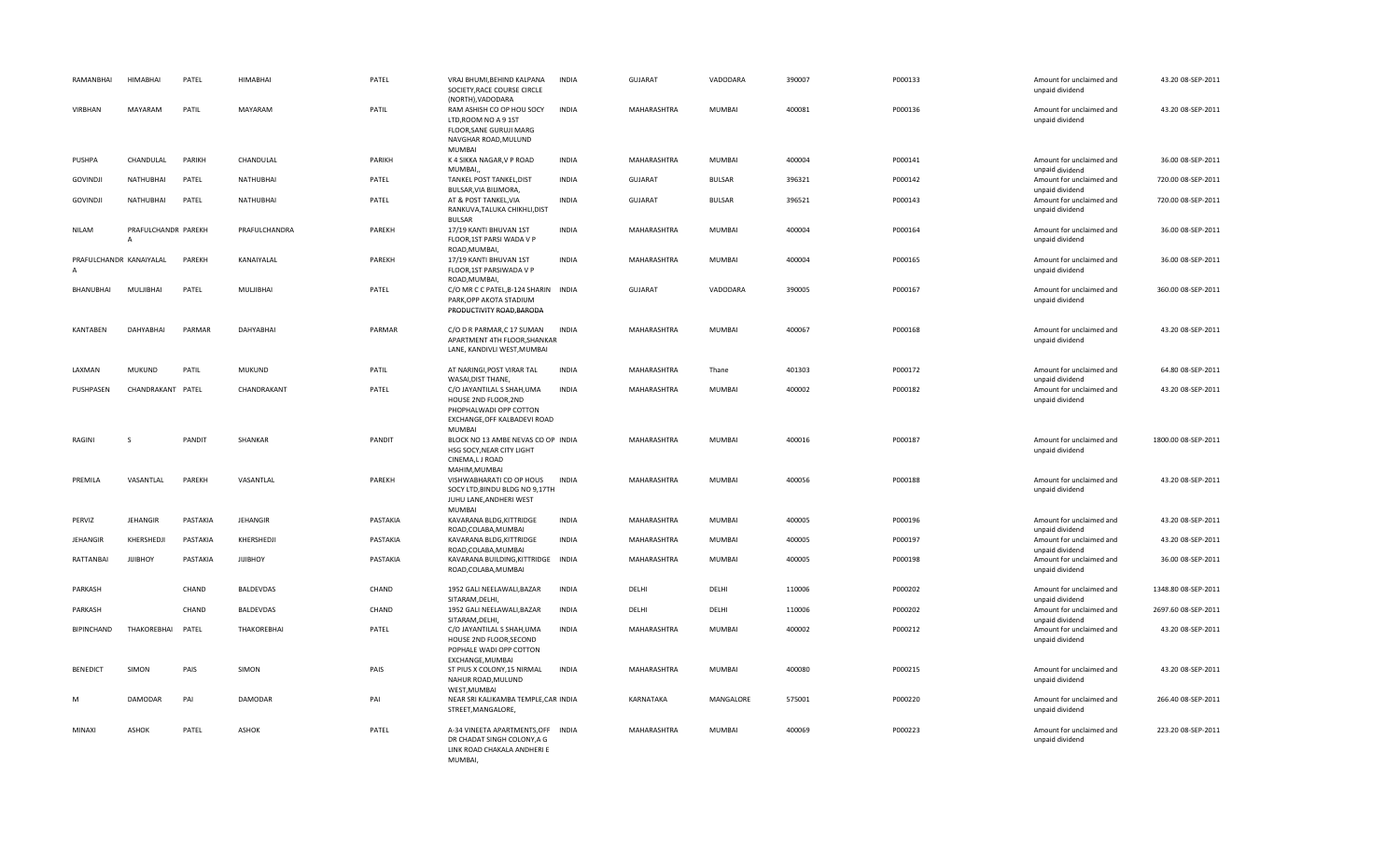| RAMANBHAI               | <b>HIMABHAI</b>                       | PATEL    | <b>HIMABHAI</b> | PATEL    | VRAJ BHUMI, BEHIND KALPANA<br>SOCIETY, RACE COURSE CIRCLE<br>(NORTH), VADODARA                                                | <b>INDIA</b> | GUJARAT        | VADODARA      | 390007 | P000133 | Amount for unclaimed and<br>unpaid dividend | 43.20 08-SEP-2011   |
|-------------------------|---------------------------------------|----------|-----------------|----------|-------------------------------------------------------------------------------------------------------------------------------|--------------|----------------|---------------|--------|---------|---------------------------------------------|---------------------|
| VIRBHAN                 | MAYARAM                               | PATIL    | MAYARAM         | PATIL    | RAM ASHISH CO OP HOU SOCY<br>LTD.ROOM NO A 9 1ST<br>FLOOR, SANE GURUJI MARG<br>NAVGHAR ROAD, MULUND<br><b>MUMBAI</b>          | <b>INDIA</b> | MAHARASHTRA    | <b>MUMBAI</b> | 400081 | P000136 | Amount for unclaimed and<br>unpaid dividend | 43.20 08-SEP-2011   |
| PUSHPA                  | CHANDULAL                             | PARIKH   | CHANDULAL       | PARIKH   | K 4 SIKKA NAGAR, V P ROAD<br>MUMBAI,                                                                                          | <b>INDIA</b> | MAHARASHTRA    | <b>MUMBAI</b> | 400004 | P000141 | Amount for unclaimed and<br>unpaid dividend | 36.00 08-SEP-2011   |
| <b>GOVINDJI</b>         | NATHUBHAI                             | PATEL    | NATHUBHAI       | PATEL    | TANKEL POST TANKEL, DIST<br>BULSAR, VIA BILIMORA,                                                                             | <b>INDIA</b> | <b>GUJARAT</b> | <b>BULSAR</b> | 396321 | P000142 | Amount for unclaimed and<br>unpaid dividend | 720.00 08-SEP-2011  |
| <b>GOVINDJI</b>         | NATHUBHAI                             | PATEL    | NATHUBHAI       | PATEL    | AT & POST TANKEL, VIA<br>RANKUVA, TALUKA CHIKHLI, DIST<br><b>BULSAR</b>                                                       | <b>INDIA</b> | GUJARAT        | <b>BULSAR</b> | 396521 | P000143 | Amount for unclaimed and<br>unpaid dividend | 720.00 08-SEP-2011  |
| NILAM                   | PRAFULCHANDR PAREKH<br>$\overline{A}$ |          | PRAFULCHANDRA   | PAREKH   | 17/19 KANTI BHUVAN 1ST<br>FLOOR, 1ST PARSI WADA V P<br>ROAD, MUMBAI,                                                          | INDIA        | MAHARASHTRA    | <b>MUMBAI</b> | 400004 | P000164 | Amount for unclaimed and<br>unpaid dividend | 36.00 08-SEP-2011   |
| PRAFULCHANDR KANAIYALAL |                                       | PAREKH   | KANAIYALAL      | PAREKH   | 17/19 KANTI BHUVAN 1ST<br>FLOOR, 1ST PARSIWADA V P<br>ROAD, MUMBAI,                                                           | INDIA        | MAHARASHTRA    | MUMBAI        | 400004 | P000165 | Amount for unclaimed and<br>unpaid dividend | 36.00 08-SEP-2011   |
| BHANUBHAI               | MULJIBHAI                             | PATEL    | MULJIBHAI       | PATEL    | C/O MR C C PATEL, B-124 SHARIN INDIA<br>PARK, OPP AKOTA STADIUM<br>PRODUCTIVITY ROAD, BARODA                                  |              | GUJARAT        | VADODARA      | 390005 | P000167 | Amount for unclaimed and<br>unpaid dividend | 360.00 08-SEP-2011  |
| <b>KANTABEN</b>         | DAHYABHAI                             | PARMAR   | DAHYABHAI       | PARMAR   | C/O D R PARMAR,C 17 SUMAN<br>APARTMENT 4TH FLOOR, SHANKAR<br>LANE, KANDIVLI WEST, MUMBAI                                      | <b>INDIA</b> | MAHARASHTRA    | <b>MUMBAI</b> | 400067 | P000168 | Amount for unclaimed and<br>unpaid dividend | 43.20 08-SEP-2011   |
| LAXMAN                  | <b>MUKUND</b>                         | PATIL    | <b>MUKUND</b>   | PATIL    | AT NARINGI, POST VIRAR TAL<br>WASAI, DIST THANE,                                                                              | <b>INDIA</b> | MAHARASHTRA    | Thane         | 401303 | P000172 | Amount for unclaimed and<br>unpaid dividend | 64.80 08-SEP-2011   |
| PUSHPASEN               | CHANDRAKANT PATEL                     |          | CHANDRAKANT     | PATEL    | C/O JAYANTILAL S SHAH, UMA<br>HOUSE 2ND FLOOR, 2ND<br>PHOPHALWADI OPP COTTON<br>EXCHANGE, OFF KALBADEVI ROAD<br><b>MUMBAI</b> | <b>INDIA</b> | MAHARASHTRA    | MUMBAI        | 400002 | P000182 | Amount for unclaimed and<br>unpaid dividend | 43.20 08-SEP-2011   |
| RAGINI                  | -S                                    | PANDIT   | SHANKAR         | PANDIT   | BLOCK NO 13 AMBE NEVAS CO OP INDIA<br>HSG SOCY, NEAR CITY LIGHT<br>CINEMA,L J ROAD<br>MAHIM, MUMBAI                           |              | MAHARASHTRA    | <b>MUMBAI</b> | 400016 | P000187 | Amount for unclaimed and<br>unpaid dividend | 1800.00 08-SEP-2011 |
| PREMILA                 | VASANTLAL                             | PAREKH   | VASANTLAL       | PAREKH   | VISHWABHARATI CO OP HOUS<br>SOCY LTD, BINDU BLDG NO 9,17TH<br>JUHU LANE, ANDHERI WEST<br><b>MUMBAI</b>                        | <b>INDIA</b> | MAHARASHTRA    | <b>MUMBAI</b> | 400056 | P000188 | Amount for unclaimed and<br>unpaid dividend | 43.20 08-SEP-2011   |
| PERVIZ                  | <b>JEHANGIR</b>                       | PASTAKIA | <b>JEHANGIR</b> | PASTAKIA | KAVARANA BLDG, KITTRIDGE<br>ROAD, COLABA, MUMBAI                                                                              | <b>INDIA</b> | MAHARASHTRA    | <b>MUMBAI</b> | 400005 | P000196 | Amount for unclaimed and<br>unpaid dividend | 43.20 08-SEP-2011   |
| <b>JEHANGIR</b>         | KHERSHEDJI                            | PASTAKIA | KHERSHEDJI      | PASTAKIA | KAVARANA BLDG, KITTRIDGE<br>ROAD, COLABA, MUMBAI                                                                              | <b>INDIA</b> | MAHARASHTRA    | <b>MUMBAI</b> | 400005 | P000197 | Amount for unclaimed and<br>unpaid dividend | 43.20 08-SEP-2011   |
| RATTANBAI               | <b>JIJIBHOY</b>                       | PASTAKIA | <b>JIJIBHOY</b> | PASTAKIA | KAVARANA BUILDING, KITTRIDGE INDIA<br>ROAD, COLABA, MUMBAI                                                                    |              | MAHARASHTRA    | <b>MUMBAI</b> | 400005 | P000198 | Amount for unclaimed and<br>unpaid dividend | 36.00 08-SEP-2011   |
| PARKASH                 |                                       | CHAND    | BALDEVDAS       | CHAND    | 1952 GALI NEELAWALI, BAZAR<br>SITARAM, DELHI,                                                                                 | <b>INDIA</b> | DELHI          | DELHI         | 110006 | P000202 | Amount for unclaimed and<br>unpaid dividend | 1348.80 08-SEP-2011 |
| PARKASH                 |                                       | CHAND    | BALDEVDAS       | CHAND    | 1952 GALI NEELAWALI, BAZAR<br>SITARAM, DELHI,                                                                                 | <b>INDIA</b> | DELHI          | DELHI         | 110006 | P000202 | Amount for unclaimed and<br>unpaid dividend | 2697.60 08-SEP-2011 |
| BIPINCHAND              | THAKOREBHAI                           | PATEL    | THAKOREBHAI     | PATEL    | C/O JAYANTILAL S SHAH, UMA<br>HOUSE 2ND FLOOR, SECOND<br>POPHALE WADI OPP COTTON<br>EXCHANGE, MUMBAI                          | INDIA        | MAHARASHTRA    | MUMBAI        | 400002 | P000212 | Amount for unclaimed and<br>unpaid dividend | 43.20 08-SEP-2011   |
| <b>BENEDICT</b>         | SIMON                                 | PAIS     | SIMON           | PAIS     | ST PIUS X COLONY, 15 NIRMAL<br>NAHUR ROAD, MULUND<br>WEST, MUMBAI                                                             | <b>INDIA</b> | MAHARASHTRA    | <b>MUMBAI</b> | 400080 | P000215 | Amount for unclaimed and<br>unpaid dividend | 43.20 08-SEP-2011   |
| м                       | DAMODAR                               | PAI      | DAMODAR         | PAI      | NEAR SRI KALIKAMBA TEMPLE, CAR INDIA<br>STREET, MANGALORE,                                                                    |              | KARNATAKA      | MANGALORE     | 575001 | P000220 | Amount for unclaimed and<br>unpaid dividend | 266.40 08-SEP-2011  |
| MINAXI                  | <b>ASHOK</b>                          | PATEL    | ASHOK           | PATEL    | A-34 VINEETA APARTMENTS, OFF INDIA<br>DR CHADAT SINGH COLONY, A G<br>LINK ROAD CHAKALA ANDHERI E<br>MUMBAI,                   |              | MAHARASHTRA    | <b>MUMBAI</b> | 400069 | P000223 | Amount for unclaimed and<br>unpaid dividend | 223.20 08-SEP-2011  |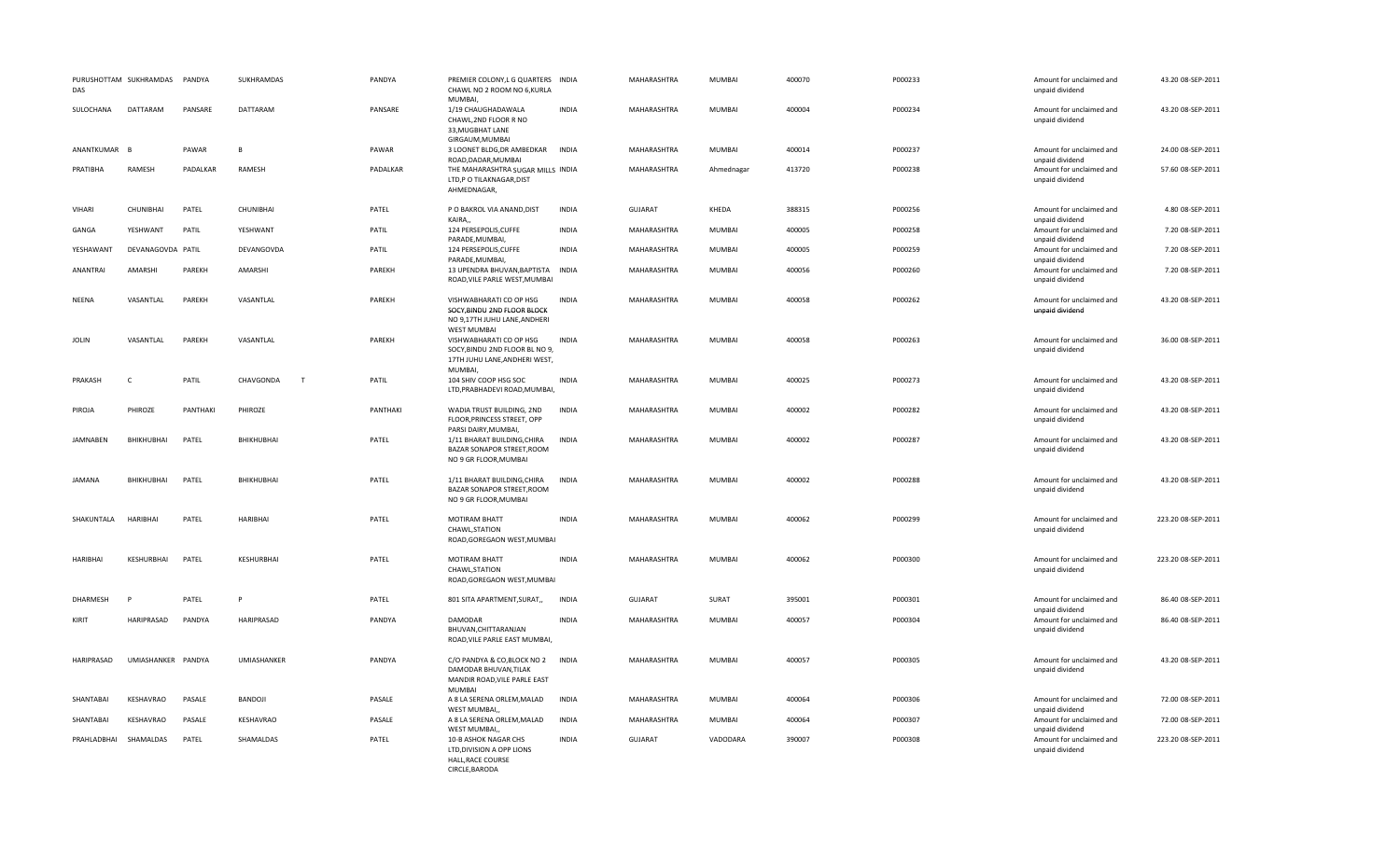| DAS             | PURUSHOTTAM SUKHRAMDAS | PANDYA   | SUKHRAMDAS     | PANDYA   | PREMIER COLONY, L G QUARTERS INDIA<br>CHAWL NO 2 ROOM NO 6, KURLA<br>MUMBAI,                                 |              | MAHARASHTRA        | MUMBAI        | 400070 | P000233 | Amount for unclaimed and<br>unpaid dividend | 43.20 08-SEP-2011  |
|-----------------|------------------------|----------|----------------|----------|--------------------------------------------------------------------------------------------------------------|--------------|--------------------|---------------|--------|---------|---------------------------------------------|--------------------|
| SULOCHANA       | <b>DATTARAM</b>        | PANSARE  | DATTARAM       | PANSARE  | 1/19 CHAUGHADAWALA<br>CHAWL, 2ND FLOOR R NO<br>33, MUGBHAT LANE<br>GIRGAUM, MUMBAI                           | <b>INDIA</b> | <b>MAHARASHTRA</b> | <b>MUMBAI</b> | 400004 | P000234 | Amount for unclaimed and<br>unpaid dividend | 43.20 08-SEP-2011  |
| ANANTKUMAR B    |                        | PAWAR    | B.             | PAWAR    | 3 LOONET BLDG, DR AMBEDKAR<br>ROAD, DADAR, MUMBAI                                                            | <b>INDIA</b> | MAHARASHTRA        | MUMBAI        | 400014 | P000237 | Amount for unclaimed and<br>unpaid dividend | 24.00 08-SEP-2011  |
| PRATIBHA        | RAMESH                 | PADALKAR | RAMESH         | PADALKAR | THE MAHARASHTRA SUGAR MILLS INDIA<br>LTD,P O TILAKNAGAR,DIST<br>AHMEDNAGAR,                                  |              | MAHARASHTRA        | Ahmednagar    | 413720 | P000238 | Amount for unclaimed and<br>unpaid dividend | 57.60 08-SEP-2011  |
| VIHARI          | CHUNIBHAI              | PATEL    | CHUNIBHAI      | PATEL    | P O BAKROL VIA ANAND, DIST<br>KAIRA,                                                                         | INDIA        | GUJARAT            | KHEDA         | 388315 | P000256 | Amount for unclaimed and<br>unpaid dividend | 4.80 08-SEP-2011   |
| GANGA           | YESHWANT               | PATIL    | YESHWANT       | PATIL    | 124 PERSEPOLIS.CUFFE<br>PARADE, MUMBAI,                                                                      | <b>INDIA</b> | <b>MAHARASHTRA</b> | MUMBAI        | 400005 | P000258 | Amount for unclaimed and<br>unpaid dividend | 7.20 08-SEP-2011   |
| YESHAWANT       | DEVANAGOVDA PATIL      |          | DEVANGOVDA     | PATIL    | 124 PERSEPOLIS, CUFFE<br>PARADE, MUMBAI,                                                                     | <b>INDIA</b> | MAHARASHTRA        | MUMBAI        | 400005 | P000259 | Amount for unclaimed and<br>unpaid dividend | 7.20 08-SEP-2011   |
| ANANTRAI        | AMARSHI                | PAREKH   | AMARSHI        | PAREKH   | 13 UPENDRA BHUVAN, BAPTISTA<br>ROAD, VILE PARLE WEST, MUMBAI                                                 | <b>INDIA</b> | MAHARASHTRA        | <b>MUMBAI</b> | 400056 | P000260 | Amount for unclaimed and<br>unpaid dividend | 7.20 08-SEP-2011   |
| <b>NEENA</b>    | VASANTLAL              | PAREKH   | VASANTLAL      | PAREKH   | VISHWABHARATI CO OP HSG<br>SOCY, BINDU 2ND FLOOR BLOCK<br>NO 9,17TH JUHU LANE, ANDHERI<br><b>WEST MUMBAI</b> | <b>INDIA</b> | MAHARASHTRA        | MUMBAI        | 400058 | P000262 | Amount for unclaimed and<br>unpaid dividend | 43.20 08-SEP-2011  |
| <b>JOLIN</b>    | VASANTLAL              | PAREKH   | VASANTLAL      | PAREKH   | VISHWABHARATI CO OP HSG<br>SOCY, BINDU 2ND FLOOR BL NO 9,<br>17TH JUHU LANE, ANDHERI WEST,<br>MUMBAI,        | <b>INDIA</b> | MAHARASHTRA        | MUMBAI        | 400058 | P000263 | Amount for unclaimed and<br>unpaid dividend | 36.00 08-SEP-2011  |
| PRAKASH         | C                      | PATIL    | CHAVGONDA<br>T | PATIL    | 104 SHIV COOP HSG SOC<br>LTD, PRABHADEVI ROAD, MUMBAI,                                                       | <b>INDIA</b> | MAHARASHTRA        | MUMBAI        | 400025 | P000273 | Amount for unclaimed and<br>unpaid dividend | 43.20 08-SEP-2011  |
| PIROJA          | PHIROZE                | PANTHAKI | PHIROZE        | PANTHAKI | WADIA TRUST BUILDING, 2ND<br>FLOOR, PRINCESS STREET, OPP<br>PARSI DAIRY, MUMBAI,                             | <b>INDIA</b> | MAHARASHTRA        | MUMBAI        | 400002 | P000282 | Amount for unclaimed and<br>unpaid dividend | 43.20 08-SEP-2011  |
| <b>JAMNABEN</b> | BHIKHUBHAI             | PATEL    | BHIKHUBHAI     | PATEL    | 1/11 BHARAT BUILDING, CHIRA<br>BAZAR SONAPOR STREET, ROOM<br>NO 9 GR FLOOR, MUMBAI                           | <b>INDIA</b> | MAHARASHTRA        | <b>MUMBAI</b> | 400002 | P000287 | Amount for unclaimed and<br>unpaid dividend | 43.20 08-SEP-2011  |
| <b>JAMANA</b>   | BHIKHUBHAI             | PATEL    | BHIKHUBHAI     | PATEL    | 1/11 BHARAT BUILDING, CHIRA<br>BAZAR SONAPOR STREET.ROOM<br>NO 9 GR FLOOR, MUMBAI                            | <b>INDIA</b> | MAHARASHTRA        | MUMBAI        | 400002 | P000288 | Amount for unclaimed and<br>unpaid dividend | 43.20 08-SEP-2011  |
| SHAKUNTALA      | HARIBHAI               | PATEL    | HARIBHAI       | PATEL    | MOTIRAM BHATT<br>CHAWL.STATION<br>ROAD, GOREGAON WEST, MUMBAI                                                | <b>INDIA</b> | MAHARASHTRA        | MUMBAI        | 400062 | P000299 | Amount for unclaimed and<br>unpaid dividend | 223.20 08-SEP-2011 |
| <b>HARIBHAI</b> | KESHURBHAI             | PATEL    | KESHURBHAI     | PATEL    | MOTIRAM BHATT<br>CHAWL, STATION<br>ROAD, GOREGAON WEST, MUMBAI                                               | <b>INDIA</b> | MAHARASHTRA        | MUMBAI        | 400062 | P000300 | Amount for unclaimed and<br>unpaid dividend | 223.20 08-SEP-2011 |
| DHARMESH        | P                      | PATEL    | P              | PATEL    | 801 SITA APARTMENT, SURAT,,                                                                                  | <b>INDIA</b> | <b>GUJARAT</b>     | SURAT         | 395001 | P000301 | Amount for unclaimed and<br>unpaid dividend | 86.40 08-SEP-2011  |
| KIRIT           | HARIPRASAD             | PANDYA   | HARIPRASAD     | PANDYA   | <b>DAMODAR</b><br>BHUVAN, CHITTARANJAN<br>ROAD, VILE PARLE EAST MUMBAI,                                      | <b>INDIA</b> | MAHARASHTRA        | <b>MUMBAI</b> | 400057 | P000304 | Amount for unclaimed and<br>unpaid dividend | 86.40 08-SEP-2011  |
| HARIPRASAD      | UMIASHANKER PANDYA     |          | UMIASHANKER    | PANDYA   | C/O PANDYA & CO,BLOCK NO 2<br>DAMODAR BHUVAN, TILAK<br>MANDIR ROAD, VILE PARLE EAST<br><b>MUMBAI</b>         | <b>INDIA</b> | MAHARASHTRA        | MUMBAI        | 400057 | P000305 | Amount for unclaimed and<br>unpaid dividend | 43.20 08-SEP-2011  |
| SHANTABAI       | KESHAVRAO              | PASALE   | BANDOJI        | PASALE   | A 8 LA SERENA ORLEM, MALAD<br>WEST MUMBAI,                                                                   | INDIA        | MAHARASHTRA        | MUMBAI        | 400064 | P000306 | Amount for unclaimed and<br>unpaid dividend | 72.00 08-SEP-2011  |
| SHANTABAI       | KESHAVRAO              | PASALE   | KESHAVRAO      | PASALE   | A 8 LA SERENA ORLEM, MALAD<br>WEST MUMBAI,,                                                                  | INDIA        | MAHARASHTRA        | MUMBAI        | 400064 | P000307 | Amount for unclaimed and<br>unpaid dividend | 72.00 08-SEP-2011  |
| PRAHLADBHAI     | SHAMALDAS              | PATEL    | SHAMALDAS      | PATEL    | 10-B ASHOK NAGAR CHS<br>LTD, DIVISION A OPP LIONS<br>HALL, RACE COURSE<br>CIRCLE, BARODA                     | <b>INDIA</b> | <b>GUJARAT</b>     | VADODARA      | 390007 | P000308 | Amount for unclaimed and<br>unpaid dividend | 223.20 08-SEP-2011 |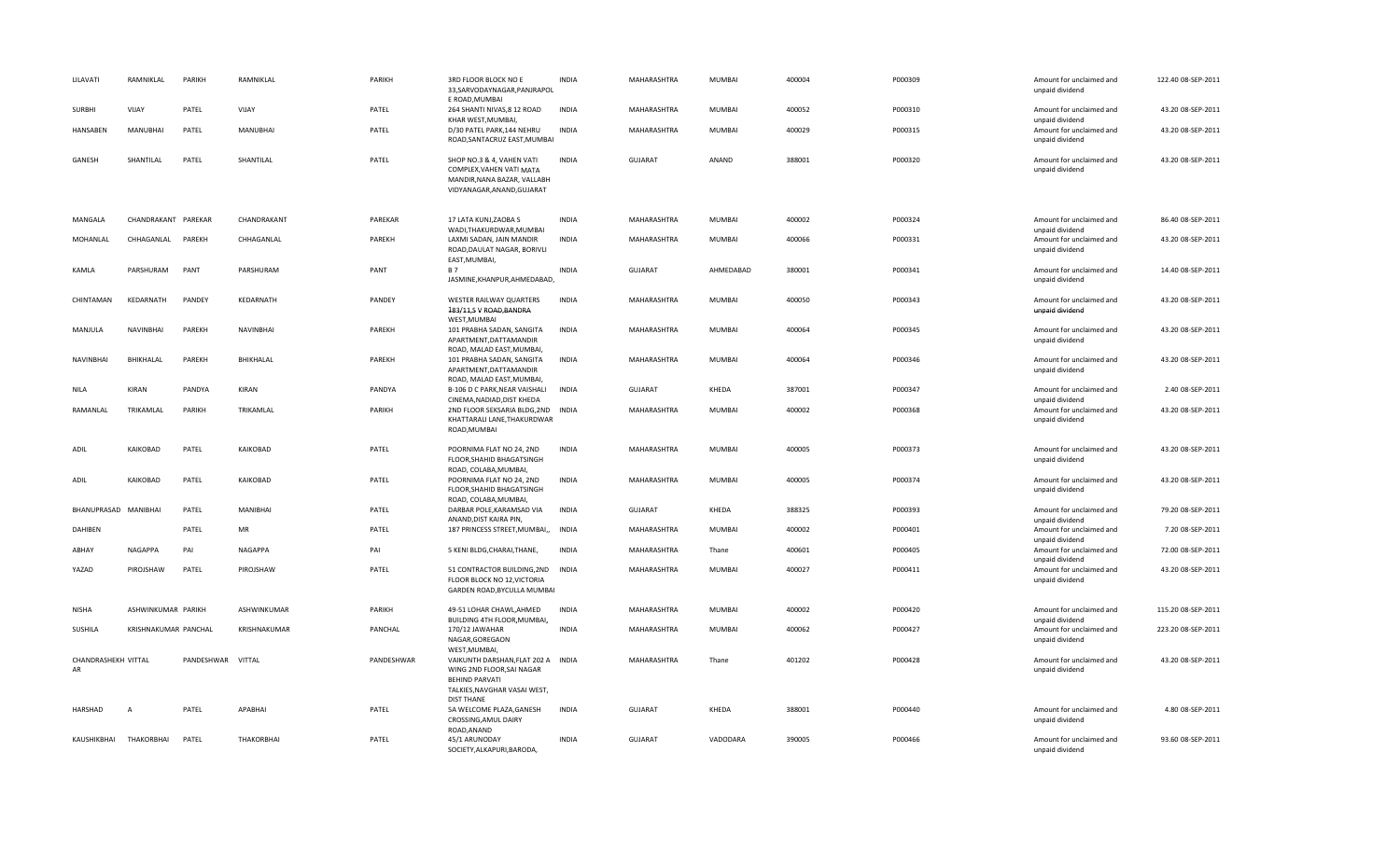| LILAVATI                  | RAMNIKLAL            | PARIKH            | RAMNIKLAL         | PARIKH       | 3RD FLOOR BLOCK NO E<br>33, SARVODAYNAGAR, PANJRAPOL<br>E ROAD, MUMBAI                                                                        | <b>INDIA</b> | MAHARASHTRA                | <b>MUMBAI</b>   | 400004           | P000309            | Amount for unclaimed and<br>unpaid dividend                    | 122.40 08-SEP-2011                     |
|---------------------------|----------------------|-------------------|-------------------|--------------|-----------------------------------------------------------------------------------------------------------------------------------------------|--------------|----------------------------|-----------------|------------------|--------------------|----------------------------------------------------------------|----------------------------------------|
| <b>SURBHI</b>             | VIJAY                | PATEL             | VIJAY             | PATEL        | 264 SHANTI NIVAS, 8 12 ROAD<br>KHAR WEST, MUMBAI,                                                                                             | <b>INDIA</b> | <b>MAHARASHTRA</b>         | MUMBAI          | 400052           | P000310            | Amount for unclaimed and<br>unpaid dividend                    | 43.20 08-SEP-2011                      |
| HANSABEN                  | MANUBHAI             | PATEL             | MANUBHAI          | PATEL        | D/30 PATEL PARK, 144 NEHRU<br>ROAD, SANTACRUZ EAST, MUMBAI                                                                                    | <b>INDIA</b> | MAHARASHTRA                | MUMBAI          | 400029           | P000315            | Amount for unclaimed and<br>unpaid dividend                    | 43.20 08-SEP-2011                      |
| GANESH                    | SHANTILAL            | PATEL             | SHANTILAL         | PATEL        | SHOP NO.3 & 4, VAHEN VATI<br>COMPLEX, VAHEN VATI MATA<br>MANDIR, NANA BAZAR, VALLABH<br>VIDYANAGAR, ANAND, GUJARAT                            | <b>INDIA</b> | <b>GUJARAT</b>             | ANAND           | 388001           | P000320            | Amount for unclaimed and<br>unpaid dividend                    | 43.20 08-SEP-2011                      |
| MANGALA                   | CHANDRAKANT PAREKAR  |                   | CHANDRAKANT       | PAREKAR      | 17 LATA KUNJ.ZAOBA S<br>WADI, THAKURDWAR, MUMBAI                                                                                              | <b>INDIA</b> | <b>MAHARASHTRA</b>         | <b>MUMBAI</b>   | 400002           | P000324            | Amount for unclaimed and                                       | 86.40 08-SEP-2011                      |
| MOHANLAL                  | CHHAGANLAL PAREKH    |                   | CHHAGANLAL        | PAREKH       | LAXMI SADAN, JAIN MANDIR<br>ROAD, DAULAT NAGAR, BORIVLI<br>EAST, MUMBAI,                                                                      | <b>INDIA</b> | MAHARASHTRA                | MUMBAI          | 400066           | P000331            | unpaid dividend<br>Amount for unclaimed and<br>unpaid dividend | 43.20 08-SEP-2011                      |
| KAMLA                     | PARSHURAM            | PANT              | PARSHURAM         | PANT         | <b>B7</b><br>JASMINE, KHANPUR, AHMEDABAD,                                                                                                     | <b>INDIA</b> | <b>GUJARAT</b>             | AHMEDABAD       | 380001           | P000341            | Amount for unclaimed and<br>unpaid dividend                    | 14.40 08-SEP-2011                      |
| CHINTAMAN                 | KEDARNATH            | PANDEY            | KEDARNATH         | PANDEY       | WESTER RAILWAY QUARTERS<br>183/11,S V ROAD, BANDRA<br>WEST, MUMBAI                                                                            | <b>INDIA</b> | MAHARASHTRA                | MUMBAI          | 400050           | P000343            | Amount for unclaimed and<br>unpaid dividend                    | 43.20 08-SEP-2011                      |
| MANJULA                   | <b>NAVINBHAI</b>     | PAREKH            | NAVINBHAI         | PAREKH       | 101 PRABHA SADAN, SANGITA<br>APARTMENT, DATTAMANDIR<br>ROAD, MALAD EAST, MUMBAI,                                                              | <b>INDIA</b> | MAHARASHTRA                | MUMBAI          | 400064           | P000345            | Amount for unclaimed and<br>unpaid dividend                    | 43.20 08-SEP-2011                      |
| NAVINBHAI                 | BHIKHALAL            | PAREKH            | BHIKHALAL         | PAREKH       | 101 PRABHA SADAN, SANGITA<br>APARTMENT, DATTAMANDIR<br>ROAD, MALAD EAST, MUMBAI,                                                              | <b>INDIA</b> | MAHARASHTRA                | MUMBAI          | 400064           | P000346            | Amount for unclaimed and<br>unpaid dividend                    | 43.20 08-SEP-2011                      |
| <b>NILA</b>               | KIRAN                | PANDYA            | KIRAN             | PANDYA       | B-106 D C PARK, NEAR VAISHALI<br>CINEMA, NADIAD, DIST KHEDA                                                                                   | <b>INDIA</b> | <b>GUJARAT</b>             | KHEDA           | 387001           | P000347            | Amount for unclaimed and<br>unpaid dividend                    | 2.40 08-SEP-2011                       |
| RAMANLAL                  | TRIKAMLAL            | PARIKH            | TRIKAMLAL         | PARIKH       | 2ND FLOOR SEKSARIA BLDG, 2ND<br>KHATTARALI LANE, THAKURDWAR<br>ROAD, MUMBAI                                                                   | INDIA        | MAHARASHTRA                | MUMBAI          | 400002           | P000368            | Amount for unclaimed and<br>unpaid dividend                    | 43.20 08-SEP-2011                      |
| ADIL                      | KAIKOBAD             | PATEL             | KAIKOBAD          | PATEL        | POORNIMA FLAT NO 24, 2ND<br>FLOOR, SHAHID BHAGATSINGH<br>ROAD, COLABA, MUMBAI,                                                                | <b>INDIA</b> | MAHARASHTRA                | MUMBAI          | 400005           | P000373            | Amount for unclaimed and<br>unpaid dividend                    | 43.20 08-SEP-2011                      |
| <b>ADIL</b>               | KAIKOBAD             | PATEL             | KAIKOBAD          | PATEL        | POORNIMA FLAT NO 24, 2ND<br>FLOOR, SHAHID BHAGATSINGH<br>ROAD, COLABA, MUMBAI,                                                                | <b>INDIA</b> | MAHARASHTRA                | <b>MUMBAI</b>   | 400005           | P000374            | Amount for unclaimed and<br>unpaid dividend                    | 43.20 08-SEP-2011                      |
| BHANUPRASAD MANIBHAI      |                      | PATEL             | MANIBHAI          | PATEL        | DARBAR POLE, KARAMSAD VIA<br>ANAND, DIST KAIRA PIN                                                                                            | INDIA        | <b>GUJARAT</b>             | KHEDA           | 388325           | P000393            | Amount for unclaimed and<br>unpaid dividend                    | 79.20 08-SEP-2011                      |
| DAHIBEN                   |                      | PATEL             | MR                | PATEL        | 187 PRINCESS STREET, MUMBAI,,                                                                                                                 | <b>INDIA</b> | MAHARASHTRA                | MUMBAI          | 400002           | P000401            | Amount for unclaimed and<br>unpaid dividend                    | 7.20 08-SEP-2011                       |
| ABHAY<br>YAZAD            | <b>NAGAPPA</b>       | PAI<br>PATEL      | NAGAPPA           | PAI<br>PATEL | 5 KENI BLDG, CHARAI, THANE,                                                                                                                   | <b>INDIA</b> | MAHARASHTRA<br>MAHARASHTRA | Thane<br>MUMBAI | 400601<br>400027 | P000405<br>P000411 | Amount for unclaimed and<br>unpaid dividend                    | 72.00 08-SEP-2011<br>43.20 08-SEP-2011 |
|                           | PIROJSHAW            |                   | PIROJSHAW         |              | 51 CONTRACTOR BUILDING, 2ND<br>FLOOR BLOCK NO 12, VICTORIA<br>GARDEN ROAD, BYCULLA MUMBAI                                                     | <b>INDIA</b> |                            |                 |                  |                    | Amount for unclaimed and<br>unpaid dividend                    |                                        |
| NISHA                     | ASHWINKUMAR PARIKH   |                   | ASHWINKUMAR       | PARIKH       | 49-51 LOHAR CHAWL, AHMED<br>BUILDING 4TH FLOOR, MUMBAI,                                                                                       | <b>INDIA</b> | MAHARASHTRA                | MUMBAI          | 400002           | P000420            | Amount for unclaimed and<br>unpaid dividend                    | 115.20 08-SEP-2011                     |
| SUSHILA                   | KRISHNAKUMAR PANCHAL |                   | KRISHNAKUMAR      | PANCHAL      | 170/12 JAWAHAR<br>NAGAR, GOREGAON<br>WEST, MUMBAI,                                                                                            | <b>INDIA</b> | MAHARASHTRA                | <b>MUMBAI</b>   | 400062           | P000427            | Amount for unclaimed and<br>unpaid dividend                    | 223.20 08-SEP-2011                     |
| CHANDRASHEKH VITTAL<br>AR |                      | PANDESHWAR VITTAL |                   | PANDESHWAR   | VAIKUNTH DARSHAN, FLAT 202 A INDIA<br>WING 2ND FLOOR, SAI NAGAR<br><b>BEHIND PARVATI</b><br>TALKIES, NAVGHAR VASAI WEST,<br><b>DIST THANE</b> |              | MAHARASHTRA                | Thane           | 401202           | P000428            | Amount for unclaimed and<br>unpaid dividend                    | 43.20 08-SEP-2011                      |
| HARSHAD                   | $\overline{A}$       | PATEL             | APABHAI           | PATEL        | 5A WELCOME PLAZA, GANESH<br>CROSSING, AMUL DAIRY<br>ROAD, ANAND                                                                               | <b>INDIA</b> | <b>GUJARAT</b>             | KHEDA           | 388001           | P000440            | Amount for unclaimed and<br>unpaid dividend                    | 4.80 08-SEP-2011                       |
| KAUSHIKBHAI               | THAKORBHAI           | PATEL             | <b>THAKORBHAI</b> | PATEL        | 45/1 ARUNODAY<br>SOCIETY, ALKAPURI, BARODA,                                                                                                   | <b>INDIA</b> | <b>GUJARAT</b>             | VADODARA        | 390005           | P000466            | Amount for unclaimed and<br>unpaid dividend                    | 93.60 08-SEP-2011                      |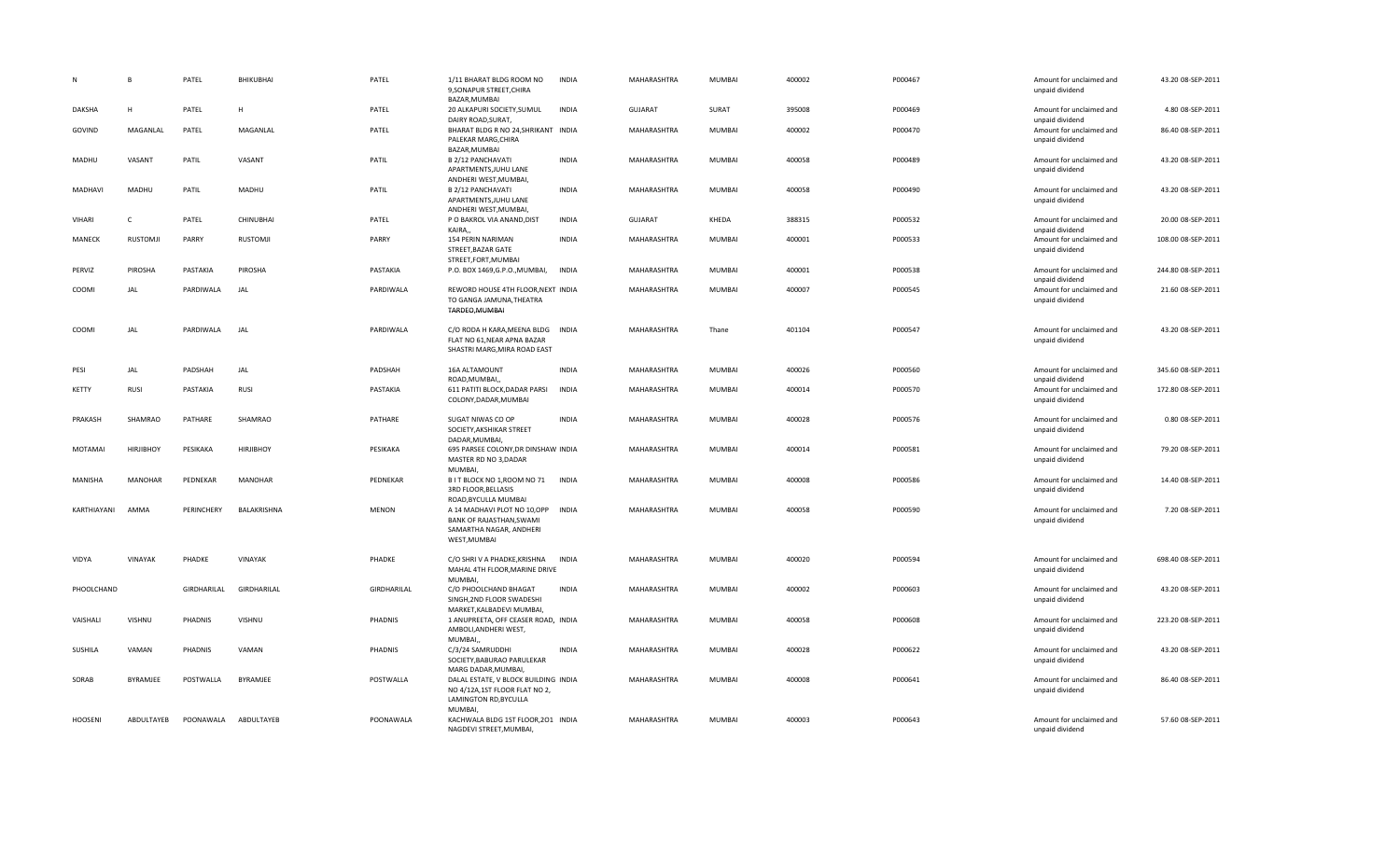| N              | B                | PATEL       | BHIKUBHAI        | PATEL        | 1/11 BHARAT BLDG ROOM NO<br>9, SONAPUR STREET, CHIRA<br>BAZAR, MUMBAI                                           | <b>INDIA</b> | MAHARASHTRA        | <b>MUMBAI</b> | 400002 | P000467 | Amount for unclaimed and<br>unpaid dividend | 43.20 08-SEP-2011  |
|----------------|------------------|-------------|------------------|--------------|-----------------------------------------------------------------------------------------------------------------|--------------|--------------------|---------------|--------|---------|---------------------------------------------|--------------------|
| DAKSHA         | н                | PATEL       | $\mathsf H$      | PATEL        | 20 ALKAPURI SOCIETY, SUMUL<br>DAIRY ROAD, SURAT,                                                                | <b>INDIA</b> | <b>GUJARAT</b>     | SURAT         | 395008 | P000469 | Amount for unclaimed and<br>unpaid dividend | 4.80 08-SEP-2011   |
| GOVIND         | MAGANLAL         | PATEL       | MAGANLAL         | PATEL        | BHARAT BLDG R NO 24, SHRIKANT INDIA<br>PALEKAR MARG, CHIRA<br>BAZAR, MUMBAI                                     |              | MAHARASHTRA        | <b>MUMBAI</b> | 400002 | P000470 | Amount for unclaimed and<br>unpaid dividend | 86.40 08-SEP-2011  |
| MADHU          | VASANT           | PATIL       | VASANT           | PATIL        | B 2/12 PANCHAVATI<br>APARTMENTS, JUHU LANE<br>ANDHERI WEST, MUMBAI,                                             | <b>INDIA</b> | <b>MAHARASHTRA</b> | <b>MUMBAI</b> | 400058 | P000489 | Amount for unclaimed and<br>unpaid dividend | 43.20 08-SEP-2011  |
| MADHAVI        | MADHU            | PATIL       | MADHU            | PATIL        | B 2/12 PANCHAVATI<br>APARTMENTS, JUHU LANE<br>ANDHERI WEST, MUMBAI,                                             | <b>INDIA</b> | MAHARASHTRA        | <b>MUMBAI</b> | 400058 | P000490 | Amount for unclaimed and<br>unpaid dividend | 43.20 08-SEP-2011  |
| VIHARI         | C                | PATEL       | CHINUBHAI        | PATEL        | P O BAKROL VIA ANAND, DIST<br>KAIRA,                                                                            | INDIA        | <b>GUJARAT</b>     | KHEDA         | 388315 | P000532 | Amount for unclaimed and<br>unpaid dividend | 20.00 08-SEP-2011  |
| MANECK         | <b>RUSTOMJI</b>  | PARRY       | <b>RUSTOMJI</b>  | PARRY        | 154 PERIN NARIMAN<br>STREET, BAZAR GATE<br>STREET, FORT, MUMBAI                                                 | <b>INDIA</b> | MAHARASHTRA        | <b>MUMBAI</b> | 400001 | P000533 | Amount for unclaimed and<br>unpaid dividend | 108.00 08-SEP-2011 |
| PERVIZ         | PIROSHA          | PASTAKIA    | PIROSHA          | PASTAKIA     | P.O. BOX 1469, G.P.O., MUMBAI,                                                                                  | <b>INDIA</b> | MAHARASHTRA        | MUMBAI        | 400001 | P000538 | Amount for unclaimed and<br>unpaid dividend | 244.80 08-SEP-2011 |
| COOMI          | JAL              | PARDIWALA   | JAL              | PARDIWALA    | REWORD HOUSE 4TH FLOOR, NEXT INDIA<br>TO GANGA JAMUNA, THEATRA<br>TARDEO, MUMBAI                                |              | MAHARASHTRA        | <b>MUMBAI</b> | 400007 | P000545 | Amount for unclaimed and<br>unpaid dividend | 21.60 08-SEP-2011  |
| COOMI          | JAL              | PARDIWALA   | JAL              | PARDIWALA    | C/O RODA H KARA, MEENA BLDG INDIA<br>FLAT NO 61, NEAR APNA BAZAR<br>SHASTRI MARG, MIRA ROAD EAST                |              | MAHARASHTRA        | Thane         | 401104 | P000547 | Amount for unclaimed and<br>unpaid dividend | 43.20 08-SEP-2011  |
| PESI           | JAL              | PADSHAH     | JAL              | PADSHAH      | 16A ALTAMOUNT<br>ROAD, MUMBAI,                                                                                  | <b>INDIA</b> | MAHARASHTRA        | <b>MUMBAI</b> | 400026 | P000560 | Amount for unclaimed and<br>unpaid dividend | 345.60 08-SEP-2011 |
| KETTY          | <b>RUSI</b>      | PASTAKIA    | <b>RUSI</b>      | PASTAKIA     | 611 PATITI BLOCK, DADAR PARSI<br>COLONY, DADAR, MUMBAI                                                          | <b>INDIA</b> | <b>MAHARASHTRA</b> | <b>MUMBAI</b> | 400014 | P000570 | Amount for unclaimed and<br>unpaid dividend | 172.80 08-SEP-2011 |
| PRAKASH        | SHAMRAO          | PATHARE     | SHAMRAO          | PATHARE      | SUGAT NIWAS CO OP<br>SOCIETY, AKSHIKAR STREET<br>DADAR, MUMBAI,                                                 | <b>INDIA</b> | MAHARASHTRA        | <b>MUMBAI</b> | 400028 | P000576 | Amount for unclaimed and<br>unpaid dividend | 0.80 08-SEP-2011   |
| MOTAMAI        | <b>HIRJIBHOY</b> | PESIKAKA    | <b>HIRJIBHOY</b> | PESIKAKA     | 695 PARSEE COLONY, DR DINSHAW INDIA<br>MASTER RD NO 3, DADAR<br><b>MUMBAI</b>                                   |              | MAHARASHTRA        | MUMBAI        | 400014 | P000581 | Amount for unclaimed and<br>unpaid dividend | 79.20 08-SEP-2011  |
| <b>MANISHA</b> | <b>MANOHAR</b>   | PEDNEKAR    | MANOHAR          | PEDNEKAR     | B I T BLOCK NO 1, ROOM NO 71<br>3RD FLOOR, BELLASIS<br>ROAD, BYCULLA MUMBAI                                     | <b>INDIA</b> | MAHARASHTRA        | <b>MUMBAI</b> | 400008 | P000586 | Amount for unclaimed and<br>unpaid dividend | 14.40 08-SEP-2011  |
| KARTHIAYANI    | AMMA             | PERINCHERY  | BALAKRISHNA      | <b>MENON</b> | A 14 MADHAVI PLOT NO 10,OPP INDIA<br><b>BANK OF RAJASTHAN, SWAMI</b><br>SAMARTHA NAGAR, ANDHERI<br>WEST, MUMBAI |              | MAHARASHTRA        | MUMBAI        | 400058 | P000590 | Amount for unclaimed and<br>unpaid dividend | 7.20 08-SEP-2011   |
| VIDYA          | VINAYAK          | PHADKE      | <b>VINAYAK</b>   | PHADKE       | C/O SHRI V A PHADKE, KRISHNA<br>MAHAL 4TH FLOOR, MARINE DRIVE<br><b>MUMBAI</b>                                  | <b>INDIA</b> | MAHARASHTRA        | <b>MUMBAI</b> | 400020 | P000594 | Amount for unclaimed and<br>unpaid dividend | 698.40 08-SEP-2011 |
| PHOOLCHAND     |                  | GIRDHARILAL | GIRDHARILAL      | GIRDHARILAL  | C/O PHOOLCHAND BHAGAT<br>SINGH, 2ND FLOOR SWADESHI<br>MARKET, KALBADEVI MUMBAI,                                 | <b>INDIA</b> | MAHARASHTRA        | <b>MUMBAI</b> | 400002 | P000603 | Amount for unclaimed and<br>unpaid dividend | 43.20 08-SEP-2011  |
| VAISHALI       | <b>VISHNU</b>    | PHADNIS     | VISHNU           | PHADNIS      | 1 ANUPREETA, OFF CEASER ROAD, INDIA<br>AMBOLI, ANDHERI WEST,<br>MUMBAI,                                         |              | MAHARASHTRA        | MUMBAI        | 400058 | P000608 | Amount for unclaimed and<br>unpaid dividend | 223.20 08-SEP-2011 |
| SUSHILA        | VAMAN            | PHADNIS     | VAMAN            | PHADNIS      | C/3/24 SAMRUDDHI<br>SOCIETY, BABURAO PARULEKAR<br>MARG DADAR, MUMBAI,                                           | <b>INDIA</b> | MAHARASHTRA        | <b>MUMBAI</b> | 400028 | P000622 | Amount for unclaimed and<br>unpaid dividend | 43.20 08-SEP-2011  |
| SORAB          | BYRAMJEE         | POSTWALLA   | BYRAMJEE         | POSTWALLA    | DALAL ESTATE, V BLOCK BUILDING INDIA<br>NO 4/12A,1ST FLOOR FLAT NO 2,<br>LAMINGTON RD, BYCULLA<br><b>MUMBAI</b> |              | MAHARASHTRA        | <b>MUMBAI</b> | 400008 | P000641 | Amount for unclaimed and<br>unpaid dividend | 86.40 08-SEP-2011  |
| HOOSENI        | ABDULTAYEB       | POONAWALA   | ABDULTAYEB       | POONAWALA    | KACHWALA BLDG 1ST FLOOR, 201 INDIA<br>NAGDEVI STREET.MUMBAI.                                                    |              | MAHARASHTRA        | <b>MUMBAI</b> | 400003 | P000643 | Amount for unclaimed and<br>unpaid dividend | 57.60 08-SEP-2011  |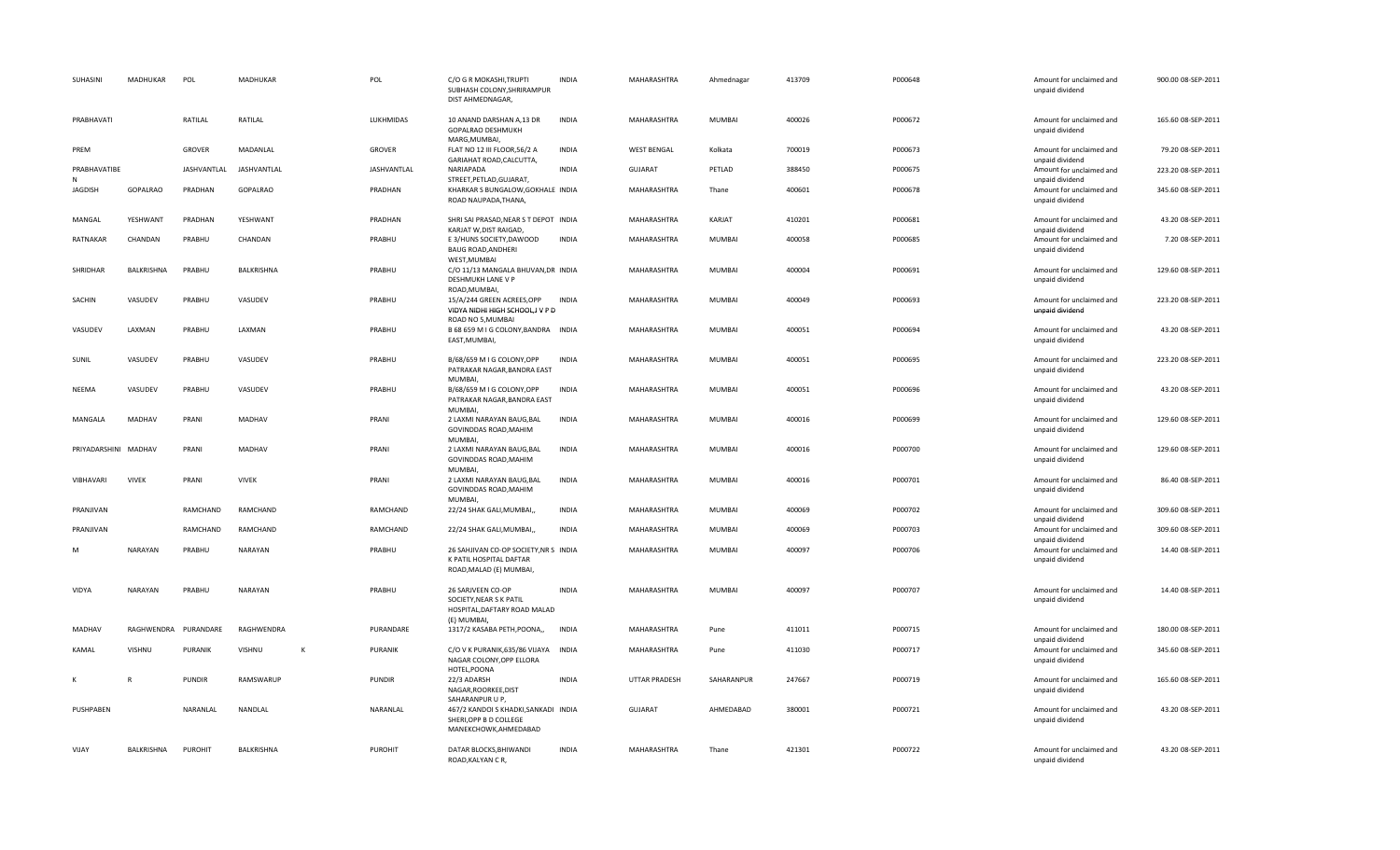| SUHASINI             | MADHUKAR        | POL           | MADHUKAR     |   | POL             | C/O G R MOKASHI, TRUPTI<br>SUBHASH COLONY, SHRIRAMPUR<br>DIST AHMEDNAGAR.                                  | <b>INDIA</b> | MAHARASHTRA          | Ahmednagar    | 413709 | P000648 | Amount for unclaimed and<br>unpaid dividend | 900.00 08-SEP-2011 |
|----------------------|-----------------|---------------|--------------|---|-----------------|------------------------------------------------------------------------------------------------------------|--------------|----------------------|---------------|--------|---------|---------------------------------------------|--------------------|
| PRABHAVATI           |                 | RATILAL       | RATILAL      |   | LUKHMIDAS       | 10 ANAND DARSHAN A,13 DR<br>GOPALRAO DESHMUKH<br>MARG, MUMBAI,                                             | <b>INDIA</b> | MAHARASHTRA          | MUMBAI        | 400026 | P000672 | Amount for unclaimed and<br>unpaid dividend | 165.60 08-SEP-2011 |
| PREM                 |                 | <b>GROVER</b> | MADANLAL     |   | GROVER          | FLAT NO 12 III FLOOR, 56/2 A<br>GARIAHAT ROAD, CALCUTTA,                                                   | <b>INDIA</b> | <b>WEST BENGAL</b>   | Kolkata       | 700019 | P000673 | Amount for unclaimed and<br>unpaid dividend | 79.20 08-SEP-2011  |
| PRABHAVATIBE<br>N    |                 | JASHVANTLAL   | JASHVANTLAL  |   | JASHVANTLAL     | NARIAPADA<br>STREET, PETLAD, GUJARAT,                                                                      | <b>INDIA</b> | <b>GUJARAT</b>       | PETLAD        | 388450 | P000675 | Amount for unclaimed and<br>unpaid dividend | 223.20 08-SEP-2011 |
| <b>JAGDISH</b>       | <b>GOPALRAO</b> | PRADHAN       | GOPALRAO     |   | PRADHAN         | KHARKAR S BUNGALOW, GOKHALE INDIA<br>ROAD NAUPADA, THANA,                                                  |              | MAHARASHTRA          | Thane         | 400601 | P000678 | Amount for unclaimed and<br>unpaid dividend | 345.60 08-SEP-2011 |
| MANGAL               | YESHWANT        | PRADHAN       | YESHWANT     |   | PRADHAN         | SHRI SAI PRASAD, NEAR S T DEPOT INDIA<br>KARJAT W, DIST RAIGAD,                                            |              | MAHARASHTRA          | KARJAT        | 410201 | P000681 | Amount for unclaimed and<br>unpaid dividend | 43.20 08-SEP-2011  |
| RATNAKAR             | CHANDAN         | PRABHU        | CHANDAN      |   | PRABHU          | E 3/HUNS SOCIETY, DAWOOD<br><b>BAUG ROAD, ANDHERI</b><br>WEST, MUMBAI                                      | <b>INDIA</b> | MAHARASHTRA          | MUMBAI        | 400058 | P000685 | Amount for unclaimed and<br>unpaid dividend | 7.20 08-SEP-2011   |
| SHRIDHAR             | BALKRISHNA      | PRABHU        | BALKRISHNA   |   | PRABHU          | C/O 11/13 MANGALA BHUVAN, DR INDIA<br>DESHMUKH LANE V P<br>ROAD, MUMBAI,                                   |              | MAHARASHTRA          | MUMBAI        | 400004 | P000691 | Amount for unclaimed and<br>unpaid dividend | 129.60 08-SEP-2011 |
| SACHIN               | VASUDEV         | PRABHU        | VASUDEV      |   | PRABHU          | 15/A/244 GREEN ACREES,OPP<br>VIDYA NIDHI HIGH SCHOOL, JV P D<br>ROAD NO 5, MUMBAI                          | <b>INDIA</b> | MAHARASHTRA          | MUMBAI        | 400049 | P000693 | Amount for unclaimed and<br>unpaid dividend | 223.20 08-SEP-2011 |
| VASUDEV              | LAXMAN          | PRABHU        | LAXMAN       |   | PRABHU          | B 68 659 M I G COLONY, BANDRA INDIA<br>EAST, MUMBAI,                                                       |              | MAHARASHTRA          | MUMBAI        | 400051 | P000694 | Amount for unclaimed and<br>unpaid dividend | 43.20 08-SEP-2011  |
| SUNIL                | VASUDEV         | PRABHU        | VASUDEV      |   | PRABHU          | B/68/659 M I G COLONY, OPP<br>PATRAKAR NAGAR, BANDRA EAST<br>MUMBAI,                                       | <b>INDIA</b> | MAHARASHTRA          | MUMBAI        | 400051 | P000695 | Amount for unclaimed and<br>unpaid dividend | 223.20 08-SEP-2011 |
| NEEMA                | VASUDEV         | PRABHU        | VASUDEV      |   | PRABHU          | B/68/659 M I G COLONY, OPP<br>PATRAKAR NAGAR, BANDRA EAST<br>MUMBAI.                                       | <b>INDIA</b> | MAHARASHTRA          | MUMBAI        | 400051 | P000696 | Amount for unclaimed and<br>unpaid dividend | 43.20 08-SEP-2011  |
| MANGALA              | MADHAV          | PRANI         | MADHAV       |   | PRANI           | 2 LAXMI NARAYAN BAUG, BAL<br><b>GOVINDDAS ROAD, MAHIM</b><br>MUMBAI.                                       | <b>INDIA</b> | MAHARASHTRA          | MUMBAI        | 400016 | P000699 | Amount for unclaimed and<br>unpaid dividend | 129.60 08-SEP-2011 |
| PRIYADARSHINI MADHAV |                 | PRANI         | MADHAV       |   | PRANI           | 2 LAXMI NARAYAN BAUG, BAL<br>GOVINDDAS ROAD, MAHIM<br><b>MUMBAL</b>                                        | INDIA        | MAHARASHTRA          | MUMBAI        | 400016 | P000700 | Amount for unclaimed and<br>unpaid dividend | 129.60 08-SEP-2011 |
| VIBHAVARI            | <b>VIVEK</b>    | PRANI         | <b>VIVEK</b> |   | PRANI           | 2 LAXMI NARAYAN BAUG, BAL<br>GOVINDDAS ROAD, MAHIM<br>MUMBAI,                                              | <b>INDIA</b> | MAHARASHTRA          | MUMBAI        | 400016 | P000701 | Amount for unclaimed and<br>unpaid dividend | 86.40 08-SEP-2011  |
| PRANJIVAN            |                 | RAMCHAND      | RAMCHAND     |   | RAMCHAND        | 22/24 SHAK GALI, MUMBAI,                                                                                   | <b>INDIA</b> | MAHARASHTRA          | MUMBAI        | 400069 | P000702 | Amount for unclaimed and<br>unpaid dividend | 309.60 08-SEP-2011 |
| PRANJIVAN            |                 | RAMCHAND      | RAMCHAND     |   | <b>RAMCHAND</b> | 22/24 SHAK GALI, MUMBAI,                                                                                   | <b>INDIA</b> | MAHARASHTRA          | <b>MUMBAI</b> | 400069 | P000703 | Amount for unclaimed and<br>unpaid dividend | 309.60 08-SEP-2011 |
| M                    | <b>NARAYAN</b>  | PRABHU        | NARAYAN      |   | PRABHU          | 26 SAHJIVAN CO-OP SOCIETY, NR S INDIA<br>K PATIL HOSPITAL DAFTAR<br>ROAD, MALAD (E) MUMBAI,                |              | MAHARASHTRA          | MUMBAI        | 400097 | P000706 | Amount for unclaimed and<br>unpaid dividend | 14.40 08-SEP-2011  |
| VIDYA                | <b>NARAYAN</b>  | PRABHU        | NARAYAN      |   | PRABHU          | 26 SARJVEEN CO-OP<br>SOCIETY, NEAR S K PATIL<br>HOSPITAL, DAFTARY ROAD MALAD<br>(E) MUMBAI,                | INDIA        | MAHARASHTRA          | MUMBAI        | 400097 | P000707 | Amount for unclaimed and<br>unpaid dividend | 14.40 08-SEP-2011  |
| MADHAV               | RAGHWENDRA      | PURANDARE     | RAGHWENDRA   |   | PURANDARE       | 1317/2 KASABA PETH, POONA,,                                                                                | <b>INDIA</b> | MAHARASHTRA          | Pune          | 411011 | P000715 | Amount for unclaimed and<br>unpaid dividend | 180.00 08-SEP-2011 |
| KAMAL                | VISHNU          | PURANIK       | VISHNU       | ĸ | PURANIK         | C/O V K PURANIK, 635/86 VIJAYA INDIA<br>NAGAR COLONY, OPP ELLORA<br>HOTEL, POONA                           |              | MAHARASHTRA          | Pune          | 411030 | P000717 | Amount for unclaimed and<br>unpaid dividend | 345.60 08-SEP-2011 |
|                      | $\mathsf{R}$    | <b>PUNDIR</b> | RAMSWARUP    |   | <b>PUNDIR</b>   | 22/3 ADARSH<br>NAGAR, ROORKEE, DIST                                                                        | <b>INDIA</b> | <b>UTTAR PRADESH</b> | SAHARANPUR    | 247667 | P000719 | Amount for unclaimed and<br>unpaid dividend | 165.60 08-SEP-2011 |
| PUSHPABEN            |                 | NARANLAL      | NANDLAL      |   | NARANLAL        | SAHARANPUR U P,<br>467/2 KANDOI S KHADKI, SANKADI INDIA<br>SHERI, OPP B D COLLEGE<br>MANEKCHOWK, AHMEDABAD |              | GUJARAT              | AHMEDABAD     | 380001 | P000721 | Amount for unclaimed and<br>unpaid dividend | 43.20 08-SEP-2011  |
| VIJAY                | BALKRISHNA      | PUROHIT       | BALKRISHNA   |   | PUROHIT         | DATAR BLOCKS, BHIWANDI<br>ROAD, KALYAN CR,                                                                 | <b>INDIA</b> | <b>MAHARASHTRA</b>   | Thane         | 421301 | P000722 | Amount for unclaimed and<br>unpaid dividend | 43.20 08-SEP-2011  |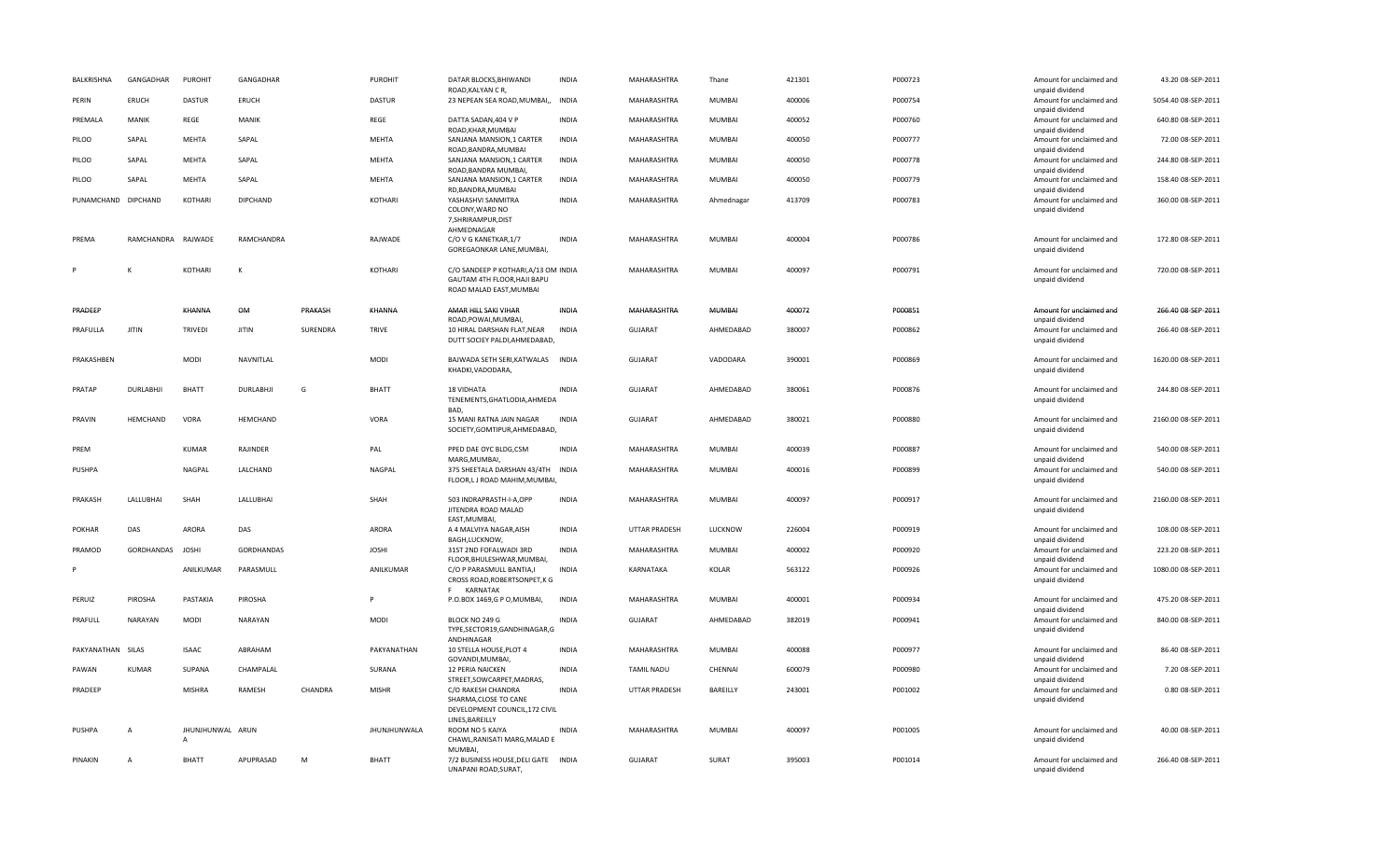| BALKRISHNA          | GANGADHAR        | PUROHIT          | GANGADHAR        |          | PUROHIT       | DATAR BLOCKS.BHIWANDI<br>ROAD, KALYAN CR,                                                      | <b>INDIA</b> | <b>MAHARASHTRA</b> | Thane         | 421301 | P000723 | Amount for unclaimed and<br>unpaid dividend | 43.20 08-SEP-2011   |
|---------------------|------------------|------------------|------------------|----------|---------------|------------------------------------------------------------------------------------------------|--------------|--------------------|---------------|--------|---------|---------------------------------------------|---------------------|
| PERIN               | ERUCH            | <b>DASTUR</b>    | ERUCH            |          | <b>DASTUR</b> | 23 NEPEAN SEA ROAD, MUMBAI,,                                                                   | <b>INDIA</b> | MAHARASHTRA        | MUMBAI        | 400006 | P000754 | Amount for unclaimed and<br>unpaid dividend | 5054.40 08-SEP-2011 |
| PREMALA             | <b>MANIK</b>     | REGE             | <b>MANIK</b>     |          | REGE          | DATTA SADAN, 404 V P<br>ROAD, KHAR, MUMBAI                                                     | <b>INDIA</b> | MAHARASHTRA        | <b>MUMBAI</b> | 400052 | P000760 | Amount for unclaimed and                    | 640.80 08-SEP-2011  |
| PILOO               | SAPAL            | MEHTA            | SAPAL            |          | MEHTA         | SANJANA MANSION, 1 CARTER                                                                      | <b>INDIA</b> | MAHARASHTRA        | MUMBAI        | 400050 | P000777 | unpaid dividend<br>Amount for unclaimed and | 72.00 08-SEP-2011   |
| PILOO               | SAPAL            | MEHTA            | SAPAL            |          | MEHTA         | ROAD, BANDRA, MUMBAI<br>SANJANA MANSION, 1 CARTER                                              | <b>INDIA</b> | MAHARASHTRA        | <b>MUMBAI</b> | 400050 | P000778 | unpaid dividend<br>Amount for unclaimed and | 244.80 08-SEP-2011  |
| PILOO               | SAPAL            | MEHTA            | SAPAL            |          | MEHTA         | ROAD, BANDRA MUMBAI,<br>SANJANA MANSION, 1 CARTER                                              | <b>INDIA</b> | MAHARASHTRA        | <b>MUMBAI</b> | 400050 | P000779 | unpaid dividend<br>Amount for unclaimed and | 158.40 08-SEP-2011  |
| PUNAMCHAND DIPCHAND |                  | KOTHARI          | <b>DIPCHAND</b>  |          | KOTHARI       | RD, BANDRA, MUMBAI<br>YASHASHVI SANMITRA                                                       | <b>INDIA</b> | MAHARASHTRA        | Ahmednagar    | 413709 | P000783 | unpaid dividend<br>Amount for unclaimed and | 360.00 08-SEP-2011  |
|                     |                  |                  |                  |          |               | COLONY, WARD NO<br>7, SHRIRAMPUR, DIST                                                         |              |                    |               |        |         | unpaid dividend                             |                     |
| PREMA               | RAMCHANDRA       | RAJWADE          | RAMCHANDRA       |          | RAJWADE       | AHMEDNAGAR<br>C/O V G KANETKAR, 1/7<br>GOREGAONKAR LANE, MUMBAI,                               | <b>INDIA</b> | <b>MAHARASHTRA</b> | <b>MUMBAI</b> | 400004 | P000786 | Amount for unclaimed and<br>unpaid dividend | 172.80 08-SEP-2011  |
|                     |                  | KOTHARI          | K                |          | KOTHARI       | C/O SANDEEP P KOTHARI, A/13 OM INDIA<br>GAUTAM 4TH FLOOR, HAJI BAPU<br>ROAD MALAD EAST, MUMBAI |              | MAHARASHTRA        | <b>MUMBAI</b> | 400097 | P000791 | Amount for unclaimed and<br>unpaid dividend | 720.00 08-SEP-2011  |
| PRADEEP             |                  | KHANNA           | OM               | PRAKASH  | KHANNA        | AMAR HILL SAKI VIHAR                                                                           | <b>INDIA</b> | MAHARASHTRA        | <b>MUMBAI</b> | 400072 | P000851 | Amount for unclaimed and                    | 266.40 08-SEP-2011  |
| PRAFULLA            | <b>JITIN</b>     | <b>TRIVEDI</b>   | <b>JITIN</b>     | SURENDRA | <b>TRIVE</b>  | ROAD, POWAI, MUMBAI,<br>10 HIRAL DARSHAN FLAT, NEAR                                            | <b>INDIA</b> | <b>GUJARAT</b>     | AHMEDABAD     | 380007 | P000862 | unpaid dividend<br>Amount for unclaimed and | 266.40 08-SEP-2011  |
|                     |                  |                  |                  |          |               | DUTT SOCIEY PALDI, AHMEDABAD,                                                                  |              |                    |               |        |         | unpaid dividend                             |                     |
| PRAKASHBEN          |                  | <b>MODI</b>      | NAVNITLAL        |          | <b>MODI</b>   | BAJWADA SETH SERI, KATWALAS INDIA<br>KHADKI, VADODARA,                                         |              | <b>GUJARAT</b>     | VADODARA      | 390001 | P000869 | Amount for unclaimed and<br>unpaid dividend | 1620.00 08-SEP-2011 |
| PRATAP              | <b>DURLABHJI</b> | <b>BHATT</b>     | <b>DURLABHJI</b> | G        | <b>BHATT</b>  | <b>18 VIDHATA</b><br>TENEMENTS, GHATLODIA, AHMEDA<br>BAD,                                      | <b>INDIA</b> | GUJARAT            | AHMEDABAD     | 380061 | P000876 | Amount for unclaimed and<br>unpaid dividend | 244.80 08-SEP-2011  |
| PRAVIN              | HEMCHAND         | VORA             | HEMCHAND         |          | VORA          | 15 MANI RATNA JAIN NAGAR<br>SOCIETY, GOMTIPUR, AHMEDABAD,                                      | <b>INDIA</b> | <b>GUJARAT</b>     | AHMEDABAD     | 380021 | P000880 | Amount for unclaimed and<br>unpaid dividend | 2160.00 08-SEP-2011 |
| PREM                |                  | KUMAR            | RAJINDER         |          | PAL           | PPED DAE OYC BLDG,CSM<br>MARG.MUMBAI                                                           | <b>INDIA</b> | MAHARASHTRA        | MUMBAI        | 400039 | P000887 | Amount for unclaimed and<br>unpaid dividend | 540.00 08-SEP-2011  |
| PUSHPA              |                  | NAGPAL           | LALCHAND         |          | NAGPAL        | 375 SHEETALA DARSHAN 43/4TH INDIA<br>FLOOR,L J ROAD MAHIM, MUMBAI,                             |              | MAHARASHTRA        | <b>MUMBAI</b> | 400016 | P000899 | Amount for unclaimed and<br>unpaid dividend | 540.00 08-SEP-2011  |
| PRAKASH             | LALLUBHAI        | SHAH             | LALLUBHAI        |          | SHAH          | 503 INDRAPRASTH-I-A,OPP<br>JITENDRA ROAD MALAD<br>EAST, MUMBAI,                                | <b>INDIA</b> | MAHARASHTRA        | MUMBAI        | 400097 | P000917 | Amount for unclaimed and<br>unpaid dividend | 2160.00 08-SEP-2011 |
| <b>POKHAR</b>       | DAS              | <b>ARORA</b>     | DAS              |          | ARORA         | A 4 MALVIYA NAGAR, AISH<br>BAGH, LUCKNOW,                                                      | <b>INDIA</b> | UTTAR PRADESH      | LUCKNOW       | 226004 | P000919 | Amount for unclaimed and<br>unpaid dividend | 108.00 08-SEP-2011  |
| PRAMOD              | GORDHANDAS       | <b>JOSHI</b>     | GORDHANDAS       |          | <b>JOSHI</b>  | 31ST 2ND FOFALWADI 3RD<br>FLOOR, BHULESHWAR, MUMBAI,                                           | <b>INDIA</b> | MAHARASHTRA        | MUMBAI        | 400002 | P000920 | Amount for unclaimed and<br>unpaid dividend | 223.20 08-SEP-2011  |
|                     |                  | ANILKUMAR        | PARASMULL        |          | ANILKUMAR     | C/O P PARASMULL BANTIA,I<br>CROSS ROAD, ROBERTSONPET, K G<br>F KARNATAK                        | <b>INDIA</b> | KARNATAKA          | KOLAR         | 563122 | P000926 | Amount for unclaimed and<br>unpaid dividend | 1080.00 08-SEP-2011 |
| PERUIZ              | PIROSHA          | PASTAKIA         | PIROSHA          |          |               | P.O.BOX 1469,G P O, MUMBAI,                                                                    | <b>INDIA</b> | MAHARASHTRA        | <b>MUMBAI</b> | 400001 | P000934 | Amount for unclaimed and<br>unpaid dividend | 475.20 08-SEP-2011  |
| PRAFULL             | <b>NARAYAN</b>   | <b>MODI</b>      | NARAYAN          |          | <b>MODI</b>   | BLOCK NO 249 G<br>TYPE,SECTOR19,GANDHINAGAR,G<br>ANDHINAGAR                                    | <b>INDIA</b> | <b>GUJARAT</b>     | AHMEDABAD     | 382019 | P000941 | Amount for unclaimed and<br>unpaid dividend | 840.00 08-SEP-2011  |
| PAKYANATHAN SILAS   |                  | <b>ISAAC</b>     | ABRAHAM          |          | PAKYANATHAN   | 10 STELLA HOUSE, PLOT 4<br>GOVANDI, MUMBAI,                                                    | <b>INDIA</b> | MAHARASHTRA        | MUMBAI        | 400088 | P000977 | Amount for unclaimed and<br>unpaid dividend | 86.40 08-SEP-2011   |
| PAWAN               | <b>KUMAR</b>     | SUPANA           | CHAMPALAL        |          | SURANA        | 12 PERIA NAICKEN<br>STREET, SOWCARPET, MADRAS,                                                 | <b>INDIA</b> | <b>TAMIL NADU</b>  | CHENNAI       | 600079 | P000980 | Amount for unclaimed and<br>unpaid dividend | 7.20 08-SEP-2011    |
| PRADEEP             |                  | <b>MISHRA</b>    | RAMESH           | CHANDRA  | <b>MISHR</b>  | C/O RAKESH CHANDRA<br>SHARMA, CLOSE TO CANE<br>DEVELOPMENT COUNCIL, 172 CIVIL                  | <b>INDIA</b> | UTTAR PRADESH      | BAREILLY      | 243001 | P001002 | Amount for unclaimed and<br>unpaid dividend | 0.80 08-SEP-2011    |
| PUSHPA              | $\overline{A}$   | JHUNJHUNWAL ARUN |                  |          | JHUNJHUNWALA  | LINES, BAREILLY<br>ROOM NO 5 KAIYA                                                             | <b>INDIA</b> | MAHARASHTRA        | MUMBAI        | 400097 | P001005 | Amount for unclaimed and                    | 40.00 08-SEP-2011   |
|                     |                  | $\overline{A}$   |                  |          |               | CHAWL, RANISATI MARG, MALAD E<br><b>MUMBAL</b>                                                 |              |                    |               |        |         | unpaid dividend                             |                     |
| PINAKIN             | $\Delta$         | <b>BHATT</b>     | APUPRASAD        | M        | <b>BHATT</b>  | 7/2 BUSINESS HOUSE, DELI GATE INDIA<br>UNAPANI ROAD, SURAT,                                    |              | <b>GUJARAT</b>     | SURAT         | 395003 | P001014 | Amount for unclaimed and<br>unpaid dividend | 266.40 08-SEP-2011  |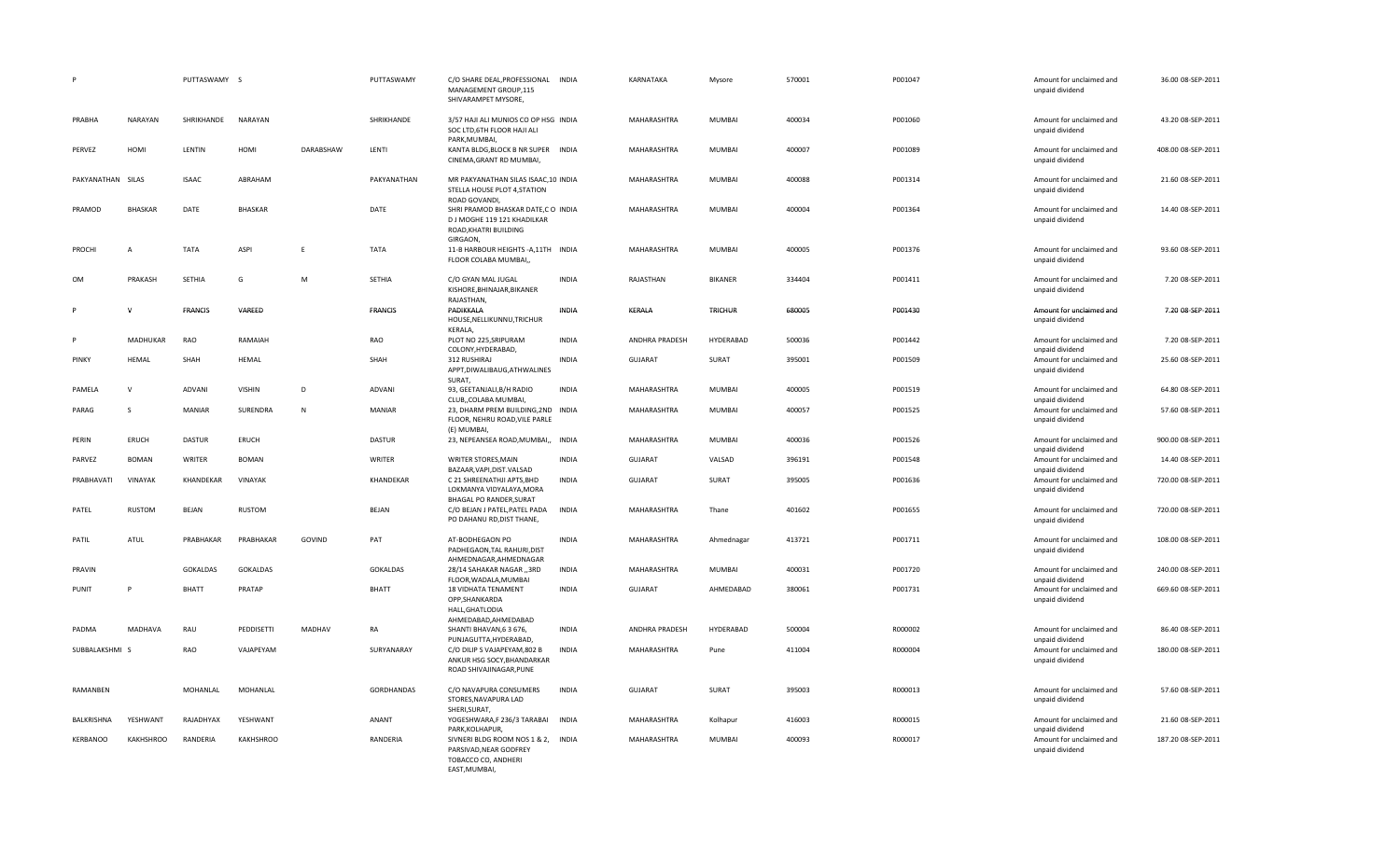|                   |                  | PUTTASWAMY S    |                  |               | PUTTASWAMY      | C/O SHARE DEAL, PROFESSIONAL INDIA<br>MANAGEMENT GROUP,115<br>SHIVARAMPET MYSORE,                              |              | KARNATAKA      | Mysore         | 570001 | P001047 | Amount for unclaimed and<br>unpaid dividend                    | 36.00 08-SEP-2011  |
|-------------------|------------------|-----------------|------------------|---------------|-----------------|----------------------------------------------------------------------------------------------------------------|--------------|----------------|----------------|--------|---------|----------------------------------------------------------------|--------------------|
| PRABHA            | <b>NARAYAN</b>   | SHRIKHANDE      | NARAYAN          |               | SHRIKHANDE      | 3/57 HAJI ALI MUNIOS CO OP HSG INDIA<br>SOC LTD, 6TH FLOOR HAJI ALI<br>PARK, MUMBAI,                           |              | MAHARASHTRA    | MUMBAI         | 400034 | P001060 | Amount for unclaimed and<br>unpaid dividend                    | 43.20 08-SEP-2011  |
| PERVEZ            | HOMI             | LENTIN          | HOMI             | DARABSHAW     | LENTI           | KANTA BLDG, BLOCK B NR SUPER INDIA<br>CINEMA, GRANT RD MUMBAI,                                                 |              | MAHARASHTRA    | MUMBAI         | 400007 | P001089 | Amount for unclaimed and<br>unpaid dividend                    | 408.00 08-SEP-2011 |
| PAKYANATHAN SILAS |                  | <b>ISAAC</b>    | ABRAHAM          |               | PAKYANATHAN     | MR PAKYANATHAN SILAS ISAAC, 10 INDIA<br>STELLA HOUSE PLOT 4, STATION<br>ROAD GOVANDI.                          |              | MAHARASHTRA    | MUMBAI         | 400088 | P001314 | Amount for unclaimed and<br>unpaid dividend                    | 21.60 08-SEP-2011  |
| PRAMOD            | <b>BHASKAR</b>   | DATE            | BHASKAR          |               | DATE            | SHRI PRAMOD BHASKAR DATE,C O INDIA<br>D J MOGHE 119 121 KHADILKAR<br>ROAD, KHATRI BUILDING<br>GIRGAON.         |              | MAHARASHTRA    | MUMBAI         | 400004 | P001364 | Amount for unclaimed and<br>unpaid dividend                    | 14.40 08-SEP-2011  |
| PROCHI            | $\overline{A}$   | <b>TATA</b>     | ASPI             | E             | <b>TATA</b>     | 11-B HARBOUR HEIGHTS - A, 11TH INDIA<br>FLOOR COLABA MUMBAI,                                                   |              | MAHARASHTRA    | MUMBAI         | 400005 | P001376 | Amount for unclaimed and<br>unpaid dividend                    | 93.60 08-SEP-2011  |
| <b>OM</b>         | PRAKASH          | SETHIA          | G                | M             | SETHIA          | C/O GYAN MAL JUGAL<br>KISHORE, BHINAJAR, BIKANER<br>RAJASTHAN,                                                 | <b>INDIA</b> | RAJASTHAN      | <b>BIKANER</b> | 334404 | P001411 | Amount for unclaimed and<br>unpaid dividend                    | 7.20 08-SEP-2011   |
|                   | $\mathsf{v}$     | <b>FRANCIS</b>  | VAREED           |               | <b>FRANCIS</b>  | PADIKKALA<br>HOUSE, NELLIKUNNU, TRICHUR<br>KERALA,                                                             | <b>INDIA</b> | KERALA         | <b>TRICHUR</b> | 680005 | P001430 | Amount for unclaimed and<br>unpaid dividend                    | 7.20 08-SEP-2011   |
|                   | MADHUKAR         | RAO             | RAMAIAH          |               | RAO             | PLOT NO 225, SRIPURAM<br>COLONY, HYDERABAD,                                                                    | <b>INDIA</b> | ANDHRA PRADESH | HYDERABAD      | 500036 | P001442 | Amount for unclaimed and<br>unpaid dividend                    | 7.20 08-SEP-2011   |
| PINKY             | HEMAL            | SHAH            | HEMAL            |               | SHAH            | 312 RUSHIRAJ<br>APPT, DIWALIBAUG, ATHWALINES<br>SURAT,                                                         | <b>INDIA</b> | <b>GUJARAT</b> | SURAT          | 395001 | P001509 | Amount for unclaimed and<br>unpaid dividend                    | 25.60 08-SEP-2011  |
| PAMELA            | $\mathsf{V}$     | ADVANI          | <b>VISHIN</b>    | D             | ADVANI          | 93, GEETANJALI, B/H RADIO<br>CLUB, COLABA MUMBAI,                                                              | <b>INDIA</b> | MAHARASHTRA    | MUMBAI         | 400005 | P001519 | Amount for unclaimed and<br>unpaid dividend                    | 64.80 08-SEP-2011  |
| PARAG             | -S               | <b>MANIAR</b>   | SURENDRA         | $\mathsf{N}$  | MANIAR          | 23, DHARM PREM BUILDING, 2ND INDIA<br>FLOOR, NEHRU ROAD, VILE PARLE<br>(E) MUMBAI,                             |              | MAHARASHTRA    | MUMBAI         | 400057 | P001525 | Amount for unclaimed and<br>unpaid dividend                    | 57.60 08-SEP-2011  |
| PERIN             | ERUCH            | <b>DASTUR</b>   | ERUCH            |               | <b>DASTUR</b>   | 23, NEPEANSEA ROAD, MUMBAI,, INDIA                                                                             |              | MAHARASHTRA    | MUMBAI         | 400036 | P001526 | Amount for unclaimed and<br>unpaid dividend                    | 900.00 08-SEP-2011 |
| PARVEZ            | <b>BOMAN</b>     | WRITER          | <b>BOMAN</b>     |               | WRITER          | WRITER STORES, MAIN<br>BAZAAR, VAPI, DIST. VALSAD                                                              | <b>INDIA</b> | GUJARAT        | VALSAD         | 396191 | P001548 | Amount for unclaimed and<br>unpaid dividend                    | 14.40 08-SEP-2011  |
| PRABHAVATI        | VINAYAK          | KHANDEKAR       | VINAYAK          |               | KHANDEKAR       | C 21 SHREENATHJI APTS, BHD<br>LOKMANYA VIDYALAYA, MORA<br>BHAGAL PO RANDER, SURAT                              | <b>INDIA</b> | <b>GUJARAT</b> | SURAT          | 395005 | P001636 | Amount for unclaimed and<br>unpaid dividend                    | 720.00 08-SEP-2011 |
| PATEL             | <b>RUSTOM</b>    | BEJAN           | <b>RUSTOM</b>    |               | BEJAN           | C/O BEJAN J PATEL, PATEL PADA<br>PO DAHANU RD, DIST THANE,                                                     | <b>INDIA</b> | MAHARASHTRA    | Thane          | 401602 | P001655 | Amount for unclaimed and<br>unpaid dividend                    | 720.00 08-SEP-2011 |
| PATIL             | ATUL             | PRABHAKAR       | PRABHAKAR        | GOVIND        | PAT             | AT-BODHEGAON PO<br>PADHEGAON, TAL RAHURI, DIST<br>AHMEDNAGAR, AHMEDNAGAR                                       | <b>INDIA</b> | MAHARASHTRA    | Ahmednagar     | 413721 | P001711 | Amount for unclaimed and<br>unpaid dividend                    | 108.00 08-SEP-2011 |
| PRAVIN            |                  | <b>GOKALDAS</b> | <b>GOKALDAS</b>  |               | <b>GOKALDAS</b> | 28/14 SAHAKAR NAGAR "3RD<br>FLOOR, WADALA, MUMBAI                                                              | <b>INDIA</b> | MAHARASHTRA    | MUMBAI         | 400031 | P001720 | Amount for unclaimed and<br>unpaid dividend                    | 240.00 08-SEP-2011 |
| PUNIT             | P                | <b>BHATT</b>    | PRATAP           |               | <b>BHATT</b>    | 18 VIDHATA TENAMENT<br>OPP, SHANKARDA<br>HALL, GHATLODIA                                                       | <b>INDIA</b> | <b>GUJARAT</b> | AHMEDABAD      | 380061 | P001731 | Amount for unclaimed and<br>unpaid dividend                    | 669.60 08-SEP-2011 |
| PADMA             | MADHAVA          | RAU             | PEDDISETTI       | <b>MADHAV</b> | RA              | AHMEDABAD, AHMEDABAD<br>SHANTI BHAVAN, 63 676,                                                                 | <b>INDIA</b> | ANDHRA PRADESH | HYDERABAD      | 500004 | R000002 | Amount for unclaimed and                                       | 86.40 08-SEP-2011  |
| SUBBALAKSHMI S    |                  | RAO             | VAJAPEYAM        |               | SURYANARAY      | PUNJAGUTTA, HYDERABAD,<br>C/O DILIP S VAJAPEYAM,802 B<br>ANKUR HSG SOCY, BHANDARKAR<br>ROAD SHIVAJINAGAR, PUNE | <b>INDIA</b> | MAHARASHTRA    | Pune           | 411004 | R000004 | unpaid dividend<br>Amount for unclaimed and<br>unpaid dividend | 180.00 08-SEP-2011 |
| RAMANBEN          |                  | MOHANLAL        | MOHANLAL         |               | GORDHANDAS      | C/O NAVAPURA CONSUMERS<br>STORES, NAVAPURA LAD<br>SHERI, SURAT,                                                | <b>INDIA</b> | <b>GUJARAT</b> | SURAT          | 395003 | R000013 | Amount for unclaimed and<br>unpaid dividend                    | 57.60 08-SEP-2011  |
| BALKRISHNA        | YESHWANT         | RAJADHYAX       | YESHWANT         |               | ANANT           | YOGESHWARA,F 236/3 TARABAI INDIA<br>PARK, KOLHAPUR,                                                            |              | MAHARASHTRA    | Kolhapur       | 416003 | R000015 | Amount for unclaimed and<br>unpaid dividend                    | 21.60 08-SEP-2011  |
| KERBANOO          | <b>KAKHSHROO</b> | RANDERIA        | <b>KAKHSHROO</b> |               | RANDERIA        | SIVNERI BLDG ROOM NOS 1 & 2, INDIA<br>PARSIVAD, NEAR GODFREY<br>TOBACCO CO, ANDHERI<br>EAST, MUMBAI,           |              | MAHARASHTRA    | MUMBAI         | 400093 | R000017 | Amount for unclaimed and<br>unpaid dividend                    | 187.20 08-SEP-2011 |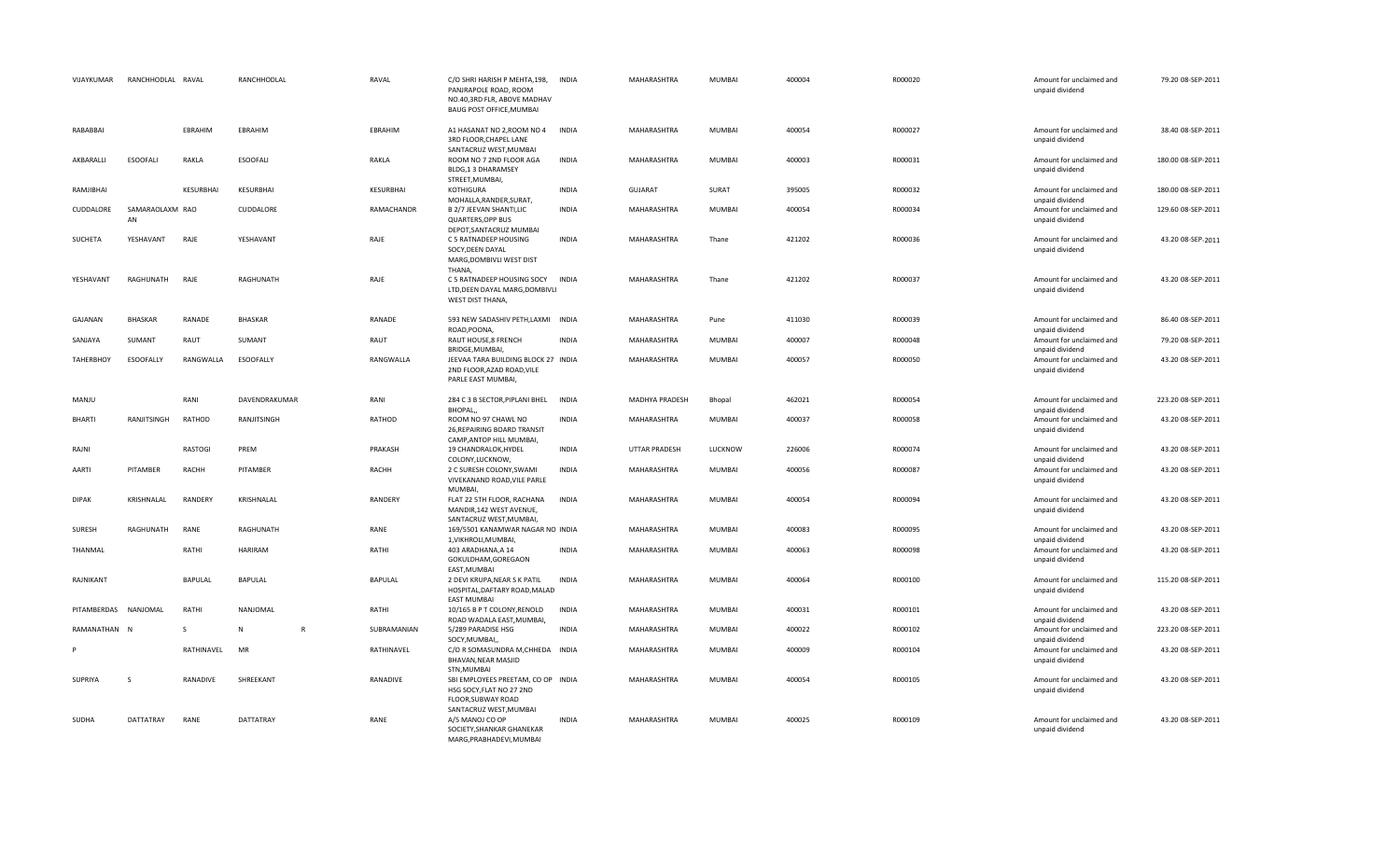| VIJAYKUMAR       | RANCHHODLAL RAVAL     |                  | RANCHHODLAL       | RAVAL        | C/O SHRI HARISH P MEHTA, 198,<br>PANJRAPOLE ROAD, ROOM<br>NO.40,3RD FLR, ABOVE MADHAV<br><b>BAUG POST OFFICE, MUMBAI</b> | <b>INDIA</b> | MAHARASHTRA        | <b>MUMBAI</b> | 400004 | R000020 | Amount for unclaimed and<br>unpaid dividend | 79.20 08-SEP-2011  |
|------------------|-----------------------|------------------|-------------------|--------------|--------------------------------------------------------------------------------------------------------------------------|--------------|--------------------|---------------|--------|---------|---------------------------------------------|--------------------|
| RABABBAI         |                       | EBRAHIM          | EBRAHIM           | EBRAHIM      | A1 HASANAT NO 2, ROOM NO 4 INDIA<br>3RD FLOOR, CHAPEL LANE<br>SANTACRUZ WEST, MUMBAI                                     |              | MAHARASHTRA        | <b>MUMBAI</b> | 400054 | R000027 | Amount for unclaimed and<br>unpaid dividend | 38.40 08-SEP-2011  |
| AKBARALLI        | <b>ESOOFALI</b>       | RAKLA            | <b>ESOOFALI</b>   | RAKLA        | ROOM NO 7 2ND FLOOR AGA<br>BLDG,1 3 DHARAMSEY<br>STREET, MUMBAI,                                                         | <b>INDIA</b> | MAHARASHTRA        | <b>MUMBAI</b> | 400003 | R000031 | Amount for unclaimed and<br>unpaid dividend | 180.00 08-SEP-2011 |
| RAMJIBHAI        |                       | <b>KESURBHAI</b> | <b>KESURBHAI</b>  | KESURBHAI    | <b>KOTHIGURA</b><br>MOHALLA, RANDER, SURAT,                                                                              | <b>INDIA</b> | <b>GUJARAT</b>     | SURAT         | 395005 | R000032 | Amount for unclaimed and<br>unpaid dividend | 180.00 08-SEP-2011 |
| CUDDALORE        | SAMARAOLAXM RAO<br>AN |                  | CUDDALORE         | RAMACHANDR   | B 2/7 JEEVAN SHANTI, LIC<br><b>QUARTERS, OPP BUS</b><br>DEPOT, SANTACRUZ MUMBAI                                          | <b>INDIA</b> | MAHARASHTRA        | <b>MUMBAI</b> | 400054 | R000034 | Amount for unclaimed and<br>unpaid dividend | 129.60 08-SEP-2011 |
| SUCHETA          | YESHAVANT             | RAJE             | YESHAVANT         | RAJE         | C 5 RATNADEEP HOUSING<br>SOCY, DEEN DAYAL<br>MARG, DOMBIVLI WEST DIST<br>THANA.                                          | INDIA        | MAHARASHTRA        | Thane         | 421202 | R000036 | Amount for unclaimed and<br>unpaid dividend | 43.20 08-SEP-2011  |
| YESHAVANT        | RAGHUNATH             | RAJE             | RAGHUNATH         | RAJE         | C 5 RATNADEEP HOUSING SOCY<br>LTD, DEEN DAYAL MARG, DOMBIVLI<br>WEST DIST THANA,                                         | <b>INDIA</b> | MAHARASHTRA        | Thane         | 421202 | R000037 | Amount for unclaimed and<br>unpaid dividend | 43.20 08-SEP-2011  |
| GAJANAN          | <b>BHASKAR</b>        | RANADE           | <b>BHASKAR</b>    | RANADE       | 593 NEW SADASHIV PETH, LAXMI INDIA<br>ROAD, POONA                                                                        |              | MAHARASHTRA        | Pune          | 411030 | R000039 | Amount for unclaimed and<br>unpaid dividend | 86.40 08-SEP-2011  |
| SANJAYA          | SUMANT                | RAUT             | SUMANT            | RAUT         | RAUT HOUSE,8 FRENCH<br>BRIDGE, MUMBAI,                                                                                   | <b>INDIA</b> | MAHARASHTRA        | <b>MUMBAI</b> | 400007 | R000048 | Amount for unclaimed and<br>unpaid dividend | 79.20 08-SEP-2011  |
| <b>TAHERBHOY</b> | ESOOFALLY             | RANGWALLA        | <b>ESOOFALLY</b>  | RANGWALLA    | JEEVAA TARA BUILDING BLOCK 27 INDIA<br>2ND FLOOR, AZAD ROAD, VILE<br>PARLE EAST MUMBAI,                                  |              | MAHARASHTRA        | <b>MUMBAI</b> | 400057 | R000050 | Amount for unclaimed and<br>unpaid dividend | 43.20 08-SEP-2011  |
| MANJU            |                       | RANI             | DAVENDRAKUMAR     | RANI         | 284 C 3 B SECTOR, PIPLANI BHEL<br>BHOPAL,                                                                                | INDIA        | MADHYA PRADESH     | Bhopal        | 462021 | R000054 | Amount for unclaimed and<br>unpaid dividend | 223.20 08-SEP-2011 |
| BHARTI           | RANJITSINGH           | RATHOD           | RANJITSINGH       | RATHOD       | ROOM NO 97 CHAWL NO<br>26, REPAIRING BOARD TRANSIT<br>CAMP, ANTOP HILL MUMBAI,                                           | <b>INDIA</b> | MAHARASHTRA        | <b>MUMBAI</b> | 400037 | R000058 | Amount for unclaimed and<br>unpaid dividend | 43.20 08-SEP-2011  |
| RAJNI            |                       | RASTOGI          | PREM              | PRAKASH      | 19 CHANDRALOK, HYDEL<br>COLONY, LUCKNOW,                                                                                 | <b>INDIA</b> | UTTAR PRADESH      | LUCKNOW       | 226006 | R000074 | Amount for unclaimed and<br>unpaid dividend | 43.20 08-SEP-2011  |
| AARTI            | PITAMBER              | RACHH            | PITAMBER          | <b>RACHH</b> | 2 C SURESH COLONY, SWAMI<br>VIVEKANAND ROAD, VILE PARLE<br><b>MUMBAI</b>                                                 | <b>INDIA</b> | MAHARASHTRA        | <b>MUMBAI</b> | 400056 | R000087 | Amount for unclaimed and<br>unpaid dividend | 43.20 08-SEP-2011  |
| <b>DIPAK</b>     | KRISHNALAL            | RANDERY          | KRISHNALAL        | RANDERY      | FLAT 22 5TH FLOOR, RACHANA<br>MANDIR, 142 WEST AVENUE,<br>SANTACRUZ WEST, MUMBAI,                                        | INDIA        | MAHARASHTRA        | <b>MUMBAI</b> | 400054 | R000094 | Amount for unclaimed and<br>unpaid dividend | 43.20 08-SEP-2011  |
| SURESH           | RAGHUNATH             | RANE             | RAGHUNATH         | RANE         | 169/5501 KANAMWAR NAGAR NO INDIA<br>1, VIKHROLI, MUMBAI,                                                                 |              | MAHARASHTRA        | <b>MUMBAI</b> | 400083 | R000095 | Amount for unclaimed and<br>unpaid dividend | 43.20 08-SEP-2011  |
| THANMAL          |                       | RATHI            | HARIRAM           | RATHI        | 403 ARADHANA, A 14<br>GOKULDHAM, GOREGAON<br>EAST, MUMBAI                                                                | <b>INDIA</b> | <b>MAHARASHTRA</b> | <b>MUMBAI</b> | 400063 | R000098 | Amount for unclaimed and<br>unpaid dividend | 43.20 08-SEP-2011  |
| RAJNIKANT        |                       | BAPULAL          | <b>BAPULAL</b>    | BAPULAL      | 2 DEVI KRUPA, NEAR S K PATIL<br>HOSPITAL, DAFTARY ROAD, MALAD<br><b>EAST MUMBAI</b>                                      | <b>INDIA</b> | MAHARASHTRA        | <b>MUMBAI</b> | 400064 | R000100 | Amount for unclaimed and<br>unpaid dividend | 115.20 08-SEP-2011 |
| PITAMBERDAS      | NANJOMAL              | RATHI            | NANJOMAL          | RATHI        | 10/165 B P T COLONY, RENOLD<br>ROAD WADALA EAST, MUMBAI,                                                                 | <b>INDIA</b> | MAHARASHTRA        | <b>MUMBAI</b> | 400031 | R000101 | Amount for unclaimed and<br>unpaid dividend | 43.20 08-SEP-2011  |
| RAMANATHAN N     |                       | S.               | N<br>$\mathsf{R}$ | SUBRAMANIAN  | 5/289 PARADISE HSG<br>SOCY, MUMBAI,                                                                                      | <b>INDIA</b> | MAHARASHTRA        | <b>MUMBAI</b> | 400022 | R000102 | Amount for unclaimed and<br>unpaid dividend | 223.20 08-SEP-2011 |
|                  |                       | RATHINAVEL       | MR                | RATHINAVEL   | C/O R SOMASUNDRA M, CHHEDA INDIA<br>BHAVAN, NEAR MASJID<br>STN, MUMBAI                                                   |              | MAHARASHTRA        | <b>MUMBAI</b> | 400009 | R000104 | Amount for unclaimed and<br>unpaid dividend | 43.20 08-SEP-2011  |
| SUPRIYA          | -S                    | RANADIVE         | SHREEKANT         | RANADIVE     | SBI EMPLOYEES PREETAM, CO OP INDIA<br>HSG SOCY, FLAT NO 27 2ND<br>FLOOR, SUBWAY ROAD                                     |              | MAHARASHTRA        | <b>MUMBAI</b> | 400054 | R000105 | Amount for unclaimed and<br>unpaid dividend | 43.20 08-SEP-2011  |
| <b>SUDHA</b>     | <b>DATTATRAY</b>      | RANE             | <b>DATTATRAY</b>  | RANE         | SANTACRUZ WEST, MUMBAI<br>A/5 MANOJ CO OP<br>SOCIETY, SHANKAR GHANEKAR                                                   | <b>INDIA</b> | <b>MAHARASHTRA</b> | <b>MUMBAI</b> | 400025 | R000109 | Amount for unclaimed and<br>unpaid dividend | 43.20 08-SEP-2011  |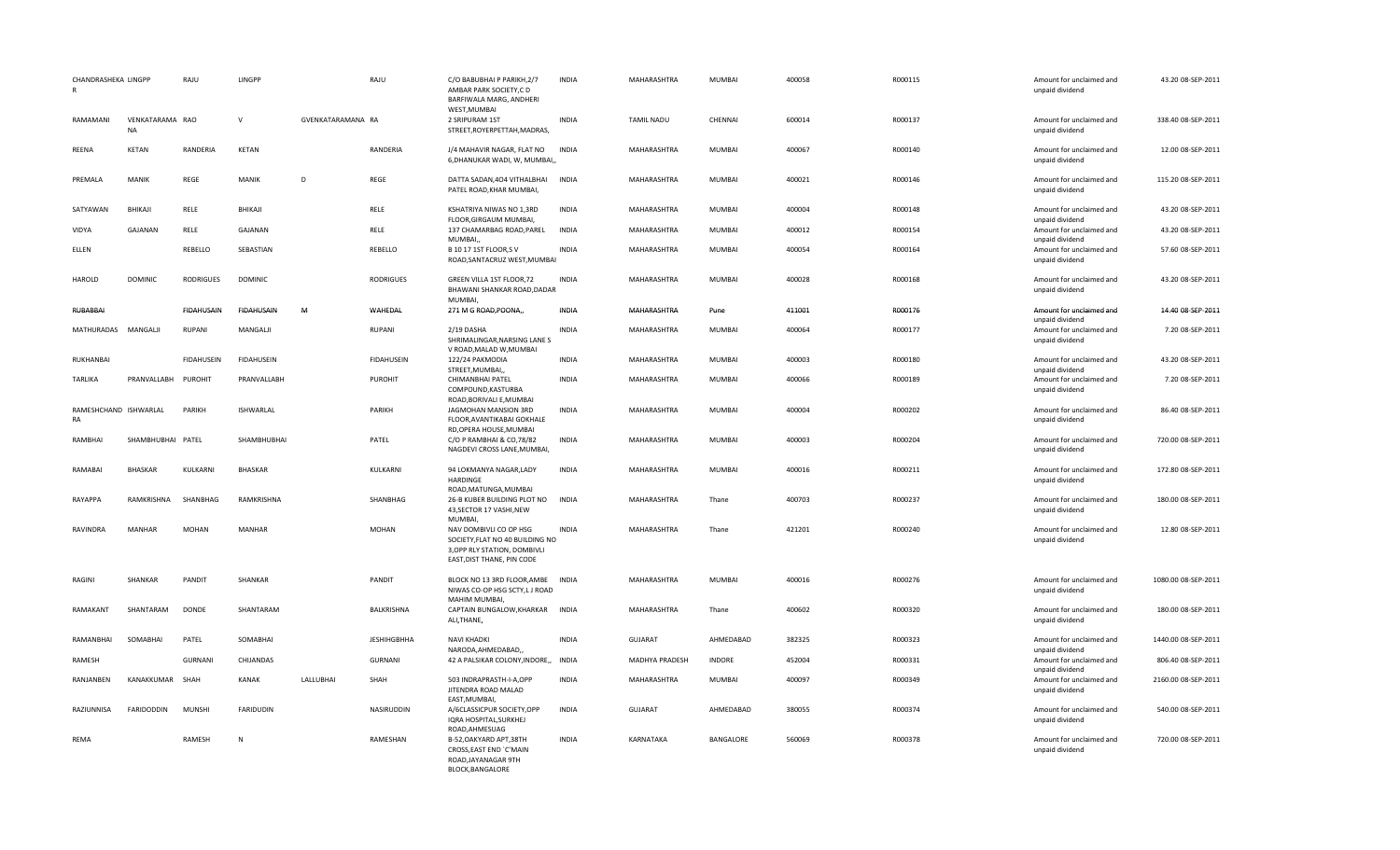| CHANDRASHEKA LINGPP<br>$\mathsf{R}$ |                              | RAJU              | LINGPP            |                   | RAJU               | C/O BABUBHAI P PARIKH, 2/7<br>AMBAR PARK SOCIETY, CD<br>BARFIWALA MARG, ANDHERI<br>WEST, MUMBAI                                          | <b>INDIA</b> | MAHARASHTRA           | <b>MUMBAI</b> | 400058 | R000115 | Amount for unclaimed and<br>unpaid dividend                    | 43.20 08-SEP-2011   |
|-------------------------------------|------------------------------|-------------------|-------------------|-------------------|--------------------|------------------------------------------------------------------------------------------------------------------------------------------|--------------|-----------------------|---------------|--------|---------|----------------------------------------------------------------|---------------------|
| RAMAMANI                            | VENKATARAMA RAO<br><b>NA</b> |                   | $\mathsf{V}$      | GVENKATARAMANA RA |                    | 2 SRIPURAM 1ST<br>STREET, ROYERPETTAH, MADRAS,                                                                                           | <b>INDIA</b> | <b>TAMIL NADU</b>     | CHENNAI       | 600014 | R000137 | Amount for unclaimed and<br>unpaid dividend                    | 338.40 08-SEP-2011  |
| <b>REENA</b>                        | <b>KETAN</b>                 | <b>RANDERIA</b>   | <b>KETAN</b>      |                   | RANDERIA           | J/4 MAHAVIR NAGAR, FLAT NO<br>6, DHANUKAR WADI, W, MUMBAI,,                                                                              | <b>INDIA</b> | MAHARASHTRA           | MUMBAI        | 400067 | R000140 | Amount for unclaimed and<br>unpaid dividend                    | 12.00 08-SEP-2011   |
| PREMALA                             | MANIK                        | REGE              | MANIK             | D                 | REGE               | DATTA SADAN, 404 VITHALBHAI<br>PATEL ROAD, KHAR MUMBAI,                                                                                  | <b>INDIA</b> | MAHARASHTRA           | MUMBAI        | 400021 | R000146 | Amount for unclaimed and<br>unpaid dividend                    | 115.20 08-SEP-2011  |
| SATYAWAN                            | BHIKAJI                      | RELE              | BHIKAJI           |                   | RELE               | KSHATRIYA NIWAS NO 1,3RD                                                                                                                 | <b>INDIA</b> | MAHARASHTRA           | MUMBAI        | 400004 | R000148 | Amount for unclaimed and                                       | 43.20 08-SEP-2011   |
| VIDYA                               | GAJANAN                      | RELE              | GAJANAN           |                   | RELE               | FLOOR, GIRGAUM MUMBAI,<br>137 CHAMARBAG ROAD, PAREL                                                                                      | <b>INDIA</b> | MAHARASHTRA           | MUMBAI        | 400012 | R000154 | unpaid dividend<br>Amount for unclaimed and                    | 43.20 08-SEP-2011   |
| ELLEN                               |                              | REBELLO           | SEBASTIAN         |                   | REBELLO            | MUMBAI,<br><b>B 10 17 1ST FLOOR, SV</b><br>ROAD, SANTACRUZ WEST, MUMBAI                                                                  | <b>INDIA</b> | MAHARASHTRA           | MUMBAI        | 400054 | R000164 | unpaid dividend<br>Amount for unclaimed and<br>unpaid dividend | 57.60 08-SEP-2011   |
| <b>HAROLD</b>                       | <b>DOMINIC</b>               | <b>RODRIGUES</b>  | <b>DOMINIC</b>    |                   | <b>RODRIGUES</b>   | GREEN VILLA 1ST FLOOR,72<br>BHAWANI SHANKAR ROAD, DADAR<br><b>MUMBAI</b>                                                                 | <b>INDIA</b> | MAHARASHTRA           | <b>MUMBAI</b> | 400028 | R000168 | Amount for unclaimed and<br>unpaid dividend                    | 43.20 08-SEP-2011   |
| RUBABBAI                            |                              | <b>FIDAHUSAIN</b> | <b>FIDAHUSAIN</b> | M                 | WAHEDAL            | 271 M G ROAD, POONA,,                                                                                                                    | INDIA        | MAHARASHTRA           | Pune          | 411001 | R000176 | Amount for unclaimed and<br>unpaid dividend                    | 14.40 08-SEP-2011   |
| MATHURADAS MANGALJI                 |                              | <b>RUPANI</b>     | MANGALII          |                   | <b>RUPANI</b>      | 2/19 DASHA<br>SHRIMALINGAR, NARSING LANE S<br>V ROAD, MALAD W, MUMBAI                                                                    | <b>INDIA</b> | MAHARASHTRA           | MUMBAI        | 400064 | R000177 | Amount for unclaimed and<br>unpaid dividend                    | 7.20 08-SEP-2011    |
| RUKHANBAI                           |                              | <b>FIDAHUSEIN</b> | <b>FIDAHUSEIN</b> |                   | <b>FIDAHUSEIN</b>  | 122/24 PAKMODIA<br>STREET, MUMBAI,,                                                                                                      | <b>INDIA</b> | MAHARASHTRA           | MUMBAI        | 400003 | R000180 | Amount for unclaimed and<br>unpaid dividend                    | 43.20 08-SEP-2011   |
| <b>TARLIKA</b>                      | PRANVALLABH                  | PUROHIT           | PRANVALLABH       |                   | PUROHIT            | CHIMANBHAI PATEL<br>COMPOUND, KASTURBA<br>ROAD, BORIVALI E, MUMBAI                                                                       | <b>INDIA</b> | MAHARASHTRA           | MUMBAI        | 400066 | R000189 | Amount for unclaimed and<br>unpaid dividend                    | 7.20 08-SEP-2011    |
| RAMESHCHAND ISHWARLAL<br>RA         |                              | PARIKH            | <b>ISHWARLAL</b>  |                   | PARIKH             | JAGMOHAN MANSION 3RD<br>FLOOR, AVANTIKABAI GOKHALE                                                                                       | <b>INDIA</b> | MAHARASHTRA           | <b>MUMBAI</b> | 400004 | R000202 | Amount for unclaimed and<br>unpaid dividend                    | 86.40 08-SEP-2011   |
| RAMBHAI                             | SHAMBHUBHAI PATEL            |                   | SHAMBHUBHAI       |                   | PATEL              | RD, OPERA HOUSE, MUMBAI<br>C/O P RAMBHAI & CO,78/82<br>NAGDEVI CROSS LANE, MUMBAI,                                                       | <b>INDIA</b> | MAHARASHTRA           | MUMBAI        | 400003 | R000204 | Amount for unclaimed and<br>unpaid dividend                    | 720.00 08-SEP-2011  |
| RAMABAI                             | <b>BHASKAR</b>               | KULKARNI          | <b>BHASKAR</b>    |                   | KULKARNI           | 94 LOKMANYA NAGAR, LADY<br>HARDINGE                                                                                                      | <b>INDIA</b> | MAHARASHTRA           | MUMBAI        | 400016 | R000211 | Amount for unclaimed and<br>unpaid dividend                    | 172.80 08-SEP-2011  |
| RAYAPPA                             | RAMKRISHNA                   | SHANBHAG          | RAMKRISHNA        |                   | SHANBHAG           | ROAD, MATUNGA, MUMBAI<br>26-B KUBER BUILDING PLOT NO<br>43, SECTOR 17 VASHI, NEW                                                         | <b>INDIA</b> | MAHARASHTRA           | Thane         | 400703 | R000237 | Amount for unclaimed and<br>unpaid dividend                    | 180.00 08-SEP-2011  |
| RAVINDRA                            | MANHAR                       | <b>MOHAN</b>      | <b>MANHAR</b>     |                   | <b>MOHAN</b>       | <b>MUMBAI</b><br>NAV DOMBIVLI CO OP HSG<br>SOCIETY, FLAT NO 40 BUILDING NO<br>3, OPP RLY STATION, DOMBIVLI<br>EAST, DIST THANE, PIN CODE | <b>INDIA</b> | MAHARASHTRA           | Thane         | 421201 | R000240 | Amount for unclaimed and<br>unpaid dividend                    | 12.80 08-SEP-2011   |
| RAGINI                              | SHANKAR                      | PANDIT            | SHANKAR           |                   | PANDIT             | BLOCK NO 13 3RD FLOOR, AMBE<br>NIWAS CO-OP HSG SCTY,L J ROAD                                                                             | <b>INDIA</b> | MAHARASHTRA           | <b>MUMBAI</b> | 400016 | R000276 | Amount for unclaimed and<br>unpaid dividend                    | 1080.00 08-SEP-2011 |
| RAMAKANT                            | SHANTARAM                    | <b>DONDE</b>      | SHANTARAM         |                   | <b>BALKRISHNA</b>  | MAHIM MUMBAI,<br>CAPTAIN BUNGALOW, KHARKAR INDIA<br>ALI, THANE,                                                                          |              | MAHARASHTRA           | Thane         | 400602 | R000320 | Amount for unclaimed and<br>unpaid dividend                    | 180.00 08-SEP-2011  |
| RAMANBHAI                           | SOMABHAI                     | PATEL             | SOMABHAI          |                   | <b>JESHIHGBHHA</b> | <b>NAVI KHADKI</b><br>NARODA, AHMEDABAD,,                                                                                                | <b>INDIA</b> | <b>GUJARAT</b>        | AHMEDABAD     | 382325 | R000323 | Amount for unclaimed and<br>unpaid dividend                    | 1440.00 08-SEP-2011 |
| RAMESH                              |                              | <b>GURNANI</b>    | CHIJANDAS         |                   | <b>GURNANI</b>     | 42 A PALSIKAR COLONY, INDORE,,                                                                                                           | <b>INDIA</b> | <b>MADHYA PRADESH</b> | <b>INDORE</b> | 452004 | R000331 | Amount for unclaimed and                                       | 806.40 08-SEP-2011  |
| RANJANBEN                           | KANAKKUMAR                   | SHAH              | <b>KANAK</b>      | LALLUBHAI         | SHAH               | 503 INDRAPRASTH-I-A,OPP<br>JITENDRA ROAD MALAD                                                                                           | <b>INDIA</b> | MAHARASHTRA           | MUMBAI        | 400097 | R000349 | unpaid dividend<br>Amount for unclaimed and<br>unpaid dividend | 2160.00 08-SEP-2011 |
| RAZIUNNISA                          | <b>FARIDODDIN</b>            | <b>MUNSHI</b>     | <b>FARIDUDIN</b>  |                   | NASIRUDDIN         | EAST, MUMBAI,<br>A/6CLASSICPUR SOCIETY, OPP<br>IQRA HOSPITAL, SURKHEJ<br>ROAD, AHMESUAG                                                  | <b>INDIA</b> | GUJARAT               | AHMEDABAD     | 380055 | R000374 | Amount for unclaimed and<br>unpaid dividend                    | 540.00 08-SEP-2011  |
| REMA                                |                              | RAMESH            | N                 |                   | RAMESHAN           | B-52, OAKYARD APT, 38TH<br>CROSS, EAST END `C'MAIN<br>ROAD, JAYANAGAR 9TH<br><b>BLOCK.BANGALORE</b>                                      | <b>INDIA</b> | KARNATAKA             | BANGALORE     | 560069 | R000378 | Amount for unclaimed and<br>unpaid dividend                    | 720.00 08-SEP-2011  |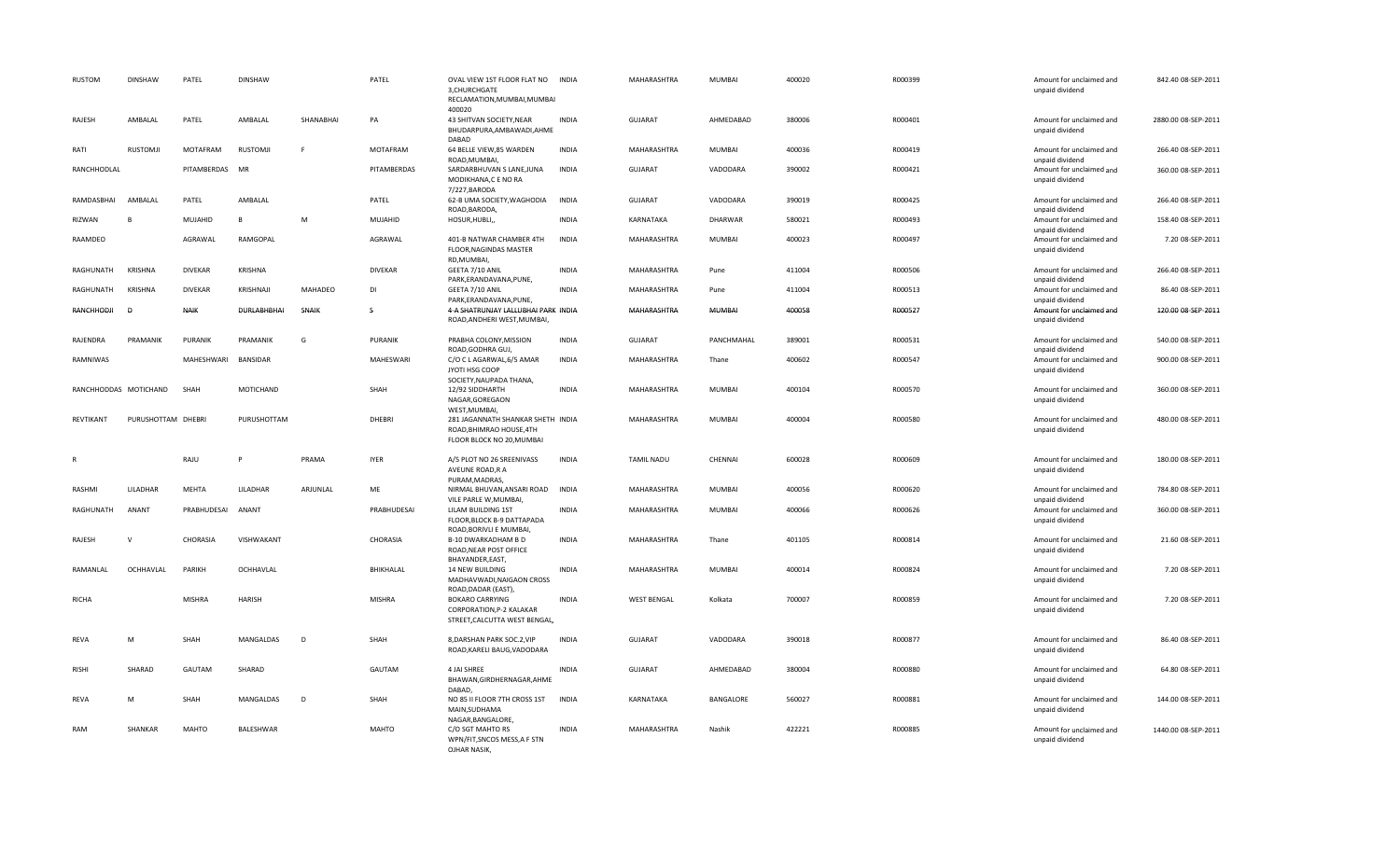| <b>RUSTOM</b> | <b>DINSHAW</b>        | PATEL           | <b>DINSHAW</b>  |           | PATEL           | OVAL VIEW 1ST FLOOR FLAT NO INDIA<br>3, CHURCHGATE<br>RECLAMATION.MUMBAI.MUMBAI<br>400020                  |              | MAHARASHTRA        | MUMBAI        | 400020 | R000399 | Amount for unclaimed and<br>unpaid dividend                    | 842.40 08-SEP-2011  |
|---------------|-----------------------|-----------------|-----------------|-----------|-----------------|------------------------------------------------------------------------------------------------------------|--------------|--------------------|---------------|--------|---------|----------------------------------------------------------------|---------------------|
| RAJESH        | AMBALAL               | PATEL           | AMBALAL         | SHANABHAI | PA              | 43 SHITVAN SOCIETY, NEAR<br>BHUDARPURA, AMBAWADI, AHME<br>DABAD                                            | <b>INDIA</b> | <b>GUJARAT</b>     | AHMEDABAD     | 380006 | R000401 | Amount for unclaimed and<br>unpaid dividend                    | 2880.00 08-SEP-2011 |
| RATI          | <b>RUSTOMJI</b>       | <b>MOTAFRAM</b> | <b>RUSTOMJI</b> | F.        | <b>MOTAFRAM</b> | 64 BELLE VIEW,85 WARDEN<br>ROAD, MUMBAI,                                                                   | <b>INDIA</b> | <b>MAHARASHTRA</b> | <b>MUMBAI</b> | 400036 | R000419 | Amount for unclaimed and<br>unpaid dividend                    | 266.40 08-SEP-2011  |
| RANCHHODLAL   |                       | PITAMBERDAS MR  |                 |           | PITAMBERDAS     | SARDARBHUVAN S LANE, JUNA<br>MODIKHANA,C E NO RA<br>7/227, BARODA                                          | INDIA        | <b>GUJARAT</b>     | VADODARA      | 390002 | R000421 | Amount for unclaimed and<br>unpaid dividend                    | 360.00 08-SEP-2011  |
| RAMDASBHAI    | AMBALAL               | PATEL           | AMBALAL         |           | PATEL           | 62-B UMA SOCIETY, WAGHODIA<br>ROAD, BARODA,                                                                | <b>INDIA</b> | <b>GUJARAT</b>     | VADODARA      | 390019 | R000425 | Amount for unclaimed and<br>unpaid dividend                    | 266.40 08-SEP-2011  |
| RIZWAN        | P                     | MUJAHID         | $\overline{R}$  | M         | MUJAHID         | HOSUR, HUBLI,,                                                                                             | <b>INDIA</b> | KARNATAKA          | DHARWAR       | 580021 | R000493 | Amount for unclaimed and<br>unpaid dividend                    | 158.40 08-SEP-2011  |
| RAAMDEO       |                       | AGRAWAL         | RAMGOPAL        |           | AGRAWAL         | 401-B NATWAR CHAMBER 4TH<br>FLOOR, NAGINDAS MASTER<br>RD, MUMBAI,                                          | <b>INDIA</b> | MAHARASHTRA        | MUMBAI        | 400023 | R000497 | Amount for unclaimed and<br>unpaid dividend                    | 7.20 08-SEP-2011    |
| RAGHUNATH     | <b>KRISHNA</b>        | <b>DIVEKAR</b>  | <b>KRISHNA</b>  |           | <b>DIVEKAR</b>  | GEETA 7/10 ANIL<br>PARK, ERANDAVANA, PUNE,                                                                 | <b>INDIA</b> | <b>MAHARASHTRA</b> | Pune          | 411004 | R000506 | Amount for unclaimed and<br>unpaid dividend                    | 266.40 08-SEP-2011  |
| RAGHUNATH     | <b>KRISHNA</b>        | <b>DIVEKAR</b>  | KRISHNAJI       | MAHADEO   | <b>DI</b>       | GEETA 7/10 ANIL<br>PARK, ERANDAVANA, PUNE,                                                                 | <b>INDIA</b> | MAHARASHTRA        | Pune          | 411004 | R000513 | Amount for unclaimed and<br>unpaid dividend                    | 86.40 08-SEP-2011   |
| RANCHHODJI    | D                     | <b>NAIK</b>     | DURLABHBHAI     | SNAIK     | S               | 4-A SHATRUNJAY LALLUBHAI PARK INDIA<br>ROAD, ANDHERI WEST, MUMBAI,                                         |              | MAHARASHTRA        | MUMBAI        | 400058 | R000527 | Amount for unclaimed and<br>unpaid dividend                    | 120.00 08-SEP-2011  |
| RAJENDRA      | PRAMANIK              | PURANIK         | PRAMANIK        | G         | <b>PURANIK</b>  | PRABHA COLONY, MISSION<br>ROAD, GODHRA GUJ,                                                                | <b>INDIA</b> | GUJARAT            | PANCHMAHAL    | 389001 | R000531 | Amount for unclaimed and<br>unpaid dividend                    | 540.00 08-SEP-2011  |
| RAMNIWAS      |                       | MAHESHWARI      | BANSIDAR        |           | MAHESWARI       | C/O C L AGARWAL, 6/5 AMAR<br>JYOTI HSG COOP<br>SOCIETY, NAUPADA THANA,                                     | <b>INDIA</b> | MAHARASHTRA        | Thane         | 400602 | R000547 | Amount for unclaimed and<br>unpaid dividend                    | 900.00 08-SEP-2011  |
|               | RANCHHODDAS MOTICHAND | SHAH            | MOTICHAND       |           | SHAH            | 12/92 SIDDHARTH<br>NAGAR, GOREGAON<br>WEST, MUMBAI,                                                        | <b>INDIA</b> | MAHARASHTRA        | MUMBAI        | 400104 | R000570 | Amount for unclaimed and<br>unpaid dividend                    | 360.00 08-SEP-2011  |
|               |                       |                 |                 |           |                 |                                                                                                            |              |                    |               |        |         |                                                                |                     |
| REVTIKANT     | PURUSHOTTAM DHEBRI    |                 | PURUSHOTTAM     |           | DHEBRI          | 281 JAGANNATH SHANKAR SHETH INDIA<br>ROAD, BHIMRAO HOUSE, 4TH<br>FLOOR BLOCK NO 20, MUMBAI                 |              | MAHARASHTRA        | <b>MUMBAI</b> | 400004 | R000580 | Amount for unclaimed and<br>unpaid dividend                    | 480.00 08-SEP-2011  |
|               |                       | RAJU            | P               | PRAMA     | <b>IYER</b>     | A/5 PLOT NO 26 SREENIVASS<br>AVEUNE ROAD, R A                                                              | INDIA        | <b>TAMIL NADU</b>  | CHENNAI       | 600028 | R000609 | Amount for unclaimed and<br>unpaid dividend                    | 180.00 08-SEP-2011  |
| RASHMI        | LILADHAR              | MEHTA           | LILADHAR        | ARJUNLAL  | ME              | PURAM, MADRAS,<br>NIRMAL BHUVAN, ANSARI ROAD                                                               | <b>INDIA</b> | MAHARASHTRA        | MUMBAI        | 400056 | R000620 | Amount for unclaimed and                                       | 784.80 08-SEP-2011  |
| RAGHUNATH     | ANANT                 | PRABHUDESAI     | ANANT           |           | PRABHUDESAI     | VILE PARLE W, MUMBAI,<br>LILAM BUILDING 1ST<br>FLOOR, BLOCK B-9 DATTAPADA                                  | <b>INDIA</b> | MAHARASHTRA        | MUMBAI        | 400066 | R000626 | unpaid dividend<br>Amount for unclaimed and<br>unpaid dividend | 360.00 08-SEP-2011  |
| RAJESH        | $\vee$                | CHORASIA        | VISHWAKANT      |           | CHORASIA        | ROAD, BORIVLI E MUMBAI,<br>B-10 DWARKADHAM B D<br>ROAD, NEAR POST OFFICE                                   | <b>INDIA</b> | MAHARASHTRA        | Thane         | 401105 | R000814 | Amount for unclaimed and<br>unpaid dividend                    | 21.60 08-SEP-2011   |
| RAMANLAL      | OCHHAVLAL             | PARIKH          | OCHHAVLAL       |           | BHIKHALAL       | BHAYANDER, EAST,<br>14 NEW BUILDING<br>MADHAVWADI, NAIGAON CROSS                                           | <b>INDIA</b> | MAHARASHTRA        | MUMBAI        | 400014 | R000824 | Amount for unclaimed and<br>unpaid dividend                    | 7.20 08-SEP-2011    |
| RICHA         |                       | <b>MISHRA</b>   | <b>HARISH</b>   |           | <b>MISHRA</b>   | ROAD, DADAR (EAST),<br><b>BOKARO CARRYING</b><br>CORPORATION, P-2 KALAKAR<br>STREET, CALCUTTA WEST BENGAL, | <b>INDIA</b> | <b>WEST BENGAL</b> | Kolkata       | 700007 | R000859 | Amount for unclaimed and<br>unpaid dividend                    | 7.20 08-SEP-2011    |
| REVA          | M                     | SHAH            | MANGALDAS       | D         | SHAH            | 8, DARSHAN PARK SOC. 2, VIP<br>ROAD, KARELI BAUG, VADODARA                                                 | <b>INDIA</b> | <b>GUJARAT</b>     | VADODARA      | 390018 | R000877 | Amount for unclaimed and<br>unpaid dividend                    | 86.40 08-SEP-2011   |
| <b>RISHI</b>  | SHARAD                | GAUTAM          | SHARAD          |           | GAUTAM          | 4 JAI SHREE<br>BHAWAN, GIRDHERNAGAR, AHME                                                                  | <b>INDIA</b> | <b>GUJARAT</b>     | AHMEDABAD     | 380004 | R000880 | Amount for unclaimed and<br>unpaid dividend                    | 64.80 08-SEP-2011   |
| <b>REVA</b>   | M                     | SHAH            | MANGALDAS       | D         | SHAH            | DABAD,<br>NO 85 II FLOOR 7TH CROSS 1ST<br>MAIN, SUDHAMA<br>NAGAR, BANGALORE,                               | <b>INDIA</b> | KARNATAKA          | BANGALORE     | 560027 | R000881 | Amount for unclaimed and<br>unpaid dividend                    | 144.00 08-SEP-2011  |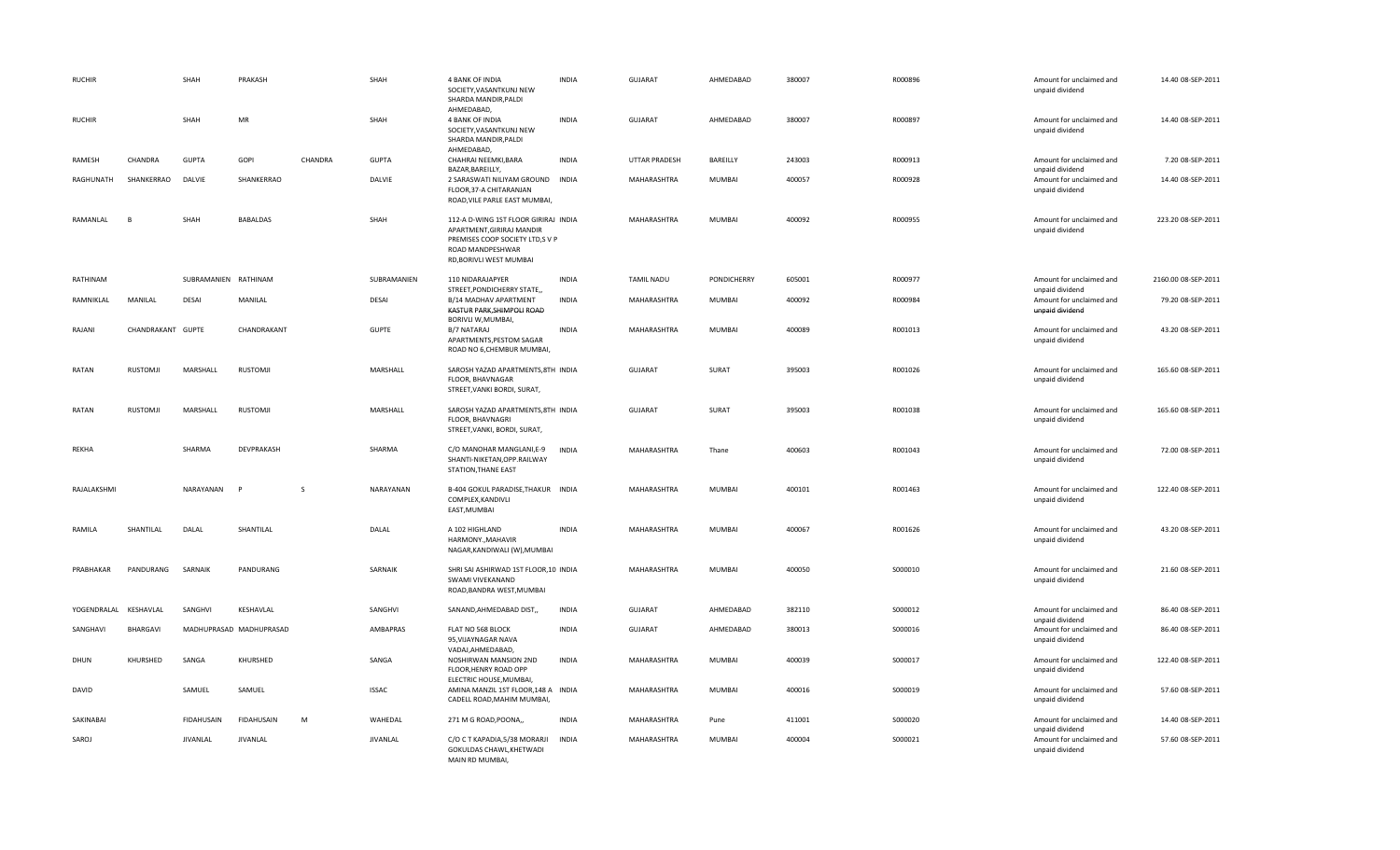| <b>RUCHIR</b>         |                   | SHAH                 | PRAKASH                 |              | SHAH         | 4 BANK OF INDIA<br>SOCIETY, VASANTKUNJ NEW<br>SHARDA MANDIR, PALDI                                                                                  | <b>INDIA</b> | <b>GUJARAT</b>    | AHMEDABAD     | 380007 | R000896 | Amount for unclaimed and<br>unpaid dividend                    | 14.40 08-SEP-2011   |
|-----------------------|-------------------|----------------------|-------------------------|--------------|--------------|-----------------------------------------------------------------------------------------------------------------------------------------------------|--------------|-------------------|---------------|--------|---------|----------------------------------------------------------------|---------------------|
| <b>RUCHIR</b>         |                   | SHAH                 | <b>MR</b>               |              | SHAH         | AHMEDABAD,<br>4 BANK OF INDIA<br>SOCIETY, VASANTKUNJ NEW<br>SHARDA MANDIR, PALDI<br>AHMEDABAD,                                                      | <b>INDIA</b> | <b>GUJARAT</b>    | AHMEDABAD     | 380007 | R000897 | Amount for unclaimed and<br>unpaid dividend                    | 14.40 08-SEP-2011   |
| RAMESH                | CHANDRA           | <b>GUPTA</b>         | GOPI                    | CHANDRA      | <b>GUPTA</b> | CHAHRAI NEEMKI, BARA                                                                                                                                | <b>INDIA</b> | UTTAR PRADESH     | BAREILLY      | 243003 | R000913 | Amount for unclaimed and                                       | 7.20 08-SEP-2011    |
| RAGHUNATH             | SHANKERRAO        | DALVIE               | SHANKERRAO              |              | DALVIE       | BAZAR, BAREILLY,<br>2 SARASWATI NILIYAM GROUND INDIA<br>FLOOR, 37-A CHITARANJAN<br>ROAD, VILE PARLE EAST MUMBAI,                                    |              | MAHARASHTRA       | MUMBAI        | 400057 | R000928 | unpaid dividend<br>Amount for unclaimed and<br>unpaid dividend | 14.40 08-SEP-2011   |
| RAMANLAL              | F                 | SHAH                 | BABALDAS                |              | SHAH         | 112-A D-WING 1ST FLOOR GIRIRAJ INDIA<br>APARTMENT, GIRIRAJ MANDIR<br>PREMISES COOP SOCIETY LTD,S V P<br>ROAD MANDPESHWAR<br>RD, BORIVLI WEST MUMBAI |              | MAHARASHTRA       | MUMBAI        | 400092 | R000955 | Amount for unclaimed and<br>unpaid dividend                    | 223.20 08-SEP-2011  |
| RATHINAM              |                   | SUBRAMANIEN RATHINAM |                         |              | SUBRAMANIEN  | 110 NIDARAJAPYER<br>STREET, PONDICHERRY STATE,                                                                                                      | <b>INDIA</b> | <b>TAMIL NADU</b> | PONDICHERRY   | 605001 | R000977 | Amount for unclaimed and<br>unpaid dividend                    | 2160.00 08-SEP-2011 |
| RAMNIKLAL             | MANILAL           | <b>DESAI</b>         | MANILAL                 |              | <b>DESAI</b> | B/14 MADHAV APARTMENT<br>KASTUR PARK, SHIMPOLI ROAD<br>BORIVLI W, MUMBAI,                                                                           | INDIA        | MAHARASHTRA       | MUMBAI        | 400092 | R000984 | Amount for unclaimed and<br>unpaid dividend                    | 79.20 08-SEP-2011   |
| RAJANI                | CHANDRAKANT GUPTE |                      | CHANDRAKANT             |              | <b>GUPTE</b> | B/7 NATARAJ<br>APARTMENTS, PESTOM SAGAR<br>ROAD NO 6, CHEMBUR MUMBAI,                                                                               | <b>INDIA</b> | MAHARASHTRA       | <b>MUMBAI</b> | 400089 | R001013 | Amount for unclaimed and<br>unpaid dividend                    | 43.20 08-SEP-2011   |
| RATAN                 | RUSTOMJI          | MARSHALL             | RUSTOMJI                |              | MARSHALL     | SAROSH YAZAD APARTMENTS, 8TH INDIA<br>FLOOR, BHAVNAGAR<br>STREET, VANKI BORDI, SURAT,                                                               |              | GUJARAT           | SURAT         | 395003 | R001026 | Amount for unclaimed and<br>unpaid dividend                    | 165.60 08-SEP-2011  |
| RATAN                 | RUSTOMJI          | MARSHALL             | <b>RUSTOMJI</b>         |              | MARSHALL     | SAROSH YAZAD APARTMENTS, 8TH INDIA<br>FLOOR, BHAVNAGRI<br>STREET, VANKI, BORDI, SURAT,                                                              |              | <b>GUJARAT</b>    | SURAT         | 395003 | R001038 | Amount for unclaimed and<br>unpaid dividend                    | 165.60 08-SEP-2011  |
| REKHA                 |                   | SHARMA               | DEVPRAKASH              |              | SHARMA       | C/O MANOHAR MANGLANI, E-9<br>SHANTI-NIKETAN, OPP.RAILWAY<br>STATION, THANE EAST                                                                     | <b>INDIA</b> | MAHARASHTRA       | Thane         | 400603 | R001043 | Amount for unclaimed and<br>unpaid dividend                    | 72.00 08-SEP-2011   |
| RAJALAKSHMI           |                   | NARAYANAN            | $\mathbf{p}$            | <sub>S</sub> | NARAYANAN    | B-404 GOKUL PARADISE, THAKUR INDIA<br>COMPLEX, KANDIVLI<br>EAST, MUMBAI                                                                             |              | MAHARASHTRA       | MUMBAI        | 400101 | R001463 | Amount for unclaimed and<br>unpaid dividend                    | 122.40 08-SEP-2011  |
| RAMILA                | SHANTILAL         | DALAL                | SHANTILAL               |              | DALAL        | A 102 HIGHLAND<br>HARMONY., MAHAVIR<br>NAGAR, KANDIWALI (W), MUMBAI                                                                                 | <b>INDIA</b> | MAHARASHTRA       | MUMBAI        | 400067 | R001626 | Amount for unclaimed and<br>unpaid dividend                    | 43.20 08-SEP-2011   |
| PRABHAKAR             | PANDURANG         | SARNAIK              | PANDURANG               |              | SARNAIK      | SHRI SAI ASHIRWAD 1ST FLOOR, 10 INDIA<br>SWAMI VIVEKANAND<br>ROAD, BANDRA WEST, MUMBAI                                                              |              | MAHARASHTRA       | MUMBAI        | 400050 | S000010 | Amount for unclaimed and<br>unpaid dividend                    | 21.60 08-SEP-2011   |
| YOGENDRALAL KESHAVLAL |                   | SANGHVI              | KESHAVLAL               |              | SANGHVI      | SANAND, AHMEDABAD DIST,                                                                                                                             | INDIA        | GUJARAT           | AHMEDABAD     | 382110 | S000012 | Amount for unclaimed and<br>unpaid dividend                    | 86.40 08-SEP-2011   |
| SANGHAVI              | BHARGAVI          |                      | MADHUPRASAD MADHUPRASAD |              | AMBAPRAS     | FLAT NO 568 BLOCK<br>95, VIJAYNAGAR NAVA<br>VADAJ, AHMEDABAD,                                                                                       | <b>INDIA</b> | <b>GUJARAT</b>    | AHMEDABAD     | 380013 | S000016 | Amount for unclaimed and<br>unpaid dividend                    | 86.40 08-SEP-2011   |
| DHUN                  | KHURSHED          | SANGA                | KHURSHED                |              | SANGA        | NOSHIRWAN MANSION 2ND<br>FLOOR, HENRY ROAD OPP<br>ELECTRIC HOUSE, MUMBAI,                                                                           | <b>INDIA</b> | MAHARASHTRA       | MUMBAI        | 400039 | S000017 | Amount for unclaimed and<br>unpaid dividend                    | 122.40 08-SEP-2011  |
| <b>DAVID</b>          |                   | SAMUEL               | SAMUEL                  |              | <b>ISSAC</b> | AMINA MANZIL 1ST FLOOR, 148 A INDIA<br>CADELL ROAD, MAHIM MUMBAI,                                                                                   |              | MAHARASHTRA       | <b>MUMBAI</b> | 400016 | S000019 | Amount for unclaimed and<br>unpaid dividend                    | 57.60 08-SEP-2011   |
| SAKINABAI             |                   | FIDAHUSAIN           | <b>FIDAHUSAIN</b>       | M            | WAHEDAL      | 271 M G ROAD, POONA,,                                                                                                                               | <b>INDIA</b> | MAHARASHTRA       | Pune          | 411001 | S000020 | Amount for unclaimed and<br>unpaid dividend                    | 14.40 08-SEP-2011   |
| SAROJ                 |                   | <b>JIVANLAL</b>      | JIVANLAL                |              | JIVANLAL     | C/O C T KAPADIA, 5/38 MORARJI<br>GOKULDAS CHAWL, KHETWADI<br>MAIN RD MUMBAI.                                                                        | INDIA        | MAHARASHTRA       | MUMBAI        | 400004 | S000021 | Amount for unclaimed and<br>unpaid dividend                    | 57.60 08-SEP-2011   |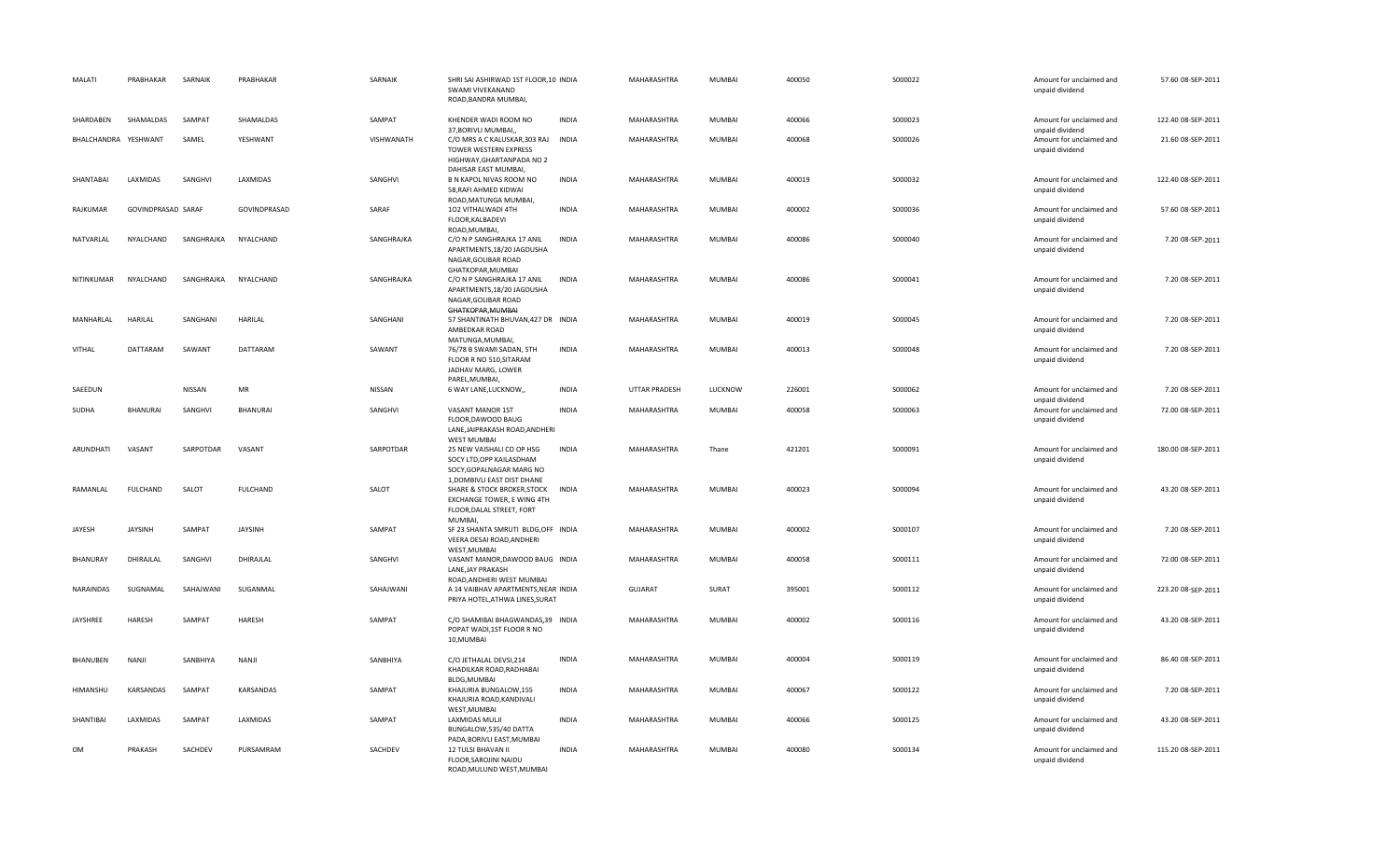| MALATI               | PRABHAKAR          | SARNAIK    | PRABHAKAR       | SARNAIK    | SHRI SAI ASHIRWAD 1ST FLOOR, 10 INDIA<br>SWAMI VIVEKANAND<br>ROAD.BANDRA MUMBAI.                                                            |              | MAHARASHTRA   | MUMBAI  | 400050 | S000022 | Amount for unclaimed and<br>unpaid dividend | 57.60 08-SEP-2011  |
|----------------------|--------------------|------------|-----------------|------------|---------------------------------------------------------------------------------------------------------------------------------------------|--------------|---------------|---------|--------|---------|---------------------------------------------|--------------------|
| SHARDABEN            | SHAMALDAS          | SAMPAT     | SHAMALDAS       | SAMPAT     | KHENDER WADI ROOM NO<br>37, BORIVLI MUMBAI,                                                                                                 | <b>INDIA</b> | MAHARASHTRA   | MUMBAI  | 400066 | S000023 | Amount for unclaimed and<br>unpaid dividend | 122.40 08-SEP-2011 |
| BHALCHANDRA YESHWANT |                    | SAMEL      | YESHWANT        | VISHWANATH | C/O MRS A C KALUSKAR, 303 RAJ INDIA<br>TOWER WESTERN EXPRESS<br>HIGHWAY, GHARTANPADA NO 2<br>DAHISAR EAST MUMBAI                            |              | MAHARASHTRA   | MUMBAI  | 400068 | S000026 | Amount for unclaimed and<br>unpaid dividend | 21.60 08-SEP-2011  |
| SHANTABAI            | LAXMIDAS           | SANGHVI    | LAXMIDAS        | SANGHVI    | B N KAPOL NIVAS ROOM NO<br>58, RAFI AHMED KIDWAI<br>ROAD, MATUNGA MUMBAI,                                                                   | <b>INDIA</b> | MAHARASHTRA   | MUMBAI  | 400019 | S000032 | Amount for unclaimed and<br>unpaid dividend | 122.40 08-SEP-2011 |
| RAJKUMAR             | GOVINDPRASAD SARAF |            | GOVINDPRASAD    | SARAF      | 102 VITHALWADI 4TH<br>FLOOR, KALBADEVI<br>ROAD, MUMBAI,                                                                                     | <b>INDIA</b> | MAHARASHTRA   | MUMBAI  | 400002 | S000036 | Amount for unclaimed and<br>unpaid dividend | 57.60 08-SEP-2011  |
| NATVARLAL            | NYALCHAND          | SANGHRAJKA | NYALCHAND       | SANGHRAJKA | C/O N P SANGHRAJKA 17 ANIL<br>APARTMENTS, 18/20 JAGDUSHA<br>NAGAR, GOLIBAR ROAD<br>GHATKOPAR, MUMBAI                                        | <b>INDIA</b> | MAHARASHTRA   | MUMBAI  | 400086 | S000040 | Amount for unclaimed and<br>unpaid dividend | 7.20 08-SEP-2011   |
| NITINKUMAR           | NYALCHAND          | SANGHRAJKA | NYALCHAND       | SANGHRAJKA | C/O N P SANGHRAJKA 17 ANIL<br>APARTMENTS, 18/20 JAGDUSHA<br>NAGAR, GOLIBAR ROAD<br>GHATKOPAR, MUMBAI                                        | <b>INDIA</b> | MAHARASHTRA   | MUMBAI  | 400086 | S000041 | Amount for unclaimed and<br>unpaid dividend | 7.20 08-SEP-2011   |
| MANHARLAL            | <b>HARILAL</b>     | SANGHANI   | HARILAL         | SANGHANI   | 57 SHANTINATH BHUVAN, 427 DR INDIA<br>AMBEDKAR ROAD<br>MATUNGA, MUMBAI,                                                                     |              | MAHARASHTRA   | MUMBAI  | 400019 | S000045 | Amount for unclaimed and<br>unpaid dividend | 7.20 08-SEP-2011   |
| <b>VITHAL</b>        | DATTARAM           | SAWANT     | DATTARAM        | SAWANT     | 76/78 B SWAMI SADAN, 5TH<br>FLOOR R NO 510, SITARAM<br>JADHAV MARG, LOWER<br>PAREL, MUMBAI,                                                 | <b>INDIA</b> | MAHARASHTRA   | MUMBAI  | 400013 | S000048 | Amount for unclaimed and<br>unpaid dividend | 7.20 08-SEP-2011   |
| SAEEDUN              |                    | NISSAN     | MR              | NISSAN     | 6 WAY LANE, LUCKNOW,                                                                                                                        | <b>INDIA</b> | UTTAR PRADESH | LUCKNOW | 226001 | S000062 | Amount for unclaimed and<br>unpaid dividend | 7.20 08-SEP-2011   |
| SUDHA                | BHANURAI           | SANGHVI    | BHANURAI        | SANGHVI    | VASANT MANOR 1ST<br>FLOOR, DAWOOD BAUG<br>LANE, JAIPRAKASH ROAD, ANDHERI<br><b>WEST MUMBAI</b>                                              | <b>INDIA</b> | MAHARASHTRA   | MUMBAI  | 400058 | S000063 | Amount for unclaimed and<br>unpaid dividend | 72.00 08-SEP-2011  |
| ARUNDHATI            | VASANT             | SARPOTDAR  | VASANT          | SARPOTDAR  | 25 NEW VAISHALI CO OP HSG<br>SOCY LTD, OPP KAILASDHAM<br>SOCY, GOPALNAGAR MARG NO                                                           | <b>INDIA</b> | MAHARASHTRA   | Thane   | 421201 | S000091 | Amount for unclaimed and<br>unpaid dividend | 180.00 08-SEP-2011 |
| RAMANLAL             | <b>FULCHAND</b>    | SALOT      | <b>FULCHAND</b> | SALOT      | 1, DOMBIVLI EAST DIST DHANE<br><b>SHARE &amp; STOCK BROKER, STOCK</b><br>EXCHANGE TOWER, E WING 4TH<br>FLOOR, DALAL STREET, FORT<br>MUMBAI, | <b>INDIA</b> | MAHARASHTRA   | MUMBAI  | 400023 | S000094 | Amount for unclaimed and<br>unpaid dividend | 43.20 08-SEP-2011  |
| JAYESH               | <b>JAYSINH</b>     | SAMPAT     | <b>JAYSINH</b>  | SAMPAT     | SF 23 SHANTA SMRUTI BLDG, OFF INDIA<br>VEERA DESAI ROAD, ANDHERI<br>WEST.MUMBAI                                                             |              | MAHARASHTRA   | MUMBAI  | 400002 | S000107 | Amount for unclaimed and<br>unpaid dividend | 7.20 08-SEP-2011   |
| BHANURAY             | DHIRAILAL          | SANGHVI    | DHIRAJLAL       | SANGHVI    | VASANT MANOR, DAWOOD BAUG INDIA<br>LANE, JAY PRAKASH<br>ROAD, ANDHERI WEST MUMBAI                                                           |              | MAHARASHTRA   | MUMBAI  | 400058 | S000111 | Amount for unclaimed and<br>unpaid dividend | 72.00 08-SEP-2011  |
| NARAINDAS            | SUGNAMAL           | SAHAJWANI  | SUGANMAL        | SAHAJWANI  | A 14 VAIBHAV APARTMENTS, NEAR INDIA<br>PRIYA HOTEL, ATHWA LINES, SURAT                                                                      |              | GUJARAT       | SURAT   | 395001 | S000112 | Amount for unclaimed and<br>unpaid dividend | 223.20 08-SEP-2011 |
| JAYSHREE             | HARESH             | SAMPAT     | HARESH          | SAMPAT     | C/O SHAMIBAI BHAGWANDAS,39 INDIA<br>POPAT WADI, 1ST FLOOR R NO<br>10, MUMBAI                                                                |              | MAHARASHTRA   | MUMBAI  | 400002 | S000116 | Amount for unclaimed and<br>unpaid dividend | 43.20 08-SEP-2011  |
| BHANUBEN             | NANJI              | SANBHIYA   | NANJI           | SANBHIYA   | C/O JETHALAL DEVSI, 214<br>KHADILKAR ROAD, RADHABAI<br>BLDG, MUMBAI                                                                         | <b>INDIA</b> | MAHARASHTRA   | MUMBAI  | 400004 | S000119 | Amount for unclaimed and<br>unpaid dividend | 86.40 08-SEP-2011  |
| HIMANSHU             | KARSANDAS          | SAMPAT     | KARSANDAS       | SAMPAT     | KHAJURIA BUNGALOW,155<br>KHAJURIA ROAD, KANDIVALI<br>WEST, MUMBAI                                                                           | <b>INDIA</b> | MAHARASHTRA   | MUMBAI  | 400067 | S000122 | Amount for unclaimed and<br>unpaid dividend | 7.20 08-SEP-2011   |
| SHANTIBAI            | LAXMIDAS           | SAMPAT     | LAXMIDAS        | SAMPAT     | <b>LAXMIDAS MULJI</b><br>BUNGALOW,535/40 DATTA<br>PADA, BORIVLI EAST, MUMBAI                                                                | <b>INDIA</b> | MAHARASHTRA   | MUMBAI  | 400066 | S000125 | Amount for unclaimed and<br>unpaid dividend | 43.20 08-SEP-2011  |
| <b>OM</b>            | PRAKASH            | SACHDEV    | PURSAMRAM       | SACHDEV    | 12 TULSI BHAVAN II<br>FLOOR, SAROJINI NAIDU<br>ROAD.MULUND WEST.MUMBAI                                                                      | <b>INDIA</b> | MAHARASHTRA   | MUMBAI  | 400080 | S000134 | Amount for unclaimed and<br>unpaid dividend | 115.20 08-SEP-2011 |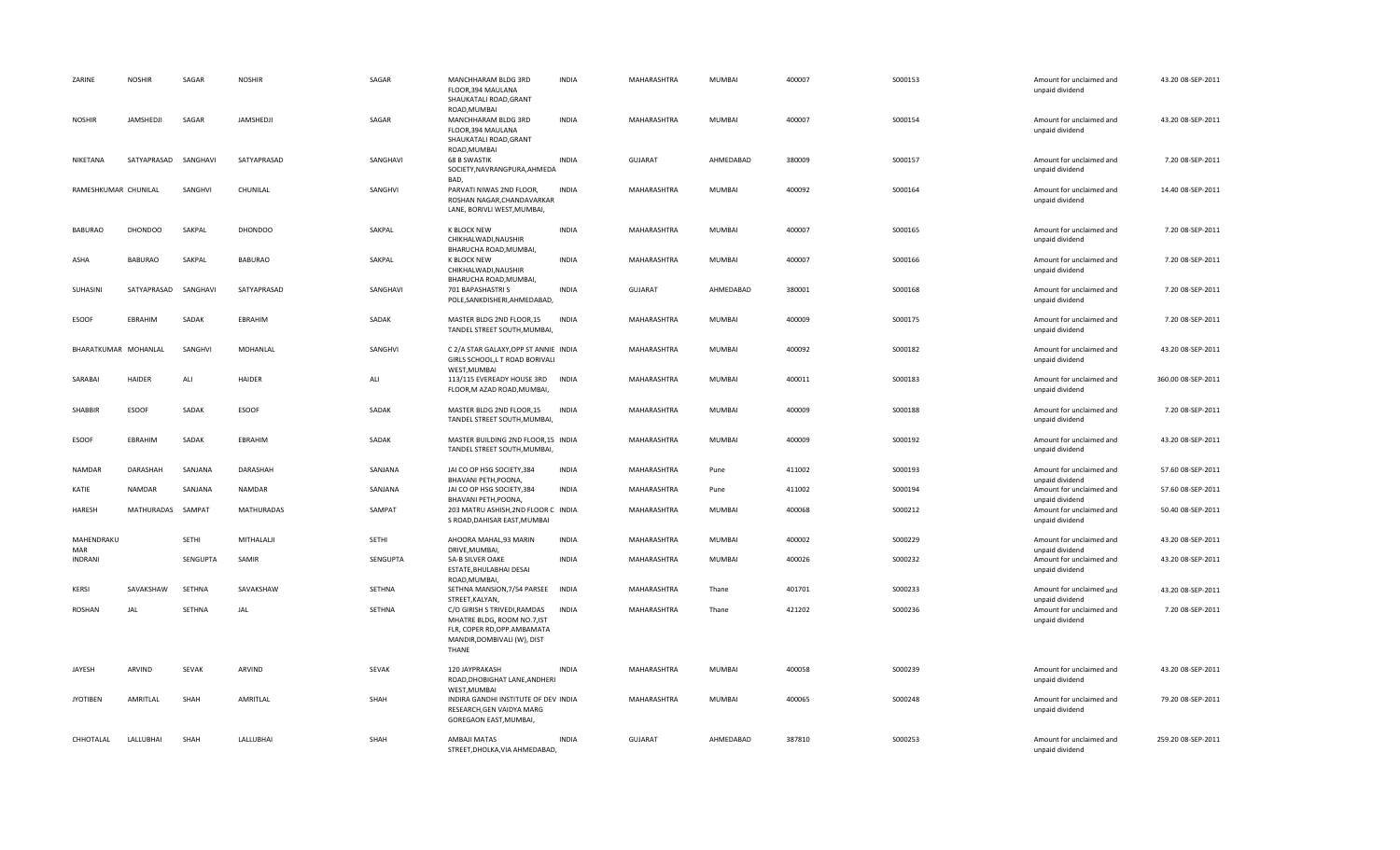| ZARINE               | <b>NOSHIR</b>  | SAGAR    | <b>NOSHIR</b>  | SAGAR    | MANCHHARAM BLDG 3RD<br>FLOOR.394 MAULANA<br>SHAUKATALI ROAD, GRANT                                                                 | <b>INDIA</b> | MAHARASHTRA    | MUMBAI        | 400007 | S000153 | Amount for unclaimed and<br>unpaid dividend | 43.20 08-SEP-2011  |
|----------------------|----------------|----------|----------------|----------|------------------------------------------------------------------------------------------------------------------------------------|--------------|----------------|---------------|--------|---------|---------------------------------------------|--------------------|
| <b>NOSHIR</b>        | JAMSHEDJI      | SAGAR    | JAMSHEDJI      | SAGAR    | ROAD, MUMBAI<br>MANCHHARAM BLDG 3RD<br>FLOOR, 394 MAULANA<br>SHAUKATALI ROAD, GRANT                                                | <b>INDIA</b> | MAHARASHTRA    | MUMBAI        | 400007 | S000154 | Amount for unclaimed and<br>unpaid dividend | 43.20 08-SEP-2011  |
| NIKETANA             | SATYAPRASAD    | SANGHAVI | SATYAPRASAD    | SANGHAVI | ROAD, MUMBAI<br><b>68 B SWASTIK</b><br>SOCIETY, NAVRANGPURA, AHMEDA<br>BAD.                                                        | <b>INDIA</b> | GUJARAT        | AHMEDABAD     | 380009 | S000157 | Amount for unclaimed and<br>unpaid dividend | 7.20 08-SEP-2011   |
| RAMESHKUMAR CHUNILAL |                | SANGHVI  | CHUNILAL       | SANGHVI  | PARVATI NIWAS 2ND FLOOR,<br>ROSHAN NAGAR, CHANDAVARKAR<br>LANE, BORIVLI WEST, MUMBAI,                                              | <b>INDIA</b> | MAHARASHTRA    | MUMBAI        | 400092 | S000164 | Amount for unclaimed and<br>unpaid dividend | 14.40 08-SEP-2011  |
| <b>BABURAO</b>       | <b>DHONDOO</b> | SAKPAL   | <b>DHONDOO</b> | SAKPAL   | K BLOCK NEW<br>CHIKHALWADI, NAUSHIR                                                                                                | <b>INDIA</b> | MAHARASHTRA    | MUMBAI        | 400007 | S000165 | Amount for unclaimed and<br>unpaid dividend | 7.20 08-SEP-2011   |
| ASHA                 | <b>BABURAO</b> | SAKPAL   | <b>BABURAO</b> | SAKPAL   | BHARUCHA ROAD, MUMBAI,<br>K BLOCK NEW<br>CHIKHALWADI, NAUSHIR                                                                      | <b>INDIA</b> | MAHARASHTRA    | MUMBAI        | 400007 | S000166 | Amount for unclaimed and<br>unpaid dividend | 7.20 08-SEP-2011   |
| SUHASINI             | SATYAPRASAD    | SANGHAVI | SATYAPRASAD    | SANGHAVI | BHARUCHA ROAD, MUMBAI,<br>701 BAPASHASTRI S<br>POLE, SANKDISHERI, AHMEDABAD,                                                       | <b>INDIA</b> | <b>GUJARAT</b> | AHMEDABAD     | 380001 | S000168 | Amount for unclaimed and<br>unpaid dividend | 7.20 08-SEP-2011   |
| <b>ESOOF</b>         | EBRAHIM        | SADAK    | <b>EBRAHIM</b> | SADAK    | MASTER BLDG 2ND FLOOR,15<br>TANDEL STREET SOUTH, MUMBAI,                                                                           | <b>INDIA</b> | MAHARASHTRA    | <b>MUMBAI</b> | 400009 | S000175 | Amount for unclaimed and<br>unpaid dividend | 7.20 08-SEP-2011   |
| BHARATKUMAR MOHANLAL |                | SANGHVI  | MOHANLAL       | SANGHVI  | C 2/A STAR GALAXY, OPP ST ANNIE INDIA<br>GIRLS SCHOOL, L T ROAD BORIVALI<br>WEST, MUMBAI                                           |              | MAHARASHTRA    | MUMBAI        | 400092 | S000182 | Amount for unclaimed and<br>unpaid dividend | 43.20 08-SEP-2011  |
| SARABAI              | HAIDER         | ALI      | <b>HAIDER</b>  | ALI      | 113/115 EVEREADY HOUSE 3RD INDIA<br>FLOOR, M AZAD ROAD, MUMBAI                                                                     |              | MAHARASHTRA    | MUMBAI        | 400011 | S000183 | Amount for unclaimed and<br>unpaid dividend | 360.00 08-SEP-2011 |
| <b>SHABBIR</b>       | <b>ESOOF</b>   | SADAK    | <b>ESOOF</b>   | SADAK    | MASTER BLDG 2ND FLOOR,15<br>TANDEL STREET SOUTH, MUMBAI,                                                                           | <b>INDIA</b> | MAHARASHTRA    | MUMBAI        | 400009 | S000188 | Amount for unclaimed and<br>unpaid dividend | 7.20 08-SEP-2011   |
| <b>ESOOF</b>         | EBRAHIM        | SADAK    | EBRAHIM        | SADAK    | MASTER BUILDING 2ND FLOOR, 15 INDIA<br>TANDEL STREET SOUTH, MUMBAI,                                                                |              | MAHARASHTRA    | MUMBAI        | 400009 | S000192 | Amount for unclaimed and<br>unpaid dividend | 43.20 08-SEP-2011  |
| NAMDAR               | DARASHAH       | SANJANA  | DARASHAH       | SANJANA  | JAI CO OP HSG SOCIETY, 384<br>BHAVANI PETH, POONA,                                                                                 | <b>INDIA</b> | MAHARASHTRA    | Pune          | 411002 | S000193 | Amount for unclaimed and<br>unpaid dividend | 57.60 08-SEP-2011  |
| KATIE                | <b>NAMDAR</b>  | SANJANA  | NAMDAR         | SANJANA  | JAI CO OP HSG SOCIETY, 384<br>BHAVANI PETH, POONA,                                                                                 | <b>INDIA</b> | MAHARASHTRA    | Pune          | 411002 | S000194 | Amount for unclaimed and<br>unpaid dividend | 57.60 08-SEP-2011  |
| <b>HARESH</b>        | MATHURADAS     | SAMPAT   | MATHURADAS     | SAMPAT   | 203 MATRU ASHISH, 2ND FLOOR C INDIA<br>S ROAD, DAHISAR EAST, MUMBAI                                                                |              | MAHARASHTRA    | MUMBAI        | 400068 | S000212 | Amount for unclaimed and<br>unpaid dividend | 50.40 08-SEP-2011  |
| MAHENDRAKU<br>MAR    |                | SETHI    | MITHALALJI     | SETHI    | AHOORA MAHAL,93 MARIN<br>DRIVE, MUMBAI,                                                                                            | <b>INDIA</b> | MAHARASHTRA    | MUMBAI        | 400002 | S000229 | Amount for unclaimed and<br>unpaid dividend | 43.20 08-SEP-2011  |
| <b>INDRANI</b>       |                | SENGUPTA | SAMIR          | SENGUPTA | 5A-B SILVER OAKE<br>ESTATE, BHULABHAI DESAI<br>ROAD, MUMBAI,                                                                       | <b>INDIA</b> | MAHARASHTRA    | MUMBAI        | 400026 | S000232 | Amount for unclaimed and<br>unpaid dividend | 43.20 08-SEP-2011  |
| KERSI                | SAVAKSHAW      | SETHNA   | SAVAKSHAW      | SETHNA   | SETHNA MANSION, 7/54 PARSEE<br>STREET, KALYAN,                                                                                     | INDIA        | MAHARASHTRA    | Thane         | 401701 | S000233 | Amount for unclaimed and<br>unpaid dividend | 43.20 08-SEP-2011  |
| <b>ROSHAN</b>        | JAL            | SETHNA   | JAL            | SETHNA   | C/O GIRISH S TRIVEDI, RAMDAS<br>MHATRE BLDG, ROOM NO.7,IST<br>FLR, COPER RD, OPP. AMBAMATA<br>MANDIR, DOMBIVALI (W), DIST<br>THANE | <b>INDIA</b> | MAHARASHTRA    | Thane         | 421202 | S000236 | Amount for unclaimed and<br>unpaid dividend | 7.20 08-SEP-2011   |
| JAYESH               | ARVIND         | SEVAK    | ARVIND         | SEVAK    | 120 JAYPRAKASH<br>ROAD, DHOBIGHAT LANE, ANDHERI<br>WEST, MUMBAI                                                                    | <b>INDIA</b> | MAHARASHTRA    | <b>MUMBAI</b> | 400058 | S000239 | Amount for unclaimed and<br>unpaid dividend | 43.20 08-SEP-2011  |
| <b>JYOTIBEN</b>      | AMRITLAL       | SHAH     | AMRITLAL       | SHAH     | INDIRA GANDHI INSTITUTE OF DEV INDIA<br>RESEARCH, GEN VAIDYA MARG<br>GOREGAON EAST, MUMBAI,                                        |              | MAHARASHTRA    | MUMBAI        | 400065 | S000248 | Amount for unclaimed and<br>unpaid dividend | 79.20 08-SEP-2011  |
| CHHOTALAL            | LALLUBHAI      | SHAH     | LALLUBHAI      | SHAH     | AMBAJI MATAS<br>STREET, DHOLKA, VIA AHMEDABAD,                                                                                     | <b>INDIA</b> | <b>GUJARAT</b> | AHMEDABAD     | 387810 | S000253 | Amount for unclaimed and<br>unpaid dividend | 259.20 08-SEP-2011 |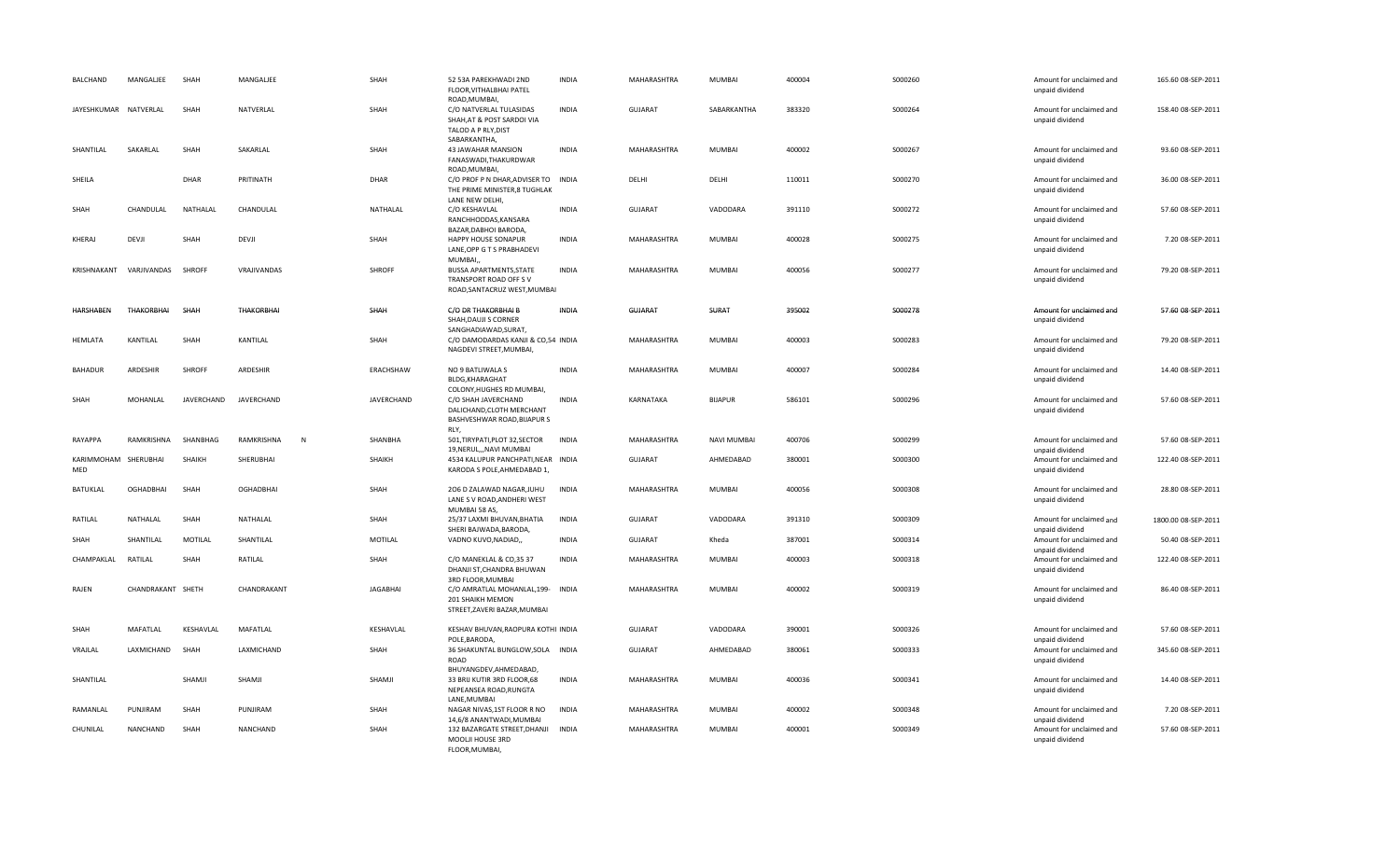| BALCHAND                    | MANGALJEE         | SHAH          | MANGALIEE         | SHAH            | 52 53A PAREKHWADI 2ND<br>FLOOR, VITHALBHAI PATEL<br>ROAD, MUMBAI,                              | <b>INDIA</b> | MAHARASHTRA    | MUMBAI             | 400004 | S000260 | Amount for unclaimed and<br>unpaid dividend                    | 165.60 08-SEP-2011  |
|-----------------------------|-------------------|---------------|-------------------|-----------------|------------------------------------------------------------------------------------------------|--------------|----------------|--------------------|--------|---------|----------------------------------------------------------------|---------------------|
| JAYESHKUMAR NATVERLAL       |                   | SHAH          | NATVERLAL         | SHAH            | C/O NATVERLAL TULASIDAS<br>SHAH, AT & POST SARDOI VIA<br>TALOD A P RLY, DIST<br>SABARKANTHA.   | <b>INDIA</b> | <b>GUJARAT</b> | SABARKANTHA        | 383320 | S000264 | Amount for unclaimed and<br>unpaid dividend                    | 158.40 08-SEP-2011  |
| SHANTILAL                   | SAKARLAL          | SHAH          | SAKARLAL          | SHAH            | 43 JAWAHAR MANSION<br>FANASWADI, THAKURDWAR<br>ROAD, MUMBAI,                                   | <b>INDIA</b> | MAHARASHTRA    | MUMBAI             | 400002 | S000267 | Amount for unclaimed and<br>unpaid dividend                    | 93.60 08-SEP-2011   |
| SHEILA                      |                   | DHAR          | PRITINATH         | DHAR            | C/O PROF P N DHAR, ADVISER TO<br>THE PRIME MINISTER,8 TUGHLAK<br>LANE NEW DELHI,               | INDIA        | DELHI          | DELHI              | 110011 | S000270 | Amount for unclaimed and<br>unpaid dividend                    | 36.00 08-SEP-2011   |
| SHAH                        | CHANDULAL         | NATHALAL      | CHANDULAL         | NATHALAL        | C/O KESHAVLAL<br>RANCHHODDAS, KANSARA<br>BAZAR, DABHOI BARODA,                                 | <b>INDIA</b> | <b>GUJARAT</b> | VADODARA           | 391110 | S000272 | Amount for unclaimed and<br>unpaid dividend                    | 57.60 08-SEP-2011   |
| KHERAJ                      | DEVJI             | SHAH          | DEVJI             | SHAH            | HAPPY HOUSE SONAPUR<br>LANE, OPP G T S PRABHADEVI<br>MUMBAI,                                   | <b>INDIA</b> | MAHARASHTRA    | MUMBAI             | 400028 | S000275 | Amount for unclaimed and<br>unpaid dividend                    | 7.20 08-SEP-2011    |
| KRISHNAKANT                 | VARJIVANDAS       | <b>SHROFF</b> | VRAJIVANDAS       | SHROFF          | <b>BUSSA APARTMENTS, STATE</b><br>TRANSPORT ROAD OFF SV<br>ROAD, SANTACRUZ WEST, MUMBAI        | <b>INDIA</b> | MAHARASHTRA    | MUMBAI             | 400056 | S000277 | Amount for unclaimed and<br>unpaid dividend                    | 79.20 08-SEP-2011   |
| <b>HARSHABEN</b>            | <b>THAKORBHAI</b> | SHAH          | <b>THAKORBHAI</b> | SHAH            | C/O DR THAKORBHAI B<br>SHAH, DAUJI S CORNER<br>SANGHADIAWAD, SURAT,                            | <b>INDIA</b> | <b>GUJARAT</b> | SURAT              | 395002 | S000278 | Amount for unclaimed and<br>unpaid dividend                    | 57.60 08-SEP-2011   |
| <b>HEMLATA</b>              | KANTILAL          | SHAH          | KANTILAL          | SHAH            | C/O DAMODARDAS KANJI & CO,54 INDIA<br>NAGDEVI STREET, MUMBAI,                                  |              | MAHARASHTRA    | MUMBAI             | 400003 | S000283 | Amount for unclaimed and<br>unpaid dividend                    | 79.20 08-SEP-2011   |
| <b>BAHADUR</b>              | ARDESHIR          | SHROFF        | ARDESHIR          | ERACHSHAW       | NO 9 BATLIWALA S<br><b>BLDG, KHARAGHAT</b><br>COLONY, HUGHES RD MUMBAI,                        | <b>INDIA</b> | MAHARASHTRA    | MUMBAI             | 400007 | S000284 | Amount for unclaimed and<br>unpaid dividend                    | 14.40 08-SEP-2011   |
| SHAH                        | MOHANLAL          | JAVERCHAND    | JAVERCHAND        | JAVERCHAND      | C/O SHAH JAVERCHAND<br>DALICHAND, CLOTH MERCHANT<br>BASHVESHWAR ROAD, BIJAPUR S<br>RLY,        | <b>INDIA</b> | KARNATAKA      | <b>BIJAPUR</b>     | 586101 | S000296 | Amount for unclaimed and<br>unpaid dividend                    | 57.60 08-SEP-2011   |
| RAYAPPA                     | RAMKRISHNA        | SHANBHAG      | RAMKRISHNA<br>N   | SHANBHA         | 501, TIRYPATI, PLOT 32, SECTOR<br>19, NERUL, , NAVI MUMBAI                                     | <b>INDIA</b> | MAHARASHTRA    | <b>NAVI MUMBAI</b> | 400706 | S000299 | Amount for unclaimed and<br>unpaid dividend                    | 57.60 08-SEP-2011   |
| KARIMMOHAM SHERUBHAI<br>MED |                   | SHAIKH        | SHERUBHAI         | SHAIKH          | 4534 KALUPUR PANCHPATI, NEAR INDIA<br>KARODA S POLE, AHMEDABAD 1,                              |              | <b>GUJARAT</b> | AHMEDABAD          | 380001 | S000300 | Amount for unclaimed and<br>unpaid dividend                    | 122.40 08-SEP-2011  |
| BATUKLAL                    | <b>OGHADBHAI</b>  | SHAH          | <b>OGHADBHAI</b>  | SHAH            | 206 D ZALAWAD NAGAR, JUHU<br>LANE S V ROAD, ANDHERI WEST<br>MUMBAI 58 AS,                      | <b>INDIA</b> | MAHARASHTRA    | MUMBAI             | 400056 | S000308 | Amount for unclaimed and<br>unpaid dividend                    | 28.80 08-SEP-2011   |
| RATILAL                     | NATHALAL          | SHAH          | NATHALAL          | SHAH            | 25/37 LAXMI BHUVAN, BHATIA<br>SHERI BAJWADA.BARODA.                                            | <b>INDIA</b> | <b>GUJARAT</b> | VADODARA           | 391310 | S000309 | Amount for unclaimed and<br>unpaid dividend                    | 1800.00 08-SEP-2011 |
| SHAH                        | SHANTILAL         | MOTILAL       | SHANTILAL         | MOTILAL         | VADNO KUVO, NADIAD,,                                                                           | <b>INDIA</b> | <b>GUJARAT</b> | Kheda              | 387001 | S000314 | Amount for unclaimed and<br>unpaid dividend                    | 50.40 08-SEP-2011   |
| CHAMPAKLAL                  | RATILAL           | SHAH          | RATILAL           | SHAH            | C/O MANEKLAL & CO,35 37<br>DHANJI ST, CHANDRA BHUWAN<br>3RD FLOOR, MUMBAI                      | <b>INDIA</b> | MAHARASHTRA    | MUMBAI             | 400003 | S000318 | Amount for unclaimed and<br>unpaid dividend                    | 122.40 08-SEP-2011  |
| RAJEN                       | CHANDRAKANT SHETH |               | CHANDRAKANT       | <b>JAGABHAI</b> | C/O AMRATLAL MOHANLAL, 199- INDIA<br>201 SHAIKH MEMON<br>STREET, ZAVERI BAZAR, MUMBAI          |              | MAHARASHTRA    | <b>MUMBAI</b>      | 400002 | S000319 | Amount for unclaimed and<br>unpaid dividend                    | 86.40 08-SEP-2011   |
| SHAH                        | MAFATLAL          | KESHAVLAL     | MAFATLAL          | KESHAVLAL       | KESHAV BHUVAN, RAOPURA KOTHI INDIA<br>POLE, BARODA                                             |              | <b>GUJARAT</b> | VADODARA           | 390001 | S000326 | Amount for unclaimed and<br>unpaid dividend                    | 57.60 08-SEP-2011   |
| VRAJLAL                     | LAXMICHAND        | SHAH          | LAXMICHAND        | SHAH            | 36 SHAKUNTAL BUNGLOW, SOLA INDIA<br>ROAD                                                       |              | <b>GUJARAT</b> | AHMEDABAD          | 380061 | S000333 | Amount for unclaimed and<br>unpaid dividend                    | 345.60 08-SEP-2011  |
| SHANTILAL                   |                   | SHAMJI        | SHAMJI            | SHAMJI          | BHUYANGDEV, AHMEDABAD,<br>33 BRIJ KUTIR 3RD FLOOR,68<br>NEPEANSEA ROAD, RUNGTA                 | <b>INDIA</b> | MAHARASHTRA    | MUMBAI             | 400036 | S000341 | Amount for unclaimed and<br>unpaid dividend                    | 14.40 08-SEP-2011   |
| RAMANLAL                    | PUNJIRAM          | SHAH          | PUNJIRAM          | SHAH            | LANE, MUMBAI<br>NAGAR NIVAS, 1ST FLOOR R NO                                                    | <b>INDIA</b> | MAHARASHTRA    | MUMBAI             | 400002 | S000348 | Amount for unclaimed and                                       | 7.20 08-SEP-2011    |
| CHUNILAL                    | NANCHAND          | SHAH          | NANCHAND          | SHAH            | 14,6/8 ANANTWADI, MUMBAI<br>132 BAZARGATE STREET, DHANJI<br>MOOLJI HOUSE 3RD<br>FLOOR, MUMBAI, | <b>INDIA</b> | MAHARASHTRA    | MUMBAI             | 400001 | S000349 | unpaid dividend<br>Amount for unclaimed and<br>unpaid dividend | 57.60 08-SEP-2011   |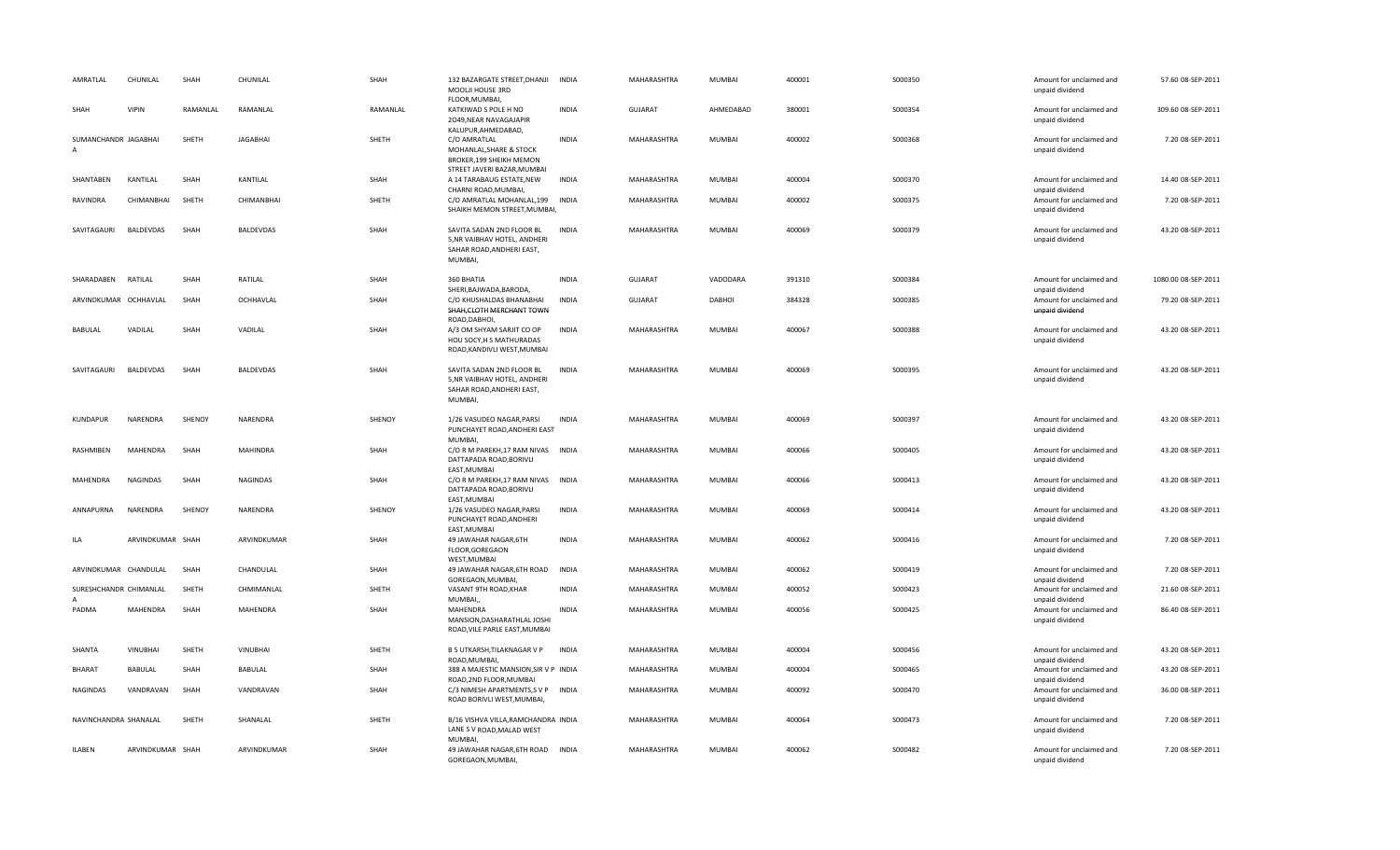| AMRATLAL                                 | CHUNILAL         | SHAH     | CHUNILAL         | SHAH     | 132 BAZARGATE STREET, DHANJI<br>MOOLJI HOUSE 3RD<br>FLOOR, MUMBAI,                                        | <b>INDIA</b> | MAHARASHTRA    | MUMBAI        | 400001 | S000350  | Amount for unclaimed and<br>unpaid dividend                    | 57.60 08-SEP-2011   |
|------------------------------------------|------------------|----------|------------------|----------|-----------------------------------------------------------------------------------------------------------|--------------|----------------|---------------|--------|----------|----------------------------------------------------------------|---------------------|
| SHAH                                     | <b>VIPIN</b>     | RAMANLAL | RAMANLAL         | RAMANLAL | KATKIWAD S POLE H NO<br>2049, NEAR NAVAGAJAPIR<br>KALUPUR, AHMEDABAD,                                     | <b>INDIA</b> | <b>GUJARAT</b> | AHMEDABAD     | 380001 | S000354  | Amount for unclaimed and<br>unpaid dividend                    | 309.60 08-SEP-2011  |
| SUMANCHANDR JAGABHAI<br>$\overline{A}$   |                  | SHETH    | <b>JAGABHAI</b>  | SHETH    | C/O AMRATLAL<br>MOHANLAL, SHARE & STOCK<br><b>BROKER, 199 SHEIKH MEMON</b><br>STREET JAVERI BAZAR, MUMBAI | <b>INDIA</b> | MAHARASHTRA    | MUMBAI        | 400002 | S000368  | Amount for unclaimed and<br>unpaid dividend                    | 7.20 08-SEP-2011    |
| SHANTABEN                                | KANTILAL         | SHAH     | KANTILAL         | SHAH     | A 14 TARABAUG ESTATE, NEW<br>CHARNI ROAD, MUMBAI,                                                         | <b>INDIA</b> | MAHARASHTRA    | MUMBAI        | 400004 | S000370  | Amount for unclaimed and<br>unpaid dividend                    | 14.40 08-SEP-2011   |
| RAVINDRA                                 | CHIMANBHAI       | SHETH    | CHIMANBHAI       | SHETH    | C/O AMRATLAL MOHANLAL, 199 INDIA<br>SHAIKH MEMON STREET, MUMBAI,                                          |              | MAHARASHTRA    | MUMBAI        | 400002 | S000375  | Amount for unclaimed and<br>unpaid dividend                    | 7.20 08-SEP-2011    |
| SAVITAGAURI                              | <b>BALDEVDAS</b> | SHAH     | <b>BALDEVDAS</b> | SHAH     | SAVITA SADAN 2ND FLOOR BL<br>5, NR VAIBHAV HOTEL, ANDHERI<br>SAHAR ROAD, ANDHERI EAST,<br>MUMBAI,         | <b>INDIA</b> | MAHARASHTRA    | <b>MUMBAI</b> | 400069 | S000379  | Amount for unclaimed and<br>unpaid dividend                    | 43.20 08-SEP-2011   |
| SHARADABEN                               | RATILAL          | SHAH     | RATILAL          | SHAH     | 360 BHATIA<br>SHERI, BAJWADA, BARODA,                                                                     | <b>INDIA</b> | <b>GUJARAT</b> | VADODARA      | 391310 | S000384  | Amount for unclaimed and<br>unpaid dividend                    | 1080.00 08-SEP-2011 |
| ARVINDKUMAR OCHHAVLAL                    |                  | SHAH     | OCHHAVLAL        | SHAH     | C/O KHUSHALDAS BHANABHAI<br>SHAH, CLOTH MERCHANT TOWN<br>ROAD, DABHOI,                                    | <b>INDIA</b> | <b>GUJARAT</b> | DABHOI        | 384328 | \$000385 | Amount for unclaimed and<br>unpaid dividend                    | 79.20 08-SEP-2011   |
| BABULAL                                  | VADILAL          | SHAH     | VADILAL          | SHAH     | A/3 OM SHYAM SARJIT CO OP<br>HOU SOCY, H S MATHURADAS<br>ROAD, KANDIVLI WEST, MUMBAI                      | <b>INDIA</b> | MAHARASHTRA    | MUMBAI        | 400067 | \$000388 | Amount for unclaimed and<br>unpaid dividend                    | 43.20 08-SEP-2011   |
| SAVITAGAURI                              | <b>BALDEVDAS</b> | SHAH     | <b>BALDEVDAS</b> | SHAH     | SAVITA SADAN 2ND FLOOR BL<br>5, NR VAIBHAV HOTEL, ANDHERI<br>SAHAR ROAD, ANDHERI EAST,<br>MUMBAI,         | <b>INDIA</b> | MAHARASHTRA    | MUMBAI        | 400069 | S000395  | Amount for unclaimed and<br>unpaid dividend                    | 43.20 08-SEP-2011   |
| KUNDAPUR                                 | NARENDRA         | SHENOY   | NARENDRA         | SHENOY   | 1/26 VASUDEO NAGAR, PARSI<br>PUNCHAYET ROAD, ANDHERI EAST<br>MUMBAI,                                      | <b>INDIA</b> | MAHARASHTRA    | MUMBAI        | 400069 | S000397  | Amount for unclaimed and<br>unpaid dividend                    | 43.20 08-SEP-2011   |
| RASHMIBEN                                | <b>MAHENDRA</b>  | SHAH     | <b>MAHINDRA</b>  | SHAH     | C/O R M PAREKH, 17 RAM NIVAS INDIA<br>DATTAPADA ROAD, BORIVLI<br>EAST, MUMBAI                             |              | MAHARASHTRA    | MUMBAI        | 400066 | S000405  | Amount for unclaimed and<br>unpaid dividend                    | 43.20 08-SEP-2011   |
| MAHENDRA                                 | <b>NAGINDAS</b>  | SHAH     | <b>NAGINDAS</b>  | SHAH     | C/O R M PAREKH, 17 RAM NIVAS INDIA<br>DATTAPADA ROAD, BORIVLI<br>EAST, MUMBAI                             |              | MAHARASHTRA    | MUMBAI        | 400066 | S000413  | Amount for unclaimed and<br>unpaid dividend                    | 43.20 08-SEP-2011   |
| ANNAPURNA                                | NARENDRA         | SHENOY   | NARENDRA         | SHENOY   | 1/26 VASUDEO NAGAR, PARSI<br>PUNCHAYET ROAD, ANDHERI<br>EAST, MUMBAI                                      | <b>INDIA</b> | MAHARASHTRA    | MUMBAI        | 400069 | S000414  | Amount for unclaimed and<br>unpaid dividend                    | 43.20 08-SEP-2011   |
| ILA                                      | ARVINDKUMAR SHAH |          | ARVINDKUMAR      | SHAH     | 49 JAWAHAR NAGAR, 6TH<br>FLOOR, GOREGAON<br>WEST, MUMBAI                                                  | <b>INDIA</b> | MAHARASHTRA    | MUMBAI        | 400062 | S000416  | Amount for unclaimed and<br>unpaid dividend                    | 7.20 08-SEP-2011    |
| ARVINDKUMAR CHANDULAL                    |                  | SHAH     | CHANDULAL        | SHAH     | 49 JAWAHAR NAGAR, 6TH ROAD<br>GOREGAON, MUMBAI,                                                           | <b>INDIA</b> | MAHARASHTRA    | MUMBAI        | 400062 | S000419  | Amount for unclaimed and<br>unpaid dividend                    | 7.20 08-SEP-2011    |
| SURESHCHANDR CHIMANLAL<br>$\overline{A}$ |                  | SHETH    | CHMIMANLAL       | SHETH    | VASANT 9TH ROAD, KHAR<br>MUMBAI,                                                                          | <b>INDIA</b> | MAHARASHTRA    | MUMBAI        | 400052 | S000423  | Amount for unclaimed and<br>unpaid dividend                    | 21.60 08-SEP-2011   |
| PADMA                                    | MAHENDRA         | SHAH     | MAHENDRA         | SHAH     | MAHENDRA<br>MANSION, DASHARATHLAL JOSHI<br>ROAD, VILE PARLE EAST, MUMBAI                                  | <b>INDIA</b> | MAHARASHTRA    | MUMBAI        | 400056 | S000425  | Amount for unclaimed and<br>unpaid dividend                    | 86.40 08-SEP-2011   |
| SHANTA                                   | <b>VINUBHAI</b>  | SHETH    | VINUBHAI         | SHETH    | B 5 UTKARSH, TILAKNAGAR V P<br>ROAD, MUMBAI                                                               | <b>INDIA</b> | MAHARASHTRA    | MUMBAI        | 400004 | S000456  | Amount for unclaimed and<br>unpaid dividend                    | 43.20 08-SEP-2011   |
| BHARAT                                   | BABULAL          | SHAH     | BABULAL          | SHAH     | 388 A MAJESTIC MANSION, SIR V P INDIA                                                                     |              | MAHARASHTRA    | MUMBAI        | 400004 | S000465  | Amount for unclaimed and                                       | 43.20 08-SEP-2011   |
| NAGINDAS                                 | VANDRAVAN        | SHAH     | VANDRAVAN        | SHAH     | ROAD, 2ND FLOOR, MUMBAI<br>C/3 NIMESH APARTMENTS, SVP INDIA<br>ROAD BORIVLI WEST, MUMBAI,                 |              | MAHARASHTRA    | MUMBAI        | 400092 | S000470  | unpaid dividend<br>Amount for unclaimed and<br>unpaid dividend | 36.00 08-SEP-2011   |
| NAVINCHANDRA SHANALAL                    |                  | SHETH    | SHANALAL         | SHETH    | B/16 VISHVA VILLA, RAMCHANDRA INDIA<br>LANE S V ROAD, MALAD WEST<br>MUMBAI,                               |              | MAHARASHTRA    | MUMBAI        | 400064 | S000473  | Amount for unclaimed and<br>unpaid dividend                    | 7.20 08-SEP-2011    |
| <b>ILABEN</b>                            | ARVINDKUMAR SHAH |          | ARVINDKUMAR      | SHAH     | 49 JAWAHAR NAGAR, 6TH ROAD INDIA<br>GOREGAON, MUMBAI,                                                     |              | MAHARASHTRA    | MUMBAI        | 400062 | S000482  | Amount for unclaimed and<br>unpaid dividend                    | 7.20 08-SEP-2011    |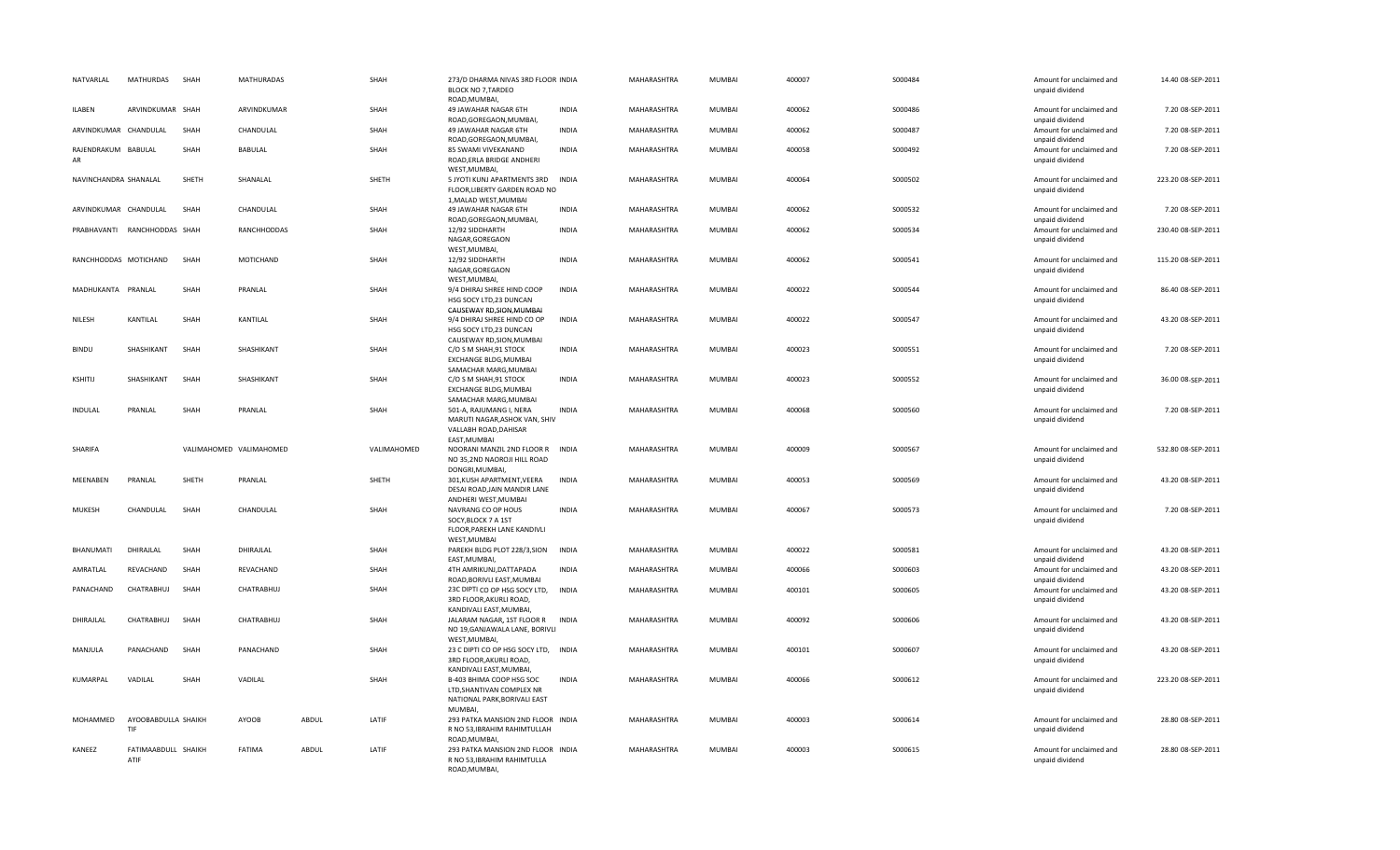| NATVARLAL                 | MATHURDAS                    | SHAH  | <b>MATHURADAS</b>       |       | SHAH        | 273/D DHARMA NIVAS 3RD FLOOR INDIA<br><b>BLOCK NO 7, TARDEO</b><br>ROAD, MUMBAI,              |              | MAHARASHTRA        | <b>MUMBAI</b> | 400007 | S000484  | Amount for unclaimed and<br>unpaid dividend | 14.40 08-SEP-2011  |
|---------------------------|------------------------------|-------|-------------------------|-------|-------------|-----------------------------------------------------------------------------------------------|--------------|--------------------|---------------|--------|----------|---------------------------------------------|--------------------|
| ILABEN                    | ARVINDKUMAR SHAH             |       | ARVINDKUMAR             |       | SHAH        | 49 JAWAHAR NAGAR 6TH<br>ROAD, GOREGAON, MUMBAI,                                               | <b>INDIA</b> | MAHARASHTRA        | MUMBAI        | 400062 | S000486  | Amount for unclaimed and<br>unpaid dividend | 7.20 08-SEP-2011   |
| ARVINDKUMAR CHANDULAL     |                              | SHAH  | CHANDULAL               |       | SHAH        | 49 JAWAHAR NAGAR 6TH<br>ROAD, GOREGAON, MUMBAI,                                               | <b>INDIA</b> | MAHARASHTRA        | MUMBAI        | 400062 | S000487  | Amount for unclaimed and<br>unpaid dividend | 7.20 08-SEP-2011   |
| RAJENDRAKUM BABULAL<br>AR |                              | SHAH  | BABULAL                 |       | SHAH        | 85 SWAMI VIVEKANAND<br>ROAD, ERLA BRIDGE ANDHERI<br>WEST, MUMBAI,                             | <b>INDIA</b> | MAHARASHTRA        | MUMBAI        | 400058 | S000492  | Amount for unclaimed and<br>unpaid dividend | 7.20 08-SEP-2011   |
| NAVINCHANDRA SHANALAL     |                              | SHETH | SHANALAL                |       | SHETH       | 5 JYOTI KUNJ APARTMENTS 3RD<br>FLOOR, LIBERTY GARDEN ROAD NO<br>1, MALAD WEST, MUMBAI         | <b>INDIA</b> | MAHARASHTRA        | <b>MUMBAI</b> | 400064 | S000502  | Amount for unclaimed and<br>unpaid dividend | 223.20 08-SEP-2011 |
| ARVINDKUMAR CHANDULAL     |                              | SHAH  | CHANDULAL               |       | SHAH        | 49 JAWAHAR NAGAR 6TH<br>ROAD, GOREGAON, MUMBAI,                                               | <b>INDIA</b> | MAHARASHTRA        | MUMBAI        | 400062 | S000532  | Amount for unclaimed and<br>unpaid dividend | 7.20 08-SEP-2011   |
|                           | PRABHAVANTI RANCHHODDAS SHAH |       | RANCHHODDAS             |       | SHAH        | 12/92 SIDDHARTH<br>NAGAR, GOREGAON<br>WEST, MUMBAI,                                           | INDIA        | MAHARASHTRA        | <b>MUMBAI</b> | 400062 | S000534  | Amount for unclaimed and<br>unpaid dividend | 230.40 08-SEP-2011 |
|                           | RANCHHODDAS MOTICHAND        | SHAH  | MOTICHAND               |       | SHAH        | 12/92 SIDDHARTH<br>NAGAR, GOREGAON<br>WEST, MUMBAI,                                           | <b>INDIA</b> | MAHARASHTRA        | MUMBAI        | 400062 | S000541  | Amount for unclaimed and<br>unpaid dividend | 115.20 08-SEP-2011 |
| MADHUKANTA PRANLAL        |                              | SHAH  | PRANLAL                 |       | SHAH        | 9/4 DHIRAJ SHREE HIND COOP<br>HSG SOCY LTD,23 DUNCAN<br>CAUSEWAY RD, SION, MUMBAI             | <b>INDIA</b> | MAHARASHTRA        | MUMBAI        | 400022 | S000544  | Amount for unclaimed and<br>unpaid dividend | 86.40 08-SEP-2011  |
| NILESH                    | KANTILAL                     | SHAH  | KANTILAL                |       | SHAH        | 9/4 DHIRAJ SHREE HIND CO OP<br>HSG SOCY LTD,23 DUNCAN<br>CAUSEWAY RD, SION, MUMBAI            | <b>INDIA</b> | MAHARASHTRA        | MUMBAI        | 400022 | S000547  | Amount for unclaimed and<br>unpaid dividend | 43.20 08-SEP-2011  |
| <b>BINDU</b>              | SHASHIKANT                   | SHAH  | SHASHIKANT              |       | SHAH        | C/O S M SHAH, 91 STOCK<br>EXCHANGE BLDG, MUMBAI<br>SAMACHAR MARG, MUMBAI                      | <b>INDIA</b> | MAHARASHTRA        | MUMBAI        | 400023 | S000551  | Amount for unclaimed and<br>unpaid dividend | 7.20 08-SEP-2011   |
| KSHITIJ                   | SHASHIKANT                   | SHAH  | SHASHIKANT              |       | SHAH        | C/O S M SHAH, 91 STOCK<br>EXCHANGE BLDG, MUMBAI<br>SAMACHAR MARG, MUMBAI                      | <b>INDIA</b> | MAHARASHTRA        | MUMBAI        | 400023 | S000552  | Amount for unclaimed and<br>unpaid dividend | 36.00 08-SEP-2011  |
| <b>INDULAL</b>            | PRANLAL                      | SHAH  | PRANLAL                 |       | SHAH        | 501-A, RAJUMANG I, NERA<br>MARUTI NAGAR, ASHOK VAN, SHIV<br>VALLABH ROAD, DAHISAR             | <b>INDIA</b> | <b>MAHARASHTRA</b> | <b>MUMBAI</b> | 400068 | \$000560 | Amount for unclaimed and<br>unpaid dividend | 7.20 08-SEP-2011   |
| SHARIFA                   |                              |       | VALIMAHOMED VALIMAHOMED |       | VALIMAHOMED | EAST, MUMBAI<br>NOORANI MANZIL 2ND FLOOR R<br>NO 35,2ND NAOROJI HILL ROAD<br>DONGRI, MUMBAI,  | <b>INDIA</b> | MAHARASHTRA        | <b>MUMBAI</b> | 400009 | S000567  | Amount for unclaimed and<br>unpaid dividend | 532.80 08-SEP-2011 |
| MEENABEN                  | PRANLAL                      | SHETH | PRANLAL                 |       | SHETH       | 301, KUSH APARTMENT, VEERA<br>DESAI ROAD, JAIN MANDIR LANE<br>ANDHERI WEST, MUMBAI            | <b>INDIA</b> | MAHARASHTRA        | <b>MUMBAI</b> | 400053 | \$000569 | Amount for unclaimed and<br>unpaid dividend | 43.20 08-SEP-2011  |
| MUKESH                    | CHANDULAL                    | SHAH  | CHANDULAL               |       | SHAH        | NAVRANG CO OP HOUS<br>SOCY, BLOCK 7 A 1ST<br>FLOOR, PAREKH LANE KANDIVLI<br>WEST, MUMBAI      | <b>INDIA</b> | MAHARASHTRA        | MUMBAI        | 400067 | S000573  | Amount for unclaimed and<br>unpaid dividend | 7.20 08-SEP-2011   |
| BHANUMATI                 | DHIRAJLAL                    | SHAH  | DHIRAJLAL               |       | SHAH        | PAREKH BLDG PLOT 228/3, SION<br>EAST, MUMBAI,                                                 | INDIA        | MAHARASHTRA        | MUMBAI        | 400022 | S000581  | Amount for unclaimed and<br>unpaid dividend | 43.20 08-SEP-2011  |
| AMRATLAL                  | REVACHAND                    | SHAH  | REVACHAND               |       | SHAH        | 4TH AMRIKUNJ, DATTAPADA<br>ROAD, BORIVLI EAST, MUMBAI                                         | <b>INDIA</b> | MAHARASHTRA        | MUMBAI        | 400066 | S000603  | Amount for unclaimed and<br>unpaid dividend | 43.20 08-SEP-2011  |
| PANACHAND                 | CHATRABHUJ                   | SHAH  | CHATRABHUJ              |       | SHAH        | 23C DIPTI CO OP HSG SOCY LTD, INDIA<br>3RD FLOOR, AKURLI ROAD,<br>KANDIVALI EAST, MUMBAI,     |              | MAHARASHTRA        | <b>MUMBAI</b> | 400101 | \$000605 | Amount for unclaimed and<br>unpaid dividend | 43.20 08-SEP-2011  |
| DHIRAJLAL                 | CHATRABHUJ                   | SHAH  | CHATRABHUJ              |       | SHAH        | JALARAM NAGAR, 1ST FLOOR R<br>NO 19, GANJAWALA LANE, BORIVLI<br>WEST, MUMBAI,                 | <b>INDIA</b> | MAHARASHTRA        | MUMBAI        | 400092 | \$000606 | Amount for unclaimed and<br>unpaid dividend | 43.20 08-SEP-2011  |
| MANJULA                   | PANACHAND                    | SHAH  | PANACHAND               |       | SHAH        | 23 C DIPTI CO OP HSG SOCY LTD, INDIA<br>3RD FLOOR, AKURLI ROAD,<br>KANDIVALI EAST, MUMBAI,    |              | MAHARASHTRA        | MUMBAI        | 400101 | S000607  | Amount for unclaimed and<br>unpaid dividend | 43.20 08-SEP-2011  |
| KUMARPAL                  | VADILAL                      | SHAH  | VADILAL                 |       | SHAH        | B-403 BHIMA COOP HSG SOC<br>LTD, SHANTIVAN COMPLEX NR                                         | <b>INDIA</b> | MAHARASHTRA        | MUMBAI        | 400066 | S000612  | Amount for unclaimed and<br>unpaid dividend | 223.20 08-SEP-2011 |
|                           |                              |       |                         |       |             | NATIONAL PARK, BORIVALI EAST                                                                  |              |                    |               |        |          |                                             |                    |
| MOHAMMED                  | AYOOBABDULLA SHAIKH<br>TIF   |       | AYOOB                   | ABDUL | LATIF       | MUMBAI,<br>293 PATKA MANSION 2ND FLOOR INDIA<br>R NO 53, IBRAHIM RAHIMTULLAH<br>ROAD, MUMBAI, |              | MAHARASHTRA        | MUMBAI        | 400003 | S000614  | Amount for unclaimed and<br>unpaid dividend | 28.80 08-SEP-2011  |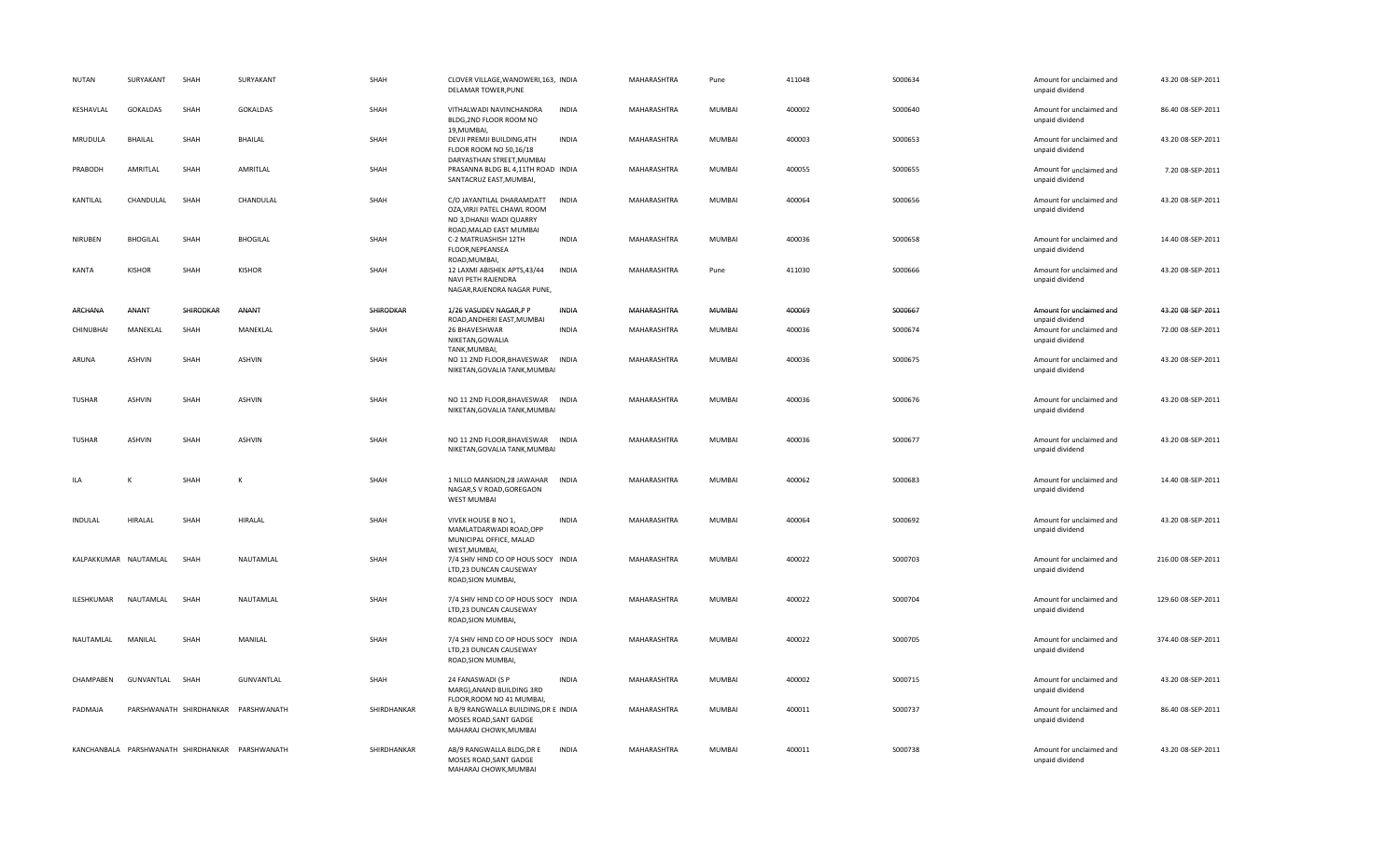| NUTAN          | SURYAKANT             | SHAH                    | SURYAKANT                                       | SHAH        | CLOVER VILLAGE, WANOWERI, 163, INDIA<br>DELAMAR TOWER, PUNE                                                     |              | MAHARASHTRA | Pune          | 411048 | S000634  | Amount for unclaimed and<br>unpaid dividend | 43.20 08-SEP-2011  |
|----------------|-----------------------|-------------------------|-------------------------------------------------|-------------|-----------------------------------------------------------------------------------------------------------------|--------------|-------------|---------------|--------|----------|---------------------------------------------|--------------------|
| KESHAVLAL      | <b>GOKALDAS</b>       | SHAH                    | GOKALDAS                                        | SHAH        | VITHALWADI NAVINCHANDRA<br>BLDG, 2ND FLOOR ROOM NO<br>19, MUMBAI,                                               | <b>INDIA</b> | MAHARASHTRA | <b>MUMBAI</b> | 400002 | S000640  | Amount for unclaimed and<br>unpaid dividend | 86.40 08-SEP-2011  |
| MRUDULA        | <b>BHAILAL</b>        | SHAH                    | <b>BHAILAL</b>                                  | SHAH        | DEVJI PREMJI BUILDING, 4TH<br>FLOOR ROOM NO 50,16/18<br>DARYASTHAN STREET, MUMBAI                               | <b>INDIA</b> | MAHARASHTRA | <b>MUMBAI</b> | 400003 | S000653  | Amount for unclaimed and<br>unpaid dividend | 43.20 08-SEP-2011  |
| PRABODH        | AMRITLAL              | SHAH                    | AMRITLAL                                        | SHAH        | PRASANNA BLDG BL 4,11TH ROAD INDIA<br>SANTACRUZ EAST, MUMBAI,                                                   |              | MAHARASHTRA | <b>MUMBAI</b> | 400055 | S000655  | Amount for unclaimed and<br>unpaid dividend | 7.20 08-SEP-2011   |
| KANTILAL       | CHANDULAL             | SHAH                    | CHANDULAL                                       | SHAH        | C/O JAYANTILAL DHARAMDATT<br>OZA, VIRJI PATEL CHAWL ROOM<br>NO 3, DHANJI WADI QUARRY<br>ROAD, MALAD EAST MUMBAI | <b>INDIA</b> | MAHARASHTRA | <b>MUMBAI</b> | 400064 | S000656  | Amount for unclaimed and<br>unpaid dividend | 43.20 08-SEP-2011  |
| NIRUBEN        | <b>BHOGILAL</b>       | SHAH                    | <b>BHOGILAL</b>                                 | SHAH        | C-2 MATRUASHISH 12TH<br>FLOOR, NEPEANSEA<br>ROAD, MUMBAI,                                                       | <b>INDIA</b> | MAHARASHTRA | <b>MUMBAI</b> | 400036 | S000658  | Amount for unclaimed and<br>unpaid dividend | 14.40 08-SEP-2011  |
| KANTA          | <b>KISHOR</b>         | SHAH                    | <b>KISHOR</b>                                   | SHAH        | 12 LAXMI ABISHEK APTS,43/44<br>NAVI PETH RAJENDRA<br>NAGAR, RAJENDRA NAGAR PUNE,                                | <b>INDIA</b> | MAHARASHTRA | Pune          | 411030 | S000666  | Amount for unclaimed and<br>unpaid dividend | 43.20 08-SEP-2011  |
| ARCHANA        | ANANT                 | SHIRODKAR               | <b>ANANT</b>                                    | SHIRODKAR   | 1/26 VASUDEV NAGAR, PP<br>ROAD, ANDHERI EAST, MUMBAI                                                            | INDIA        | MAHARASHTRA | <b>MUMBAI</b> | 400069 | S000667  | Amount for unclaimed and<br>unpaid dividend | 43.20 08-SEP-2011  |
| CHINUBHAI      | MANEKLAL              | SHAH                    | MANEKLAL                                        | SHAH        | 26 BHAVESHWAR<br>NIKETAN, GOWALIA<br>TANK, MUMBAI,                                                              | <b>INDIA</b> | MAHARASHTRA | <b>MUMBAI</b> | 400036 | S000674  | Amount for unclaimed and<br>unpaid dividend | 72.00 08-SEP-2011  |
| ARUNA          | <b>ASHVIN</b>         | SHAH                    | ASHVIN                                          | SHAH        | NO 11 2ND FLOOR, BHAVESWAR<br>NIKETAN, GOVALIA TANK, MUMBAI                                                     | <b>INDIA</b> | MAHARASHTRA | <b>MUMBAI</b> | 400036 | S000675  | Amount for unclaimed and<br>unpaid dividend | 43.20 08-SEP-2011  |
| TUSHAR         | <b>ASHVIN</b>         | SHAH                    | ASHVIN                                          | SHAH        | NO 11 2ND FLOOR, BHAVESWAR INDIA<br>NIKETAN, GOVALIA TANK, MUMBAI                                               |              | MAHARASHTRA | <b>MUMBAI</b> | 400036 | S000676  | Amount for unclaimed and<br>unpaid dividend | 43.20 08-SEP-2011  |
| <b>TUSHAR</b>  | <b>ASHVIN</b>         | SHAH                    | ASHVIN                                          | SHAH        | NO 11 2ND FLOOR, BHAVESWAR INDIA<br>NIKETAN, GOVALIA TANK, MUMBAI                                               |              | MAHARASHTRA | <b>MUMBAI</b> | 400036 | S000677  | Amount for unclaimed and<br>unpaid dividend | 43.20 08-SEP-2011  |
| ILA            | К                     | SHAH                    | К                                               | SHAH        | 1 NILLO MANSION, 28 JAWAHAR INDIA<br>NAGAR,S V ROAD,GOREGAON<br><b>WEST MUMBAI</b>                              |              | MAHARASHTRA | <b>MUMBAI</b> | 400062 | \$000683 | Amount for unclaimed and<br>unpaid dividend | 14.40 08-SEP-2011  |
| <b>INDULAL</b> | <b>HIRALAL</b>        | SHAH                    | <b>HIRALAL</b>                                  | SHAH        | VIVEK HOUSE B NO 1.<br>MAMLATDARWADI ROAD, OPP<br>MUNICIPAL OFFICE, MALAD                                       | <b>INDIA</b> | MAHARASHTRA | <b>MUMBAI</b> | 400064 | S000692  | Amount for unclaimed and<br>unpaid dividend | 43.20 08-SEP-2011  |
|                | KALPAKKUMAR NAUTAMLAL | SHAH                    | NAUTAMLAL                                       | SHAH        | WEST, MUMBAI,<br>7/4 SHIV HIND CO OP HOUS SOCY INDIA<br>LTD,23 DUNCAN CAUSEWAY<br>ROAD, SION MUMBAI,            |              | MAHARASHTRA | <b>MUMBAI</b> | 400022 | S000703  | Amount for unclaimed and<br>unpaid dividend | 216.00 08-SEP-2011 |
| ILESHKUMAR     | NAUTAMLAL             | SHAH                    | NAUTAMLAL                                       | SHAH        | 7/4 SHIV HIND CO OP HOUS SOCY INDIA<br>LTD,23 DUNCAN CAUSEWAY<br>ROAD, SION MUMBAI,                             |              | MAHARASHTRA | <b>MUMBAI</b> | 400022 | S000704  | Amount for unclaimed and<br>unpaid dividend | 129.60 08-SEP-2011 |
| NAUTAMLAL      | MANILAL               | SHAH                    | MANILAL                                         | SHAH        | 7/4 SHIV HIND CO OP HOUS SOCY INDIA<br>LTD,23 DUNCAN CAUSEWAY<br>ROAD, SION MUMBAI,                             |              | MAHARASHTRA | <b>MUMBAI</b> | 400022 | S000705  | Amount for unclaimed and<br>unpaid dividend | 374.40 08-SEP-2011 |
| CHAMPABEN      | GUNVANTLAL            | SHAH                    | GUNVANTLAL                                      | SHAH        | 24 FANASWADI (S P<br>MARG), ANAND BUILDING 3RD<br>FLOOR, ROOM NO 41 MUMBAI,                                     | INDIA        | MAHARASHTRA | <b>MUMBAI</b> | 400002 | S000715  | Amount for unclaimed and<br>unpaid dividend | 43.20 08-SEP-2011  |
| PADMAJA        |                       | PARSHWANATH SHIRDHANKAR | PARSHWANATH                                     | SHIRDHANKAR | A B/9 RANGWALLA BUILDING, DR E INDIA<br>MOSES ROAD, SANT GADGE<br>MAHARAJ CHOWK, MUMBAI                         |              | MAHARASHTRA | <b>MUMBAI</b> | 400011 | S000737  | Amount for unclaimed and<br>unpaid dividend | 86.40 08-SEP-2011  |
|                |                       |                         | KANCHANBALA PARSHWANATH SHIRDHANKAR PARSHWANATH | SHIRDHANKAR | AB/9 RANGWALLA BLDG, DR E<br>MOSES ROAD, SANT GADGE<br>MAHARAJ CHOWK, MUMBAI                                    | INDIA        | MAHARASHTRA | <b>MUMBAI</b> | 400011 | S000738  | Amount for unclaimed and<br>unpaid dividend | 43.20 08-SEP-2011  |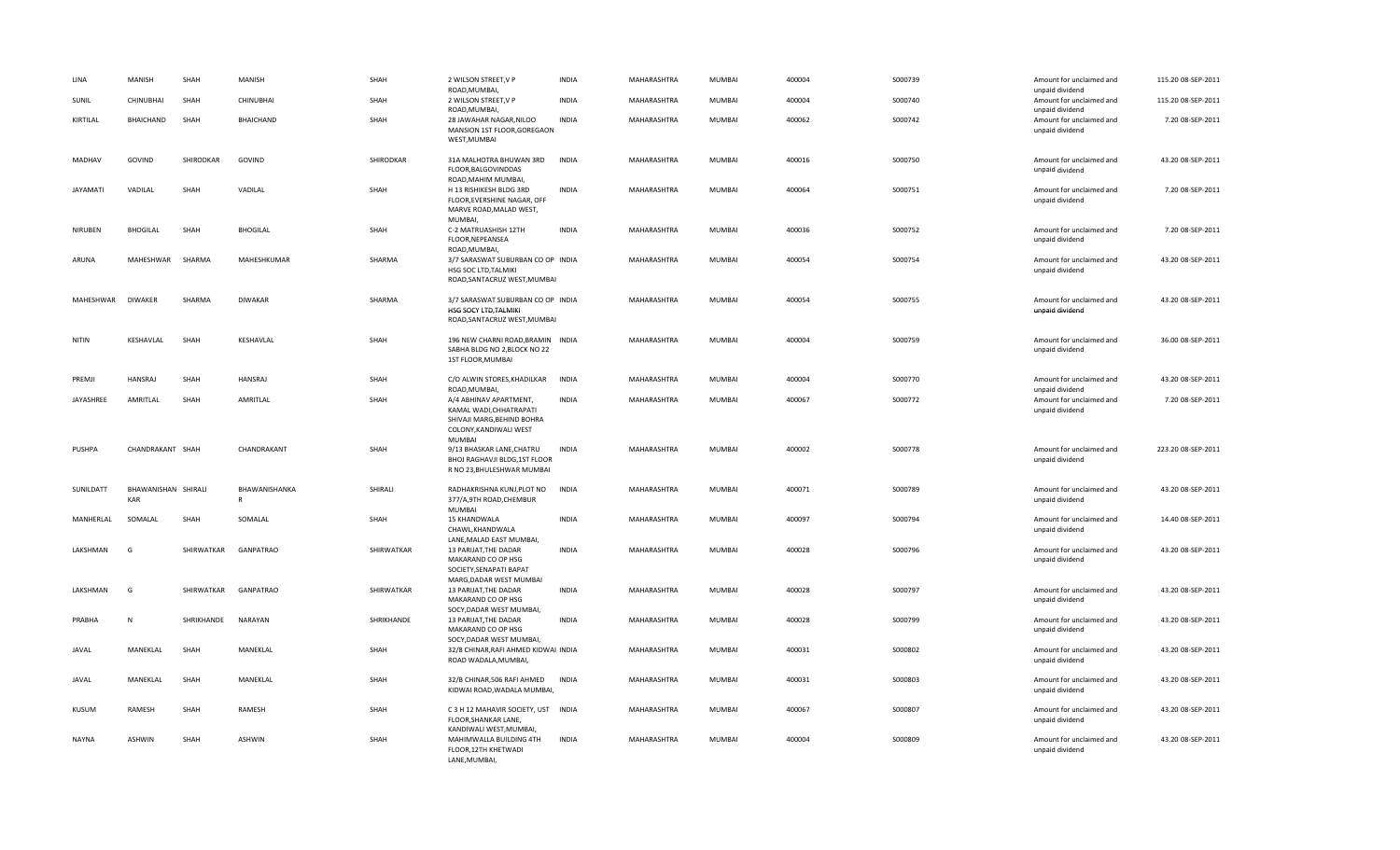| LINA            | MANISH                     | SHAH       | MANISH             | SHAH       | 2 WILSON STREET, V P<br>ROAD, MUMBAI,                                                                                      | <b>INDIA</b> | MAHARASHTRA | MUMBAI        | 400004 | S000739  | Amount for unclaimed and<br>unpaid dividend | 115.20 08-SEP-2011 |
|-----------------|----------------------------|------------|--------------------|------------|----------------------------------------------------------------------------------------------------------------------------|--------------|-------------|---------------|--------|----------|---------------------------------------------|--------------------|
| SUNIL           | CHINUBHAI                  | SHAH       | CHINUBHAI          | SHAH       | 2 WILSON STREET, V P<br>ROAD, MUMBAI,                                                                                      | <b>INDIA</b> | MAHARASHTRA | <b>MUMBAI</b> | 400004 | S000740  | Amount for unclaimed and<br>unpaid dividend | 115.20 08-SEP-2011 |
| KIRTILAL        | BHAICHAND                  | SHAH       | BHAICHAND          | SHAH       | 28 JAWAHAR NAGAR, NILOO<br>MANSION 1ST FLOOR, GOREGAON<br>WEST, MUMBAI                                                     | <b>INDIA</b> | MAHARASHTRA | <b>MUMBAI</b> | 400062 | S000742  | Amount for unclaimed and<br>unpaid dividend | 7.20 08-SEP-2011   |
| MADHAV          | GOVIND                     | SHIRODKAR  | GOVIND             | SHIRODKAR  | 31A MALHOTRA BHUWAN 3RD<br>FLOOR, BALGOVINDDAS<br>ROAD, MAHIM MUMBAI,                                                      | <b>INDIA</b> | MAHARASHTRA | <b>MUMBAI</b> | 400016 | S000750  | Amount for unclaimed and<br>unpaid dividend | 43.20 08-SEP-2011  |
| <b>JAYAMATI</b> | VADILAL                    | SHAH       | VADILAL            | SHAH       | H 13 RISHIKESH BLDG 3RD<br>FLOOR, EVERSHINE NAGAR, OFF<br>MARVE ROAD, MALAD WEST,<br><b>MUMBAI</b>                         | <b>INDIA</b> | MAHARASHTRA | <b>MUMBAI</b> | 400064 | S000751  | Amount for unclaimed and<br>unpaid dividend | 7.20 08-SEP-2011   |
| NIRUBEN         | <b>BHOGILAL</b>            | SHAH       | <b>BHOGILAL</b>    | SHAH       | C-2 MATRUASHISH 12TH<br>FLOOR, NEPEANSEA<br>ROAD, MUMBAI,                                                                  | <b>INDIA</b> | MAHARASHTRA | <b>MUMBAI</b> | 400036 | S000752  | Amount for unclaimed and<br>unpaid dividend | 7.20 08-SEP-2011   |
| ARUNA           | MAHESHWAR                  | SHARMA     | MAHESHKUMAR        | SHARMA     | 3/7 SARASWAT SUBURBAN CO OP INDIA<br>HSG SOC LTD, TALMIKI<br>ROAD, SANTACRUZ WEST, MUMBAI                                  |              | MAHARASHTRA | <b>MUMBAI</b> | 400054 | S000754  | Amount for unclaimed and<br>unpaid dividend | 43.20 08-SEP-2011  |
| MAHESHWAR       | <b>DIWAKER</b>             | SHARMA     | DIWAKAR            | SHARMA     | 3/7 SARASWAT SUBURBAN CO OP INDIA<br>HSG SOCY LTD, TALMIKI<br>ROAD, SANTACRUZ WEST, MUMBAI                                 |              | MAHARASHTRA | MUMBAI        | 400054 | S000755  | Amount for unclaimed and<br>unpaid dividend | 43.20 08-SEP-2011  |
| NITIN           | KESHAVLAL                  | SHAH       | KESHAVLAL          | SHAH       | 196 NEW CHARNI ROAD, BRAMIN INDIA<br>SABHA BLDG NO 2.BLOCK NO 22<br>1ST FLOOR, MUMBAI                                      |              | MAHARASHTRA | <b>MUMBAI</b> | 400004 | S000759  | Amount for unclaimed and<br>unpaid dividend | 36.00 08-SEP-2011  |
| PREMJI          | <b>HANSRAJ</b>             | SHAH       | <b>HANSRAJ</b>     | SHAH       | C/O ALWIN STORES, KHADILKAR<br>ROAD, MUMBAI,                                                                               | <b>INDIA</b> | MAHARASHTRA | <b>MUMBAI</b> | 400004 | S000770  | Amount for unclaimed and<br>unpaid dividend | 43.20 08-SEP-2011  |
| JAYASHREE       | AMRITLAL                   | SHAH       | AMRITLAL           | SHAH       | A/4 ABHINAV APARTMENT,<br>KAMAL WADI, CHHATRAPATI<br>SHIVAJI MARG, BEHIND BOHRA<br>COLONY, KANDIWALI WEST<br><b>MUMBAI</b> | <b>INDIA</b> | MAHARASHTRA | <b>MUMBAI</b> | 400067 | S000772  | Amount for unclaimed and<br>unpaid dividend | 7.20 08-SEP-2011   |
| PUSHPA          | CHANDRAKANT SHAH           |            | CHANDRAKANT        | SHAH       | 9/13 BHASKAR LANE, CHATRU<br>BHOJ RAGHAVJI BLDG, 1ST FLOOR<br>R NO 23, BHULESHWAR MUMBAI                                   | <b>INDIA</b> | MAHARASHTRA | <b>MUMBAI</b> | 400002 | S000778  | Amount for unclaimed and<br>unpaid dividend | 223.20 08-SEP-2011 |
| SUNILDATT       | BHAWANISHAN SHIRALI<br>KAR |            | BHAWANISHANKA<br>R | SHIRALI    | RADHAKRISHNA KUNJ, PLOT NO<br>377/A,9TH ROAD,CHEMBUR<br><b>MUMBAI</b>                                                      | <b>INDIA</b> | MAHARASHTRA | <b>MUMBAI</b> | 400071 | S000789  | Amount for unclaimed and<br>unpaid dividend | 43.20 08-SEP-2011  |
| MANHERLAL       | SOMALAL                    | SHAH       | SOMALAL            | SHAH       | 15 KHANDWALA<br>CHAWL, KHANDWALA<br>LANE, MALAD EAST MUMBAI,                                                               | <b>INDIA</b> | MAHARASHTRA | MUMBAI        | 400097 | S000794  | Amount for unclaimed and<br>unpaid dividend | 14.40 08-SEP-2011  |
| LAKSHMAN        | G                          | SHIRWATKAR | <b>GANPATRAO</b>   | SHIRWATKAR | 13 PARIJAT, THE DADAR<br>MAKARAND CO OP HSG<br>SOCIETY, SENAPATI BAPAT<br>MARG, DADAR WEST MUMBAI                          | <b>INDIA</b> | MAHARASHTRA | MUMBAI        | 400028 | S000796  | Amount for unclaimed and<br>unpaid dividend | 43.20 08-SEP-2011  |
| LAKSHMAN        | G                          | SHIRWATKAR | <b>GANPATRAO</b>   | SHIRWATKAR | 13 PARIJAT, THE DADAR<br>MAKARAND CO OP HSG<br>SOCY, DADAR WEST MUMBAI,                                                    | <b>INDIA</b> | MAHARASHTRA | <b>MUMBAI</b> | 400028 | S000797  | Amount for unclaimed and<br>unpaid dividend | 43.20 08-SEP-2011  |
| PRABHA          | N                          | SHRIKHANDE | NARAYAN            | SHRIKHANDE | 13 PARIJAT, THE DADAR<br>MAKARAND CO OP HSG<br>SOCY, DADAR WEST MUMBAI,                                                    | <b>INDIA</b> | MAHARASHTRA | <b>MUMBAI</b> | 400028 | S000799  | Amount for unclaimed and<br>unpaid dividend | 43.20 08-SEP-2011  |
| JAVAL           | MANEKLAL                   | SHAH       | MANEKLAL           | SHAH       | 32/8 CHINAR, RAFI AHMED KIDWAI INDIA<br>ROAD WADALA, MUMBAI,                                                               |              | MAHARASHTRA | MUMBAI        | 400031 | S000802  | Amount for unclaimed and<br>unpaid dividend | 43.20 08-SEP-2011  |
| <b>JAVAL</b>    | MANEKLAL                   | SHAH       | MANEKLAL           | SHAH       | 32/B CHINAR, 506 RAFI AHMED<br>KIDWAI ROAD, WADALA MUMBAI,                                                                 | <b>INDIA</b> | MAHARASHTRA | <b>MUMBAI</b> | 400031 | S000803  | Amount for unclaimed and<br>unpaid dividend | 43.20 08-SEP-2011  |
| <b>KUSUM</b>    | RAMESH                     | SHAH       | RAMESH             | SHAH       | C 3 H 12 MAHAVIR SOCIETY, UST INDIA<br>FLOOR, SHANKAR LANE,<br>KANDIWALI WEST, MUMBAI,                                     |              | MAHARASHTRA | <b>MUMBAI</b> | 400067 | S000807  | Amount for unclaimed and<br>unpaid dividend | 43.20 08-SEP-2011  |
| <b>NAYNA</b>    | <b>ASHWIN</b>              | SHAH       | <b>ASHWIN</b>      | SHAH       | MAHIMWALLA BUILDING 4TH<br>FLOOR, 12TH KHETWADI<br>LANE.MUMBAI.                                                            | <b>INDIA</b> | MAHARASHTRA | <b>MUMBAI</b> | 400004 | \$000809 | Amount for unclaimed and<br>unpaid dividend | 43.20 08-SEP-2011  |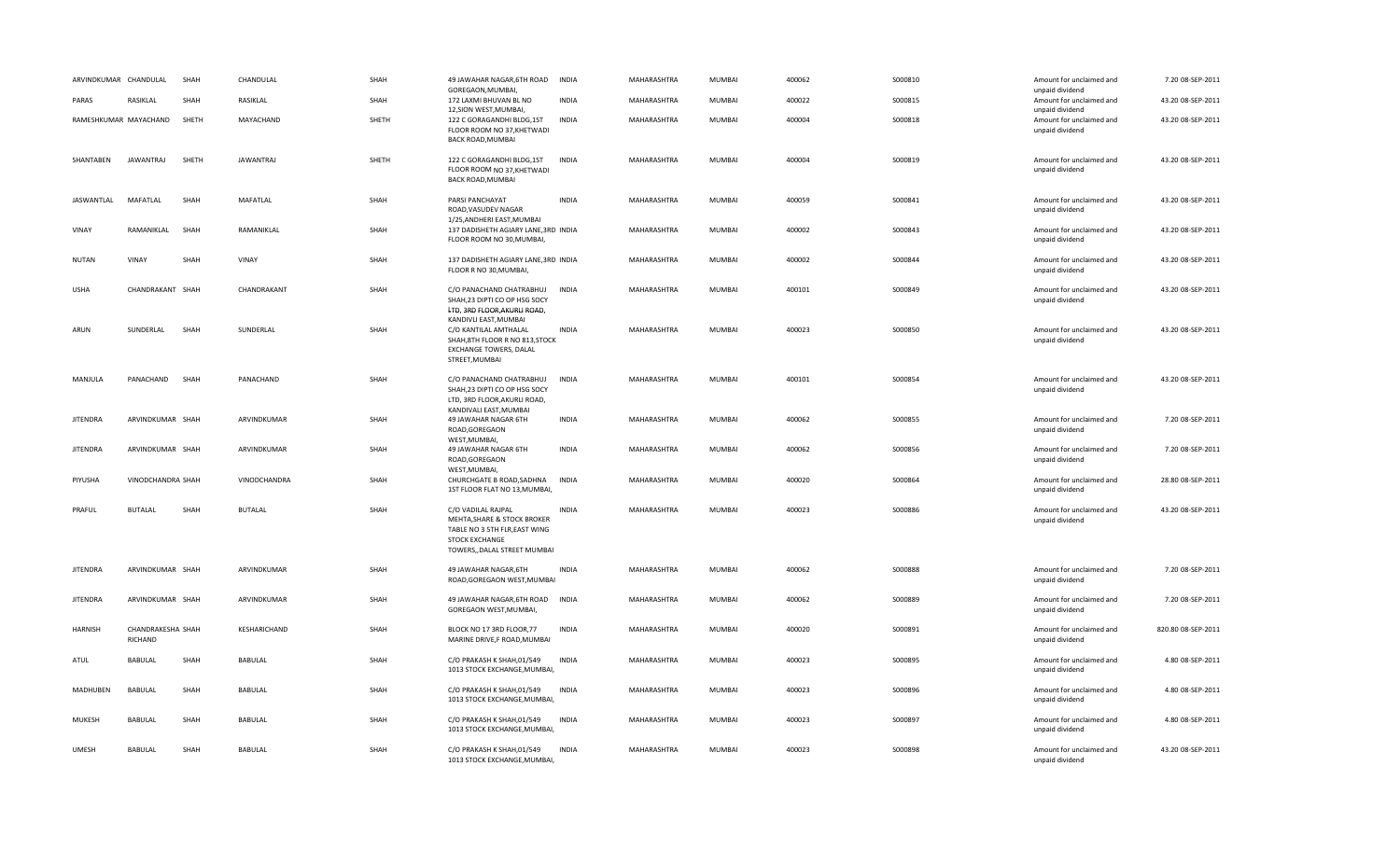| ARVINDKUMAR CHANDULAL |                              | SHAH  | CHANDULAL      | SHAH  | 49 JAWAHAR NAGAR, 6TH ROAD<br>GOREGAON, MUMBAI,                                                                                                               | <b>INDIA</b> | MAHARASHTRA | <b>MUMBAI</b> | 400062 | S000810  | Amount for unclaimed and<br>unpaid dividend | 7.20 08-SEP-2011   |
|-----------------------|------------------------------|-------|----------------|-------|---------------------------------------------------------------------------------------------------------------------------------------------------------------|--------------|-------------|---------------|--------|----------|---------------------------------------------|--------------------|
| PARAS                 | RASIKLAL                     | SHAH  | RASIKLAL       | SHAH  | 172 LAXMI BHUVAN BL NO<br>12, SION WEST, MUMBAI,                                                                                                              | <b>INDIA</b> | MAHARASHTRA | MUMBAI        | 400022 | S000815  | Amount for unclaimed and<br>unpaid dividend | 43.20 08-SEP-2011  |
|                       | RAMESHKUMAR MAYACHAND        | SHETH | MAYACHAND      | SHETH | 122 C GORAGANDHI BLDG,1ST<br>FLOOR ROOM NO 37, KHETWADI<br>BACK ROAD, MUMBAI                                                                                  | INDIA        | MAHARASHTRA | <b>MUMBAI</b> | 400004 | S000818  | Amount for unclaimed and<br>unpaid dividend | 43.20 08-SEP-2011  |
| SHANTABEN             | JAWANTRAJ                    | SHETH | JAWANTRAJ      | SHETH | 122 C GORAGANDHI BLDG,1ST<br>FLOOR ROOM NO 37, KHETWADI<br><b>BACK ROAD, MUMBAI</b>                                                                           | <b>INDIA</b> | MAHARASHTRA | <b>MUMBAI</b> | 400004 | S000819  | Amount for unclaimed and<br>unpaid dividend | 43.20 08-SEP-2011  |
| JASWANTLAL            | MAFATLAL                     | SHAH  | MAFATLAL       | SHAH  | PARSI PANCHAYAT<br>ROAD, VASUDEV NAGAR                                                                                                                        | <b>INDIA</b> | MAHARASHTRA | <b>MUMBAI</b> | 400059 | S000841  | Amount for unclaimed and<br>unpaid dividend | 43.20 08-SEP-2011  |
| VINAY                 | RAMANIKLAL                   | SHAH  | RAMANIKLAL     | SHAH  | 1/25, ANDHERI EAST, MUMBAI<br>137 DADISHETH AGIARY LANE, 3RD INDIA<br>FLOOR ROOM NO 30, MUMBAI,                                                               |              | MAHARASHTRA | <b>MUMBAI</b> | 400002 | S000843  | Amount for unclaimed and<br>unpaid dividend | 43.20 08-SEP-2011  |
| <b>NUTAN</b>          | <b>VINAY</b>                 | SHAH  | VINAY          | SHAH  | 137 DADISHETH AGIARY LANE, 3RD INDIA<br>FLOOR R NO 30, MUMBAI,                                                                                                |              | MAHARASHTRA | <b>MUMBAI</b> | 400002 | S000844  | Amount for unclaimed and<br>unpaid dividend | 43.20 08-SEP-2011  |
| USHA                  | CHANDRAKANT SHAH             |       | CHANDRAKANT    | SHAH  | C/O PANACHAND CHATRABHUJ<br>SHAH, 23 DIPTI CO OP HSG SOCY                                                                                                     | <b>INDIA</b> | MAHARASHTRA | <b>MUMBAI</b> | 400101 | S000849  | Amount for unclaimed and<br>unpaid dividend | 43.20 08-SEP-2011  |
| ARUN                  | SUNDERLAL                    | SHAH  | SUNDERLAL      | SHAH  | LTD, 3RD FLOOR, AKURLI ROAD,<br>KANDIVLI EAST, MUMBAI<br>C/O KANTILAL AMTHALAL<br>SHAH, 8TH FLOOR R NO 813, STOCK<br>EXCHANGE TOWERS, DALAL<br>STREET, MUMBAI | INDIA        | MAHARASHTRA | <b>MUMBAI</b> | 400023 | S000850  | Amount for unclaimed and<br>unpaid dividend | 43.20 08-SEP-2011  |
| MANJULA               | PANACHAND                    | SHAH  | PANACHAND      | SHAH  | C/O PANACHAND CHATRABHUJ<br>SHAH, 23 DIPTI CO OP HSG SOCY<br>LTD, 3RD FLOOR, AKURLI ROAD,                                                                     | INDIA        | MAHARASHTRA | <b>MUMBAI</b> | 400101 | S000854  | Amount for unclaimed and<br>unpaid dividend | 43.20 08-SEP-2011  |
| <b>JITENDRA</b>       | ARVINDKUMAR SHAH             |       | ARVINDKUMAR    | SHAH  | KANDIVALI EAST, MUMBAI<br>49 JAWAHAR NAGAR 6TH<br>ROAD, GOREGAON                                                                                              | <b>INDIA</b> | MAHARASHTRA | MUMBAI        | 400062 | S000855  | Amount for unclaimed and<br>unpaid dividend | 7.20 08-SEP-2011   |
| <b>JITENDRA</b>       | ARVINDKUMAR SHAH             |       | ARVINDKUMAR    | SHAH  | WEST, MUMBAI,<br>49 JAWAHAR NAGAR 6TH<br>ROAD, GOREGAON                                                                                                       | <b>INDIA</b> | MAHARASHTRA | <b>MUMBAI</b> | 400062 | S000856  | Amount for unclaimed and<br>unpaid dividend | 7.20 08-SEP-2011   |
| PIYUSHA               | VINODCHANDRA SHAH            |       | VINODCHANDRA   | SHAH  | WEST, MUMBAI,<br>CHURCHGATE B ROAD, SADHNA<br>1ST FLOOR FLAT NO 13, MUMBAI,                                                                                   | <b>INDIA</b> | MAHARASHTRA | MUMBAI        | 400020 | S000864  | Amount for unclaimed and<br>unpaid dividend | 28.80 08-SEP-2011  |
| PRAFUL                | <b>BUTALAL</b>               | SHAH  | <b>BUTALAL</b> | SHAH  | C/O VADILAL RAJPAL<br>MEHTA, SHARE & STOCK BROKER<br>TABLE NO 3 5TH FLR, EAST WING<br><b>STOCK EXCHANGE</b><br>TOWERS,, DALAL STREET MUMBAI                   | <b>INDIA</b> | MAHARASHTRA | <b>MUMBAI</b> | 400023 | \$000886 | Amount for unclaimed and<br>unpaid dividend | 43.20 08-SEP-2011  |
| <b>JITENDRA</b>       | ARVINDKUMAR SHAH             |       | ARVINDKUMAR    | SHAH  | 49 JAWAHAR NAGAR, 6TH<br>ROAD, GOREGAON WEST, MUMBAI                                                                                                          | <b>INDIA</b> | MAHARASHTRA | MUMBAI        | 400062 | S000888  | Amount for unclaimed and<br>unpaid dividend | 7.20 08-SEP-2011   |
| <b>JITENDRA</b>       | ARVINDKUMAR SHAH             |       | ARVINDKUMAR    | SHAH  | 49 JAWAHAR NAGAR, 6TH ROAD<br>GOREGAON WEST, MUMBAI,                                                                                                          | <b>INDIA</b> | MAHARASHTRA | <b>MUMBAI</b> | 400062 | \$000889 | Amount for unclaimed and<br>unpaid dividend | 7.20 08-SEP-2011   |
| <b>HARNISH</b>        | CHANDRAKESHA SHAH<br>RICHAND |       | KESHARICHAND   | SHAH  | BLOCK NO 17 3RD FLOOR, 77<br>MARINE DRIVE, FROAD, MUMBAI                                                                                                      | <b>INDIA</b> | MAHARASHTRA | MUMBAI        | 400020 | S000891  | Amount for unclaimed and<br>unpaid dividend | 820.80 08-SEP-2011 |
| ATUL                  | <b>BABULAL</b>               | SHAH  | <b>BABULAL</b> | SHAH  | C/O PRAKASH K SHAH,01/549<br>1013 STOCK EXCHANGE, MUMBAI,                                                                                                     | <b>INDIA</b> | MAHARASHTRA | <b>MUMBAI</b> | 400023 | S000895  | Amount for unclaimed and<br>unpaid dividend | 4.80 08-SEP-2011   |
| MADHUBEN              | <b>BABULAL</b>               | SHAH  | <b>BABULAL</b> | SHAH  | C/O PRAKASH K SHAH,01/549<br>1013 STOCK EXCHANGE, MUMBAI,                                                                                                     | <b>INDIA</b> | MAHARASHTRA | <b>MUMBAI</b> | 400023 | S000896  | Amount for unclaimed and<br>unpaid dividend | 4.80 08-SEP-2011   |
| <b>MUKESH</b>         | <b>BABULAL</b>               | SHAH  | <b>BABULAL</b> | SHAH  | C/O PRAKASH K SHAH, 01/549<br>1013 STOCK EXCHANGE, MUMBAI,                                                                                                    | <b>INDIA</b> | MAHARASHTRA | <b>MUMBAI</b> | 400023 | S000897  | Amount for unclaimed and<br>unpaid dividend | 4.80 08-SEP-2011   |
| <b>UMESH</b>          | <b>BABULAL</b>               | SHAH  | <b>BABULAL</b> | SHAH  | C/O PRAKASH K SHAH, 01/549<br>1013 STOCK EXCHANGE, MUMBAI,                                                                                                    | INDIA        | MAHARASHTRA | <b>MUMBAI</b> | 400023 | \$000898 | Amount for unclaimed and<br>unpaid dividend | 43.20 08-SEP-2011  |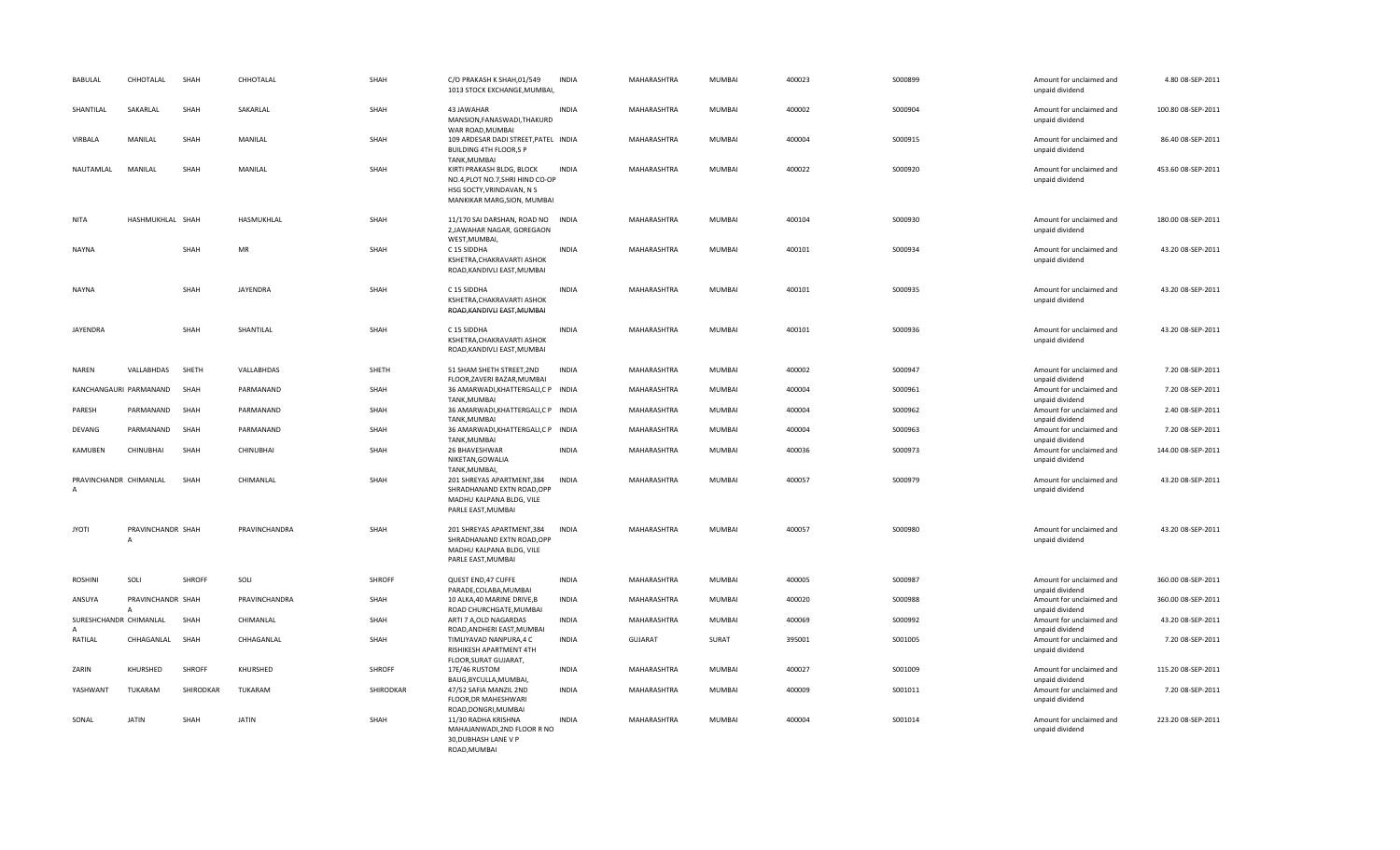| BABULAL                     | CHHOTALAL              | SHAH      | CHHOTALAL     | SHAH      | C/O PRAKASH K SHAH, 01/549<br>1013 STOCK EXCHANGE, MUMBAI,                                                                | <b>INDIA</b> | MAHARASHTRA    | <b>MUMBAI</b> | 400023 | S000899 | Amount for unclaimed and<br>unpaid dividend                    | 4.80 08-SEP-2011   |
|-----------------------------|------------------------|-----------|---------------|-----------|---------------------------------------------------------------------------------------------------------------------------|--------------|----------------|---------------|--------|---------|----------------------------------------------------------------|--------------------|
| SHANTILAL                   | SAKARLAL               | SHAH      | SAKARLAL      | SHAH      | 43 JAWAHAR<br>MANSION, FANASWADI, THAKURD<br>WAR ROAD, MUMBAI                                                             | <b>INDIA</b> | MAHARASHTRA    | <b>MUMBAI</b> | 400002 | S000904 | Amount for unclaimed and<br>unpaid dividend                    | 100.80 08-SEP-2011 |
| VIRBALA                     | MANILAL                | SHAH      | MANILAL       | SHAH      | 109 ARDESAR DADI STREET, PATEL INDIA<br><b>BUILDING 4TH FLOOR,S P</b><br>TANK, MUMBAI                                     |              | MAHARASHTRA    | <b>MUMBAI</b> | 400004 | S000915 | Amount for unclaimed and<br>unpaid dividend                    | 86.40 08-SEP-2011  |
| NAUTAMLAL                   | MANILAL                | SHAH      | MANILAL       | SHAH      | KIRTI PRAKASH BLDG, BLOCK<br>NO.4, PLOT NO.7, SHRI HIND CO-OP<br>HSG SOCTY, VRINDAVAN, N S<br>MANKIKAR MARG, SION, MUMBAI | <b>INDIA</b> | MAHARASHTRA    | <b>MUMBAI</b> | 400022 | S000920 | Amount for unclaimed and<br>unpaid dividend                    | 453.60 08-SEP-2011 |
| <b>NITA</b>                 | HASHMUKHLAL SHAH       |           | HASMUKHLAL    | SHAH      | 11/170 SAI DARSHAN, ROAD NO INDIA<br>2, JAWAHAR NAGAR, GOREGAON<br>WEST, MUMBAI,                                          |              | MAHARASHTRA    | <b>MUMBAI</b> | 400104 | S000930 | Amount for unclaimed and<br>unpaid dividend                    | 180.00 08-SEP-2011 |
| <b>NAYNA</b>                |                        | SHAH      | <b>MR</b>     | SHAH      | C 15 SIDDHA<br>KSHETRA, CHAKRAVARTI ASHOK<br>ROAD, KANDIVLI EAST, MUMBAI                                                  | <b>INDIA</b> | MAHARASHTRA    | <b>MUMBAI</b> | 400101 | S000934 | Amount for unclaimed and<br>unpaid dividend                    | 43.20 08-SEP-2011  |
| <b>NAYNA</b>                |                        | SHAH      | JAYENDRA      | SHAH      | C 15 SIDDHA<br>KSHETRA, CHAKRAVARTI ASHOK<br>ROAD, KANDIVLI EAST, MUMBAI                                                  | <b>INDIA</b> | MAHARASHTRA    | <b>MUMBAI</b> | 400101 | S000935 | Amount for unclaimed and<br>unpaid dividend                    | 43.20 08-SEP-2011  |
| JAYENDRA                    |                        | SHAH      | SHANTILAL     | SHAH      | C 15 SIDDHA<br>KSHETRA, CHAKRAVARTI ASHOK<br>ROAD, KANDIVLI EAST, MUMBAI                                                  | INDIA        | MAHARASHTRA    | <b>MUMBAI</b> | 400101 | S000936 | Amount for unclaimed and<br>unpaid dividend                    | 43.20 08-SEP-2011  |
| NAREN                       | VALLABHDAS             | SHETH     | VALLABHDAS    | SHETH     | 51 SHAM SHETH STREET, 2ND<br>FLOOR, ZAVERI BAZAR, MUMBAI                                                                  | <b>INDIA</b> | MAHARASHTRA    | MUMBAI        | 400002 | S000947 | Amount for unclaimed and                                       | 7.20 08-SEP-2011   |
|                             | KANCHANGAURI PARMANAND | SHAH      | PARMANAND     | SHAH      | 36 AMARWADI, KHATTERGALI, CP INDIA<br>TANK, MUMBAI                                                                        |              | MAHARASHTRA    | MUMBAI        | 400004 | S000961 | unpaid dividend<br>Amount for unclaimed and<br>unpaid dividend | 7.20 08-SEP-2011   |
| PARESH                      | PARMANAND              | SHAH      | PARMANAND     | SHAH      | 36 AMARWADI, KHATTERGALI, CP INDIA<br>TANK, MUMBAI                                                                        |              | MAHARASHTRA    | <b>MUMBAI</b> | 400004 | S000962 | Amount for unclaimed and<br>unpaid dividend                    | 2.40 08-SEP-2011   |
| <b>DEVANG</b>               | PARMANAND              | SHAH      | PARMANAND     | SHAH      | 36 AMARWADI, KHATTERGALI, CP INDIA                                                                                        |              | MAHARASHTRA    | <b>MUMBAI</b> | 400004 | S000963 | Amount for unclaimed and                                       | 7.20 08-SEP-2011   |
| KAMUBEN                     | CHINUBHAI              | SHAH      | CHINUBHAI     | SHAH      | TANK, MUMBAI<br>26 BHAVESHWAR<br>NIKETAN, GOWALIA<br>TANK, MUMBAI,                                                        | <b>INDIA</b> | MAHARASHTRA    | <b>MUMBAI</b> | 400036 | S000973 | unpaid dividend<br>Amount for unclaimed and<br>unpaid dividend | 144.00 08-SEP-2011 |
| PRAVINCHANDR CHIMANLAL<br>А |                        | SHAH      | CHIMANLAL     | SHAH      | 201 SHREYAS APARTMENT, 384<br>SHRADHANAND EXTN ROAD, OPP<br>MADHU KALPANA BLDG, VILE<br>PARLE EAST, MUMBAI                | <b>INDIA</b> | MAHARASHTRA    | <b>MUMBAI</b> | 400057 | S000979 | Amount for unclaimed and<br>unpaid dividend                    | 43.20 08-SEP-2011  |
| <b>JYOTI</b>                | PRAVINCHANDR SHAH<br>A |           | PRAVINCHANDRA | SHAH      | 201 SHREYAS APARTMENT, 384<br>SHRADHANAND EXTN ROAD, OPP<br>MADHU KALPANA BLDG, VILE<br>PARLE EAST, MUMBAI                | <b>INDIA</b> | MAHARASHTRA    | <b>MUMBAI</b> | 400057 | S000980 | Amount for unclaimed and<br>unpaid dividend                    | 43.20 08-SEP-2011  |
| <b>ROSHINI</b>              | SOLI                   | SHROFF    | SOLI          | SHROFF    | QUEST END, 47 CUFFE<br>PARADE, COLABA, MUMBAI                                                                             | <b>INDIA</b> | MAHARASHTRA    | <b>MUMBAI</b> | 400005 | S000987 | Amount for unclaimed and<br>unpaid dividend                    | 360.00 08-SEP-2011 |
| ANSUYA                      | PRAVINCHANDR SHAH      |           | PRAVINCHANDRA | SHAH      | 10 ALKA, 40 MARINE DRIVE, B<br>ROAD CHURCHGATE, MUMBAI                                                                    | <b>INDIA</b> | MAHARASHTRA    | MUMBAI        | 400020 | S000988 | Amount for unclaimed and<br>unpaid dividend                    | 360.00 08-SEP-2011 |
| SURESHCHANDR CHIMANLAL<br>A |                        | SHAH      | CHIMANLAL     | SHAH      | ARTI 7 A,OLD NAGARDAS<br>ROAD, ANDHERI EAST, MUMBAI                                                                       | <b>INDIA</b> | MAHARASHTRA    | MUMBAI        | 400069 | S000992 | Amount for unclaimed and<br>unpaid dividend                    | 43.20 08-SEP-2011  |
| RATILAL                     | CHHAGANLAL             | SHAH      | CHHAGANLAL    | SHAH      | TIMLIYAVAD NANPURA,4 C<br>RISHIKESH APARTMENT 4TH<br>FLOOR, SURAT GUJARAT,                                                | <b>INDIA</b> | <b>GUJARAT</b> | SURAT         | 395001 | S001005 | Amount for unclaimed and<br>unpaid dividend                    | 7.20 08-SEP-2011   |
| ZARIN                       | KHURSHED               | SHROFF    | KHURSHED      | SHROFF    | 17E/46 RUSTOM<br>BAUG, BYCULLA, MUMBAI,                                                                                   | <b>INDIA</b> | MAHARASHTRA    | <b>MUMBAI</b> | 400027 | S001009 | Amount for unclaimed and<br>unpaid dividend                    | 115.20 08-SEP-2011 |
| YASHWANT                    | TUKARAM                | SHIRODKAR | TUKARAM       | SHIRODKAR | 47/52 SAFIA MANZIL 2ND<br>FLOOR, DR MAHESHWARI<br>ROAD, DONGRI, MUMBAI                                                    | <b>INDIA</b> | MAHARASHTRA    | MUMBAI        | 400009 | S001011 | Amount for unclaimed and<br>unpaid dividend                    | 7.20 08-SEP-2011   |
| SONAL                       | <b>JATIN</b>           | SHAH      | <b>JATIN</b>  | SHAH      | 11/30 RADHA KRISHNA<br>MAHAJANWADI, 2ND FLOOR R NO<br>30, DUBHASH LANE V P<br>ROAD, MUMBAI                                | <b>INDIA</b> | MAHARASHTRA    | <b>MUMBAI</b> | 400004 | S001014 | Amount for unclaimed and<br>unpaid dividend                    | 223.20 08-SEP-2011 |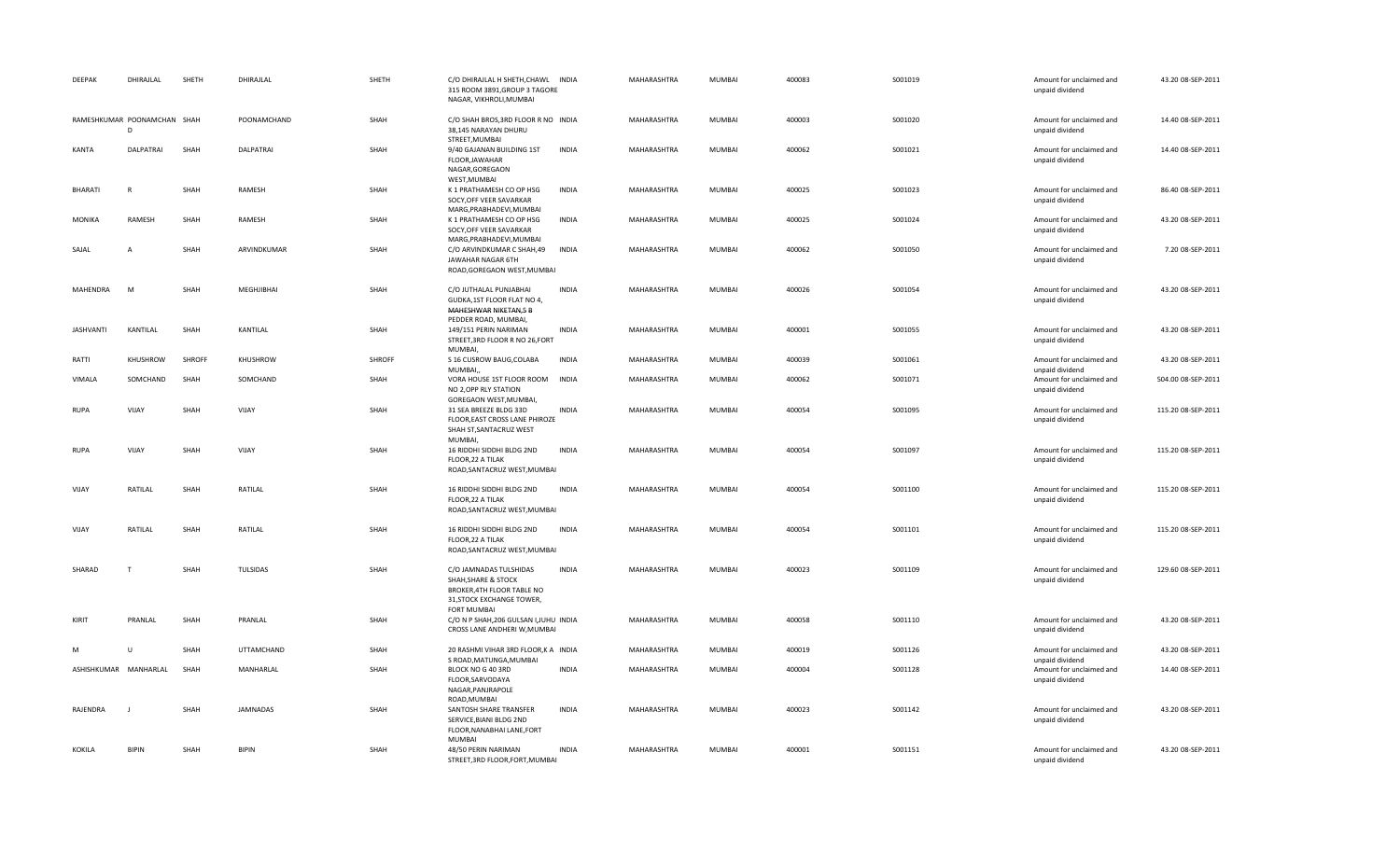| DEEPAK           | DHIRAJLAL                        | SHETH  | DHIRAJLAL       | SHETH  | C/O DHIRAJLAL H SHETH, CHAWL INDIA<br>315 ROOM 3891, GROUP 3 TAGORE<br>NAGAR, VIKHROLI, MUMBAI                                 |              | MAHARASHTRA | MUMBAI        | 400083 | S001019 | Amount for unclaimed and<br>unpaid dividend | 43.20 08-SEP-2011  |
|------------------|----------------------------------|--------|-----------------|--------|--------------------------------------------------------------------------------------------------------------------------------|--------------|-------------|---------------|--------|---------|---------------------------------------------|--------------------|
|                  | RAMESHKUMAR POONAMCHAN SHAH<br>D |        | POONAMCHAND     | SHAH   | C/O SHAH BROS, 3RD FLOOR R NO INDIA<br>38,145 NARAYAN DHURU<br>STREET, MUMBAI                                                  |              | MAHARASHTRA | <b>MUMBAI</b> | 400003 | S001020 | Amount for unclaimed and<br>unpaid dividend | 14.40 08-SEP-2011  |
| KANTA            | DALPATRAI                        | SHAH   | DALPATRAI       | SHAH   | 9/40 GAJANAN BUILDING 1ST<br>FLOOR, JAWAHAR<br>NAGAR, GOREGAON                                                                 | <b>INDIA</b> | MAHARASHTRA | <b>MUMBAI</b> | 400062 | S001021 | Amount for unclaimed and<br>unpaid dividend | 14.40 08-SEP-2011  |
| <b>BHARATI</b>   | $\mathsf{R}$                     | SHAH   | RAMESH          | SHAH   | WEST, MUMBAI<br>K 1 PRATHAMESH CO OP HSG<br>SOCY, OFF VEER SAVARKAR<br>MARG, PRABHADEVI, MUMBAI                                | <b>INDIA</b> | MAHARASHTRA | <b>MUMBAI</b> | 400025 | S001023 | Amount for unclaimed and<br>unpaid dividend | 86.40 08-SEP-2011  |
| MONIKA           | RAMESH                           | SHAH   | RAMESH          | SHAH   | K 1 PRATHAMESH CO OP HSG<br>SOCY, OFF VEER SAVARKAR                                                                            | <b>INDIA</b> | MAHARASHTRA | <b>MUMBAI</b> | 400025 | S001024 | Amount for unclaimed and<br>unpaid dividend | 43.20 08-SEP-2011  |
| SAJAL            | $\mathbf{A}$                     | SHAH   | ARVINDKUMAR     | SHAH   | MARG, PRABHADEVI, MUMBAI<br>C/O ARVINDKUMAR C SHAH,49<br>JAWAHAR NAGAR 6TH<br>ROAD, GOREGAON WEST, MUMBAI                      | <b>INDIA</b> | MAHARASHTRA | <b>MUMBAI</b> | 400062 | S001050 | Amount for unclaimed and<br>unpaid dividend | 7.20 08-SEP-2011   |
| MAHENDRA         | M                                | SHAH   | MEGHJIBHAI      | SHAH   | C/O JUTHALAL PUNJABHAI<br>GUDKA, 1ST FLOOR FLAT NO 4,<br>MAHESHWAR NIKETAN,5 B                                                 | <b>INDIA</b> | MAHARASHTRA | <b>MUMBAI</b> | 400026 | S001054 | Amount for unclaimed and<br>unpaid dividend | 43.20 08-SEP-2011  |
| <b>JASHVANTI</b> | KANTILAL                         | SHAH   | KANTILAL        | SHAH   | PEDDER ROAD, MUMBAI,<br>149/151 PERIN NARIMAN<br>STREET, 3RD FLOOR R NO 26, FORT<br><b>MUMBAI</b>                              | <b>INDIA</b> | MAHARASHTRA | MUMBAI        | 400001 | S001055 | Amount for unclaimed and<br>unpaid dividend | 43.20 08-SEP-2011  |
| RATTI            | KHUSHROW                         | SHROFF | KHUSHROW        | SHROFF | S 16 CUSROW BAUG, COLABA<br>MUMBAI,                                                                                            | <b>INDIA</b> | MAHARASHTRA | <b>MUMBAI</b> | 400039 | S001061 | Amount for unclaimed and<br>unpaid dividend | 43.20 08-SEP-2011  |
| VIMALA           | SOMCHAND                         | SHAH   | SOMCHAND        | SHAH   | VORA HOUSE 1ST FLOOR ROOM INDIA<br>NO 2, OPP RLY STATION<br>GOREGAON WEST, MUMBAI,                                             |              | MAHARASHTRA | <b>MUMBAI</b> | 400062 | S001071 | Amount for unclaimed and<br>unpaid dividend | 504.00 08-SEP-2011 |
| <b>RUPA</b>      | VIJAY                            | SHAH   | VIJAY           | SHAH   | 31 SEA BREEZE BLDG 33D<br>FLOOR, EAST CROSS LANE PHIROZE<br>SHAH ST, SANTACRUZ WEST<br>MUMBAI,                                 | <b>INDIA</b> | MAHARASHTRA | <b>MUMBAI</b> | 400054 | S001095 | Amount for unclaimed and<br>unpaid dividend | 115.20 08-SEP-2011 |
| <b>RUPA</b>      | VIJAY                            | SHAH   | VIJAY           | SHAH   | 16 RIDDHI SIDDHI BLDG 2ND<br>FLOOR, 22 A TILAK<br>ROAD, SANTACRUZ WEST, MUMBAI                                                 | INDIA        | MAHARASHTRA | MUMBAI        | 400054 | S001097 | Amount for unclaimed and<br>unpaid dividend | 115.20 08-SEP-2011 |
| VIJAY            | RATILAL                          | SHAH   | RATILAL         | SHAH   | 16 RIDDHI SIDDHI BLDG 2ND<br>FLOOR, 22 A TILAK<br>ROAD, SANTACRUZ WEST, MUMBAI                                                 | <b>INDIA</b> | MAHARASHTRA | <b>MUMBAI</b> | 400054 | S001100 | Amount for unclaimed and<br>unpaid dividend | 115.20 08-SEP-2011 |
| VIJAY            | RATILAL                          | SHAH   | RATILAL         | SHAH   | 16 RIDDHI SIDDHI BLDG 2ND<br>FLOOR, 22 A TILAK<br>ROAD, SANTACRUZ WEST, MUMBAI                                                 | <b>INDIA</b> | MAHARASHTRA | <b>MUMBAI</b> | 400054 | S001101 | Amount for unclaimed and<br>unpaid dividend | 115.20 08-SEP-2011 |
| SHARAD           | $\mathbf{T}$                     | SHAH   | TULSIDAS        | SHAH   | C/O JAMNADAS TULSHIDAS<br>SHAH, SHARE & STOCK<br>BROKER, 4TH FLOOR TABLE NO<br>31, STOCK EXCHANGE TOWER,<br><b>FORT MUMBAI</b> | INDIA        | MAHARASHTRA | <b>MUMBAI</b> | 400023 | S001109 | Amount for unclaimed and<br>unpaid dividend | 129.60 08-SEP-2011 |
| KIRIT            | PRANLAL                          | SHAH   | PRANLAL         | SHAH   | C/O N P SHAH, 206 GULSAN I, JUHU INDIA<br>CROSS LANE ANDHERI W, MUMBAI                                                         |              | MAHARASHTRA | <b>MUMBAI</b> | 400058 | S001110 | Amount for unclaimed and<br>unpaid dividend | 43.20 08-SEP-2011  |
|                  |                                  | SHAH   | UTTAMCHAND      | SHAH   | 20 RASHMI VIHAR 3RD FLOOR, K A INDIA<br>S ROAD, MATUNGA, MUMBAI                                                                |              | MAHARASHTRA | MUMBAI        | 400019 | S001126 | Amount for unclaimed and<br>unpaid dividend | 43.20 08-SEP-2011  |
|                  | ASHISHKUMAR MANHARLAL            | SHAH   | MANHARLAL       | SHAH   | BLOCK NO G 40 3RD<br>FLOOR, SARVODAYA<br>NAGAR, PANJRAPOLE<br>ROAD, MUMBAI                                                     | <b>INDIA</b> | MAHARASHTRA | MUMBAI        | 400004 | S001128 | Amount for unclaimed and<br>unpaid dividend | 14.40 08-SEP-2011  |
| RAJENDRA         | J.                               | SHAH   | <b>JAMNADAS</b> | SHAH   | SANTOSH SHARE TRANSFER<br>SERVICE, BIANI BLDG 2ND<br>FLOOR, NANABHAI LANE, FORT<br><b>MUMBAI</b>                               | <b>INDIA</b> | MAHARASHTRA | <b>MUMBAI</b> | 400023 | S001142 | Amount for unclaimed and<br>unpaid dividend | 43.20 08-SEP-2011  |
| KOKILA           | <b>BIPIN</b>                     | SHAH   | <b>BIPIN</b>    | SHAH   | 48/50 PERIN NARIMAN<br>STREET, 3RD FLOOR, FORT, MUMBAI                                                                         | <b>INDIA</b> | MAHARASHTRA | <b>MUMBAI</b> | 400001 | S001151 | Amount for unclaimed and<br>unpaid dividend | 43.20 08-SEP-2011  |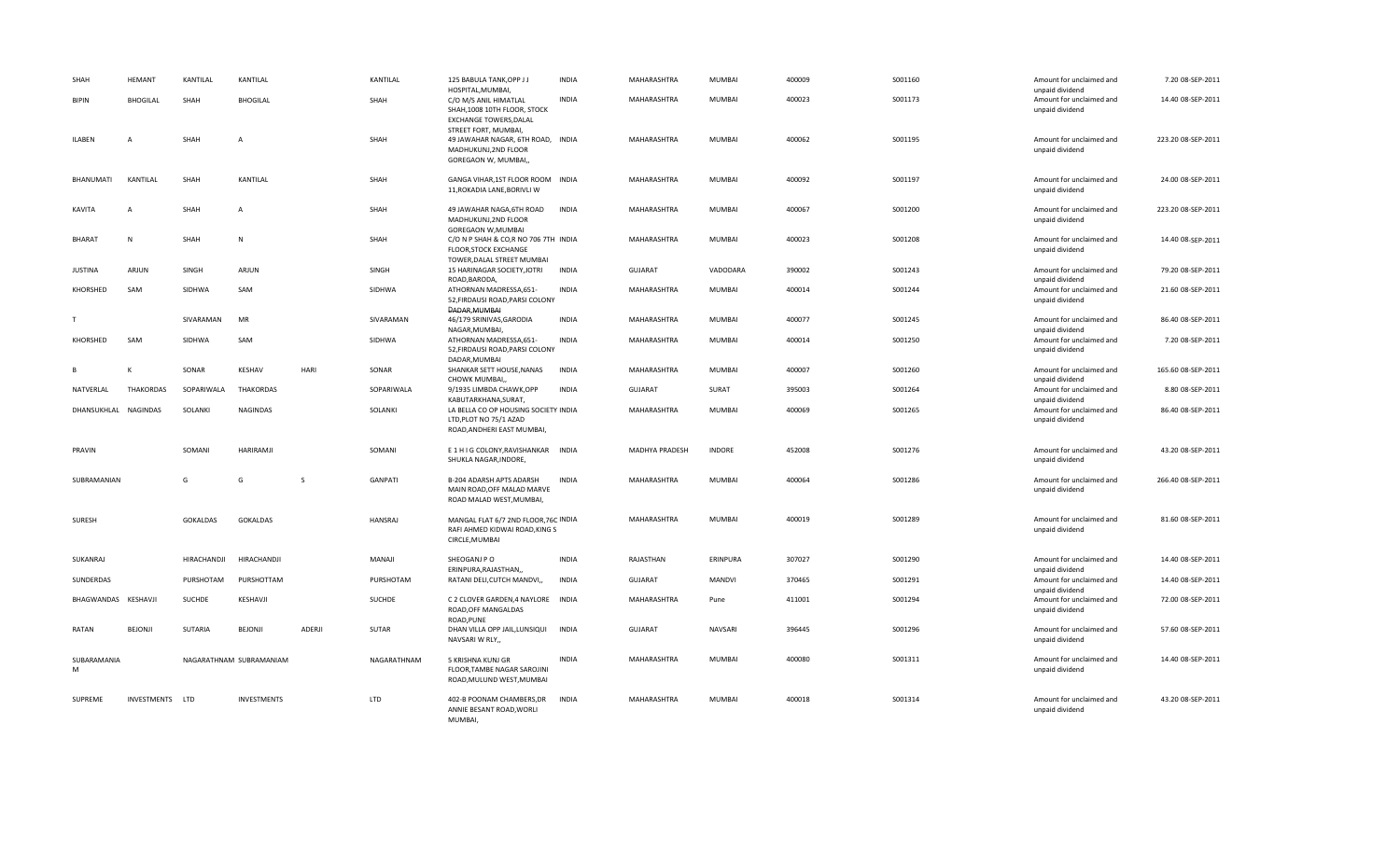| SHAH                 | <b>HEMANT</b>    | KANTILAL        | KANTILAL                |               | KANTILAL    | 125 BABULA TANK, OPP J J<br>HOSPITAL, MUMBAI,                                                                        | <b>INDIA</b> | MAHARASHTRA    | <b>MUMBAI</b> | 400009 | S001160 | Amount for unclaimed and<br>unpaid dividend                    | 7.20 08-SEP-2011   |
|----------------------|------------------|-----------------|-------------------------|---------------|-------------|----------------------------------------------------------------------------------------------------------------------|--------------|----------------|---------------|--------|---------|----------------------------------------------------------------|--------------------|
| <b>BIPIN</b>         | <b>BHOGILAL</b>  | SHAH            | <b>BHOGILAL</b>         |               | SHAH        | C/O M/S ANIL HIMATLAL<br>SHAH, 1008 10TH FLOOR, STOCK<br><b>EXCHANGE TOWERS, DALAL</b>                               | <b>INDIA</b> | MAHARASHTRA    | <b>MUMBAI</b> | 400023 | S001173 | Amount for unclaimed and<br>unpaid dividend                    | 14.40 08-SEP-2011  |
| <b>ILABEN</b>        | A                | SHAH            | A                       |               | SHAH        | STREET FORT, MUMBAI,<br>49 JAWAHAR NAGAR, 6TH ROAD, INDIA<br>MADHUKUNJ,2ND FLOOR<br>GOREGAON W, MUMBAI,,             |              | MAHARASHTRA    | MUMBAI        | 400062 | S001195 | Amount for unclaimed and<br>unpaid dividend                    | 223.20 08-SEP-2011 |
| BHANUMATI            | KANTILAL         | SHAH            | KANTILAL                |               | SHAH        | GANGA VIHAR, 1ST FLOOR ROOM INDIA<br>11, ROKADIA LANE, BORIVLI W                                                     |              | MAHARASHTRA    | <b>MUMBAI</b> | 400092 | S001197 | Amount for unclaimed and<br>unpaid dividend                    | 24.00 08-SEP-2011  |
| KAVITA               | Α                | SHAH            | A                       |               | SHAH        | 49 JAWAHAR NAGA, 6TH ROAD<br>MADHUKUNJ,2ND FLOOR<br>GOREGAON W, MUMBAI                                               | <b>INDIA</b> | MAHARASHTRA    | MUMBAI        | 400067 | S001200 | Amount for unclaimed and<br>unpaid dividend                    | 223.20 08-SEP-2011 |
| <b>BHARAT</b>        | N                | SHAH            | N                       |               | SHAH        | C/O N P SHAH & CO,R NO 706 7TH INDIA<br>FLOOR, STOCK EXCHANGE<br>TOWER, DALAL STREET MUMBAI                          |              | MAHARASHTRA    | MUMBAI        | 400023 | S001208 | Amount for unclaimed and<br>unpaid dividend                    | 14.40 08-SEP-2011  |
| <b>JUSTINA</b>       | ARJUN            | SINGH           | ARJUN                   |               | SINGH       | 15 HARINAGAR SOCIETY, JOTRI<br>ROAD, BARODA,                                                                         | <b>INDIA</b> | <b>GUJARAT</b> | VADODARA      | 390002 | S001243 | Amount for unclaimed and<br>unpaid dividend                    | 79.20 08-SEP-2011  |
| KHORSHED             | SAM              | SIDHWA          | SAM                     |               | SIDHWA      | ATHORNAN MADRESSA,651-<br>52, FIRDAUSI ROAD, PARSI COLONY<br>DADAR, MUMBAI                                           | <b>INDIA</b> | MAHARASHTRA    | <b>MUMBAI</b> | 400014 | S001244 | Amount for unclaimed and<br>unpaid dividend                    | 21.60 08-SEP-2011  |
|                      |                  | SIVARAMAN       | MR                      |               | SIVARAMAN   | 46/179 SRINIVAS, GARODIA                                                                                             | <b>INDIA</b> | MAHARASHTRA    | <b>MUMBAI</b> | 400077 | S001245 | Amount for unclaimed and                                       | 86.40 08-SEP-2011  |
| KHORSHED             | SAM              | SIDHWA          | SAM                     |               | SIDHWA      | NAGAR, MUMBAI,<br>ATHORNAN MADRESSA,651-<br>52, FIRDAUSI ROAD, PARSI COLONY<br>DADAR, MUMBAI                         | <b>INDIA</b> | MAHARASHTRA    | <b>MUMBAI</b> | 400014 | S001250 | unpaid dividend<br>Amount for unclaimed and<br>unpaid dividend | 7.20 08-SEP-2011   |
| B                    | К                | SONAR           | <b>KESHAV</b>           | HARI          | SONAR       | SHANKAR SETT HOUSE, NANAS<br>CHOWK MUMBAI,                                                                           | <b>INDIA</b> | MAHARASHTRA    | <b>MUMBAI</b> | 400007 | S001260 | Amount for unclaimed and<br>unpaid dividend                    | 165.60 08-SEP-2011 |
| NATVERLAL            | <b>THAKORDAS</b> | SOPARIWALA      | THAKORDAS               |               | SOPARIWALA  | 9/1935 LIMBDA CHAWK, OPP                                                                                             | <b>INDIA</b> | <b>GUJARAT</b> | SURAT         | 395003 | S001264 | Amount for unclaimed and                                       | 8.80 08-SEP-2011   |
| DHANSUKHLAL NAGINDAS |                  | SOLANKI         | <b>NAGINDAS</b>         |               | SOLANKI     | KABUTARKHANA, SURAT,<br>LA BELLA CO OP HOUSING SOCIETY INDIA<br>LTD, PLOT NO 75/1 AZAD<br>ROAD, ANDHERI EAST MUMBAI, |              | MAHARASHTRA    | <b>MUMBAI</b> | 400069 | S001265 | unpaid dividend<br>Amount for unclaimed and<br>unpaid dividend | 86.40 08-SEP-2011  |
| PRAVIN               |                  | SOMANI          | HARIRAMJI               |               | SOMANI      | E 1 H I G COLONY, RAVISHANKAR INDIA<br>SHUKLA NAGAR, INDORE,                                                         |              | MADHYA PRADESH | <b>INDORE</b> | 452008 | S001276 | Amount for unclaimed and<br>unpaid dividend                    | 43.20 08-SEP-2011  |
| SUBRAMANIAN          |                  | G               | G                       | S             | GANPATI     | B-204 ADARSH APTS ADARSH<br>MAIN ROAD, OFF MALAD MARVE<br>ROAD MALAD WEST, MUMBAI,                                   | <b>INDIA</b> | MAHARASHTRA    | MUMBAI        | 400064 | S001286 | Amount for unclaimed and<br>unpaid dividend                    | 266.40 08-SEP-2011 |
| SURESH               |                  | <b>GOKALDAS</b> | GOKALDAS                |               | HANSRAJ     | MANGAL FLAT 6/7 2ND FLOOR, 76C INDIA<br>RAFI AHMED KIDWAI ROAD, KING S<br>CIRCLE, MUMBAI                             |              | MAHARASHTRA    | <b>MUMBAI</b> | 400019 | S001289 | Amount for unclaimed and<br>unpaid dividend                    | 81.60 08-SEP-2011  |
| SUKANRAJ             |                  | HIRACHANDJI     | HIRACHANDJI             |               | MANAJI      | SHEOGANJ P O<br>ERINPURA, RAJASTHAN,                                                                                 | <b>INDIA</b> | RAJASTHAN      | ERINPURA      | 307027 | S001290 | Amount for unclaimed and<br>unpaid dividend                    | 14.40 08-SEP-2011  |
| SUNDERDAS            |                  | PURSHOTAM       | PURSHOTTAM              |               | PURSHOTAM   | RATANI DELI, CUTCH MANDVI,,                                                                                          | <b>INDIA</b> | <b>GUJARAT</b> | MANDVI        | 370465 | S001291 | Amount for unclaimed and<br>unpaid dividend                    | 14.40 08-SEP-2011  |
| BHAGWANDAS KESHAVJI  |                  | SUCHDE          | KESHAVJI                |               | SUCHDE      | C 2 CLOVER GARDEN, 4 NAYLORE INDIA<br>ROAD, OFF MANGALDAS<br>ROAD, PUNE                                              |              | MAHARASHTRA    | Pune          | 411001 | S001294 | Amount for unclaimed and<br>unpaid dividend                    | 72.00 08-SEP-2011  |
| RATAN                | <b>BEJONJI</b>   | SUTARIA         | <b>BEJONJI</b>          | <b>ADERJI</b> | SUTAR       | DHAN VILLA OPP JAIL, LUNSIQUI<br>NAVSARI W RLY,,                                                                     | <b>INDIA</b> | <b>GUJARAT</b> | NAVSARI       | 396445 | S001296 | Amount for unclaimed and<br>unpaid dividend                    | 57.60 08-SEP-2011  |
| SUBARAMANIA<br>M     |                  |                 | NAGARATHNAM SUBRAMANIAM |               | NAGARATHNAM | 5 KRISHNA KUNJ GR<br>FLOOR, TAMBE NAGAR SAROJINI<br>ROAD, MULUND WEST, MUMBAI                                        | <b>INDIA</b> | MAHARASHTRA    | MUMBAI        | 400080 | S001311 | Amount for unclaimed and<br>unpaid dividend                    | 14.40 08-SEP-2011  |
| SUPREME              | INVESTMENTS LTD  |                 | <b>INVESTMENTS</b>      |               | <b>LTD</b>  | 402-B POONAM CHAMBERS, DR<br>ANNIE BESANT ROAD, WORLI<br>MUMBAI,                                                     | <b>INDIA</b> | MAHARASHTRA    | <b>MUMBAI</b> | 400018 | S001314 | Amount for unclaimed and<br>unpaid dividend                    | 43.20 08-SEP-2011  |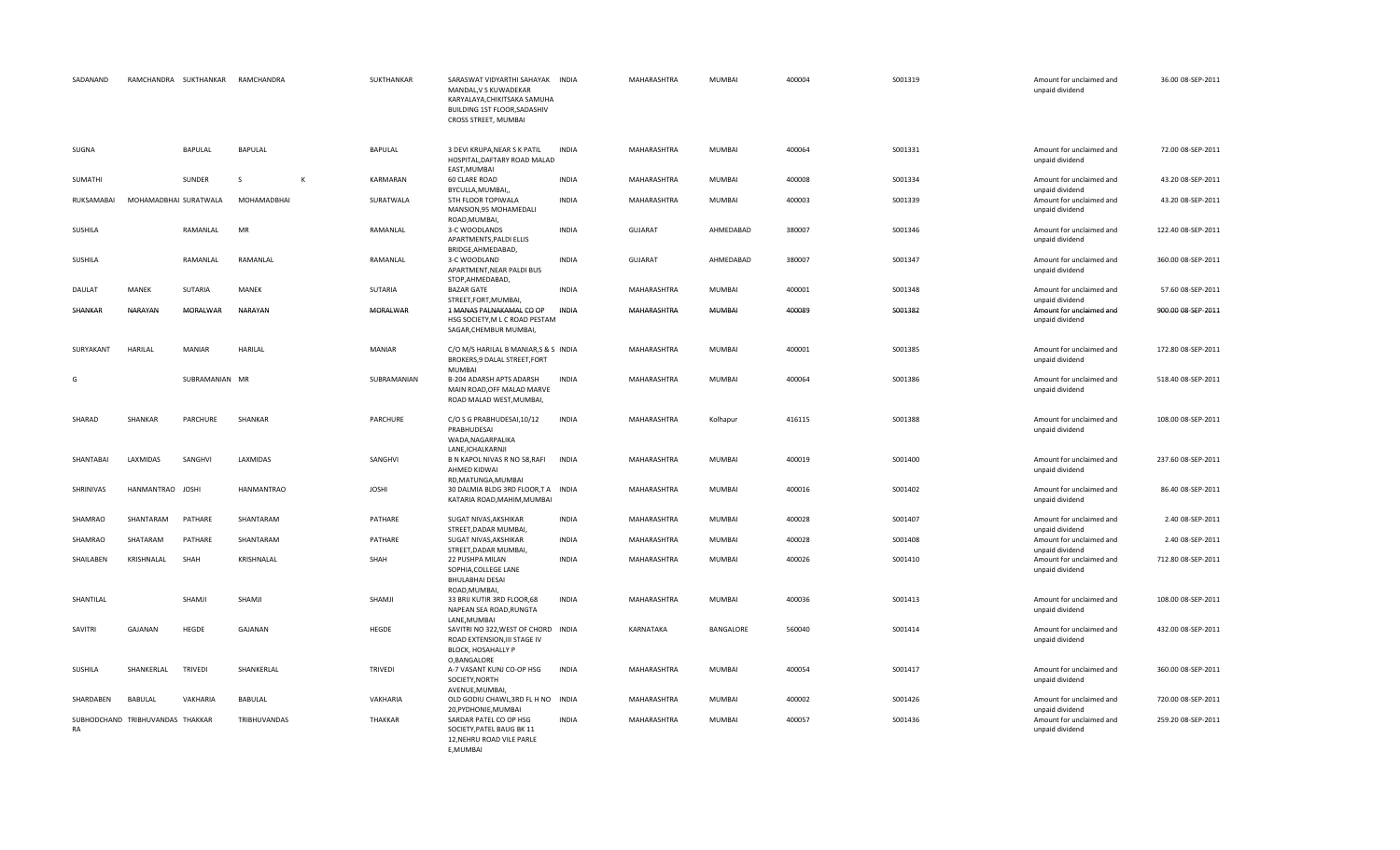| SADANAND   |                                  | RAMCHANDRA SUKTHANKAR | RAMCHANDRA          |              | SUKTHANKAR      | SARASWAT VIDYARTHI SAHAYAK INDIA<br>MANDAL, V S KUWADEKAR<br>KARYALAYA, CHIKITSAKA SAMUHA<br>BUILDING 1ST FLOOR, SADASHIV<br>CROSS STREET, MUMBAI |              | MAHARASHTRA    | <b>MUMBAI</b> | 400004 | S001319 | Amount for unclaimed and<br>unpaid dividend | 36.00 08-SEP-2011  |
|------------|----------------------------------|-----------------------|---------------------|--------------|-----------------|---------------------------------------------------------------------------------------------------------------------------------------------------|--------------|----------------|---------------|--------|---------|---------------------------------------------|--------------------|
| SUGNA      |                                  | BAPULAL               | <b>BAPULAL</b>      |              | BAPULAL         | 3 DEVI KRUPA, NEAR S K PATIL<br>HOSPITAL, DAFTARY ROAD MALAD<br>EAST, MUMBAI                                                                      | <b>INDIA</b> | MAHARASHTRA    | MUMBAI        | 400064 | S001331 | Amount for unclaimed and<br>unpaid dividend | 72.00 08-SEP-2011  |
| SUMATHI    |                                  | SUNDER                | <sub>S</sub>        | $\mathsf{K}$ | KARMARAN        | 60 CLARE ROAD<br>BYCULLA, MUMBAI,                                                                                                                 | <b>INDIA</b> | MAHARASHTRA    | <b>MUMBAI</b> | 400008 | S001334 | Amount for unclaimed and<br>unpaid dividend | 43.20 08-SEP-2011  |
| RUKSAMABAI | MOHAMADBHAI SURATWALA            |                       | MOHAMADBHAI         |              | SURATWALA       | 5TH FLOOR TOPIWALA<br>MANSION, 95 MOHAMEDALI<br>ROAD, MUMBAI,                                                                                     | <b>INDIA</b> | MAHARASHTRA    | MUMBAI        | 400003 | S001339 | Amount for unclaimed and<br>unpaid dividend | 43.20 08-SEP-2011  |
| SUSHILA    |                                  | RAMANLAL              | MR                  |              | RAMANLAL        | 3-C WOODLANDS<br>APARTMENTS, PALDI ELLIS                                                                                                          | <b>INDIA</b> | <b>GUJARAT</b> | AHMEDABAD     | 380007 | S001346 | Amount for unclaimed and<br>unpaid dividend | 122.40 08-SEP-2011 |
| SUSHILA    |                                  | RAMANLAL              | RAMANLAL            |              | RAMANLAL        | BRIDGE, AHMEDABAD,<br>3-C WOODLAND<br>APARTMENT, NEAR PALDI BUS                                                                                   | <b>INDIA</b> | <b>GUJARAT</b> | AHMEDABAD     | 380007 | S001347 | Amount for unclaimed and<br>unpaid dividend | 360.00 08-SEP-2011 |
| DAULAT     | MANEK                            | SUTARIA               | MANEK               |              | SUTARIA         | STOP, AHMEDABAD,<br><b>BAZAR GATE</b><br>STREET, FORT, MUMBAI,                                                                                    | <b>INDIA</b> | MAHARASHTRA    | MUMBAI        | 400001 | S001348 | Amount for unclaimed and<br>unpaid dividend | 57.60 08-SEP-2011  |
| SHANKAR    | NARAYAN                          | MORALWAR              | NARAYAN             |              | <b>MORALWAR</b> | 1 MANAS PALNAKAMAL CO OP<br>HSG SOCIETY, M L C ROAD PESTAM<br>SAGAR, CHEMBUR MUMBAI,                                                              | INDIA        | MAHARASHTRA    | MUMBAI        | 400089 | S001382 | Amount for unclaimed and<br>unpaid dividend | 900.00 08-SEP-2011 |
| SURYAKANT  | HARILAL                          | <b>MANIAR</b>         | <b>HARILAL</b>      |              | MANIAR          | C/O M/S HARILAL B MANIAR, S & S INDIA<br>BROKERS, 9 DALAL STREET, FORT                                                                            |              | MAHARASHTRA    | MUMBAI        | 400001 | S001385 | Amount for unclaimed and<br>unpaid dividend | 172.80 08-SEP-2011 |
| G          |                                  | SUBRAMANIAN MR        |                     |              | SUBRAMANIAN     | <b>MUMBAI</b><br>B-204 ADARSH APTS ADARSH<br>MAIN ROAD, OFF MALAD MARVE<br>ROAD MALAD WEST, MUMBAI,                                               | <b>INDIA</b> | MAHARASHTRA    | MUMBAI        | 400064 | S001386 | Amount for unclaimed and<br>unpaid dividend | 518.40 08-SEP-2011 |
| SHARAD     | SHANKAR                          | PARCHURE              | SHANKAR             |              | PARCHURE        | C/O S G PRABHUDESAI, 10/12<br>PRABHUDESAI<br>WADA, NAGARPALIKA                                                                                    | INDIA        | MAHARASHTRA    | Kolhapur      | 416115 | S001388 | Amount for unclaimed and<br>unpaid dividend | 108.00 08-SEP-2011 |
| SHANTABAI  | LAXMIDAS                         | SANGHVI               | LAXMIDAS            |              | SANGHVI         | LANE, ICHALKARNJI<br>B N KAPOL NIVAS R NO 58, RAFI<br>AHMED KIDWAI<br>RD, MATUNGA, MUMBAI                                                         | <b>INDIA</b> | MAHARASHTRA    | MUMBAI        | 400019 | S001400 | Amount for unclaimed and<br>unpaid dividend | 237.60 08-SEP-2011 |
| SHRINIVAS  | HANMANTRAO JOSHI                 |                       | <b>HANMANTRAO</b>   |              | <b>JOSHI</b>    | 30 DALMIA BLDG 3RD FLOOR,T A INDIA<br>KATARIA ROAD, MAHIM, MUMBAI                                                                                 |              | MAHARASHTRA    | <b>MUMBAI</b> | 400016 | S001402 | Amount for unclaimed and<br>unpaid dividend | 86.40 08-SEP-2011  |
| SHAMRAO    | SHANTARAM                        | PATHARE               | SHANTARAM           |              | PATHARE         | SUGAT NIVAS, AKSHIKAR<br>STREET, DADAR MUMBAI,                                                                                                    | <b>INDIA</b> | MAHARASHTRA    | <b>MUMBAI</b> | 400028 | S001407 | Amount for unclaimed and<br>unpaid dividend | 2.40 08-SEP-2011   |
| SHAMRAO    | SHATARAM                         | PATHARE               | SHANTARAM           |              | PATHARE         | SUGAT NIVAS, AKSHIKAR<br>STREET, DADAR MUMBAI,                                                                                                    | <b>INDIA</b> | MAHARASHTRA    | <b>MUMBAI</b> | 400028 | S001408 | Amount for unclaimed and<br>unpaid dividend | 2.40 08-SEP-2011   |
| SHAILABEN  | KRISHNALAL                       | SHAH                  | KRISHNALAL          |              | SHAH            | 22 PUSHPA MILAN<br>SOPHIA, COLLEGE LANE<br><b>BHULABHAI DESAI</b><br>ROAD, MUMBAI,                                                                | <b>INDIA</b> | MAHARASHTRA    | MUMBAI        | 400026 | S001410 | Amount for unclaimed and<br>unpaid dividend | 712.80 08-SEP-2011 |
| SHANTILAL  |                                  | SHAMJI                | SHAMJI              |              | SHAMJI          | 33 BRIJ KUTIR 3RD FLOOR,68<br>NAPEAN SEA ROAD, RUNGTA<br>LANE, MUMBAI                                                                             | <b>INDIA</b> | MAHARASHTRA    | <b>MUMBAI</b> | 400036 | S001413 | Amount for unclaimed and<br>unpaid dividend | 108.00 08-SEP-2011 |
| SAVITRI    | GAJANAN                          | HEGDE                 | GAJANAN             |              | HEGDE           | SAVITRI NO 322, WEST OF CHORD INDIA<br>ROAD EXTENSION, III STAGE IV<br>BLOCK, HOSAHALLY P<br>O, BANGALORE                                         |              | KARNATAKA      | BANGALORE     | 560040 | S001414 | Amount for unclaimed and<br>unpaid dividend | 432.00 08-SEP-2011 |
| SUSHILA    | SHANKERLAL                       | <b>TRIVEDI</b>        | SHANKERLAL          |              | TRIVEDI         | A-7 VASANT KUNJ CO-OP HSG<br>SOCIETY, NORTH<br>AVENUE, MUMBAI,                                                                                    | <b>INDIA</b> | MAHARASHTRA    | MUMBAI        | 400054 | S001417 | Amount for unclaimed and<br>unpaid dividend | 360.00 08-SEP-2011 |
| SHARDABEN  | <b>BABULAL</b>                   | VAKHARIA              | <b>BABULAL</b>      |              | VAKHARIA        | OLD GODIU CHAWL, 3RD FL H NO INDIA<br>20, PYDHONIE, MUMBAI                                                                                        |              | MAHARASHTRA    | MUMBAI        | 400002 | S001426 | Amount for unclaimed and<br>unpaid dividend | 720.00 08-SEP-2011 |
| RA         | SUBHODCHAND TRIBHUVANDAS THAKKAR |                       | <b>TRIBHUVANDAS</b> |              | <b>THAKKAR</b>  | SARDAR PATEL CO OP HSG<br>SOCIETY, PATEL BAUG BK 11<br>12, NEHRU ROAD VILE PARLE<br>E, MUMBAI                                                     | <b>INDIA</b> | MAHARASHTRA    | <b>MUMBAI</b> | 400057 | S001436 | Amount for unclaimed and<br>unpaid dividend | 259.20 08-SEP-2011 |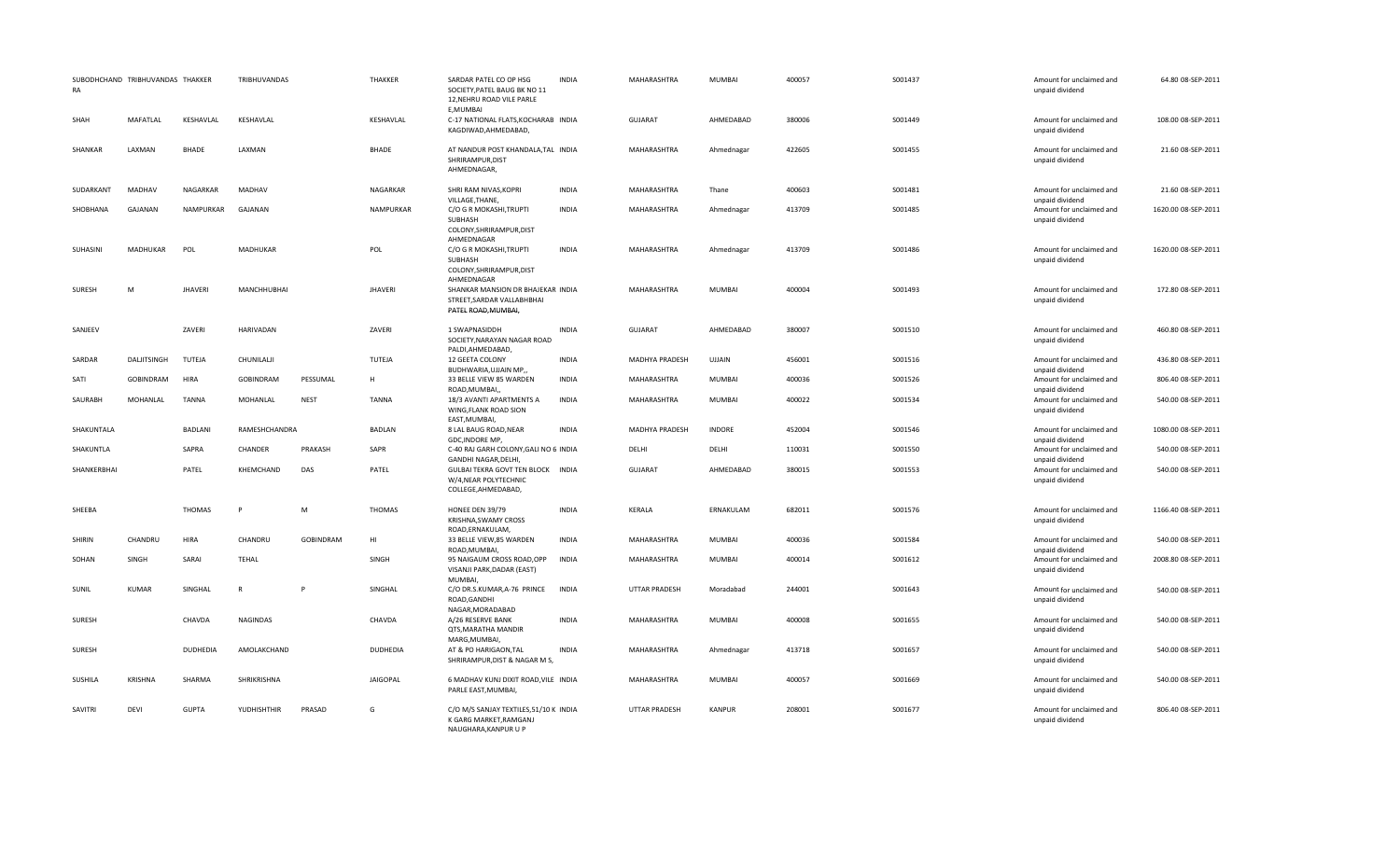| <b>RA</b>      | SUBODHCHAND TRIBHUVANDAS THAKKER |                 | TRIBHUVANDAS     |                  | THAKKER         | SARDAR PATEL CO OP HSG<br>SOCIETY, PATEL BAUG BK NO 11<br>12, NEHRU ROAD VILE PARLE<br>E.MUMBAI | <b>INDIA</b> | MAHARASHTRA          | <b>MUMBAI</b> | 400057 | S001437 | Amount for unclaimed and<br>unpaid dividend | 64.80 08-SEP-2011   |
|----------------|----------------------------------|-----------------|------------------|------------------|-----------------|-------------------------------------------------------------------------------------------------|--------------|----------------------|---------------|--------|---------|---------------------------------------------|---------------------|
| SHAH           | MAFATLAL                         | KESHAVLAL       | KESHAVLAL        |                  | KESHAVLAL       | C-17 NATIONAL FLATS, KOCHARAB INDIA<br>KAGDIWAD, AHMEDABAD,                                     |              | <b>GUJARAT</b>       | AHMEDABAD     | 380006 | S001449 | Amount for unclaimed and<br>unpaid dividend | 108.00 08-SEP-2011  |
| SHANKAR        | LAXMAN                           | <b>BHADE</b>    | LAXMAN           |                  | <b>BHADE</b>    | AT NANDUR POST KHANDALA, TAL INDIA<br>SHRIRAMPUR, DIST<br>AHMEDNAGAR,                           |              | MAHARASHTRA          | Ahmednagar    | 422605 | S001455 | Amount for unclaimed and<br>unpaid dividend | 21.60 08-SEP-2011   |
| SUDARKANT      | MADHAV                           | NAGARKAR        | MADHAV           |                  | NAGARKAR        | SHRI RAM NIVAS, KOPRI<br>VILLAGE, THANE,                                                        | <b>INDIA</b> | MAHARASHTRA          | Thane         | 400603 | S001481 | Amount for unclaimed and<br>unpaid dividend | 21.60 08-SEP-2011   |
| SHOBHANA       | <b>GAJANAN</b>                   | NAMPURKAR       | GAJANAN          |                  | NAMPURKAR       | C/O G R MOKASHI, TRUPTI<br>SUBHASH<br>COLONY, SHRIRAMPUR, DIST                                  | <b>INDIA</b> | <b>MAHARASHTRA</b>   | Ahmednagar    | 413709 | S001485 | Amount for unclaimed and<br>unpaid dividend | 1620.00 08-SEP-2011 |
| SUHASINI       | <b>MADHUKAR</b>                  | POL             | <b>MADHUKAR</b>  |                  | POL             | AHMEDNAGAR<br>C/O G R MOKASHI, TRUPTI<br>SUBHASH<br>COLONY, SHRIRAMPUR, DIST<br>AHMEDNAGAR      | <b>INDIA</b> | MAHARASHTRA          | Ahmednagar    | 413709 | S001486 | Amount for unclaimed and<br>unpaid dividend | 1620.00 08-SEP-2011 |
| <b>SURESH</b>  | M                                | <b>JHAVERI</b>  | MANCHHUBHAI      |                  | <b>JHAVERI</b>  | SHANKAR MANSION DR BHAJEKAR INDIA<br>STREET, SARDAR VALLABHBHAI<br>PATEL ROAD, MUMBAI,          |              | MAHARASHTRA          | <b>MUMBAI</b> | 400004 | S001493 | Amount for unclaimed and<br>unpaid dividend | 172.80 08-SEP-2011  |
| SANJEEV        |                                  | ZAVERI          | <b>HARIVADAN</b> |                  | ZAVERI          | 1 SWAPNASIDDH<br>SOCIETY, NARAYAN NAGAR ROAD<br>PALDI, AHMEDABAD,                               | <b>INDIA</b> | <b>GUJARAT</b>       | AHMEDABAD     | 380007 | S001510 | Amount for unclaimed and<br>unpaid dividend | 460.80 08-SEP-2011  |
| SARDAR         | DALJITSINGH                      | TUTEJA          | CHUNILALJI       |                  | TUTEJA          | 12 GEETA COLONY<br>BUDHWARIA, UJJAIN MP,,                                                       | <b>INDIA</b> | MADHYA PRADESH       | <b>UJJAIN</b> | 456001 | S001516 | Amount for unclaimed and<br>unpaid dividend | 436.80 08-SEP-2011  |
| SATI           | <b>GOBINDRAM</b>                 | HIRA            | GOBINDRAM        | PESSUMAL         | н               | 33 BELLE VIEW 85 WARDEN<br>ROAD, MUMBAI,                                                        | <b>INDIA</b> | MAHARASHTRA          | <b>MUMBAI</b> | 400036 | S001526 | Amount for unclaimed and<br>unpaid dividend | 806.40 08-SEP-2011  |
| SAURABH        | MOHANLAL                         | <b>TANNA</b>    | MOHANLAL         | <b>NEST</b>      | <b>TANNA</b>    | 18/3 AVANTI APARTMENTS A<br>WING, FLANK ROAD SION<br>EAST, MUMBAI,                              | <b>INDIA</b> | MAHARASHTRA          | <b>MUMBAI</b> | 400022 | S001534 | Amount for unclaimed and<br>unpaid dividend | 540.00 08-SEP-2011  |
| SHAKUNTALA     |                                  | <b>BADLANI</b>  | RAMESHCHANDRA    |                  | <b>BADLAN</b>   | 8 LAL BAUG ROAD, NEAR<br>GDC, INDORE MP,                                                        | <b>INDIA</b> | MADHYA PRADESH       | <b>INDORE</b> | 452004 | S001546 | Amount for unclaimed and<br>unpaid dividend | 1080.00 08-SEP-2011 |
| SHAKUNTLA      |                                  | SAPRA           | CHANDER          | PRAKASH          | SAPR            | C-40 RAJ GARH COLONY, GALI NO 6 INDIA<br>GANDHI NAGAR, DELHI,                                   |              | DELHI                | DELHI         | 110031 | S001550 | Amount for unclaimed and<br>unpaid dividend | 540.00 08-SEP-2011  |
| SHANKERBHAI    |                                  | PATEL           | KHEMCHAND        | DAS              | PATEL           | GULBAI TEKRA GOVT TEN BLOCK INDIA<br>W/4, NEAR POLYTECHNIC<br>COLLEGE, AHMEDABAD,               |              | <b>GUJARAT</b>       | AHMEDABAD     | 380015 | S001553 | Amount for unclaimed and<br>unpaid dividend | 540.00 08-SEP-2011  |
| SHEEBA         |                                  | <b>THOMAS</b>   |                  | M                | <b>THOMAS</b>   | HONEE DEN 39/79<br>KRISHNA, SWAMY CROSS<br>ROAD, ERNAKULAM,                                     | INDIA        | <b>KERALA</b>        | ERNAKULAM     | 682011 | S001576 | Amount for unclaimed and<br>unpaid dividend | 1166.40 08-SEP-2011 |
| SHIRIN         | CHANDRU                          | HIRA            | CHANDRU          | <b>GOBINDRAM</b> | H <sub>1</sub>  | 33 BELLE VIEW,85 WARDEN<br>ROAD.MUMBAI.                                                         | <b>INDIA</b> | MAHARASHTRA          | <b>MUMBAI</b> | 400036 | S001584 | Amount for unclaimed and<br>unpaid dividend | 540.00 08-SEP-2011  |
| SOHAN          | SINGH                            | SARAI           | TEHAL            |                  | SINGH           | 95 NAIGAUM CROSS ROAD, OPP<br>VISANJI PARK, DADAR (EAST)<br><b>MUMBAI</b>                       | <b>INDIA</b> | MAHARASHTRA          | <b>MUMBAI</b> | 400014 | S001612 | Amount for unclaimed and<br>unpaid dividend | 2008.80 08-SEP-2011 |
| SUNIL          | <b>KUMAR</b>                     | SINGHAL         | $\mathsf{R}$     |                  | SINGHAL         | C/O DR.S.KUMAR, A-76 PRINCE<br>ROAD, GANDHI<br>NAGAR, MORADABAD                                 | <b>INDIA</b> | <b>UTTAR PRADESH</b> | Moradabad     | 244001 | S001643 | Amount for unclaimed and<br>unpaid dividend | 540.00 08-SEP-2011  |
| SURESH         |                                  | CHAVDA          | <b>NAGINDAS</b>  |                  | CHAVDA          | A/26 RESERVE BANK<br>QTS, MARATHA MANDIR<br>MARG, MUMBAI,                                       | <b>INDIA</b> | MAHARASHTRA          | <b>MUMBAI</b> | 400008 | S001655 | Amount for unclaimed and<br>unpaid dividend | 540.00 08-SEP-2011  |
| SURESH         |                                  | <b>DUDHEDIA</b> | AMOLAKCHAND      |                  | DUDHEDIA        | AT & PO HARIGAON, TAL<br>SHRIRAMPUR, DIST & NAGAR M S,                                          | <b>INDIA</b> | MAHARASHTRA          | Ahmednagar    | 413718 | S001657 | Amount for unclaimed and<br>unpaid dividend | 540.00 08-SEP-2011  |
| SUSHILA        | <b>KRISHNA</b>                   | SHARMA          | SHRIKRISHNA      |                  | <b>JAIGOPAL</b> | 6 MADHAV KUNJ DIXIT ROAD, VILE INDIA<br>PARLE EAST, MUMBAI,                                     |              | MAHARASHTRA          | <b>MUMBAI</b> | 400057 | S001669 | Amount for unclaimed and<br>unpaid dividend | 540.00 08-SEP-2011  |
| <b>SAVITRI</b> | <b>DEVI</b>                      | <b>GUPTA</b>    | YUDHISHTHIR      | PRASAD           | G               | C/O M/S SANJAY TEXTILES.51/10 K INDIA<br>K GARG MARKET, RAMGANJ<br>NAUGHARA, KANPUR U P         |              | <b>UTTAR PRADESH</b> | <b>KANPUR</b> | 208001 | S001677 | Amount for unclaimed and<br>unpaid dividend | 806.40 08-SEP-2011  |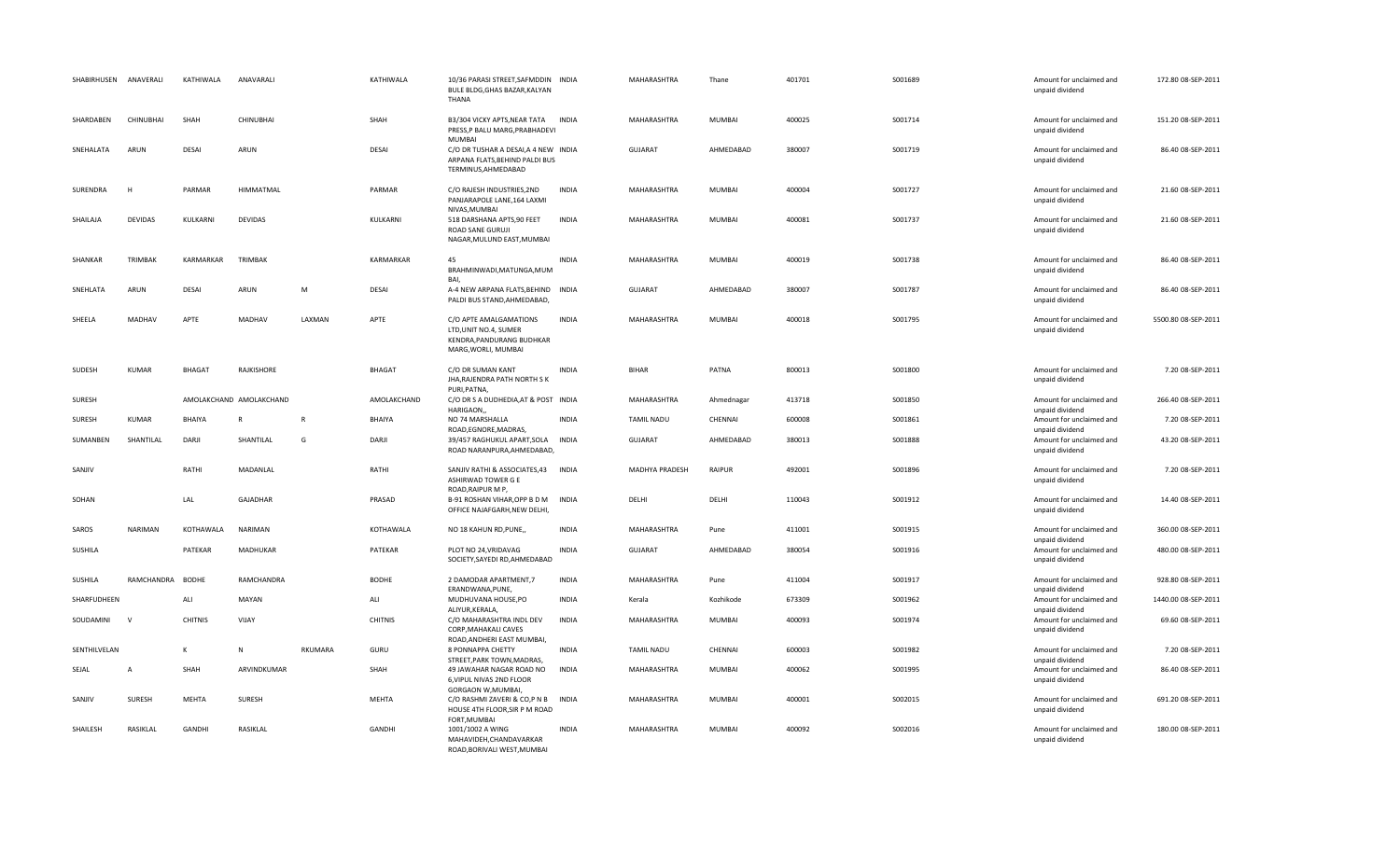| SHABIRHUSEN  | ANAVERALI      | KATHIWALA      | ANAVARALI               |              | KATHIWALA      | 10/36 PARASI STREET, SAFMDDIN INDIA<br>BULE BLDG, GHAS BAZAR, KALYAN<br>THANA                             |              | MAHARASHTRA       | Thane         | 401701 | S001689 | Amount for unclaimed and<br>unpaid dividend                    | 172.80 08-SEP-2011  |
|--------------|----------------|----------------|-------------------------|--------------|----------------|-----------------------------------------------------------------------------------------------------------|--------------|-------------------|---------------|--------|---------|----------------------------------------------------------------|---------------------|
| SHARDABEN    | CHINUBHAI      | SHAH           | CHINUBHAI               |              | SHAH           | B3/304 VICKY APTS, NEAR TATA INDIA<br>PRESS,P BALU MARG,PRABHADEVI<br><b>MUMBAI</b>                       |              | MAHARASHTRA       | <b>MUMBAI</b> | 400025 | S001714 | Amount for unclaimed and<br>unpaid dividend                    | 151.20 08-SEP-2011  |
| SNEHALATA    | ARUN           | <b>DESAI</b>   | ARUN                    |              | <b>DESAI</b>   | C/O DR TUSHAR A DESAI, A 4 NEW INDIA<br>ARPANA FLATS, BEHIND PALDI BUS<br>TERMINUS, AHMEDABAD             |              | <b>GUJARAT</b>    | AHMEDABAD     | 380007 | S001719 | Amount for unclaimed and<br>unpaid dividend                    | 86.40 08-SEP-2011   |
| SURENDRA     |                | PARMAR         | <b>HIMMATMAL</b>        |              | PARMAR         | C/O RAJESH INDUSTRIES, 2ND<br>PANJARAPOLE LANE, 164 LAXMI<br>NIVAS, MUMBAI                                | <b>INDIA</b> | MAHARASHTRA       | <b>MUMBAI</b> | 400004 | S001727 | Amount for unclaimed and<br>unpaid dividend                    | 21.60 08-SEP-2011   |
| SHAILAJA     | <b>DEVIDAS</b> | KULKARNI       | <b>DEVIDAS</b>          |              | KULKARNI       | 518 DARSHANA APTS, 90 FEET<br>ROAD SANE GURUJI<br>NAGAR, MULUND EAST, MUMBAI                              | <b>INDIA</b> | MAHARASHTRA       | <b>MUMBAI</b> | 400081 | S001737 | Amount for unclaimed and<br>unpaid dividend                    | 21.60 08-SEP-2011   |
| SHANKAR      | TRIMBAK        | KARMARKAR      | TRIMBAK                 |              | KARMARKAR      | 45<br>BRAHMINWADI, MATUNGA, MUM                                                                           | <b>INDIA</b> | MAHARASHTRA       | <b>MUMBAI</b> | 400019 | S001738 | Amount for unclaimed and<br>unpaid dividend                    | 86.40 08-SEP-2011   |
| SNEHLATA     | ARUN           | DESAI          | ARUN                    | M            | <b>DESAI</b>   | BAI,<br>A-4 NEW ARPANA FLATS, BEHIND INDIA<br>PALDI BUS STAND.AHMEDABAD.                                  |              | <b>GUJARAT</b>    | AHMEDABAD     | 380007 | S001787 | Amount for unclaimed and<br>unpaid dividend                    | 86.40 08-SEP-2011   |
| SHEELA       | MADHAV         | APTE           | MADHAV                  | LAXMAN       | APTE           | C/O APTE AMALGAMATIONS<br>LTD.UNIT NO.4. SUMER<br>KENDRA, PANDURANG BUDHKAR<br>MARG, WORLI, MUMBAI        | <b>INDIA</b> | MAHARASHTRA       | <b>MUMBAI</b> | 400018 | S001795 | Amount for unclaimed and<br>unpaid dividend                    | 5500.80 08-SEP-2011 |
| SUDESH       | <b>KUMAR</b>   | <b>BHAGAT</b>  | RAJKISHORE              |              | <b>BHAGAT</b>  | C/O DR SUMAN KANT<br>JHA, RAJENDRA PATH NORTH SK<br>PURI, PATNA,                                          | <b>INDIA</b> | <b>BIHAR</b>      | PATNA         | 800013 | S001800 | Amount for unclaimed and<br>unpaid dividend                    | 7.20 08-SEP-2011    |
| SURESH       |                |                | AMOLAKCHAND AMOLAKCHAND |              | AMOLAKCHAND    | C/O DR S A DUDHEDIA, AT & POST INDIA<br>HARIGAON,,                                                        |              | MAHARASHTRA       | Ahmednagar    | 413718 | S001850 | Amount for unclaimed and<br>unpaid dividend                    | 266.40 08-SEP-2011  |
| SURESH       | KUMAR          | BHAIYA         | $\mathsf{R}$            | $\mathsf{R}$ | BHAIYA         | NO 74 MARSHALLA<br>ROAD, EGNORE, MADRAS,                                                                  | <b>INDIA</b> | <b>TAMIL NADU</b> | CHENNAI       | 600008 | S001861 | Amount for unclaimed and<br>unpaid dividend                    | 7.20 08-SEP-2011    |
| SUMANBEN     | SHANTILAL      | DARJI          | SHANTILAL               | G            | DARJI          | 39/457 RAGHUKUL APART, SOLA INDIA<br>ROAD NARANPURA, AHMEDABAD,                                           |              | GUJARAT           | AHMEDABAD     | 380013 | S001888 | Amount for unclaimed and<br>unpaid dividend                    | 43.20 08-SEP-2011   |
| SANJIV       |                | RATHI          | MADANLAL                |              | RATHI          | SANJIV RATHI & ASSOCIATES,43 INDIA<br>ASHIRWAD TOWER G E<br>ROAD, RAIPUR M P,                             |              | MADHYA PRADESH    | <b>RAIPUR</b> | 492001 | S001896 | Amount for unclaimed and<br>unpaid dividend                    | 7.20 08-SEP-2011    |
| SOHAN        |                | LAL            | GAJADHAR                |              | PRASAD         | B-91 ROSHAN VIHAR, OPP B D M<br>OFFICE NAJAFGARH, NEW DELHI,                                              | <b>INDIA</b> | DELHI             | DELHI         | 110043 | S001912 | Amount for unclaimed and<br>unpaid dividend                    | 14.40 08-SEP-2011   |
| SAROS        | NARIMAN        | KOTHAWALA      | <b>NARIMAN</b>          |              | KOTHAWALA      | NO 18 KAHUN RD, PUNE,                                                                                     | <b>INDIA</b> | MAHARASHTRA       | Pune          | 411001 | S001915 | Amount for unclaimed and                                       | 360.00 08-SEP-2011  |
| SUSHILA      |                | PATEKAR        | MADHUKAR                |              | PATEKAR        | PLOT NO 24, VRIDAVAG<br>SOCIETY, SAYEDI RD, AHMEDABAD                                                     | <b>INDIA</b> | <b>GUJARAT</b>    | AHMEDABAD     | 380054 | S001916 | unpaid dividend<br>Amount for unclaimed and<br>unpaid dividend | 480.00 08-SEP-2011  |
| SUSHILA      | RAMCHANDRA     | <b>BODHE</b>   | RAMCHANDRA              |              | <b>BODHE</b>   | 2 DAMODAR APARTMENT,7<br>ERANDWANA, PUNE,                                                                 | <b>INDIA</b> | MAHARASHTRA       | Pune          | 411004 | S001917 | Amount for unclaimed and<br>unpaid dividend                    | 928.80 08-SEP-2011  |
| SHARFUDHEEN  |                | ALI            | MAYAN                   |              | ALI            | MUDHUVANA HOUSE, PO<br>ALIYUR, KERALA,                                                                    | <b>INDIA</b> | Kerala            | Kozhikode     | 673309 | S001962 | Amount for unclaimed and<br>unpaid dividend                    | 1440.00 08-SEP-2011 |
| SOUDAMINI    |                | <b>CHITNIS</b> | VIJAY                   |              | <b>CHITNIS</b> | C/O MAHARASHTRA INDL DEV<br>CORP, MAHAKALI CAVES<br>ROAD, ANDHERI EAST MUMBAI,                            | <b>INDIA</b> | MAHARASHTRA       | <b>MUMBAI</b> | 400093 | S001974 | Amount for unclaimed and<br>unpaid dividend                    | 69.60 08-SEP-2011   |
| SENTHILVELAN |                | К              | N                       | RKUMARA      | GURU           | 8 PONNAPPA CHETTY                                                                                         | <b>INDIA</b> | <b>TAMIL NADU</b> | CHENNAI       | 600003 | S001982 | Amount for unclaimed and                                       | 7.20 08-SEP-2011    |
|              |                | SHAH           | ARVINDKUMAR             |              | SHAH           | STREET, PARK TOWN, MADRAS,<br>49 JAWAHAR NAGAR ROAD NO                                                    | <b>INDIA</b> | MAHARASHTRA       | <b>MUMBAI</b> | 400062 | S001995 | unpaid dividend<br>Amount for unclaimed and                    | 86.40 08-SEP-2011   |
| SEJAL        | A              |                |                         |              |                | 6, VIPUL NIVAS 2ND FLOOR                                                                                  |              |                   |               |        |         | unpaid dividend                                                |                     |
| SANJIV       | SURESH         | MEHTA          | SURESH                  |              | MEHTA          | GORGAON W, MUMBAI,<br>C/O RASHMI ZAVERI & CO,P N B INDIA<br>HOUSE 4TH FLOOR, SIR P M ROAD<br>FORT, MUMBAI |              | MAHARASHTRA       | <b>MUMBAI</b> | 400001 | S002015 | Amount for unclaimed and<br>unpaid dividend                    | 691.20 08-SEP-2011  |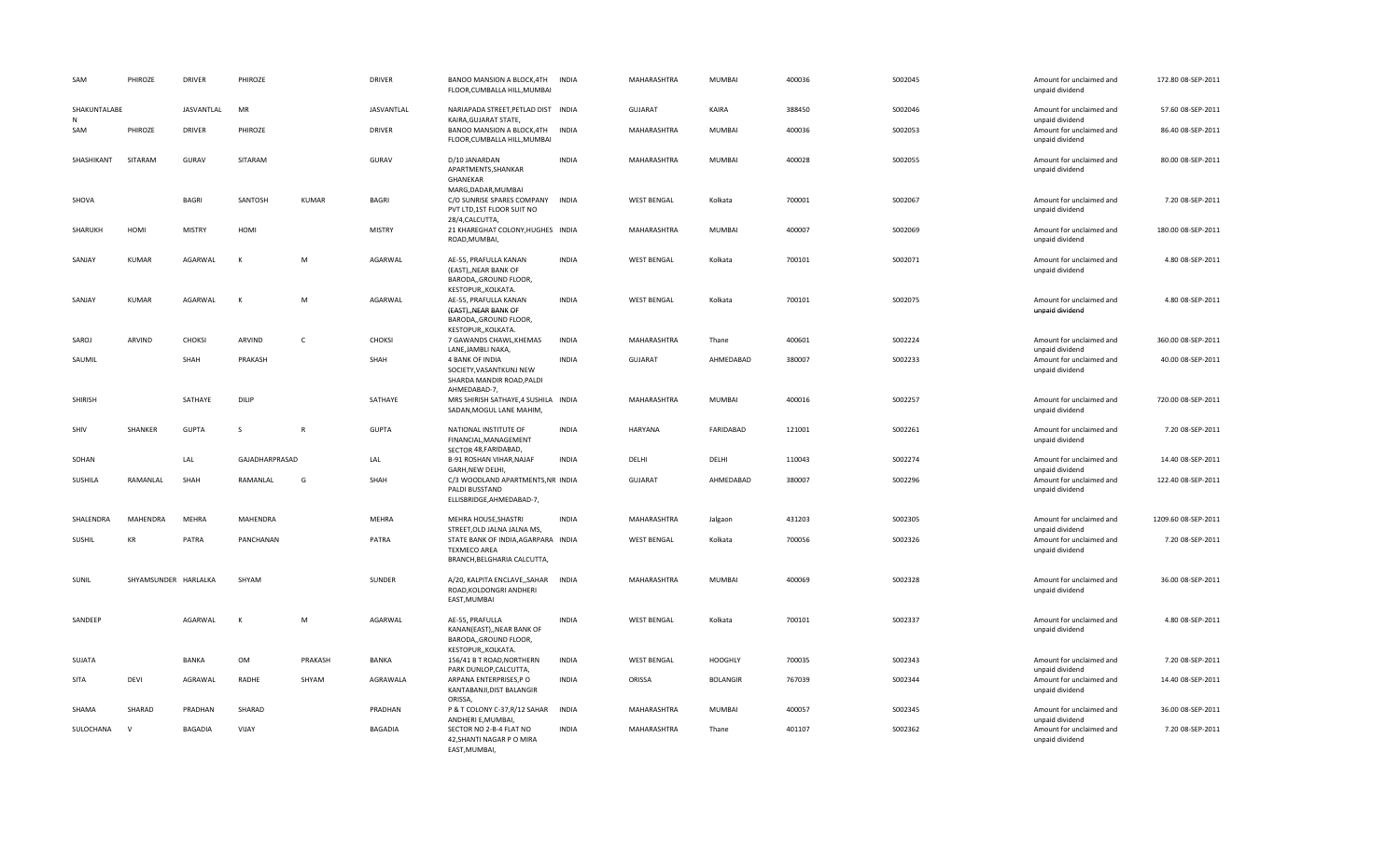| SAM               | PHIROZE              | <b>DRIVER</b>  | PHIROZE        |              | <b>DRIVER</b>  | BANOO MANSION A BLOCK, 4TH<br>FLOOR.CUMBALLA HILL.MUMBAI                                          | <b>INDIA</b> | MAHARASHTRA        | MUMBAI          | 400036 | S002045 | Amount for unclaimed and<br>unpaid dividend | 172.80 08-SEP-2011  |
|-------------------|----------------------|----------------|----------------|--------------|----------------|---------------------------------------------------------------------------------------------------|--------------|--------------------|-----------------|--------|---------|---------------------------------------------|---------------------|
| SHAKUNTALABE<br>N |                      | JASVANTLAL     | MR             |              | JASVANTLAL     | NARIAPADA STREET, PETLAD DIST INDIA<br>KAIRA, GUJARAT STATE,                                      |              | <b>GUJARAT</b>     | KAIRA           | 388450 | S002046 | Amount for unclaimed and<br>unpaid dividend | 57.60 08-SEP-2011   |
| SAM               | PHIROZE              | <b>DRIVER</b>  | PHIROZE        |              | <b>DRIVER</b>  | BANOO MANSION A BLOCK, 4TH<br>FLOOR, CUMBALLA HILL, MUMBAI                                        | <b>INDIA</b> | MAHARASHTRA        | MUMBAI          | 400036 | S002053 | Amount for unclaimed and<br>unpaid dividend | 86.40 08-SEP-2011   |
| SHASHIKANT        | SITARAM              | GURAV          | SITARAM        |              | GURAV          | D/10 JANARDAN<br>APARTMENTS, SHANKAR<br>GHANEKAR                                                  | <b>INDIA</b> | MAHARASHTRA        | MUMBAI          | 400028 | S002055 | Amount for unclaimed and<br>unpaid dividend | 80.00 08-SEP-2011   |
| SHOVA             |                      | <b>BAGRI</b>   | SANTOSH        | <b>KUMAR</b> | <b>BAGRI</b>   | MARG, DADAR, MUMBAI<br>C/O SUNRISE SPARES COMPANY<br>PVT LTD,1ST FLOOR SUIT NO<br>28/4, CALCUTTA, | <b>INDIA</b> | <b>WEST BENGAL</b> | Kolkata         | 700001 | S002067 | Amount for unclaimed and<br>unpaid dividend | 7.20 08-SEP-2011    |
| SHARUKH           | HOMI                 | <b>MISTRY</b>  | HOMI           |              | <b>MISTRY</b>  | 21 KHAREGHAT COLONY, HUGHES INDIA<br>ROAD, MUMBAI,                                                |              | MAHARASHTRA        | MUMBAI          | 400007 | S002069 | Amount for unclaimed and<br>unpaid dividend | 180.00 08-SEP-2011  |
| SANJAY            | <b>KUMAR</b>         | AGARWAL        | К              | M            | AGARWAL        | AE-55, PRAFULLA KANAN<br>(EAST)NEAR BANK OF<br>BARODA,, GROUND FLOOR,                             | <b>INDIA</b> | <b>WEST BENGAL</b> | Kolkata         | 700101 | S002071 | Amount for unclaimed and<br>unpaid dividend | 4.80 08-SEP-2011    |
| SANJAY            | <b>KUMAR</b>         | AGARWAL        | к              | M            | AGARWAL        | KESTOPUR,, KOLKATA.<br>AE-55, PRAFULLA KANAN<br>(EAST), NEAR BANK OF<br>BARODA,, GROUND FLOOR,    | <b>INDIA</b> | <b>WEST BENGAL</b> | Kolkata         | 700101 | S002075 | Amount for unclaimed and<br>unpaid dividend | 4.80 08-SEP-2011    |
| SAROJ             | ARVIND               | <b>CHOKSI</b>  | ARVIND         | $\mathsf{C}$ | <b>CHOKSI</b>  | KESTOPUR,, KOLKATA.<br>7 GAWANDS CHAWL, KHEMAS<br>LANE, JAMBLI NAKA,                              | <b>INDIA</b> | MAHARASHTRA        | Thane           | 400601 | S002224 | Amount for unclaimed and<br>unpaid dividend | 360.00 08-SEP-2011  |
| SAUMIL            |                      | SHAH           | PRAKASH        |              | SHAH           | 4 BANK OF INDIA<br>SOCIETY, VASANTKUNJ NEW<br>SHARDA MANDIR ROAD, PALDI                           | <b>INDIA</b> | GUJARAT            | AHMEDABAD       | 380007 | S002233 | Amount for unclaimed and<br>unpaid dividend | 40.00 08-SEP-2011   |
| SHIRISH           |                      | SATHAYE        | DILIP          |              | SATHAYE        | AHMEDABAD-7,<br>MRS SHIRISH SATHAYE,4 SUSHILA INDIA<br>SADAN, MOGUL LANE MAHIM,                   |              | MAHARASHTRA        | MUMBAI          | 400016 | S002257 | Amount for unclaimed and<br>unpaid dividend | 720.00 08-SEP-2011  |
| SHIV              | SHANKER              | <b>GUPTA</b>   | S              | $\mathbb{R}$ | <b>GUPTA</b>   | NATIONAL INSTITUTE OF<br>FINANCIAL, MANAGEMENT<br>SECTOR 48, FARIDABAD,                           | <b>INDIA</b> | <b>HARYANA</b>     | FARIDABAD       | 121001 | S002261 | Amount for unclaimed and<br>unpaid dividend | 7.20 08-SEP-2011    |
| SOHAN             |                      | LAL            | GAJADHARPRASAD |              | LAL            | B-91 ROSHAN VIHAR, NAJAF<br>GARH, NEW DELHI,                                                      | <b>INDIA</b> | DELHI              | DELHI           | 110043 | S002274 | Amount for unclaimed and<br>unpaid dividend | 14.40 08-SEP-2011   |
| SUSHILA           | RAMANLAL             | SHAH           | RAMANLAL       | G            | SHAH           | C/3 WOODLAND APARTMENTS, NR INDIA<br>PALDI BUSSTAND<br>ELLISBRIDGE, AHMEDABAD-7,                  |              | <b>GUJARAT</b>     | AHMEDABAD       | 380007 | S002296 | Amount for unclaimed and<br>unpaid dividend | 122.40 08-SEP-2011  |
| SHALENDRA         | MAHENDRA             | <b>MEHRA</b>   | MAHENDRA       |              | MEHRA          | MEHRA HOUSE, SHASTRI<br>STREET, OLD JALNA JALNA MS,                                               | <b>INDIA</b> | MAHARASHTRA        | Jalgaon         | 431203 | S002305 | Amount for unclaimed and<br>unpaid dividend | 1209.60 08-SEP-2011 |
| SUSHIL            | KR                   | PATRA          | PANCHANAN      |              | PATRA          | STATE BANK OF INDIA, AGARPARA INDIA<br><b>TEXMECO AREA</b><br>BRANCH, BELGHARIA CALCUTTA,         |              | <b>WEST BENGAL</b> | Kolkata         | 700056 | S002326 | Amount for unclaimed and<br>unpaid dividend | 7.20 08-SEP-2011    |
| SUNIL             | SHYAMSUNDER HARLALKA |                | SHYAM          |              | SUNDER         | A/20, KALPITA ENCLAVE,, SAHAR<br>ROAD.KOLDONGRI ANDHERI<br>EAST, MUMBAI                           | <b>INDIA</b> | MAHARASHTRA        | MUMBAI          | 400069 | S002328 | Amount for unclaimed and<br>unpaid dividend | 36.00 08-SEP-2011   |
| SANDEEP           |                      | AGARWAL        | К              | M            | AGARWAL        | AE-55, PRAFULLA<br>KANAN(EAST),, NEAR BANK OF<br>BARODA,, GROUND FLOOR,                           | <b>INDIA</b> | <b>WEST BENGAL</b> | Kolkata         | 700101 | S002337 | Amount for unclaimed and<br>unpaid dividend | 4.80 08-SEP-2011    |
| SUJATA            |                      | BANKA          | OM             | PRAKASH      | BANKA          | KESTOPUR,, KOLKATA.<br>156/41 B T ROAD, NORTHERN<br>PARK DUNLOP, CALCUTTA,                        | INDIA        | <b>WEST BENGAL</b> | <b>HOOGHLY</b>  | 700035 | S002343 | Amount for unclaimed and<br>unpaid dividend | 7.20 08-SEP-2011    |
| SITA              | DEVI                 | AGRAWAL        | RADHE          | SHYAM        | AGRAWALA       | ARPANA ENTERPRISES, PO<br>KANTABANJI, DIST BALANGIR<br>ORISSA,                                    | <b>INDIA</b> | ORISSA             | <b>BOLANGIR</b> | 767039 | S002344 | Amount for unclaimed and<br>unpaid dividend | 14.40 08-SEP-2011   |
| SHAMA             | SHARAD               | PRADHAN        | SHARAD         |              | PRADHAN        | P & T COLONY C-37, R/12 SAHAR<br>ANDHERI E, MUMBAI,                                               | INDIA        | MAHARASHTRA        | MUMBAI          | 400057 | S002345 | Amount for unclaimed and<br>unpaid dividend | 36.00 08-SEP-2011   |
| SULOCHANA         | $\mathbf{v}$         | <b>BAGADIA</b> | VIJAY          |              | <b>BAGADIA</b> | SECTOR NO 2-B-4 FLAT NO<br>42, SHANTI NAGAR P O MIRA<br>EAST, MUMBAI,                             | <b>INDIA</b> | MAHARASHTRA        | Thane           | 401107 | S002362 | Amount for unclaimed and<br>unpaid dividend | 7.20 08-SEP-2011    |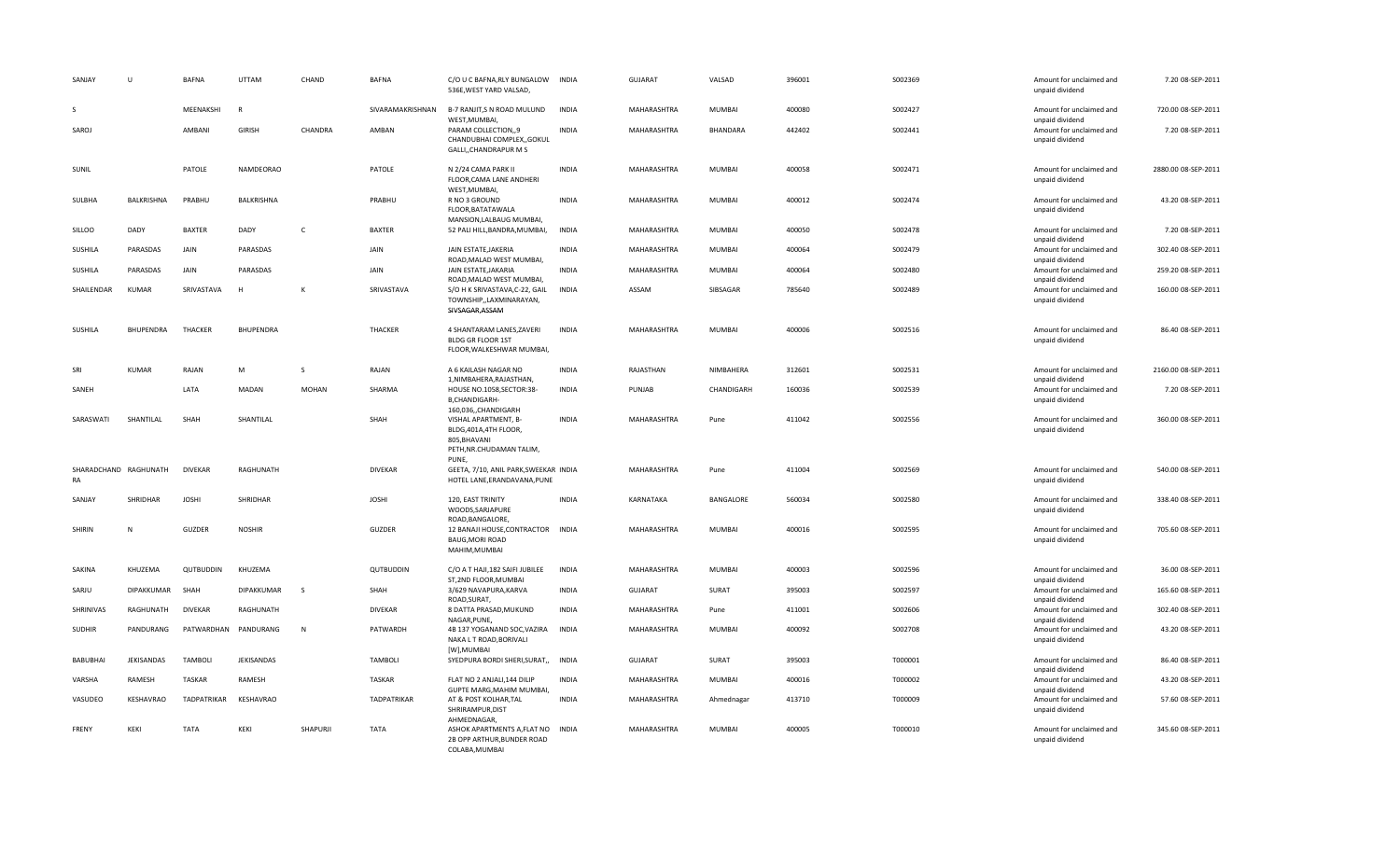| SANJAY         | $\cup$                | <b>BAFNA</b>   | UTTAM                | CHAND        | <b>BAFNA</b>     | C/O U C BAFNA, RLY BUNGALOW<br>536E, WEST YARD VALSAD,                                              | <b>INDIA</b> | GUJARAT        | VALSAD        | 396001 | S002369 | Amount for unclaimed and<br>unpaid dividend | 7.20 08-SEP-2011    |
|----------------|-----------------------|----------------|----------------------|--------------|------------------|-----------------------------------------------------------------------------------------------------|--------------|----------------|---------------|--------|---------|---------------------------------------------|---------------------|
| <sub>S</sub>   |                       | MEENAKSHI      | R                    |              | SIVARAMAKRISHNAN | B-7 RANJIT,S N ROAD MULUND<br>WEST, MUMBAI                                                          | <b>INDIA</b> | MAHARASHTRA    | <b>MUMBAI</b> | 400080 | S002427 | Amount for unclaimed and<br>unpaid dividend | 720.00 08-SEP-2011  |
| SAROJ          |                       | AMBANI         | <b>GIRISH</b>        | CHANDRA      | AMBAN            | PARAM COLLECTION,,9<br>CHANDUBHAI COMPLEX,, GOKUL<br>GALLI,, CHANDRAPUR M S                         | <b>INDIA</b> | MAHARASHTRA    | BHANDARA      | 442402 | S002441 | Amount for unclaimed and<br>unpaid dividend | 7.20 08-SEP-2011    |
| SUNIL          |                       | PATOLE         | NAMDEORAO            |              | PATOLE           | N 2/24 CAMA PARK II<br>FLOOR, CAMA LANE ANDHERI<br>WEST, MUMBAI,                                    | INDIA        | MAHARASHTRA    | <b>MUMBAI</b> | 400058 | S002471 | Amount for unclaimed and<br>unpaid dividend | 2880.00 08-SEP-2011 |
| SULBHA         | BALKRISHNA            | PRABHU         | BALKRISHNA           |              | PRABHU           | R NO 3 GROUND<br>FLOOR, BATATAWALA<br>MANSION, LALBAUG MUMBAI,                                      | INDIA        | MAHARASHTRA    | <b>MUMBAI</b> | 400012 | S002474 | Amount for unclaimed and<br>unpaid dividend | 43.20 08-SEP-2011   |
| SILLOO         | DADY                  | <b>BAXTER</b>  | DADY                 | $\mathsf{C}$ | BAXTER           | 52 PALI HILL, BANDRA, MUMBAI,                                                                       | <b>INDIA</b> | MAHARASHTRA    | MUMBAI        | 400050 | S002478 | Amount for unclaimed and<br>unpaid dividend | 7.20 08-SEP-2011    |
| SUSHILA        | PARASDAS              | JAIN           | PARASDAS             |              | <b>JAIN</b>      | JAIN ESTATE, JAKERIA<br>ROAD, MALAD WEST MUMBAI,                                                    | <b>INDIA</b> | MAHARASHTRA    | <b>MUMBAI</b> | 400064 | S002479 | Amount for unclaimed and<br>unpaid dividend | 302.40 08-SEP-2011  |
| <b>SUSHILA</b> | PARASDAS              | JAIN           | PARASDAS             |              | JAIN             | JAIN ESTATE JAKARIA<br>ROAD, MALAD WEST MUMBAI,                                                     | <b>INDIA</b> | MAHARASHTRA    | <b>MUMBAI</b> | 400064 | S002480 | Amount for unclaimed and<br>unpaid dividend | 259.20 08-SEP-2011  |
| SHAILENDAR     | <b>KUMAR</b>          | SRIVASTAVA     | $\mathsf{H}$         | K            | SRIVASTAVA       | S/O H K SRIVASTAVA, C-22, GAIL<br>TOWNSHIP,,LAXMINARAYAN,<br>SIVSAGAR, ASSAM                        | <b>INDIA</b> | ASSAM          | SIBSAGAR      | 785640 | S002489 | Amount for unclaimed and<br>unpaid dividend | 160.00 08-SEP-2011  |
| SUSHILA        | BHUPENDRA             | THACKER        | <b>BHUPENDRA</b>     |              | THACKER          | 4 SHANTARAM LANES, ZAVERI<br>BLDG GR FLOOR 1ST<br>FLOOR, WALKESHWAR MUMBAI,                         | <b>INDIA</b> | MAHARASHTRA    | <b>MUMBAI</b> | 400006 | S002516 | Amount for unclaimed and<br>unpaid dividend | 86.40 08-SEP-2011   |
| SRI            | <b>KUMAR</b>          | RAJAN          | M                    | S            | RAJAN            | A 6 KAILASH NAGAR NO<br>1, NIMBAHERA, RAJASTHAN,                                                    | <b>INDIA</b> | RAJASTHAN      | NIMBAHERA     | 312601 | S002531 | Amount for unclaimed and<br>unpaid dividend | 2160.00 08-SEP-2011 |
| SANEH          |                       | LATA           | MADAN                | <b>MOHAN</b> | SHARMA           | HOUSE NO.1058,SECTOR:38-<br><b>B,CHANDIGARH-</b><br>160,036,,CHANDIGARH                             | INDIA        | PUNJAB         | CHANDIGARH    | 160036 | S002539 | Amount for unclaimed and<br>unpaid dividend | 7.20 08-SEP-2011    |
| SARASWATI      | SHANTILAL             | SHAH           | SHANTILAL            |              | SHAH             | VISHAL APARTMENT, B-<br>BLDG, 401A, 4TH FLOOR,<br>805, BHAVANI<br>PETH, NR.CHUDAMAN TALIM,<br>PUNE, | <b>INDIA</b> | MAHARASHTRA    | Pune          | 411042 | S002556 | Amount for unclaimed and<br>unpaid dividend | 360.00 08-SEP-2011  |
| RA             | SHARADCHAND RAGHUNATH | <b>DIVEKAR</b> | RAGHUNATH            |              | <b>DIVEKAR</b>   | GEETA, 7/10, ANIL PARK, SWEEKAR INDIA<br>HOTEL LANE, ERANDAVANA, PUNE                               |              | MAHARASHTRA    | Pune          | 411004 | S002569 | Amount for unclaimed and<br>unpaid dividend | 540.00 08-SEP-2011  |
| SANJAY         | SHRIDHAR              | <b>JOSHI</b>   | SHRIDHAR             |              | <b>JOSHI</b>     | 120, EAST TRINITY<br>WOODS, SARJAPURE<br>ROAD, BANGALORE,                                           | <b>INDIA</b> | KARNATAKA      | BANGALORE     | 560034 | S002580 | Amount for unclaimed and<br>unpaid dividend | 338.40 08-SEP-2011  |
| SHIRIN         | N                     | <b>GUZDER</b>  | <b>NOSHIR</b>        |              | GUZDER           | 12 BANAJI HOUSE, CONTRACTOR<br><b>BAUG, MORI ROAD</b><br>MAHIM, MUMBAI                              | <b>INDIA</b> | MAHARASHTRA    | <b>MUMBAI</b> | 400016 | S002595 | Amount for unclaimed and<br>unpaid dividend | 705.60 08-SEP-2011  |
| SAKINA         | KHUZEMA               | QUTBUDDIN      | KHUZEMA              |              | QUTBUDDIN        | C/O A T HAJI, 182 SAIFI JUBILEE<br>ST, 2ND FLOOR, MUMBAI                                            | INDIA        | MAHARASHTRA    | <b>MUMBAI</b> | 400003 | S002596 | Amount for unclaimed and<br>unpaid dividend | 36.00 08-SEP-2011   |
| SARJU          | <b>DIPAKKUMAR</b>     | SHAH           | DIPAKKUMAR           | S            | SHAH             | 3/629 NAVAPURA, KARVA<br>ROAD, SURAT,                                                               | <b>INDIA</b> | <b>GUJARAT</b> | SURAT         | 395003 | S002597 | Amount for unclaimed and<br>unpaid dividend | 165.60 08-SEP-2011  |
| SHRINIVAS      | RAGHUNATH             | <b>DIVEKAR</b> | RAGHUNATH            |              | DIVEKAR          | 8 DATTA PRASAD, MUKUND<br>NAGAR, PUNE,                                                              | INDIA        | MAHARASHTRA    | Pune          | 411001 | S002606 | Amount for unclaimed and<br>unpaid dividend | 302.40 08-SEP-2011  |
| <b>SUDHIR</b>  | PANDURANG             |                | PATWARDHAN PANDURANG | N            | PATWARDH         | 4B 137 YOGANAND SOC, VAZIRA<br>NAKA L T ROAD, BORIVALI<br>[W],MUMBAI                                | INDIA        | MAHARASHTRA    | <b>MUMBAI</b> | 400092 | S002708 | Amount for unclaimed and<br>unpaid dividend | 43.20 08-SEP-2011   |
| BABUBHAI       | JEKISANDAS            | <b>TAMBOLI</b> | JEKISANDAS           |              | <b>TAMBOLI</b>   | SYEDPURA BORDI SHERI, SURAT,,                                                                       | INDIA        | <b>GUJARAT</b> | SURAT         | 395003 | T000001 | Amount for unclaimed and<br>unpaid dividend | 86.40 08-SEP-2011   |
| VARSHA         | RAMESH                | <b>TASKAR</b>  | RAMESH               |              | <b>TASKAR</b>    | FLAT NO 2 ANJALI, 144 DILIP<br>GUPTE MARG, MAHIM MUMBAI,                                            | <b>INDIA</b> | MAHARASHTRA    | <b>MUMBAI</b> | 400016 | T000002 | Amount for unclaimed and<br>unpaid dividend | 43.20 08-SEP-2011   |
| VASUDEO        | KESHAVRAO             | TADPATRIKAR    | KESHAVRAO            |              | TADPATRIKAR      | AT & POST KOLHAR, TAL<br>SHRIRAMPUR, DIST<br>AHMEDNAGAR,                                            | <b>INDIA</b> | MAHARASHTRA    | Ahmednagar    | 413710 | T000009 | Amount for unclaimed and<br>unpaid dividend | 57.60 08-SEP-2011   |
| FRENY          | KEKI                  | <b>TATA</b>    | KEKI                 | SHAPURJI     | <b>TATA</b>      | ASHOK APARTMENTS A, FLAT NO<br>2B OPP ARTHUR, BUNDER ROAD<br>COLABA, MUMBAI                         | INDIA        | MAHARASHTRA    | <b>MUMBAI</b> | 400005 | T000010 | Amount for unclaimed and<br>unpaid dividend | 345.60 08-SEP-2011  |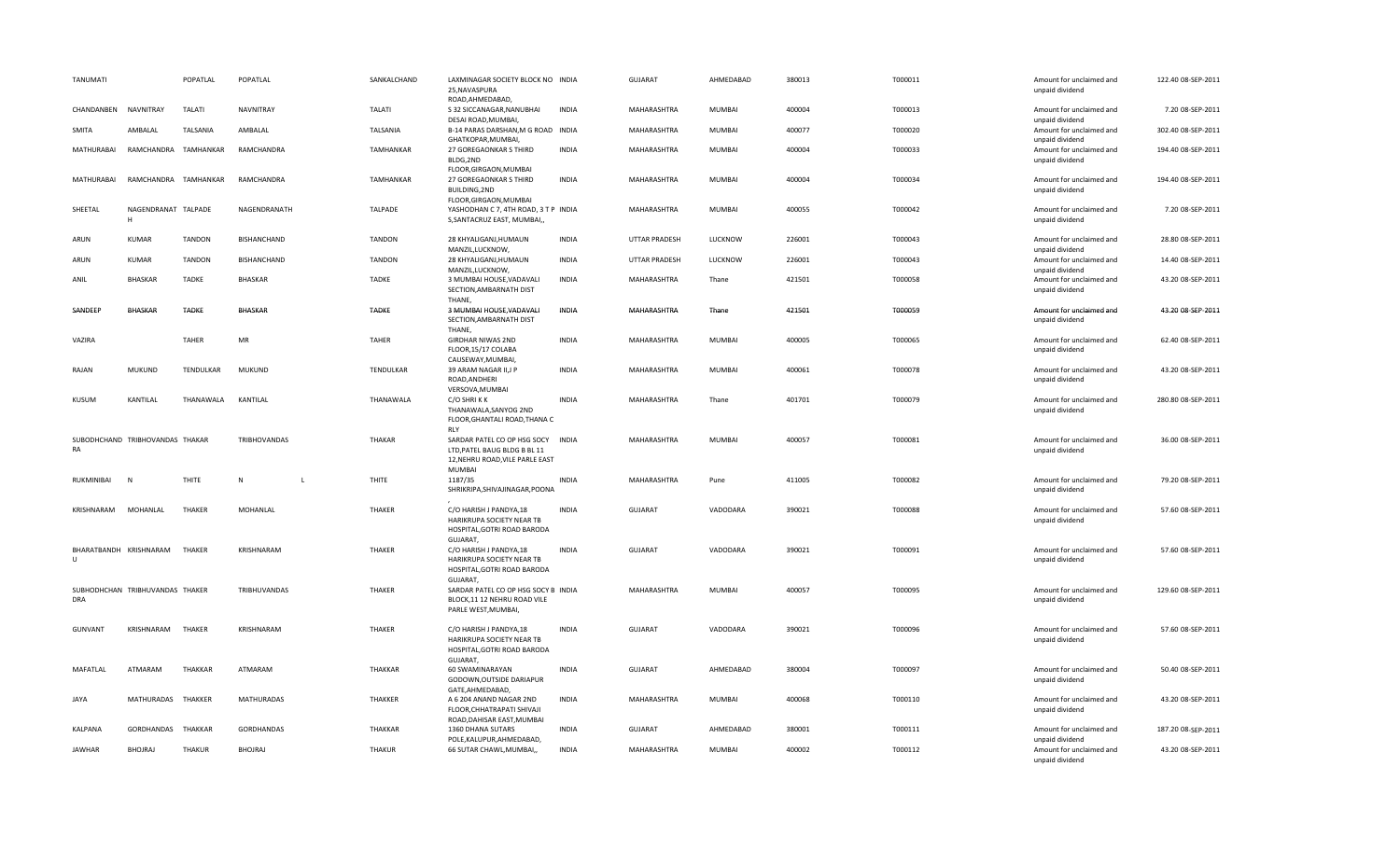| TANUMATI       |                                 | POPATLAL         | POPATLAL          | SANKALCHAND      | LAXMINAGAR SOCIETY BLOCK NO INDIA<br>25, NAVASPURA<br>ROAD, AHMEDABAD,                                                 |              | GUJARAT        | AHMEDABAD     | 380013 | T000011 | Amount for unclaimed and<br>unpaid dividend | 122.40 08-SEP-2011 |
|----------------|---------------------------------|------------------|-------------------|------------------|------------------------------------------------------------------------------------------------------------------------|--------------|----------------|---------------|--------|---------|---------------------------------------------|--------------------|
| CHANDANBEN     | NAVNITRAY                       | <b>TALATI</b>    | <b>NAVNITRAY</b>  | TALATI           | S 32 SICCANAGAR, NANUBHAI<br>DESAI ROAD, MUMBAI,                                                                       | <b>INDIA</b> | MAHARASHTRA    | MUMBAI        | 400004 | T000013 | Amount for unclaimed and<br>unpaid dividend | 7.20 08-SEP-2011   |
| SMITA          | AMBALAL                         | TALSANIA         | AMBALAL           | TALSANIA         | B-14 PARAS DARSHAN, M G ROAD INDIA<br>GHATKOPAR, MUMBAI,                                                               |              | MAHARASHTRA    | MUMBAI        | 400077 | T000020 | Amount for unclaimed and<br>unpaid dividend | 302.40 08-SEP-2011 |
| MATHURABAI     | RAMCHANDRA                      | TAMHANKAR        | RAMCHANDRA        | <b>TAMHANKAR</b> | 27 GOREGAONKAR S THIRD<br>BLDG,2ND                                                                                     | <b>INDIA</b> | MAHARASHTRA    | MUMBAI        | 400004 | T000033 | Amount for unclaimed and<br>unpaid dividend | 194.40 08-SEP-2011 |
| MATHURABAI     | RAMCHANDRA TAMHANKAR            |                  | RAMCHANDRA        | <b>TAMHANKAR</b> | FLOOR, GIRGAON, MUMBAI<br>27 GOREGAONKAR S THIRD<br>BUILDING, 2ND<br>FLOOR, GIRGAON, MUMBAI                            | <b>INDIA</b> | MAHARASHTRA    | MUMBAI        | 400004 | T000034 | Amount for unclaimed and<br>unpaid dividend | 194.40 08-SEP-2011 |
| SHEETAL        | NAGENDRANAT TALPADE<br>H        |                  | NAGENDRANATH      | <b>TALPADE</b>   | YASHODHAN C 7, 4TH ROAD, 3 T P INDIA<br>S, SANTACRUZ EAST, MUMBAI,,                                                    |              | MAHARASHTRA    | MUMBAI        | 400055 | T000042 | Amount for unclaimed and<br>unpaid dividend | 7.20 08-SEP-2011   |
| ARUN           | <b>KUMAR</b>                    | <b>TANDON</b>    | BISHANCHAND       | <b>TANDON</b>    | 28 KHYALIGANJ, HUMAUN<br>MANZIL, LUCKNOW,                                                                              | <b>INDIA</b> | UTTAR PRADESH  | LUCKNOW       | 226001 | T000043 | Amount for unclaimed and<br>unpaid dividend | 28.80 08-SEP-2011  |
| ARUN           | <b>KUMAR</b>                    | <b>TANDON</b>    | BISHANCHAND       | <b>TANDON</b>    | 28 KHYALIGANJ, HUMAUN<br>MANZIL,LUCKNOW,                                                                               | <b>INDIA</b> | UTTAR PRADESH  | LUCKNOW       | 226001 | T000043 | Amount for unclaimed and<br>unpaid dividend | 14.40 08-SEP-2011  |
| ANIL           | <b>BHASKAR</b>                  | <b>TADKE</b>     | <b>BHASKAR</b>    | <b>TADKE</b>     | 3 MUMBAI HOUSE, VADAVALI<br>SECTION, AMBARNATH DIST<br>THANE,                                                          | <b>INDIA</b> | MAHARASHTRA    | Thane         | 421501 | T000058 | Amount for unclaimed and<br>unpaid dividend | 43.20 08-SEP-2011  |
| SANDEEP        | <b>BHASKAR</b>                  | TADKE            | BHASKAR           | <b>TADKE</b>     | 3 MUMBAI HOUSE, VADAVALI<br>SECTION, AMBARNATH DIST<br>THANE,                                                          | INDIA        | MAHARASHTRA    | Thane         | 421501 | T000059 | Amount for unclaimed and<br>unpaid dividend | 43.20 08-SEP-2011  |
| VAZIRA         |                                 | <b>TAHER</b>     | MR                | <b>TAHER</b>     | <b>GIRDHAR NIWAS 2ND</b><br>FLOOR, 15/17 COLABA<br>CAUSEWAY, MUMBAI,                                                   | <b>INDIA</b> | MAHARASHTRA    | <b>MUMBAI</b> | 400005 | T000065 | Amount for unclaimed and<br>unpaid dividend | 62.40 08-SEP-2011  |
| RAJAN          | <b>MUKUND</b>                   | <b>TENDULKAR</b> | <b>MUKUND</b>     | <b>TENDULKAR</b> | 39 ARAM NAGAR II,J P<br>ROAD, ANDHERI<br>VERSOVA, MUMBAI                                                               | <b>INDIA</b> | MAHARASHTRA    | <b>MUMBAI</b> | 400061 | T000078 | Amount for unclaimed and<br>unpaid dividend | 43.20 08-SEP-2011  |
| KUSUM          | KANTILAL                        | THANAWALA        | KANTILAL          | THANAWALA        | C/O SHRIKK<br>THANAWALA, SANYOG 2ND<br>FLOOR, GHANTALI ROAD, THANA C                                                   | <b>INDIA</b> | MAHARASHTRA    | Thane         | 401701 | T000079 | Amount for unclaimed and<br>unpaid dividend | 280.80 08-SEP-2011 |
| RA             | SUBODHCHAND TRIBHOVANDAS THAKAR |                  | TRIBHOVANDAS      | THAKAR           | RLY<br>SARDAR PATEL CO OP HSG SOCY<br>LTD, PATEL BAUG BLDG B BL 11<br>12, NEHRU ROAD, VILE PARLE EAST<br><b>MUMBAI</b> | INDIA        | MAHARASHTRA    | MUMBAI        | 400057 | T000081 | Amount for unclaimed and<br>unpaid dividend | 36.00 08-SEP-2011  |
| RUKMINIBAI     | N                               | THITE            | N<br>$\mathbf{L}$ | THITE            | 1187/35<br>SHRIKRIPA, SHIVAJINAGAR, POONA                                                                              | <b>INDIA</b> | MAHARASHTRA    | Pune          | 411005 | T000082 | Amount for unclaimed and<br>unpaid dividend | 79.20 08-SEP-2011  |
| KRISHNARAM     | MOHANLAL                        | THAKER           | MOHANLAL          | THAKER           | C/O HARISH J PANDYA, 18<br>HARIKRUPA SOCIETY NEAR TB<br>HOSPITAL, GOTRI ROAD BARODA<br>GUJARAT,                        | <b>INDIA</b> | GUJARAT        | VADODARA      | 390021 | T000088 | Amount for unclaimed and<br>unpaid dividend | 57.60 08-SEP-2011  |
| U              | BHARATBANDH KRISHNARAM          | THAKER           | KRISHNARAM        | THAKER           | C/O HARISH J PANDYA, 18<br>HARIKRUPA SOCIETY NEAR TB<br>HOSPITAL, GOTRI ROAD BARODA<br><b>GUJARAT</b>                  | <b>INDIA</b> | <b>GUJARAT</b> | VADODARA      | 390021 | T000091 | Amount for unclaimed and<br>unpaid dividend | 57.60 08-SEP-2011  |
| <b>DRA</b>     | SUBHODHCHAN TRIBHUVANDAS THAKER |                  | TRIBHUVANDAS      | THAKER           | SARDAR PATEL CO OP HSG SOCY B INDIA<br>BLOCK,11 12 NEHRU ROAD VILE<br>PARLE WEST, MUMBAI,                              |              | MAHARASHTRA    | MUMBAI        | 400057 | T000095 | Amount for unclaimed and<br>unpaid dividend | 129.60 08-SEP-2011 |
| <b>GUNVANT</b> | KRISHNARAM                      | <b>THAKER</b>    | KRISHNARAM        | <b>THAKER</b>    | C/O HARISH J PANDYA.18<br>HARIKRUPA SOCIETY NEAR TB<br>HOSPITAL, GOTRI ROAD BARODA                                     | <b>INDIA</b> | <b>GUJARAT</b> | VADODARA      | 390021 | T000096 | Amount for unclaimed and<br>unpaid dividend | 57.60 08-SEP-2011  |
| MAFATLAL       | <b>ATMARAM</b>                  | <b>THAKKAR</b>   | ATMARAM           | THAKKAR          | GUJARAT,<br>60 SWAMINARAYAN<br>GODOWN, OUTSIDE DARIAPUR                                                                | <b>INDIA</b> | <b>GUJARAT</b> | AHMEDABAD     | 380004 | T000097 | Amount for unclaimed and<br>unpaid dividend | 50.40 08-SEP-2011  |
| <b>JAYA</b>    | MATHURADAS THAKKER              |                  | <b>MATHURADAS</b> | <b>THAKKER</b>   | GATE, AHMEDABAD,<br>A 6 204 ANAND NAGAR 2ND<br>FLOOR, CHHATRAPATI SHIVAJI<br>ROAD, DAHISAR EAST, MUMBAI                | <b>INDIA</b> | MAHARASHTRA    | <b>MUMBAI</b> | 400068 | T000110 | Amount for unclaimed and<br>unpaid dividend | 43.20 08-SEP-2011  |
| KALPANA        | GORDHANDAS                      | <b>THAKKAR</b>   | <b>GORDHANDAS</b> | THAKKAR          | 1360 DHANA SUTARS<br>POLE, KALUPUR, AHMEDABAD,                                                                         | <b>INDIA</b> | <b>GUJARAT</b> | AHMEDABAD     | 380001 | T000111 | Amount for unclaimed and<br>unpaid dividend | 187.20 08-SEP-2011 |
| <b>JAWHAR</b>  | <b>BHOJRAJ</b>                  | <b>THAKUR</b>    | <b>BHOJRAJ</b>    | THAKUR           | 66 SUTAR CHAWL, MUMBAI,                                                                                                | <b>INDIA</b> | MAHARASHTRA    | MUMBAI        | 400002 | T000112 | Amount for unclaimed and<br>unpaid dividend | 43.20 08-SEP-2011  |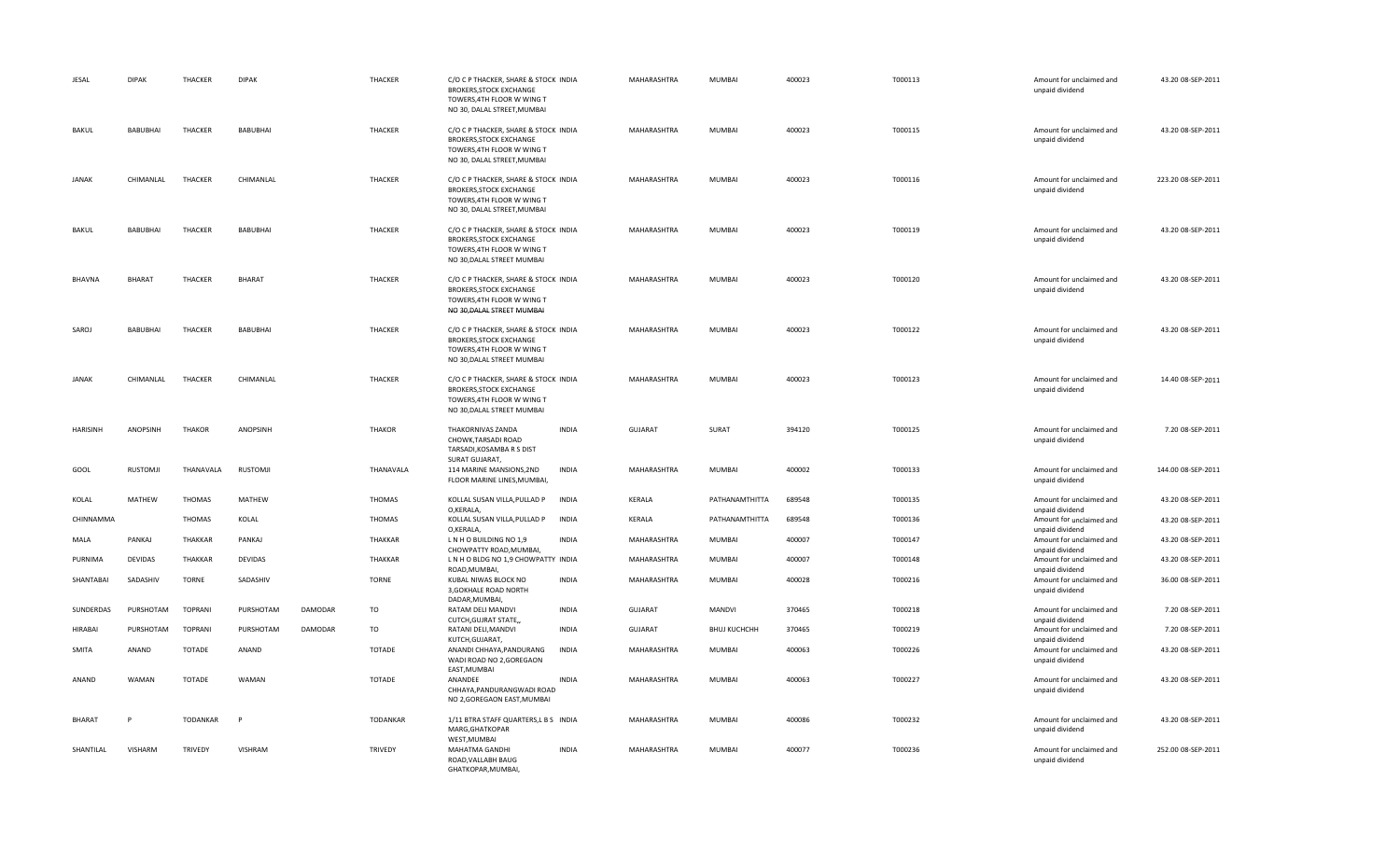| JESAL           | <b>DIPAK</b>    | <b>THACKER</b> | <b>DIPAK</b>    |         | <b>THACKER</b>  | C/O C P THACKER, SHARE & STOCK INDIA<br><b>BROKERS, STOCK EXCHANGE</b><br>TOWERS, 4TH FLOOR W WING T<br>NO 30, DALAL STREET, MUMBAI |              | MAHARASHTRA    | MUMBAI              | 400023 | T000113 | Amount for unclaimed and<br>unpaid dividend | 43.20 08-SEP-2011  |
|-----------------|-----------------|----------------|-----------------|---------|-----------------|-------------------------------------------------------------------------------------------------------------------------------------|--------------|----------------|---------------------|--------|---------|---------------------------------------------|--------------------|
| BAKUL           | <b>BABUBHAI</b> | THACKER        | <b>BABUBHAI</b> |         | THACKER         | C/O C P THACKER, SHARE & STOCK INDIA<br><b>BROKERS, STOCK EXCHANGE</b><br>TOWERS, 4TH FLOOR W WING T<br>NO 30, DALAL STREET, MUMBAI |              | MAHARASHTRA    | MUMBAI              | 400023 | T000115 | Amount for unclaimed and<br>unpaid dividend | 43.20 08-SEP-2011  |
| JANAK           | CHIMANLAL       | THACKER        | CHIMANLAL       |         | THACKER         | C/O C P THACKER, SHARE & STOCK INDIA<br><b>BROKERS, STOCK EXCHANGE</b><br>TOWERS, 4TH FLOOR W WING T<br>NO 30, DALAL STREET, MUMBAI |              | MAHARASHTRA    | MUMBAI              | 400023 | T000116 | Amount for unclaimed and<br>unpaid dividend | 223.20 08-SEP-2011 |
| BAKUL           | <b>BABUBHAI</b> | <b>THACKER</b> | <b>BABUBHAI</b> |         | <b>THACKER</b>  | C/O C P THACKER, SHARE & STOCK INDIA<br><b>BROKERS, STOCK EXCHANGE</b><br>TOWERS, 4TH FLOOR W WING T<br>NO 30, DALAL STREET MUMBAI  |              | MAHARASHTRA    | MUMBAI              | 400023 | T000119 | Amount for unclaimed and<br>unpaid dividend | 43.20 08-SEP-2011  |
| <b>BHAVNA</b>   | <b>BHARAT</b>   | THACKER        | <b>BHARAT</b>   |         | THACKER         | C/O C P THACKER, SHARE & STOCK INDIA<br><b>BROKERS, STOCK EXCHANGE</b><br>TOWERS, 4TH FLOOR W WING T<br>NO 30, DALAL STREET MUMBAI  |              | MAHARASHTRA    | MUMBAI              | 400023 | T000120 | Amount for unclaimed and<br>unpaid dividend | 43.20 08-SEP-2011  |
| SAROJ           | BABUBHAI        | THACKER        | <b>BABUBHAI</b> |         | THACKER         | C/O C P THACKER, SHARE & STOCK INDIA<br><b>BROKERS, STOCK EXCHANGE</b><br>TOWERS, 4TH FLOOR W WING T<br>NO 30, DALAL STREET MUMBAI  |              | MAHARASHTRA    | MUMBAI              | 400023 | T000122 | Amount for unclaimed and<br>unpaid dividend | 43.20 08-SEP-2011  |
| <b>JANAK</b>    | CHIMANLAL       | <b>THACKER</b> | CHIMANLAL       |         | <b>THACKER</b>  | C/O C P THACKER, SHARE & STOCK INDIA<br><b>BROKERS, STOCK EXCHANGE</b><br>TOWERS, 4TH FLOOR W WING T<br>NO 30, DALAL STREET MUMBAI  |              | MAHARASHTRA    | MUMBAI              | 400023 | T000123 | Amount for unclaimed and<br>unpaid dividend | 14.40 08-SEP-2011  |
| <b>HARISINH</b> | ANOPSINH        | <b>THAKOR</b>  | ANOPSINH        |         | <b>THAKOR</b>   | THAKORNIVAS ZANDA<br>CHOWK, TARSADI ROAD<br>TARSADI, KOSAMBA R S DIST                                                               | <b>INDIA</b> | <b>GUJARAT</b> | SURAT               | 394120 | T000125 | Amount for unclaimed and<br>unpaid dividend | 7.20 08-SEP-2011   |
| GOOL            | <b>RUSTOMJI</b> | THANAVALA      | <b>RUSTOMJI</b> |         | THANAVALA       | SURAT GUJARAT,<br>114 MARINE MANSIONS, 2ND<br>FLOOR MARINE LINES, MUMBAI,                                                           | <b>INDIA</b> | MAHARASHTRA    | <b>MUMBAI</b>       | 400002 | T000133 | Amount for unclaimed and<br>unpaid dividend | 144.00 08-SEP-2011 |
| KOLAL           | MATHEW          | THOMAS         | MATHEW          |         | THOMAS          | KOLLAL SUSAN VILLA, PULLAD P<br>O,KERALA,                                                                                           | <b>INDIA</b> | KERALA         | PATHANAMTHITTA      | 689548 | T000135 | Amount for unclaimed and<br>unpaid dividend | 43.20 08-SEP-2011  |
| CHINNAMMA       |                 | THOMAS         | KOLAL           |         | THOMAS          | KOLLAL SUSAN VILLA, PULLAD P<br>O,KERALA,                                                                                           | INDIA        | KERALA         | PATHANAMTHITTA      | 689548 | T000136 | Amount for unclaimed and<br>unpaid dividend | 43.20 08-SEP-2011  |
| MALA            | PANKAJ          | THAKKAR        | PANKAJ          |         | THAKKAR         | LNHO BUILDING NO 1,9<br>CHOWPATTY ROAD, MUMBAI,                                                                                     | <b>INDIA</b> | MAHARASHTRA    | MUMBAI              | 400007 | T000147 | Amount for unclaimed and<br>unpaid dividend | 43.20 08-SEP-2011  |
| PURNIMA         | DEVIDAS         | THAKKAR        | <b>DEVIDAS</b>  |         | THAKKAR         | L N H O BLDG NO 1,9 CHOWPATTY INDIA<br>ROAD, MUMBAI,                                                                                |              | MAHARASHTRA    | MUMBAI              | 400007 | T000148 | Amount for unclaimed and<br>unpaid dividend | 43.20 08-SEP-2011  |
| SHANTABAI       | SADASHIV        | <b>TORNE</b>   | SADASHIV        |         | <b>TORNE</b>    | KUBAL NIWAS BLOCK NO<br>3, GOKHALE ROAD NORTH<br>DADAR, MUMBAI,                                                                     | <b>INDIA</b> | MAHARASHTRA    | MUMBAI              | 400028 | T000216 | Amount for unclaimed and<br>unpaid dividend | 36.00 08-SEP-2011  |
| SUNDERDAS       | PURSHOTAM       | <b>TOPRANI</b> | PURSHOTAM       | DAMODAR | TO              | RATAM DELI MANDVI<br>CUTCH, GUJRAT STATE,                                                                                           | <b>INDIA</b> | <b>GUJARAT</b> | MANDVI              | 370465 | T000218 | Amount for unclaimed and<br>unpaid dividend | 7.20 08-SEP-2011   |
| <b>HIRABAI</b>  | PURSHOTAM       | <b>TOPRANI</b> | PURSHOTAM       | DAMODAR | <b>TO</b>       | RATANI DELI, MANDVI<br>KUTCH, GUJARAT,                                                                                              | <b>INDIA</b> | GUJARAT        | <b>BHUJ KUCHCHH</b> | 370465 | T000219 | Amount for unclaimed and<br>unpaid dividend | 7.20 08-SEP-2011   |
| SMITA           | ANAND           | <b>TOTADE</b>  | ANAND           |         | TOTADE          | ANANDI CHHAYA, PANDURANG<br>WADI ROAD NO 2,GOREGAON<br>EAST, MUMBAI                                                                 | <b>INDIA</b> | MAHARASHTRA    | MUMBAI              | 400063 | T000226 | Amount for unclaimed and<br>unpaid dividend | 43.20 08-SEP-2011  |
| ANAND           | WAMAN           | <b>TOTADE</b>  | WAMAN           |         | TOTADE          | ANANDEE<br>CHHAYA, PANDURANGWADI ROAD<br>NO 2, GOREGAON EAST, MUMBAI                                                                | <b>INDIA</b> | MAHARASHTRA    | MUMBAI              | 400063 | T000227 | Amount for unclaimed and<br>unpaid dividend | 43.20 08-SEP-2011  |
| <b>BHARAT</b>   |                 | TODANKAR       | P               |         | <b>TODANKAR</b> | 1/11 BTRA STAFF QUARTERS, L B S INDIA<br>MARG, GHATKOPAR<br>WEST, MUMBAI                                                            |              | MAHARASHTRA    | MUMBAI              | 400086 | T000232 | Amount for unclaimed and<br>unpaid dividend | 43.20 08-SEP-2011  |
| SHANTILAL       | <b>VISHARM</b>  | <b>TRIVEDY</b> | VISHRAM         |         | TRIVEDY         | MAHATMA GANDHI<br>ROAD, VALLABH BAUG<br>GHATKOPAR.MUMBAI.                                                                           | <b>INDIA</b> | MAHARASHTRA    | MUMBAI              | 400077 | T000236 | Amount for unclaimed and<br>unpaid dividend | 252.00 08-SEP-2011 |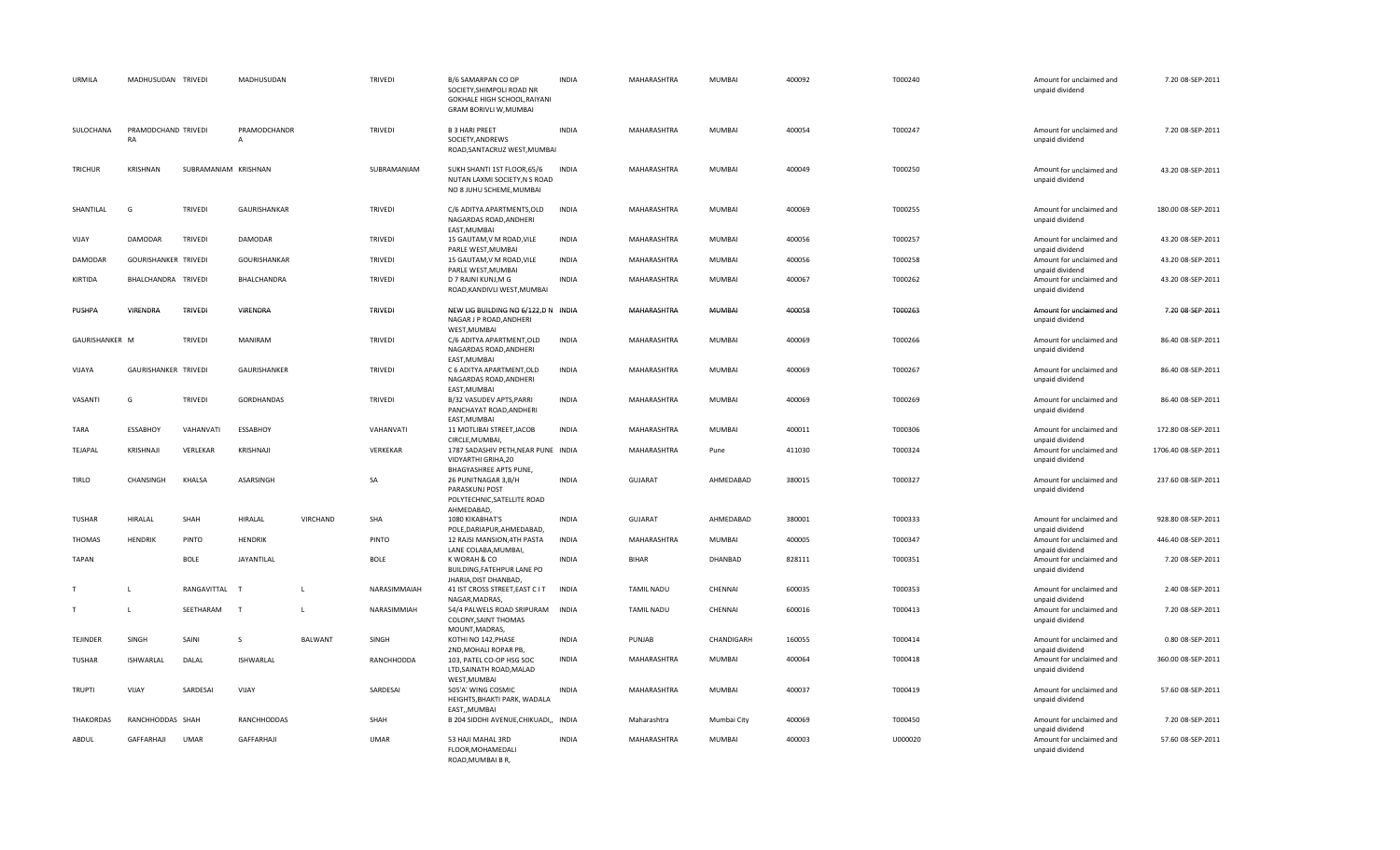| URMILA           | MADHUSUDAN TRIVEDI        |                      | MADHUSUDAN                   |                 | TRIVEDI        | B/6 SAMARPAN CO OP<br>SOCIETY, SHIMPOLI ROAD NR<br>GOKHALE HIGH SCHOOL, RAIYANI<br>GRAM BORIVLI W, MUMBAI            | <b>INDIA</b> | MAHARASHTRA        | MUMBAI        | 400092 | T000240 | Amount for unclaimed and<br>unpaid dividend                    | 7.20 08-SEP-2011    |
|------------------|---------------------------|----------------------|------------------------------|-----------------|----------------|----------------------------------------------------------------------------------------------------------------------|--------------|--------------------|---------------|--------|---------|----------------------------------------------------------------|---------------------|
| SULOCHANA        | PRAMODCHAND TRIVEDI<br>RA |                      | PRAMODCHANDR<br>$\mathsf{A}$ |                 | TRIVEDI        | <b>B 3 HARI PREET</b><br>SOCIETY, ANDREWS<br>ROAD, SANTACRUZ WEST, MUMBAI                                            | <b>INDIA</b> | MAHARASHTRA        | MUMBAI        | 400054 | T000247 | Amount for unclaimed and<br>unpaid dividend                    | 7.20 08-SEP-2011    |
| TRICHUR          | KRISHNAN                  | SUBRAMANIAM KRISHNAN |                              |                 | SUBRAMANIAM    | SUKH SHANTI 1ST FLOOR,65/6<br>NUTAN LAXMI SOCIETY, N S ROAD<br>NO 8 JUHU SCHEME, MUMBAI                              | <b>INDIA</b> | MAHARASHTRA        | MUMBAI        | 400049 | T000250 | Amount for unclaimed and<br>unpaid dividend                    | 43.20 08-SEP-2011   |
| SHANTILAL        | G                         | <b>TRIVEDI</b>       | GAURISHANKAR                 |                 | <b>TRIVEDI</b> | C/6 ADITYA APARTMENTS, OLD<br>NAGARDAS ROAD, ANDHERI<br>EAST, MUMBAI                                                 | <b>INDIA</b> | MAHARASHTRA        | MUMBAI        | 400069 | T000255 | Amount for unclaimed and<br>unpaid dividend                    | 180.00 08-SEP-2011  |
| VIJAY            | DAMODAR                   | TRIVEDI              | <b>DAMODAR</b>               |                 | TRIVEDI        | 15 GAUTAM, V M ROAD, VILE<br>PARLE WEST, MUMBAI                                                                      | <b>INDIA</b> | MAHARASHTRA        | MUMBAI        | 400056 | T000257 | Amount for unclaimed and<br>unpaid dividend                    | 43.20 08-SEP-2011   |
| DAMODAR          | GOURISHANKER TRIVEDI      |                      | GOURISHANKAR                 |                 | TRIVEDI        | 15 GAUTAM, V M ROAD, VILE<br>PARLE WEST, MUMBAI                                                                      | <b>INDIA</b> | MAHARASHTRA        | MUMBAI        | 400056 | T000258 | Amount for unclaimed and<br>unpaid dividend                    | 43.20 08-SEP-2011   |
| KIRTIDA          | BHALCHANDRA TRIVEDI       |                      | BHALCHANDRA                  |                 | TRIVEDI        | D 7 RAJNI KUNJ, M G<br>ROAD, KANDIVLI WEST, MUMBAI                                                                   | <b>INDIA</b> | MAHARASHTRA        | MUMBAI        | 400067 | T000262 | Amount for unclaimed and<br>unpaid dividend                    | 43.20 08-SEP-2011   |
| PUSHPA           | VIRENDRA                  | <b>TRIVEDI</b>       | VIRENDRA                     |                 | TRIVEDI        | NEW LIG BUILDING NO 6/122,D N INDIA<br>NAGAR J P ROAD, ANDHERI<br>WEST, MUMBAI                                       |              | MAHARASHTRA        | <b>MUMBAI</b> | 400058 | T000263 | Amount for unclaimed and<br>unpaid dividend                    | 7.20 08-SEP-2011    |
| GAURISHANKER M   |                           | TRIVEDI              | <b>MANIRAM</b>               |                 | TRIVEDI        | C/6 ADITYA APARTMENT, OLD<br>NAGARDAS ROAD, ANDHERI<br>EAST, MUMBAI                                                  | INDIA        | MAHARASHTRA        | <b>MUMBAI</b> | 400069 | T000266 | Amount for unclaimed and<br>unpaid dividend                    | 86.40 08-SEP-2011   |
| VIJAYA           | GAURISHANKER TRIVEDI      |                      | GAURISHANKER                 |                 | TRIVEDI        | C 6 ADITYA APARTMENT, OLD<br>NAGARDAS ROAD, ANDHERI<br>EAST, MUMBAI                                                  | <b>INDIA</b> | MAHARASHTRA        | MUMBAI        | 400069 | T000267 | Amount for unclaimed and<br>unpaid dividend                    | 86.40 08-SEP-2011   |
| VASANTI          | G                         | TRIVEDI              | <b>GORDHANDAS</b>            |                 | TRIVEDI        | B/32 VASUDEV APTS, PARRI<br>PANCHAYAT ROAD, ANDHERI<br>EAST, MUMBAI                                                  | <b>INDIA</b> | MAHARASHTRA        | MUMBAI        | 400069 | T000269 | Amount for unclaimed and<br>unpaid dividend                    | 86.40 08-SEP-2011   |
| TARA             | <b>ESSABHOY</b>           | VAHANVATI            | ESSABHOY                     |                 | VAHANVATI      | 11 MOTLIBAI STREET, JACOB<br>CIRCLE, MUMBAI,                                                                         | <b>INDIA</b> | MAHARASHTRA        | MUMBAI        | 400011 | T000306 | Amount for unclaimed and<br>unpaid dividend                    | 172.80 08-SEP-2011  |
| TEJAPAL          | KRISHNAJI                 | VERLEKAR             | KRISHNAJI                    |                 | VERKEKAR       | 1787 SADASHIV PETH, NEAR PUNE INDIA<br>VIDYARTHI GRIHA, 20                                                           |              | MAHARASHTRA        | Pune          | 411030 | T000324 | Amount for unclaimed and<br>unpaid dividend                    | 1706.40 08-SEP-2011 |
| <b>TIRLO</b>     | CHANSINGH                 | KHALSA               | ASARSINGH                    |                 | SA             | <b>BHAGYASHREE APTS PUNE,</b><br>26 PUNITNAGAR 3, B/H<br>PARASKUNJ POST<br>POLYTECHNIC, SATELLITE ROAD<br>AHMEDABAD, | <b>INDIA</b> | <b>GUJARAT</b>     | AHMEDABAD     | 380015 | T000327 | Amount for unclaimed and<br>unpaid dividend                    | 237.60 08-SEP-2011  |
| TUSHAR           | HIRALAL                   | SHAH                 | HIRALAL                      | <b>VIRCHAND</b> | SHA            | 1080 KIKABHAT'S<br>POLE, DARIAPUR, AHMEDABAD,                                                                        | <b>INDIA</b> | <b>GUJARAT</b>     | AHMEDABAD     | 380001 | T000333 | Amount for unclaimed and<br>unpaid dividend                    | 928.80 08-SEP-2011  |
| <b>THOMAS</b>    | <b>HENDRIK</b>            | PINTO                | <b>HENDRIK</b>               |                 | PINTO          | 12 RAJSI MANSION, 4TH PASTA<br>LANE COLABA, MUMBAI,                                                                  | <b>INDIA</b> | MAHARASHTRA        | MUMBAI        | 400005 | T000347 | Amount for unclaimed and<br>unpaid dividend                    | 446.40 08-SEP-2011  |
| <b>TAPAN</b>     |                           | <b>BOLE</b>          | JAYANTILAL                   |                 | <b>BOLE</b>    | K WORAH & CO<br>BUILDING, FATEHPUR LANE PO<br>JHARIA, DIST DHANBAD,                                                  | <b>INDIA</b> | <b>BIHAR</b>       | DHANBAD       | 828111 | T000351 | Amount for unclaimed and<br>unpaid dividend                    | 7.20 08-SEP-2011    |
| $\mathsf{T}$     | L                         | RANGAVITTAL          | - 7                          | $\mathbf{L}$    | NARASIMMAIAH   | 41 IST CROSS STREET, EAST C IT<br>NAGAR, MADRAS,                                                                     | INDIA        | <b>TAMIL NADU</b>  | CHENNAI       | 600035 | T000353 | Amount for unclaimed and<br>unpaid dividend                    | 2.40 08-SEP-2011    |
| T                | L                         | SEETHARAM            | T                            | $\mathsf L$     | NARASIMMIAH    | 54/4 PALWELS ROAD SRIPURAM INDIA<br>COLONY, SAINT THOMAS<br>MOUNT, MADRAS,                                           |              | <b>TAMIL NADU</b>  | CHENNAI       | 600016 | T000413 | Amount for unclaimed and<br>unpaid dividend                    | 7.20 08-SEP-2011    |
| <b>TEJINDER</b>  | SINGH                     | SAINI                | <sub>S</sub>                 | <b>BALWANT</b>  | SINGH          | KOTHI NO 142, PHASE                                                                                                  | <b>INDIA</b> | PUNJAB             | CHANDIGARH    | 160055 | T000414 | Amount for unclaimed and                                       | 0.80 08-SEP-2011    |
| <b>TUSHAR</b>    | ISHWARLAL                 | DALAL                | ISHWARLAL                    |                 | RANCHHODDA     | 2ND, MOHALI ROPAR PB,<br>103, PATEL CO-OP HSG SOC<br>LTD, SAINATH ROAD, MALAD<br>WEST, MUMBAI                        | <b>INDIA</b> | MAHARASHTRA        | MUMBAI        | 400064 | T000418 | unpaid dividend<br>Amount for unclaimed and<br>unpaid dividend | 360.00 08-SEP-2011  |
| <b>TRUPTI</b>    | VIJAY                     | SARDESAI             | VIJAY                        |                 | SARDESAI       | 505'A' WING COSMIC<br>HEIGHTS, BHAKTI PARK, WADALA<br>EAST,, MUMBAI                                                  | <b>INDIA</b> | <b>MAHARASHTRA</b> | <b>MUMBAI</b> | 400037 | T000419 | Amount for unclaimed and<br>unpaid dividend                    | 57.60 08-SEP-2011   |
| <b>THAKORDAS</b> | RANCHHODDAS SHAH          |                      | RANCHHODDAS                  |                 | SHAH           | B 204 SIDDHI AVENUE, CHIKUADI,, INDIA                                                                                |              | Maharashtra        | Mumbai City   | 400069 | T000450 | Amount for unclaimed and<br>unpaid dividend                    | 7.20 08-SEP-2011    |
| ABDUL            | GAFFARHAJI                | <b>UMAR</b>          | GAFFARHAJI                   |                 | <b>UMAR</b>    | 53 HAJI MAHAL 3RD<br>FLOOR, MOHAMEDALI<br>ROAD.MUMBAI B R.                                                           | <b>INDIA</b> | MAHARASHTRA        | MUMBAI        | 400003 | U000020 | Amount for unclaimed and<br>unpaid dividend                    | 57.60 08-SEP-2011   |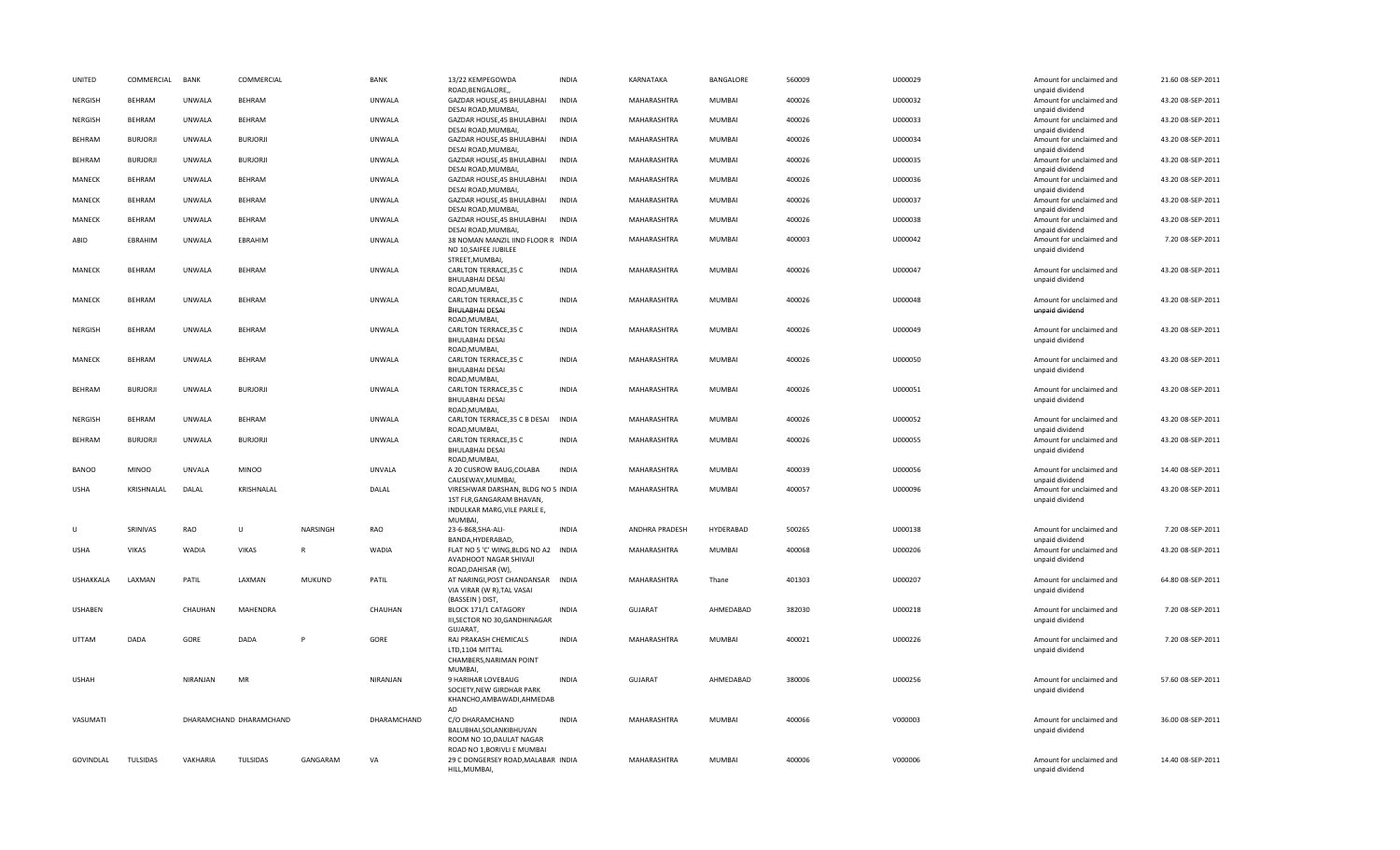| UNITED           | COMMERCIAL      | BANK          | COMMERCIAL              |               | BANK          | 13/22 KEMPEGOWDA<br>ROAD, BENGALORE,                                                            | <b>INDIA</b> | KARNATAKA      | BANGALORE     | 560009 | U000029 | Amount for unclaimed and                                       | 21.60 08-SEP-2011 |
|------------------|-----------------|---------------|-------------------------|---------------|---------------|-------------------------------------------------------------------------------------------------|--------------|----------------|---------------|--------|---------|----------------------------------------------------------------|-------------------|
| <b>NERGISH</b>   | <b>BEHRAM</b>   | <b>UNWALA</b> | <b>BEHRAM</b>           |               | UNWALA        | GAZDAR HOUSE, 45 BHULABHAI<br>DESAI ROAD, MUMBAI,                                               | <b>INDIA</b> | MAHARASHTRA    | MUMBAI        | 400026 | U000032 | unpaid dividend<br>Amount for unclaimed and<br>unpaid dividend | 43.20 08-SEP-2011 |
| NERGISH          | <b>BEHRAM</b>   | <b>UNWALA</b> | <b>BEHRAM</b>           |               | <b>UNWALA</b> | GAZDAR HOUSE, 45 BHULABHAI<br>DESAI ROAD, MUMBAI,                                               | <b>INDIA</b> | MAHARASHTRA    | MUMBAI        | 400026 | U000033 | Amount for unclaimed and<br>unpaid dividend                    | 43.20 08-SEP-2011 |
| BEHRAM           | <b>BURJORJI</b> | UNWALA        | <b>BURJORJI</b>         |               | UNWALA        | GAZDAR HOUSE, 45 BHULABHAI<br>DESAI ROAD, MUMBAI,                                               | INDIA        | MAHARASHTRA    | MUMBAI        | 400026 | U000034 | Amount for unclaimed and<br>unpaid dividend                    | 43.20 08-SEP-2011 |
| BEHRAM           | <b>BURJORJI</b> | <b>UNWALA</b> | <b>BURJORJI</b>         |               | UNWALA        | GAZDAR HOUSE, 45 BHULABHAI<br>DESAI ROAD, MUMBAI,                                               | INDIA        | MAHARASHTRA    | MUMBAI        | 400026 | U000035 | Amount for unclaimed and<br>unpaid dividend                    | 43.20 08-SEP-2011 |
| MANECK           | <b>BEHRAM</b>   | <b>UNWALA</b> | <b>BEHRAM</b>           |               | <b>UNWALA</b> | GAZDAR HOUSE, 45 BHULABHAI<br>DESAI ROAD, MUMBAI,                                               | <b>INDIA</b> | MAHARASHTRA    | <b>MUMBAI</b> | 400026 | U000036 | Amount for unclaimed and<br>unpaid dividend                    | 43.20 08-SEP-2011 |
| MANECK           | <b>BEHRAM</b>   | UNWALA        | <b>BEHRAM</b>           |               | <b>UNWALA</b> | GAZDAR HOUSE, 45 BHULABHAI<br>DESAI ROAD, MUMBAI,                                               | INDIA        | MAHARASHTRA    | MUMBAI        | 400026 | U000037 | Amount for unclaimed and<br>unpaid dividend                    | 43.20 08-SEP-2011 |
| MANECK           | <b>BEHRAM</b>   | UNWALA        | <b>BEHRAM</b>           |               | UNWALA        | GAZDAR HOUSE, 45 BHULABHAI<br>DESAI ROAD, MUMBAI,                                               | INDIA        | MAHARASHTRA    | MUMBAI        | 400026 | U000038 | Amount for unclaimed and<br>unpaid dividend                    | 43.20 08-SEP-2011 |
| ABID             | EBRAHIM         | <b>UNWALA</b> | EBRAHIM                 |               | UNWALA        | 38 NOMAN MANZIL IIND FLOOR R INDIA<br>NO 10, SAIFEE JUBILEE<br>STREET, MUMBAI,                  |              | MAHARASHTRA    | MUMBAI        | 400003 | U000042 | Amount for unclaimed and<br>unpaid dividend                    | 7.20 08-SEP-2011  |
| MANECK           | <b>BEHRAM</b>   | <b>UNWALA</b> | <b>BEHRAM</b>           |               | UNWALA        | CARLTON TERRACE, 35 C<br><b>BHULABHAI DESAI</b>                                                 | <b>INDIA</b> | MAHARASHTRA    | MUMBAI        | 400026 | U000047 | Amount for unclaimed and<br>unpaid dividend                    | 43.20 08-SEP-2011 |
| MANECK           | <b>BEHRAM</b>   | <b>UNWALA</b> | <b>BEHRAM</b>           |               | UNWALA        | ROAD, MUMBAI,<br>CARLTON TERRACE, 35 C<br><b>BHULABHAI DESAI</b>                                | <b>INDIA</b> | MAHARASHTRA    | MUMBAI        | 400026 | U000048 | Amount for unclaimed and<br>unpaid dividend                    | 43.20 08-SEP-2011 |
| NERGISH          | <b>BEHRAM</b>   | <b>UNWALA</b> | <b>BEHRAM</b>           |               | UNWALA        | ROAD, MUMBAI,<br>CARLTON TERRACE, 35 C<br><b>BHULABHAI DESAI</b>                                | <b>INDIA</b> | MAHARASHTRA    | MUMBAI        | 400026 | U000049 | Amount for unclaimed and<br>unpaid dividend                    | 43.20 08-SEP-2011 |
| MANECK           | <b>BEHRAM</b>   | <b>UNWALA</b> | <b>BEHRAM</b>           |               | UNWALA        | ROAD, MUMBAI,<br>CARLTON TERRACE, 35 C<br><b>BHULABHAI DESAI</b>                                | <b>INDIA</b> | MAHARASHTRA    | MUMBAI        | 400026 | U000050 | Amount for unclaimed and<br>unpaid dividend                    | 43.20 08-SEP-2011 |
| BEHRAM           | <b>BURJORJI</b> | UNWALA        | <b>BURJORJI</b>         |               | <b>UNWALA</b> | ROAD, MUMBAI,<br>CARLTON TERRACE, 35 C<br><b>BHULABHAI DESAI</b><br>ROAD, MUMBAI,               | <b>INDIA</b> | MAHARASHTRA    | MUMBAI        | 400026 | U000051 | Amount for unclaimed and<br>unpaid dividend                    | 43.20 08-SEP-2011 |
| NERGISH          | <b>BEHRAM</b>   | <b>UNWALA</b> | <b>BEHRAM</b>           |               | <b>UNWALA</b> | CARLTON TERRACE, 35 C B DESAI                                                                   | INDIA        | MAHARASHTRA    | MUMBAI        | 400026 | U000052 | Amount for unclaimed and                                       | 43.20 08-SEP-2011 |
| BEHRAM           | <b>BURJORJI</b> | <b>UNWALA</b> | <b>BURJORJI</b>         |               | UNWALA        | ROAD, MUMBAI,<br>CARLTON TERRACE, 35 C<br><b>BHULABHAI DESAI</b>                                | <b>INDIA</b> | MAHARASHTRA    | MUMBAI        | 400026 | U000055 | unpaid dividend<br>Amount for unclaimed and<br>unpaid dividend | 43.20 08-SEP-2011 |
| <b>BANOO</b>     | <b>MINOO</b>    | UNVALA        | <b>MINOO</b>            |               | <b>UNVALA</b> | ROAD, MUMBAI,<br>A 20 CUSROW BAUG, COLABA<br>CAUSEWAY, MUMBAI,                                  | <b>INDIA</b> | MAHARASHTRA    | MUMBAI        | 400039 | U000056 | Amount for unclaimed and<br>unpaid dividend                    | 14.40 08-SEP-2011 |
| <b>USHA</b>      | KRISHNALAL      | DALAL         | KRISHNALAL              |               | DALAL         | VIRESHWAR DARSHAN, BLDG NO 5 INDIA<br>1ST FLR, GANGARAM BHAVAN,<br>INDULKAR MARG, VILE PARLE E, |              | MAHARASHTRA    | <b>MUMBAI</b> | 400057 | U000096 | Amount for unclaimed and<br>unpaid dividend                    | 43.20 08-SEP-2011 |
| U                | SRINIVAS        | RAO           | U                       | NARSINGH      | RAO           | MUMBAI.<br>23-6-868, SHA-ALI-                                                                   | <b>INDIA</b> | ANDHRA PRADESH | HYDERABAD     | 500265 | U000138 | Amount for unclaimed and                                       | 7.20 08-SEP-2011  |
| USHA             | <b>VIKAS</b>    | <b>WADIA</b>  | <b>VIKAS</b>            | $\mathsf{R}$  | WADIA         | BANDA, HYDERABAD,<br>FLAT NO 5 'C' WING, BLDG NO A2<br>AVADHOOT NAGAR SHIVAJI                   | <b>INDIA</b> | MAHARASHTRA    | MUMBAI        | 400068 | U000206 | unpaid dividend<br>Amount for unclaimed and<br>unpaid dividend | 43.20 08-SEP-2011 |
| <b>USHAKKALA</b> | LAXMAN          | PATIL         | LAXMAN                  | <b>MUKUND</b> | PATIL         | ROAD, DAHISAR (W),<br>AT NARINGI, POST CHANDANSAR INDIA<br>VIA VIRAR (W R), TAL VASAI           |              | MAHARASHTRA    | Thane         | 401303 | U000207 | Amount for unclaimed and<br>unpaid dividend                    | 64.80 08-SEP-2011 |
| <b>USHABEN</b>   |                 | CHAUHAN       | MAHENDRA                |               | CHAUHAN       | (BASSEIN) DIST,<br>BLOCK 171/1 CATAGORY<br>III, SECTOR NO 30, GANDHINAGAR<br><b>GUJARAT</b>     | <b>INDIA</b> | GUJARAT        | AHMEDABAD     | 382030 | U000218 | Amount for unclaimed and<br>unpaid dividend                    | 7.20 08-SEP-2011  |
| UTTAM            | DADA            | GORE          | <b>DADA</b>             |               | GORE          | RAJ PRAKASH CHEMICALS<br>LTD,1104 MITTAL<br>CHAMBERS, NARIMAN POINT                             | <b>INDIA</b> | MAHARASHTRA    | <b>MUMBAI</b> | 400021 | U000226 | Amount for unclaimed and<br>unpaid dividend                    | 7.20 08-SEP-2011  |
| <b>USHAH</b>     |                 | NIRANJAN      | MR                      |               | NIRANJAN      | MUMBAI,<br>9 HARIHAR LOVEBAUG<br>SOCIETY, NEW GIRDHAR PARK<br>KHANCHO, AMBAWADI, AHMEDAB        | <b>INDIA</b> | GUJARAT        | AHMEDABAD     | 380006 | U000256 | Amount for unclaimed and<br>unpaid dividend                    | 57.60 08-SEP-2011 |
| VASUMATI         |                 |               | DHARAMCHAND DHARAMCHAND |               | DHARAMCHAND   | AD<br>C/O DHARAMCHAND<br>BALUBHAI, SOLANKIBHUVAN<br>ROOM NO 10, DAULAT NAGAR                    | <b>INDIA</b> | MAHARASHTRA    | <b>MUMBAI</b> | 400066 | V000003 | Amount for unclaimed and<br>unpaid dividend                    | 36.00 08-SEP-2011 |
| GOVINDLAL        | TULSIDAS        | VAKHARIA      | <b>TULSIDAS</b>         | GANGARAM      | VA            | ROAD NO 1, BORIVLI E MUMBAI<br>29 C DONGERSEY ROAD, MALABAR INDIA<br>HILL, MUMBAI,              |              | MAHARASHTRA    | <b>MUMBAI</b> | 400006 | V000006 | Amount for unclaimed and<br>unpaid dividend                    | 14.40 08-SEP-2011 |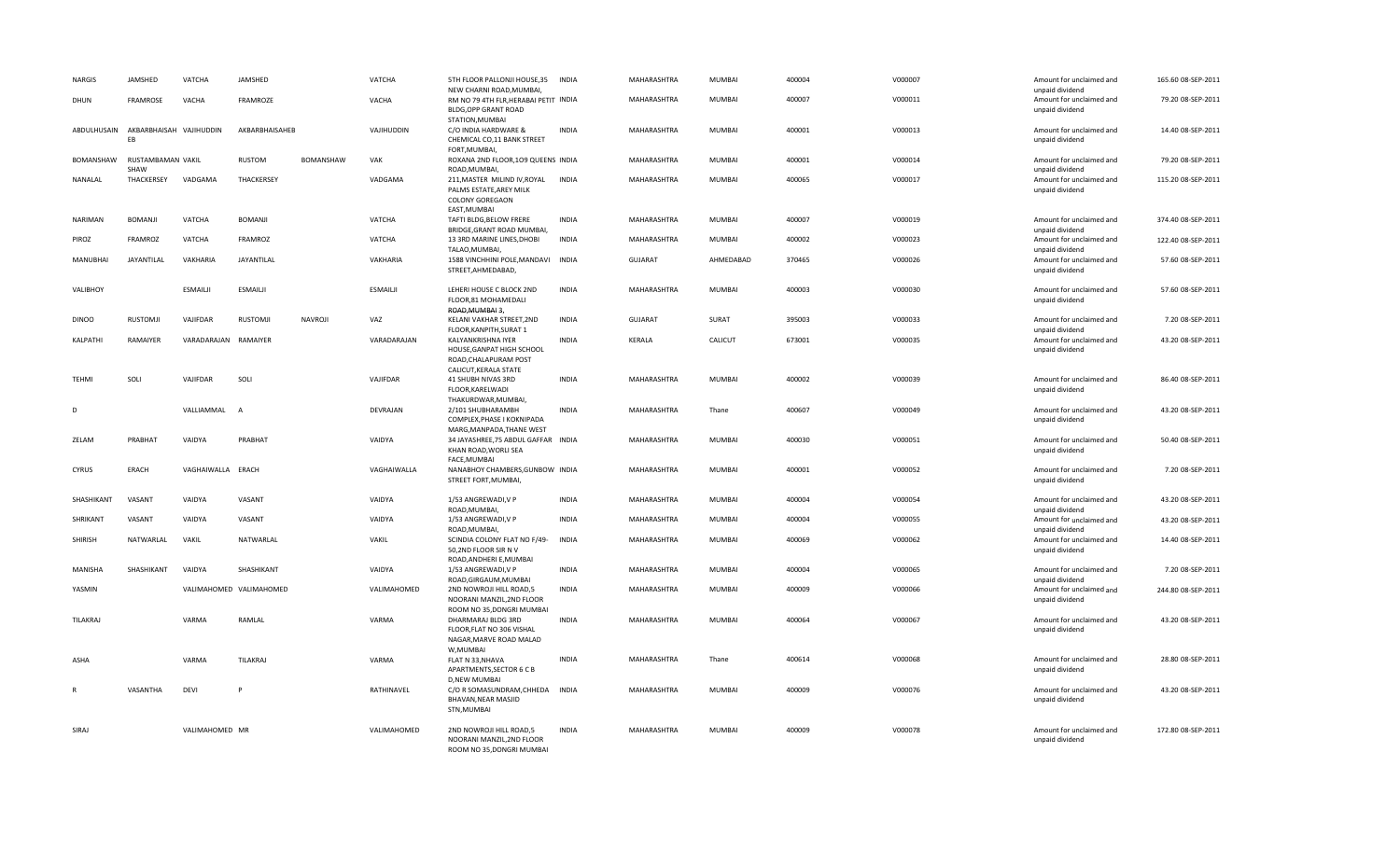| <b>NARGIS</b>   | JAMSHED                                   | VATCHA               | JAMSHED                 |                  | VATCHA          | 5TH FLOOR PALLONJI HOUSE, 35<br>NEW CHARNI ROAD, MUMBAI,                                                 | <b>INDIA</b> | MAHARASHTRA    | <b>MUMBAI</b> | 400004 | V000007 | Amount for unclaimed and<br>unpaid dividend                    | 165.60 08-SEP-2011 |
|-----------------|-------------------------------------------|----------------------|-------------------------|------------------|-----------------|----------------------------------------------------------------------------------------------------------|--------------|----------------|---------------|--------|---------|----------------------------------------------------------------|--------------------|
| DHUN            | FRAMROSE                                  | VACHA                | FRAMROZE                |                  | VACHA           | RM NO 79 4TH FLR, HERABAI PETIT INDIA<br><b>BLDG, OPP GRANT ROAD</b>                                     |              | MAHARASHTRA    | <b>MUMBAI</b> | 400007 | V000011 | Amount for unclaimed and<br>unpaid dividend                    | 79.20 08-SEP-2011  |
|                 | ABDULHUSAIN AKBARBHAISAH VAJIHUDDIN<br>EB |                      | AKBARBHAISAHEB          |                  | VAJIHUDDIN      | STATION, MUMBAI<br>C/O INDIA HARDWARE &<br>CHEMICAL CO,11 BANK STREET                                    | <b>INDIA</b> | MAHARASHTRA    | <b>MUMBAI</b> | 400001 | V000013 | Amount for unclaimed and<br>unpaid dividend                    | 14.40 08-SEP-2011  |
|                 | BOMANSHAW RUSTAMBAMAN VAKIL               |                      | <b>RUSTOM</b>           | <b>BOMANSHAW</b> | VAK             | FORT, MUMBAI,<br>ROXANA 2ND FLOOR, 109 QUEENS INDIA                                                      |              | MAHARASHTRA    | <b>MUMBAI</b> | 400001 | V000014 | Amount for unclaimed and                                       | 79.20 08-SEP-2011  |
| NANALAL         | SHAW<br>THACKERSEY                        | VADGAMA              | THACKERSEY              |                  | VADGAMA         | ROAD, MUMBAI,<br>211, MASTER MILIND IV, ROYAL<br>PALMS ESTATE, AREY MILK<br>COLONY GOREGAON              | INDIA        | MAHARASHTRA    | <b>MUMBAI</b> | 400065 | V000017 | unpaid dividend<br>Amount for unclaimed and<br>unpaid dividend | 115.20 08-SEP-2011 |
| NARIMAN         | <b>BOMANJI</b>                            | VATCHA               | BOMANJI                 |                  | VATCHA          | EAST, MUMBAI<br>TAFTI BLDG, BELOW FRERE                                                                  | <b>INDIA</b> | MAHARASHTRA    | <b>MUMBAI</b> | 400007 | V000019 | Amount for unclaimed and                                       | 374.40 08-SEP-2011 |
| PIROZ           | FRAMROZ                                   | VATCHA               | FRAMROZ                 |                  | VATCHA          | BRIDGE, GRANT ROAD MUMBAI,<br>13 3RD MARINE LINES, DHOBI                                                 | <b>INDIA</b> | MAHARASHTRA    | <b>MUMBAI</b> | 400002 | V000023 | unpaid dividend<br>Amount for unclaimed and                    | 122.40 08-SEP-2011 |
| <b>MANUBHAI</b> | JAYANTILAL                                | VAKHARIA             | JAYANTILAL              |                  | VAKHARIA        | TALAO, MUMBAI,<br>1588 VINCHHINI POLE, MANDAVI INDIA<br>STREET, AHMEDABAD,                               |              | <b>GUJARAT</b> | AHMEDABAD     | 370465 | V000026 | unpaid dividend<br>Amount for unclaimed and<br>unpaid dividend | 57.60 08-SEP-2011  |
| VALIBHOY        |                                           | ESMAILII             | <b>ESMAILII</b>         |                  | <b>ESMAILII</b> | LEHERI HOUSE C BLOCK 2ND<br>FLOOR,81 MOHAMEDALI<br>ROAD, MUMBAI 3,                                       | <b>INDIA</b> | MAHARASHTRA    | <b>MUMBAI</b> | 400003 | V000030 | Amount for unclaimed and<br>unpaid dividend                    | 57.60 08-SEP-2011  |
| <b>DINOO</b>    | RUSTOMJI                                  | VAJIFDAR             | RUSTOMJI                | NAVROJI          | VAZ             | KELANI VAKHAR STREET, 2ND<br>FLOOR, KANPITH, SURAT 1                                                     | <b>INDIA</b> | <b>GUJARAT</b> | SURAT         | 395003 | V000033 | Amount for unclaimed and<br>unpaid dividend                    | 7.20 08-SEP-2011   |
| KALPATHI        | RAMAIYER                                  | VARADARAJAN RAMAIYER |                         |                  | VARADARAJAN     | KALYANKRISHNA IYER<br>HOUSE, GANPAT HIGH SCHOOL                                                          | <b>INDIA</b> | KERALA         | CALICUT       | 673001 | V000035 | Amount for unclaimed and<br>unpaid dividend                    | 43.20 08-SEP-2011  |
| TEHMI           | SOLI                                      | VAJIFDAR             | SOLI                    |                  | VAJIFDAR        | ROAD, CHALAPURAM POST<br>CALICUT, KERALA STATE<br>41 SHUBH NIVAS 3RD<br>FLOOR, KARELWADI                 | <b>INDIA</b> | MAHARASHTRA    | <b>MUMBAI</b> | 400002 | V000039 | Amount for unclaimed and<br>unpaid dividend                    | 86.40 08-SEP-2011  |
| D               |                                           | VALLIAMMAL           | A                       |                  | DEVRAJAN        | THAKURDWAR, MUMBAI,<br>2/101 SHUBHARAMBH<br>COMPLEX, PHASE I KOKNIPADA                                   | <b>INDIA</b> | MAHARASHTRA    | Thane         | 400607 | V000049 | Amount for unclaimed and<br>unpaid dividend                    | 43.20 08-SEP-2011  |
| ZELAM           | PRABHAT                                   | VAIDYA               | PRABHAT                 |                  | VAIDYA          | MARG, MANPADA, THANE WEST<br>34 JAYASHREE, 75 ABDUL GAFFAR INDIA<br>KHAN ROAD, WORLI SEA<br>FACE, MUMBAI |              | MAHARASHTRA    | <b>MUMBAI</b> | 400030 | V000051 | Amount for unclaimed and<br>unpaid dividend                    | 50.40 08-SEP-2011  |
| CYRUS           | ERACH                                     | VAGHAIWALLA ERACH    |                         |                  | VAGHAIWALLA     | NANABHOY CHAMBERS, GUNBOW INDIA<br>STREET FORT, MUMBAI,                                                  |              | MAHARASHTRA    | <b>MUMBAI</b> | 400001 | V000052 | Amount for unclaimed and<br>unpaid dividend                    | 7.20 08-SEP-2011   |
| SHASHIKANT      | VASANT                                    | VAIDYA               | VASANT                  |                  | VAIDYA          | 1/53 ANGREWADI, V P<br>ROAD, MUMBAI,                                                                     | INDIA        | MAHARASHTRA    | <b>MUMBAI</b> | 400004 | V000054 | Amount for unclaimed and<br>unpaid dividend                    | 43.20 08-SEP-2011  |
| SHRIKANT        | VASANT                                    | VAIDYA               | VASANT                  |                  | VAIDYA          | 1/53 ANGREWADI, V P<br>ROAD, MUMBAI,                                                                     | INDIA        | MAHARASHTRA    | <b>MUMBAI</b> | 400004 | V000055 | Amount for unclaimed and<br>unpaid dividend                    | 43.20 08-SEP-2011  |
| SHIRISH         | NATWARLAL                                 | VAKIL                | NATWARLAL               |                  | VAKIL           | SCINDIA COLONY FLAT NO F/49-<br>50,2ND FLOOR SIR N V                                                     | <b>INDIA</b> | MAHARASHTRA    | <b>MUMBAI</b> | 400069 | V000062 | Amount for unclaimed and<br>unpaid dividend                    | 14.40 08-SEP-2011  |
| MANISHA         | SHASHIKANT                                | VAIDYA               | SHASHIKANT              |                  | VAIDYA          | ROAD, ANDHERI E, MUMBAI<br>1/53 ANGREWADI, V P<br>ROAD, GIRGAUM, MUMBAI                                  | INDIA        | MAHARASHTRA    | <b>MUMBAI</b> | 400004 | V000065 | Amount for unclaimed and                                       | 7.20 08-SEP-2011   |
| YASMIN          |                                           |                      | VALIMAHOMED VALIMAHOMED |                  | VALIMAHOMED     | 2ND NOWROJI HILL ROAD,5<br>NOORANI MANZIL, 2ND FLOOR<br>ROOM NO 35, DONGRI MUMBAI                        | <b>INDIA</b> | MAHARASHTRA    | <b>MUMBAI</b> | 400009 | V000066 | unpaid dividend<br>Amount for unclaimed and<br>unpaid dividend | 244.80 08-SEP-2011 |
| TILAKRAJ        |                                           | VARMA                | RAMLAL                  |                  | VARMA           | DHARMARAJ BLDG 3RD<br>FLOOR, FLAT NO 306 VISHAL<br>NAGAR, MARVE ROAD MALAD                               | INDIA        | MAHARASHTRA    | <b>MUMBAI</b> | 400064 | V000067 | Amount for unclaimed and<br>unpaid dividend                    | 43.20 08-SEP-2011  |
| ASHA            |                                           | VARMA                | TILAKRAJ                |                  | VARMA           | W,MUMBAI<br>FLAT N 33, NHAVA<br>APARTMENTS, SECTOR 6 C B                                                 | <b>INDIA</b> | MAHARASHTRA    | Thane         | 400614 | V000068 | Amount for unclaimed and<br>unpaid dividend                    | 28.80 08-SEP-2011  |
|                 | VASANTHA                                  | DEVI                 |                         |                  | RATHINAVEL      | D, NEW MUMBAI<br>C/O R SOMASUNDRAM, CHHEDA<br>BHAVAN, NEAR MASJID<br>STN, MUMBAI                         | <b>INDIA</b> | MAHARASHTRA    | <b>MUMBAI</b> | 400009 | V000076 | Amount for unclaimed and<br>unpaid dividend                    | 43.20 08-SEP-2011  |
| SIRAJ           |                                           | VALIMAHOMED MR       |                         |                  | VALIMAHOMED     | 2ND NOWROJI HILL ROAD,5<br>NOORANI MANZIL, 2ND FLOOR<br>ROOM NO 35.DONGRI MUMBAI                         | <b>INDIA</b> | MAHARASHTRA    | <b>MUMBAI</b> | 400009 | V000078 | Amount for unclaimed and<br>unpaid dividend                    | 172.80 08-SEP-2011 |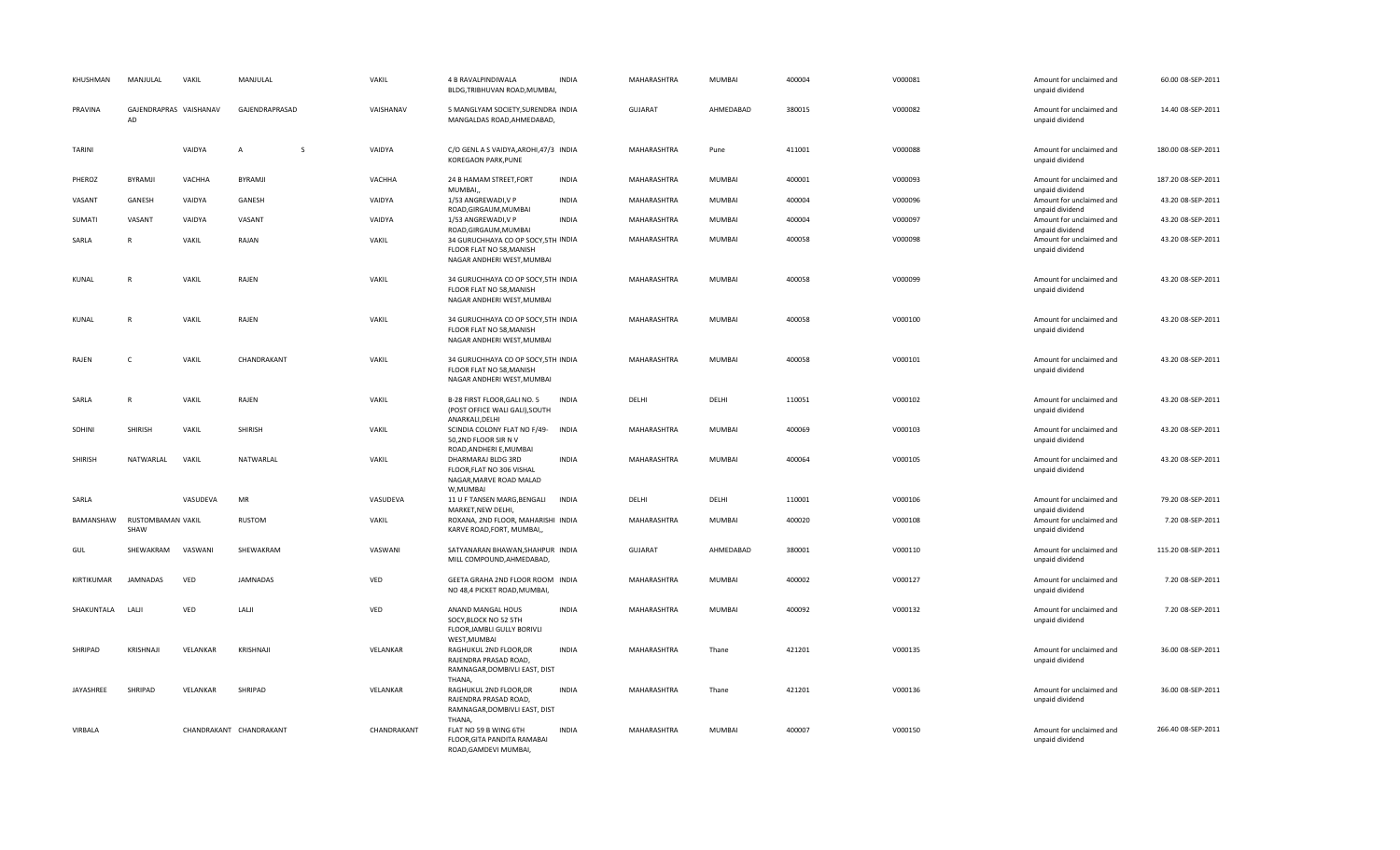| KHUSHMAN     | MANJULAL                     | VAKIL    | MANJULAL                | VAKIL       | 4 B RAVALPINDIWALA<br>BLDG, TRIBHUVAN ROAD, MUMBAI,                                           | <b>INDIA</b> | MAHARASHTRA        | MUMBAI        | 400004 | V000081 | Amount for unclaimed and<br>unpaid dividend | 60.00 08-SEP-2011  |
|--------------|------------------------------|----------|-------------------------|-------------|-----------------------------------------------------------------------------------------------|--------------|--------------------|---------------|--------|---------|---------------------------------------------|--------------------|
| PRAVINA      | GAJENDRAPRAS VAISHANAV<br>AD |          | GAJENDRAPRASAD          | VAISHANAV   | 5 MANGLYAM SOCIETY, SURENDRA INDIA<br>MANGALDAS ROAD, AHMEDABAD,                              |              | GUJARAT            | AHMEDABAD     | 380015 | V000082 | Amount for unclaimed and<br>unpaid dividend | 14.40 08-SEP-2011  |
| TARINI       |                              | VAIDYA   | $\overline{A}$<br>-S    | VAIDYA      | C/O GENL A S VAIDYA, AROHI, 47/3 INDIA<br>KOREGAON PARK, PUNE                                 |              | MAHARASHTRA        | Pune          | 411001 | V000088 | Amount for unclaimed and<br>unpaid dividend | 180.00 08-SEP-2011 |
| PHEROZ       | <b>BYRAMJI</b>               | VACHHA   | BYRAMJI                 | VACHHA      | 24 B HAMAM STREET, FORT<br>MUMBAI,                                                            | <b>INDIA</b> | MAHARASHTRA        | MUMBAI        | 400001 | V000093 | Amount for unclaimed and<br>unpaid dividend | 187.20 08-SEP-2011 |
| VASANT       | GANESH                       | VAIDYA   | GANESH                  | VAIDYA      | 1/53 ANGREWADI, V P<br>ROAD, GIRGAUM, MUMBAI                                                  | <b>INDIA</b> | MAHARASHTRA        | MUMBAI        | 400004 | V000096 | Amount for unclaimed and<br>unpaid dividend | 43.20 08-SEP-2011  |
| SUMATI       | VASANT                       | VAIDYA   | VASANT                  | VAIDYA      | 1/53 ANGREWADI, V P<br>ROAD, GIRGAUM, MUMBAI                                                  | <b>INDIA</b> | MAHARASHTRA        | MUMBAI        | 400004 | V000097 | Amount for unclaimed and<br>unpaid dividend | 43.20 08-SEP-2011  |
| SARLA        | $\mathsf{R}$                 | VAKIL    | RAJAN                   | VAKIL       | 34 GURUCHHAYA CO OP SOCY, 5TH INDIA<br>FLOOR FLAT NO 58, MANISH<br>NAGAR ANDHERI WEST, MUMBAI |              | MAHARASHTRA        | MUMBAI        | 400058 | V000098 | Amount for unclaimed and<br>unpaid dividend | 43.20 08-SEP-2011  |
| KUNAL        | $\mathsf{R}$                 | VAKIL    | RAJEN                   | VAKIL       | 34 GURUCHHAYA CO OP SOCY, 5TH INDIA<br>FLOOR FLAT NO 58, MANISH<br>NAGAR ANDHERI WEST, MUMBAI |              | MAHARASHTRA        | MUMBAI        | 400058 | V000099 | Amount for unclaimed and<br>unpaid dividend | 43.20 08-SEP-2011  |
| <b>KUNAL</b> | $\mathsf{R}$                 | VAKIL    | RAJEN                   | VAKIL       | 34 GURUCHHAYA CO OP SOCY, 5TH INDIA<br>FLOOR FLAT NO 58, MANISH<br>NAGAR ANDHERI WEST, MUMBAI |              | MAHARASHTRA        | MUMBAI        | 400058 | V000100 | Amount for unclaimed and<br>unpaid dividend | 43.20 08-SEP-2011  |
| RAJEN        | C                            | VAKIL    | CHANDRAKANT             | VAKIL       | 34 GURUCHHAYA CO OP SOCY, 5TH INDIA<br>FLOOR FLAT NO 58, MANISH<br>NAGAR ANDHERI WEST, MUMBAI |              | MAHARASHTRA        | <b>MUMBAI</b> | 400058 | V000101 | Amount for unclaimed and<br>unpaid dividend | 43.20 08-SEP-2011  |
| SARLA        | $\mathsf{R}$                 | VAKIL    | RAJEN                   | VAKIL       | B-28 FIRST FLOOR, GALI NO. 5<br>(POST OFFICE WALI GALI), SOUTH<br>ANARKALI, DELHI             | <b>INDIA</b> | DELHI              | DELHI         | 110051 | V000102 | Amount for unclaimed and<br>unpaid dividend | 43.20 08-SEP-2011  |
| SOHINI       | <b>SHIRISH</b>               | VAKIL    | SHIRISH                 | VAKIL       | SCINDIA COLONY FLAT NO F/49-<br>50,2ND FLOOR SIR N V<br>ROAD, ANDHERI E, MUMBAI               | <b>INDIA</b> | <b>MAHARASHTRA</b> | <b>MUMBAI</b> | 400069 | V000103 | Amount for unclaimed and<br>unpaid dividend | 43.20 08-SEP-2011  |
| SHIRISH      | NATWARLAL                    | VAKIL    | NATWARLAL               | VAKIL       | DHARMARAJ BLDG 3RD<br>FLOOR, FLAT NO 306 VISHAL<br>NAGAR, MARVE ROAD MALAD<br>W, MUMBAI       | <b>INDIA</b> | MAHARASHTRA        | <b>MUMBAI</b> | 400064 | V000105 | Amount for unclaimed and<br>unpaid dividend | 43.20 08-SEP-2011  |
| SARLA        |                              | VASUDEVA | MR                      | VASUDEVA    | 11 U F TANSEN MARG, BENGALI<br>MARKET, NEW DELHI,                                             | <b>INDIA</b> | DELHI              | DELHI         | 110001 | V000106 | Amount for unclaimed and<br>unpaid dividend | 79.20 08-SEP-2011  |
| BAMANSHAW    | RUSTOMBAMAN VAKIL<br>SHAW    |          | RUSTOM                  | VAKIL       | ROXANA, 2ND FLOOR, MAHARISHI INDIA<br>KARVE ROAD, FORT, MUMBAI,,                              |              | MAHARASHTRA        | MUMBAI        | 400020 | V000108 | Amount for unclaimed and<br>unpaid dividend | 7.20 08-SEP-2011   |
| <b>GUL</b>   | SHEWAKRAM                    | VASWANI  | SHEWAKRAM               | VASWANI     | SATYANARAN BHAWAN, SHAHPUR INDIA<br>MILL COMPOUND, AHMEDABAD,                                 |              | <b>GUJARAT</b>     | AHMEDABAD     | 380001 | V000110 | Amount for unclaimed and<br>unpaid dividend | 115.20 08-SEP-2011 |
| KIRTIKUMAR   | <b>JAMNADAS</b>              | VED      | JAMNADAS                | VED         | GEETA GRAHA 2ND FLOOR ROOM INDIA<br>NO 48,4 PICKET ROAD, MUMBAI,                              |              | MAHARASHTRA        | MUMBAI        | 400002 | V000127 | Amount for unclaimed and<br>unpaid dividend | 7.20 08-SEP-2011   |
| SHAKUNTALA   | LALJI                        | VED      | LALJI                   | VED         | ANAND MANGAL HOUS<br>SOCY, BLOCK NO 52 5TH<br>FLOOR, JAMBLI GULLY BORIVLI<br>WEST, MUMBAI     | <b>INDIA</b> | MAHARASHTRA        | MUMBAI        | 400092 | V000132 | Amount for unclaimed and<br>unpaid dividend | 7.20 08-SEP-2011   |
| SHRIPAD      | KRISHNAJI                    | VELANKAR | KRISHNAJI               | VELANKAR    | RAGHUKUL 2ND FLOOR, DR<br>RAJENDRA PRASAD ROAD,<br>RAMNAGAR, DOMBIVLI EAST, DIST<br>THANA,    | <b>INDIA</b> | MAHARASHTRA        | Thane         | 421201 | V000135 | Amount for unclaimed and<br>unpaid dividend | 36.00 08-SEP-2011  |
| JAYASHREE    | SHRIPAD                      | VELANKAR | SHRIPAD                 | VELANKAR    | RAGHUKUL 2ND FLOOR, DR<br>RAJENDRA PRASAD ROAD,<br>RAMNAGAR, DOMBIVLI EAST, DIST<br>THANA,    | <b>INDIA</b> | MAHARASHTRA        | Thane         | 421201 | V000136 | Amount for unclaimed and<br>unpaid dividend | 36.00 08-SEP-2011  |
| VIRBALA      |                              |          | CHANDRAKANT CHANDRAKANT | CHANDRAKANT | FLAT NO 59 B WING 6TH<br>FLOOR, GITA PANDITA RAMABAI<br>ROAD, GAMDEVI MUMBAI,                 | <b>INDIA</b> | MAHARASHTRA        | MUMBAI        | 400007 | V000150 | Amount for unclaimed and<br>unpaid dividend | 266.40 08-SEP-2011 |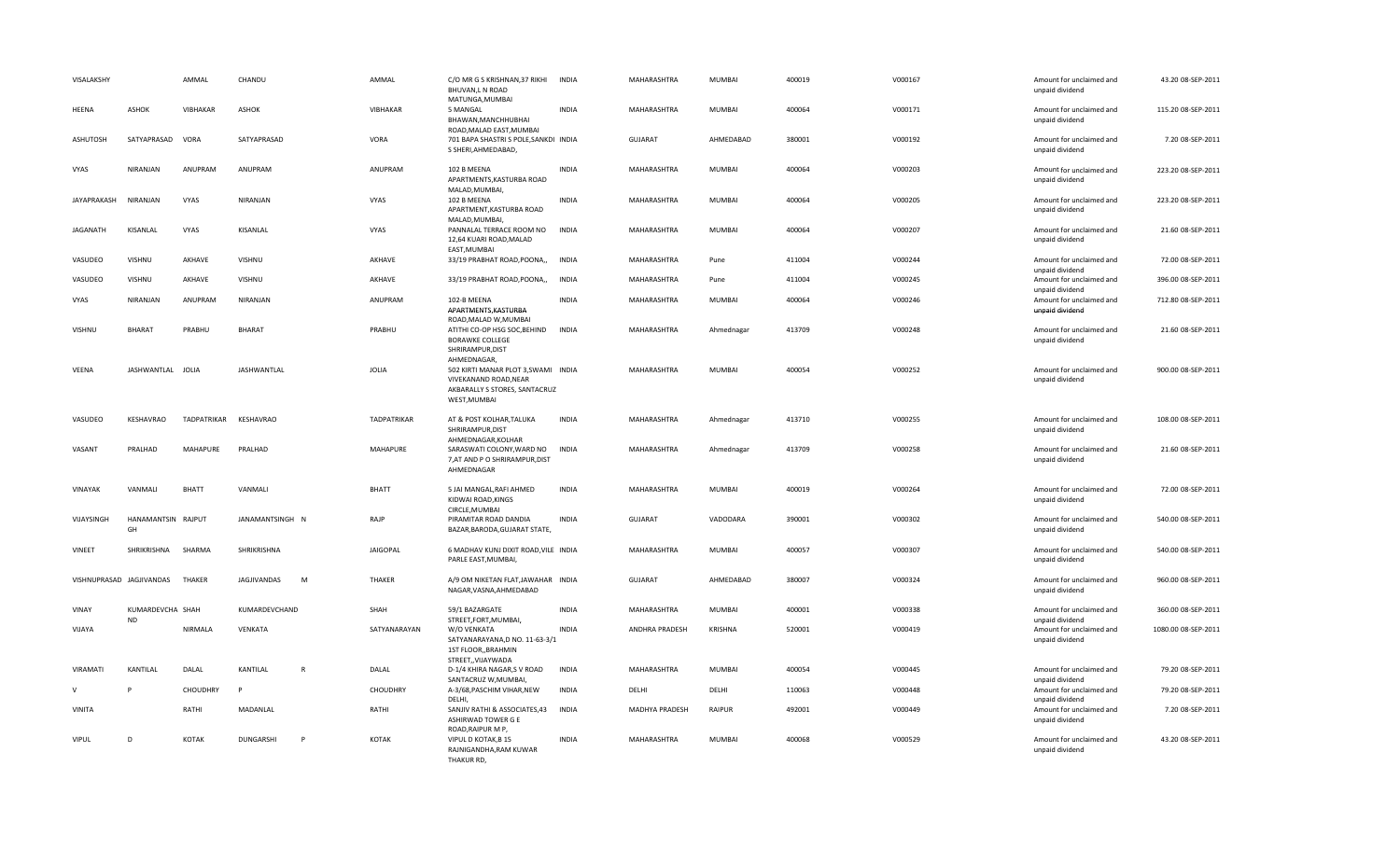| VISALAKSHY    |                               | AMMAL              | CHANDU          |              | AMMAL              | C/O MR G S KRISHNAN, 37 RIKHI<br>BHUVAN,L N ROAD<br>MATUNGA, MUMBAI                                                          | INDIA        | MAHARASHTRA        | MUMBAI        | 400019 | V000167 | Amount for unclaimed and<br>unpaid dividend                    | 43.20 08-SEP-2011   |
|---------------|-------------------------------|--------------------|-----------------|--------------|--------------------|------------------------------------------------------------------------------------------------------------------------------|--------------|--------------------|---------------|--------|---------|----------------------------------------------------------------|---------------------|
| <b>HEENA</b>  | <b>ASHOK</b>                  | VIBHAKAR           | <b>ASHOK</b>    |              | VIBHAKAR           | 5 MANGAL<br>BHAWAN, MANCHHUBHAI<br>ROAD, MALAD EAST, MUMBAI                                                                  | <b>INDIA</b> | MAHARASHTRA        | MUMBAI        | 400064 | V000171 | Amount for unclaimed and<br>unpaid dividend                    | 115.20 08-SEP-2011  |
| ASHUTOSH      | SATYAPRASAD                   | VORA               | SATYAPRASAD     |              | VORA               | 701 BAPA SHASTRI S POLE, SANKDI INDIA<br>S SHERI, AHMEDABAD,                                                                 |              | <b>GUJARAT</b>     | AHMEDABAD     | 380001 | V000192 | Amount for unclaimed and<br>unpaid dividend                    | 7.20 08-SEP-2011    |
| VYAS          | NIRANJAN                      | ANUPRAM            | ANUPRAM         |              | ANUPRAM            | 102 B MEENA<br>APARTMENTS, KASTURBA ROAD                                                                                     | <b>INDIA</b> | MAHARASHTRA        | MUMBAI        | 400064 | V000203 | Amount for unclaimed and<br>unpaid dividend                    | 223.20 08-SEP-2011  |
| JAYAPRAKASH   | NIRANJAN                      | VYAS               | NIRANJAN        |              | VYAS               | MALAD, MUMBAI,<br>102 B MEENA<br>APARTMENT, KASTURBA ROAD                                                                    | <b>INDIA</b> | MAHARASHTRA        | MUMBAI        | 400064 | V000205 | Amount for unclaimed and<br>unpaid dividend                    | 223.20 08-SEP-2011  |
| JAGANATH      | KISANLAL                      | VYAS               | KISANLAL        |              | VYAS               | MALAD, MUMBAI,<br>PANNALAL TERRACE ROOM NO<br>12,64 KUARI ROAD, MALAD                                                        | <b>INDIA</b> | MAHARASHTRA        | MUMBAI        | 400064 | V000207 | Amount for unclaimed and<br>unpaid dividend                    | 21.60 08-SEP-2011   |
| VASUDEO       | VISHNU                        | AKHAVE             | VISHNU          |              | AKHAVE             | EAST, MUMBAI<br>33/19 PRABHAT ROAD, POONA,,                                                                                  | <b>INDIA</b> | MAHARASHTRA        | Pune          | 411004 | V000244 | Amount for unclaimed and<br>unpaid dividend                    | 72.00 08-SEP-2011   |
| VASUDEO       | VISHNU                        | AKHAVE             | VISHNU          |              | AKHAVE             | 33/19 PRABHAT ROAD, POONA,,                                                                                                  | <b>INDIA</b> | MAHARASHTRA        | Pune          | 411004 | V000245 | Amount for unclaimed and<br>unpaid dividend                    | 396.00 08-SEP-2011  |
| VYAS          | NIRANJAN                      | ANUPRAM            | NIRANJAN        |              | ANUPRAM            | 102-B MEENA<br>APARTMENTS, KASTURBA                                                                                          | <b>INDIA</b> | MAHARASHTRA        | <b>MUMBAI</b> | 400064 | V000246 | Amount for unclaimed and<br>unpaid dividend                    | 712.80 08-SEP-2011  |
| <b>VISHNU</b> | <b>BHARAT</b>                 | PRABHU             | <b>BHARAT</b>   |              | PRABHU             | ROAD, MALAD W, MUMBAI<br>ATITHI CO-OP HSG SOC, BEHIND<br><b>BORAWKE COLLEGE</b><br>SHRIRAMPUR, DIST                          | <b>INDIA</b> | MAHARASHTRA        | Ahmednagar    | 413709 | V000248 | Amount for unclaimed and<br>unpaid dividend                    | 21.60 08-SEP-2011   |
| VEENA         | JASHWANTLAL JOLIA             |                    | JASHWANTLAL     |              | <b>JOLIA</b>       | AHMEDNAGAR,<br>502 KIRTI MANAR PLOT 3, SWAMI INDIA<br>VIVEKANAND ROAD, NEAR<br>AKBARALLY S STORES, SANTACRUZ<br>WEST, MUMBAI |              | MAHARASHTRA        | MUMBAI        | 400054 | V000252 | Amount for unclaimed and<br>unpaid dividend                    | 900.00 08-SEP-2011  |
| VASUDEO       | KESHAVRAO                     | <b>TADPATRIKAR</b> | KESHAVRAO       |              | <b>TADPATRIKAR</b> | AT & POST KOLHAR, TALUKA<br>SHRIRAMPUR, DIST                                                                                 | <b>INDIA</b> | MAHARASHTRA        | Ahmednagar    | 413710 | V000255 | Amount for unclaimed and<br>unpaid dividend                    | 108.00 08-SEP-2011  |
| VASANT        | PRALHAD                       | MAHAPURE           | PRALHAD         |              | <b>MAHAPURE</b>    | AHMEDNAGAR, KOLHAR<br>SARASWATI COLONY, WARD NO<br>7, AT AND P O SHRIRAMPUR, DIST<br>AHMEDNAGAR                              | <b>INDIA</b> | MAHARASHTRA        | Ahmednagar    | 413709 | V000258 | Amount for unclaimed and<br>unpaid dividend                    | 21.60 08-SEP-2011   |
| VINAYAK       | VANMALI                       | <b>BHATT</b>       | VANMALI         |              | BHATT              | 5 JAI MANGAL, RAFI AHMED<br>KIDWAI ROAD, KINGS                                                                               | <b>INDIA</b> | MAHARASHTRA        | MUMBAI        | 400019 | V000264 | Amount for unclaimed and<br>unpaid dividend                    | 72.00 08-SEP-2011   |
| VIJAYSINGH    | HANAMANTSIN RAJPUT<br>GH      |                    | JANAMANTSINGH N |              | RAJP               | CIRCLE, MUMBAI<br>PIRAMITAR ROAD DANDIA<br>BAZAR, BARODA, GUJARAT STATE,                                                     | <b>INDIA</b> | <b>GUJARAT</b>     | VADODARA      | 390001 | V000302 | Amount for unclaimed and<br>unpaid dividend                    | 540.00 08-SEP-2011  |
| VINEET        | SHRIKRISHNA                   | SHARMA             | SHRIKRISHNA     |              | <b>JAIGOPAL</b>    | 6 MADHAV KUNJ DIXIT ROAD, VILE INDIA<br>PARLE EAST, MUMBAI,                                                                  |              | MAHARASHTRA        | MUMBAI        | 400057 | V000307 | Amount for unclaimed and<br>unpaid dividend                    | 540.00 08-SEP-2011  |
|               | VISHNUPRASAD JAGJIVANDAS      | THAKER             | JAGJIVANDAS     | M            | THAKER             | A/9 OM NIKETAN FLAT, JAWAHAR INDIA<br>NAGAR, VASNA, AHMEDABAD                                                                |              | GUJARAT            | AHMEDABAD     | 380007 | V000324 | Amount for unclaimed and<br>unpaid dividend                    | 960.00 08-SEP-2011  |
| VINAY         | KUMARDEVCHA SHAH<br><b>ND</b> |                    | KUMARDEVCHAND   |              | SHAH               | 59/1 BAZARGATE<br>STREET, FORT, MUMBAI,                                                                                      | <b>INDIA</b> | <b>MAHARASHTRA</b> | MUMBAI        | 400001 | V000338 | Amount for unclaimed and<br>unpaid dividend                    | 360.00 08-SEP-2011  |
| VIJAYA        |                               | <b>NIRMALA</b>     | VENKATA         |              | SATYANARAYAN       | W/O VENKATA<br>SATYANARAYANA, DNO. 11-63-3/1<br>1ST FLOOR,, BRAHMIN                                                          | <b>INDIA</b> | ANDHRA PRADESH     | KRISHNA       | 520001 | V000419 | Amount for unclaimed and<br>unpaid dividend                    | 1080.00 08-SEP-2011 |
| VIRAMATI      | KANTILAL                      | DALAL              | KANTILAL        | $\mathsf{R}$ | DALAL              | STREET,, VIJAYWADA<br>D-1/4 KHIRA NAGAR,S V ROAD                                                                             | <b>INDIA</b> | MAHARASHTRA        | MUMBAI        | 400054 | V000445 | Amount for unclaimed and                                       | 79.20 08-SEP-2011   |
| $\mathsf{V}$  | P                             | <b>CHOUDHRY</b>    | P               |              | CHOUDHRY           | SANTACRUZ W, MUMBAI,<br>A-3/68, PASCHIM VIHAR, NEW<br>DELHI,                                                                 | <b>INDIA</b> | DELHI              | DELHI         | 110063 | V000448 | unpaid dividend<br>Amount for unclaimed and<br>unpaid dividend | 79.20 08-SEP-2011   |
| <b>VINITA</b> |                               | RATHI              | MADANLAL        |              | RATHI              | SANJIV RATHI & ASSOCIATES,43<br>ASHIRWAD TOWER G E                                                                           | INDIA        | MADHYA PRADESH     | <b>RAIPUR</b> | 492001 | V000449 | Amount for unclaimed and<br>unpaid dividend                    | 7.20 08-SEP-2011    |
| <b>VIPUL</b>  | D                             | KOTAK              | DUNGARSHI       | P            | KOTAK              | ROAD, RAIPUR M P,<br>VIPUL D KOTAK, B 15<br>RAJNIGANDHA, RAM KUWAR<br>THAKUR RD.                                             | <b>INDIA</b> | MAHARASHTRA        | MUMBAI        | 400068 | V000529 | Amount for unclaimed and<br>unpaid dividend                    | 43.20 08-SEP-2011   |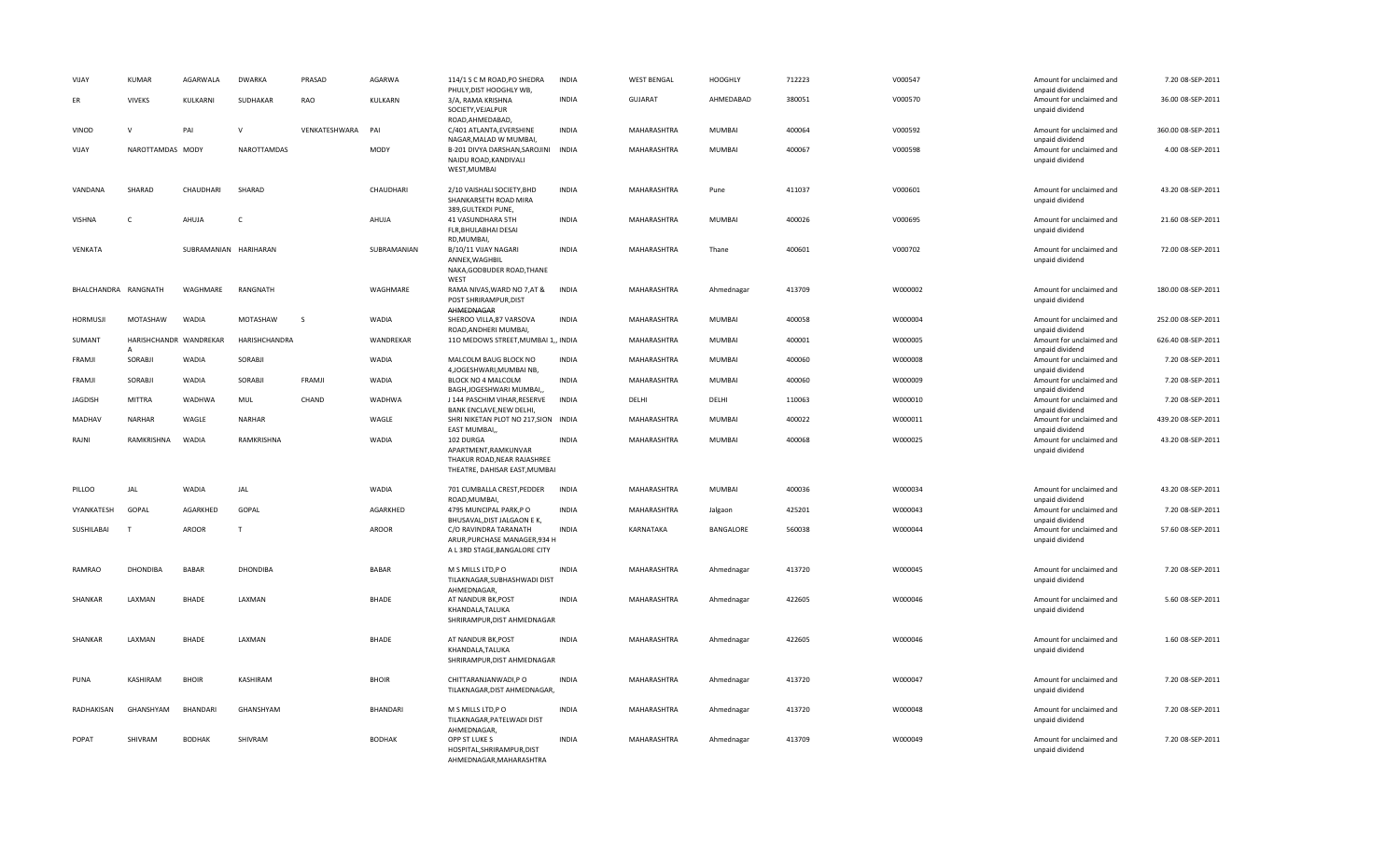| VIJAY                | <b>KUMAR</b>                | AGARWALA              | <b>DWARKA</b>   | PRASAD        | AGARWA        | 114/1 S C M ROAD, PO SHEDRA<br>PHULY, DIST HOOGHLY WB,                                            | <b>INDIA</b> | <b>WEST BENGAL</b> | <b>HOOGHLY</b> | 712223 | V000547 | Amount for unclaimed and<br>unpaid dividend | 7.20 08-SEP-2011   |
|----------------------|-----------------------------|-----------------------|-----------------|---------------|---------------|---------------------------------------------------------------------------------------------------|--------------|--------------------|----------------|--------|---------|---------------------------------------------|--------------------|
| <b>FR</b>            | <b>VIVEKS</b>               | KULKARNI              | SUDHAKAR        | RAO           | KULKARN       | 3/A, RAMA KRISHNA<br>SOCIETY, VEJALPUR                                                            | <b>INDIA</b> | GUJARAT            | AHMEDABAD      | 380051 | V000570 | Amount for unclaimed and<br>unpaid dividend | 36.00 08-SEP-2011  |
| VINOD                | $\mathsf{v}$                | PAI                   | $\mathbf{v}$    | VENKATESHWARA | PAI           | ROAD.AHMEDABAD.<br>C/401 ATLANTA, EVERSHINE<br>NAGAR, MALAD W MUMBAI,                             | <b>INDIA</b> | MAHARASHTRA        | MUMBAI         | 400064 | V000592 | Amount for unclaimed and<br>unpaid dividend | 360.00 08-SEP-2011 |
| VIJAY                | NAROTTAMDAS MODY            |                       | NAROTTAMDAS     |               | MODY          | B-201 DIVYA DARSHAN, SAROJINI INDIA<br>NAIDU ROAD, KANDIVALI<br>WEST, MUMBAI                      |              | MAHARASHTRA        | MUMBAI         | 400067 | V000598 | Amount for unclaimed and<br>unpaid dividend | 4.00 08-SEP-2011   |
| VANDANA              | SHARAD                      | CHAUDHARI             | SHARAD          |               | CHAUDHARI     | 2/10 VAISHALI SOCIETY, BHD<br>SHANKARSETH ROAD MIRA<br>389, GULTEKDI PUNE,                        | <b>INDIA</b> | MAHARASHTRA        | Pune           | 411037 | V000601 | Amount for unclaimed and<br>unpaid dividend | 43.20 08-SEP-2011  |
| <b>VISHNA</b>        | $\epsilon$                  | AHUJA                 | $\epsilon$      |               | AHUJA         | 41 VASUNDHARA 5TH<br>FLR, BHULABHAI DESAI                                                         | <b>INDIA</b> | MAHARASHTRA        | <b>MUMBAI</b>  | 400026 | V000695 | Amount for unclaimed and<br>unpaid dividend | 21.60 08-SEP-2011  |
| <b>VENKATA</b>       |                             | SUBRAMANIAN HARIHARAN |                 |               | SUBRAMANIAN   | RD, MUMBAI,<br>B/10/11 VIJAY NAGARI<br>ANNEX, WAGHBIL<br>NAKA, GODBUDER ROAD, THANE               | <b>INDIA</b> | <b>MAHARASHTRA</b> | Thane          | 400601 | V000702 | Amount for unclaimed and<br>unpaid dividend | 72.00 08-SEP-2011  |
| BHALCHANDRA RANGNATH |                             | WAGHMARE              | RANGNATH        |               | WAGHMARE      | WEST<br>RAMA NIVAS, WARD NO 7, AT &<br>POST SHRIRAMPUR, DIST<br>AHMEDNAGAR                        | <b>INDIA</b> | MAHARASHTRA        | Ahmednagar     | 413709 | W000002 | Amount for unclaimed and<br>unpaid dividend | 180.00 08-SEP-2011 |
| HORMUSJI             | MOTASHAW                    | WADIA                 | MOTASHAW        | - S           | WADIA         | SHEROO VILLA, 87 VARSOVA<br>ROAD, ANDHERI MUMBAI,                                                 | <b>INDIA</b> | MAHARASHTRA        | MUMBAI         | 400058 | W000004 | Amount for unclaimed and<br>unpaid dividend | 252.00 08-SEP-2011 |
| SUMANT               | HARISHCHANDR WANDREKAR<br>Α |                       | HARISHCHANDRA   |               | WANDREKAR     | 110 MEDOWS STREET, MUMBAI 1,, INDIA                                                               |              | MAHARASHTRA        | MUMBAI         | 400001 | W000005 | Amount for unclaimed and<br>unpaid dividend | 626.40 08-SEP-2011 |
| FRAMJI               | SORABJI                     | WADIA                 | SORABJI         |               | <b>WADIA</b>  | MALCOLM BAUG BLOCK NO<br>4, JOGESHWARI, MUMBAINB,                                                 | <b>INDIA</b> | MAHARASHTRA        | MUMBAI         | 400060 | W000008 | Amount for unclaimed and<br>unpaid dividend | 7.20 08-SEP-2011   |
| FRAMJI               | SORABJI                     | WADIA                 | SORABJI         | FRAMJI        | WADIA         | BLOCK NO 4 MALCOLM<br>BAGH, JOGESHWARI MUMBAI,                                                    | <b>INDIA</b> | MAHARASHTRA        | MUMBAI         | 400060 | W000009 | Amount for unclaimed and<br>unpaid dividend | 7.20 08-SEP-2011   |
| <b>JAGDISH</b>       | <b>MITTRA</b>               | WADHWA                | MUL             | CHAND         | WADHWA        | J 144 PASCHIM VIHAR, RESERVE<br>BANK ENCLAVE, NEW DELHI,                                          | <b>INDIA</b> | DELHI              | DELHI          | 110063 | W000010 | Amount for unclaimed and<br>unpaid dividend | 7.20 08-SEP-2011   |
| MADHAV               | <b>NARHAR</b>               | WAGLE                 | NARHAR          |               | WAGLE         | SHRI NIKETAN PLOT NO 217, SION INDIA<br>EAST MUMBAI,                                              |              | MAHARASHTRA        | MUMBAI         | 400022 | W000011 | Amount for unclaimed and<br>unpaid dividend | 439.20 08-SEP-2011 |
| RAJNI                | RAMKRISHNA                  | WADIA                 | RAMKRISHNA      |               | WADIA         | 102 DURGA<br>APARTMENT, RAMKUNVAR<br>THAKUR ROAD, NEAR RAJASHREE<br>THEATRE, DAHISAR EAST, MUMBAI | <b>INDIA</b> | MAHARASHTRA        | <b>MUMBAI</b>  | 400068 | W000025 | Amount for unclaimed and<br>unpaid dividend | 43.20 08-SEP-2011  |
| PILLOO               | JAL                         | WADIA                 | JAL             |               | <b>WADIA</b>  | 701 CUMBALLA CREST, PEDDER<br>ROAD, MUMBAI                                                        | INDIA        | MAHARASHTRA        | MUMBAI         | 400036 | W000034 | Amount for unclaimed and<br>unpaid dividend | 43.20 08-SEP-2011  |
| VYANKATESH           | GOPAL                       | AGARKHED              | GOPAL           |               | AGARKHED      | 4795 MUNCIPAL PARK,PO<br>BHUSAVAL, DIST JALGAON E K,                                              | <b>INDIA</b> | MAHARASHTRA        | Jalgaon        | 425201 | W000043 | Amount for unclaimed and<br>unpaid dividend | 7.20 08-SEP-2011   |
| SUSHILABAI           | T                           | <b>AROOR</b>          | T               |               | <b>AROOR</b>  | C/O RAVINDRA TARANATH<br>ARUR, PURCHASE MANAGER, 934 H<br>A L 3RD STAGE, BANGALORE CITY           | <b>INDIA</b> | KARNATAKA          | BANGALORE      | 560038 | W000044 | Amount for unclaimed and<br>unpaid dividend | 57.60 08-SEP-2011  |
| <b>RAMRAO</b>        | <b>DHONDIBA</b>             | <b>BABAR</b>          | <b>DHONDIBA</b> |               | <b>BABAR</b>  | M S MILLS LTD,P O<br>TILAKNAGAR, SUBHASHWADI DIST<br>AHMEDNAGAR.                                  | <b>INDIA</b> | MAHARASHTRA        | Ahmednagar     | 413720 | W000045 | Amount for unclaimed and<br>unpaid dividend | 7.20 08-SEP-2011   |
| SHANKAR              | LAXMAN                      | <b>BHADE</b>          | LAXMAN          |               | <b>BHADE</b>  | AT NANDUR BK, POST<br>KHANDALA, TALUKA<br>SHRIRAMPUR, DIST AHMEDNAGAR                             | <b>INDIA</b> | MAHARASHTRA        | Ahmednagar     | 422605 | W000046 | Amount for unclaimed and<br>unpaid dividend | 5.60 08-SEP-2011   |
| SHANKAR              | LAXMAN                      | <b>BHADE</b>          | LAXMAN          |               | <b>BHADE</b>  | AT NANDUR BK, POST<br>KHANDALA, TALUKA<br>SHRIRAMPUR, DIST AHMEDNAGAR                             | <b>INDIA</b> | MAHARASHTRA        | Ahmednagar     | 422605 | W000046 | Amount for unclaimed and<br>unpaid dividend | 1.60 08-SEP-2011   |
| PUNA                 | KASHIRAM                    | <b>BHOIR</b>          | KASHIRAM        |               | <b>BHOIR</b>  | CHITTARANJANWADI, PO<br>TILAKNAGAR, DIST AHMEDNAGAR,                                              | <b>INDIA</b> | MAHARASHTRA        | Ahmednagar     | 413720 | W000047 | Amount for unclaimed and<br>unpaid dividend | 7.20 08-SEP-2011   |
| RADHAKISAN           | GHANSHYAM                   | BHANDARI              | GHANSHYAM       |               | BHANDARI      | M S MILLS LTD, PO<br>TILAKNAGAR, PATELWADI DIST<br>AHMEDNAGAR,                                    | <b>INDIA</b> | MAHARASHTRA        | Ahmednagar     | 413720 | W000048 | Amount for unclaimed and<br>unpaid dividend | 7.20 08-SEP-2011   |
| POPAT                | SHIVRAM                     | <b>BODHAK</b>         | SHIVRAM         |               | <b>BODHAK</b> | OPP ST LUKE S<br>HOSPITAL, SHRIRAMPUR, DIST<br>AHMEDNAGAR, MAHARASHTRA                            | <b>INDIA</b> | MAHARASHTRA        | Ahmednagar     | 413709 | W000049 | Amount for unclaimed and<br>unpaid dividend | 7.20 08-SEP-2011   |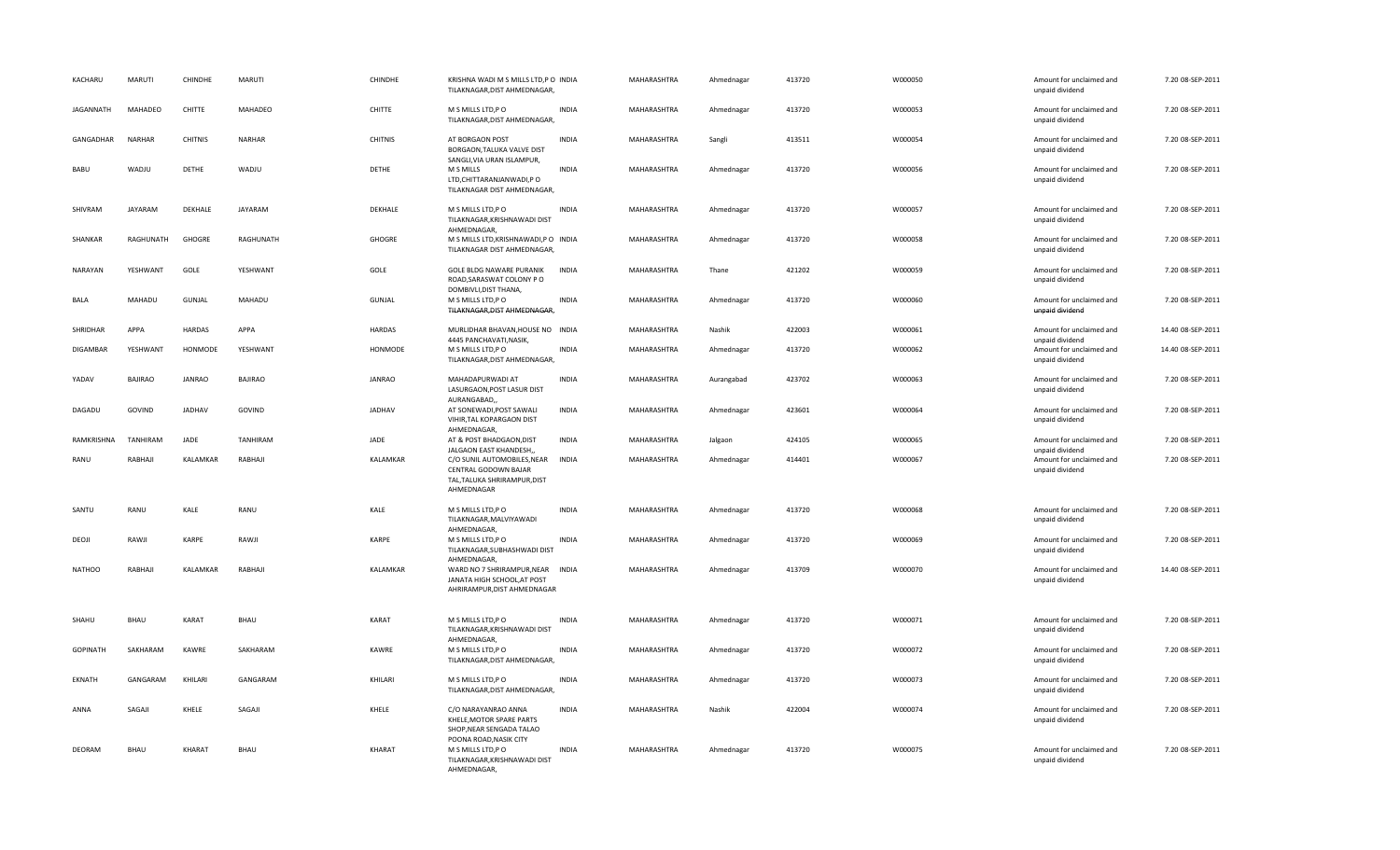| KACHARU          | MARUTI         | CHINDHE        | <b>MARUTI</b>  | CHINDHE        | KRISHNA WADI M S MILLS LTD, P O INDIA<br>TILAKNAGAR, DIST AHMEDNAGAR,                             |              | MAHARASHTRA | Ahmednagar | 413720 | W000050 | Amount for unclaimed and<br>unpaid dividend                    | 7.20 08-SEP-2011  |
|------------------|----------------|----------------|----------------|----------------|---------------------------------------------------------------------------------------------------|--------------|-------------|------------|--------|---------|----------------------------------------------------------------|-------------------|
| <b>JAGANNATH</b> | MAHADEO        | CHITTE         | MAHADEO        | CHITTE         | M S MILLS LTD, PO<br>TILAKNAGAR, DIST AHMEDNAGAR,                                                 | <b>INDIA</b> | MAHARASHTRA | Ahmednagar | 413720 | W000053 | Amount for unclaimed and<br>unpaid dividend                    | 7.20 08-SEP-2011  |
| GANGADHAR        | <b>NARHAR</b>  | <b>CHITNIS</b> | NARHAR         | <b>CHITNIS</b> | AT BORGAON POST<br>BORGAON, TALUKA VALVE DIST<br>SANGLI, VIA URAN ISLAMPUR,                       | <b>INDIA</b> | MAHARASHTRA | Sangli     | 413511 | W000054 | Amount for unclaimed and<br>unpaid dividend                    | 7.20 08-SEP-2011  |
| BABU             | WADJU          | DETHE          | WADJU          | DETHE          | M S MILLS<br>LTD, CHITTARANJANWADI, PO<br>TILAKNAGAR DIST AHMEDNAGAR,                             | <b>INDIA</b> | MAHARASHTRA | Ahmednagar | 413720 | W000056 | Amount for unclaimed and<br>unpaid dividend                    | 7.20 08-SEP-2011  |
| SHIVRAM          | <b>JAYARAM</b> | DEKHALE        | <b>JAYARAM</b> | DEKHALE        | M S MILLS LTD, PO<br>TILAKNAGAR, KRISHNAWADI DIST<br>AHMEDNAGAR,                                  | <b>INDIA</b> | MAHARASHTRA | Ahmednagar | 413720 | W000057 | Amount for unclaimed and<br>unpaid dividend                    | 7.20 08-SEP-2011  |
| SHANKAR          | RAGHUNATH      | GHOGRE         | RAGHUNATH      | GHOGRE         | M S MILLS LTD, KRISHNAWADI, PO INDIA<br>TILAKNAGAR DIST AHMEDNAGAR,                               |              | MAHARASHTRA | Ahmednagar | 413720 | W000058 | Amount for unclaimed and<br>unpaid dividend                    | 7.20 08-SEP-2011  |
| NARAYAN          | YESHWANT       | GOLE           | YESHWANT       | GOLE           | GOLE BLDG NAWARE PURANIK<br>ROAD, SARASWAT COLONY PO<br>DOMBIVLI, DIST THANA,                     | <b>INDIA</b> | MAHARASHTRA | Thane      | 421202 | W000059 | Amount for unclaimed and<br>unpaid dividend                    | 7.20 08-SEP-2011  |
| BALA             | MAHADU         | GUNJAL         | MAHADU         | GUNJAL         | M S MILLS LTD, PO<br>TILAKNAGAR, DIST AHMEDNAGAR,                                                 | <b>INDIA</b> | MAHARASHTRA | Ahmednagar | 413720 | W000060 | Amount for unclaimed and<br>unpaid dividend                    | 7.20 08-SEP-2011  |
| <b>SHRIDHAR</b>  | APPA           | <b>HARDAS</b>  | APPA           | <b>HARDAS</b>  | MURLIDHAR BHAVAN, HOUSE NO INDIA                                                                  |              | MAHARASHTRA | Nashik     | 422003 | W000061 | Amount for unclaimed and                                       | 14.40 08-SEP-2011 |
| <b>DIGAMBAR</b>  | YESHWANT       | HONMODE        | YESHWANT       | HONMODE        | 4445 PANCHAVATI, NASIK,<br>M S MILLS LTD, P O<br>TILAKNAGAR, DIST AHMEDNAGAR,                     | <b>INDIA</b> | MAHARASHTRA | Ahmednagar | 413720 | W000062 | unpaid dividend<br>Amount for unclaimed and<br>unpaid dividend | 14.40 08-SEP-2011 |
| YADAV            | <b>BAJIRAO</b> | <b>JANRAO</b>  | <b>BAJIRAO</b> | <b>JANRAO</b>  | MAHADAPURWADI AT<br>LASURGAON, POST LASUR DIST                                                    | <b>INDIA</b> | MAHARASHTRA | Aurangabad | 423702 | W000063 | Amount for unclaimed and<br>unpaid dividend                    | 7.20 08-SEP-2011  |
| DAGADU           | GOVIND         | <b>JADHAV</b>  | GOVIND         | <b>JADHAV</b>  | AURANGABAD,<br>AT SONEWADI, POST SAWALI<br>VIHIR, TAL KOPARGAON DIST<br>AHMEDNAGAR,               | <b>INDIA</b> | MAHARASHTRA | Ahmednagar | 423601 | W000064 | Amount for unclaimed and<br>unpaid dividend                    | 7.20 08-SEP-2011  |
| RAMKRISHNA       | TANHIRAM       | JADE           | TANHIRAM       | JADE           | AT & POST BHADGAON, DIST<br>JALGAON EAST KHANDESH,,                                               | <b>INDIA</b> | MAHARASHTRA | Jalgaon    | 424105 | W000065 | Amount for unclaimed and                                       | 7.20 08-SEP-2011  |
| RANU             | RABHAJI        | KALAMKAR       | RABHAJI        | KALAMKAR       | C/O SUNIL AUTOMOBILES, NEAR<br>CENTRAL GODOWN BAJAR<br>TAL, TALUKA SHRIRAMPUR, DIST<br>AHMEDNAGAR | INDIA        | MAHARASHTRA | Ahmednagar | 414401 | W000067 | unpaid dividend<br>Amount for unclaimed and<br>unpaid dividend | 7.20 08-SEP-2011  |
| SANTU            | RANU           | KALE           | RANU           | KALE           | M S MILLS LTD, PO<br>TILAKNAGAR, MALVIYAWADI<br>AHMEDNAGAR,                                       | <b>INDIA</b> | MAHARASHTRA | Ahmednagar | 413720 | W000068 | Amount for unclaimed and<br>unpaid dividend                    | 7.20 08-SEP-2011  |
| DEOJI            | RAWJI          | KARPE          | RAWJI          | KARPE          | M S MILLS LTD, P O<br>TILAKNAGAR, SUBHASHWADI DIST<br>AHMEDNAGAR,                                 | <b>INDIA</b> | MAHARASHTRA | Ahmednagar | 413720 | W000069 | Amount for unclaimed and<br>unpaid dividend                    | 7.20 08-SEP-2011  |
| <b>NATHOO</b>    | RABHAJI        | KALAMKAR       | RABHAJI        | KALAMKAR       | WARD NO 7 SHRIRAMPUR, NEAR INDIA<br>JANATA HIGH SCHOOL, AT POST<br>AHRIRAMPUR, DIST AHMEDNAGAR    |              | MAHARASHTRA | Ahmednagar | 413709 | W000070 | Amount for unclaimed and<br>unpaid dividend                    | 14.40 08-SEP-2011 |
| SHAHU            | BHAU           | KARAT          | BHAU           | KARAT          | M S MILLS LTD, PO<br>TILAKNAGAR, KRISHNAWADI DIST<br>AHMEDNAGAR,                                  | <b>INDIA</b> | MAHARASHTRA | Ahmednagar | 413720 | W000071 | Amount for unclaimed and<br>unpaid dividend                    | 7.20 08-SEP-2011  |
| <b>GOPINATH</b>  | SAKHARAM       | KAWRE          | SAKHARAM       | KAWRE          | M S MILLS LTD,P O<br>TILAKNAGAR, DIST AHMEDNAGAR                                                  | <b>INDIA</b> | MAHARASHTRA | Ahmednagar | 413720 | W000072 | Amount for unclaimed and<br>unpaid dividend                    | 7.20 08-SEP-2011  |
| EKNATH           | GANGARAM       | KHILARI        | GANGARAM       | KHILARI        | M S MILLS LTD, PO<br>TILAKNAGAR, DIST AHMEDNAGAR,                                                 | <b>INDIA</b> | MAHARASHTRA | Ahmednagar | 413720 | W000073 | Amount for unclaimed and<br>unpaid dividend                    | 7.20 08-SEP-2011  |
| ANNA             | SAGAJI         | KHELE          | SAGAJI         | KHELE          | C/O NARAYANRAO ANNA<br>KHELE, MOTOR SPARE PARTS<br>SHOP, NEAR SENGADA TALAO                       | <b>INDIA</b> | MAHARASHTRA | Nashik     | 422004 | W000074 | Amount for unclaimed and<br>unpaid dividend                    | 7.20 08-SEP-2011  |
| DEORAM           |                |                |                |                | POONA ROAD, NASIK CITY                                                                            |              |             |            |        |         |                                                                |                   |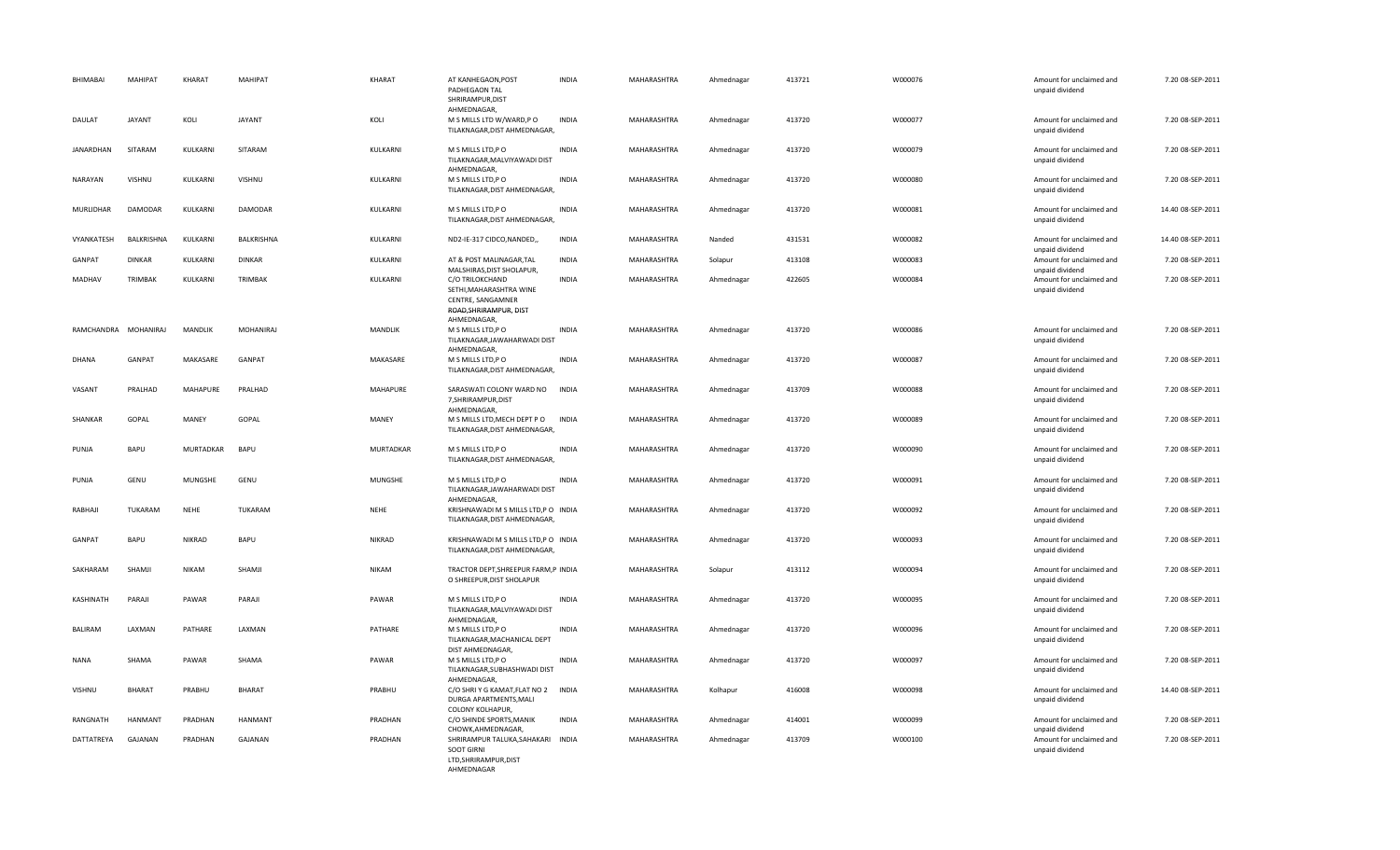| BHIMABAI             | MAHIPAT           | KHARAT         | MAHIPAT       | KHARAT           | AT KANHEGAON, POST<br>PADHEGAON TAL<br>SHRIRAMPUR.DIST<br>AHMEDNAGAR,                                    | <b>INDIA</b> | MAHARASHTRA | Ahmednagar | 413721 | W000076 | Amount for unclaimed and<br>unpaid dividend | 7.20 08-SEP-2011  |
|----------------------|-------------------|----------------|---------------|------------------|----------------------------------------------------------------------------------------------------------|--------------|-------------|------------|--------|---------|---------------------------------------------|-------------------|
| DAULAT               | <b>JAYANT</b>     | KOLI           | <b>JAYANT</b> | KOLI             | M S MILLS LTD W/WARD,P O<br>TILAKNAGAR, DIST AHMEDNAGAR,                                                 | INDIA        | MAHARASHTRA | Ahmednagar | 413720 | W000077 | Amount for unclaimed and<br>unpaid dividend | 7.20 08-SEP-2011  |
| JANARDHAN            | SITARAM           | KULKARNI       | SITARAM       | KULKARNI         | M S MILLS LTD, PO<br>TILAKNAGAR, MALVIYAWADI DIST<br>AHMEDNAGAR.                                         | <b>INDIA</b> | MAHARASHTRA | Ahmednagar | 413720 | W000079 | Amount for unclaimed and<br>unpaid dividend | 7.20 08-SEP-2011  |
| NARAYAN              | VISHNU            | KULKARNI       | VISHNU        | KULKARNI         | M S MILLS LTD, PO<br>TILAKNAGAR, DIST AHMEDNAGAR,                                                        | <b>INDIA</b> | MAHARASHTRA | Ahmednagar | 413720 | W000080 | Amount for unclaimed and<br>unpaid dividend | 7.20 08-SEP-2011  |
| MURLIDHAR            | <b>DAMODAR</b>    | KULKARNI       | DAMODAR       | KULKARNI         | M S MILLS LTD, P O<br>TILAKNAGAR, DIST AHMEDNAGAR,                                                       | <b>INDIA</b> | MAHARASHTRA | Ahmednagar | 413720 | W000081 | Amount for unclaimed and<br>unpaid dividend | 14.40 08-SEP-2011 |
| VYANKATESH           | <b>BALKRISHNA</b> | KULKARNI       | BALKRISHNA    | KULKARNI         | ND2-IE-317 CIDCO, NANDED,                                                                                | <b>INDIA</b> | MAHARASHTRA | Nanded     | 431531 | W000082 | Amount for unclaimed and<br>unpaid dividend | 14.40 08-SEP-2011 |
| <b>GANPAT</b>        | <b>DINKAR</b>     | KULKARNI       | <b>DINKAR</b> | KULKARNI         | AT & POST MALINAGAR, TAL<br>MALSHIRAS, DIST SHOLAPUR,                                                    | <b>INDIA</b> | MAHARASHTRA | Solapur    | 413108 | W000083 | Amount for unclaimed and<br>unpaid dividend | 7.20 08-SEP-2011  |
| MADHAV               | TRIMBAK           | KULKARNI       | TRIMBAK       | KULKARNI         | C/O TRILOKCHAND<br>SETHI, MAHARASHTRA WINE<br>CENTRE, SANGAMNER<br>ROAD, SHRIRAMPUR, DIST<br>AHMEDNAGAR, | <b>INDIA</b> | MAHARASHTRA | Ahmednagar | 422605 | W000084 | Amount for unclaimed and<br>unpaid dividend | 7.20 08-SEP-2011  |
| RAMCHANDRA MOHANIRAJ |                   | MANDLIK        | MOHANIRAJ     | MANDLIK          | M S MILLS LTD, PO<br>TILAKNAGAR, JAWAHARWADI DIST<br>AHMEDNAGAR,                                         | <b>INDIA</b> | MAHARASHTRA | Ahmednagar | 413720 | W000086 | Amount for unclaimed and<br>unpaid dividend | 7.20 08-SEP-2011  |
| <b>DHANA</b>         | GANPAT            | MAKASARE       | GANPAT        | MAKASARE         | M S MILLS LTD, P O<br>TILAKNAGAR, DIST AHMEDNAGAR,                                                       | <b>INDIA</b> | MAHARASHTRA | Ahmednagar | 413720 | W000087 | Amount for unclaimed and<br>unpaid dividend | 7.20 08-SEP-2011  |
| VASANT               | PRALHAD           | MAHAPURE       | PRALHAD       | MAHAPURE         | SARASWATI COLONY WARD NO<br>7, SHRIRAMPUR, DIST<br>AHMEDNAGAR,                                           | <b>INDIA</b> | MAHARASHTRA | Ahmednagar | 413709 | W000088 | Amount for unclaimed and<br>unpaid dividend | 7.20 08-SEP-2011  |
| SHANKAR              | GOPAL             | MANEY          | GOPAL         | MANEY            | M S MILLS LTD, MECH DEPT PO<br>TILAKNAGAR, DIST AHMEDNAGAR,                                              | <b>INDIA</b> | MAHARASHTRA | Ahmednagar | 413720 | W000089 | Amount for unclaimed and<br>unpaid dividend | 7.20 08-SEP-2011  |
| PUNJA                | BAPU              | MURTADKAR      | BAPU          | <b>MURTADKAR</b> | M S MILLS LTD, PO<br>TILAKNAGAR, DIST AHMEDNAGAR,                                                        | <b>INDIA</b> | MAHARASHTRA | Ahmednagar | 413720 | W000090 | Amount for unclaimed and<br>unpaid dividend | 7.20 08-SEP-2011  |
| PUNJA                | GENU              | <b>MUNGSHE</b> | GENU          | <b>MUNGSHE</b>   | M S MILLS LTD, PO<br>TILAKNAGAR, JAWAHARWADI DIST<br>AHMEDNAGAR,                                         | <b>INDIA</b> | MAHARASHTRA | Ahmednagar | 413720 | W000091 | Amount for unclaimed and<br>unpaid dividend | 7.20 08-SEP-2011  |
| RABHAJI              | <b>TUKARAM</b>    | NEHE           | TUKARAM       | NEHE             | KRISHNAWADI M S MILLS LTD, PO INDIA<br>TILAKNAGAR, DIST AHMEDNAGAR,                                      |              | MAHARASHTRA | Ahmednagar | 413720 | W000092 | Amount for unclaimed and<br>unpaid dividend | 7.20 08-SEP-2011  |
| GANPAT               | BAPU              | NIKRAD         | <b>BAPU</b>   | NIKRAD           | KRISHNAWADI M S MILLS LTD, P O INDIA<br>TILAKNAGAR, DIST AHMEDNAGAR,                                     |              | MAHARASHTRA | Ahmednagar | 413720 | W000093 | Amount for unclaimed and<br>unpaid dividend | 7.20 08-SEP-2011  |
| SAKHARAM             | SHAMJI            | <b>NIKAM</b>   | SHAMJI        | <b>NIKAM</b>     | TRACTOR DEPT, SHREEPUR FARM, P INDIA<br>O SHREEPUR, DIST SHOLAPUR                                        |              | MAHARASHTRA | Solapur    | 413112 | W000094 | Amount for unclaimed and<br>unpaid dividend | 7.20 08-SEP-2011  |
| KASHINATH            | PARAJI            | PAWAR          | PARAJI        | PAWAR            | M S MILLS LTD, PO<br>TILAKNAGAR, MALVIYAWADI DIST<br>AHMEDNAGAR,                                         | <b>INDIA</b> | MAHARASHTRA | Ahmednagar | 413720 | W000095 | Amount for unclaimed and<br>unpaid dividend | 7.20 08-SEP-2011  |
| <b>BALIRAM</b>       | LAXMAN            | PATHARE        | LAXMAN        | PATHARE          | M S MILLS LTD, P O<br>TILAKNAGAR, MACHANICAL DEPT<br>DIST AHMEDNAGAR,                                    | <b>INDIA</b> | MAHARASHTRA | Ahmednagar | 413720 | W000096 | Amount for unclaimed and<br>unpaid dividend | 7.20 08-SEP-2011  |
| <b>NANA</b>          | SHAMA             | PAWAR          | SHAMA         | PAWAR            | M S MILLS LTD, PO<br>TILAKNAGAR, SUBHASHWADI DIST<br>AHMEDNAGAR,                                         | <b>INDIA</b> | MAHARASHTRA | Ahmednagar | 413720 | W000097 | Amount for unclaimed and<br>unpaid dividend | 7.20 08-SEP-2011  |
| VISHNU               | <b>BHARAT</b>     | PRABHU         | <b>BHARAT</b> | PRABHU           | C/O SHRI Y G KAMAT, FLAT NO 2<br>DURGA APARTMENTS, MALI<br>COLONY KOLHAPUR,                              | INDIA        | MAHARASHTRA | Kolhapur   | 416008 | W000098 | Amount for unclaimed and<br>unpaid dividend | 14.40 08-SEP-2011 |
| RANGNATH             | <b>HANMANT</b>    | PRADHAN        | HANMANT       | PRADHAN          | C/O SHINDE SPORTS, MANIK<br>CHOWK, AHMEDNAGAR,                                                           | <b>INDIA</b> | MAHARASHTRA | Ahmednagar | 414001 | W000099 | Amount for unclaimed and<br>unpaid dividend | 7.20 08-SEP-2011  |
| DATTATREYA           | GAJANAN           | PRADHAN        | GAJANAN       | PRADHAN          | SHRIRAMPUR TALUKA, SAHAKARI INDIA<br><b>SOOT GIRNI</b><br>LTD, SHRIRAMPUR, DIST                          |              | MAHARASHTRA | Ahmednagar | 413709 | W000100 | Amount for unclaimed and<br>unpaid dividend | 7.20 08-SEP-2011  |
|                      |                   |                |               |                  | AHMEDNAGAR                                                                                               |              |             |            |        |         |                                             |                   |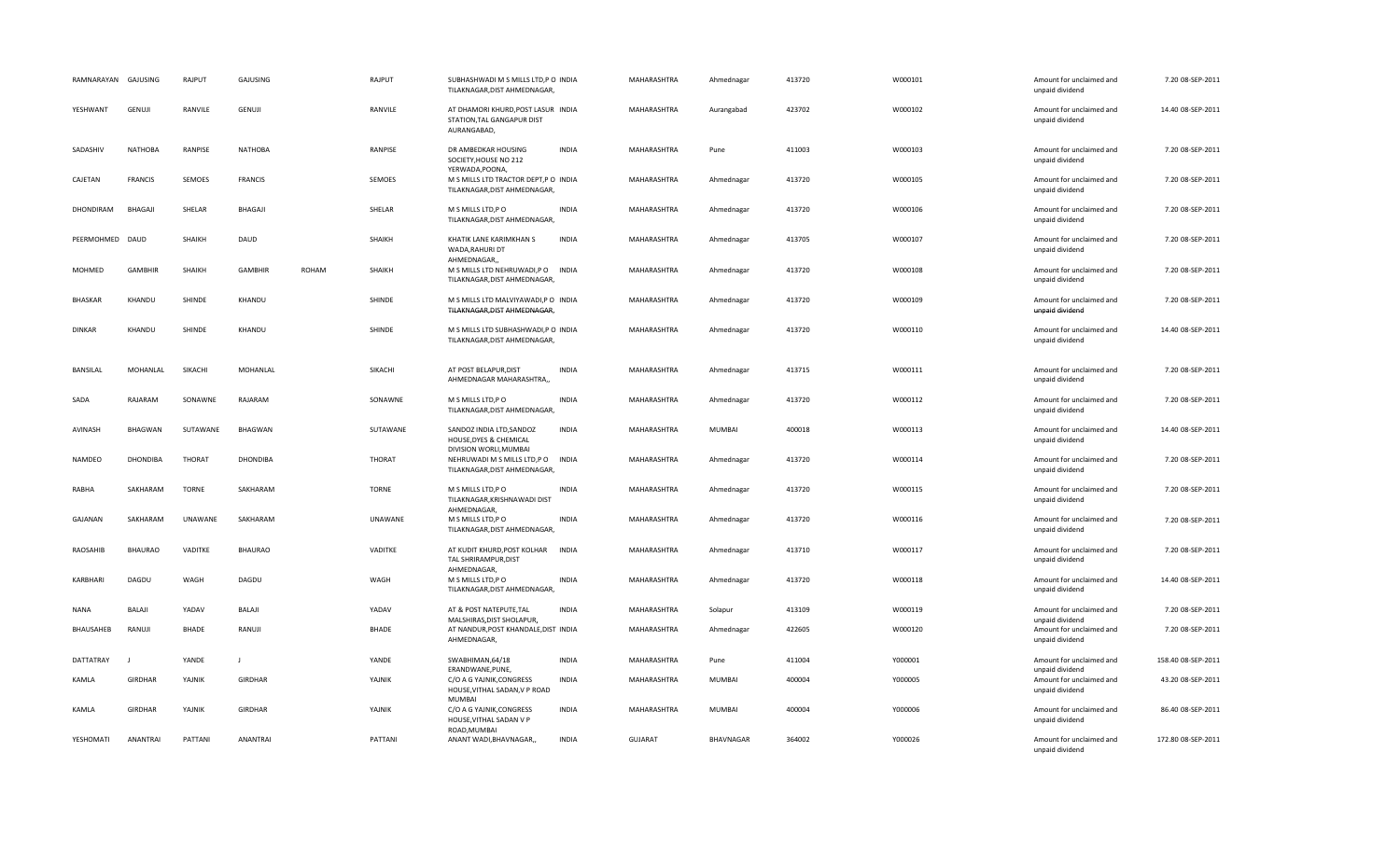| RAMNARAYAN GAJUSING |                 | RAJPUT        | GAJUSING        |              | RAJPUT        | SUBHASHWADI M S MILLS LTD,P O INDIA<br>TILAKNAGAR, DIST AHMEDNAGAR,                      |              | MAHARASHTRA    | Ahmednagar       | 413720 | W000101 | Amount for unclaimed and<br>unpaid dividend                    | 7.20 08-SEP-2011   |
|---------------------|-----------------|---------------|-----------------|--------------|---------------|------------------------------------------------------------------------------------------|--------------|----------------|------------------|--------|---------|----------------------------------------------------------------|--------------------|
| YESHWANT            | GENUJI          | RANVILE       | GENUJI          |              | RANVILE       | AT DHAMORI KHURD, POST LASUR INDIA<br>STATION, TAL GANGAPUR DIST<br>AURANGABAD,          |              | MAHARASHTRA    | Aurangabad       | 423702 | W000102 | Amount for unclaimed and<br>unpaid dividend                    | 14.40 08-SEP-2011  |
| SADASHIV            | <b>NATHOBA</b>  | RANPISE       | <b>NATHOBA</b>  |              | RANPISE       | DR AMBEDKAR HOUSING<br>SOCIETY, HOUSE NO 212                                             | <b>INDIA</b> | MAHARASHTRA    | Pune             | 411003 | W000103 | Amount for unclaimed and<br>unpaid dividend                    | 7.20 08-SEP-2011   |
| CAJETAN             | <b>FRANCIS</b>  | SEMOES        | <b>FRANCIS</b>  |              | SEMOES        | YERWADA, POONA,<br>M S MILLS LTD TRACTOR DEPT, P O INDIA<br>TILAKNAGAR, DIST AHMEDNAGAR, |              | MAHARASHTRA    | Ahmednagar       | 413720 | W000105 | Amount for unclaimed and<br>unpaid dividend                    | 7.20 08-SEP-2011   |
| DHONDIRAM           | <b>BHAGAJI</b>  | SHELAR        | BHAGAJI         |              | SHELAR        | M S MILLS LTD, P O<br>TILAKNAGAR, DIST AHMEDNAGAR,                                       | <b>INDIA</b> | MAHARASHTRA    | Ahmednagar       | 413720 | W000106 | Amount for unclaimed and<br>unpaid dividend                    | 7.20 08-SEP-2011   |
| PEERMOHMED DAUD     |                 | SHAIKH        | DAUD            |              | SHAIKH        | KHATIK LANE KARIMKHAN S<br>WADA, RAHURI DT                                               | <b>INDIA</b> | MAHARASHTRA    | Ahmednagar       | 413705 | W000107 | Amount for unclaimed and<br>unpaid dividend                    | 7.20 08-SEP-2011   |
| MOHMED              | <b>GAMBHIR</b>  | <b>SHAIKH</b> | <b>GAMBHIR</b>  | <b>ROHAM</b> | SHAIKH        | AHMEDNAGAR,<br>M S MILLS LTD NEHRUWADI,P O INDIA<br>TILAKNAGAR, DIST AHMEDNAGAR,         |              | MAHARASHTRA    | Ahmednagar       | 413720 | W000108 | Amount for unclaimed and<br>unpaid dividend                    | 7.20 08-SEP-2011   |
| <b>BHASKAR</b>      | KHANDU          | SHINDE        | KHANDU          |              | SHINDE        | M S MILLS LTD MALVIYAWADI, P O INDIA<br>TILAKNAGAR, DIST AHMEDNAGAR,                     |              | MAHARASHTRA    | Ahmednagar       | 413720 | W000109 | Amount for unclaimed and<br>unpaid dividend                    | 7.20 08-SEP-2011   |
| <b>DINKAR</b>       | KHANDU          | SHINDE        | KHANDU          |              | SHINDE        | M S MILLS LTD SUBHASHWADI,P O INDIA<br>TILAKNAGAR, DIST AHMEDNAGAR,                      |              | MAHARASHTRA    | Ahmednagar       | 413720 | W000110 | Amount for unclaimed and<br>unpaid dividend                    | 14.40 08-SEP-2011  |
| <b>BANSILAL</b>     | MOHANLAL        | SIKACHI       | MOHANLAL        |              | SIKACHI       | AT POST BELAPUR, DIST<br>AHMEDNAGAR MAHARASHTRA,,                                        | <b>INDIA</b> | MAHARASHTRA    | Ahmednagar       | 413715 | W000111 | Amount for unclaimed and<br>unpaid dividend                    | 7.20 08-SEP-2011   |
| SADA                | RAJARAM         | SONAWNE       | RAJARAM         |              | SONAWNE       | M S MILLS LTD, P O<br>TILAKNAGAR, DIST AHMEDNAGAR,                                       | <b>INDIA</b> | MAHARASHTRA    | Ahmednagar       | 413720 | W000112 | Amount for unclaimed and<br>unpaid dividend                    | 7.20 08-SEP-2011   |
| <b>AVINASH</b>      | <b>BHAGWAN</b>  | SUTAWANE      | BHAGWAN         |              | SUTAWANE      | SANDOZ INDIA LTD, SANDOZ<br>HOUSE, DYES & CHEMICAL                                       | <b>INDIA</b> | MAHARASHTRA    | <b>MUMBAI</b>    | 400018 | W000113 | Amount for unclaimed and<br>unpaid dividend                    | 14.40 08-SEP-2011  |
| NAMDEO              | <b>DHONDIBA</b> | <b>THORAT</b> | <b>DHONDIBA</b> |              | <b>THORAT</b> | DIVISION WORLI, MUMBAI<br>NEHRUWADI M S MILLS LTD, P O<br>TILAKNAGAR, DIST AHMEDNAGAR,   | <b>INDIA</b> | MAHARASHTRA    | Ahmednagar       | 413720 | W000114 | Amount for unclaimed and<br>unpaid dividend                    | 7.20 08-SEP-2011   |
| RABHA               | SAKHARAM        | <b>TORNE</b>  | SAKHARAM        |              | <b>TORNE</b>  | M S MILLS LTD, PO<br>TILAKNAGAR, KRISHNAWADI DIST<br>AHMEDNAGAR,                         | <b>INDIA</b> | MAHARASHTRA    | Ahmednagar       | 413720 | W000115 | Amount for unclaimed and<br>unpaid dividend                    | 7.20 08-SEP-2011   |
| GAJANAN             | SAKHARAM        | UNAWANE       | SAKHARAM        |              | UNAWANE       | M S MILLS LTD, PO<br>TILAKNAGAR, DIST AHMEDNAGAR,                                        | <b>INDIA</b> | MAHARASHTRA    | Ahmednagar       | 413720 | W000116 | Amount for unclaimed and<br>unpaid dividend                    | 7.20 08-SEP-2011   |
| RAOSAHIB            | <b>BHAURAO</b>  | VADITKE       | <b>BHAURAO</b>  |              | VADITKE       | AT KUDIT KHURD, POST KOLHAR<br>TAL SHRIRAMPUR, DIST<br>AHMEDNAGAR,                       | INDIA        | MAHARASHTRA    | Ahmednagar       | 413710 | W000117 | Amount for unclaimed and<br>unpaid dividend                    | 7.20 08-SEP-2011   |
| KARBHARI            | DAGDU           | WAGH          | DAGDU           |              | WAGH          | M S MILLS LTD, P O<br>TILAKNAGAR, DIST AHMEDNAGAR,                                       | <b>INDIA</b> | MAHARASHTRA    | Ahmednagar       | 413720 | W000118 | Amount for unclaimed and<br>unpaid dividend                    | 14.40 08-SEP-2011  |
| <b>NANA</b>         | <b>BALAJI</b>   | YADAV         | <b>BALAJI</b>   |              | YADAV         | AT & POST NATEPUTE, TAL<br>MALSHIRAS, DIST SHOLAPUR,                                     | <b>INDIA</b> | MAHARASHTRA    | Solapur          | 413109 | W000119 | Amount for unclaimed and<br>unpaid dividend                    | 7.20 08-SEP-2011   |
| BHAUSAHEB           | RANUJI          | <b>BHADE</b>  | RANUJI          |              | <b>BHADE</b>  | AT NANDUR, POST KHANDALE, DIST INDIA<br>AHMEDNAGAR,                                      |              | MAHARASHTRA    | Ahmednagar       | 422605 | W000120 | Amount for unclaimed and<br>unpaid dividend                    | 7.20 08-SEP-2011   |
| DATTATRAY           |                 | YANDE         | J.              |              | YANDE         | SWABHIMAN, 64/18                                                                         | <b>INDIA</b> | MAHARASHTRA    | Pune             | 411004 | Y000001 | Amount for unclaimed and                                       | 158.40 08-SEP-2011 |
| KAMLA               | <b>GIRDHAR</b>  | YAJNIK        | <b>GIRDHAR</b>  |              | YAJNIK        | ERANDWANE, PUNE,<br>C/O A G YAJNIK, CONGRESS<br>HOUSE, VITHAL SADAN, V P ROAD<br>MUMBAI  | <b>INDIA</b> | MAHARASHTRA    | MUMBAI           | 400004 | Y000005 | unpaid dividend<br>Amount for unclaimed and<br>unpaid dividend | 43.20 08-SEP-2011  |
| KAMLA               | <b>GIRDHAR</b>  | YAJNIK        | <b>GIRDHAR</b>  |              | YAJNIK        | C/O A G YAJNIK, CONGRESS<br>HOUSE, VITHAL SADAN V P                                      | <b>INDIA</b> | MAHARASHTRA    | MUMBAI           | 400004 | Y000006 | Amount for unclaimed and<br>unpaid dividend                    | 86.40 08-SEP-2011  |
| YESHOMATI           | ANANTRAI        | PATTANI       | ANANTRAI        |              | PATTANI       | ROAD, MUMBAI<br>ANANT WADI, BHAVNAGAR,                                                   | <b>INDIA</b> | <b>GUJARAT</b> | <b>BHAVNAGAR</b> | 364002 | Y000026 | Amount for unclaimed and<br>unpaid dividend                    | 172.80 08-SEP-2011 |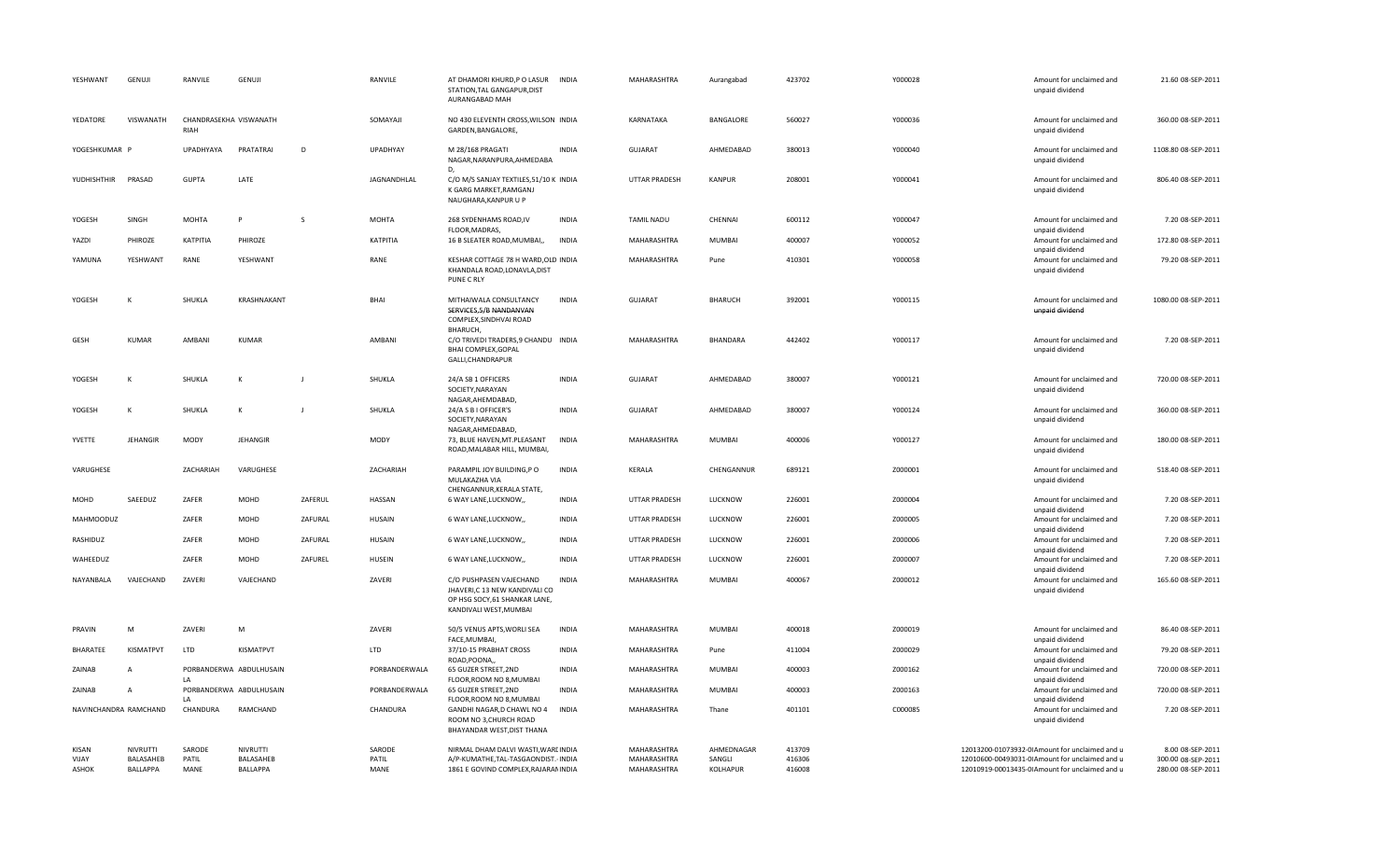| YESHWANT                                     | GENUJI                            | RANVILE                 | GENUJI                                   |         | RANVILE                 | AT DHAMORI KHURD,P O LASUR<br>STATION, TAL GANGAPUR, DIST<br>AURANGABAD MAH                                         | <b>INDIA</b> | MAHARASHTRA                               | Aurangabad                       | 423702                     | Y000028 | Amount for unclaimed and<br>unpaid dividend                                                                                                        | 21.60 08-SEP-2011                                            |
|----------------------------------------------|-----------------------------------|-------------------------|------------------------------------------|---------|-------------------------|---------------------------------------------------------------------------------------------------------------------|--------------|-------------------------------------------|----------------------------------|----------------------------|---------|----------------------------------------------------------------------------------------------------------------------------------------------------|--------------------------------------------------------------|
| YEDATORE                                     | VISWANATH                         | RIAH                    | CHANDRASEKHA VISWANATH                   |         | SOMAYAJI                | NO 430 ELEVENTH CROSS, WILSON INDIA<br>GARDEN, BANGALORE,                                                           |              | KARNATAKA                                 | BANGALORE                        | 560027                     | Y000036 | Amount for unclaimed and<br>unpaid dividend                                                                                                        | 360.00 08-SEP-2011                                           |
| YOGESHKUMAR P                                |                                   | UPADHYAYA               | PRATATRAI                                | D       | UPADHYAY                | M 28/168 PRAGATI<br>NAGAR, NARANPURA, AHMEDABA                                                                      | <b>INDIA</b> | GUJARAT                                   | AHMEDABAD                        | 380013                     | Y000040 | Amount for unclaimed and<br>unpaid dividend                                                                                                        | 1108.80 08-SEP-2011                                          |
| YUDHISHTHIR                                  | PRASAD                            | <b>GUPTA</b>            | LATE                                     |         | JAGNANDHLAL             | D,<br>C/O M/S SANJAY TEXTILES, 51/10 K INDIA<br>K GARG MARKET, RAMGANJ<br>NAUGHARA, KANPUR U P                      |              | UTTAR PRADESH                             | <b>KANPUR</b>                    | 208001                     | Y000041 | Amount for unclaimed and<br>unpaid dividend                                                                                                        | 806.40 08-SEP-2011                                           |
| YOGESH                                       | SINGH                             | <b>MOHTA</b>            | p                                        | S       | <b>MOHTA</b>            | 268 SYDENHAMS ROAD, IV<br>FLOOR, MADRAS,                                                                            | <b>INDIA</b> | <b>TAMIL NADU</b>                         | CHENNAI                          | 600112                     | Y000047 | Amount for unclaimed and<br>unpaid dividend                                                                                                        | 7.20 08-SEP-2011                                             |
| YAZDI                                        | PHIROZE                           | ΚΑΤΡΙΤΙΑ                | PHIROZE                                  |         | KATPITIA                | 16 B SLEATER ROAD, MUMBAI,                                                                                          | <b>INDIA</b> | MAHARASHTRA                               | <b>MUMBAI</b>                    | 400007                     | Y000052 | Amount for unclaimed and                                                                                                                           | 172.80 08-SEP-2011                                           |
| YAMUNA                                       | YESHWANT                          | RANE                    | YESHWANT                                 |         | RANE                    | KESHAR COTTAGE 78 H WARD, OLD INDIA<br>KHANDALA ROAD, LONAVLA, DIST<br>PUNE C RLY                                   |              | MAHARASHTRA                               | Pune                             | 410301                     | Y000058 | unpaid dividend<br>Amount for unclaimed and<br>unpaid dividend                                                                                     | 79.20 08-SEP-2011                                            |
| YOGESH                                       |                                   | SHUKLA                  | KRASHNAKANT                              |         | BHAI                    | MITHAIWALA CONSULTANCY<br>SERVICES, 5/B NANDANVAN<br>COMPLEX, SINDHVAI ROAD                                         | <b>INDIA</b> | <b>GUJARAT</b>                            | <b>BHARUCH</b>                   | 392001                     | Y000115 | Amount for unclaimed and<br>unpaid dividend                                                                                                        | 1080.00 08-SEP-2011                                          |
| GESH                                         | <b>KUMAR</b>                      | AMBANI                  | <b>KUMAR</b>                             |         | AMBANI                  | BHARUCH,<br>C/O TRIVEDI TRADERS, 9 CHANDU INDIA<br>BHAI COMPLEX, GOPAL<br>GALLI, CHANDRAPUR                         |              | MAHARASHTRA                               | BHANDARA                         | 442402                     | Y000117 | Amount for unclaimed and<br>unpaid dividend                                                                                                        | 7.20 08-SEP-2011                                             |
| YOGESH                                       | $\mathsf{K}$                      | SHUKLA                  | К                                        |         | SHUKLA                  | 24/A SB 1 OFFICERS<br>SOCIETY, NARAYAN                                                                              | <b>INDIA</b> | <b>GUJARAT</b>                            | AHMEDABAD                        | 380007                     | Y000121 | Amount for unclaimed and<br>unpaid dividend                                                                                                        | 720.00 08-SEP-2011                                           |
| YOGESH                                       | к                                 | SHUKLA                  | K                                        |         | SHUKLA                  | NAGAR, AHEMDABAD,<br>24/A S B I OFFICER'S<br>SOCIETY, NARAYAN                                                       | <b>INDIA</b> | <b>GUJARAT</b>                            | AHMEDABAD                        | 380007                     | Y000124 | Amount for unclaimed and<br>unpaid dividend                                                                                                        | 360.00 08-SEP-2011                                           |
| YVETTE                                       | JEHANGIR                          | <b>MODY</b>             | JEHANGIR                                 |         | MODY                    | NAGAR, AHMEDABAD,<br>73, BLUE HAVEN, MT. PLEASANT<br>ROAD, MALABAR HILL, MUMBAI,                                    | <b>INDIA</b> | MAHARASHTRA                               | <b>MUMBAI</b>                    | 400006                     | Y000127 | Amount for unclaimed and<br>unpaid dividend                                                                                                        | 180.00 08-SEP-2011                                           |
| VARUGHESE                                    |                                   | ZACHARIAH               | VARUGHESE                                |         | ZACHARIAH               | PARAMPIL JOY BUILDING, PO<br>MULAKAZHA VIA<br>CHENGANNUR, KERALA STATE,                                             | <b>INDIA</b> | KERALA                                    | CHENGANNUR                       | 689121                     | Z000001 | Amount for unclaimed and<br>unpaid dividend                                                                                                        | 518.40 08-SEP-2011                                           |
| MOHD                                         | SAEEDUZ                           | ZAFER                   | MOHD                                     | ZAFERUL | HASSAN                  | 6 WAY LANE, LUCKNOW,,                                                                                               | <b>INDIA</b> | UTTAR PRADESH                             | LUCKNOW                          | 226001                     | Z000004 | Amount for unclaimed and<br>unpaid dividend                                                                                                        | 7.20 08-SEP-2011                                             |
| <b>MAHMOODUZ</b>                             |                                   | ZAFER                   | MOHD                                     | ZAFURAL | <b>HUSAIN</b>           | 6 WAY LANE, LUCKNOW,                                                                                                | <b>INDIA</b> | <b>UTTAR PRADESH</b>                      | LUCKNOW                          | 226001                     | Z000005 | Amount for unclaimed and<br>unpaid dividend                                                                                                        | 7.20 08-SEP-2011                                             |
| RASHIDUZ                                     |                                   | ZAFER                   | MOHD                                     | ZAFURAL | <b>HUSAIN</b>           | 6 WAY LANE, LUCKNOW,,                                                                                               | <b>INDIA</b> | UTTAR PRADESH                             | LUCKNOW                          | 226001                     | Z000006 | Amount for unclaimed and<br>unpaid dividend                                                                                                        | 7.20 08-SEP-2011                                             |
| WAHEEDUZ                                     |                                   | ZAFER                   | MOHD                                     | ZAFUREL | <b>HUSEIN</b>           | 6 WAY LANE, LUCKNOW,,                                                                                               | <b>INDIA</b> | UTTAR PRADESH                             | LUCKNOW                          | 226001                     | Z000007 | Amount for unclaimed and<br>unpaid dividend                                                                                                        | 7.20 08-SEP-2011                                             |
| NAYANBALA                                    | VAJECHAND                         | ZAVERI                  | VAJECHAND                                |         | ZAVERI                  | C/O PUSHPASEN VAJECHAND<br>JHAVERI,C 13 NEW KANDIVALI CO<br>OP HSG SOCY, 61 SHANKAR LANE,<br>KANDIVALI WEST, MUMBAI | <b>INDIA</b> | MAHARASHTRA                               | <b>MUMBAI</b>                    | 400067                     | Z000012 | Amount for unclaimed and<br>unpaid dividend                                                                                                        | 165.60 08-SEP-2011                                           |
| PRAVIN                                       | M                                 | ZAVERI                  | M                                        |         | ZAVERI                  | 50/5 VENUS APTS, WORLI SEA                                                                                          | <b>INDIA</b> | MAHARASHTRA                               | <b>MUMBAI</b>                    | 400018                     | Z000019 | Amount for unclaimed and                                                                                                                           | 86.40 08-SEP-2011                                            |
| BHARATEE                                     | <b>KISMATPVT</b>                  | LTD                     | KISMATPVT                                |         | <b>LTD</b>              | FACE.MUMBAI.<br>37/10-15 PRABHAT CROSS                                                                              | <b>INDIA</b> | MAHARASHTRA                               | Pune                             | 411004                     | Z000029 | unpaid dividend<br>Amount for unclaimed and                                                                                                        | 79.20 08-SEP-2011                                            |
| ZAINAB                                       | $\overline{A}$                    |                         | PORBANDERWA ABDULHUSAIN                  |         | PORBANDERWALA           | ROAD, POONA,<br>65 GUZER STREET, 2ND                                                                                | <b>INDIA</b> | MAHARASHTRA                               | <b>MUMBAI</b>                    | 400003                     | Z000162 | unpaid dividend<br>Amount for unclaimed and                                                                                                        | 720.00 08-SEP-2011                                           |
| ZAINAB                                       | $\overline{A}$                    | LA                      | PORBANDERWA ABDULHUSAIN                  |         | PORBANDERWALA           | FLOOR, ROOM NO 8, MUMBAI<br>65 GUZER STREET, 2ND                                                                    | <b>INDIA</b> | MAHARASHTRA                               | <b>MUMBAI</b>                    | 400003                     | Z000163 | unpaid dividend<br>Amount for unclaimed and                                                                                                        | 720.00 08-SEP-2011                                           |
| NAVINCHANDRA RAMCHAND                        |                                   | LA<br>CHANDURA          | RAMCHAND                                 |         | CHANDURA                | FLOOR, ROOM NO 8, MUMBAI<br>GANDHI NAGAR, D CHAWL NO 4<br>ROOM NO 3, CHURCH ROAD<br>BHAYANDAR WEST, DIST THANA      | <b>INDIA</b> | MAHARASHTRA                               | Thane                            | 401101                     | C000085 | unpaid dividend<br>Amount for unclaimed and<br>unpaid dividend                                                                                     | 7.20 08-SEP-2011                                             |
| <b>KISAN</b><br><b>VIIAY</b><br><b>ASHOK</b> | NIVRUTTI<br>BALASAHEB<br>BALLAPPA | SARODE<br>PATIL<br>MANE | <b>NIVRUTTI</b><br>BALASAHEB<br>BALLAPPA |         | SARODE<br>PATIL<br>MANE | NIRMAL DHAM DALVI WASTI, WARI INDIA<br>A/P-KUMATHE, TAL-TASGAONDIST. INDIA<br>1861 E GOVIND COMPLEX, RAJARAM INDIA  |              | MAHARASHTRA<br>MAHARASHTRA<br>MAHARASHTRA | AHMEDNAGAR<br>SANGLI<br>KOLHAPUR | 413709<br>416306<br>416008 |         | 12013200-01073932-0IAmount for unclaimed and u<br>12010600-00493031-0IAmount for unclaimed and u<br>12010919-00013435-0IAmount for unclaimed and u | 8.00 08-SEP-2011<br>300.00 08-SEP-2011<br>280.00 08-SEP-2011 |